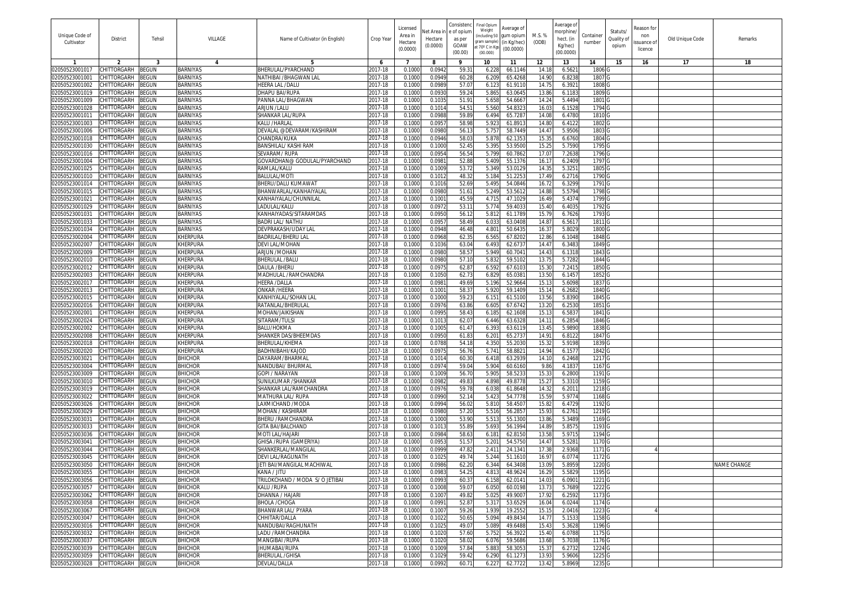|                                  |                                   |                              |                                    |                                                 |                    | Licensec           |                       | Consisten            | Final Opiun<br>Weight       | Average of               |                 | Average of             |                             |                        | leason for       |                 |                    |
|----------------------------------|-----------------------------------|------------------------------|------------------------------------|-------------------------------------------------|--------------------|--------------------|-----------------------|----------------------|-----------------------------|--------------------------|-----------------|------------------------|-----------------------------|------------------------|------------------|-----------------|--------------------|
| Unique Code of<br>Cultivator     | District                          | Tehsil                       | VILLAGE                            | Name of Cultivator (in English)                 | Crop Year          | Area in<br>Hectare | let Area i<br>Hectare | e of opiun<br>as per | including 50<br>ram sample) | jum opiun<br>(in Kg/hec) | M.S. %<br>(ODB) | norphine.<br>hect. (in | Container<br>number         | Statuts/<br>Quality of | non<br>ssuance o | Old Unique Code | Remarks            |
|                                  |                                   |                              |                                    |                                                 |                    | (0.0000)           | (0.0000)              | GOAW<br>(00.00)      | t 70° C in Kq:<br>(00.000)  | (00.0000)                |                 | Kg/hec)<br>(00.0000)   |                             | opium                  | licence          |                 |                    |
|                                  |                                   |                              |                                    |                                                 | -6                 | -7                 | 8                     | 9                    | 10                          | 11                       | 12              | 13                     | 14                          | 15                     | 16               | 17              | 18                 |
| 02050523001017                   | CHITTORGARH                       | <b>BEGUN</b>                 | <b>BARNIYAS</b>                    | BHERULAL/PYARCHAND                              | 2017-18            | 0.100              | 0.094                 | 59.3                 | 6.228                       | 66.114                   | 14.18           | 6.562                  | 1806 <sub>G</sub>           |                        |                  |                 |                    |
| 02050523001001                   | CHITTORGARH                       | <b>EGUN</b>                  | <b>BARNIYAS</b>                    | NATHIBAI /BHAGWAN LAI                           | 2017-18            | 0.1000             | 0.094                 | 60.2                 | 6.209                       | 65.426                   | 14.90           | 6.823                  | 1807 <sub>G</sub>           |                        |                  |                 |                    |
| 02050523001002                   | CHITTORGARH                       | ፧EGUN                        | <b>BARNIYAS</b>                    | HEERA LAL /DALU                                 | 2017-18            | 0.100              | 0.098                 | 57.0                 | 6.123                       | 61.911                   | 14.75           | 6.392                  | 1808 G                      |                        |                  |                 |                    |
| 02050523001019                   | CHITTORGARH                       | EGUN                         | <b>BARNIYAS</b>                    | DHAPU BAI/RUPA                                  | 2017-18            | 0.1000             | 0.093                 | 59.2                 | 5.86                        | 63.064                   | 13.86           | 6.118                  | 1809 G                      |                        |                  |                 |                    |
| 02050523001009                   | CHITTORGARH                       | <b>EGUN</b>                  | <b>BARNIYAS</b>                    | PANNA LAL/BHAGWAN                               | 2017-18            | 0.1000             | 0.103                 | 51.9                 | 5.658                       | 54.666                   | 14.24           | 5.4494                 | 1801 G                      |                        |                  |                 |                    |
| 02050523001028                   | CHITTORGARH                       | <b>EGUN</b>                  | <b>BARNIYAS</b>                    | ARJUN /LALU                                     | 2017-18            | 0.1000             | 0.101                 | 54.5                 | 5.56                        | 54.832                   | 16.03           | 6.152                  | 1794 G                      |                        |                  |                 |                    |
| 02050523001011<br>02050523001003 | CHITTORGARH<br>CHITTORGARH        | <b>EGUN</b><br><b>EGUN</b>   | <b>BARNIYAS</b><br><b>BARNIYAS</b> | SHANKAR LAL/RUPA<br>KAI U /HARI AI              | 2017-18<br>2017-18 | 0.100<br>0.1000    | 0.098<br>0.095        | 59.8<br>58.9         | 6.494<br>5.923              | 65.728<br>61.891         | 14.0<br>14.8    | 6.478<br>6.4122        | 1810 G<br>1802 G            |                        |                  |                 |                    |
| 02050523001006                   | CHITTORGARH                       | <b>EGUN</b>                  | <b>BARNIYAS</b>                    | DEVALAL @DEVARAM/KASHIRAM                       | 2017-18            | 0.100              | 0.098                 | 56.1                 | 5.75                        | 58.744                   | 14.4            | 5.950                  | 1803                        |                        |                  |                 |                    |
| 02050523001018                   | CHITTORGARH                       | <b>EGUN</b>                  | <b>BARNIYAS</b>                    | CHANDRA/KUKA                                    | 2017-18            | 0.100              | 0.094                 | 58.0                 | 5.878                       | 62.135                   | 15.3            | 6.6760                 | 1804 <sub>C</sub>           |                        |                  |                 |                    |
| 02050523001030                   | CHITTORGARH                       | <b>EGUN</b>                  | <b>BARNIYAS</b>                    | BANSHILAL/ KASHI RAM                            | 2017-18            | 0.100              | 0.100                 | 52.45                | 5.39                        | 53.950                   | 15.2            | 5.759                  | 1795 <sub>G</sub>           |                        |                  |                 |                    |
| 02050523001016                   | CHITTORGARH                       | <b>EGUN</b>                  | <b>BARNIYAS</b>                    | SEVARAM/RUPA                                    | 2017-18            | 0.1000             | 0.095                 | 56.5                 | 5.799                       | 60.786                   | 17.0            | 7.2638                 | 1796 G                      |                        |                  |                 |                    |
| 02050523001004                   | CHITTORGARH                       | <b>BEGUN</b>                 | <b>BARNIYAS</b>                    | GOVARDHAN@ GODULAL/PYARCHAND                    | 2017-18            | 0.100              | 0.098                 | 52.8                 | 5.409                       | 55.137                   | 16.1            | 6.2409                 | 1797 G                      |                        |                  |                 |                    |
| 02050523001025                   | CHITTORGARH                       | ፡EGUN                        | <b>BARNIYAS</b>                    | RAMLAL/KALU                                     | 2017-18            | 0.100              | 0.100                 | 53.7                 | 5.349                       | 53.012                   | 14.3            | 5.325                  | 1805                        |                        |                  |                 |                    |
| 02050523001010                   | CHITTORGARH                       | EGUN                         | BARNIYAS                           | BALULAL/MOT                                     | 2017-18            | 0.100              | 0.101                 | 48.3                 | 5.184                       | 51.225                   | 17.49           | 6.271                  | 1790                        |                        |                  |                 |                    |
| 02050523001014                   | <b>CHITTORGARH</b>                | ፡EGUN                        | <b>BARNIYAS</b>                    | BHERU/DALU KUMAWAT                              | 2017-18            | 0.1000             | 0.101                 | 52.6                 | 5.49                        | 54.084                   | 16.7            | 6.3299                 | 1791 0                      |                        |                  |                 |                    |
| 02050523001015                   | CHITTORGARH                       | ፡EGUN                        | <b>BARNIYAS</b>                    | BHANWARLAL/KANHAIYALAI                          | 2017-18            | 0.100              | 0.098                 | 51.6                 | 5.249                       | 53.561                   | 14.8            | 5.579                  | 1798                        |                        |                  |                 |                    |
| 0205052300102<br>02050523001029  | CHITTORGARH<br>CHITTORGARH        | <b>EGUN</b><br><b>EGUN</b>   | <b>BARNIYAS</b><br>BARNIYAS        | KANHAIYALAL/CHUNNILAL<br>LADULAL/KALU           | 2017-18<br>2017-18 | 0.100<br>0.100     | 0.100<br>0.097        | 45.5<br>53.1         | 4.71<br>5.774               | 47.102<br>59.403         | 16.49<br>15.4   | 5.437<br>6.403         | 1799 0<br>1792 <sub>C</sub> |                        |                  |                 |                    |
| 02050523001031                   | <b>HITTORGARH</b>                 | ፡EGUN                        | <b>BARNIYAS</b>                    | KANHAIYADAS/SITARAMDAS                          | 2017-18            | 0.100              | 0.095                 | 56.1                 | 5.81                        | 61.178                   | 15.7            | 6.762                  | 1793 0                      |                        |                  |                 |                    |
| 02050523001033                   | <b>CHITTORGARH</b>                | ፡EGUN                        | <b>BARNIYAS</b>                    | BADRI LAL/ NATHU                                | 2017-18            | 0.100              | 0.095                 | 58.4                 | 6.03                        | 63.040                   | 14.8            | 6.561                  | 1811                        |                        |                  |                 |                    |
| 02050523001034                   | <b>CHITTORGARH</b>                | ፧EGUN                        | <b>BARNIYAS</b>                    | DEVPRAKASH/UDAY LAI                             | 2017-18            | 0.100              | 0.094                 | 46.48                | 4.80                        | 50.643                   | 16.3            | 5.802                  | 1800 <sub>C</sub>           |                        |                  |                 |                    |
| 02050523002004                   | CHITTORGARH                       | <b>EGUN</b>                  | <b>KHERPURA</b>                    | BADRILAL/BHERU LAI                              | 2017-18            | 0.100              | 0.096                 | 62.3                 | 6.56                        | 67.820                   | 12.86           | 6.104                  | 1848                        |                        |                  |                 |                    |
| 02050523002007                   | CHITTORGARH                       | <b>BEGUN</b>                 | KHERPURA                           | DEVI LAL/MOHAN                                  | 2017-18            | 0.100              | 0.103                 | 63.0                 | 6.493                       | 62.673                   | 14.4            | 6.348                  | 1849 <sub>C</sub>           |                        |                  |                 |                    |
| 02050523002009                   | CHITTORGARH                       | <b>BEGUN</b>                 | <b>KHERPURA</b>                    | ARJUN /MOHAN                                    | 2017-18            | 0.100              | 0.098                 | 58.5                 | 5.949                       | 60.704                   | 14.4            | 6.131                  | 1843                        |                        |                  |                 |                    |
| 02050523002010                   | CHITTORGARH                       | ፡EGUN                        | <b>KHERPURA</b>                    | BHERULAL /BALL                                  | 2017-18            | 0.1000             | 0.098                 | 57.10                | 5.83                        | 59.510                   | 13.75           | 5.728                  | 1844 G                      |                        |                  |                 |                    |
| 02050523002012                   | CHITTORGARH                       | ፡EGUN                        | <b>KHERPURA</b>                    | DAULA /BHERU                                    | 2017-18            | 0.1000             | 0.097                 | 62.8                 | 6.592                       | 67.610                   | 15.30           | 7.241                  | 1850 G                      |                        |                  |                 |                    |
| 02050523002003                   | CHITTORGARH                       | ፡EGUN                        | KHERPURA                           | MADHULAL /RAMCHANDRA                            | 2017-18            | 0.100              | 0.105                 | 62.7                 | 6.82                        | 65.038                   | 13.50           | 6.145                  | 1852 G                      |                        |                  |                 |                    |
| 02050523002017                   | CHITTORGARH                       | ፡EGUN                        | KHERPURA                           | <b>IEERA /DALLA</b>                             | 2017-18            | 0.1000             | 0.098                 | 49.6                 | 5.196                       | 52.966                   | 15.13           | 5.6098                 | 1837 G                      |                        |                  |                 |                    |
| 02050523002013<br>02050523002015 | CHITTORGARH<br>CHITTORGARH        | ፧EGUN<br><b>BEGUN</b>        | KHERPURA<br>KHERPURA               | ONKAR /HEERA<br>KANHIYALAL/SOHAN LAL            | 2017-18<br>2017-18 | 0.100<br>0.1000    | 0.100<br>0.100        | 58.3<br>59.2         | 5.920<br>6.15'              | 59.140<br>61.510         | 15.14<br>13.56  | 6.2682<br>5.839        | 1840 G<br>1845 G            |                        |                  |                 |                    |
| 02050523002016                   | CHITTORGARH                       | <b>EGUN</b>                  | <b>KHERPURA</b>                    | RATANLAL/BHERULAI                               | 2017-18            | 0.100              | 0.097                 | 63.8                 | 6.60                        | 67.674                   | 13.20           | 6.253                  | 1851 <sub>G</sub>           |                        |                  |                 |                    |
| 02050523002001                   | CHITTORGARH                       | <b>EGUN</b>                  | KHERPURA                           | MOHAN/JAIKISHAN                                 | 2017-18            | 0.1000             | 0.099                 | 58.4                 | 6.18                        | 62.160                   | 15.1            | 6.583                  | 1841 G                      |                        |                  |                 |                    |
| 02050523002024                   | CHITTORGARH                       | EGUN                         | <b>KHERPURA</b>                    | SITARAM/TULS                                    | 2017-18            | 0.100              | 0.101                 | 62.0                 | 6.446                       | 63.632                   | 14.1            | 6.2854                 | 1846 G                      |                        |                  |                 |                    |
| 02050523002002                   | <b>CHITTORGARH</b>                | <b>EGUN</b>                  | KHERPURA                           | BALU/HOKMA                                      | 2017-18            | 0.1000             | 0.100                 | 61.4                 | 6.393                       | 63.611                   | 13.4            | 5.989                  | 1838                        |                        |                  |                 |                    |
| 02050523002008                   | CHITTORGARH                       | <b>EGUN</b>                  | <b>KHERPURA</b>                    | SHANKER DAS/BHEEMDAS                            | 2017-18            | 0.100              | 0.095                 | 61.8                 | 6.20                        | 65.273                   | 14.9            | 6.812                  | 1847 G                      |                        |                  |                 |                    |
| 02050523002018                   | CHITTORGARH                       | <b>EGUN</b>                  | KHERPURA                           | BHERULAL/KHEMA                                  | 2017-18            | 0.1000             | 0.078                 | 54.1                 | 4.350                       | 55.203                   | 15.3            | 5.9198                 | 1839 G                      |                        |                  |                 |                    |
| 02050523002020                   | CHITTORGARH                       | EGUN                         | <b>KHERPURA</b>                    | BADHNIBAHI/KAJOD                                | $2017 - 18$        | 0.100              | 0.097                 | 56.7                 | 5.74                        | 58.882                   | 14.9            | 6.157                  | 1842 0                      |                        |                  |                 |                    |
| 02050523003021                   | CHITTORGARH                       | EGUN                         | <b>BHICHOR</b>                     | DAYARAM/BHARMAI                                 | 2017-18            | 0.100              | 0.101                 | 60.3                 | 6.418                       | 63.293                   | 14.10           | 6.2468                 | 1217 <sub>C</sub>           |                        |                  |                 |                    |
| 02050523003004<br>02050523003009 | CHITTORGARH<br>CHITTORGARH        | EGUN<br><b>EGUN</b>          | <b>BHICHOR</b><br><b>BHICHOR</b>   | NANDUBAI/ BHURMAI<br>GOPI / NARAYAN             | 2017-18<br>2017-18 | 0.100<br>0.100     | 0.097<br>0.100        | 59.0<br>56.7         | 5.904<br>5.90               | 60.616<br>58.523         | 9.86<br>15.3    | 4.183<br>6.280         | 1167<br>1191 0              |                        |                  |                 |                    |
| 0205052300301                    | CHITTORGARH                       | <b>EGUN</b>                  | <b>BHICHOR</b>                     | SUNILKUMAR /SHANKAR                             | 2017-18            | 0.100              | 0.098                 | 49.8                 | 4.898                       | 49.877                   | 15.2            | 5.331                  | 1159 <sub>C</sub>           |                        |                  |                 |                    |
| 02050523003019                   | CHITTORGARH                       | <b>EGUN</b>                  | <b>BHICHOR</b>                     | SHANKAR LAL/RAMCHANDRA                          | 2017-18            | 0.1000             | 0.097                 | 59.7                 | 6.038                       | 61.8648                  | 14.3            | 6.201                  | 1218 <sub>C</sub>           |                        |                  |                 |                    |
| 02050523003022                   | <b>CHITTORGARH</b>                | EGUN                         | <b>BHICHOR</b>                     | MATHURA LAL/RUPA                                | 2017-18            | 0.100              | 0.099                 | 52.1                 | 5.42                        | 54.777                   | 15.5            | 5.977                  | 1168                        |                        |                  |                 |                    |
| 02050523003026                   | CHITTORGARH                       | <b>EGUN</b>                  | <b>BHICHOR</b>                     | LAXMICHAND /MODA                                | 2017-18            | 0.100              | 0.099                 | 56.0                 | 5.81                        | 58.450                   | 15.8            | 6.472                  | 1192 0                      |                        |                  |                 |                    |
| 02050523003029                   | CHITTORGARH                       | <b>EGUN</b>                  | <b>BHICHOR</b>                     | MOHAN / KASHIRAM                                | 2017-18            | 0.100              | 0.098                 | 57.2                 | 5.516                       | 56.285                   | 15.9            | 6.276                  | 1219                        |                        |                  |                 |                    |
| 02050523003031                   | CHITTORGARH                       | <b>BEGUN</b>                 | <b>BHICHOR</b>                     | BHERU /RAMCHANDRA                               | 2017-18            | 0.100              | 0.100                 | 53.90                | 5.51                        | 55.130                   | 13.86           | 5.3489                 | 1169 0                      |                        |                  |                 |                    |
| 02050523003033                   | CHITTORGARH                       | <b>EGUN</b>                  | <b>BHICHOR</b>                     | <b>GITA BAI/BALCHAND</b>                        | 2017-18            | 0.100              | 0.101                 | 55.8                 | 5.69                        | 56.199                   | 14.8            | 5.857                  | 1193                        |                        |                  |                 |                    |
| 02050523003036                   | <b>CHITTORGARH</b>                | <b>BEGUN</b>                 | <b>BHICHOR</b>                     | MOTI LAL/HAJARI                                 | 2017-18            | 0.1000             | 0.098                 | 58.6                 | 6.18                        | 62.815                   | 13.58           | 5.971                  | 1194 G                      |                        |                  |                 |                    |
| 02050523003041                   | CHITTORGARH                       | EGUN                         | <b>BHICHOR</b>                     | GHISA /RUPA (GAMERIYA)                          | 2017-18            | 0.1000             | 0.095                 | 51.5                 | $5.20^{\circ}$              | 54.575                   | 14.4            | 5.528                  | 1170 G                      |                        |                  |                 |                    |
| 02050523003044                   | CHITTORGARH<br>CHITTORGARH        | <b>EGUN</b>                  | <b>BHICHOR</b><br><b>BHICHOR</b>   | SHANKERLAL/MANGILAI                             | 2017-18            | 0.100              | 0.099                 | 47.8<br>49.7         | 2.41'                       | 24.134<br>51.161         | 17.3<br>16.9    | 2.936                  | 1171 G                      |                        |                  |                 |                    |
| 02050523003045<br>02050523003050 | CHITTORGARH                       | ፤EGUN<br>3EGUN               | <b>BHICHOR</b>                     | DEVI LAL/RAGUNATH<br>JETI BAI/MANGILAL MACHIWAL | 2017-18<br>2017-18 | 0.100<br>0.1000    | 0.102<br>0.0986       | 62.20                | 5.24<br>6.344               | 64.3408                  | 13.09           | 6.077<br>5.895         | 1172<br>1220 G              |                        |                  |                 | <b>NAME CHANGE</b> |
| 02050523003055 CHITTORGARH       |                                   | <b>BEGUN</b>                 | <b>BHICHOR</b>                     | KANA / JITU                                     | 2017-18            | 0.1000             | 0.0983                | 54.25                | 4.813                       | 48.962                   | 16.29           | 5.5829                 | 1195 G                      |                        |                  |                 |                    |
| 02050523003056                   | CHITTORGARH                       | BEGUN                        | <b>BHICHOR</b>                     | TRILOKCHAND / MODA S/ O JETIBAI                 | 2017-18            | 0.1000             | 0.0993                | 60.3                 | 6.158                       | 62.014                   | 14.03           | 6.0901                 | 1221 G                      |                        |                  |                 |                    |
| 02050523003057                   | CHITTORGARH                       | 3EGUN                        | <b>BHICHOR</b>                     | KALU /RUPA                                      | 2017-18            | 0.1000             | 0.1008                | 59.0                 | 6.050                       | 60.0198                  | 13.73           | 5.7689                 | 1222 G                      |                        |                  |                 |                    |
| 02050523003062                   | CHITTORGARH                       | <b>BEGUN</b>                 | <b>BHICHOR</b>                     | DHANNA / HAJARI                                 | 2017-18            | 0.1000             | 0.100                 | 49.8                 | 5.02                        | 49.900                   | 17.92           | 6.2592                 | 1173 G                      |                        |                  |                 |                    |
| 02050523003058                   | CHITTORGARH                       | BEGUN                        | <b>BHICHOR</b>                     | <b>BHOLA /CHOGA</b>                             | 2017-18            | 0.1000             | 0.0991                | 52.8                 | 5.317                       | 53.652                   | 16.04           | 6.0244                 | 1174 G                      |                        |                  |                 |                    |
| 02050523003067                   | CHITTORGARH                       | <b>BEGUN</b>                 | <b>BHICHOR</b>                     | BHANWAR LAL/ PYARA                              | 2017-18            | 0.1000             | 0.100                 | 59.26                | 1.939                       | 19.255                   | 15.15           | 2.0416                 | 1223 G                      |                        |                  |                 |                    |
| 02050523003047                   | CHITTORGARH                       | <b>BEGUN</b>                 | <b>BHICHOR</b>                     | CHHITAR/DALLA                                   | 2017-18            | 0.1000             | 0.102                 | 50.6                 | 5.094                       | 49.843                   | 14.77           | 5.153                  | 1158 <sub>G</sub>           |                        |                  |                 |                    |
| 02050523003016                   | CHITTORGARH<br><b>CHITTORGARH</b> | <b>BEGUN</b>                 | <b>BHICHOR</b>                     | NANDUBAI/RAGHUNATH                              | 2017-18            | 0.1000             | 0.102                 | 49.0                 | 5.089                       | 49.648                   | 15.43           | 5.3628                 | 1196 G                      |                        |                  |                 |                    |
| 02050523003032<br>02050523003037 | CHITTORGARH                       | <b>BEGUN</b><br><b>BEGUN</b> | <b>BHICHOR</b><br><b>BHICHOR</b>   | LADU / RAMCHANDRA<br>MANGIBAI / RUPA            | 2017-18<br>2017-18 | 0.1000<br>0.100    | 0.102<br>0.102        | 57.60<br>58.0        | 5.752<br>6.076              | 56.392<br>59.568         | 15.40<br>13.6   | 6.0788<br>5.7038       | 1175 <sub>G</sub><br>1176 G |                        |                  |                 |                    |
| 02050523003039                   | CHITTORGARH                       | <b>BEGUN</b>                 | <b>BHICHOR</b>                     | <b>JHUMABAI/RUPA</b>                            | 2017-18            | 0.1000             | 0.100                 | 57.8                 | 5.883                       | 58.3053                  | 15.37           | 6.2732                 | 1224 G                      |                        |                  |                 |                    |
| 02050523003059                   | CHITTORGARH                       | <b>BEGUN</b>                 | <b>BHICHOR</b>                     | BHERULAL /GHISA                                 | 2017-18            | 0.100              | 0.102                 | 59.4                 | 6.290                       | 61.127                   | 13.9            | 5.9606                 | 1225 G                      |                        |                  |                 |                    |
| 02050523003028 CHITTORGARH BEGUN |                                   |                              | <b>BHICHOR</b>                     | DEVLAL/DALLA                                    | 2017-18            | 0.1000             | 0.0992                | 60.71                | 6.227                       | 62.7722                  | 13.42           | 5.8969                 | 1235 G                      |                        |                  |                 |                    |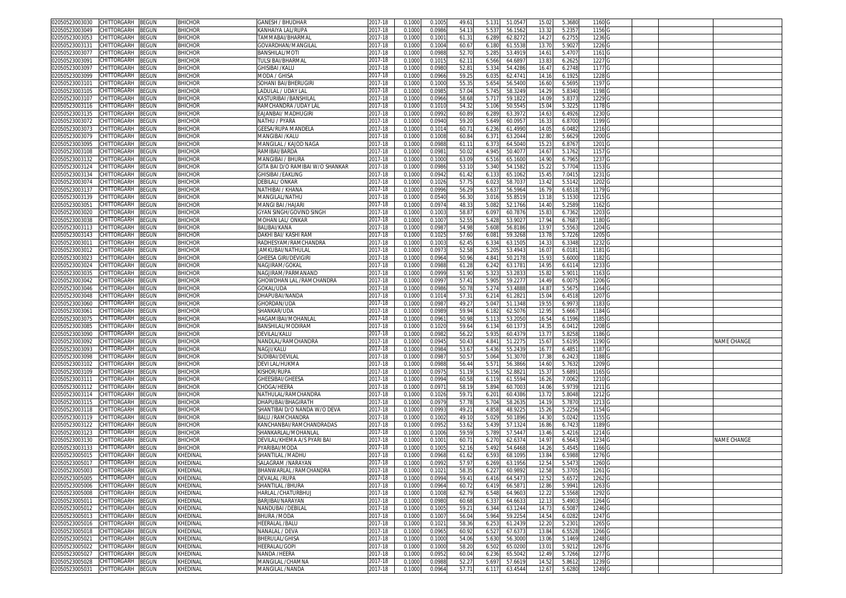| 02050523003030 | CHITTORGARH        | BEGUN        | <b>BHICHOR</b> | GANESH / BHUDHAR                 | 2017-18 | 0.1000 | 0.1005 | 49.6  | 5.131 | 51.054  | 15.02             | 5.3680 | 1160              |  |             |
|----------------|--------------------|--------------|----------------|----------------------------------|---------|--------|--------|-------|-------|---------|-------------------|--------|-------------------|--|-------------|
| 2050523003049  | CHITTORGARH        | <b>BEGUN</b> | <b>BHICHOR</b> | <b>(ANHAIYA LAL/RUPA</b>         | 2017-18 | 0.1000 | 0.098  | 54.1  | 5.53  | 56.156  | 13.32             | 5.2357 | 1156              |  |             |
| )2050523003053 | CHITTORGARH        | <b>EGUN</b>  | <b>BHICHOR</b> | TAMMABAI/BHARMAI                 | 2017-18 | 0.1000 | 0.100  | 61.3  | 6.28  | 62.827  | 14.2              | 6.2755 | 1236              |  |             |
| 02050523003131 | CHITTORGARH        | <b>BEGUN</b> | <b>BHICHOR</b> | GOVARDHAN/MANGILAI               | 2017-18 | 0.1000 | 0.100  | 60.6  | 6.180 | 61.553  | 13.70             | 5.9027 | 1226              |  |             |
|                | CHITTORGARH        |              |                |                                  |         |        |        |       |       |         |                   |        |                   |  |             |
| 02050523003077 |                    | <b>BEGUN</b> | <b>BHICHOR</b> | BANSHILAL/MOTI                   | 2017-18 | 0.100  | 0.098  | 52.7  | 5.28  | 53.491  | 14.61             | 5.4707 | 1161              |  |             |
| 2050523003091  | CHITTORGARH        | <b>BEGUN</b> | <b>BHICHOR</b> | <b><i>FULSI BAI/BHARMAL</i></b>  | 2017-18 | 0.1000 | 0.101  | 62.1  | 6.566 | 64.689  | 13.83             | 6.2625 | 1227              |  |             |
| 02050523003097 | CHITTORGARH        | <b>EGUN</b>  | <b>BHICHOR</b> | GHISIBAI /KALU                   | 2017-18 | 0.100  | 0.098  | 52.8  | 5.33  | 54.428  | 16.4              | 6.2748 | 1177              |  |             |
| 2050523003099  | CHITTORGARH        | <b>EGUN</b>  | <b>BHICHOR</b> | MODA / GHISA                     | 2017-18 | 0.1000 | 0.096  | 59.2  | 6.035 | 62.474  | 14.16             | 6.1925 | 1228              |  |             |
| 0205052300310  | CHITTORGARH        | <b>EGUN</b>  | <b>BHICHOR</b> | SOHANI BAI/BHERUGIRI             | 2017-18 | 0.100  | 0.100  | 55.3  | 5.65  | 56.540  | 16.6              | 6.5695 | 1197              |  |             |
| 2050523003105  | CHITTORGARH        | <b>BEGUN</b> | <b>BHICHOR</b> | LADULAL / UDAY LAI               | 2017-18 | 0.1000 | 0.098  | 57.0  | 5.745 | 58.324  | 14.2 <sup>0</sup> | 5.8340 | 1198              |  |             |
| 02050523003107 | CHITTORGARH        | <b>EGUN</b>  | <b>BHICHOR</b> | KASTURIBAI /BANSHILAI            | 2017-18 | 0.100  | 0.096  | 58.6  | 5.717 | 59.182  | 14.0              | 5.8373 | 1229              |  |             |
| 02050523003116 | CHITTORGARH        | <b>BEGUN</b> | <b>BHICHOR</b> | RAMCHANDRA /UDAY LAI             | 2017-18 | 0.100  | 0.101  | 54.3  | 5.106 | 50.554  | 15.04             | 5.3225 | 1178              |  |             |
|                |                    |              |                |                                  |         |        |        |       |       |         |                   |        |                   |  |             |
| 02050523003135 | CHITTORGARH        | <b>BEGUN</b> | <b>BHICHOR</b> | EAJANBAI/ MADHUGIRI              | 2017-18 | 0.100  | 0.099  | 60.8  | 6.28  | 63.397  | 14.63             | 6.4926 | 1230              |  |             |
| 02050523003072 | CHITTORGARH        | <b>BEGUN</b> | <b>BHICHOR</b> | VATHU / PYARA                    | 2017-18 | 0.100  | 0.094  | 59.2  | 5.649 | 60.095  | 16.33             | 6.8700 | 1199              |  |             |
| 02050523003073 | CHITTORGARH        | <b>BEGUN</b> | <b>BHICHOR</b> | GEESA/RUPA MANDELA               | 2017-18 | 0.100  | 0.101  | 60.7  | 6.236 | 61.499  | 14.0              | 6.0482 | 1216              |  |             |
| 02050523003079 | CHITTORGARH        | BEGUN        | <b>BHICHOR</b> | MANGIBAI /KALU                   | 2017-18 | 0.1000 | 0.1008 | 60.8  | 6.37  | 63.204  | 12.80             | 5.6629 | 1200              |  |             |
| 2050523003095  | <b>HITTORGARH</b>  | <b>BEGUN</b> | <b>BHICHOR</b> | MANGILAL / KAJOD NAGA            | 2017-18 | 0.100  | 0.098  | 61.1  | 6.37  | 64.504  | 15.2              | 6.8767 | 1201              |  |             |
| 02050523003108 | CHITTORGARH        | BEGUN        | <b>BHICHOR</b> | RAMIBAI/BARDA                    | 2017-18 | 0.1000 | 0.098  | 50.0  | 4.945 | 50.407  | 14.67             | 5.1762 | 1157              |  |             |
| 02050523003132 | CHITTORGARH        | BEGUN        | <b>BHICHOR</b> | MANGIBAI / BHURA                 | 2017-18 | 0.100  | 0.1000 | 63.0  | 6.516 | 65.160  | 14.90             | 6.7965 | 1237              |  |             |
| 02050523003124 | CHITTORGARH        |              | <b>BHICHOR</b> |                                  | 2017-18 |        |        | 53.1  |       |         | 15.22             | 5.7704 | 1153              |  |             |
|                |                    | BEGUN        |                | GITA BAI D/O RAMIBAI W/O SHANKAR |         | 0.100  | 0.0986 |       | 5.340 | 54.158  |                   |        |                   |  |             |
| 2050523003134  | CHITTORGARH        | BEGUN        | <b>BHICHOR</b> | GHISIBAI /EAKLING                | 2017-18 | 0.100  | 0.094  | 61.4  | 6.13  | 65.106  | 15.45             | 7.0415 | 1231              |  |             |
| 02050523003074 | CHITTORGARH        | <b>BEGUN</b> | <b>BHICHOR</b> | DEBILAL/ ONKAR                   | 2017-18 | 0.100  | 0.102  | 57.7  | 6.023 | 58.703  | 13.42             | 5.5142 | 1202              |  |             |
| 2050523003137  | CHITTORGARH        | BEGUN        | <b>BHICHOR</b> | NATHIBAI / KHANA                 | 2017-18 | 0.100  | 0.0996 | 56.2  | 5.637 | 56.596  | 16.79             | 6.6518 | 1179 <sub>G</sub> |  |             |
| )2050523003139 | CHITTORGARH        | BEGUN        | <b>BHICHOR</b> | MANGILAL/NATHU                   | 2017-18 | 0.100  | 0.054  | 56.3  | 3.01  | 55.851  | 13.18             | 5.1530 | 1215              |  |             |
| 2050523003051  | CHITTORGARH        | <b>BEGUN</b> | <b>BHICHOR</b> | VIANGI BAI /HAJARI               | 2017-18 | 0.100  | 0.097  | 48.3  | 5.082 | 52.1766 | 14.40             | 5.2589 | 1162              |  |             |
| 02050523003020 | CHITTORGARH        | <b>EGUN</b>  | <b>BHICHOR</b> | GYAN SINGH/GOVIND SINGH          | 2017-18 | 0.100  | 0.100  | 58.8  | 6.09  | 60.7876 | 15.83             | 6.7362 | 1203              |  |             |
| 2050523003038  | CHITTORGARH        | <b>BEGUN</b> | <b>BHICHOR</b> | MOHAN LAL/ ONKAR                 | 2017-18 | 0.1000 | 0.100  | 52.5  | 5.428 | 53.902  | 17.94             | 6.7687 | 1180              |  |             |
|                |                    |              |                |                                  |         |        |        |       |       |         |                   |        |                   |  |             |
| 02050523003113 | CHITTORGARH        | <b>BEGUN</b> | <b>BHICHOR</b> | BALIBAI/KANA                     | 2017-18 | 0.100  | 0.098  | 54.9  | 5.608 | 56.818  | 13.9              | 5.5563 | 1204              |  |             |
| 2050523003143  | CHITTORGARH        | <b>BEGUN</b> | <b>BHICHOR</b> | DAKHI BAI/ KASHI RAM             | 2017-18 | 0.100  | 0.102  | 57.6  | 6.08  | 59.326  | 13.78             | 5.7226 | 1205              |  |             |
| 02050523003011 | CHITTORGARH        | <b>BEGUN</b> | <b>BHICHOR</b> | RADHESYAM/RAMCHANDRA             | 2017-18 | 0.1000 | 0.100  | 62.4  | 6.33  | 63.150  | 14.33             | 6.3348 | 1232              |  |             |
| 02050523003012 | CHITTORGARH        | <b>BEGUN</b> | <b>BHICHOR</b> | JAMKUBAI/NATHULAI                | 2017-18 | 0.1000 | 0.097  | 52.5  | 5.205 | 53.494  | 16.07             | 6.018  | 1181              |  |             |
| 02050523003023 | CHITTORGARH        | ፡EGUN        | <b>BHICHOR</b> | GHEESA GIRI/DEVIGIR              | 2017-18 | 0.100  | 0.096  | 50.9  | 4.84  | 50.217  | 15.93             | 5.6000 | 1182              |  |             |
| 2050523003024  | CHITTORGARH        | ፡EGUN        | <b>BHICHOR</b> | <b>VAGJIRAM/GOKAI</b>            | 2017-18 | 0.1000 | 0.098  | 61.21 | 6.242 | 63.178  | 14.95             | 6.6114 | 1233              |  |             |
| 02050523003035 | CHITTORGARH        | ፡EGUN        | <b>BHICHOR</b> | NAGJIRAM/PARMANAND               | 2017-18 | 0.100  | 0.099  | 51.9  | 5.32  | 53.283  | 15.82             | 5.901  | 1163              |  |             |
|                |                    |              |                |                                  |         |        |        |       |       |         |                   |        |                   |  |             |
| 02050523003042 | CHITTORGARH        | <b>BEGUN</b> | <b>BHICHOR</b> | GHOWDHAN LAL /RAMCHANDRA         | 2017-18 | 0.1000 | 0.099  | 57.4  | 5.905 | 59.227  | 14.49             | 6.0075 | 1206              |  |             |
| 02050523003046 | CHITTORGARH        | <b>EGUN</b>  | <b>BHICHOR</b> | GOKAL/UDA                        | 2017-18 | 0.100  | 0.098  | 50.7  | 5.27  | 53.488  | 14.8              | 5.567  | 1164              |  |             |
| 02050523003048 | CHITTORGARH        | <b>BEGUN</b> | <b>BHICHOR</b> | DHAPUBAI/NANDA                   | 2017-18 | 0.100  | 0.101  | 57.3  | 6.214 | 61.282  | 15.04             | 6.4518 | 1207              |  |             |
| 02050523003060 | <b>HITTORGARH</b>  | <b>EGUN</b>  | <b>BHICHOR</b> | GHORDAN/UDA                      | 2017-18 | 0.100  | 0.098  | 49.2  | 5.047 | 51.134  | 19.5              | 6.9973 | 1183              |  |             |
| 02050523003061 | <b>CHITTORGARH</b> | <b>BEGUN</b> | <b>BHICHOR</b> | SHANKAR/UDA                      | 2017-18 | 0.100  | 0.098  | 59.9  | 6.182 | 62.507  | 12.95             | 5.666  | 1184              |  |             |
| 2050523003075  | CHITTORGARH        | BEGUN        | <b>BHICHOR</b> | HAGAMIBAI/MOHANLAL               | 2017-18 | 0.100  | 0.096  | 50.9  | 5.113 | 53.205  | 16.54             | 6.1596 | 1185              |  |             |
| 02050523003085 | <b>CHITTORGARH</b> | <b>BEGUN</b> | <b>BHICHOR</b> | BANSHILAL/MODIRAM                | 2017-18 | 0.100  | 0.1020 | 59.6  | 6.134 | 60.137  | 14.35             | 6.0412 | 1208              |  |             |
| 02050523003090 | <b>HITTORGARH</b>  | <b>BEGUN</b> | <b>BHICHOR</b> | DEVILAL/KALU                     | 2017-18 | 0.100  | 0.098  | 56.2  | 5.935 | 60.437  | 13.7              | 5.8258 | 1186              |  |             |
|                |                    |              |                |                                  |         |        |        |       |       |         |                   |        |                   |  |             |
| 02050523003092 | CHITTORGARH        | <b>BEGUN</b> | <b>BHICHOR</b> | NANDLAL/RAMCHANDRA               | 2017-18 | 0.100  | 0.094  | 50.4  | 4.841 | 51.227  | 15.6              | 5.6195 | 1190 <sub>G</sub> |  | NAME CHANGE |
| 2050523003093  | CHITTORGARH        | BEGUN        | <b>BHICHOR</b> | NAGJI/KALU                       | 2017-18 | 0.100  | 0.098  | 53.6  | 5.436 | 55.243  | 16.77             | 6.485  | 1187              |  |             |
| 02050523003098 | CHITTORGARH        | BEGUN        | <b>BHICHOR</b> | SUDIBAI/DEVILAL                  | 2017-18 | 0.100  | 0.098  | 50.5  | 5.064 | 51.307  | 17.38             | 6.2423 | 1188              |  |             |
| 2050523003102  | CHITTORGARH        | BEGUN        | <b>BHICHOR</b> | DEVI LAL/HUKMA                   | 2017-18 | 0.100  | 0.098  | 56.4  | 5.571 | 56.386  | 14.60             | 5.7632 | 1209              |  |             |
| )2050523003109 | CHITTORGARH        | <b>BEGUN</b> | <b>BHICHOR</b> | Kishor/Rupa                      | 2017-18 | 0.100  | 0.097  | 51.1  | 5.156 | 52.882  | 15.37             | 5.6891 | 1165              |  |             |
| 2050523003111  | CHITTORGARH        | <b>BEGUN</b> | <b>BHICHOR</b> | <b>GHEESIBAI/GHEESA</b>          | 2017-18 | 0.1000 | 0.099  | 60.5  | 6.119 | 61.559  | 16.26             | 7.0062 | 1210              |  |             |
| 02050523003112 | CHITTORGARH        | <b>EGUN</b>  | <b>BHICHOR</b> | CHOGA/HEERA                      | 2017-18 | 0.100  | 0.097  | 58.1  | 5.89  | 60.700  | 14.06             | 5.9739 | 1211              |  |             |
|                |                    |              |                |                                  |         |        |        |       |       |         |                   |        |                   |  |             |
| 2050523003114  | CHITTORGARH        | <b>BEGUN</b> | <b>BHICHOR</b> | NATHULAL/RAMCHANDRA              | 2017-18 | 0.100  | 0.1026 | 59.7  | 6.201 | 60.438  | 13.72             | 5.8048 | 1212              |  |             |
| 02050523003115 | CHITTORGARH        | BEGUN        | <b>BHICHOR</b> | DHAPUBAI/BHAGIRATH               | 2017-18 | 0.100  | 0.097  | 57.7  | 5.70  | 58.263  | 14.19             | 5.787  | 1213              |  |             |
| 2050523003118  | CHITTORGARH        | <b>BEGUN</b> | <b>BHICHOR</b> | SHANTIBAI D/O NANDA W/O DEVA     | 2017-18 | 0.100  | 0.099  | 49.2  | 4.85  | 48.922  | 15.26             | 5.2256 | 1154              |  |             |
| 02050523003119 | CHITTORGARH        | <b>EGUN</b>  | <b>BHICHOR</b> | <b>BALU /RAMCHANDRA</b>          | 2017-18 | 0.100  | 0.100  | 49.1  | 5.02  | 50.189  | 14.3              | 5.0242 | 1155              |  |             |
| 02050523003122 | CHITTORGARH        | BEGUN        | <b>BHICHOR</b> | KANCHANBAI/RAMCHANDRADAS         | 2017-18 | 0.1000 | 0.095  | 53.6  | 5.439 | 57.132  | 16.86             | 6.7423 | 1189              |  |             |
| 02050523003123 | CHITTORGARH        | <b>BEGUN</b> | <b>BHICHOR</b> | SHANKARLAL/MOHANLAI              | 2017-18 | 0.100  | 0.100  | 59.5  | 5.78  | 57.544  | 13.46             | 5.4216 | 1214              |  |             |
| 2050523003130  | CHITTORGARH        | <b>EGUN</b>  | <b>BHICHOR</b> | DEVILAL/KHEMA A/S PYARI BAI      | 2017-18 | 0.1000 | 0.100  | 60.7  | 6.27  | 62.637  | 14.97             | 6.5643 | 1234              |  | NAME CHANGE |
| 02050523003133 | <b>CHITTORGARH</b> | EGUN         | <b>BHICHOR</b> | PYARIBAI/MODA                    | 2017-18 | 0.100  | 0.100  | 52.1  | 5.492 | 54.646  | 14.2              | 5.4545 | 1166              |  |             |
| 2050523005015  |                    |              |                | SHANTILAL /MADHL                 | 2017-18 | 0.1000 | 0.096  |       |       |         | 13.84             |        |                   |  |             |
|                | CHITTORGARH        | <b>EGUN</b>  | KHEDINAI       |                                  |         |        |        | 61.6  | 6.593 | 68.109  |                   | 6.5988 | 1276              |  |             |
| 02050523005017 | CHITTORGARH        | BEGUN        | KHEDINAI       | SALAGRAM /NARAYAN                | 2017-18 | 0.100  | 0.099  | 57.9  | 6.269 | 63.1956 | 12.54             | 5.547  | 1260              |  |             |
| 02050523005003 | CHILIORGARH BEGUN  |              | KHEDINAL       | BHANWARLAL /RAMCHANDRA           | 2017-18 | 0.1000 | 0.1021 | 58.3  | 6.227 | 60.9892 | 12.58             | 5.3705 | 1261              |  |             |
| 02050523005005 | CHITTORGARH        | <b>BEGUN</b> | KHEDINAL       | DEVALAL /RUPA                    | 2017-18 | 0.1000 | 0.0994 | 59.41 | 6.416 | 64.5473 | 12.52             | 5.6572 | 1262              |  |             |
| 02050523005006 | CHITTORGARH        | BEGUN        | KHEDINAL       | SHANTILAL /BHURA                 | 2017-18 | 0.1000 | 0.0964 | 60.7  | 6.419 | 66.587  | 12.86             | 5.9941 | 1263 <sub>G</sub> |  |             |
| 02050523005008 | CHITTORGARH        | BEGUN        | KHEDINAL       | HARLAL / CHATURBHUJ              | 2017-18 | 0.1000 | 0.100  | 62.7  | 6.548 | 64.960  | 12.22             | 5.5568 | 1292              |  |             |
| 02050523005011 | CHITTORGARH        | BEGUN        | KHEDINAL       | BARJIBAI/NARAYAN                 | 2017-18 | 0.1000 | 0.0980 | 60.68 | 6.337 | 64.663  | 12.13             | 5.4903 | 1264              |  |             |
| 02050523005012 | CHITTORGARH        | BEGUN        | KHEDINAL       | NANDUBAI /DEBILAL                | 2017-18 | 0.1000 | 0.1005 | 59.2  | 6.344 | 63.124  | 14.73             | 6.5087 | 1246 G            |  |             |
|                |                    |              |                |                                  | 2017-18 |        |        |       |       |         |                   |        | 1247 G            |  |             |
| 02050523005013 | CHITTORGARH        | BEGUN        | KHEDINAL       | BHURA /MODA                      |         | 0.1000 | 0.100  | 56.04 | 5.964 | 59.2254 | 14.54             | 6.0282 |                   |  |             |
| 2050523005016  | CHITTORGARH        | BEGUN        | KHEDINAL       | HEERALAL /BALU                   | 2017-18 | 0.1000 | 0.102  | 58.3  | 6.253 | 61.243  | 12.20             | 5.2301 | 1265 G            |  |             |
| 02050523005018 | CHITTORGARH        | BEGUN        | KHEDINAL       | NANALAL / DEVA                   | 2017-18 | 0.1000 | 0.0965 | 60.9  | 6.527 | 67.637  | 13.84             | 6.5528 | 1266 G            |  |             |
| 02050523005021 | CHITTORGARH        | BEGUN        | KHEDINAL       | BHERULAL/GHISA                   | 2017-18 | 0.1000 | 0.1000 | 54.06 | 5.630 | 56.3000 | 13.06             | 5.1469 | 1248 G            |  |             |
| 02050523005022 | CHITTORGARH        | BEGUN        | KHEDINAL       | HEERALAL/GOPI                    | 2017-18 | 0.1000 | 0.1000 | 58.2  | 6.502 | 65.0200 | 13.01             | 5.9212 | 1267 G            |  |             |
| 2050523005027  | CHITTORGARH        | BEGUN        | KHEDINAL       | NANDA /HEERA                     | 2017-18 | 0.1000 | 0.095  | 60.0  | 6.236 | 65.504  | 12.49             | 5.7266 | 1277 G            |  |             |
| 02050523005028 | CHITTORGARH        | BEGUN        | KHEDINAL       | MANGILAL / CHAMNA                | 2017-18 | 0.1000 | 0.098  | 52.2  | 5.697 | 57.661  | 14.52             | 5.8612 | 1239 G            |  |             |
|                |                    |              |                |                                  |         |        |        |       |       |         |                   |        |                   |  |             |
| 02050523005031 | CHITTORGARH        | BEGUN        | KHEDINAL       | MANGILAL /NANDA                  | 2017-18 | 0.1000 | 0.0964 | 57.71 | 6.117 | 63.4544 | 12.67             | 5.6280 | 1249 G            |  |             |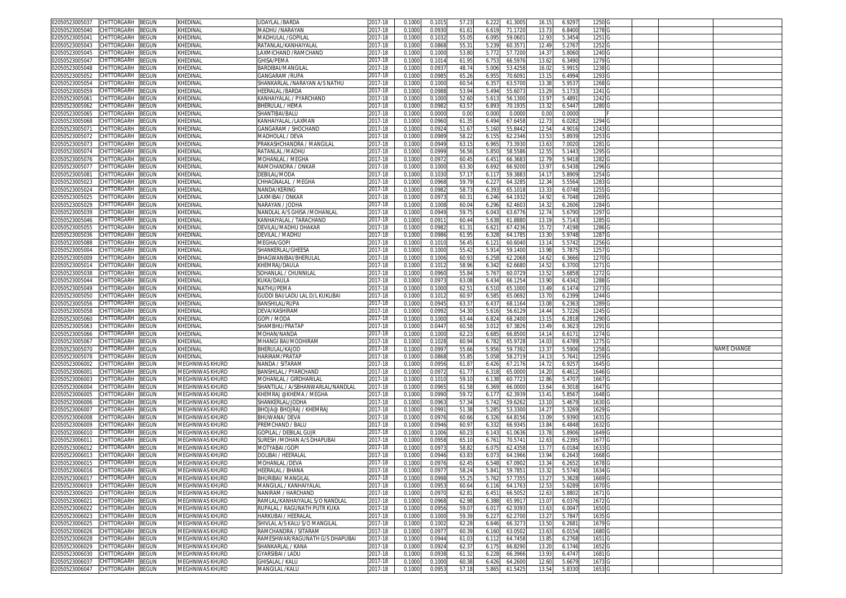| 02050523005037<br>CHITTORGARH<br>BEGUN                                     | KHEDINAL                           | <b>UDAYLAL /BARDA</b>              | 2017-18            | 0.1000           | 0.101            | 57.23          | 61.300<br>6.222                      | 16.1           | 6.9297           | 1250              |  |             |
|----------------------------------------------------------------------------|------------------------------------|------------------------------------|--------------------|------------------|------------------|----------------|--------------------------------------|----------------|------------------|-------------------|--|-------------|
| 02050523005040<br>CHITTORGARH<br>BEGUN                                     | KHEDINAL                           | MADHU /NARAYAN                     | 2017-18            | 0.1000           | 0.093            | 61.6           | 6.619<br>71.1720                     | 13.73          | 6.8400           | 1278              |  |             |
| CHITTORGARH<br>02050523005041<br>3EGUN                                     | KHEDINAL                           | MADHULAL / GOPILA                  | 2017-18            | 0.1000           | 0.103            | 55.0           | 6.095<br>59.060                      | 12.9           | 5.3454           | 1251 G            |  |             |
| 02050523005043                                                             |                                    | RATANLAL/KANHAIYALAL               |                    |                  |                  |                |                                      |                |                  |                   |  |             |
| CHITTORGARH<br>BEGUN                                                       | KHEDINAL                           |                                    | 2017-18            | 0.1000           | 0.0868           | 55.3           | 5.239<br>60.357                      | 12.49          | 5.2767           | 1252              |  |             |
| 02050523005045<br>CHITTORGARH<br>BEGUN                                     | KHEDINAL                           | LAXMICHAND /RAMCHAND               | 2017-18            | 0.100            | 0.100            | 53.80          | 5.772<br>57.720                      | 14.37          | 5.8060           | 1240              |  |             |
| 02050523005047<br>CHITTORGARH<br>BEGUN                                     | KHEDINAL                           | <b>GHISA/PEMA</b>                  | 2017-18            | 0.100            | 0.1014           | 61.9           | 6.75<br>66.597                       | 13.62          | 6.3490           | 1279 G            |  |             |
| CHITTORGARH<br>02050523005048<br>3EGUN                                     | KHEDINAL                           | BARDIBAI/MANGILAL                  | 2017-18            | 0.100            | 0.093            | 48.7           | 5.006<br>53.425                      | 16.0           | 5.991            | 1238              |  |             |
| CHITTORGARH<br>02050523005052<br>3EGUN                                     | KHEDINAL                           | <b>GANGARAM /RUPA</b>              | 2017-18            | 0.100            | 0.098            | 65.26          | 6.955<br>70.609                      | 13.1!          | 6.4994           | 1293              |  |             |
| 02050523005054<br>CHITTORGARH<br>BEGUN                                     | KHEDINAL                           | SHANKARLAL /NARAYAN A/S NATHU      | 017-18             | 0.100            | 0.100            | 60.5           | 6.35<br>63.570                       | 13.3           | 5.953            | 12680             |  |             |
| 02050523005059                                                             | KHEDINAL                           | HEERALAL /BARDA                    |                    |                  |                  |                |                                      |                |                  |                   |  |             |
| CHITTORGARH<br>BEGUN                                                       |                                    |                                    | 017-18             | 0.1000           | 0.098            | 53.94          | 5.494<br>55.607                      | 13.29          | 5.1733           | 1241 G            |  |             |
| 02050523005061<br>CHITTORGARH<br>3EGUN                                     | KHEDINAL                           | KANHAIYALAL / PYARCHAND            | 2017-18            | 0.100            | 0.100            | 52.60          | 5.61<br>56.130                       | 13.9           | 5.4891           | 1242              |  |             |
| 02050523005062<br><b>CHITTORGARH</b><br>BEGUN                              | KHEDINAL                           | <b>BHERULAL / HEMA</b>             | 017-18             | 0.100            | 0.098            | 63.5           | 6.89<br>70.193                       | 13.3           | 6.5447           | 1280              |  |             |
| CHITTORGARH<br>02050523005065<br>BEGUN                                     | KHEDINAL                           | <b>HANTIBAI/BALU</b>               | 2017-18            | 0.100            | 0.000            | 0.00           | 0.00<br>0.000                        | 0.0            | 0.0000           |                   |  |             |
| CHITTORGARH<br>02050523005068<br>BEGUN                                     | KHEDINAL                           | KANHAIYALAL /LAXMAN                | 2017-18            | 0.1000           | 0.0960           | 61.3           | 6.494<br>67.645                      | 12.7           | 6.0282           | 1294              |  |             |
| 02050523005071<br>CHITTORGARH<br>3EGUN                                     | KHEDINAL                           | GANGARAM / SHOCHAND                | 017-18             | 0.100            | 0.092            | 51.6           | 55.844<br>5.160                      | 12.5           | 4.9016           | 1243              |  |             |
| CHITTORGARH                                                                |                                    |                                    |                    |                  |                  |                |                                      |                |                  |                   |  |             |
| 02050523005072<br>BEGUN                                                    | KHEDINAL                           | MADHOLAL / DEVA                    | 2017-18            | 0.1000           | 0.0989           | 58.2           | 62.2346<br>6.155                     | 13.53          | 5.8939           | 1253              |  |             |
| 02050523005073<br>CHITTORGARH<br>3EGUN                                     | KHEDINAL                           | PRAKASHCHANDRA / MANGILAL          | 017-18             | 0.100            | 0.094            | 63.1           | 6.96<br>73.393                       | 13.6           | 7.0020           | 1281              |  |             |
| 02050523005074<br>CHITTORGARH<br>BEGUN                                     | KHEDINAL                           | RATANLAL /MADHU                    | 2017-18            | 0.1000           | 0.0999           | 56.56          | 5.850<br>58.5586                     | 12.55          | 5.1443           | 1295 G            |  |             |
| BEGUN<br>02050523005076<br>CHITTORGARH                                     | KHEDINAL                           | MOHANLAL / MEGHA                   | 2017-18            | 0.1000           | 0.097            | 60.4           | 66.368<br>6.451                      | 12.79          | 5.9418           | 1282 G            |  |             |
| 02050523005077<br>CHITTORGARH<br>BEGUN                                     | KHEDINAL                           | RAMCHANDRA / ONKAR                 | 2017-18            | 0.1000           | 0.100            | 63.30          | 6.692<br>66.920                      | 13.97          | 6.5438           | 1296 G            |  |             |
| CHITTORGARH<br>BEGUN<br>02050523005081                                     | KHEDINAL                           | DEBILAL/MODA                       | 2017-18            | 0.1000           | 0.103            | 57.1           | 6.117<br>59.388                      | 14.1           | 5.8909           | 1254 G            |  |             |
|                                                                            |                                    |                                    |                    |                  |                  |                |                                      |                |                  |                   |  |             |
| 02050523005023<br>CHITTORGARH<br>BEGUN                                     | KHEDINAL                           | CHHAGNALAL / MEGHA                 | 2017-18            | 0.1000           | 0.096            | 59.7           | 6.22<br>64.328                       | 12.34          | 5.5564           | 1283 G            |  |             |
| CHITTORGARH<br>BEGUN<br>02050523005024                                     | KHEDINAL                           | NANDA/KERING                       | 017-18             | 0.1000           | 0.098            | 58.7           | 6.393<br>65.1018                     | 13.3           | 6.0748           | 1255 G            |  |             |
| BEGUN<br>02050523005025<br>CHITTORGARH                                     | KHEDINAL                           | LAXMIBAI / ONKAR                   | 2017-18            | 0.1000           | 0.097            | 60.3           | 6.246<br>64.193.                     | 14.92          | 6.7048           | 1269 <sub>G</sub> |  |             |
| 02050523005029<br>CHITTORGARH<br>BEGUN                                     | KHEDINAL                           | NARAYAN / JODHA                    | 2017-18            | 0.1000           | 0.1008           | 60.04          | 6.296<br>62.460                      | 14.3           | 6.2606           | 1284              |  |             |
| 02050523005039<br>CHITTORGARH<br>3EGUN                                     | KHEDINAL                           | NANDLAL A/S GHISA /MOHANLAL        | 2017-18            | 0.100            | 0.0949           | 59.7           | 6.043<br>63.6776                     | 12.74          | 5.6790           | 1297              |  |             |
| 02050523005046<br>CHITTORGARH<br>BEGUN                                     | KHEDINAL                           | KANHAIYALAL / TARACHAND            | 017-18             | 0.1000           | 0.091            | 60.44          | 5.638<br>61.888                      | 13.1           | 5.7143           | 1285              |  |             |
| 02050523005055<br>CHITTORGARH<br>BEGUN                                     | KHEDINAL                           | DEVILAL/MADHU DHAKAR               |                    | 0.100            | 0.098            | 61.3           | 67.423                               |                | 7.4198           |                   |  |             |
|                                                                            |                                    |                                    | 2017-18            |                  |                  |                | 6.62                                 | 15.7           |                  | 1286 G            |  |             |
| 02050523005036<br>CHITTORGARH<br>BEGUN                                     | KHEDINAL                           | DEVILAL / MADHU                    | 2017-18            | 0.1000           | 0.0986           | 61.9           | 64.178<br>6.32                       | 13.3           | 5.9748           | 1287              |  |             |
| 02050523005088<br>CHITTORGARH<br>3EGUN                                     | KHEDINAL                           | MEGHA/GOPI                         | 2017-18            | 0.100            | 0.101            | 56.4           | 6.121<br>60.604                      | 13.14          | 5.5742           | 1256 <sub>G</sub> |  |             |
| CHITTORGARH<br>02050523005004<br>BEGUN                                     | KHEDINAL                           | SHANKERLAL/GHEESA                  | 2017-18            | 0.1000           | 0.1000           | 55.42          | 5.914<br>59.140                      | 13.98          | 5.7875           | 1257 <sub>G</sub> |  |             |
| 02050523005009<br>CHITTORGARH<br>3EGUN                                     | KHEDINAL                           | BHAGWANIBAI/BHERULAI               | 017-18             | 0.100            | 0.100            | 60.9           | 6.25<br>62.206                       | 14.6           | 6.3666           | 12700             |  |             |
| 02050523005014<br>CHITTORGARH<br>BEGUN                                     | KHEDINAL                           | KHEMRAJ/DAULA                      | 017-18             | 0.100            | 0.101            | 58.96          | 6.34<br>62.668                       | 14.52          | 6.3700           | 1271 G            |  |             |
|                                                                            |                                    |                                    |                    |                  |                  |                |                                      |                |                  |                   |  |             |
| 02050523005038<br>CHITTORGARH<br>BEGUN                                     | KHEDINAL                           | SOHANLAL / CHUNNILAI               | 2017-18            | 0.100            | 0.096            | 55.8           | 5.767<br>60.072                      | 13.5           | 5.6858           | 1272 G            |  |             |
| 02050523005044<br>CHITTORGARH<br>BEGUN                                     | KHEDINAL                           | KUKA/DAULA                         | 2017-18            | 0.1000           | 0.097            | 63.08          | 6.434<br>66.125                      | 13.90          | 6.4342           | 1288              |  |             |
| 02050523005049<br>CHITTORGARH<br>3EGUN                                     | KHEDINAL                           | NATHU/PEMA                         | 2017-18            | 0.100            | 0.100            | 62.5           | 6.51<br>65.100                       | 13.49          | 6.147            | 1273              |  |             |
| CHITTORGARH<br>02050523005050<br>BEGUN                                     | KHEDINAL                           | GUDDI BAI/LADU LAL D/L KUKLIBAI    | 2017-18            | 0.1000           | 0.101            | 60.9           | 6.58<br>65.069                       | 13.7           | 6.2399           | 1244              |  |             |
| 02050523005056<br>CHITTORGARH<br>3EGUN                                     | KHEDINAL                           | BANSHILAL/RUPA                     | 017-18             | 0.100            | 0.094            | 63.3           | 6.43<br>68.116                       | 13.0           | 6.2363           | 1289              |  |             |
| CHITTORGARH<br>BEGUN<br>02050523005058                                     | KHEDINAL                           | DEVA/KASHIRAM                      | 2017-18            | 0.100            | 0.099            | 54.30          | 5.616<br>56.612                      | 14.44          | 5.7226           | 1245              |  |             |
|                                                                            |                                    |                                    |                    |                  |                  |                |                                      |                |                  |                   |  |             |
| CHITTORGARH<br>BEGUN<br>02050523005060                                     | KHEDINAL                           | GOPI / MODA                        | 2017-18            | 0.100            | 0.100            | 63.44          | 6.82<br>68.240                       | 13.1           | 6.2818           | 1290              |  |             |
| CHITTORGARH<br>02050523005063<br>BEGUN                                     | KHEDINAL                           | SHAMBHU/PRATAP                     | 2017-18            | 0.1000           | 0.0447           | 60.58          | 3.01<br>67.382                       | 13.49          | 6.3623           | 1291              |  |             |
| 02050523005066<br>CHITTORGARH<br>BEGUN                                     | KHEDINAL                           | <b>MOHAN/NANDA</b>                 | 017-18             | 0.100            | 0.100            | 62.2           | 6.685<br>66.850                      | 14.1           | 6.617            | 1274 0            |  |             |
| CHITTORGARH<br>BEGUN<br>02050523005067                                     | KHEDINAL                           | MHANGI BAI/MODHIRAM                | 2017-18            | 0.1000           | 0.102            | 60.94          | 6.782<br>65.972                      | 14.0           | 6.4789           | 1275 G            |  |             |
|                                                                            |                                    |                                    |                    |                  |                  | 55.66          |                                      |                |                  | 1258 G            |  |             |
|                                                                            |                                    |                                    |                    |                  |                  |                |                                      |                |                  |                   |  |             |
| CHITTORGARH<br>BEGUN<br>02050523005070                                     | KHEDINAL                           | BHERULAL/KAJOD                     | 2017-18            | 0.1000           | 0.099            |                | 5.956<br>59.7392                     | 13.3           | 5.5906           |                   |  | NAME CHANGE |
| CHITTORGARH<br>BEGUN<br>02050523005078                                     | KHEDINAL                           | HARIRAM/PRATAF                     | 2017-18            | 0.1000           | 0.086            | 55.8           | 58.2719<br>5.058                     | 14.1           | 5.7641           | 1259 G            |  |             |
| BEGUN<br>02050523006002<br>CHITTORGARH                                     | MEGHNIWAS KHURD                    | NANDA / SITARAM                    | 2017-18            | 0.1000           | 0.0956           | 61.8           | 6.426<br>67.2176                     | 14.7           | 6.9257           | 1645 G            |  |             |
| BEGUN<br>02050523006001<br>CHITTORGARH                                     | MEGHNIWAS KHURD                    | BANSHILAL / PYARCHAND              | 2017-18            | 0.1000           | 0.097            | 61.7           | 6.318<br>65.000                      | 14.20          | 6.4612           | 1646 G            |  |             |
| 02050523006003<br>CHITTORGARH<br>BEGUN                                     | MEGHNIWAS KHURD                    | MOHANLAL / GIRDHARILAL             | 2017-18            | 0.100            | 0.101            | 59.1           | 6.138<br>60.772                      | 12.86          | 5.4707           | 1667 <sub>G</sub> |  |             |
| 02050523006004<br>CHITTORGARH<br>3EGUN                                     | MEGHNIWAS KHURD                    | SHANTILAL / A/SBHANWARLAL/NANDLAL  | 2017-18            | 0.1000           | 0.096            | 61.58          | 6.369<br>66.000                      | 13.64          | 6.301            | 1647 G            |  |             |
|                                                                            |                                    |                                    |                    |                  |                  |                |                                      |                |                  |                   |  |             |
| 02050523006005<br>CHITTORGARH<br>BEGUN                                     | MEGHNIWAS KHURD                    | KHEMRAJ @KHEMA / MEGHA             | 2017-18            | 0.1000           | 0.099            | 59.7           | 62.393<br>6.177                      | 13.41          | 5.8567           | 1648              |  |             |
| 02050523006006<br>CHITTORGARH<br>BEGUN                                     | MEGHNIWAS KHURD                    | SHANKERLAL/JODHA                   | 2017-18            | 0.100            | 0.096            | 57.34          | 5.742<br>59.626                      | 13.1           | 5.467            | 1630              |  |             |
| 02050523006007<br>CHITTORGARH<br>BEGUN                                     | MEGHNIWAS KHURD                    | BHOJA@ BHOJRAJ / KHEMRAJ           | 2017-18            | 0.100            | 0.099            | 51.38          | 5.28<br>53.330                       | 14.27          | 5.3269           | 1629              |  |             |
| 02050523006008<br>CHITTORGARH<br>3EGUN                                     | MEGHNIWAS KHURD                    | BHUWANA/DEVA                       | 2017-18            | 0.100            | 0.097            | 60.66          | 6.326<br>64.815                      | 13.0           | 5.9390           | 1631 <sub>G</sub> |  |             |
| CHITTORGARH<br>02050523006009<br>BEGUN                                     | <b>MEGHNIWAS KHURD</b>             | PREMCHAND / BALU                   | 2017-18            | 0.1000           | 0.0946           | 60.97          | 6.332<br>66.934                      | 13.84          | 6.4848           | 1632 G            |  |             |
| CHITTORGARH<br>02050523006010<br>BEGUN                                     | MEGHNIWAS KHURD                    | GOPILAL / DEBILAL GUJR             | 2017-18            | 0.100            | 0.1006           | 60.2           | 6.14<br>61.063                       | 13.7           | 5.8906           | 1649 <sub>G</sub> |  |             |
| 02050523006011<br>CHITTORGARH                                              | MEGHNIWAS KHURD                    | SURESH /MOHAN A/S DHAPUBAI         | 017-18             | 0.1000           | 0.095            |                |                                      |                |                  |                   |  |             |
| BEGUN                                                                      |                                    |                                    |                    |                  |                  | 65.1           | 70.574<br>6.761                      | 12.63          | 6.2395           | 1677 0            |  |             |
| 0205052300601<br><b>CHITTORGARH</b><br>BEGUN                               | MEGHNIWAS KHURD                    | MOTYABAI /GOPI                     | 017-18             | 0.100            | 0.097            | 58.8           | 6.07<br>62.435                       | 13.7           | 6.018            | 1633              |  |             |
| 02050523006013<br>CHITTORGARH<br>BEGUN                                     | MEGHNIWAS KHURD                    | DOLIBAI / HEERALAI                 | 017-18             | 0.100            | 0.0946           | 63.8           | 64.1966<br>6.07                      | 13.94          | 6.264            | 1668 <sub>C</sub> |  |             |
| 02050523006015<br>CHITTORGARH<br>BEGUN                                     | MEGHNIWAS KHURD                    | MOHANLAL /DEVA                     | 2017-18            | 0.1000           | 0.097            | 62.4           | 6.548<br>67.090                      | 13.3           | 6.265            | 1678 <sub>G</sub> |  |             |
| 02050523006016 CHILLORGARH BEGUN                                           | MEGHNIWAS KHURD                    | HEERALAL / BHANA                   | 2017-18            | 0.1000           | 0.0977           | 58.24          | 5.841<br>59.785                      | 13.32          | 5.5740           | 1634 G            |  |             |
| 02050523006017<br>CHITTORGARH<br><b>BEGUN</b>                              | MEGHNIWAS KHURD                    | <b>BHURIBAI/ MANGILAL</b>          | 2017-18            | 0.1000           | 0.0998           | 55.25          | 57.7355<br>5.762                     | 13.27          | 5.3628           | 1669 G            |  |             |
| 02050523006019<br>CHITTORGARH<br>BEGUN                                     | MEGHNIWAS KHURD                    | MANGILAL / KANHAIYALAL             | 2017-18            | 0.1000           | 0.0953           | 60.64          | 6.116<br>64.176                      | 12.53          | 5.6289           | 1670 G            |  |             |
|                                                                            |                                    |                                    |                    |                  |                  |                |                                      |                |                  |                   |  |             |
| CHITTORGARH<br>BEGUN<br>02050523006020                                     | MEGHNIWAS KHURD                    | NANIRAM / HARCHAND                 | 2017-18            | 0.1000           | 0.097            | 62.8           | 6.45'<br>66.505                      | 12.63          | 5.8802           | 1671 G            |  |             |
| 02050523006021<br>CHITTORGARH<br>BEGUN                                     | MEGHNIWAS KHURD                    | RAMLAL/KANHAIYALAL S/O NANDLAL     | 2017-18            | 0.1000           | 0.0968           | 62.98          | 6.388<br>65.991                      | 13.07          | 6.0376           | 1672 G            |  |             |
| BEGUN<br>02050523006022<br>CHITTORGARH                                     | MEGHNIWAS KHURD                    | RUPALAL / RAGUNATH PUTR KUKA       | 2017-18            | 0.1000           | 0.0956           | 59.0           | 6.01<br>62.939                       | 13.63          | 6.0047           | 1650 G            |  |             |
| 02050523006023<br>CHITTORGARH<br>BEGUN                                     | MEGHNIWAS KHURD                    | HARKUBAI / HEERALAL                | 2017-18            | 0.1000           | 0.1000           | 59.39          | 6.227<br>62.2700                     | 13.27          | 5.7847           | 1635 G            |  |             |
| CHITTORGARH<br>02050523006025<br>BEGUN                                     | MEGHNIWAS KHURD                    | SHIVLAL A/S KALU S/O MANGILAL      | 2017-18            | 0.1000           | 0.1002           | 62.28          | 6.646<br>66.327                      | 13.50          | 6.2681           | 1679 G            |  |             |
| 02050523006026<br>CHITTORGARH<br>BEGUN                                     | MEGHNIWAS KHURD                    | RAMCHANDRA / SITARAM               |                    |                  | 0.097            | 60.39          | 63.0502                              | 13.63          | 6.0154           | 1680 G            |  |             |
|                                                                            |                                    |                                    | 2017-18            | 0.1000           |                  |                | 6.160                                |                |                  |                   |  |             |
| <b>BEGUN</b><br>02050523006028<br>CHITTORGARH                              | MEGHNIWAS KHURD                    | RAMESHWAR/RAGUNATH G/S DHAPUBAI    | 2017-18            | 0.1000           | 0.0944           | 61.03          | 6.112<br>64.7458                     | 13.85          | 6.2768           | 1651 G            |  |             |
| 02050523006029<br>CHITTORGARH<br>BEGUN                                     | MEGHNIWAS KHURD                    | SHANKARLAL / KANA                  | 2017-18            | 0.1000           | 0.0924           | 62.37          | 6.175<br>66.8290                     | 13.20          | 6.1746           | 1652 G            |  |             |
| 02050523006030<br>CHITTORGARH<br>BEGUN                                     | MEGHNIWAS KHURD                    | GYARSIBAI / LADU                   | 2017-18            | 0.1000           | 0.0938           | 61.32          | 6.228<br>66.3966                     | 13.93          | 6.4747           | 1681 G            |  |             |
| CHITTORGARH<br>02050523006037<br>BEGUN<br>02050523006047 CHITTORGARH BEGUN | MEGHNIWAS KHURD<br>MEGHNIWAS KHURD | GHISALAL / KALU<br>MANGILAL / KALU | 2017-18<br>2017-18 | 0.1000<br>0.1000 | 0.1000<br>0.0953 | 60.38<br>57.18 | 6.426<br>64.2600<br>5.865<br>61.5425 | 12.60<br>13.54 | 5.6679<br>5.8330 | 1673 G<br>1653 G  |  |             |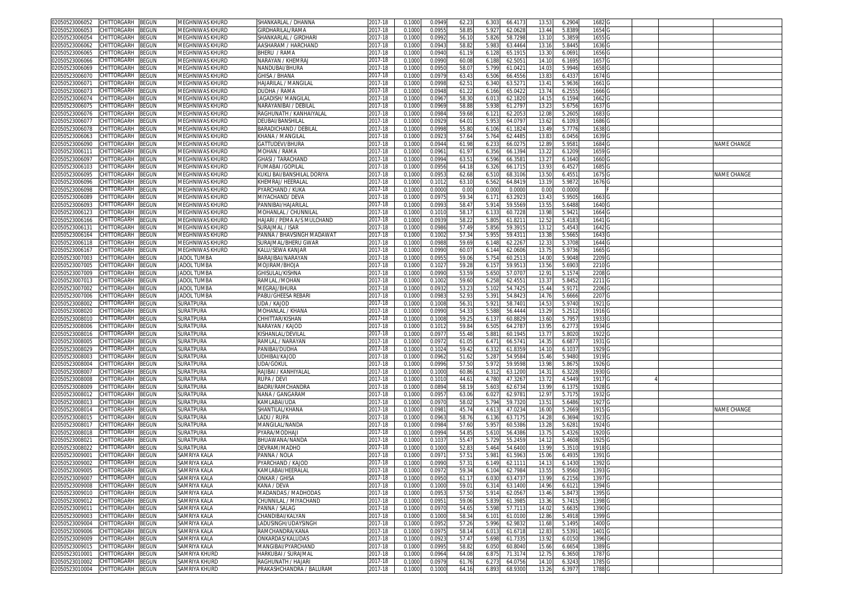| 02050523006052                   | CHITTORGARH        | BEGUN        | <b>MEGHNIWAS KHURD</b> | SHANKARLAL / DHANNA        | 2017-18     | 0.1000 | 0.0949 | 62.23          | 6.303 | 66.4173 | 13.53 | 6.2904 | 1682              |  |                    |
|----------------------------------|--------------------|--------------|------------------------|----------------------------|-------------|--------|--------|----------------|-------|---------|-------|--------|-------------------|--|--------------------|
| 2050523006053                    | CHITTORGARH        | <b>BEGUN</b> | MEGHNIWAS KHURD        | <b>GIRDHARILAL/RAMA</b>    | 2017-18     | 0.1000 | 0.095  | 58.8           | 5.92  | 62.062  | 13.44 | 5.8389 | 1654              |  |                    |
| 02050523006054                   | CHITTORGARH        | <b>EGUN</b>  | MEGHNIWAS KHURD        | SHANKARLAL / GIRDHARI      | 2017-18     | 0.1000 | 0.099  | 56.1           | 5.826 | 58.729  | 13.10 | 5.3859 | 1655              |  |                    |
|                                  |                    |              |                        |                            |             |        |        |                |       |         |       |        |                   |  |                    |
| 2050523006062                    | CHITTORGARH        | <b>BEGUN</b> | MEGHNIWAS KHURD        | AASHARAM / HARCHAND        | 2017-18     | 0.1000 | 0.094  | 58.8           | 5.983 | 63.4464 | 13.16 | 5.8445 | 1636              |  |                    |
| 02050523006065                   | CHITTORGARH        | <b>BEGUN</b> | MEGHNIWAS KHURD        | BHERU / RAMA               | 2017-18     | 0.100  | 0.094  | 61.1           | 6.12  | 65.191  | 13.3  | 6.0691 | 1656              |  |                    |
| 2050523006066                    | CHITTORGARH        | <b>BEGUN</b> | MEGHNIWAS KHURD        | NARAYAN / KHEMRAJ          | 2017-18     | 0.100  | 0.099  | 60.0           | 6.188 | 62.505  | 14.10 | 6.1695 | 1657              |  |                    |
| 02050523006069                   | CHITTORGARH        | EGUN         | MEGHNIWAS KHURD        | NANDUBAI/BHURA             | $2017 - 18$ | 0.100  | 0.095  | 58.0           | 5.799 | 61.042  | 14.03 | 5.9946 | 1658              |  |                    |
| 2050523006070                    | CHITTORGARH        | <b>EGUN</b>  | MEGHNIWAS KHURD        | GHISA / BHANA              | 2017-18     | 0.1000 | 0.097  | 63.4           | 6.506 | 66.455  | 13.83 | 6.4337 | 1674              |  |                    |
|                                  |                    |              |                        |                            |             |        |        |                |       |         |       |        |                   |  |                    |
| 0205052300607                    | CHITTORGARH        | <b>EGUN</b>  | MEGHNIWAS KHURD        | -IAJARILAL / MANGILAL      | 2017-18     | 0.100  | 0.099  | 62.5           | 6.340 | 63.527  | 13.41 | 5.9636 | 1661              |  |                    |
| 2050523006073                    | CHITTORGARH        | <b>BEGUN</b> | MEGHNIWAS KHURD        | <b>DUDHA / RAMA</b>        | 2017-18     | 0.1000 | 0.0948 | 61.2           | 6.166 | 65.042  | 13.74 | 6.2555 | 1666              |  |                    |
| 02050523006074                   | CHITTORGARH        | <b>EGUN</b>  | MEGHNIWAS KHURD        | JAGADISH/MANGILAI          | 2017-18     | 0.100  | 0.096  | 58.3           | 6.01  | 62.182  | 14.15 | 6.1594 | 1662              |  |                    |
| 02050523006075                   | CHITTORGARH        | <b>BEGUN</b> | MEGHNIWAS KHURD        | VARAYANIBAI / DEBILAI      | 2017-18     | 0.100  | 0.096  | 58.8           | 5.93  | 61.279  | 13.23 | 5.6756 | 1637              |  |                    |
| 02050523006076                   | CHITTORGARH        | <b>BEGUN</b> | MEGHNIWAS KHURD        | RAGHUNATH / KANHAIYALAI    | 2017-18     | 0.100  | 0.098  | 59.6           | 6.12  | 62.205  | 12.08 | 5.2605 | 1683              |  |                    |
| 1205052300607                    | CHITTORGARH        | <b>BEGUN</b> | MEGHNIWAS KHURD        | DEUBAI/BANSHILAL           | 2017-18     |        | 0.092  | 64.0           | 5.95  |         | 13.62 | 6.1093 | 1686              |  |                    |
|                                  |                    |              |                        |                            |             | 0.100  |        |                |       | 64.079  |       |        |                   |  |                    |
| 02050523006078                   | <b>HITTORGARH</b>  | <b>BEGUN</b> | MEGHNIWAS KHURD        | BARADICHAND / DEBILAL      | 2017-18     | 0.100  | 0.099  | 55.8           | 6.10  | 61.182  | 13.49 | 5.7776 | 1638              |  |                    |
| 02050523006063                   | CHITTORGARH        | <b>BEGUN</b> | MEGHNIWAS KHURD        | KHANA / MANGILAI           | 2017-18     | 0.1000 | 0.092  | 57.6           | 5.764 | 62.448  | 13.83 | 6.0456 | 1639              |  |                    |
| 2050523006090                    | <b>HITTORGARH</b>  | <b>BEGUN</b> | MEGHNIWAS KHURD        | GATTUDEVI/BHURA            | 2017-18     | 0.100  | 0.094  | 61.9           | 6.23  | 66.027  | 12.8  | 5.9581 | 1684              |  | <b>VAME CHANGE</b> |
| 02050523006111                   | CHITTORGARH        | BEGUN        | MEGHNIWAS KHURD        | MOHAN / RAMA               | 2017-18     | 0.1000 | 0.096  | 61.9           | 6.356 | 66.139  | 13.22 | 6.1209 | 1659 G            |  |                    |
| 02050523006097                   | CHITTORGARH        | BEGUN        | MEGHNIWAS KHURD        | GHASI / TARACHAND          | 2017-18     | 0.1000 | 0.099  | 63.5           | 6.596 | 66.358  | 13.27 | 6.1640 | 1660 <sub>G</sub> |  |                    |
|                                  |                    |              |                        |                            |             |        |        |                |       |         |       |        |                   |  |                    |
| 02050523006103                   | CHITTORGARH        | <b>BEGUN</b> | MEGHNIWAS KHURD        | FUMABAI /GOPILAL           | 2017-18     | 0.1000 | 0.095  | 64.1           | 6.326 | 66.171  | 13.93 | 6.4527 | 1685              |  |                    |
| 2050523006095                    | CHITTORGARH        | BEGUN        | MEGHNIWAS KHURD        | KUKLI BAI/BANSHILAL DORIYA | 2017-18     | 0.100  | 0.095  | 62.6           | 6.510 | 68.3106 | 13.50 | 6.4551 | 1675              |  | NAME CHANGE        |
| 02050523006096                   | CHITTORGARH        | ፡EGUN        | MEGHNIWAS KHURD        | KHEMRAJ/ HEERALAI          | 2017-18     | 0.100  | 0.101  | 63.1           | 6.562 | 64.841  | 13.19 | 5.9872 | 1676              |  |                    |
| 02050523006098                   | CHITTORGARH        | <b>BEGUN</b> | MEGHNIWAS KHURD        | PYARCHAND / KUKA           | 2017-18     | 0.1000 | 0.0000 | 0.0            | 0.000 | 0.000   | 0.00  | 0.0000 |                   |  |                    |
| )2050523006089                   | CHITTORGARH        | BEGUN        | MEGHNIWAS KHURD        | MIYACHAND/ DEVA            | 2017-18     | 0.1000 | 0.097  | 59.3           | 6.17  | 63.292  | 13.43 | 5.9505 | 1663              |  |                    |
| 2050523006093                    | CHITTORGARH        | <b>BEGUN</b> | MEGHNIWAS KHURD        | PANNIBAI/HAJARILAL         | 2017-18     | 0.1000 | 0.099  | 58.4           | 5.91  | 59.556  | 13.55 | 5.6488 | 1640              |  |                    |
|                                  |                    |              |                        |                            |             |        |        |                |       |         |       |        |                   |  |                    |
| 02050523006123                   | CHITTORGARH        | <b>EGUN</b>  | MEGHNIWAS KHURD        | MOHANLAL / CHUNNILAI       | 2017-18     | 0.1000 | 0.101  | 58.1           | 6.13  | 60.722  | 13.98 | 5.9421 | 1664              |  |                    |
| 2050523006166                    | CHITTORGARH        | <b>BEGUN</b> | MEGHNIWAS KHURD        | HAJARI / PEMA A/S MULCHAND | 2017-18     | 0.1000 | 0.093  | 58.2           | 5.805 | 61.821  | 12.52 | 5.4183 | 1641              |  |                    |
| 02050523006131                   | CHITTORGARH        | <b>BEGUN</b> | MEGHNIWAS KHURD        | SURAJMAL / ISAR            | 2017-18     | 0.100  | 0.098  | 57.49          | 5.856 | 59.391  | 13.12 | 5.4543 | 1642              |  |                    |
| 2050523006164                    | CHITTORGARH        | BEGUN        | MEGHNIWAS KHURD        | PANNA / BHAVSINGH MADAWAT  | 2017-18     | 0.100  | 0.1002 | 57.3           | 5.95  | 59.431  | 13.38 | 5.5665 | 1643              |  |                    |
| 02050523006118                   | CHITTORGARH        | <b>EGUN</b>  | <b>MEGHNIWAS KHURD</b> | SURAJMAL/BHERU GWAR        | 2017-18     | 0.1000 | 0.098  | 59.6           | 6.148 | 62.226  | 12.33 | 5.3708 | 1644              |  |                    |
| 02050523006167                   | CHITTORGARH        | <b>BEGUN</b> | MEGHNIWAS KHURD        | KALU/SEWA KANJAR           | 2017-18     | 0.1000 | 0.099  | 60.0           | 6.144 | 62.060  | 13.75 | 5.9736 | 1665              |  |                    |
|                                  | CHITTORGARH        |              |                        |                            |             | 0.100  |        |                |       |         |       | 5.9048 |                   |  |                    |
| 02050523007003                   |                    | <b>EGUN</b>  | <b>JADOL TUMBA</b>     | BARAJIBAI/NARAYAN          | 2017-18     |        | 0.095  | 59.0           | 5.75  | 60.251  | 14.0  |        | 2209              |  |                    |
| 2050523007005                    | CHITTORGARH        | <b>EGUN</b>  | <b>JADOL TUMBA</b>     | <b>MOJIRAM/BHOJA</b>       | 2017-18     | 0.1000 | 0.102  | 59.2           | 6.15  | 59.951  | 13.56 | 5.6903 | 2210              |  |                    |
| 02050523007009                   | CHITTORGARH        | <b>EGUN</b>  | <b>JADOL TUMBA</b>     | GHISULAL/KISHNA            | 2017-18     | 0.1000 | 0.099  | $53.5^{\circ}$ | 5.650 | 57.070  | 12.9  | 5.1574 | 2208              |  |                    |
| 02050523007013                   | CHITTORGARH        | <b>BEGUN</b> | <b>JADOL TUMBA</b>     | RAMLAL /MOHAN              | 2017-18     | 0.1000 | 0.100  | 59.6           | 6.258 | 62.455  | 13.37 | 5.8452 | 2211              |  |                    |
| 02050523007002                   | CHITTORGARH        | <b>EGUN</b>  | <b>JADOL TUMBA</b>     | MEGRAJ/BHURA               | 2017-18     | 0.100  | 0.093  | 53.2           | 5.10  | 54.742  | 15.44 | 5.917  | 2206              |  |                    |
| 02050523007006                   | CHITTORGARH        | <b>BEGUN</b> | <b>JADOL TUMBA</b>     | PABU/GHEESA REBARI         | 2017-18     | 0.1000 | 0.098  | 52.9           | 5.391 | 54.842  | 14.76 | 5.6666 | 2207              |  |                    |
| 02050523008002                   | <b>CHITTORGARH</b> | ፡EGUN        | <b>SURATPURA</b>       | JDA / KAJOD                | 2017-18     | 0.100  | 0.100  | 56.3           | 5.92  | 58.740  | 14.5  | 5.9740 | 1921              |  |                    |
|                                  |                    |              |                        |                            |             |        |        |                |       |         |       |        |                   |  |                    |
| 02050523008020                   | <b>CHITTORGARH</b> | <b>BEGUN</b> | SURATPURA              | MOHANLAL / KHANA           | 2017-18     | 0.100  | 0.099  | 54.3           | 5.588 | 56.444  | 13.29 | 5.2512 | 1916              |  |                    |
| 2050523008010                    | CHITTORGARH        | BEGUN        | SURATPURA              | CHHITTAR/KISHAN            | 2017-18     | 0.100  | 0.100  | 59.2           | 6.13  | 60.882  | 13.60 | 5.7957 | 1933              |  |                    |
| 02050523008006                   | <b>CHITTORGARH</b> | ፧EGUN        | SURATPURA              | NARAYAN / KAJOD            | 2017-18     | 0.100  | 0.101  | 59.8           | 6.505 | 64.278  | 13.95 | 6.2773 | 1934              |  |                    |
| 02050523008016                   | <b>HITTORGARH</b>  | <b>BEGUN</b> | <b>SURATPURA</b>       | (ISHANLAL/DEVILAI          | 2017-18     | 0.100  | 0.097  | 55.4           | 5.881 | 60.194  | 13.7  | 5.8020 | 1922              |  |                    |
| 02050523008005                   | CHITTORGARH        | <b>BEGUN</b> | SURATPURA              | RAMLAL / NARAYAN           | 2017-18     | 0.100  | 0.097  | 61.0           | 6.471 | 66.574  | 14.35 | 6.6877 | 1931              |  |                    |
| 2050523008029                    | CHITTORGARH        | BEGUN        | SURATPURA              | PANIBAI/DUDHA              | 2017-18     | 0.100  | 0.102  | 59.4           | 6.332 | 61.835  | 14.10 | 6.1037 | 1929              |  |                    |
|                                  |                    |              |                        | UDHIBAI/KAJOD              |             |        | 0.096  | 51.6           | 5.287 |         |       | 5.9480 | 1919              |  |                    |
| 02050523008003                   | CHITTORGARH        | <b>BEGUN</b> | SURATPURA              |                            | 2017-18     | 0.1000 |        |                |       | 54.958  | 15.46 |        |                   |  |                    |
| 2050523008004                    | CHITTORGARH        | <b>BEGUN</b> | SURATPURA              | JDA/GOKUL                  | 2017-18     | 0.100  | 0.099  | 57.5           | 5.972 | 59.959  | 13.98 | 5.8675 | 1926              |  |                    |
| )2050523008007                   | CHITTORGARH        | <b>BEGUN</b> | SURATPURA              | RAJIBAI / KANHIYALAL       | 2017-18     | 0.1000 | 0.100  | 60.8           | 6.31  | 63.120  | 14.3  | 6.3228 | 1930 G            |  |                    |
| 2050523008008                    | CHITTORGARH        | <b>BEGUN</b> | SURATPURA              | <b>RUPA / DEVI</b>         | 2017-18     | 0.1000 | 0.101  | 44.6           | 4.780 | 47.326  | 13.72 | 4.5449 | 1917              |  |                    |
| 02050523008009                   | CHITTORGARH        | <b>EGUN</b>  | <b>SURATPURA</b>       | BADRI/RAMCHANDRA           | 2017-18     | 0.1000 | 0.089  | 58.1           | 5.603 | 62.673  | 13.99 | 6.1375 | 1928              |  |                    |
| 2050523008012                    | CHITTORGARH        | <b>BEGUN</b> | SURATPURA              | NANA / GANGARAM            | 2017-18     | 0.1000 | 0.095  | 63.0           | 6.027 | 62.978  | 12.97 | 5.7175 | 1932              |  |                    |
| 02050523008013                   | CHITTORGARH        | <b>BEGUN</b> | <b>SURATPURA</b>       | KAMLABAI/UDA               | 2017-18     | 0.1000 | 0.097  | 58.0           | 5.79  |         |       | 5.6486 | 1927              |  |                    |
|                                  |                    |              |                        |                            |             |        |        |                |       | 59.732  | 13.51 |        |                   |  |                    |
| 2050523008014                    | CHITTORGARH        | <b>BEGUN</b> | SURATPURA              | SHANTILAL/KHANA            | 2017-18     | 0.100  | 0.098  | 45.7           | 4.61  | 47.023  | 16.00 | 5.2669 | 1915              |  | NAME CHANGE        |
| 0205052300801                    | CHITTORGARH        | <b>EGUN</b>  | <b>SURATPURA</b>       | LADU / RUPA                | 2017-18     | 0.100  | 0.096  | 58.7           | 6.136 | 63.717  | 14.2  | 6.3694 | 1923              |  |                    |
| 02050523008017                   | CHITTORGARH        | BEGUN        | SURATPURA              | MANGILAL/NANDA             | 2017-18     | 0.1000 | 0.098  | 57.60          | 5.957 | 60.5386 | 13.28 | 5.628  | 1924              |  |                    |
| 02050523008018                   | CHITTORGARH        | <b>BEGUN</b> | SURATPURA              | PYARA/MODHAJI              | 2017-18     | 0.100  | 0.099  | 54.8           | 5.61  | 56.438  | 13.75 | 5.4326 | 1920              |  |                    |
| 205052300802                     | CHITTORGARH        | <b>EGUN</b>  | SURATPURA              | BHUAWANA/NAND/             | 2017-18     | 0.1000 | 0.103  | 55.4           | 5.72  | 55.245  | 14.12 | 5.4608 | 1925              |  |                    |
| 02050523008022                   | <b>CHITTORGARH</b> | EGUN         | SURATPURA              | DEVRAM/MADHO               | 2017-18     | 0.100  | 0.100  | 52.8           | 5.464 | 54.640  | 13.9  | 5.351  | 1918              |  |                    |
|                                  |                    |              |                        |                            |             |        |        |                |       |         |       |        |                   |  |                    |
| 02050523009001                   | CHITTORGARH        | <b>EGUN</b>  | SAMRIYA KALA           | ANNA / NOLA                | 2017-18     | 0.1000 | 0.097  | 57.5           | 5.98  | 61.596  | 15.06 | 6.4935 | 1391              |  |                    |
| 02050523009002                   | CHITTORGARH        | BEGUN        | SAMRIYA KALA           | PYARCHAND / KAJOD          | 2017-18     | 0.100  | 0.099  | 57.3           | 6.149 | 62.111  | 14.13 | 6.1430 | 1392              |  |                    |
| 02050523009005 CHILIORGARH BEGUN |                    |              | SAMRIYA KALA           | (AMLABAI/HEERALAL          | 2017-18     | 0.1000 | 0.0972 | 59.3           | 6.104 | 62.7984 | 13.55 | 5.9560 | 1393              |  |                    |
| 02050523009007                   | CHITTORGARH        | <b>BEGUN</b> | SAMRIYA KALA           | ONKAR / GHISA              | 2017-18     | 0.1000 | 0.0950 | 61.17          | 6.030 | 63.473  | 13.99 | 6.2156 | 1397              |  |                    |
| 02050523009008                   | CHITTORGARH        | BEGUN        | SAMRIYA KALA           | KANA / DEVA                | 2017-18     | 0.1000 | 0.1000 | 59.01          | 6.314 | 63.1400 | 14.96 | 6.6121 | 1394 G            |  |                    |
| 02050523009010                   | CHITTORGARH        | BEGUN        | SAMRIYA KALA           | MADANDAS / MADHODAS        | 2017-18     | 0.1000 | 0.095  | 57.5           | 5.91  | 62.056  | 13.46 | 5.8473 | 1395              |  |                    |
| 02050523009012                   | CHITTORGARH        |              | SAMRIYA KALA           | CHUNNILAL / MIYACHAND      |             |        |        |                |       |         |       |        | 1398 <sub>G</sub> |  |                    |
|                                  |                    | BEGUN        |                        |                            | 2017-18     | 0.1000 | 0.095  | 59.06          | 5.839 | 61.398  | 13.36 | 5.7415 |                   |  |                    |
| 02050523009011                   | CHITTORGARH        | BEGUN        | SAMRIYA KALA           | PANNA / SALAG              | 2017-18     | 0.1000 | 0.097  | 54.6           | 5.598 | 57.711  | 14.02 | 5.6635 | 1390 <sub>G</sub> |  |                    |
| 02050523009003                   | CHITTORGARH        | BEGUN        | SAMRIYA KALA           | CHANDIBAI/KALYAN           | 2017-18     | 0.1000 | 0.1000 | 58.3           | 6.101 | 61.0100 | 12.86 | 5.4918 | 1399 G            |  |                    |
| 02050523009004                   | CHITTORGARH        | BEGUN        | SAMRIYA KALA           | LADUSINGH/UDAYSINGH        | 2017-18     | 0.1000 | 0.095  | 57.2           | 5.996 | 62.983  | 11.68 | 5.1495 | 1400 <sub>G</sub> |  |                    |
| 02050523009006                   | CHITTORGARH        | BEGUN        | SAMRIYA KALA           | RAMCHANDRA/KANA            | 2017-18     | 0.1000 | 0.097  | 58.1           | 6.013 | 61.671  | 12.83 | 5.5391 | 1401              |  |                    |
| 02050523009009                   | CHITTORGARH        | BEGUN        | SAMRIYA KALA           | ONKARDAS/KALUDAS           | 2017-18     | 0.1000 | 0.0923 | 57.4           | 5.698 | 61.7335 | 13.92 | 6.0150 | 1396 G            |  |                    |
| 02050523009015                   | CHITTORGARH        | BEGUN        | SAMRIYA KALA           | MANGIBAI/PYARCHAND         | 2017-18     | 0.1000 | 0.0995 | 58.8           | 6.050 | 60.8040 | 15.66 | 6.6654 | 1389 G            |  |                    |
|                                  |                    |              | SAMRIYA KHURD          |                            |             |        |        |                |       |         |       |        |                   |  |                    |
| 02050523010001                   | CHITTORGARH        | BEGUN        |                        | HARKUBAI / SURAJMAL        | 2017-18     | 0.1000 | 0.096  | 64.08          | 6.875 | 71.3174 | 12.75 | 6.3650 | 1787 G            |  |                    |
| 02050523010002                   | CHITTORGARH        | BEGUN        | SAMRIYA KHURD          | RAGHUNATH / HAJARI         | 2017-18     | 0.1000 | 0.097  | 61.7           | 6.273 | 64.0756 | 14.10 | 6.3243 | 1785              |  |                    |
| 02050523010004 CHITTORGARH       |                    | <b>BEGUN</b> | SAMRIYA KHURD          | PRAKASHCHANDRA / BALURAM   | 2017-18     | 0.1000 | 0.1000 | 64.16          | 6.893 | 68.9300 | 13.26 | 6.3977 | 1788 G            |  |                    |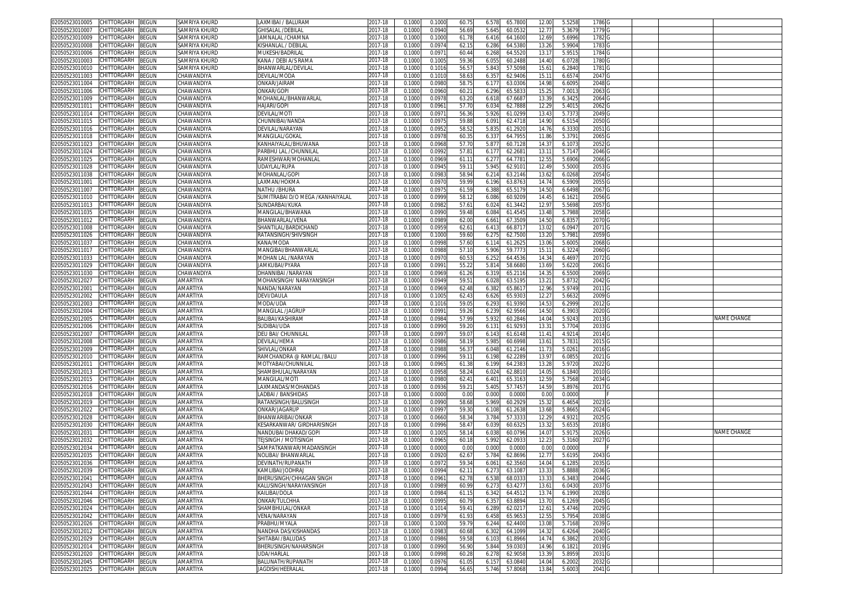| 02050523010005                   | CHITTORGARH                                     | <b>BEGUN</b> | <b>SAMRIYA KHURD</b> | LAXMIBAI / BALURAM                    | 2017-18            | 0.1000           | 0.1000           | 60.75          | 6.578          | 65.780C            | 12.00             | 5.5258           | 1786 C            |  |             |
|----------------------------------|-------------------------------------------------|--------------|----------------------|---------------------------------------|--------------------|------------------|------------------|----------------|----------------|--------------------|-------------------|------------------|-------------------|--|-------------|
| 2050523010007                    | CHITTORGARH                                     | BEGUN        | SAMRIYA KHURD        | <b>GHISALAL /DEBILAL</b>              | 2017-18            | 0.1000           | 0.0940           | 56.69          | 5.645          | 60.0532            | 12.77             | 5.3679           | 1779              |  |             |
| 02050523010009                   | CHITTORGARH                                     | <b>BEGUN</b> | SAMRIYA KHURD        | JAMNALAL /CHAMN/                      | 2017-18            | 0.1000           | 0.1000           | 61.78          | 6.416          | 64.1600            | 12.69             | 5.6996           | 1782              |  |             |
|                                  |                                                 |              |                      |                                       |                    |                  |                  |                |                |                    |                   |                  |                   |  |             |
| 2050523010008                    | CHITTORGARH                                     | BEGUN        | SAMRIYA KHURD        | KISHANLAL / DEBILAL                   | 2017-18            | 0.1000           | 0.0974           | 62.1           | 6.286          | 64.5380            | 13.26             | 5.9904           | 1783              |  |             |
| 02050523010006                   | CHITTORGARH                                     | <b>BEGUN</b> | SAMRIYA KHURD        | MUKESH/BADRILAL                       | 2017-18            | 0.1000           | 0.097            | 60.44          | 6.268          | 64.5520            | 13.1              | 5.951            | 1784              |  |             |
| 2050523010003                    | CHITTORGARH                                     | BEGUN        | SAMRIYA KHURD        | KANA / DEBI A/S RAMA                  | 2017-18            | 0.1000           | 0.100            | 59.36          | 6.055          | 60.2488            | 14.40             | 6.0728           | 1780              |  |             |
| 02050523010010                   | CHITTORGARH                                     | BEGUN        | SAMRIYA KHURD        | BHANWARLAL/DEVILAL                    | 2017-18            | 0.100            | 0.101            | 56.5           | 5.843          | 57.5098            | 15.61             | 6.2840           | 1781              |  |             |
| 2050523011003                    | CHITTORGARH                                     | <b>BEGUN</b> | CHAWANDIYA           | DEVILAL/MODA                          | 2017-18            | 0.1000           | 0.1010           | 58.63          | 6.35           | 62.940             | 15.11             | 6.657            | 2047              |  |             |
| 02050523011004                   | CHITTORGARH                                     | <b>BEGUN</b> | CHAWANDIYA           | ONKAR/JAIRAM                          | 2017-18            | 0.100            | 0.098            | 58.7           | 6.17           | 63.030             | 14.98             | 6.609            | 2048              |  |             |
| 2050523011006                    | CHITTORGARH                                     | BEGUN        | CHAWANDIYA           | ONKAR/GOPI                            | 2017-18            | 0.100            | 0.0960           | $60.2^{r}$     | 6.296          | 65.583             | 15.2              | 7.001            | 2063              |  |             |
|                                  |                                                 |              |                      |                                       |                    |                  |                  |                |                |                    |                   |                  |                   |  |             |
| 02050523011009                   | CHITTORGARH                                     | BEGUN        | CHAWANDIYA           | MOHANLAL/BHANWARLAL                   | 2017-18            | 0.100            | 0.097            | 63.2           | 6.618          | 67.668             | 13.3              | 6.3425           | 2064              |  |             |
| 02050523011011                   | CHITTORGARH                                     | <b>BEGUN</b> | CHAWANDIYA           | HAJARI/GOPI                           | 2017-18            | 0.1000           | 0.096            | 57.7           | 6.034          | 62.7888            | 12.2 <sup>0</sup> | 5.401            | 2062              |  |             |
| 02050523011014                   | CHITTORGARH                                     | <b>BEGUN</b> | CHAWANDIYA           | DEVILAL/MOTI                          | 2017-18            | 0.100            | 0.097            | 56.36          | 5.926          | 61.0299            | 13.4              | 5.737            | 2049              |  |             |
| 2050523011015                    | CHITTORGARH                                     | BEGUN        | CHAWANDIYA           | <b>HUNNIBAI/NANDA</b>                 | 2017-18            | 0.100            | 0.097            | 59.8           | 6.091          | 62.471             | 14.9              | 6.515            | 2050              |  |             |
| 02050523011016                   | <b>CHITTORGARI</b>                              | BEGUN        | CHAWANDIYA           | DEVILAL/NARAYAN                       | 2017-18            | 0.100            | 0.095            | 58.5           | 5.835          | 61.292             | 14.76             | 6.333            | 2051              |  |             |
| 02050523011018                   | CHITTORGARH                                     | BEGUN        | CHAWANDIYA           | MANGILAL/GOKAL                        | 2017-18            | 0.1000           | 0.097            | 60.35          | 6.337          | 64.795             | 11.86             | 5.379            | 2065              |  |             |
| 02050523011023                   | CHITTORGARH                                     | BEGUN        | CHAWANDIYA           | KANHAIYALAL/BHUWANA                   | 2017-18            | 0.100            | 0.096            | 57.7           | 5.87           | 60.712             | 14.3              | 6.107            | 2052              |  |             |
|                                  |                                                 |              |                      |                                       |                    |                  |                  |                |                |                    |                   |                  |                   |  |             |
| 2050523011024                    | CHITTORGARH                                     | BEGUN        | <b>HAWANDIYA:</b>    | PARBHU LAL /CHUNNILAI                 | 2017-18            | 0.100            | 0.099            | 57.8           | 6.17           | 62.268             | 13.1              | 5.714            | 2046              |  |             |
| 02050523011025                   | CHITTORGARH                                     | <b>BEGUN</b> | <b>CHAWANDIYA</b>    | RAMESHWAR/MOHANLAL                    | 2017-18            | 0.100            | 0.096            | 61.1           | 6.27           | 64.778             | 12.5              | 5.6906           | 2066              |  |             |
| 02050523011028                   | CHITTORGARH                                     | BEGUN        | CHAWANDIYA           | JDAYLAL/RUPA                          | 2017-18            | 0.100            | 0.094            | 59.1           | 5.945          | 62.910             | 12.4 <sup>0</sup> | 5.5000           | 2053              |  |             |
| 2050523011038                    | CHITTORGARH                                     | BEGUN        | CHAWANDIYA           | <b>MOHANLAL/GOPI</b>                  | 2017-18            | 0.100            | 0.098            | 58.9           | 6.21           | 63.214             | 13.6              | 6.0268           | 2054              |  |             |
| )2050523011001                   | CHITTORGARH                                     | BEGUN        | CHAWANDIYA           | AXMAN/HOKMA                           | 2017-18            | 0.1000           | 0.097            | 59.9           | 6.196          | 63.876             | 14.74             | 6.5909           | 2055              |  |             |
| 02050523011007                   | <b>HITTORGARH</b>                               | <b>BEGUN</b> | CHAWANDIYA           | NATHU /BHURA                          | 2017-18            | 0.1000           | 0.097            | 61.5           | 6.388          | 65.517             | 14.5              | 6.6498           | 2067              |  |             |
| 02050523011010                   | CHITTORGARH                                     | BEGUN        | CHAWANDIYA           | SUMITRABAI D/O MEGA /KANHAIYALAL      | 2017-18            | 0.1000           | 0.0999           | 58.1           | 6.086          | 60.920             | 14.45             | 6.162            | 2056              |  |             |
|                                  |                                                 |              |                      |                                       |                    |                  |                  |                |                |                    |                   |                  |                   |  |             |
| 2050523011013                    | CHITTORGARH                                     | BEGUN        | CHAWANDIYA           | SUNDARBAI/KUKA                        | 2017-18            | 0.1000           | 0.098            | 57.6           | 6.024          | 61.3442            | 12.9              | 5.5698           | 2057              |  |             |
| 02050523011035                   | CHITTORGARH                                     | <b>BEGUN</b> | CHAWANDIYA           | MANGILAL/BHAWANA                      | 2017-18            | 0.1000           | 0.0990           | 59.48          | 6.084          | 61.4545            | 13.48             | 5.7988           | 2058              |  |             |
| 2050523011012                    | CHITTORGARH                                     | BEGUN        | CHAWANDIYA           | BHANWARLAL/VENA                       | 2017-18            | 0.1000           | 0.098            | 62.0           | 6.661          | 67.3509            | 14.5              | 6.835            | 2070              |  |             |
| )2050523011008                   | CHITTORGARH                                     | <b>BEGUN</b> | CHAWANDIYA           | SHANTILAL/BARDICHAND                  | 2017-18            | 0.1000           | 0.095            | 62.6           | 6.41           | 66.871             | 13.02             | 6.094            | 2071              |  |             |
| 2050523011026                    | CHITTORGARH                                     | BEGUN        | CHAWANDIYA           | RATANSINGH/SHIVSINGH                  | 2017-18            | 0.1000           | 0.1000           | 59.60          | 6.275          | 62.7500            | 13.20             | 5.7981           | 2059              |  |             |
| 02050523011037                   | CHITTORGARH                                     | <b>BEGUN</b> | CHAWANDIYA           | KANA/MODA                             | 2017-18            | 0.100            | 0.0998           | 57.60          | 6.114          | 61.262             | 13.06             | 5.600            | 2068              |  |             |
|                                  |                                                 |              |                      |                                       |                    |                  |                  |                |                |                    |                   |                  |                   |  |             |
| 2050523011017                    | CHITTORGARH                                     | <b>BEGUN</b> | CHAWANDIYA           | MANGIBAI/BHANWARLAL                   | 2017-18            | 0.1000           | 0.098            | 57.1           | 5.906          | 59.777             | 15.11             | 6.322            | 2060              |  |             |
| 02050523011033                   | CHITTORGARH                                     | <b>BEGUN</b> | CHAWANDIYA           | MOHAN LAL /NARAYAN                    | 2017-18            | 0.100            | 0.097            | 60.5           | 6.252          | 64.453             | 14.34             | 6.469            | 2072              |  |             |
| 2050523011029                    | CHITTORGARH                                     | BEGUN        | CHAWANDIYA           | <b>JAMKUBAI/PYARA</b>                 | 2017-18            | 0.100            | 0.099            | 55.2           | 5.814          | 58.668             | 13.69             | 5.6220           | 2061              |  |             |
| 02050523011030                   | CHITTORGARH                                     | BEGUN        | CHAWANDIYA           | DHANNIBAI /NARAYAN                    | 2017-18            | 0.100            | 0.096            | 61.26          | 6.319          | 65.211             | 14.3              | 6.5500           | 2069              |  |             |
| 2050523012027                    | CHITTORGARH                                     | <b>BEGUN</b> | AMARTIYA             | MOHANSINGH/ NARAYANSINGH              | 2017-18            | 0.1000           | 0.0949           | 59.51          | 6.028          | 63.519             | 13.21             | 5.8732           | 2042              |  |             |
| 02050523012001                   | CHITTORGARH                                     |              | AMARTIYA             |                                       | 2017-18            |                  |                  |                |                |                    | 12.96             | 5.974            | 2011 <sub>C</sub> |  |             |
|                                  |                                                 |              |                      |                                       |                    |                  |                  |                |                |                    |                   |                  |                   |  |             |
|                                  |                                                 | <b>BEGUN</b> |                      | NANDA/NARAYAN                         |                    | 0.100            | 0.096            | 62.48          | 6.38           | 65.861             |                   |                  |                   |  |             |
| 2050523012002                    | CHITTORGARH                                     | BEGUN        | AMARTIYA             | DEVI/DAULA                            | 2017-18            | 0.100            | 0.100            | 62.43          | 6.626          | 65.930             | 12.2              | 5.6632           | 2009              |  |             |
| 02050523012003                   | <b>CHITTORGARI</b>                              | BEGUN        | AMARTIYA             | MODA/UDA                              | 2017-18            | 0.100            | 0.101            | 59.0           | 6.293          | 61.939             | 14.5              | 6.2999           | 2012              |  |             |
| 02050523012004                   | CHITTORGARH                                     | BEGUN        | AMARTIYA             | MANGILAL /JAGRUF                      | 2017-18            | 0.1000           | 0.099            | 59.26          | 6.239          | 62.9566            | 14.50             | 6.390            | 2020              |  |             |
| 02050523012005                   | CHITTORGARH                                     | <b>BEGUN</b> | <b>AMARTIYA</b>      | BALIBAI/KASHIRAM                      | 2017-18            | 0.100            | 0.098            | 57.99          | 5.932          | 60.284             | 14.04             | 5.924            | 2013              |  | NAME CHANGE |
|                                  |                                                 |              |                      |                                       |                    |                  |                  |                |                |                    |                   |                  |                   |  |             |
| 2050523012006                    | CHITTORGARH                                     | BEGUN        | AMARTIYA             | SUDIBAI/UDA                           | 2017-18            | 0.100            | 0.099            | 59.2           | 6.13'          | 61.929             | 13.3              | 5.770            | 2033              |  |             |
| 02050523012007                   | CHITTORGARH                                     | 3EGUN        | AMARTIYA             | DEU BAI/ CHUNNILAL                    | 2017-18            | 0.100            | 0.099            | 59.0           | 6.143          | 61.614             | 11.41             | 4.921            | 2014 <sub>C</sub> |  |             |
| 02050523012008                   | CHITTORGARH                                     | BEGUN        | AMARTIYA             | DEVILAL/HEMA                          | 2017-18            | 0.100            | 0.0986           | 58.1           | 5.98           | 60.6998            | $13.6^{^{\circ}}$ | 5.783            | 2015              |  |             |
| 2050523012009                    | CHITTORGARH                                     | BEGUN        | AMARTIYA             | SHIVLAL/ONKAR                         | 2017-18            | 0.100            | 0.098            | 56.3           | 6.04           | 61.214             | 11.7              | 5.026            | 2016              |  |             |
| )2050523012010                   | CHITTORGARH                                     | <b>BEGUN</b> | AMARTIYA             | RAMCHANDRA @ RAMLAL /BALU             | 2017-18            | 0.1000           | 0.0996           | 59.1           | 6.198          | 62.228             | 13.9              | 6.0855           | 2021              |  |             |
| 0205052301201                    | <b>HITTORGARH</b>                               | BEGUN        | AMARTIYA             | MOTYABAI/CHUNNILAI                    | 2017-18            | 0.1000           | 0.096            | 61.3           | 6.199          | 64.238             | 13.2              | 5.9720           | 2022              |  |             |
| )2050523012013                   | CHITTORGARH                                     | BEGUN        | AMARTIYA             | SHAMBHULAL/NARAYAN                    | 2017-18            | 0.100            | 0.095            | 58.2           | 6.024          | 62.881             | 14.0              | 6.1840           | 2010              |  |             |
|                                  |                                                 |              |                      |                                       |                    |                  |                  |                |                |                    |                   |                  |                   |  |             |
| 2050523012015                    | CHITTORGARH                                     | <b>BEGUN</b> | AMARTIYA             | <b>MANGILAL/MOTI</b>                  | 2017-18            | 0.1000           | 0.098            | 62.4           | 6.401          | 65.316             | 12.5 <sup>0</sup> | 5.7568           | 2034              |  |             |
| 02050523012016                   | CHITTORGARH                                     | <b>BEGUN</b> | AMARTIYA             | LAXMANDAS/MOHANDAS                    | 2017-18            | 0.1000           | 0.0936           | 59.2           | 5.405          | 57.745             | 14.59             | 5.8976           | 2017              |  |             |
| 2050523012018                    | CHITTORGARH                                     | BEGUN        | AMARTIYA             | ADBAI / BANSHIDAS                     | 2017-18            | 0.1000           | 0.0000           | 0.00           | 0.000          | 0.0000             | 0.00              | 0.0000           |                   |  |             |
| )2050523012019                   | CHITTORGARH                                     | <b>BEGUN</b> | <b>AMARTIYA</b>      | RATANSINGH/BALUSINGH                  | 2017-18            | 0.1000           | 0.0990           | 58.68          | 5.969          | 60.2929            | 15.3              | 6.4654           | 2023              |  |             |
| 2050523012022                    | CHITTORGARH                                     | BEGUN        | AMARTIYA             | onkar/jagarup                         | 2017-18            | 0.1000           | 0.0997           | 59.30          | 6.108          | 61.2638            | 13.68             | 5.8665           | 2024              |  |             |
| )2050523012028                   | CHITTORGARH                                     | <b>BEGUN</b> | AMARTIYA             | BHANWARIBAI/ONKAR                     | 2017-18            | 0.1000           | 0.0660           | 58.34          | 3.784          | 57.333             | 12.29             | 4.932            | 2025              |  |             |
| 2050523012030                    | CHITTORGARH                                     | BEGUN        | AMARTIYA             | KESARKANWAR/ GIRDHARISINGH            | 2017-18            | 0.1000           | 0.0996           | 58.4           | 6.039          | 60.632             | 13.3              | 5.6535           | 2018              |  |             |
| 02050523012031                   | CHITTORGARH                                     | <b>BEGUN</b> | <b>AMARTIYA</b>      | NANDUBAI DHAKAD/GOP                   | 2017-18            | 0.100            | 0.100            | 58.14          | 6.038          | 60.0796            | 14.07             | 5.9175           |                   |  | NAME CHANGE |
|                                  |                                                 |              |                      |                                       |                    |                  |                  |                |                |                    |                   |                  | 2026              |  |             |
| 2050523012032                    | CHITTORGARH                                     | BEGUN        | AMARTIYA             | <b>FEJSINGH / MOTISINGH</b>           | 2017-18            | 0.1000           | 0.096            | 60.1           | 5.992          | 62.093             | 12.23             | 5.3160           | 2027              |  |             |
| )2050523012034                   | CHITTORGARH                                     | BEGUN        | AMARTIYA             | SAMPATKANWAR/MADANSINGH               | 2017-18            | 0.100            | 0.000            | 0.0            | 0.00           | 0.000              | 0.00              | 0.000            |                   |  |             |
| )2050523012035                   | CHITTORGARH                                     | <b>BEGUN</b> | AMARTIYA             | NOLIBAI/ BHANWARLAI                   | 2017-18            | 0.1000           | 0.092            | 62.6           | 5.784          | 62.869             | 12.77             | 5.6195           | 2043              |  |             |
| 02050523012036                   | CHITTORGARH                                     | BEGUN        | <b>AMARTIYA</b>      | DEVINATH/RUPANATH                     | 2017-18            | 0.100            | 0.097            | 59.34          | 6.06           | 62.356             | 14.04             | 6.128            | 2035              |  |             |
| 02050523012039 CHILIORGARH BEGUN |                                                 |              | AMARTIYA             | Kamlibai/Jodhraj                      | 2017-18            | 0.1000           | 0.0994           | 62.11          | 6.2/3          | 63.1087            | 13.33             | 5.8888           | 2036              |  |             |
| 02050523012041                   | CHITTORGARH                                     | <b>BEGUN</b> | AMARTIYA             | BHERUSINGH/CHHAGAN SINGH              | 2017-18            | 0.1000           | 0.0961           | 62.78          | 6.538          | 68.033             | 13.33             | 6.3483           | 2044 0            |  |             |
|                                  |                                                 |              |                      |                                       |                    |                  |                  |                |                |                    |                   |                  |                   |  |             |
| 02050523012043                   | CHITTORGARH                                     | <b>BEGUN</b> | AMARTIYA             | KALUSINGH/NARAYANSINGH                | 2017-18            | 0.1000           | 0.0989           | 60.99          | 6.273          | 63.4277            | 13.61             | 6.0430           | 2037              |  |             |
| 02050523012044                   | CHITTORGARH                                     | BEGUN        | AMARTIYA             | KAILIBAI/DOLA                         | 2017-18            | 0.1000           | 0.0984           | 61.1           | 6.342          | 64.4512            | 13.74             | 6.1990           | 2028              |  |             |
| 02050523012046                   | CHITTORGARH                                     | BEGUN        | AMARTIYA             | ONKAR/TULCHHA                         | 2017-18            | 0.1000           | 0.099            | 60.79          | 6.357          | 63.8894            | 13.70             | 6.1269           | 2045              |  |             |
| 02050523012024                   | CHITTORGARH                                     | BEGUN        | AMARTIYA             | SHAMBHULAL/ONKAR                      | 2017-18            | 0.100            | 0.101            | 59.4           | 6.289          | 62.021             | 12.61             | 5.4746           | 2029              |  |             |
| 02050523012042                   | CHITTORGARH                                     | BEGUN        | AMARTIYA             | VENA/NARAYAN                          | 2017-18            | 0.1000           | 0.0979           | 61.93          | 6.458          | 65.9653            | 12.55             | 5.7954           | 2038              |  |             |
| 02050523012026                   | CHITTORGARH                                     | BEGUN        | AMARTIYA             | PRABHU/MYALA                          | 2017-18            | 0.1000           | 0.1000           | 59.7           | 6.244          | 62.4400            | 13.08             | 5.7168           | 2039              |  |             |
| 02050523012012                   | CHITTORGARH                                     | BEGUN        | AMARTIYA             |                                       |                    |                  | 0.0983           |                |                |                    |                   |                  |                   |  |             |
|                                  |                                                 |              |                      | NANDHA DAS/KISHANDAS                  | 2017-18            | 0.1000           |                  | 60.68          | 6.302          | 64.1099            | 14.32             | 6.4264           | 2040              |  |             |
| 02050523012029                   | CHITTORGARH                                     | BEGUN        | AMARTIYA             | SHITABAI /BALUDAS                     | 2017-18            | 0.1000           | 0.0986           | 59.5           | 6.103          | 61.8966            | 14.74             | 6.3862           | 2030              |  |             |
| 02050523012014                   | CHITTORGARH                                     | BEGUN        | AMARTIYA             | BHERUSINGH/NAHARSINGH                 | 2017-18            | 0.1000           | 0.0990           | 56.90          | 5.844          | 59.030             | 14.96             | 6.1821           | 2019              |  |             |
| 02050523012020                   | CHITTORGARH                                     | BEGUN        | AMARTIYA             | <b>JDA/HARLAL</b>                     | 2017-18            | 0.1000           | 0.0998           | 60.28          | 6.278          | 62.9058            | 13.3              | 5.8959           | 2031              |  |             |
| 02050523012045                   | CHITTORGARH<br>02050523012025 CHITTORGARH BEGUN | <b>BEGUN</b> | AMARTIYA<br>AMARTIYA | BALUNATH/RUPANATH<br>JAGDISH/HEERALAL | 2017-18<br>2017-18 | 0.1000<br>0.1000 | 0.0976<br>0.0994 | 61.05<br>56.65 | 6.157<br>5.746 | 63.0840<br>57.8068 | 14.04<br>13.84    | 6.2002<br>5.6003 | 2032 G<br>2041 G  |  |             |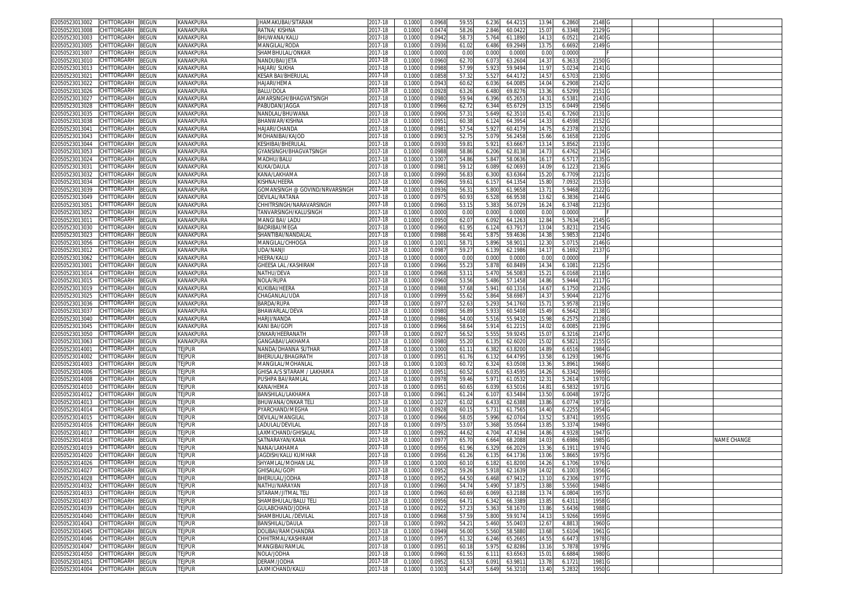| 02050523013002                    | CHITTORGARH        | <b>BEGUN</b> | KANAKPURA        | JHAMAKUBAI/SITARAM             | 2017-18     | 0.1000 | 0.0968 | 59.55 | 6.236 | 64.4215 | 13.94          | 6.2860 | 2148 G            |  |             |
|-----------------------------------|--------------------|--------------|------------------|--------------------------------|-------------|--------|--------|-------|-------|---------|----------------|--------|-------------------|--|-------------|
| 2050523013008                     | CHITTORGARH        | BEGUN        | KANAKPURA        | RATNA/KISHNA                   | 2017-18     | 0.100  | 0.047  | 58.2  | 2.846 | 60.042  | 15.07          | 6.3348 | 2129 G            |  |             |
| 02050523013003                    | CHITTORGARH        | 3EGUN        | KANAKPURA        | BHUWANA/KALU                   | 2017-18     | 0.1000 | 0.0942 | 58.7  | 5.764 | 61.1890 | 14.13          | 6.0521 | 2140 <sub>G</sub> |  |             |
|                                   |                    |              |                  |                                |             |        |        |       |       |         |                |        |                   |  |             |
| 2050523013005                     | CHITTORGARH        | BEGUN        | KANAKPURA        | MANGILAL/RODA                  | 2017-18     | 0.100  | 0.0936 | 61.0  | 6.486 | 69.2949 | 13.75          | 6.6692 | 2149              |  |             |
| )2050523013007                    | CHITTORGARH        | <b>BEGUN</b> | KANAKPURA        | SHAMBHULAL/ONKAR               | 2017-18     | 0.100  | 0.000  | 0.0   | 0.000 | 0.000   | 0.00           | 0.0000 |                   |  |             |
| 2050523013010                     | CHITTORGARH        | <b>BEGUN</b> | KANAKPURA        | NANDUBAI/JETA                  | 2017-18     | 0.100  | 0.096  | 62.7  | 6.073 | 63.260  | 14.3           | 6.3633 | 2150              |  |             |
| 02050523013013                    | CHITTORGARH        | <b>EGUN</b>  | KANAKPURA        | HAJARI/ SUKHA                  | 2017-18     | 0.100  | 0.098  | 57.9  | 5.92  | 59.949  | 11.9           | 5.0234 | 2141              |  |             |
| 2050523013021                     | CHITTORGARH        | <b>BEGUN</b> | KANAKPURA        | KESAR BAI/BHERULAL             | 2017-18     | 0.1000 | 0.085  | 57.3  | 5.527 | 64.417  | 14.57          | 6.5703 | 2130              |  |             |
| 02050523013022                    | CHITTORGARH        |              | KANAKPURA        | HAJARI/HEMA                    | 2017-18     | 0.100  |        |       |       |         |                |        |                   |  |             |
|                                   |                    | <b>BEGUN</b> |                  |                                |             |        | 0.094  | 60.6  | 6.036 | 64.008  | 14.04          | 6.2908 | 2142              |  |             |
| 2050523013026                     | CHITTORGARH        | <b>EGUN</b>  | KANAKPURA        | BALU/DOLA                      | 2017-18     | 0.100  | 0.092  | 63.2  | 6.480 | 69.827  | 13.36          | 6.5299 | 2151              |  |             |
| 02050523013027                    | CHITTORGARH        | <b>EGUN</b>  | KANAKPURA        | AMARSINGH/BHAGVATSINGH         | 2017-18     | 0.1000 | 0.098  | 59.9  | 6.396 | 65.265  | 14.3'          | 6.5381 | 2143              |  |             |
| 02050523013028                    | CHITTORGARH        | <b>BEGUN</b> | KANAKPURA        | <b>PABUDAN/JAGGA</b>           | 2017-18     | 0.1000 | 0.096  | 62.7  | 6.344 | 65.672  | 13.15          | 6.0449 | 2156              |  |             |
| 02050523013035                    | CHITTORGARH        | <b>BEGUN</b> | KANAKPURA        | NANDLAL/BHUWANA                | $2017 - 18$ | 0.100  | 0.090  | 57.3  | 5.649 | 62.351  | 15.4           | 6.7260 | 2131              |  |             |
| 2050523013038                     | CHITTORGARH        | <b>BEGUN</b> | KANAKPURA        | BHANWAR/KISHNA                 | 2017-18     | 0.1000 | 0.095  | 60.3  | 6.12  | 64.395  | 14.3           | 6.4598 | 2152              |  |             |
| 02050523013041                    | CHITTORGARH        | <b>EGUN</b>  | KANAKPURA        | HAJARI/CHANDA                  | 2017-18     | 0.100  | 0.098  | 57.5  | 5.92  | 60.417  | 14.7           | 6.2378 | 2132              |  |             |
|                                   |                    |              |                  | MOHANIBAI/KAJOD                |             |        |        |       |       |         |                |        |                   |  |             |
| 02050523013043                    | CHITTORGARH        | <b>EGUN</b>  | <b>KANAKPURA</b> |                                | 2017-18     | 0.1000 | 0.090  | 52.7  | 5.07  | 56.245  | 15.66          | 6.1658 | 2120              |  |             |
| 02050523013044                    | CHITTORGARH        | <b>BEGUN</b> | KANAKPURA        | KESHIBAI/BHERULAI              | 2017-18     | 0.100  | 0.093  | 59.8  | 5.92  | 63.666  | 13.1           | 5.8562 | 2133              |  |             |
| 02050523013053                    | CHITTORGARH        | <b>BEGUN</b> | KANAKPURA        | GYANSINGH/BHAGVATSINGH         | 2017-18     | 0.100  | 0.098  | 58.8  | 6.206 | 62.813  | 14.7           | 6.4762 | 2134              |  |             |
| 02050523013024                    | CHITTORGARH        | <b>BEGUN</b> | KANAKPURA        | MADHU/BALU                     | 2017-18     | 0.100  | 0.100  | 54.8  | 5.84  | 58.063  | 16.1           | 6.5717 | 2135              |  |             |
| 02050523013031                    | CHITTORGARH        | <b>BEGUN</b> | KANAKPURA        | KUKA/DAULA                     | 2017-18     | 0.100  | 0.098  | 59.1  | 6.089 | 62.069  | 14.09          | 6.1223 | 2136              |  |             |
| 2050523013032                     | <b>CHITTORGARH</b> | <b>EGUN</b>  | KANAKPURA        | (ANA/LAKHAMA                   | 2017-18     | 0.100  | 0.099  | 56.8  | 6.30  | 63.636  | 15.20          | 6.7709 | 2121              |  |             |
| )2050523013034                    | CHITTORGARH        | <b>BEGUN</b> | KANAKPURA        | <b>KISHNA/HEERA</b>            | 2017-18     | 0.100  | 0.096  | 59.6  | 6.15  | 64.135  | 15.80          | 7.0932 | 2153              |  |             |
| 02050523013039                    | <b>CHITTORGARH</b> | BEGUN        | KANAKPURA        | GOMANSINGH @ GOVIND/NRVARSINGH | 2017-18     | 0.100  | 0.093  | 56.3  | 5.800 | 61.965  | 13.7'          | 5.9468 | 2122              |  |             |
|                                   |                    |              |                  |                                |             |        |        |       |       |         |                |        |                   |  |             |
| 02050523013049                    | CHITTORGARH        | BEGUN        | KANAKPURA        | DEVILAL/RATANA                 | 2017-18     | 0.1000 | 0.097  | 60.9  | 6.528 | 66.953  | 13.62          | 6.3836 | 2144              |  |             |
| 2050523013051                     | CHITTORGARH        | BEGUN        | KANAKPURA        | CHHITRSINGH/NARAVARSINGH       | 2017-18     | 0.100  | 0.096  | 53.1  | 5.383 | 56.072  | 16.24          | 6.3748 | 2123              |  |             |
| )2050523013052                    | CHITTORGARH        | <b>BEGUN</b> | KANAKPURA        | TANVARSINGH/KALUSINGH          | 2017-18     | 0.100  | 0.000  | 0.0   | 0.000 | 0.000   | 0.00           | 0.0000 |                   |  |             |
| 02050523013011                    | CHITTORGARH        | BEGUN        | KANAKPURA        | MANGI BAI/ LADU                | 2017-18     | 0.1000 | 0.095  | 62.0  | 6.092 | 64.126  | 12.84          | 5.7634 | 2145              |  |             |
| 02050523013030                    | CHITTORGARH        | BEGUN        | KANAKPURA        | BADRIBAI/MEGA                  | 2017-18     | 0.100  | 0.096  | 61.9  | 6.12  | 63.791  | 13.04          | 5.823  | 2154              |  |             |
| 2050523013023                     | CHITTORGARH        | BEGUN        | KANAKPURA        | SHANTIBAI/NANDALAI             | 2017-18     | 0.100  | 0.098  | 56.4  | 5.875 | 59.463  | 14.38          | 5.9853 | 2124              |  |             |
| 2050523013056                     | CHITTORGARH        | ፧EGUN        | KANAKPURA        | MANGILAL/CHHOGA                | 2017-18     | 0.100  | 0.100  | 58.7  | 5.896 | 58.901  | 12.30          | 5.0715 | 2146              |  |             |
|                                   |                    |              |                  |                                |             |        |        |       |       |         |                |        |                   |  |             |
| 2050523013012                     | CHITTORGARH        | <b>EGUN</b>  | KANAKPURA        | JDA/NANJI                      | 2017-18     | 0.100  | 0.098  | 59.2  | 6.13  | 62.1986 | 14.1           | 6.1692 | 2137              |  |             |
| 02050523013062                    | CHITTORGARH        | <b>BEGUN</b> | KANAKPURA        | HEERA/KALU                     | 2017-18     | 0.100  | 0.000  | 0.0   | 0.001 | 0.000   | 0.00           | 0.0000 |                   |  |             |
| 2050523013001                     | CHITTORGARH        | <b>BEGUN</b> | KANAKPURA        | SHEESA LAL /KASHIRAM           | 2017-18     | 0.100  | 0.096  | 55.2  | 5.87  | 60.848  | 14.34          | 6.1081 | 2125              |  |             |
| 02050523013014                    | CHITTORGARH        | <b>EGUN</b>  | KANAKPURA        | NATHU/DEVA                     | 2017-18     | 0.100  | 0.096  | 53.1  | 5.47  | 56.508  | $15.2^{\circ}$ | 6.0168 | 2118              |  |             |
| 2050523013015                     | CHITTORGARH        | <b>BEGUN</b> | KANAKPURA        | <b>VOLA/RUPA</b>               | 2017-18     | 0.100  | 0.096  | 53.5  | 5.486 | 57.145  | 14.86          | 5.9444 | 2117              |  |             |
| 02050523013019                    | CHITTORGARH        | <b>BEGUN</b> | KANAKPURA        | KUKIBAI/HEERA                  | 2017-18     | 0.100  | 0.098  | 57.6  | 5.94  | 60.131  | 14.6           | 6.1750 | 2126              |  |             |
| 2050523013025                     | CHITTORGARH        | ፡EGUN        | <b>KANAKPURA</b> | CHAGANLAL/UDA                  | 2017-18     | 0.1000 | 0.099  |       |       | 58.698  | 14.3           | 5.9044 | 2127              |  |             |
|                                   |                    |              |                  |                                |             |        |        | 55.6  | 5.864 |         |                |        |                   |  |             |
| 02050523013036                    | CHITTORGARH        | ፡EGUN        | <b>KANAKPURA</b> | BARDA/RUPA                     | 2017-18     | 0.100  | 0.097  | 52.6  | 5.293 | 54.176  | 15.7           | 5.9578 | 2119              |  |             |
| 02050523013037                    | CHITTORGARH        | <b>EGUN</b>  | KANAKPURA        | BHAWARLAL/DEVA                 | 2017-18     | 0.1000 | 0.098  | 56.8  | 5.93  | 60.540  | 15.49          | 6.5642 | 2138              |  |             |
| 02050523013040                    | CHITTORGARH        | ፡EGUN        | KANAKPURA        | <b>HARJI/NANDA</b>             | 2017-18     | 0.100  | 0.098  | 54.0  | 5.51  | 55.943  | 15.98          | 6.2575 | 2128              |  |             |
| 2050523013045                     | CHITTORGARH        | <b>BEGUN</b> | <b>KANAKPURA</b> | KANI BAI/GOPI                  | 2017-18     | 0.1000 | 0.096  | 58.6  | 5.91  | 61.221  | 14.02          | 6.0085 | 2139              |  |             |
| 02050523013050                    | CHITTORGARH        | <b>BEGUN</b> | <b>KANAKPURA</b> | ONKAR/HEERANATH                | 2017-18     | 0.100  | 0.092  | 56.5  | 5.55  | 59.924  | 15.0           | 6.3216 | 2147              |  |             |
| 02050523013063                    | CHITTORGARH        | <b>BEGUN</b> | KANAKPURA        | GANGABAI/LAKHAMA               | 2017-18     | 0.100  | 0.098  | 55.2  | 6.13  | 62.602  | 15.02          | 6.5821 | 2155              |  |             |
| 02050523014001                    | CHITTORGARH        | BEGUN        | <b>TEJPUR</b>    | NANDA/DHANNA SUTHAR            | 2017-18     | 0.100  | 0.100  | 61.1  | 6.382 | 63.820  | 14.89          | 6.6516 | 1984              |  |             |
|                                   |                    |              |                  |                                |             |        |        |       |       |         |                |        |                   |  |             |
| )2050523014002                    | CHITTORGARH        | 3EGUN        | tejpur           | BHERULAL/BHAGIRATH             | 2017-18     | 0.1000 | 0.095  | 61.7  | 6.132 | 64.479  | 13.58          | 6.1293 | 1967              |  |             |
| 02050523014003                    | <b>HITTORGARH</b>  | ፡EGUN        | <b>TEJPUR</b>    | MANGILAL/MOHANLAL              | 2017-18     | 0.100  | 0.100  | 60.7  | 6.32  | 63.050  | 13.36          | 5.8961 | 1968              |  |             |
| 02050523014006                    | CHITTORGARH        | BEGUN        | tejpur           | GHISA A/S SITARAM / LAKHAMA    | 2017-18     | 0.100  | 0.095  | 60.5  | 6.035 | 63.459  | 14.26          | 6.3342 | 1969              |  |             |
| 2050523014008                     | CHITTORGARH        | BEGUN        | <b>TEJPUR</b>    | PUSHPA BAI/RAMLAI              | 2017-18     | 0.100  | 0.0978 | 59.4  | 5.97  | 61.053  | 12.31          | 5.2614 | 1970              |  |             |
| 02050523014010                    | CHITTORGARH        | <b>BEGUN</b> | <b>TEJPUR</b>    | KANA/HEMA                      | 2017-18     | 0.100  | 0.095  | 60.6  | 6.039 | 63.501  | 14.81          | 6.5832 | 1971              |  |             |
| 2050523014012                     | CHITTORGARH        | <b>BEGUN</b> | tejpur           | BANSHILAL/LAKHAMA              | 2017-18     | 0.100  | 0.096  | 61.2  | 6.107 | 63.548  | 13.50          | 6.0048 | 1972              |  |             |
| )2050523014013                    | CHITTORGARH        | <b>BEGUN</b> | tejpur           | BHUWANA/ONKAR TEL              | 2017-18     | 0.100  | 0.102  | 61.0  | 6.433 | 62.638  | 13.86          | 6.0774 | 1973              |  |             |
|                                   |                    |              | <b>TEJPUR</b>    | <sup>PYARCHAND/MEGHA</sup>     |             |        |        |       | 5.731 |         | 14.40          | 6.2255 | 1954              |  |             |
| 2050523014014                     | CHITTORGARH        | BEGUN        |                  |                                | 2017-18     | 0.100  | 0.092  | 60.1  |       | 61.756  |                |        |                   |  |             |
| )2050523014015                    | CHITTORGARH        | 3EGUN        | <b>TEJPUR</b>    | DEVILAL/MANGILAL               | 2017-18     | 0.100  | 0.0966 | 58.0  | 5.996 | 62.070  | 13.52          | 5.8741 | 1955              |  |             |
| 2050523014016                     | CHITTORGARH        | <b>BEGUN</b> | tejpur           | ADULAL/DEVILAL                 | 2017-18     | 0.100  | 0.097  | 53.0  | 5.368 | 55.056  | 13.85          | 5.3374 | 1949              |  |             |
| 02050523014017                    | CHITTORGARH        | <b>BEGUN</b> | <b>TEJPUR</b>    | LAXMICHAND/GHISALAL            | 2017-18     | 0.100  | 0.099  | 44.6  | 4.70  | 47.419  | 14.86          | 4.9328 | 1947              |  |             |
| 2050523014018                     | CHITTORGARH        | <b>EGUN</b>  | tejpur           | SATNARAYAN/KANA                | 2017-18     | 0.1000 | 0.097  | 65.7  | 6.664 | 68.208  | 14.03          | 6.6986 | 1985              |  | NAME CHANGE |
| 02050523014019                    | CHITTORGARH        | <b>EGUN</b>  | <b>TEJPUR</b>    | NANA/LAKHAMA                   | 2017-18     | 0.100  | 0.095  | 61.9  | 6.32  | 66.202  | 13.36          | 6.1911 | 1974              |  |             |
| )2050523014020                    | CHITTORGARH        | <b>BEGUN</b> | tejpur           | JAGDISH/KALU KUMHAR            | 2017-18     | 0.100  | 0.095  | 61.2  | 6.135 | 64.1736 | 13.06          | 5.8665 | 1975              |  |             |
| 02050523014026                    | CHITTORGARH        | BEGUN        | tejpur           | SHYAMLAL/MOHAN LAI             | 2017-18     | 0.100  | 0.100  | 60.1  | 6.18  | 61.820  | 14.26          | 6.1706 | 1976              |  |             |
|                                   |                    |              |                  |                                |             |        |        |       |       |         |                |        |                   |  |             |
| 102050523014027 CHILLORGARH BEGUN |                    |              | I FILMI          | GHISALAL/GOPI                  | 2017-18     | 0.1000 | 0.0952 | 59.26 | 5.918 | 62.163  | 14.02          | 6.1003 | 1956 G            |  |             |
| 02050523014028                    | CHITTORGARH        | <b>BEGUN</b> | <b>TEJPUR</b>    | BHERULAL/JODHA                 | 2017-18     | 0.1000 | 0.095  | 64.50 | 6.468 | 67.941  | 13.10          | 6.2306 | 1977 G            |  |             |
| 02050523014032                    | CHITTORGARH        | <b>BEGUN</b> | tejpur           | NATHU/NARAYAN                  | 2017-18     | 0.1000 | 0.0960 | 54.74 | 5.490 | 57.187  | 13.88          | 5.5560 | 1948 G            |  |             |
| 02050523014033                    | CHITTORGARH        | BEGUN        | <b>TEJPUR</b>    | SITARAM/JITMAL TELI            | 2017-18     | 0.1000 | 0.0960 | 60.69 | 6.069 | 63.2188 | 13.74          | 6.0804 | 1957              |  |             |
| 02050523014037                    | CHITTORGARH        | BEGUN        | tejpur           | SHAMBHULAL/BALU TELI           | 2017-18     | 0.1000 | 0.0956 | 64.7  | 6.342 | 66.338  | 13.85          | 6.4311 | 1958              |  |             |
| 02050523014039                    | CHITTORGARH        | BEGUN        | <b>TEJPUR</b>    | GULABCHAND/JODHA               | 2017-18     | 0.1000 | 0.092  | 57.2  | 5.363 | 58.167  | 13.86          | 5.6436 | 1988              |  |             |
| 02050523014040                    | CHITTORGARH        | BEGUN        | <b>TEJPUR</b>    | SHAMBHULAL /DEVILAL            | 2017-18     | 0.1000 | 0.0968 | 57.59 | 5.800 | 59.917  | 14.13          | 5.9266 | 1959 G            |  |             |
|                                   | CHITTORGARH        |              |                  | BANSHILAL/DAULA                |             |        |        |       |       |         |                |        |                   |  |             |
| 02050523014043                    |                    | BEGUN        | <b>TEJPUR</b>    |                                | 2017-18     | 0.1000 | 0.099  | 54.2  | 5.460 | 55.040  | 12.67          | 4.8813 | 1960              |  |             |
| 02050523014045                    | CHITTORGARH        | BEGUN        | <b>TEJPUR</b>    | DOLIBAI/RAMCHANDRA             | 2017-18     | 0.1000 | 0.0949 | 56.0  | 5.560 | 58.588  | 13.68          | 5.6104 | 1961              |  |             |
| 02050523014046                    | CHITTORGARH        | BEGUN        | <b>TEJPUR</b>    | CHHITRMAL/KASHIRAM             | 2017-18     | 0.1000 | 0.095  | 61.3  | 6.246 | 65.2665 | 14.55          | 6.6473 | 1978              |  |             |
| 02050523014047                    | CHITTORGARH        | BEGUN        | <b>TEJPUR</b>    | MANGIBAI/RAMLAL                | 2017-18     | 0.1000 | 0.095  | 60.1  | 5.975 | 62.8286 | 13.16          | 5.7878 | 1979 G            |  |             |
| 02050523014050                    | CHITTORGARH        | BEGUN        | <b>TEJPUR</b>    | NOLA/JODHA                     | 2017-18     | 0.1000 | 0.0960 | 61.5  | 6.111 | 63.656  | 15.01          | 6.6884 | 1980              |  |             |
| 02050523014051                    | CHITTORGARH        | <b>BEGUN</b> | <b>TEJPUR</b>    | DERAM/JODHA                    | 2017-18     | 0.1000 | 0.0952 | 61.53 | 6.091 | 63.9811 | 13.78          | 6.1721 | 1981 G            |  |             |
| 02050523014004 CHITTORGARH BEGUN  |                    |              | <b>TEJPUR</b>    | LAXMICHAND/KALU                | 2017-18     | 0.1000 | 0.1003 | 54.47 | 5.649 | 56.3210 | 13.40          | 5.2832 | 1950 G            |  |             |
|                                   |                    |              |                  |                                |             |        |        |       |       |         |                |        |                   |  |             |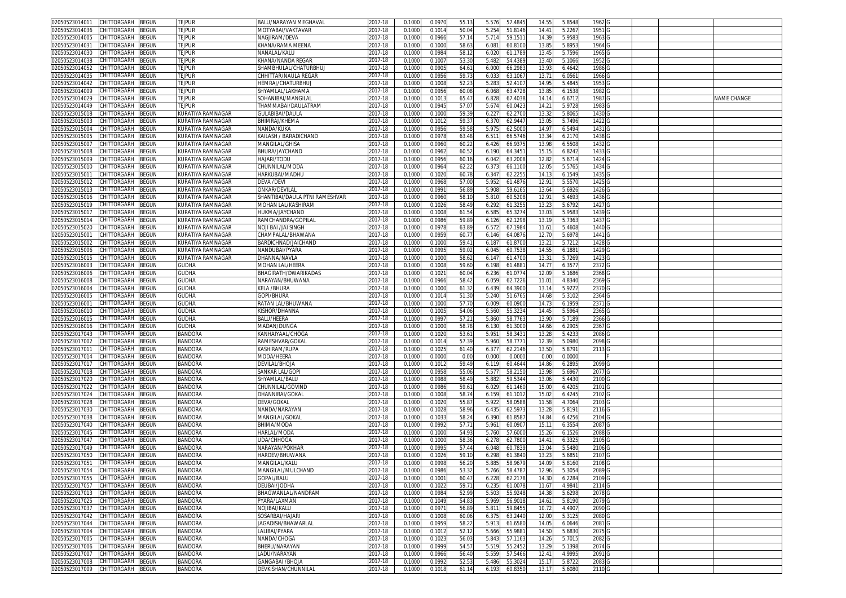| 02050523014011                   | CHITTORGARH        | BEGUN        | <b>TEJPUR</b>     | BALU/NARAYAN MEGHAVAL             | 2017-18     | 0.1000 | 0.097  | 55.13 | 5.576<br>57.4845 | 14.5              | 5.8548 | 1962              |  |                    |
|----------------------------------|--------------------|--------------|-------------------|-----------------------------------|-------------|--------|--------|-------|------------------|-------------------|--------|-------------------|--|--------------------|
| 2050523014036                    | CHITTORGARH        | <b>BEGUN</b> | <b>Fejpur</b>     | <b>MOTYABAI/VAKTAVAR</b>          | 2017-18     | 0.100( | 0.101  | 50.0  | 5.254<br>51.8146 | 14.4              | 5.226  | 1951              |  |                    |
| 12050523014005                   | CHITTORGARH        |              |                   | NAGJIRAM/DEVA                     |             |        |        | 57.1  |                  |                   |        | 1963              |  |                    |
|                                  |                    | <b>EGUN</b>  | <b>TEJPUR</b>     |                                   | 2017-18     | 0.100  | 0.0966 |       | 5.714<br>59.151  | 14.3              | 5.958  |                   |  |                    |
| 02050523014031                   | CHITTORGARH        | <b>BEGUN</b> | tejpur            | (HANA/RAMA MEENA                  | 2017-18     | 0.1000 | 0.1000 | 58.63 | 6.081<br>60.8100 | 13.8              | 5.895  | 1964              |  |                    |
| 02050523014030                   | CHITTORGARH        | <b>BEGUN</b> | <b>TEJPUR</b>     | NANALAL/KALU                      | 2017-18     | 0.100  | 0.098  | 58.1  | 6.020<br>61.178  | 13.4              | 5.759  | 1965              |  |                    |
| 2050523014038                    | CHITTORGARH        | <b>BEGUN</b> | tejpur            | (HANA/NANDA REGAR                 | 2017-18     | 0.100  | 0.100  | 53.30 | 5.482<br>54.438  | 13.40             | 5.1066 | 1952              |  |                    |
| 02050523014052                   | CHITTORGARH        | EGUN         | <b>TEJPUR</b>     | SHAMBHULAL/CHATURBHUJ             | $2017 - 18$ | 0.100  | 0.090  | 64.6  | 6.000<br>66.298  | 13.9              | 6.4642 | 1986              |  |                    |
| 02050523014035                   | CHITTORGARH        | <b>EGUN</b>  | <b>TEJPUR</b>     | CHHITTAR/NAULA REGAR              | 2017-18     | 0.100  | 0.095  | 59.7  | 6.033<br>63.106  | 13.7              | 6.056  | 1966 G            |  |                    |
|                                  |                    |              |                   |                                   |             |        |        |       |                  |                   |        |                   |  |                    |
| 02050523014042                   | CHITTORGARH        | <b>EGUN</b>  | tejpur            | HEMRAJ/CHATURBHU.                 | 2017-18     | 0.100  | 0.100  | 52.2  | 5.28<br>52.410   | 14.9              | 5.484  | 1953              |  |                    |
| 02050523014009                   | CHITTORGARH        | <b>EGUN</b>  | <b>TEJPUR</b>     | SHYAMLAL/LAKHAMA                  | 017-18      | 0.100  | 0.095  | 60.08 | 6.068<br>63.4728 | 13.8              | 6.1538 | 1982              |  |                    |
| 02050523014029                   | CHITTORGARH        | <b>EGUN</b>  | tejpur            | SOHANIBAI/MANGILAL                | 2017-18     | 0.100  | 0.101  | 65.4  | 67.4038<br>6.82  | 14.1              | 6.671  | 1987              |  | <b>VAME CHANGE</b> |
| 02050523014049                   | CHITTORGARH        | <b>EGUN</b>  | <b>TEJPUR</b>     | <b><i>FHAMMABAI/DAULATRAM</i></b> | 017-18      | 0.100  | 0.094  | 57.0  | 5.674<br>60.042  | 14.2              | 5.9728 | 1983              |  |                    |
| 02050523015018                   | CHITTORGARH        | <b>BEGUN</b> | KURATIYA RAMNAGAR | GULABIBAI/DAULA                   | 2017-18     | 0.100  | 0.100  | 59.3  | 62.270<br>6.22   | 13.3              | 5.806  | 1430              |  |                    |
| 02050523015003                   | CHITTORGARH        | <b>EGUN</b>  | KURATIYA RAMNAGAR | BHIMRAJ/KHEMA                     | 2017-18     | 0.100  | 0.101  | 59.3  | 62.944<br>6.370  | 13.0              | 5.749  | 1422              |  |                    |
|                                  |                    |              |                   |                                   |             |        |        |       |                  |                   |        |                   |  |                    |
| 2050523015004                    | <b>CHITTORGARH</b> | <b>EGUN</b>  | (URATIYA RAMNAGAF | <b>VANDA/KUKA</b>                 | 017-18      | 0.100  | 0.095  | 59.5  | 5.97<br>62.500   | 14.9              | 6.549  | 1431              |  |                    |
| 02050523015005                   | CHITTORGARH        | <b>BEGUN</b> | KURATIYA RAMNAGAR | KAILASH / BARADICHAND             | 2017-18     | 0.100  | 0.097  | 63.48 | 6.51<br>66.5746  | 13.34             | 6.217  | 1438              |  |                    |
| 02050523015007                   | CHITTORGARH        | <b>BEGUN</b> | KURATIYA RAMNAGAF | MANGILAL/GHISA                    | 017-18      | 0.100  | 0.096  | 60.2  | 66.9375<br>6.426 | 13.98             | 6.5508 | 1432              |  |                    |
| )2050523015008                   | CHITTORGARH        | <b>BEGUN</b> | KURATIYA RAMNAGAR | BHURA/JAYCHAND                    | 2017-18     | 0.100  | 0.0962 | 60.52 | 6.190<br>64.3451 | 15.1              | 6.8242 | 1433 G            |  |                    |
| 02050523015009                   | CHITTORGARH        | <b>BEGUN</b> | KURATIYA RAMNAGAR | HAJARI/TODU                       | 2017-18     | 0.100  | 0.0956 | 60.1  | 63.2008<br>6.042 | 12.82             | 5.6714 | 1424 G            |  |                    |
| )2050523015010                   | CHITTORGARH        | <b>EGUN</b>  | KURATIYA RAMNAGAR | CHUNNILAL/MODA                    | 2017-18     | 0.100  | 0.0964 | 62.22 | 6.373<br>66.1100 | 12.0              | 5.576  | 1434 G            |  |                    |
|                                  |                    |              |                   |                                   |             |        |        |       |                  |                   |        |                   |  |                    |
| 2050523015011                    | CHITTORGARH        | <b>BEGUN</b> | KURATIYA RAMNAGAR | HARKUBAI/MADHU                    | 2017-18     | 0.100  | 0.1020 | 60.7  | 62.2255<br>6.34  | 14.1              | 6.154  | 1435 G            |  |                    |
| 02050523015012                   | CHITTORGARH        | <b>BEGUN</b> | KURATIYA RAMNAGAR | DEVA /DEVI                        | 2017-18     | 0.1000 | 0.0968 | 57.00 | 5.952<br>61.4876 | 12.9              | 5.557  | 1425 G            |  |                    |
| 2050523015013                    | CHITTORGARH        | <b>BEGUN</b> | KURATIYA RAMNAGAR | )NKAR/DEVILAL                     | 2017-18     | 0.100  | 0.099  | 56.89 | 59.6165<br>5.908 | 13.64             | 5.6926 | 1426 G            |  |                    |
| )2050523015016                   | CHITTORGARH        | <b>BEGUN</b> | KURATIYA RAMNAGAR | SHANTIBAI/DAULA PTNI RAMESHVAR    | 2017-18     | 0.100  | 0.096  | 58.1  | 5.810<br>60.520  | 12.9              | 5.469  | 1436 G            |  |                    |
| 2050523015019                    | CHITTORGARH        | <b>EGUN</b>  | KURATIYA RAMNAGAR | VIOHAN LAL/KASHIRAM               | 2017-18     | 0.100  | 0.102  | 58.49 | 6.292<br>61.325  | 13.23             | 5.6792 | 1427              |  |                    |
| 02050523015017                   | CHITTORGARH        | <b>EGUN</b>  | KURATIYA RAMNAGAR | HUKMA/JAYCHAND                    | 2017-18     | 0.100  | 0.100  | 61.5  | 6.585<br>65.3274 | 13.0              | 5.958  | 1439              |  |                    |
|                                  |                    |              |                   |                                   |             |        |        |       |                  |                   |        |                   |  |                    |
| 2050523015014                    | CHITTORGARH        | <b>BEGUN</b> | KURATIYA RAMNAGAR | RAMCHANDRA/GOPILAL                | 2017-18     | 0.1000 | 0.0986 | 59.8  | 6.126<br>62.1298 | 13.1              | 5.736  | 1437              |  |                    |
| 02050523015020                   | CHITTORGARH        | <b>BEGUN</b> | KURATIYA RAMNAGAR | NOJI BAI /JAI SINGH               | 2017-18     | 0.100  | 0.097  | 63.89 | 6.572<br>67.198  | 11.6              | 5.4608 | 1440              |  |                    |
| 2050523015001                    | CHITTORGARH        | <b>BEGUN</b> | KURATIYA RAMNAGAR | CHAMPALAL/BHAWANA                 | 2017-18     | 0.100  | 0.095  | 60.7  | 6.146<br>64.0876 | 12.7              | 5.6978 | 1441              |  |                    |
| 02050523015002                   | CHITTORGARH        | <b>EGUN</b>  | KURATIYA RAMNAGAR | BARDICHNAD/JAICHAND               | 2017-18     | 0.100  | 0.100  | 59.4  | 6.187<br>61.870  | 13.2              | 5.721  | 1428              |  |                    |
| 02050523015006                   | CHITTORGARH        | ፡EGUN        | KURATIYA RAMNAGAR | NANDUBAI/PYARA                    | 2017-18     | 0.100  | 0.099  | 59.02 | 6.045<br>60.7538 | 14.5              | 6.188  | 1429 G            |  |                    |
| 02050523015015                   | CHITTORGARH        | ፡EGUN        | KURATIYA RAMNAGAR | DHANNA/NAVLA                      | 2017-18     | 0.100  | 0.100  | 58.6  | 6.14<br>61.470   | 13.3              | 5.726  | 1423              |  |                    |
|                                  |                    |              |                   |                                   |             |        |        |       |                  |                   |        |                   |  |                    |
| 02050523016003                   | CHITTORGARH        | ፡EGUN        | <b>GUDHA</b>      | <b>MOHAN LAL/HEERA</b>            | 2017-18     | 0.1000 | 0.100  | 59.60 | 6.198<br>61.488  | 14.7              | 6.357  | 2372              |  |                    |
| 02050523016006                   | CHITTORGARH        | EGUN         | <b>GUDHA</b>      | BHAGIRATH/DWARIKADAS              | 2017-18     | 0.100  | 0.102  | 60.0  | 6.236<br>61.077  | 12.0              | 5.1686 | 2368              |  |                    |
| 02050523016008                   | CHITTORGARH        | ፡EGUN        | GUDHA             | VARAYAN/BHUWANA                   | 017-18      | 0.100  | 0.0966 | 58.42 | 6.059<br>62.7226 | 11.0              | 4.834  | 2369              |  |                    |
| 02050523016004                   | CHITTORGARH        | <b>BEGUN</b> | <b>GUDHA</b>      | KELA /BHURA                       | 2017-18     | 0.100  | 0.100  | 61.32 | 6.43<br>64.390   | 13.1              | 5.922  | 2370              |  |                    |
| 02050523016005                   | CHITTORGARH        | <b>BEGUN</b> | <b>GUDHA</b>      | GOPI/BHURA                        | 2017-18     | 0.100  | 0.101  | 51.30 | 5.240<br>51.6765 | 14.68             | 5.310  | 2364              |  |                    |
| 0205052301600                    | <b>CHITTORGARH</b> | <b>BEGUN</b> | GUDHA             | RATAN LAL/BHUWANA                 | 2017-18     | 0.100  | 0.100  | 57.7  | 60.090<br>6.009  | 14.7              | 6.195  | 2371              |  |                    |
| 02050523016010                   | CHITTORGARH        | <b>BEGUN</b> | <b>GUDHA</b>      | KISHOR/DHANNA                     |             | 0.100  | 0.100  | 54.0  | 5.560            | 14.45             |        |                   |  |                    |
|                                  |                    |              |                   |                                   | 2017-18     |        |        |       | 55.323           |                   | 5.5964 | 2365              |  |                    |
| 2050523016015                    | <b>CHITTORGARH</b> | <b>BEGUN</b> | <b>GUDHA</b>      | BALU/HEERA                        | 017-18      | 0.100  | 0.099  | 57.2  | 5.860<br>58.776  | 13.9              | 5.718  | 2366              |  |                    |
| 02050523016016                   | <b>CHITTORGARH</b> | <b>BEGUN</b> | GUDHA             | <b>MADAN/DUNGA</b>                | 2017-18     | 0.100  | 0.100  | 58.7  | 6.130<br>61.300  | 14.6              | 6.290  | 2367              |  |                    |
| 02050523017043                   | CHITTORGARH        | <b>BEGUN</b> | <b>BANDORA</b>    | (ANHAIYAAL/CHOGA                  | 2017-18     | 0.100  | 0.102  | 53.6  | 58.343<br>5.951  | 13.2              | 5.423  | 2086              |  |                    |
| 02050523017002                   | CHITTORGARH        | <b>BEGUN</b> | <b>BANDORA</b>    | RAMESHVAR/GOKAL                   | 2017-18     | 0.1000 | 0.101  | 57.39 | 5.960<br>58.777  | 12.3 <sup>0</sup> | 5.098  | 2098 G            |  |                    |
| 2050523017011                    | CHITTORGARH        | <b>BEGUN</b> | <b>BANDORA</b>    | <b><i>(ASHIRAM/RUPA</i></b>       | 2017-18     | 0.1000 | 0.102  | 61.40 | 62.2146<br>6.377 | 13.50             | 5.879  | 2113 G            |  |                    |
| )2050523017014                   | CHITTORGARH        | <b>BEGUN</b> | <b>BANDORA</b>    | MODA/HEERA                        | 2017-18     | 0.1000 | 0.000  | 0.00  | 0.000<br>0.0000  | 0.00              | 0.000  |                   |  |                    |
|                                  |                    |              |                   |                                   |             |        |        | 59.49 | 60.4644          | 14.86             | 6.2895 | 2099              |  |                    |
| 2050523017017                    | CHITTORGARH        | <b>BEGUN</b> | BANDORA           | DEVILAL/BHOJA                     | 2017-18     | 0.100  | 0.101  |       | 6.119            |                   |        |                   |  |                    |
| )2050523017018                   | CHITTORGARH        | <b>BEGUN</b> | <b>BANDORA</b>    | SANKAR LAL/GOPI                   | 2017-18     | 0.100  | 0.095  | 55.06 | 5.577<br>58.2150 | 13.98             | 5.696  | 2077 G            |  |                    |
| 2050523017020                    | CHITTORGARH        | <b>BEGUN</b> | <b>BANDORA</b>    | SHYAMLAL/BALU                     | 2017-18     | 0.100  | 0.098  | 58.49 | 5.882<br>59.5344 | 13.06             | 5.443  | 2100              |  |                    |
| 02050523017022                   | CHITTORGARH        | <b>EGUN</b>  | <b>BANDORA</b>    | CHUNNILAL/GOVINE                  | 2017-18     | 0.100  | 0.0986 | 59.6  | 6.029<br>61.1460 | 15.0              | 6.420  | 2101              |  |                    |
| 2050523017024                    | CHITTORGARH        | <b>BEGUN</b> | <b>BANDORA</b>    | <b>DHANNIBAI/GOKAL</b>            | 2017-18     | 0.1000 | 0.100  | 58.74 | 6.159<br>61.1012 | 15.02             | 6.4245 | 2102              |  |                    |
| 02050523017028                   | CHITTORGARH        | <b>BEGUN</b> | <b>BANDORA</b>    | DEVA/GOKAL                        | 2017-18     | 0.100  | 0.102  | 55.8  | 5.92<br>58.058   | 11.58             | 4.706  | 2103              |  |                    |
| 2050523017030                    | CHITTORGARH        | <b>BEGUN</b> | <b>BANDORA</b>    | VANDA/NARAYAN                     |             |        | 0.102  |       | 6.43             |                   |        | 2116              |  |                    |
|                                  |                    |              |                   |                                   | 2017-18     | 0.100  |        | 58.9  | 62.597           | 13.2              | 5.819  |                   |  |                    |
| 02050523017038                   | CHITTORGARH        | <b>EGUN</b>  | <b>BANDORA</b>    | MANGILAL/GOKAL                    | 2017-18     | 0.100  | 0.103  | 58.2  | 6.390<br>61.858  | 14.84             | 6.425  | 2104              |  |                    |
| 02050523017040                   | CHITTORGARH        | <b>BEGUN</b> | <b>BANDORA</b>    | BHIMA/MODA                        | 2017-18     | 0.1000 | 0.099  | 57.7' | 60.090<br>5.961  | 15.1              | 6.3554 | 2087              |  |                    |
| 02050523017045                   | CHITTORGARH        | <b>EGUN</b>  | <b>BANDORA</b>    | HARLAL/MODA                       | 2017-18     | 0.100  | 0.100  | 54.93 | 57.600<br>5.760  | 15.2              | 6.152  | 2088              |  |                    |
| 2050523017047                    | CHITTORGARH        | <b>EGUN</b>  | <b>BANDORA</b>    | <b>JDA/CHHOGA</b>                 | 017-18      | 0.100  | 0.100  | 58.36 | 6.278<br>62.780  | 14.4'             | 6.332  | 2105              |  |                    |
| 02050523017049                   | <b>HITTORGARH</b>  | EGUN         | BANDORA           | VARAYAN/POKHAR                    | 2017-18     | 0.100  | 0.099  | 57.4  | 6.048<br>60.783  | 13.0              | 5.548  | 2106              |  |                    |
| 02050523017050                   | CHITTORGARH        | <b>EGUN</b>  | <b>BANDORA</b>    | HARDEV/BHUWANA                    | 2017-18     | 0.100  | 0.102  | 59.1  | 6.298<br>61.384  | 13.2              | 5.685  | 2107              |  |                    |
|                                  |                    |              |                   |                                   |             |        |        |       |                  |                   |        |                   |  |                    |
| 02050523017051                   | CHITTORGARH        | <b>BEGUN</b> | BANDORA           | MANGILAL/KALU                     | 2017-18     | 0.100  | 0.099  | 56.2  | 58.967<br>5.88   | 14.0              | 5.816  | 2108              |  |                    |
| 02050523017054 CHILIORGARH BEGUN |                    |              | BANDORA           | VIANGILAL/MULCHAND                | 2017-18     | 0.1000 | 0.0986 | 53.32 | 5.766<br>58.4787 | 12.96             | 5.3054 | 2089 G            |  |                    |
| 02050523017055                   | CHITTORGARH        | <b>BEGUN</b> | <b>BANDORA</b>    | GOPAL/BALU                        | 2017-18     | 0.1000 | 0.1001 | 60.47 | 6.228<br>62.2178 | 14.30             | 6.2284 | 2109              |  |                    |
| 02050523017057                   | CHITTORGARH        | BEGUN        | <b>BANDORA</b>    | DEUBAI/JODHA                      | 2017-18     | 0.1000 | 0.1022 | 59.7  | 6.235<br>61.0078 | 11.67             | 4.9841 | 2114 G            |  |                    |
| 02050523017013                   | CHITTORGARH        | <b>BEGUN</b> | <b>BANDORA</b>    | BHAGWANLAL/NANDRAM                | 2017-18     | 0.100  | 0.0984 | 52.99 | 5.503<br>55.9248 | 14.38             | 5.6298 | 2078              |  |                    |
| 02050523017025                   | CHITTORGARH        | BEGUN        | <b>BANDORA</b>    | PYARA/LAXMAN                      | 2017-18     | 0.1000 | 0.1049 | 54.83 | 5.969<br>56.9018 | 14.61             | 5.8190 | 2079 G            |  |                    |
|                                  |                    |              |                   |                                   |             |        |        |       |                  |                   |        |                   |  |                    |
| 02050523017037                   | CHITTORGARH        | BEGUN        | <b>BANDORA</b>    | NOJIBAI/KALU                      | 2017-18     | 0.1000 | 0.097  | 56.8  | 59.8455<br>5.811 | 10.72             | 4.490  | 2090              |  |                    |
| 02050523017042                   | CHITTORGARH        | BEGUN        | <b>BANDORA</b>    | SOSARBAI/HAJARI                   | 2017-18     | 0.1000 | 0.1008 | 60.06 | 6.375<br>63.2440 | 12.00             | 5.3125 | 2080 <sub>G</sub> |  |                    |
| 02050523017044                   | CHITTORGARH        | BEGUN        | <b>BANDORA</b>    | JAGADISH/BHAWARLAL                | 2017-18     | 0.1000 | 0.0959 | 58.22 | 5.913<br>61.6580 | 14.05             | 6.0646 | 2081 G            |  |                    |
| 02050523017004                   | CHITTORGARH        | <b>BEGUN</b> | <b>BANDORA</b>    | LALIBAI/PYARA                     | 2017-18     | 0.1000 | 0.101  | 52.12 | 5.666<br>55.988  | 14.50             | 5.683  | 2075 G            |  |                    |
| 2050523017005                    | CHITTORGARH        | BEGUN        | <b>BANDORA</b>    | NANDA/CHOGA                       | 2017-18     | 0.1000 | 0.1023 | 56.03 | 5.843<br>57.1163 | 14.26             | 5.701  | 2082 G            |  |                    |
| 02050523017006                   | CHITTORGARH        | <b>BEGUN</b> | <b>BANDORA</b>    | BHERU/NARAYAN                     | 2017-18     | 0.1000 | 0.0999 | 54.57 | 5.519<br>55.2452 | 13.29             | 5.1398 | 2074 G            |  |                    |
|                                  |                    |              |                   |                                   |             |        |        |       |                  |                   |        | 2091 G            |  |                    |
| 2050523017007                    | CHITTORGARH        | BEGUN        | <b>BANDORA</b>    | LADU/NARAYAN                      | 2017-18     | 0.1000 | 0.0966 | 56.40 | 5.559<br>57.5466 | 12.4              | 4.9995 |                   |  |                    |
| 02050523017008                   | CHITTORGARH        | <b>BEGUN</b> | <b>BANDORA</b>    | GANGABAI /BHOJA                   | 2017-18     | 0.100  | 0.099  | 52.53 | 5.486<br>55.302  | 15.1              | 5.872  | 2083              |  |                    |
| 02050523017009 CHITTORGARH       |                    | BEGUN        | <b>BANDORA</b>    | <b>DEVKISHAN/CHUNNILAL</b>        | 2017-18     | 0.1000 | 0.1018 | 61.14 | 6.193<br>60.8350 | 13.17             | 5.6080 | 2110 G            |  |                    |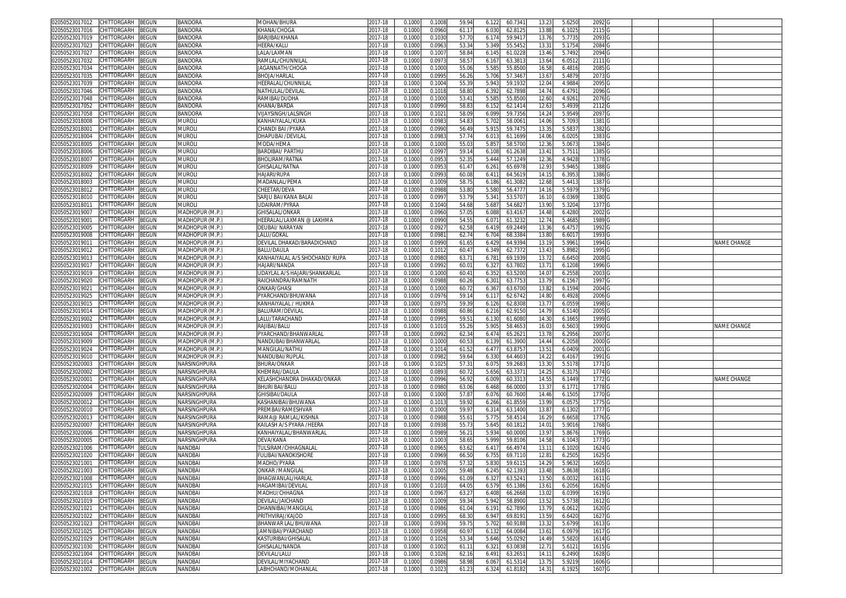| CHITTORGARH<br>BEGUN<br>02050523017012        | BANDORA         | MOHAN/BHURA                    | 2017-18     | 0.1000 | 0.1008 | 59.94 | 60.734<br>6.122  | 13.23             | 5.6250 | 2092              |  |             |
|-----------------------------------------------|-----------------|--------------------------------|-------------|--------|--------|-------|------------------|-------------------|--------|-------------------|--|-------------|
| 02050523017016<br>CHITTORGARH<br>BEGUN        | BANDORA         | KHANA/CHOGA                    | 2017-18     | 0.1000 | 0.0960 | 61.1  | 6.030<br>62.812  | 13.8              | 6.1025 | 2115              |  |             |
| CHITTORGARH<br>02050523017019                 |                 |                                |             |        |        |       |                  |                   |        |                   |  |             |
| 3EGUN                                         | <b>BANDORA</b>  | BARJIBAI/KHANA                 | 2017-18     | 0.1000 | 0.103  | 57.70 | 6.174<br>59.941  | 13.7              | 5.773  | 2093              |  |             |
| CHITTORGARH<br>BEGUN<br>02050523017023        | BANDORA         | HEERA/KALU                     | 017-18      | 0.1000 | 0.0963 | 53.34 | 5.349<br>55.545  | 13.31             | 5.1754 | 2084              |  |             |
| CHITTORGARH<br>BEGUN<br>02050523017027        | <b>BANDORA</b>  | LALA/LAXMAN                    | 2017-18     | 0.100  | 0.100  | 58.8  | 6.145<br>61.022  | 13.46             | 5.7492 | 2094              |  |             |
| 02050523017032<br>CHITTORGARH<br>BEGUN        | BANDORA         | RAMLAL/CHUNNILAL               | 2017-18     | 0.100  | 0.097  | 58.5  | 63.381<br>6.16   | 13.64             | 6.0512 | 2111 G            |  |             |
| CHITTORGARH<br>02050523017034<br>3EGUN        | <b>BANDORA</b>  | AGANNATH/CHOGA                 | 2017-18     | 0.100  | 0.100  | 55.0  | 5.58<br>55.850   | 16.5              | 6.4816 | 2085              |  |             |
| 02050523017035<br>CHITTORGARH<br>3EGUN        | BANDORA         | BHOJA/HARLAL                   | 2017-18     | 0.100  | 0.099  | 56.2  | 5.706<br>57.346  | 13.67             | 5.4879 | 2073              |  |             |
| 02050523017039<br>CHITTORGARH<br>BEGUN        | <b>BANDORA</b>  | HEERALAL/CHUNNILAI             | 017-18      | 0.100  | 0.100  | 55.3  | 5.94<br>59.193   | 12.0              | 4.988  | 2095 <sub>C</sub> |  |             |
|                                               |                 |                                |             |        |        |       |                  |                   |        |                   |  |             |
| 02050523017046<br>CHITTORGARH<br>BEGUN        | <b>BANDORA</b>  | NATHULAL/DEVILAL               | 017-18      | 0.1000 | 0.101  | 58.80 | 62.789<br>6.39   | 14.74             | 6.4791 | 2096 G            |  |             |
| 02050523017048<br>CHITTORGARH<br>3EGUN        | <b>BANDORA</b>  | RAMIBAI/DUDHA                  | 2017-18     | 0.100  | 0.100  | 53.4  | 5.58<br>55.850   | 12.6              | 4.926  | 2076 G            |  |             |
| 02050523017052<br><b>CHITTORGARH</b><br>BEGUN | BANDORA         | KHANA/BARDA                    | 017-18      | 0.100  | 0.099  | 58.8  | 6.15<br>62.141   | 12.63             | 5.4939 | 2112              |  |             |
| CHITTORGARH<br>02050523017058<br>BEGUN        | <b>BANDORA</b>  | /IJAYSINGH/LALSINGH            | 2017-18     | 0.100  | 0.102  | 58.0  | 59.735<br>6.09   | 14.2              | 5.9549 | 2097              |  |             |
| CHITTORGARH<br>BEGUN<br>02050523018008        | muroli          | KANHAIYALAL/KUKA               | 2017-18     | 0.100  | 0.098  | 54.8  | 5.70<br>58.006   | 14.06             | 5.7093 | 1381              |  |             |
| 02050523018001<br>CHITTORGARH<br>3EGUN        | <b>MUROLI</b>   | CHANDI BAI /PYARA              | 017-18      | 0.100  | 0.099  | 56.4  | 59.747<br>5.91   | 13.3              | 5.583  | 1382              |  |             |
| CHITTORGARH<br>BEGUN<br>02050523018004        | muroli          | DHAPUBAI /DEVILAL              | 2017-18     | 0.1000 | 0.098  | 57.74 | 6.01<br>61.169   | 14.06             | 6.0205 | 1383              |  |             |
| 02050523018005<br>CHITTORGARH<br>3EGUN        | <b>MUROL</b>    | MODA/HEMA                      | 017-18      | 0.100  | 0.100  | 55.0  | 5.85<br>58.570   | 12.3              | 5.067  | 1384              |  |             |
|                                               |                 |                                |             |        |        |       |                  |                   |        |                   |  |             |
| CHITTORGARH<br>02050523018006<br>BEGUN        | muroli          | BARDIBAI/ PARTHU               | 2017-18     | 0.1000 | 0.0997 | 59.1  | 61.2638<br>6.108 | 13.41             | 5.7511 | 1385 G            |  |             |
| CHITTORGARH<br>BEGUN<br>02050523018007        | muroli          | BHOLIRAM/RATNA                 | 2017-18     | 0.1000 | 0.0953 | 52.35 | 57.1249<br>5.444 | 12.36             | 4.9428 | 1378 G            |  |             |
| CHITTORGARH<br>BEGUN<br>02050523018009        | <b>MUROL</b>    | GHISALAL/RATNA                 | 2017-18     | 0.1000 | 0.095  | 61.4  | 65.697<br>6.26   | 12.93             | 5.9465 | 1388 G            |  |             |
| CHITTORGARH<br>BEGUN<br>02050523018002        | <b>MUROLI</b>   | HAJARI/RUPA                    | 2017-18     | 0.1000 | 0.0993 | 60.08 | 6.41'<br>64.5619 | 14.1              | 6.3953 | 1386 G            |  |             |
| CHITTORGARH<br>02050523018003<br>3EGUN        | <b>MUROL</b>    | MADANLAL/PEMA                  | 2017-18     | 0.1000 | 0.1009 | 58.75 | 6.186<br>61.308  | 12.6              | 5.441  | 1387 G            |  |             |
| CHITTORGARH<br>BEGUN<br>02050523018012        | muroli          | CHEETAR/DEVA                   | 017-18      | 0.1000 | 0.098  | 53.80 | 5.580<br>56.477  | 14.1              | 5.5979 | 1379 G            |  |             |
| BEGUN<br>02050523018010<br>CHITTORGARH        | murol           | SARJU BAI/KANA BALAI           | 2017-18     | 0.1000 | 0.099  | 53.79 | 5.34<br>53.570   | 16.1              | 6.0369 | 1380 G            |  |             |
|                                               |                 |                                |             |        |        |       |                  |                   |        |                   |  |             |
| 02050523018011<br>CHITTORGARH<br>BEGUN        | muroli          | <b>JDAIRAM/PYRAA</b>           | 2017-18     | 0.1000 | 0.1040 | 54.68 | 5.68<br>54.682   | 13.9              | 5.3204 | 1377 G            |  |             |
| 02050523019007<br>CHITTORGARH<br>3EGUN        | MADHOPUR (M.P.) | <b>GHISALAL/ONKAR</b>          | 2017-18     | 0.100  | 0.096  | 57.0  | 6.088<br>63.416  | 14.48             | 6.4280 | 2002              |  |             |
| 02050523019001<br>CHITTORGARH<br>BEGUN        | MADHOPUR (M.P.) | HEERALAL/LAXMAN @ LAKHMA       | 2017-18     | 0.1000 | 0.099  | 54.5  | 6.07<br>61.323   | 12.74             | 5.4685 | 1989              |  |             |
| 02050523019005<br>CHITTORGARH<br>BEGUN        | MADHOPUR (M.P.) | DEUBAI/ NARAYAN                | 2017-18     | 0.100  | 0.092  | 62.58 | 6.419<br>69.244  | 13.3 <sub>1</sub> | 6.475  | 1992              |  |             |
| 02050523019008<br>CHITTORGARH<br>BEGUN        | MADHOPUR (M.P.) | ALU/GOKAL                      | 2017-18     | 0.1000 | 0.098  | 62.74 | 6.704<br>68.338  | 13.80             | 6.6017 | 1993              |  |             |
| 02050523019011<br>CHITTORGARH<br>3EGUN        | MADHOPUR (M.P.) | DEVILAL DHAKAD/BARADICHAND     | 2017-18     | 0.100  | 0.0990 | 61.6  | 6.429<br>64.939  | 13.19             | 5.9961 | 1994 G            |  | NAME CHANGE |
| CHITTORGARH<br>02050523019012<br>BEGUN        | MADHOPUR (M.P.) | BALU/DAULA                     | 2017-18     | 0.100  | 0.101  | 60.4  | 6.349<br>62.737  | 13.43             | 5.8982 | 1995 <sub>C</sub> |  |             |
| CHITTORGARH                                   | MADHOPUR (M.P.) |                                |             |        |        |       |                  |                   |        |                   |  |             |
| 02050523019013<br>3EGUN                       |                 | KANHAIYALAL A/S SHOCHAND/ RUPA | 017-18      | 0.100  | 0.098  | 63.7  | 6.78<br>69.193   | 13.7              | 6.645  | 2008              |  |             |
| 02050523019017<br>CHITTORGARH<br>3EGUN        | MADHOPUR (M.P.  | <b>JAJARI/NANDA</b>            | 017-18      | 0.100  | 0.099  | 60.0  | 6.32<br>63.780   | 13.7              | 6.1208 | 1996 0            |  |             |
| 02050523019019<br>CHITTORGARH<br>3EGUN        | MADHOPUR (M.P.) | UDAYLAL A/S HAJARI/SHANKARLAL  | 2017-18     | 0.100  | 0.100  | 60.4  | 6.352<br>63.520  | 14.0              | 6.2558 | 2003              |  |             |
| 02050523019020<br>CHITTORGARH<br>BEGUN        | MADHOPUR (M.P.) | RAICHANDRA/RAMNATH             | 2017-18     | 0.1000 | 0.098  | 60.26 | 63.775<br>6.301  | 13.79             | 6.1567 | 1997 <sub>G</sub> |  |             |
| 02050523019021<br>CHITTORGARH<br>3EGUN        | MADHOPUR (M.P.) | ONKAR/GHAS                     | 2017-18     | 0.100  | 0.100  | 60.7  | 6.36<br>63.670   | 13.8              | 6.1594 | 2004              |  |             |
| CHITTORGARH<br>02050523019025<br>BEGUN        | MADHOPUR (M.P.) | PYARCHAND/BHUWANA              | 2017-18     | 0.1000 | 0.097  | 59.1  | 62.674<br>6.11   | 14.80             | 6.4928 | 2006              |  |             |
| 02050523019015<br>CHITTORGARH<br>3EGUN        | MADHOPUR (M.P.) | KANHAIYALAL / HUKMA            | 017-18      | 0.100  | 0.097  | 59.3  | 62.830<br>6.126  | 13.7              | 6.0559 | 1998              |  |             |
|                                               |                 |                                |             |        |        |       |                  | 14.7              |        | 2005              |  |             |
| CHITTORGARH<br>3EGUN<br>02050523019014        | MADHOPUR (M.P.) | BALURAM/DEVILAL                | 2017-18     | 0.100  | 0.098  | 60.86 | 6.216<br>62.915  |                   | 6.5140 |                   |  |             |
| CHITTORGARH<br>BEGUN<br>02050523019002        | MADHOPUR (M.P.) | LALU/TARACHAND                 | 2017-18     | 0.100  | 0.099  | 59.5  | 6.13<br>61.608   | 14.3              | 6.166  | 1999              |  |             |
| CHITTORGARH<br>02050523019003<br>3EGUN        | MADHOPUR (M.P.) | RAJIBAI/BALU                   | 2017-18     | 0.1000 | 0.101  | 55.26 | 5.90<br>58.465   | 16.03             | 6.5603 | 1990              |  | NAME CHANGE |
| 02050523019004<br>CHITTORGARH<br>BEGUN        | MADHOPUR (M.P.) | PYARCHAND/BHANWARLAL           | 017-18      | 0.100  | 0.099  | 62.3  | 65.262<br>6.47   | 13.7              | 6.2956 | 2007              |  |             |
| CHITTORGARH<br>BEGUN<br>02050523019009        | MADHOPUR (M.P.) | NANDUBAI/BHANWARLAL            | 2017-18     | 0.1000 | 0.100  | 60.5  | 6.139<br>61.390  | 14.44             | 6.2058 | 2000 G            |  |             |
| CHITTORGARH<br>BEGUN<br>02050523019024        | MADHOPUR (M.P.) | MANGILAL/NATHU                 | 2017-18     | 0.100  | 0.101  | 61.52 | 6.47<br>63.875   | 13.51             | 6.0409 | 2001 G            |  |             |
| CHITTORGARH<br>BEGUN<br>02050523019010        | MADHOPUR (M.P.) | NANDUBAI/RUPLAL                | 2017-18     | 0.1000 | 0.098  | 59.64 | 6.330<br>64.460  | 14.22             | 6.4167 | 1991 G            |  |             |
| BEGUN                                         | NARSINGHPURA    |                                |             | 0.1000 | 0.102  | 57.3  | 59.268<br>6.075  | 13.3              | 5.5178 | 1771 G            |  |             |
| 02050523020003<br>CHITTORGARH                 |                 | BHURA/ONKAR                    | 2017-18     |        |        |       |                  |                   |        |                   |  |             |
| BEGUN<br>02050523020002<br>CHITTORGARH        | NARSINGHPURA    | KHEMRAJ/DAULA                  | 2017-18     | 0.1000 | 0.089  | 60.72 | 5.656<br>63.337  | 14.25             | 6.3175 | 1774 G            |  |             |
| 02050523020001<br>CHITTORGARH<br>3EGUN        | NARSINGHPURA    | KELASHCHANDRA DHAKAD/ONKAR     | 2017-18     | 0.100  | 0.0996 | 56.92 | 6.009<br>60.331  | 14.55             | 6.1449 | 1772 G            |  | NAME CHANGE |
| 02050523020004<br>CHITTORGARH<br>3EGUN        | NARSINGHPURA    | BHURI BAI/BALU                 | 2017-18     | 0.1000 | 0.098  | 63.06 | 6.468<br>66.000  | 13.3              | 6.1771 | 1778 <sub>C</sub> |  |             |
| CHITTORGARH<br>BEGUN<br>02050523020009        | NARSINGHPURA    | GHISIBAI/DAULA                 | 2017-18     | 0.1000 | 0.1000 | 57.8  | 6.076<br>60.760  | 14.46             | 6.150  | 1770 G            |  |             |
| 02050523020012<br>CHITTORGARH<br>BEGUN        | NARSINGHPURA    | KASHANIBAI/BHUWANA             | 2017-18     | 0.100  | 0.101  | 59.92 | 6.266<br>61.855  | 13.99             | 6.057  | 1775 G            |  |             |
| 02050523020010<br>CHITTORGARH<br>BEGUN        | NARSINGHPURA    | PREMBAI/RAMESHVAR              | 2017-18     | 0.100  | 0.1000 | 59.97 | 6.314<br>63.140  | 13.87             | 6.1302 | 1777 G            |  |             |
| CHITTORGARH<br>3EGUN<br>02050523020013        | NARSINGHPURA    | RAMA@ RAMLAL/KISHNA            | 2017-18     | 0.100  | 0.098  | 55.6  | 5.775<br>58.451  | 16.29             | 6.6658 | 1776 G            |  |             |
| CHITTORGARH                                   |                 |                                | 2017-18     |        |        |       |                  |                   |        |                   |  |             |
| 02050523020007<br>BEGUN                       | NARSINGHPURA    | KAILASH A/S PYARA /HEERA       |             | 0.1000 | 0.093  | 55.73 | 5.645<br>60.1812 | 14.01             | 5.9016 | 1768 G            |  |             |
| CHITTORGARH<br>02050523020006<br>BEGUN        | NARSINGHPURA    | KANHAIYALAL/BHANWARLA          | 2017-18     | 0.100  | 0.0989 | 56.2  | 5.93<br>60.000   | 13.9              | 5.8676 | 1769 G            |  |             |
| 02050523020005<br>CHITTORGARH<br>BEGUN        | NARSINGHPURA    | DEVA/KANA                      | 017-18      | 0.1000 | 0.100  | 58.6  | 5.999<br>59.810  | 14.58             | 6.1043 | 1773              |  |             |
| 02050523021006<br><b>CHITTORGARH</b><br>BEGUN | NANDBA          | <b>TULSIRAM/CHHAGNALAI</b>     | 017-18      | 0.100  | 0.096  | 63.6  | 6.41<br>66.497   | 13.1              | 6.102  | 1624              |  |             |
| 02050523021020<br>CHITTORGARH<br>BEGUN        | VANDBAI         | ULIBAI/NANDKISHORE             | 017-18      | 0.100  | 0.0969 | 66.50 | 69.7110<br>6.755 | 12.8              | 6.250  | 1625 0            |  |             |
| 02050523021001<br>CHITTORGARH<br>BEGUN        | NANDBA          | MADHO/PYARA                    | 2017-18     | 0.100  | 0.097  | 57.3  | 5.83<br>59.611   | 14.29             | 5.963  | 1605 G            |  |             |
| 02050523021003 CHILIORGARH BEGUN              | NANDBAI         | JNKAR /MANGILAL                | 2017-18     | 0.1000 | 0.1005 | 59.48 | 6.245<br>62.139. | 13.48             | 5.8638 | 1618 G            |  |             |
| 02050523021008<br>CHITTORGARH<br><b>BEGUN</b> | NANDBAI         | BHAGWANLAL/HARLAL              | 2017-18     | 0.1000 | 0.0996 | 61.09 | 6.327<br>63.524  | 13.50             | 6.0032 | 1611 G            |  |             |
|                                               | NANDBAI         | HAGAMIBAI/DEVILAL              |             |        |        |       |                  |                   |        |                   |  |             |
| 02050523021015<br>CHITTORGARH<br>BEGUN        |                 |                                | 2017-18     | 0.1000 | 0.101  | 64.0  | 6.579<br>65.1386 | 13.61             | 6.2056 | 1626 G            |  |             |
| BEGUN<br>02050523021018<br>CHITTORGARH        | NANDBAI         | MADHU/CHHAGNA                  | 2017-18     | 0.100  | 0.0967 | 63.2  | 6.408<br>66.2668 | 13.02             | 6.0399 | 1619              |  |             |
| 02050523021019<br>CHITTORGARH<br>BEGUN        | NANDBAI         | DEVILAL/JAICHAND               | 2017-18     | 0.1000 | 0.1009 | 59.34 | 5.942<br>58.8900 | 13.52             | 5.5738 | 1612 G            |  |             |
| 02050523021021<br>CHITTORGARH<br>BEGUN        | NANDBAI         | DHANNIBAI/MANGILAL             | $2017 - 18$ | 0.1000 | 0.0986 | 61.04 | 62.7890<br>6.191 | 13.79             | 6.0612 | 1620 G            |  |             |
| 02050523021022<br>CHITTORGARH<br><b>BEGUN</b> | NANDBAI         | PRITHVIRAJ/KAJOD               | 2017-18     | 0.1000 | 0.0995 | 68.30 | 6.947<br>69.8191 | 13.59             | 6.6420 | 1627 G            |  |             |
| 02050523021023<br>CHITTORGARH<br>BEGUN        | NANDBAI         | BHANWAR LAL/BHUWANA            | $2017 - 18$ | 0.1000 | 0.0936 | 59.75 | 5.702<br>60.9188 | 13.32             | 5.6799 | 1613 G            |  |             |
| 02050523021025<br>CHITTORGARH<br>BEGUN        | NANDBAI         | <b>JAMNIBAI/PYARCHAND</b>      | 2017-18     | 0.1000 | 0.0958 | 60.97 | 6.132<br>64.0084 | 13.61             | 6.0979 | 1617 G            |  |             |
| 02050523021029<br>CHITTORGARH<br>BEGUN        | NANDBAI         | KASTURIBAI/GHISALAL            | 2017-18     | 0.1000 | 0.1026 | 53.34 | 5.646<br>55.0292 | 14.49             | 5.5820 | 1614 G            |  |             |
|                                               |                 |                                |             |        |        |       |                  |                   |        |                   |  |             |
| 02050523021030<br>CHITTORGARH<br>BEGUN        | NANDBAI         | GHISALAL/NANDA                 | 2017-18     | 0.1000 | 0.1002 | 61.1  | 6.321<br>63.0838 | 12.71             | 5.6121 | 1615 G            |  |             |
| 02050523021004<br>CHITTORGARH<br>BEGUN        | NANDBAI         | DEVILAL/LALU                   | 2017-18     | 0.1000 | 0.1026 | 62.16 | 6.491<br>63.265  | 14.11             | 6.2490 | 1628 G            |  |             |
| CHITTORGARH<br>02050523021014<br>BEGUN        | NANDBAI         | DEVILAL/MIYACHAND              | $2017 - 18$ | 0.1000 | 0.0986 | 58.98 | 6.067<br>61.5314 | 13.75             | 5.9219 | 1606 G            |  |             |
| 02050523021002 CHITTORGARH BEGUN              | NANDBAI         | LABHCHAND/MOHANLAL             | 2017-18     | 0.1000 | 0.1023 | 61.23 | 6.324<br>61.8182 | 14.31             | 6.1925 | 1607 G            |  |             |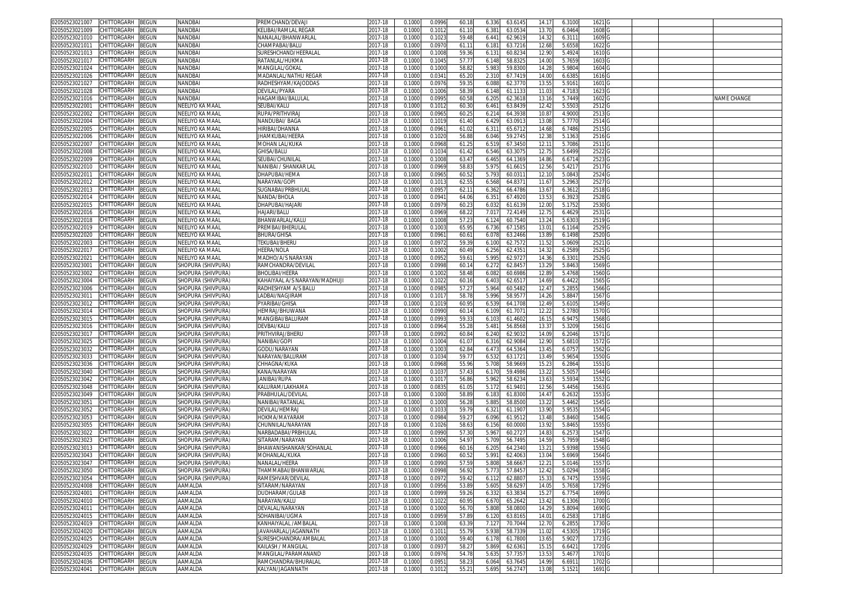| 02050523021007<br>CHITTORGARH<br>BEGUN               | NANDBAI            | PREMCHAND/DEVAJI              | 2017-18     | 0.1000 | 0.0996 | 60.11          | 6.336<br>63.614  | 14.17 | 6.3100 | 1621 G            |  |                    |
|------------------------------------------------------|--------------------|-------------------------------|-------------|--------|--------|----------------|------------------|-------|--------|-------------------|--|--------------------|
| 02050523021009<br>CHITTORGARH<br>BEGUN               | NANDBA             | (ELIBAI/RAMLAL REGAR          | 017-18      | 0.1000 | 0.1012 | 61.10          | 6.38'<br>63.053  | 13.7  | 6.0464 | 1608              |  |                    |
| 02050523021010<br>CHITTORGARH<br>3EGUN               | NANDBAI            | NANALAL/BHANWARLAI            | 2017-18     | 0.1000 | 0.102  | 59.48          | 6.441<br>62.961  | 14.3  | 6.3111 | 1609 <sub>G</sub> |  |                    |
|                                                      |                    | HAMPABAI/BALU                 |             |        |        |                |                  |       |        |                   |  |                    |
| 02050523021011<br>CHITTORGARH<br>BEGUN               | NANDBAI            |                               | 017-18      | 0.1000 | 0.097  | 61.1           | 63.7216<br>6.181 | 12.68 | 5.6558 | 1622              |  |                    |
| 02050523021013<br>CHITTORGARH<br>BEGUN               | NANDBA             | SURESHCHAND/HEERALAL          | 2017-18     | 0.100  | 0.100  | 59.3           | 6.13<br>60.823   | 12.9  | 5.492  | 1610 0            |  |                    |
| 02050523021017<br>CHITTORGARH<br>BEGUN               | NANDBAI            | RATANLAL/HUKMA                | 2017-18     | 0.1000 | 0.104  | 57.7           | 6.148<br>58.832  | 14.00 | 5.7659 | 1603              |  |                    |
| <b>CHITTORGARH</b><br><b>BEGUN</b><br>02050523021024 | NANDBAI            | <b>MANGILAL/GOKAL</b>         | 2017-18     | 0.100  | 0.100  | 58.8           | 5.98<br>59.830   | 14.2  | 5.9804 | 1604              |  |                    |
| CHITTORGARH<br>BEGUN<br>02050523021026               | NANDBAI            | MADANLAL/NATHU REGAR          | 2017-18     | 0.1000 | 0.034  | 65.20          | 2.310<br>67.741  | 14.00 | 6.6385 | 1616              |  |                    |
| 02050523021027<br>CHITTORGARH<br>BEGUN               | NANDBAI            | RADHESHYAM/KAJODDAS           | 2017-18     | 0.100  | 0.097  | 59.3           | 62.377<br>6.08   | 13.5  | 5.916  | 1601              |  |                    |
| CHITTORGARH                                          | NANDBAI            | DEVILAL/PYARA                 |             | 0.1000 | 0.1006 | 58.3           | 61.113           | 11.03 | 4.7183 | 1623              |  |                    |
| 02050523021028<br>3EGUN                              |                    |                               | 2017-18     |        |        |                | 6.148            |       |        |                   |  |                    |
| 02050523021016<br>CHITTORGARH<br>BEGUN               | NANDBAI            | <b>IAGAMIBAI/BALULAL</b>      | 2017-18     | 0.100  | 0.099  | 60.5           | 62.3618<br>6.20  | 13.1  | 5.7449 | 1602              |  | <b>JAME CHANGE</b> |
| CHITTORGARH<br>BEGUN<br>02050523022001               | NEELIYO KA MAAL    | SEUBAI/KALU                   | 2017-18     | 0.1000 | 0.101  | 60.30          | 63.843<br>6.461  | 12.42 | 5.5503 | 2512 G            |  |                    |
| CHITTORGARH<br>BEGUN<br>02050523022002               | NEELIYO KA MAAL    | RUPA/PRITHVIRAJ               | 2017-18     | 0.1000 | 0.096  | 60.2!          | 6.214<br>64.3938 | 10.87 | 4.9000 | 2513 G            |  |                    |
| CHITTORGARH<br>BEGUN<br>02050523022004               | NEELIYO KA MAAL    | NANDUBAI/ BAGA                | 2017-18     | 0.1000 | 0.101  | 61.40          | 6.429<br>63.091  | 13.0  | 5.7770 | 2514 G            |  |                    |
| CHITTORGARH<br>BEGUN<br>02050523022005               | NEELIYO KA MAAL    | <b>HIRIBAI/DHANNA</b>         | 2017-18     | 0.1000 | 0.096  | 61.02          | 6.311<br>65.6712 | 14.6  | 6.7486 | 2515 G            |  |                    |
| BEGUN<br>02050523022006<br>CHITTORGARH               | NEELIYO KA MAAL    | JHAMKUBAI/HEERA               | 2017-18     | 0.1000 | 0.102  | 56.88          | 59.274<br>6.046  | 12.3  | 5.1363 | 2516 G            |  |                    |
|                                                      |                    |                               |             |        |        |                |                  |       |        |                   |  |                    |
| BEGUN<br>02050523022007<br>CHITTORGARH               | NEELIYO KA MAAL    | MOHAN LAL/KUKA                | 2017-18     | 0.1000 | 0.096  | 61.2           | 6.519<br>67.345  | 12.1  | 5.7086 | 2511 G            |  |                    |
| 02050523022008<br>CHITTORGARH<br>3EGUN               | NEELIYO KA MAAL    | GHISA/BALU                    | 2017-18     | 0.100  | 0.103  | 61.42          | 6.546<br>63.307  | 12.7  | 5.6499 | 2522              |  |                    |
| 02050523022009<br>CHITTORGARH<br>BEGUN               | NEELIYO KA MAAL    | SEUBAI/CHUNILAL               | 2017-18     | 0.1000 | 0.1008 | 63.47          | 6.465<br>64.1369 | 14.86 | 6.6714 | 2523              |  |                    |
| CHITTORGARH<br>3EGUN<br>02050523022010               | NEELIYO KA MAAL    | NANIBAI / SHANKAR LAI         | 2017-18     | 0.100  | 0.0969 | 58.8           | 5.97<br>61.661   | 12.5  | 5.421  | 2517 G            |  |                    |
| 02050523022011<br>CHITTORGARH<br>BEGUN               | NEELIYO KA MAAL    | DHAPUBAI/HEMA                 | 2017-18     | 0.1000 | 0.096  | 60.5           | 5.79<br>60.031   | 12.1  | 5.084  | 2524              |  |                    |
| CHITTORGARH<br>3EGUN<br>02050523022012               | NEELIYO KA MAAL    | NARAYAN/GOP                   | 2017-18     | 0.100  | 0.101  | 62.5           | 6.568<br>64.837  | 11.67 | 5.296  | 2527 G            |  |                    |
|                                                      |                    |                               |             |        |        |                |                  |       |        |                   |  |                    |
| CHITTORGARH<br>BEGUN<br>02050523022013               | NEELIYO KA MAAL    | SUGNABAI/PRBHULAL             | 017-18      | 0.1000 | 0.0957 | 62.1           | 6.362<br>66.4786 | 13.67 | 6.3612 | 2518              |  |                    |
| CHITTORGARH<br>BEGUN<br>02050523022014               | NEELIYO KA MAAL    | NANDA/BHOLA                   | 2017-18     | 0.100  | 0.094  | 64.06          | 6.35<br>67.492   | 13.5  | 6.3923 | 2528              |  |                    |
| CHITTORGARH<br>02050523022015<br>3EGUN               | NEELIYO KA MAAL    | HAPUBAI/HAJARI                | 2017-18     | 0.100  | 0.097  | 60.2           | 6.03<br>61.613   | 12.0  | 5.1752 | 2530              |  |                    |
| CHITTORGARH<br>02050523022016<br>3EGUN               | NEELIYO KA MAAL    | HAJARI/BALU                   | $2017 - 18$ | 0.100  | 0.0969 | 68.2           | 7.01<br>72.414   | 12.7  | 6.4629 | 2531 G            |  |                    |
| 02050523022018<br>CHITTORGARH<br>BEGUN               | NEELIYO KA MAAL    | BHANWARLAL/KALU               | 2017-18     | 0.1000 | 0.100  | 57.2           | 6.124<br>60.7540 | 13.24 | 5.6303 | 2519 <sub>G</sub> |  |                    |
| 02050523022019<br>CHITTORGARH<br>BEGUN               | NEELIYO KA MAAL    | PREMBAI/BHERULAI              | 2017-18     | 0.100  | 0.100  | 65.9           | 6.736<br>67.158  | 13.0  | 6.1164 | 2529              |  |                    |
|                                                      |                    |                               |             |        |        |                |                  |       |        |                   |  |                    |
| 02050523022020<br>CHITTORGARH<br>BEGUN               | NEELIYO KA MAAL    | BHURA/GHISA                   | 017-18      | 0.100  | 0.096  | 60.6           | 6.07<br>63.2466  | 13.89 | 6.1498 | 2520              |  |                    |
| 02050523022003<br>CHITTORGARH<br>BEGUN               | NEELIYO KA MAAL    | TEKUBAI/BHERL                 | 2017-18     | 0.100  | 0.097  | 59.3           | 6.100<br>62.757  | 11.5  | 5.0609 | 2521 G            |  |                    |
| CHITTORGARH<br>02050523022017<br>BEGUN               | NEELIYO KA MAAL    | HEERA/NOLA                    | 017-18      | 0.1000 | 0.100  | 60.49          | 62.435<br>6.256  | 14.3  | 6.2589 | 2525              |  |                    |
| 02050523022021<br>CHITTORGARH<br>BEGUN               | NEELIYO KA MAAL    | <b>MADHO/A/S NARAYAN</b>      | 017-18      | 0.100  | 0.095  | 59.6           | 5.99<br>62.972   | 14.3  | 6.330  | 2526              |  |                    |
| CHITTORGARH<br>02050523023001<br>BEGUN               | SHOPURA (SHIVPURA) | RAMCHANDRA/DEVILAI            | 2017-18     | 0.1000 | 0.0998 | 60.1           | 6.272<br>62.845  | 13.29 | 5.8463 | 1569              |  |                    |
| 02050523023002<br>CHITTORGARH<br>3EGUN               | SHOPURA (SHIVPURA) | BHOLIBAI/HEERA                | 017-18      | 0.100  | 0.100  | 58.48          | 60.698<br>6.082  | 12.8  | 5.4768 | 1560              |  |                    |
|                                                      |                    |                               |             |        |        |                |                  |       |        |                   |  |                    |
| CHITTORGARH<br>BEGUN<br>02050523023004               | SHOPURA (SHIVPURA) | KAHAIYAAL A/S NARAYAN/MADHUJI | 2017-18     | 0.1000 | 0.102  | 60.1           | 6.403<br>62.651  | 14.69 | 6.4422 | 1565              |  |                    |
| 02050523023006<br>CHITTORGARH<br>BEGUN               | SHOPURA (SHIVPURA) | RADHESHYAM A/S BALU           | 2017-18     | 0.100  | 0.098  | 57.2           | 5.964<br>60.548  | 12.4  | 5.2855 | 1566 <sub>C</sub> |  |                    |
| CHITTORGARH<br>BEGUN<br>02050523023011               | SHOPURA (SHIVPURA) | ADBAI/NAGJIRAM                | 2017-18     | 0.1000 | 0.101  | 58.78          | 5.996<br>58.957  | 14.26 | 5.8847 | 1567 G            |  |                    |
| CHITTORGARH<br>BEGUN<br>02050523023012               | SHOPURA (SHIVPURA) | PYARIBAI/GHISA                | 2017-18     | 0.1000 | 0.1019 | 60.99          | 6.539<br>64.170  | 12.49 | 5.6105 | 1549 G            |  |                    |
| BEGUN<br>02050523023014<br>CHITTORGARH               | SHOPURA (SHIVPURA) | HEMRAJ/BHUWANA                | 2017-18     | 0.1000 | 0.0990 | 60.1           | 6.109<br>61.707  | 12.22 | 5.2780 | 1570 G            |  |                    |
| CHITTORGARH<br>BEGUN<br>02050523023015               | SHOPURA (SHIVPURA) | MANGIBAI/BALURAM              | 2017-18     | 0.1000 | 0.0993 | 59.3           | 6.10<br>61.4602  | 16.1! | 6.9475 | 1568 <sub>G</sub> |  |                    |
|                                                      |                    |                               |             |        |        |                |                  |       |        |                   |  |                    |
| CHITTORGARH<br>BEGUN<br>02050523023016               | SHOPURA (SHIVPURA) | DEVBAI/KALU                   | 2017-18     | 0.1000 | 0.0964 | 55.28          | 5.48'<br>56.8568 | 13.37 | 5.3209 | 1561 G            |  |                    |
| BEGUN<br>02050523023017<br>CHITTORGARH               | SHOPURA (SHIVPURA) | PRITHVIRAJ/BHERU              | 2017-18     | 0.1000 | 0.0992 | 60.8           | 6.240<br>62.903  | 14.0  | 6.2046 | 1571 G            |  |                    |
| 02050523023025<br>CHITTORGARH<br>BEGUN               | SHOPURA (SHIVPURA) | NANIBAI/GOPI                  | 2017-18     | 0.100  | 0.1004 | 61.0           | 6.316<br>62.908  | 12.90 | 5.681  | 1572              |  |                    |
| 02050523023032<br>CHITTORGARH<br>BEGUN               | SHOPURA (SHIVPURA) | GODU/NARAYAN                  | 017-18      | 0.100  | 0.1003 | 62.84          | 6.473<br>64.536  | 13.45 | 6.0757 | 1562              |  |                    |
| CHITTORGARH<br>3EGUN<br>02050523023033               | SHOPURA (SHIVPURA) | NARAYAN/BALURAN               | 2017-18     | 0.1000 | 0.103  | 59.7           | 6.53<br>63.172   | 13.49 | 5.9654 | 1550              |  |                    |
| CHITTORGARH<br>BEGUN<br>02050523023036               | SHOPURA (SHIVPURA) | CHHAGNA/KUKA                  | 2017-18     | 0.1000 | 0.0968 | 55.96          | 5.708<br>58.966  | 15.23 | 6.2864 | 1551 <sub>C</sub> |  |                    |
|                                                      |                    |                               |             |        |        |                |                  |       |        |                   |  |                    |
| 02050523023040<br>CHITTORGARH<br>BEGUN               | SHOPURA (SHIVPURA) | KANA/NARAYAN                  | 2017-18     | 0.100  | 0.103  | 57.43          | 6.170<br>59.498  | 13.2  | 5.505  | 1544 G            |  |                    |
| CHITTORGARH<br>02050523023042<br>BEGUN               | SHOPURA (SHIVPURA) | <b>JANIBAI/RUPA</b>           | 2017-18     | 0.1000 | 0.101  | 56.86          | 5.962<br>58.623  | 13.63 | 5.5934 | 1552 G            |  |                    |
| CHITTORGARH<br>02050523023048<br>3EGUN               | SHOPURA (SHIVPURA) | KALURAM/LAKHAMA               | 2017-18     | 0.100  | 0.083  | 61.0           | 5.172<br>61.940  | 12.56 | 5.4456 | 1563              |  |                    |
| 02050523023049<br>CHITTORGARH<br>3EGUN               | SHOPURA (SHIVPURA) | PRABHULAL/DEVILAI             | 017-18      | 0.1000 | 0.100  | 58.8           | 6.183<br>61.830  | 14.47 | 6.2632 | 1553              |  |                    |
| 02050523023051<br>CHITTORGARH<br>BEGUN               | SHOPURA (SHIVPURA) | NANIBAI/RATANLAL              | 2017-18     | 0.100  | 0.100  | 56.2           | 5.88<br>58.850   | 13.2  | 5.4462 | 1545 <sub>G</sub> |  |                    |
| 02050523023052<br>CHITTORGARH<br>BEGUN               | SHOPURA (SHIVPURA) | DEVILAL/HEMRAJ                | 2017-18     | 0.1000 | 0.103  | 59.7           | 61.190<br>6.32   | 13.90 | 5.953  | 1554              |  |                    |
| CHITTORGARH                                          |                    |                               |             |        |        |                |                  |       |        |                   |  |                    |
| 02050523023053<br>3EGUN                              | SHOPURA (SHIVPURA) | HOKMA/MAYARAN                 | 2017-18     | 0.100  | 0.098  | 59.2           | 6.096<br>61.951  | 13.4  | 5.8460 | 1546              |  |                    |
| <b>CHITTORGARH</b><br>02050523023055<br>BEGUN        | SHOPURA (SHIVPURA) | CHUNNILAL/NARAYAN             | 2017-18     | 0.1000 | 0.102  | 58.6           | 6.156<br>60.000  | 13.92 | 5.8465 | 1555              |  |                    |
| CHITTORGARH<br>02050523023022<br>3EGUN               | SHOPURA (SHIVPURA) | VARBADABAI/PRBHULA            | 2017-18     | 0.100  | 0.099  | 57.3           | 5.96<br>60.272   | 14.8  | 6.257  | 1547              |  |                    |
| CHITTORGARH<br>02050523023023<br>3EGUN               | SHOPURA (SHIVPURA) | SITARAM/NARAYAN               | 2017-18     | 0.1000 | 0.1006 | 54.9           | 5.709<br>56.749  | 14.59 | 5.7959 | 1548              |  |                    |
| 02050523023013<br>CHITTORGARH<br>3EGUN               | SHOPURA (SHIVPURA) | BHAWANISHANKAR/SOHANLAL       | 2017-18     | 0.100  | 0.0966 | 60.1           | 64.234<br>6.20   | 13.2  | 5.9398 | 1556              |  |                    |
| 02050523023043<br>CHITTORGARH<br>BEGUN               | SHOPURA (SHIVPURA) | MOHANLAL/KUKA                 | 2017-18     | 0.1000 | 0.0960 | 60.5           | 5.99<br>62.406   | 13.04 | 5.6969 | 1564              |  |                    |
| 02050523023047<br>CHITTORGARH<br>3EGUN               | SHOPURA (SHIVPURA) | VANALAL/HEERA                 | 2017-18     | 0.100  | 0.099  | 57.5           | 5.80<br>58.666   | 12.2  | 5.0146 | 1557              |  |                    |
|                                                      |                    |                               |             |        |        |                |                  |       |        |                   |  |                    |
| 02050523023050 CHILIORGARH BEGUN                     | SHOPURA (SHIVPURA) | THAMMABAI/BHANWARLAL          | 2017-18     | 0.1000 | 0.0998 | 56.92          | 5.773<br>57.8457 | 12.42 | 5.0294 | 1558 G            |  |                    |
| 02050523023054 CHITTORGARH BEGUN                     | SHOPURA (SHIVPURA) | RAMESHVAR/DEVILAL             | 2017-18     | 0.1000 | 0.0972 | 59.42          | 6.112<br>62.8807 | 15.33 | 6.7475 | 1559 G            |  |                    |
| 02050523024008<br>CHITTORGARH<br>BEGUN               | AAMALDA            | SITARAM/NARAYAN               | 2017-18     | 0.1000 | 0.0956 | 53.89          | 5.605<br>58.6297 | 14.05 | 5.7658 | 1729 G            |  |                    |
| 02050523024001<br>CHITTORGARH<br>BEGUN               | AAMALDA            | DUDHARAM/GULAB                | 2017-18     | 0.1000 | 0.0999 | 59.26          | 6.332<br>63.3834 | 15.27 | 6.7754 | 1699 G            |  |                    |
| 02050523024010<br>CHITTORGARH<br>BEGUN               | AAMALDA            | NARAYAN/KALU                  | 2017-18     | 0.1000 | 0.1022 | 60.95          | 6.670<br>65.2642 | 13.42 | 6.1306 | 1700 G            |  |                    |
| 02050523024011<br>CHITTORGARH<br>BEGUN               | AAMALDA            | DEVALAL/NARAYAN               | 2017-18     | 0.1000 | 0.1000 | 56.70          | 5.808<br>58.0800 | 14.29 | 5.8094 | 1690 G            |  |                    |
|                                                      |                    |                               |             |        |        |                |                  |       |        |                   |  |                    |
| CHITTORGARH<br>02050523024015<br>BEGUN               | AAMALDA            | SOHANIBAI/UGMA                | 2017-18     | 0.1000 | 0.0959 | 57.89          | 6.120<br>63.8165 | 14.01 | 6.2583 | 1718 <sub>G</sub> |  |                    |
| 02050523024019<br>CHITTORGARH<br>BEGUN               | AAMALDA            | KANHAIYALAL /AMBALAL          | 2017-18     | 0.1000 | 0.1008 | 63.39          | 7.127<br>70.7044 | 12.70 | 6.2855 | 1730 G            |  |                    |
| 02050523024020<br>CHITTORGARH<br>BEGUN               | AAMALDA            | JAVAHARLAL/JAGANNATH          | 2017-18     | 0.1000 | 0.1011 | 55.79          | 5.938<br>58.733  | 11.02 | 4.5305 | 1719 G            |  |                    |
| 02050523024025<br>CHITTORGARH<br>BEGUN               | AAMALDA            | SURESHCHANDRA/AMBALAL         | 2017-18     | 0.1000 | 0.1000 | 59.40          | 6.178<br>61.780  | 13.65 | 5.9027 | 1723 G            |  |                    |
| 02050523024029<br>CHITTORGARH<br>BEGUN               | AAMALDA            | KAILASH / MANGILAL            | 2017-18     | 0.1000 | 0.0937 | 58.27          | 5.869<br>62.636  | 15.15 | 6.642  | 1720 G            |  |                    |
| 02050523024035<br>CHITTORGARH<br>BEGUN               | AAMALDA            | MANGILAL/PARAMANAND           | 2017-18     | 0.1000 | 0.0976 | 54.78          | 5.635<br>57.735  | 13.53 | 5.4677 | 1701 G            |  |                    |
|                                                      |                    |                               |             |        |        |                |                  |       |        |                   |  |                    |
| 02050523024036<br>CHITTORGARH<br><b>BEGUN</b>        | AAMALDA            | RAMCHANDRA/BHURALAL           | 2017-18     | 0.1000 | 0.0951 | 58.23          | 6.064<br>63.7645 | 14.99 | 6.6911 | 1702 G            |  |                    |
| CHITTORGARH BEGUN<br>02050523024041                  | AAMALDA            | KALYAN/JAGANNATH              | 2017-18     | 0.1000 | 0.1012 | $55.2^{\circ}$ | 5.695<br>56.2747 | 13.08 | 5.1521 | 1691 G            |  |                    |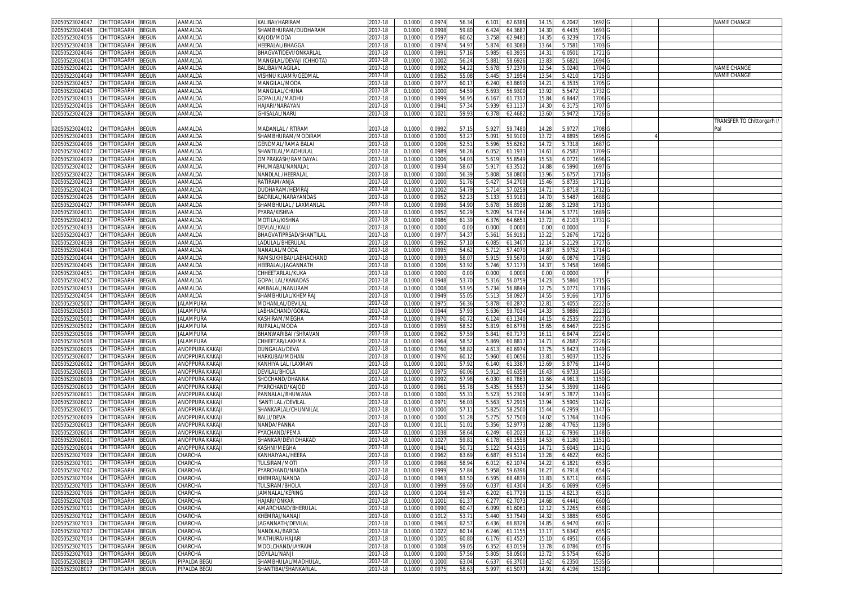| 02050523024047                    | CHITTORGARH        | <b>BEGUN</b> | AAMALDA          | KALIBAI/HARIRAM           | 2017-18 | 0.1000 | 0.0974 | 56.34          | 6.101 | 62.6386 | 14.15          | 6.2042 | 1692 G            |  | NAME CHANGE                |
|-----------------------------------|--------------------|--------------|------------------|---------------------------|---------|--------|--------|----------------|-------|---------|----------------|--------|-------------------|--|----------------------------|
| 2050523024048                     | CHITTORGARH        | <b>BEGUN</b> | AAMALDA          | SHAMBHURAM/DUDHARAM       | 2017-18 | 0.1000 | 0.0998 | 59.80          | 6.424 | 64.368  | 14.30          | 6.443  | 1693 G            |  |                            |
| 2050523024056                     | CHITTORGARH        | BEGUN        | AAMALDA          | KAJOD/MODA                | 2017-18 | 0.1000 | 0.0597 | 60.62          | 3.758 | 62.948  | 14.35          | 6.323  | 1724 G            |  |                            |
| 2050523024018                     | CHITTORGARF        | BEGUN        | AAMALDA          | <b>IEERALAL/BHAGGA</b>    | 2017-18 | 0.1000 | 0.0974 | 54.97          | 5.874 | 60.308  | 13.64          | 5.758  | 1703 G            |  |                            |
|                                   |                    |              |                  |                           |         |        |        |                |       |         |                |        |                   |  |                            |
| )2050523024046                    | CHITTORGARH        | BEGUN        | AAMALDA          | BHAGVATIDEVI/ONKARLAL     | 2017-18 | 0.1000 | 0.099  | 57.16          | 5.985 | 60.393  | 14.3'          | 6.050  | 1721 G            |  |                            |
| 2050523024014                     | CHITTORGARF        | BEGUN        | AAMALDA          | MANGILAL/DEVAJI (CHHOTA)  | 2017-18 | 0.1000 | 0.100  | 56.24          | 5.88  | 58.692  | 13.83          | 5.682  | 1694 G            |  |                            |
| 12050523024021                    | CHITTORGARF        | EGUN         | AAMALDA          | BALIBAI/MAGILAL           | 2017-18 | 0.1000 | 0.099  | 54.22          | 5.678 | 57.237  | 12.5           | 5.024  | 1704 G            |  | NAME CHANGE                |
| 2050523024049                     | CHITTORGARH        | BEGUN        | AAMALDA          | VISHNU KUAMR/GEDMAL       | 2017-18 | 0.1000 | 0.095  | 55.08          | 5.445 | 57.195  | 13.54          | 5.421  | 1725 G            |  | NAME CHANGE                |
| 02050523024057                    | CHITTORGARH        | BEGUN        | AAMALDA          | MANGILAL/MODA             | 2017-18 | 0.1000 | 0.097  | 60.1           | 6.240 | 63.869  | $14.2^{\circ}$ | 6.353  | 1705 <sub>G</sub> |  |                            |
| 2050523024040                     | CHITTORGARH        | EGUN         | AAMALDA          | MANGILAL/CHUNA            | 2017-18 | 0.1000 | 0.100  | 54.59          | 5.693 | 56.930  | 13.92          | 5.5472 | 1732 G            |  |                            |
|                                   |                    |              |                  |                           |         |        |        |                |       |         |                |        |                   |  |                            |
| 02050523024013                    | CHITTORGARH        | EGUN         | AAMALDA          | GOPALLAL/MADHL            | 2017-18 | 0.1000 | 0.0999 | 56.95          | 6.167 | 61.731  | 15.8           | 6.8447 | 1706 G            |  |                            |
| 02050523024016                    | CHITTORGARH        | BEGUN        | AAMALDA          | HAJARI/NARAYAN            | 2017-18 | 0.1000 | 0.094  | 57.34          | 5.939 | 63.113  | 14.30          | 6.3175 | 1707 <sub>G</sub> |  |                            |
| 02050523024028                    | CHITTORGARH        | <b>BEGUN</b> | AAMALDA          | <b>GHISALAL/NARU</b>      | 2017-18 | 0.1000 | 0.102  | 59.93          | 6.378 | 62.468  | 13.60          | 5.9472 | 1726 G            |  |                            |
|                                   |                    |              |                  |                           |         |        |        |                |       |         |                |        |                   |  | TRANSFER TO Chittorgarh I/ |
| )2050523024002                    | CHITTORGARH        | BEGUN        | AAMALDA          | <b>MADANLAL / RTIRAM</b>  | 2017-18 | 0.1000 | 0.099  | 57.15          | 5.927 | 59.748  | 14.28          | 5.972  | 1708 <sub>G</sub> |  | Pal                        |
| 02050523024003                    | CHITTORGARH        | <b>BEGUN</b> | AAMALDA          | SHAMBHURAM/MODIRAM        | 2017-18 | 0.1000 | 0.1000 | 53.2           | 5.091 | 50.910  | 13.72          | 4.889  | 1695 C            |  |                            |
| 02050523024006                    | CHITTORGARH        | EGUN         | AAMALDA          | GENDMAL/RAMA BALA         | 2017-18 | 0.100  | 0.1006 | 52.5           | 5.596 | 55.626  | 14.72          | 5.731  | 1687              |  |                            |
|                                   |                    |              |                  |                           |         |        |        |                |       |         |                |        |                   |  |                            |
| 02050523024007                    | CHITTORGARF        | EGUN         | AAMALDA          | SHANTILAL/MADHULAL        | 2017-18 | 0.100  | 0.098  | 56.26          | 6.052 | 61.193  | 14.6           | 6.258  | 1709 <sub>C</sub> |  |                            |
| 02050523024009                    | CHITTORGARH        | EGUN         | AAMALDA          | <b>OMPRAKASH/RAMDAYAI</b> | 2017-18 | 0.1000 | 0.100  | 54.0           | 5.619 | 55.854  | 15.5           | 6.072  | 16960             |  |                            |
| 02050523024012                    | <b>CHITTORGARF</b> | EGUN         | AAMALDA          | <b>HUMABAI/NANALAI</b>    | 2017-18 | 0.100  | 0.093  | 58.6           | 5.917 | 63.351  | 14.8           | 6.599  | 1697 <sub>C</sub> |  |                            |
| 2050523024022                     | <b>CHITTORGARH</b> | EGUN         | AAMALDA          | VANDLAL /HEERALAL         | 2017-18 | 0.100  | 0.100  | 56.3           | 5.808 | 58.080  | 13.96          | 5.675  | 1710 <sub>C</sub> |  |                            |
| 02050523024023                    | CHITTORGARH        | EGUN         | AAMALDA          | RATIRAM/ANJA              | 2017-18 | 0.1000 | 0.1000 | 51.76          | 5.427 | 54.270  | 15.46          | 5.873  | 1711 G            |  |                            |
| 02050523024024                    | <b>CHITTORGARH</b> | EGUN         | AAMALDA          | )UDHARAM/HEMRA.           | 2017-18 | 0.1000 | 0.100  | 54.7           | 5.714 | 57.025  | 14.7           | 5.871  | 1712 0            |  |                            |
| 02050523024026                    | CHITTORGARH        | BEGUN        | AAMALDA          | BADRILAL/NARAYANDAS       | 2017-18 | 0.1000 | 0.095  | 52.23          | 5.133 | 53.918  | 14.70          | 5.548  | 1688 G            |  |                            |
|                                   |                    |              |                  |                           |         |        |        |                |       |         |                |        |                   |  |                            |
| 2050523024027                     | CHITTORGARH        | <b>BEGUN</b> | AAMALDA          | SHAMBHULAL / LAXMANLAL    | 2017-18 | 0.1000 | 0.0998 | 54.90          | 5.678 | 56.8938 | 12.88          | 5.1298 | 1713 G            |  |                            |
| 02050523024031                    | CHITTORGARH        | BEGUN        | AAMALDA          | PYARA/KISHNA              | 2017-18 | 0.1000 | 0.095  | 50.29          | 5.209 | 54.716  | 14.04          | 5.377  | 1689 G            |  |                            |
| 2050523024032                     | CHITTORGARH        | BEGUN        | AAMALDA          | MOTILAL/KISHNA            | 2017-18 | 0.1000 | 0.0986 | 61.39          | 6.376 | 64.665  | 13.72          | 6.210  | 1731 G            |  |                            |
| )2050523024033                    | CHITTORGARH        | EGUN         | AAMALDA          | DEVLAL/KALU               | 2017-18 | 0.1000 | 0.0000 | 0.00           | 0.000 | 0.000   | 0.00           | 0.0000 |                   |  |                            |
| 2050523024037                     | <b>CHITTORGARH</b> | BEGUN        | AAMALDA          | BHAGVATIPRSAD/SHANTILAL   | 2017-18 | 0.1000 | 0.097  | 54.3           | 5.561 | 56.919  | 13.22          | 5.2676 | 1722 G            |  |                            |
| 02050523024038                    | CHITTORGARF        | BEGUN        | AAMALDA          | LADULAL/BHERULAL          | 2017-18 | 0.1000 | 0.099  | 57.10          | 6.085 | 61.340  | 12.1           | 5.212  | 1727 G            |  |                            |
|                                   |                    |              |                  |                           |         |        |        |                |       |         |                |        |                   |  |                            |
| 2050523024043                     | <b>CHITTORGARH</b> | BEGUN        | AAMALDA          | NANALAL/MODA              | 2017-18 | 0.1000 | 0.099  | 54.62          | 5.712 | 57.407  | 14.8           | 5.9752 | 1714 G            |  |                            |
| 02050523024044                    | CHITTORGARH        | BEGUN        | AAMALDA          | RAMSUKHIBAI/LABHACHAND    | 2017-18 | 0.1000 | 0.099  | 58.0           | 5.915 | 59.567  | 14.6           | 6.087  | 1728 G            |  |                            |
| 2050523024045                     | CHITTORGARH        | EGUN         | AAMALDA          | HEERALAL/JAGANNATH        | 2017-18 | 0.1000 | 0.100  | 53.92          | 5.746 | 57.117  | 14.3           | 5.7458 | 1698 <sub>G</sub> |  |                            |
| 02050523024051                    | CHITTORGARH        | EGUN         | AAMALDA          | CHHEETARLAL/KUKA          | 2017-18 | 0.1000 | 0.0000 | 0.00           | 0.000 | 0.000   | 0.00           | 0.0000 |                   |  |                            |
| 2050523024052                     | CHITTORGARH        | BEGUN        | AAMALDA          | <b>GOPAL LAL/KANADAS</b>  | 2017-18 | 0.1000 | 0.0948 | 53.70          | 5.316 | 56.075  | 14.23          | 5.5860 | 1715 <sub>G</sub> |  |                            |
| 02050523024053                    | CHITTORGARH        | BEGUN        | AAMALDA          | AMBALAL/NANURAM           | 2017-18 | 0.1000 | 0.100  | 53.95          | 5.734 | 56.884  | 12.75          | 5.0771 | 1716 G            |  |                            |
|                                   |                    |              |                  |                           |         |        |        |                |       |         |                |        |                   |  |                            |
| 2050523024054                     | CHITTORGARH        | EGUN         | AAMALDA          | SHAMBHULAL/KHEMRAJ        | 2017-18 | 0.1000 | 0.0949 | 55.0           | 5.513 | 58.092  | 14.5           | 5.9166 | 1717 0            |  |                            |
| 02050523025007                    | <b>CHITTORGARI</b> | EGUN         | <b>JALAMPURA</b> | MOHANLAL/DEVILA           | 2017-18 | 0.100  | 0.097  | 56.36          | 5.878 | 60.287  | 12.8           | 5.405  | 2222              |  |                            |
| 02050523025003                    | <b>CHITTORGARH</b> | EGUN         | <b>JALAMPURA</b> | ABHACHAND/GOKAI           | 2017-18 | 0.1000 | 0.094  | 57.93          | 5.636 | 59.703  | 14.33          | 5.988  | 2223              |  |                            |
| 0205052302500                     | CHITTORGARF        | EGUN         | <b>JALAMPURA</b> | KASHIRAM/MEGHA            | 2017-18 | 0.1000 | 0.097  | 60.7           | 6.124 | 63.134  | 14.1           | 6.253  | 2227              |  |                            |
| 2050523025002                     | CHITTORGARH        | EGUN         | <b>IALAMPURA</b> | RUPALAL/MODA              | 2017-18 | 0.1000 | 0.095  | 58.5           | 5.819 | 60.677  | 15.6           | 6.646  | 2225              |  |                            |
| 02050523025006                    | <b>CHITTORGARH</b> | BEGUN        | <b>IALAMPURA</b> | BHANWARIBAI /SHRAVAN      | 2017-18 | 0.1000 | 0.096  | 57.5           | 5.84  | 60.717  | 16.1           | 6.847  | 2224              |  |                            |
|                                   |                    |              |                  |                           |         |        |        |                |       |         |                |        |                   |  |                            |
| 02050523025008                    | CHITTORGARH        | EGUN         | <b>JALAMPURA</b> | CHHEETAR/LAKHMA           | 2017-18 | 0.1000 | 0.096  | 58.5           | 5.869 | 60.881  | 14.7           | 6.268  | 2226 <sub>C</sub> |  |                            |
| 2050523026005                     | <b>CHITTORGARH</b> | EGUN         | ANOPPURA KAKAJI  | )UNGALAL/DEVA             | 2017-18 | 0.100  | 0.076  | 58.8           | 4.61  | 60.697  | 13.7           | 5.842  | 1149              |  |                            |
| )2050523026007                    | CHITTORGARH        | BEGUN        | ANOPPURA KAKAJ   | HARKUBAI/MOHAN            | 2017-18 | 0.1000 | 0.097  | 60.12          | 5.960 | 61.065  | $13.8^{\circ}$ | 5.903  | 1152              |  |                            |
| 02050523026002                    | <b>HITTORGARH</b>  | EGUN         | ANOPPURA KAKAJ   | KANHIYA LAL /LAXMAN       | 2017-18 | 0.1000 | 0.100  | 57.9           | 6.140 | 61.338  | 13.6           | 5.877  | 1144              |  |                            |
| 02050523026003                    | <b>CHITTORGARH</b> | EGUN         | ANOPPURA KAKAJI  | <b>DEVILAL/BHOLA</b>      | 2017-18 | 0.1000 | 0.097  | 60.06          | 5.912 | 60.635  | 16.4           | 6.973  | 1145 G            |  |                            |
| 2050523026006                     | CHITTORGARH        | EGUN         | ANOPPURA KAKAJ   | SHOCHAND/DHANNA           | 2017-18 | 0.1000 | 0.099  | 57.98          | 6.030 | 60.786  | 11.66          | 4.961  | 1150 <sub>G</sub> |  |                            |
| 02050523026010                    | CHITTORGARH        | BEGUN        | ANOPPURA KAKAJ   | PYARCHAND/KAJOD           | 2017-18 | 0.1000 | 0.096  | 55.78          | 5.435 | 56.555  | 13.54          | 5.359  | 1146 G            |  |                            |
|                                   |                    |              |                  |                           |         |        |        |                |       |         |                |        |                   |  |                            |
| 205052302601                      | CHITTORGARH        | BEGUN        | ANOPPURA KAKAJ   | PANNALAL/BHUWANA          | 2017-18 | 0.1000 | 0.1000 | 55.3           | 5.523 | 55.230  | 14.97          | 5.787  | 1143 G            |  |                            |
| )2050523026012                    | CHITTORGARH        | BEGUN        | ANOPPURA KAKAJ   | SANTI LAL / DEVILAL       | 2017-18 | 0.1000 | 0.097  | 56.03          | 5.563 | 57.291  | 13.94          | 5.5905 | 1142 G            |  |                            |
| 2050523026015                     | <b>CHITTORGARH</b> | BEGUN        | ANOPPURA KAKAJ   | SHANKARLAL/CHUNNILAI      | 2017-18 | 0.1000 | 0.1000 | 57.1'          | 5.825 | 58.250  | 15.44          | 6.295  | 1147 G            |  |                            |
| 02050523026009                    | CHITTORGARH        | BEGUN        | ANOPPURA KAKAJI  | BALU/DEVA                 | 2017-18 | 0.1000 | 0.1000 | 51.28          | 5.275 | 52.750  | 14.02          | 5.1764 | 1140 G            |  |                            |
| 2050523026013                     | CHITTORGARH        | BEGUN        | ANOPPURA KAKAJI  | NANDA/PANNA               | 2017-18 | 0.1000 | 0.101  | 51.0           | 5.356 | 52.977  | 12.8           | 4.7765 | 1139 G            |  |                            |
| 02050523026014                    | CHITTORGARF        | BEGUN        | ANOPPURA KAKAJI  | PYACHAND/PEMA             | 2017-18 | 0.1000 | 0.103  | 58.64          | 6.249 | 60.202  | 16.1           | 6.7936 | 1148 G            |  |                            |
|                                   |                    |              |                  | SHANKAR/DEVI DHAKAD       |         |        |        |                |       |         |                |        |                   |  |                            |
| 205052302600                      | CHITTORGARF        | EGUN         | ANOPPURA KAKAJI  |                           | 2017-18 | 0.1000 | 0.102  | 59.8           | 6.178 | 60.155  | 14.5           | 6.1180 | 1151 <sub>G</sub> |  |                            |
| 02050523026004                    | CHITTORGARF        | EGUN         | ANOPPURA KAKAJI  | KASHNI/MEGHA              | 2017-18 | 0.1000 | 0.094  | 50.7           | 5.122 | 54.431  | 14.7           | 5.604  | 1141 G            |  |                            |
| 02050523027009                    | CHITTORGARH        | BEGUN        | CHARCHA          | KANHAIYAAL/HEERA          | 2017-18 | 0.1000 | 0.096  | 63.69          | 6.687 | 69.511  | 13.28          | 6.462  | 662 <sub>G</sub>  |  |                            |
| 02050523027001                    | CHITTORGARH        | <b>BEGUN</b> | CHARCHA          | TULSIRAM/MOTI             | 2017-18 | 0.1000 | 0.096  | 58.94          | 6.01  | 62.107  | 14.2           | 6.1821 | 653 G             |  |                            |
| 102050523027002 CHILLORGARH BEGUN |                    |              | JHARCHA          | 2YARCHAND/NANDA           | 2017-18 | 0.1000 | 0.0999 | 51.84          | 5.958 | 59.6396 | 16.27          | 6.7918 | 654 G             |  |                            |
| 02050523027004                    | CHITTORGARH        | <b>BEGUN</b> | CHARCHA          | KHEMRAJ/NANDA             | 2017-18 | 0.1000 | 0.0963 | 63.50          | 6.595 | 68.483  | 11.83          | 5.671  | 663 G             |  |                            |
| 02050523027005                    | CHITTORGARH        | BEGUN        | CHARCHA          | TULSIRAM/BHOLA            | 2017-18 | 0.1000 | 0.0999 | 59.60          | 6.037 | 60.4304 | 14.35          | 6.0699 | 659 G             |  |                            |
|                                   |                    |              |                  |                           |         |        |        |                |       |         |                |        |                   |  |                            |
| 02050523027006                    | CHITTORGARH        | <b>BEGUN</b> | CHARCHA          | JAMNALAL/KERING           | 2017-18 | 0.1000 | 0.1004 | 59.47          | 6.202 | 61.772  | 11.15          | 4.821  | 651 G             |  |                            |
| 02050523027008                    | CHITTORGARH        | BEGUN        | CHARCHA          | HAJARI/ONKAR              | 2017-18 | 0.1000 | 0.1001 | 61.37          | 6.277 | 62.7073 | 14.68          | 6.4441 | 660 <sub>G</sub>  |  |                            |
| 02050523027011                    | CHITTORGARH        | BEGUN        | CHARCHA          | AMARCHAND/BHERULAL        | 2017-18 | 0.1000 | 0.0990 | 60.4           | 6.099 | 61.606  | 12.12          | 5.2265 | 658 <sub>G</sub>  |  |                            |
| 02050523027012                    | CHITTORGARH        | <b>BEGUN</b> | CHARCHA          | KHEMRAJ/NANAJI            | 2017-18 | 0.1000 | 0.101  | $53.7^{\circ}$ | 5.440 | 53.7549 | 14.32          | 5.3885 | 650 <sub>G</sub>  |  |                            |
| 02050523027013                    | CHITTORGARH        | BEGUN        | CHARCHA          | JAGANNATH/DEVILAL         | 2017-18 | 0.1000 | 0.096  | 62.5           | 6.436 | 66.8328 | 14.8           | 6.947  | 661 <sub>G</sub>  |  |                            |
| 02050523027007                    | CHITTORGARH        | <b>BEGUN</b> | CHARCHA          | NANDLAL/BARDA             | 2017-18 | 0.1000 | 0.102  | 60.14          | 6.246 | 61.1155 | 13.1           | 5.6342 | 655 G             |  |                            |
|                                   |                    |              |                  |                           |         |        |        |                |       |         |                |        |                   |  |                            |
| 02050523027014                    | CHITTORGARH        | <b>BEGUN</b> | CHARCHA          | MATHURA/HAJARI            | 2017-18 | 0.1000 | 0.100  | 60.80          | 6.176 | 61.452  | 15.10          | 6.4951 | 656 <sub>G</sub>  |  |                            |
| 02050523027015                    | CHITTORGARH        | BEGUN        | CHARCHA          | MOOLCHAND/JAYRAM          | 2017-18 | 0.1000 | 0.1008 | 59.05          | 6.352 | 63.015  | 13.78          | 6.0786 | 657 G             |  |                            |
| 02050523027003                    | CHITTORGARH        | <b>BEGUN</b> | CHARCHA          | devilal/Nanji             | 2017-18 | 0.1000 | 0.1000 | 57.56          | 5.805 | 58.050  | 13.72          | 5.5754 | 652 G             |  |                            |
| 02050523028019                    | CHITTORGARH        | <b>BEGUN</b> | PIPALDA BEGU     | SHAMBHULAL/MADHULAL       | 2017-18 | 0.1000 | 0.1000 | 63.04          | 6.637 | 66.3700 | 13.42          | 6.2350 | 1535 G            |  |                            |
| 02050523028017 CHITTORGARH        |                    | <b>BEGUN</b> | PIPALDA BEGU     | SHANTIBAI/SHANKARLAL      | 2017-18 | 0.1000 | 0.0975 | 58.63          | 5.997 | 61.5077 | 14.91          | 6.4196 | 1520 G            |  |                            |
|                                   |                    |              |                  |                           |         |        |        |                |       |         |                |        |                   |  |                            |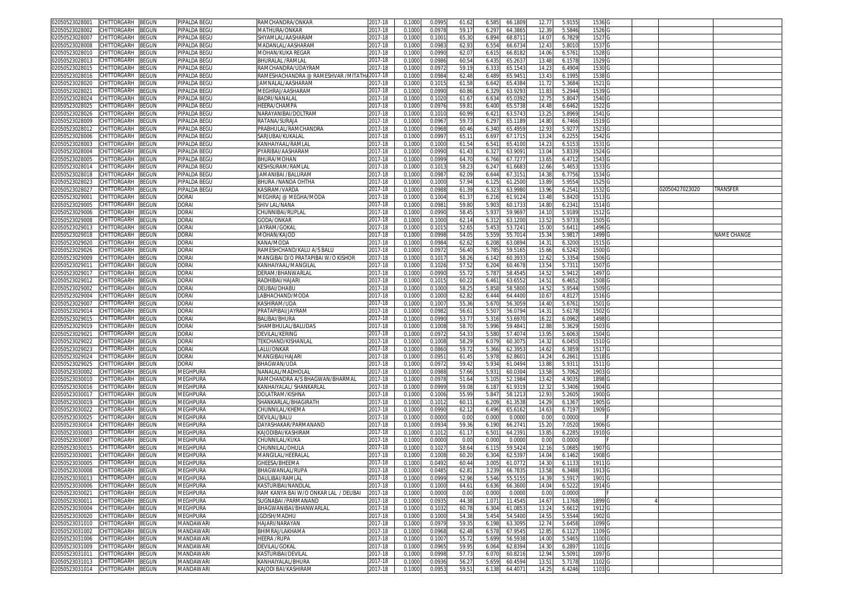| 02050523028001<br>CHITTORGARH<br>BEGUN        | PIPALDA BEGU     | RAMCHANDRA/ONKAR                     | 2017-18     | 0.1000 | 0.099  | 61.62 | 66.180<br>6.585  | 12.77 | 5.915  | 1536 G            |                |             |
|-----------------------------------------------|------------------|--------------------------------------|-------------|--------|--------|-------|------------------|-------|--------|-------------------|----------------|-------------|
| 02050523028002<br>CHITTORGARH<br>BEGUN        | PIPALDA BEGU     | <b>MATHURA/ONKAR</b>                 | 2017-18     | 0.1000 | 0.0978 | 59.1  | 64.386<br>6.29   | 12.39 | 5.5846 | 1526              |                |             |
| CHITTORGARH<br>3EGUN<br>02050523028007        | PIPALDA BEGU     | SHYAMLAL/AASHARAM                    | 2017-18     | 0.1000 | 0.100  | 65.30 | 6.894<br>68.871  | 14.0  | 6.7829 | 1527 G            |                |             |
| CHITTORGARH<br>BEGUN<br>02050523028008        | PIPALDA BEGU     | MADANLAL/AASHARAM                    | 017-18      | 0.1000 | 0.0983 | 62.93 | 6.554<br>66.6734 | 12.43 | 5.8010 | 1537              |                |             |
|                                               |                  |                                      |             |        |        |       |                  |       |        |                   |                |             |
| 02050523028010<br>CHITTORGARH<br>BEGUN        | PIPALDA BEGU     | MOHAN/KUKA REGAR                     | 2017-18     | 0.100  | 0.0990 | 62.0  | 6.615<br>66.818  | 14.06 | 6.576  | 1528              |                |             |
| 02050523028013<br>CHITTORGARH<br>BEGUN        | PIPALDA BEGU     | BHURALAL /RAMLAL                     | 017-18      | 0.100  | 0.0986 | 60.5  | 65.263<br>6.43   | 13.48 | 6.1578 | 1529              |                |             |
| CHITTORGARH<br>02050523028015<br>3EGUN        | PIPALDA BEGU     | RAMCHANDRA/UDAYRAM                   | 2017-18     | 0.100  | 0.097  | 59.1  | 6.33<br>65.154   | 14.2  | 6.4904 | 1530              |                |             |
| 02050523028016<br>CHITTORGARH<br>3EGUN        | PIPALDA BEGU     | RAMESHACHANDRA @ RAMESHVAR /MITATH   | 2017-18     | 0.100  | 0.0984 | 62.48 | 6.489<br>65.945  | 13.43 | 6.1995 | 1538              |                |             |
| 02050523028020<br>CHITTORGARH<br>3EGUN        | PIPALDA BEGL     | JAMNALAL/AASHARAM                    | 017-18      | 0.100  | 0.101  | 61.5  | 6.64<br>65.438   | 11.7  | 5.368  | 1521 <sub>G</sub> |                |             |
| 02050523028021<br>CHITTORGARH<br>BEGUN        | PIPALDA BEGU     | MEGHRAJ/AASHARAM                     | 017-18      | 0.1000 | 0.0990 | 60.86 | 63.929<br>6.32   | 11.83 | 5.2944 | 1539              |                |             |
| 02050523028024<br>CHITTORGARH<br>3EGUN        | PIPALDA BEGU     | BADRI/NANALAI                        | 2017-18     | 0.100  | 0.102  | 61.6  | 6.634<br>65.039  | 12.7  | 5.8047 | 15400             |                |             |
| 02050523028025<br><b>CHITTORGARH</b><br>BEGUN | PIPALDA BEGU     | <b>IEERA/CHAMPA</b>                  | 017-18      | 0.100  | 0.097  | 59.8  | 6.400<br>65.573  | 14.4  | 6.6462 | 1522              |                |             |
| CHITTORGARH<br><b>BEGUN</b><br>02050523028026 | PIPALDA BEGU     | NARAYANIBAI/DOLTRAM                  | 2017-18     | 0.100  | 0.101  | 60.9  | 63.574<br>6.42   | 13.2  | 5.8969 | 1541              |                |             |
| CHITTORGARH<br>02050523028009<br>BEGUN        | PIPALDA BEGL     | RATANA/SURAJA                        | 2017-18     | 0.100  | 0.096  | 59.7  | 6.29<br>65.118   | 14.8  | 6.7466 | 1519              |                |             |
| 02050523028012<br>CHITTORGARH<br>3EGUN        | PIPALDA BEGU     | PRABHULAL/RAMCHANDRA                 | 017-18      | 0.100  | 0.096  | 60.46 | 65.495<br>6.340  | 12.9  | 5.9277 | 1523              |                |             |
| 02050523028006<br>CHITTORGARH<br>BEGUN        | PIPALDA BEGU     | SARJUBAI/KUKALAL                     | 2017-18     | 0.1000 | 0.099  | 65.1  | 67.171<br>6.69   | 13.24 | 6.2255 | 1542              |                |             |
| 02050523028003<br>CHITTORGARH<br>3EGUN        | PIPALDA BEGU     | KANHAIYAAL/RAMLA                     | 017-18      | 0.100  | 0.100  | 61.5  | 6.54<br>65.410   | 14.2  | 6.515  | 1531              |                |             |
| 02050523028004<br>CHITTORGARH<br>BEGUN        | PIPALDA BEGU     | PYARIBAI/AASHARAM                    | 2017-18     | 0.1000 | 0.0990 | 61.43 | 6.327<br>63.909  | 13.04 | 5.8339 | 1524 G            |                |             |
| CHITTORGARH<br>BEGUN<br>02050523028005        | PIPALDA BEGU     | BHURA/MOHAN                          | 2017-18     | 0.1000 | 0.0999 | 64.70 | 6.766<br>67.727  | 13.65 | 6.4712 | 1543 <sub>G</sub> |                |             |
| CHITTORGARH                                   |                  | KESHSURAM/RAMLAL                     | 2017-18     |        |        | 58.2  |                  | 12.66 |        | 1533 G            |                |             |
| 02050523028014<br>BEGUN                       | PIPALDA BEGU     |                                      |             | 0.1000 | 0.101  |       | 6.24<br>61.668   |       | 5.4653 |                   |                |             |
| 02050523028018<br>CHITTORGARH<br>BEGUN        | PIPALDA BEGU     | IAMANIBAI /BALURAM                   | 2017-18     | 0.1000 | 0.0987 | 62.09 | 6.644<br>67.315  | 14.3  | 6.7756 | 1534 G            |                |             |
| 02050523028023<br>CHITTORGARH<br>3EGUN        | PIPALDA BEGU     | BHURA /NANDA OHTHA                   | 2017-18     | 0.1000 | 0.100  | 57.94 | 6.125<br>61.250  | 13.8  | 5.9554 | 1525 G            |                |             |
| 02050523028027<br>CHITTORGARH<br>BEGUN        | PIPALDA BEGU     | KASIRAM/VARDA                        | 017-18      | 0.1000 | 0.098  | 61.39 | 63.998<br>6.32   | 13.9  | 6.2541 | 1532 G            | 02050427023020 | TRANSFER    |
| BEGUN<br>02050523029001<br>CHITTORGARH        | <b>DORAI</b>     | MEGHRAJ @ MEGHA/MODA                 | 2017-18     | 0.1000 | 0.1004 | 61.3  | 6.216<br>61.912  | 13.4  | 5.8420 | 1513 G            |                |             |
| 02050523029005<br>CHITTORGARH<br>BEGUN        | DORAI            | SHIV LAL/NANA                        | 017-18      | 0.1000 | 0.098  | 59.80 | 5.90<br>60.173   | 14.8  | 6.2341 | 1514 G            |                |             |
| 02050523029006<br>CHITTORGARH<br>3EGUN        | <b>DORAI</b>     | CHUNNIBAI/RUPLAI                     | 2017-18     | 0.100  | 0.099  | 58.4  | 5.93<br>59.969   | 14.1  | 5.9189 | 1512              |                |             |
| 02050523029008<br>CHITTORGARH<br>BEGUN        | DORAI            | GODA/ONKAR                           | 017-18      | 0.1000 | 0.1000 | 62.14 | 6.312<br>63.120  | 13.5  | 5.9733 | 1505              |                |             |
| 02050523029013<br>CHITTORGARH<br>BEGUN        | <b>DORAI</b>     | JAYRAM/GOKAI                         | 2017-18     | 0.100  | 0.101  | 52.6  | 5.45<br>53.724   | 15.0  | 5.641  | 1496 <sub>C</sub> |                |             |
| 02050523029018<br>CHITTORGARH<br>BEGUN        | DORAI            | MOHAN/KAJOD                          | 2017-18     | 0.1000 | 0.099  | 54.0  | 5.55<br>55.701   | 15.3  | 5.9817 | 1499              |                | NAME CHANGE |
| 02050523029020<br>CHITTORGARH<br>3EGUN        | <b>DORAI</b>     | KANA/MODA                            | 2017-18     | 0.1000 | 0.0984 | 62.6  | 6.208<br>63.089  | 14.31 | 6.3200 | 1515 <sub>G</sub> |                |             |
| CHITTORGARH<br>02050523029026<br>BEGUN        | DORAI            | RAMESHCHAND/KALU A/S BALU            | 2017-18     | 0.1000 | 0.097  | 56.40 | 5.785<br>59.516  | 15.66 | 6.5242 | 1500              |                |             |
| 02050523029009<br>CHITTORGARH<br>3EGUN        | <b>DORAI</b>     | MANGIBAI D/O PRATAPIBAI W/O KISHOR   | 2017-18     | 0.100  | 0.101  | 58.2  | 6.14<br>60.393   | 12.6  | 5.3354 | 1506 0            |                |             |
| 02050523029011<br>CHITTORGARH<br>3EGUN        | DORAI            | KANHAIYAAL/MANGILAI                  | 017-18      | 0.100  | 0.102  | 57.5  | 6.204<br>60.467  | 13.54 | 5.7311 | 1507              |                |             |
| 0205052302901<br>CHITTORGARH<br>3EGUN         | <b>DORAI</b>     | DERAM/BHANWARLAI                     | 2017-18     | 0.100  | 0.0990 | 55.7  | 58.454<br>5.78   | 14.5  | 5.941  | 1497 G            |                |             |
| 02050523029012<br>CHITTORGARH<br>BEGUN        | DORAI            | RADHIBAI/HAJARI                      | 2017-18     | 0.1000 | 0.101  | 60.2  | 63.655<br>6.461  | 14.51 | 6.4652 | 1508              |                |             |
| 02050523029002<br><b>CHITTORGARH</b><br>3EGUN | Dorai            | DEUBAI/DHABU                         | 2017-18     | 0.100  | 0.100  | 58.2  | 5.85<br>58.580   | 14.5  | 5.9544 | 1509              |                |             |
| CHITTORGARH<br>02050523029004<br>BEGUN        | DORAI            | LABHACHAND/MODA                      | 2017-18     | 0.1000 | 0.1000 | 62.82 | 64.440<br>6.444  | 10.6  | 4.8127 | 1516              |                |             |
| 02050523029007<br>CHITTORGARH<br>3EGUN        | DORAI            | (ASHIRAM/UDA                         | 017-18      | 0.100  | 0.100  | 55.3  | 56.305<br>5.670  | 14.4  | 5.676  | 1501              |                |             |
| 02050523029014<br>CHITTORGARH<br>3EGUN        | DORAI            | PRATAPIBAI/JAYRAM                    | 2017-18     | 0.1000 | 0.098  | 56.6  | 5.50<br>56.079   | 14.3  | 5.617  | 1502              |                |             |
| 02050523029015<br>CHITTORGARH<br>3EGUN        | DORAI            | <b>BALIBAI/BHURA</b>                 | 2017-18     | 0.100  | 0.099  | 53.7  | 53.697<br>5.316  | 16.22 | 6.0962 | 1498              |                |             |
| 02050523029019<br>CHITTORGARH<br>3EGUN        | DORAI            | SHAMBHULAL/BALUDAS                   | 2017-18     | 0.1000 | 0.100  | 58.7  | 5.996<br>59.484  | 12.8  | 5.3629 | 1503              |                |             |
| 02050523029021<br>CHITTORGARH<br>BEGUN        | DORAI            | DEVILAL/KERING                       | 017-18      | 0.100  | 0.097  | 54.3  | 5.580<br>57.407  | 13.9  | 5.6063 | 1504              |                |             |
| CHITTORGARH<br>BEGUN<br>02050523029022        | <b>DORAI</b>     | TEKCHAND/KISHANLAL                   | 2017-18     | 0.1000 | 0.100  | 58.29 | 6.079<br>60.307  | 14.3  | 6.0450 | 1510 G            |                |             |
| 02050523029023<br>CHITTORGARH<br>BEGUN        | DORAI            | LALU/ONKAR                           | 2017-18     | 0.1000 | 0.0860 | 59.72 | 5.366<br>62.395  | 14.62 | 6.3859 | 1517 G            |                |             |
| CHITTORGARH<br>BEGUN<br>02050523029024        | <b>DORAI</b>     | MANGIBAI/HAJAR                       | 2017-18     | 0.1000 | 0.095  | 61.4  | 5.978<br>62.860  | 14.24 | 6.266  | 1518 G            |                |             |
| 02050523029025<br>BEGUN                       | DORAI            |                                      |             | 0.1000 | 0.097  | 59.42 | 61.049           | 13.8  | 5.9311 | 1511 G            |                |             |
| CHITTORGARH                                   |                  | BHAGWAN/UDA                          | 2017-18     |        |        | 57.66 | 5.934            | 13.5  |        |                   |                |             |
| BEGUN<br>02050523030002<br>CHITTORGARH        | MEGHPURA         | NANALAL/MADHOLAL                     | 2017-18     | 0.1000 | 0.098  |       | 5.93<br>60.030   |       | 5.7062 | 1903 G            |                |             |
| 02050523030010<br>CHITTORGARH<br>3EGUN        | MEGHPURA         | RAMCHANDRA A/S BHAGWAN/BHARMAL       | 2017-18     | 0.100  | 0.097  | 51.64 | 52.198<br>5.105  | 13.4  | 4.903  | 1898              |                |             |
| CHITTORGARH<br>3EGUN<br>02050523030016        | MEGHPURA         | KANHAIYALAL/ SHANKARLAI              | 2017-18     | 0.1000 | 0.0999 | 59.08 | 6.18<br>61.931   | 12.3  | 5.3406 | 1904 <sub>G</sub> |                |             |
| CHITTORGARH<br>BEGUN<br>02050523030017        | MEGHPURA         | DOLATRAM/KISHNA                      | 2017-18     | 0.1000 | 0.1006 | 55.9  | 5.847<br>58.1213 | 12.9  | 5.2605 | 1900              |                |             |
| 02050523030019<br>CHITTORGARH<br>BEGUN        | MEGHPURA         | SHANKARLAL/BHAGIRATH                 | 2017-18     | 0.100  | 0.101  | 60.1  | 6.209<br>61.353  | 14.29 | 6.1367 | 1905 <sub>G</sub> |                |             |
| 02050523030022<br>CHITTORGARH<br>3EGUN        | MEGHPURA         | CHUNNILAL/KHEMA                      | 2017-18     | 0.100  | 0.099  | 62.12 | 6.496<br>65.616  | 14.63 | 6.7197 | 1909 G            |                |             |
| CHITTORGARH<br>3EGUN<br>02050523030025        | MEGHPURA         | DEVILAL/BALU                         | 2017-18     | 0.100  | 0.000  | 0.00  | 0.000<br>0.000   | 0.0   | 0.0000 |                   |                |             |
| CHITTORGARH<br>02050523030014<br>BEGUN        | MEGHPURA         | DAYASHAKAR/PARMANAND                 | 2017-18     | 0.1000 | 0.0934 | 59.36 | 6.190<br>66.274  | 15.2  | 7.0520 | 1906 G            |                |             |
| CHITTORGARH<br>02050523030003<br>BEGUN        | MEGHPURA         | KAJODIBAI/KASHIRAN                   | 2017-18     | 0.100  | 0.101  | 61.1  | 6.50<br>64.239   | 13.8  | 6.2285 | 1910 <sub>G</sub> |                |             |
| 02050523030007<br>CHITTORGARH<br>BEGUN        | MEGHPURA         | CHUNNILAL/KUKA                       | 017-18      | 0.1000 | 0.000  | 0.00  | 0.000<br>0.000   | 0.00  | 0.0000 |                   |                |             |
| 02050523030015<br><b>CHITTORGARH</b><br>BEGUN | <b>MEGHPURA</b>  | CHUNNILAL/DHULA                      | 017-18      | 0.100  | 0.102  | 58.6  | 6.11!<br>59.542  | 12.1  | 5.0685 | 1907              |                |             |
| 02050523030001<br>CHITTORGARH<br>BEGUN        | MEGHPURA         | <b>MANGILAL/HEERALA</b>              | 017-18      | 0.100  | 0.100  | 60.20 | 62.539<br>6.304  | 14.04 | 6.1462 | 1908 0            |                |             |
| 02050523030005<br>CHITTORGARH<br>BEGUN        | MEGHPURA         | GHEESA/BHEEMA                        | 2017-18     | 0.1000 | 0.049  | 60.44 | 3.00<br>61.077   | 14.3  | 6.113  | 1911 G            |                |             |
| 02050523030008 CHILLORGARH BEGUN              | MEGHPURA         | BHAGWANLAL/RUPA                      | 2017-18     | 0.1000 | 0.0485 | 62.8  | 3.239<br>66.7835 | 13.58 | 6.3488 | 1913 IG           |                |             |
| 02050523030013<br>CHITTORGARH<br><b>BEGUN</b> | MEGHPURA         | DAULIBAI/RAMLAL                      | 2017-18     | 0.1000 | 0.0999 | 52.96 | 5.546<br>55.5155 | 14.39 | 5.5917 | 1901 <sub>G</sub> |                |             |
| 02050523030006<br>CHITTORGARH<br>BEGUN        | MEGHPURA         | KASTURIBAI/NANDLAL                   | 2017-18     | 0.1000 | 0.1000 | 64.6  | 6.636<br>66.3600 | 14.04 | 6.5222 | 1914 G            |                |             |
| BEGUN<br>02050523030021<br>CHITTORGARH        | MEGHPURA         | RAM KANYA BAI W/O ONKAR LAL / DEUBAI | 2017-18     | 0.1000 | 0.0000 | 0.00  | 0.000<br>0.000   | 0.00  | 0.0000 |                   |                |             |
| 02050523030011<br>CHITTORGARH<br>BEGUN        | MEGHPURA         | SUGNABAI /PARMANAND                  | 2017-18     | 0.1000 | 0.093  | 44.38 | 1.07<br>11.4545  | 14.67 | 1.1768 | 1899              |                |             |
| BEGUN<br>02050523030004<br>CHITTORGARH        | MEGHPURA         | BHAGWANIBAI/BHANWARLAL               | $2017 - 18$ | 0.1000 | 0.1032 | 60.7  | 6.304<br>61.085  | 13.24 | 5.6612 | 1912 G            |                |             |
| 02050523030020<br>CHITTORGARH<br><b>BEGUN</b> | MEGHPURA         | <b>IGDISH/MADHU</b>                  | 2017-18     | 0.1000 | 0.1000 | 54.38 | 5.454<br>54.5400 | 14.55 | 5.5544 | 1902 G            |                |             |
| CHITTORGARH<br>02050523031010<br>BEGUN        | <b>MANDAWARI</b> | HAJARI/NARAYAN                       | 2017-18     | 0.1000 | 0.0979 | 59.35 | 6.198<br>63.3095 | 12.74 | 5.6458 | 1099 G            |                |             |
| 02050523031002<br>CHITTORGARH<br>BEGUN        | MANDAWARI        | BHIMRAJ/LAKHAMA                      | 2017-18     | 0.1000 | 0.0968 | 62.48 | 6.578<br>67.9545 | 12.85 | 6.1127 | 1109 G            |                |             |
| <b>BEGUN</b><br>02050523031006<br>CHITTORGARH | MANDAWARI        | HEERA /RUPA                          | 2017-18     | 0.1000 | 0.1007 | 55.72 | 5.699<br>56.5938 | 14.00 | 5.5465 | 1100 G            |                |             |
| 02050523031009<br>CHITTORGARH<br>BEGUN        | MANDAWARI        | DEVILAL/GOKAL                        | 2017-18     | 0.1000 | 0.0965 | 59.9  | 6.064<br>62.8394 | 14.30 | 6.2897 | 1101 G            |                |             |
| 02050523031011<br>CHITTORGARH<br>BEGUN        | MANDAWARI        | KASTURIBAI/DEVILAL                   | 2017-18     | 0.1000 | 0.0998 | 57.73 | 6.070<br>60.8216 | 12.94 | 5.5091 | 1097 G            |                |             |
| CHITTORGARH<br>02050523031013<br>BEGUN        | MANDAWARI        | KANHAIYALAL/BHURA                    | 2017-18     | 0.1000 | 0.0936 | 56.2  | 5.659<br>60.4594 | 13.51 | 5.7178 | 1102 G            |                |             |
| 02050523031014 CHITTORGARH BEGUN              | MANDAWARI        | KAJODI BAI/KASHIRAM                  | 2017-18     | 0.1000 | 0.0953 | 59.51 | 6.138<br>64.4071 | 14.25 | 6.4246 | 1103 G            |                |             |
|                                               |                  |                                      |             |        |        |       |                  |       |        |                   |                |             |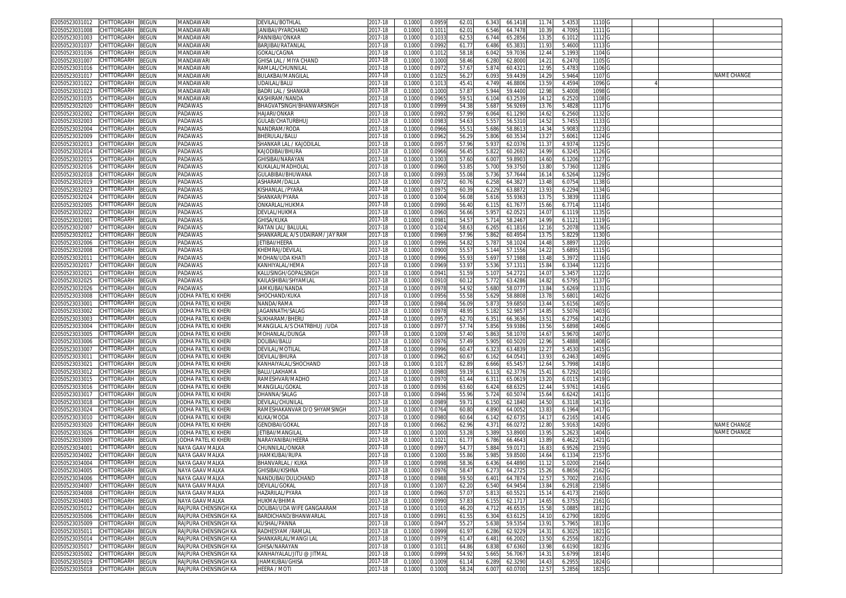| 02050523031012<br>CHITTORGARH BEGUN           | MANDAWARI            | <b>DEVILAL/BOTHLAL</b>          | 2017-18 | 0.1000 | 0.0959 | 62.01 | 6.343<br>66.1418 | 11.74 | 5.4353 | 1110 <sub>G</sub> |  |                    |
|-----------------------------------------------|----------------------|---------------------------------|---------|--------|--------|-------|------------------|-------|--------|-------------------|--|--------------------|
| CHITTORGARH<br>BEGUN<br>02050523031008        | MANDAWARI            | ANIBAI/PYARCHAND                | 2017-18 | 0.1000 | 0.1011 | 62.0  | 6.546<br>64.7478 | 10.39 | 4.7095 | 1111 <sub>G</sub> |  |                    |
| 02050523031003<br>CHITTORGARH<br>BEGUN        | MANDAWARI            | PANNIBAI/ONKAR                  | 2017-18 | 0.1000 | 0.1033 | 62.53 | 65.2856<br>6.744 | 13.35 | 6.1012 | 1112 G            |  |                    |
| BEGUN<br>02050523031037<br>CHITTORGARH        | MANDAWARI            | BARJIBAI/RATANLAL               | 2017-18 | 0.1000 | 0.0992 | 61.7  | 6.486<br>65.383  | 11.93 | 5.4600 | 1113 G            |  |                    |
| 02050523031036<br>CHITTORGARH<br>BEGUN        | MANDAWARI            | GOKAL/CAGNA                     | 2017-18 | 0.1000 | 0.101  | 58.18 | 59.7036<br>6.042 | 12.44 | 5.1993 | 1104 G            |  |                    |
|                                               |                      |                                 |         |        |        | 58.46 |                  |       |        | 1105 G            |  |                    |
| BEGUN<br>02050523031007<br>CHITTORGARH        | MANDAWARI            | GHISA LAL / MIYA CHAND          | 2017-18 | 0.1000 | 0.1000 |       | 6.280<br>62.800  | 14.21 | 6.2470 |                   |  |                    |
| CHITTORGARH<br>3EGUN<br>02050523031016        | MANDAWARI            | RAMLAL/CHUNNILAI                | 2017-18 | 0.1000 | 0.097  | 57.6  | 5.874<br>60.432  | 12.9  | 5.478  | 1106 <sub>C</sub> |  |                    |
| 02050523031017<br>CHITTORGARH<br>BEGUN        | MANDAWARI            | BULAKBAI/MANGILAL               | 2017-18 | 0.1000 | 0.102  | 56.2  | 6.093<br>59.443  | 14.29 | 5.9464 | 1107              |  | NAME CHANGE        |
| 02050523031022<br>CHITTORGARH<br>BEGUN        | MANDAWARI            | UDAILAL/BALU                    | 2017-18 | 0.1000 | 0.101  | 45.4  | 4.749<br>46.880  | 13.59 | 4.4594 | 1096              |  |                    |
| 02050523031023<br>CHITTORGARH<br>BEGUN        | MANDAWARI            | BADRI LAL / SHANKAR             | 2017-18 | 0.100  | 0.1000 | 57.8  | 5.944<br>59.440  | 12.9  | 5.4008 | 1098              |  |                    |
| CHITTORGARH<br>3EGUN<br>02050523031035        | MANDAWARI            | KASHIRAM/NANDA                  | 2017-18 | 0.1000 | 0.096  | 59.5  | 6.104<br>63.253  | 14.1  | 6.2520 | 1108              |  |                    |
| CHITTORGARH<br>BEGUN<br>02050523032020        | PADAWAS              | BHAGVATSINGH/BHANWARSINGH       | 2017-18 | 0.1000 | 0.0999 | 54.38 | 5.687<br>56.926  | 13.76 | 5.4828 | 1117 <sub>G</sub> |  |                    |
| CHITTORGARH<br>02050523032002<br>BEGUN        | PADAWAS              | HAJARI/ONKAR                    | 2017-18 | 0.100  | 0.099  | 57.99 | 61.129<br>6.064  | 14.6  | 6.2560 | 1132 G            |  |                    |
| CHITTORGARH<br>02050523032003<br>BEGUN        | PADAWAS              | GULAB/CHATURBHUJ                | 2017-18 | 0.1000 | 0.098  | 54.6  | 5.55<br>56.5310  | 14.52 | 5.745  | 1133              |  |                    |
| 02050523032004<br>CHITTORGARH<br>3EGUN        | PADAWAS              | NANDRAM/RODA                    | 2017-18 | 0.100  | 0.0966 | 55.5  | 5.686<br>58.861  | 14.3  | 5.908  | 1123              |  |                    |
| 02050523032009<br><b>CHITTORGARH</b><br>BEGUN | PADAWAS              | BHERULAL/BALU                   | 017-18  | 0.1000 | 0.0962 | 56.2  | 5.806<br>60.353  | 13.27 | 5.606  | 1124 G            |  |                    |
| 02050523032013<br>CHITTORGARH<br>BEGUN        | PADAWAS              | SHANKAR LAL / KAJODILAI         | 2017-18 | 0.100  | 0.095  | 57.96 | 5.93<br>62.037   | 11.3  | 4.937  | 1125 G            |  |                    |
|                                               |                      |                                 |         |        |        |       |                  |       |        |                   |  |                    |
| 02050523032014<br>CHITTORGARH<br>BEGUN        | PADAWAS              | KAJODIBAI/BHURA                 | 017-18  | 0.100  | 0.0966 | 56.4  | 5.82<br>60.269   | 14.99 | 6.3245 | 1126 <sub>C</sub> |  |                    |
| CHITTORGARH<br>BEGUN<br>02050523032015        | PADAWAS              | <b>GHISIBAI/NARAYAN</b>         | 2017-18 | 0.100  | 0.100  | 57.60 | 59.890<br>6.007  | 14.6  | 6.1206 | 1127              |  |                    |
| CHITTORGARH<br>BEGUN<br>02050523032016        | PADAWAS              | KUKALAL/MADHOLAI                | 2017-18 | 0.1000 | 0.0960 | 53.8  | 5.700<br>59.375  | 13.80 | 5.7360 | 1128              |  |                    |
| 02050523032018<br>CHITTORGARH<br>3EGUN        | PADAWAS              | <b>GULABIBAI/BHUWANA</b>        | 017-18  | 0.100  | 0.099  | 55.08 | 5.736<br>57.764  | 16.1  | 6.5264 | 1129              |  |                    |
| CHITTORGARH<br>02050523032019<br>3EGUN        | PADAWAS              | <b>\SHARAM/DALLA</b>            | 2017-18 | 0.1000 | 0.097  | 60.7  | 6.258<br>64.382  | 13.48 | 6.0754 | 1138              |  |                    |
| 02050523032023<br>CHITTORGARH<br>BEGUN        | PADAWAS              | KISHANLAL /PYARA                | 2017-18 | 0.100  | 0.097  | 60.3  | 63.887<br>6.229  | 13.9  | 6.2294 | 1134              |  |                    |
| CHITTORGARH<br>BEGUN<br>02050523032024        | PADAWAS              | SHANKAR/PYARA                   | 2017-18 | 0.1000 | 0.1004 | 56.08 | 5.616<br>55.936  | 13.75 | 5.3839 | 1118 G            |  |                    |
| 02050523032005<br>CHITTORGARH<br>BEGUN        | PADAWAS              | ONKARLAL/HUKMA                  | 2017-18 | 0.1000 | 0.0990 | 56.40 | 6.115<br>61.767  | 15.66 | 6.7714 | 1114 G            |  |                    |
| CHITTORGARH<br>02050523032022<br>BEGUN        | PADAWAS              | DEVLAL/HUKMA                    | 2017-18 | 0.1000 | 0.0960 | 56.66 | 5.957<br>62.052  | 14.07 | 6.1119 | 1135 G            |  |                    |
| 02050523032001<br>CHITTORGARH<br>BEGUN        | PADAWAS              | GHISA/KUKA                      | 2017-18 | 0.1000 | 0.098  | 54.5  | 58.246<br>5.714  | 14.99 | 6.1121 | 1119 G            |  |                    |
| BEGUN<br>02050523032007<br>CHITTORGARH        | PADAWAS              | RATAN LAL/ BALULAL              | 2017-18 | 0.1000 | 0.1024 | 58.6  | 6.265<br>61.1816 | 12.16 | 5.2078 | 1136 G            |  |                    |
| BEGUN<br>02050523032012<br>CHITTORGARH        | PADAWAS              | SHANKARLAL A/S UDAIRAM/ JAY RAM | 2017-18 | 0.100  | 0.0969 | 57.96 | 5.862<br>60.495  | 13.7  | 5.8229 | 1130 G            |  |                    |
| 02050523032006<br>CHITTORGARH<br>3EGUN        | PADAWAS              | JETIBAI/HEERA                   | 2017-18 | 0.1000 | 0.0996 | 54.82 | 5.787<br>58.102  | 14.48 | 5.8897 | 1120 G            |  |                    |
| 02050523032008<br>CHITTORGARH<br>BEGUN        | PADAWAS              | KHEMRAJ/DEVILAL                 | 2017-18 | 0.1000 | 0.0900 | 55.5  | 5.144<br>57.155  | 14.2  | 5.6895 | 1115 G            |  |                    |
| CHITTORGARH<br>BEGUN<br>02050523032011        | PADAWAS              | MOHAN/UDA KHATI                 | 2017-18 | 0.1000 | 0.0996 | 55.93 | 5.697<br>57.198  | 13.48 | 5.397  | 1116 G            |  |                    |
| 02050523032017<br>CHITTORGARH<br>BEGUN        | PADAWAS              | KANHIYALAL/HEMA                 |         | 0.1000 | 0.0969 |       | 57.131           |       |        | 1121 G            |  |                    |
|                                               |                      |                                 | 2017-18 |        |        | 53.97 | 5.536            | 15.84 | 6.3344 |                   |  |                    |
| CHITTORGARH<br>3EGUN<br>02050523032021        | PADAWAS              | KALUSINGH/GOPALSINGH            | 2017-18 | 0.1000 | 0.094  | 51.59 | 5.107<br>54.272  | 14.0  | 5.3457 | 1122              |  |                    |
| CHITTORGARH<br>BEGUN<br>02050523032025        | PADAWAS              | KAILASHIBAI/SHYAMLAI            | 017-18  | 0.1000 | 0.091  | 60.1  | 5.772<br>63.428  | 14.82 | 6.5795 | 1137 G            |  |                    |
| CHITTORGARH<br>BEGUN<br>02050523032026        | PADAWAS              | JAMKUBAI/NANDA                  | 2017-18 | 0.100  | 0.097  | 54.92 | 5.680<br>58.077  | 13.84 | 5.6269 | 1131 G            |  |                    |
| CHITTORGARH<br>02050523033008<br>BEGUN        | JODHA PATEL KI KHERI | SHOCHAND/KUKA                   | 2017-18 | 0.100  | 0.095  | 55.58 | 5.62<br>58.880   | 13.7  | 5.680  | 1402              |  |                    |
| 02050523033001<br>CHITTORGARH<br>BEGUN        | JODHA PATEL KI KHER  | NANDA/RAMA                      | 2017-18 | 0.1000 | 0.0984 | 56.0  | 5.87<br>59.685   | 13.44 | 5.6156 | 1405 G            |  |                    |
| 02050523033002<br>CHITTORGARH<br>BEGUN        | JODHA PATEL KI KHERI | JAGANNATH/SALAG                 | 017-18  | 0.1000 | 0.097  | 48.9  | 5.182<br>52.985  | 14.85 | 5.5076 | 1403              |  |                    |
| 02050523033003<br>CHITTORGARH<br>BEGUN        | JODHA PATEL KI KHER  | SUKHARAM/BHERU                  | 017-18  | 0.100  | 0.095  | 62.7  | 6.35<br>66.363   | 13.5  | 6.2756 | 1412              |  |                    |
| 02050523033004<br>CHITTORGARH<br>BEGUN        | JODHA PATEL KI KHER  | MANGILAL A/S CHATRBHUJ /UDA     | 017-18  | 0.100  | 0.097  | 57.7  | 5.856<br>59.938  | 13.56 | 5.6898 | 1406 <sub>C</sub> |  |                    |
| 02050523033005<br>CHITTORGARH<br>3EGUN        | JODHA PATEL KI KHER  | MOHANLAL/DUNGA                  | 2017-18 | 0.100  | 0.1009 | 57.40 | 5.86<br>58.107   | 14.6  | 5.967  | 1407              |  |                    |
| CHITTORGARH<br>02050523033006<br>BEGUN        | JODHA PATEL KI KHERI | DOLIBAI/BALU                    | 2017-18 | 0.1000 | 0.097  | 57.49 | 5.905<br>60.502  | 12.96 | 5.4888 | 1408              |  |                    |
| 02050523033007<br>CHITTORGARH<br>BEGUN        | JODHA PATEL KI KHERI | DEVILAL/MOTILAL                 | 2017-18 | 0.100  | 0.0996 | 60.4  | 6.32<br>63.483   | 12.2  | 5.4530 | 1415              |  |                    |
| CHITTORGARH<br>02050523033011<br>BEGUN        | JODHA PATEL KI KHERI | DEVILAL/BHURA                   | 2017-18 | 0.1000 | 0.0962 | 60.6  | 6.162<br>64.054  | 13.93 | 6.2463 | 1409              |  |                    |
| 02050523033021<br>CHITTORGARH<br>3EGUN        | JODHA PATEL KI KHERI | KANHAIYALAL/SHOCHAND            | 017-18  | 0.100  | 0.101  | 62.8  | 65.545<br>6.666  | 12.6  | 5.7998 | 1418              |  |                    |
| BEGUN<br>02050523033012<br>CHITTORGARH        | JODHA PATEL KI KHERI | BALU/LAKHAMA                    | 2017-18 | 0.1000 | 0.0980 | 59.1  | 6.11<br>62.3776  | 15.4  | 6.7292 | 1410              |  |                    |
| CHITTORGARH<br>BEGUN<br>02050523033015        | JODHA PATEL KI KHERI | RAMESHVAR/MADHO                 | 2017-18 | 0.1000 | 0.097  | 61.44 | 65.0619<br>6.31' | 13.20 | 6.0115 | 1419 G            |  |                    |
| CHITTORGARH<br>BEGUN<br>02050523033016        | JODHA PATEL KI KHERI | MANGILAL/GOKAL                  | 2017-18 | 0.1000 | 0.0936 | 63.60 | 6.424<br>68.632  | 12.44 | 5.976  | 1416 G            |  |                    |
| CHITTORGARH<br>BEGUN<br>02050523033017        | JODHA PATEL KI KHERI | DHANNA/SALAG                    | 2017-18 | 0.1000 | 0.0946 | 55.96 | 5.724<br>60.507  | 15.64 | 6.6242 | 1411 G            |  |                    |
|                                               |                      |                                 |         |        | 0.0989 | 59.7  |                  | 14.50 |        | 1413 G            |  |                    |
| BEGUN<br>02050523033018<br>CHITTORGARH        | JODHA PATEL KI KHERI | DEVILAL/CHUNILAL                | 2017-18 | 0.1000 |        |       | 6.150<br>62.1840 |       | 6.3118 |                   |  |                    |
| 02050523033024<br>CHITTORGARH<br>BEGUN        | JODHA PATEL KI KHERI | RAMESHAKANVAR D/O SHYAMSINGH    | 2017-18 | 0.1000 | 0.0764 | 60.80 | 4.890<br>64.005  | 13.83 | 6.1964 | 1417 G            |  |                    |
| 02050523033010<br>CHITTORGARH<br>BEGUN        | JODHA PATEL KI KHERI | KUKA/MODA                       | 2017-18 | 0.1000 | 0.0980 | 60.64 | 6.142<br>62.673  | 14.17 | 6.2165 | 1414 G            |  |                    |
| 02050523033020<br>CHITTORGARH<br>BEGUN        | JODHA PATEL KI KHERI | GENDIBAI/GOKAL                  | 2017-18 | 0.1000 | 0.0662 | 62.96 | 4.371<br>66.027  | 12.80 | 5.9163 | 1420              |  | <b>NAME CHANGE</b> |
| 02050523033026<br>CHITTORGARH<br>BEGUN        | JODHA PATEL KI KHERI | JETIBAI/MANGILAL                | 2017-18 | 0.100  | 0.1000 | 53.28 | 5.389<br>53.890  | 13.9  | 5.262  | 1404 0            |  | NAME CHANGE        |
| CHITTORGARH<br>02050523033009<br>BEGUN        | JODHA PATEL KI KHERI | NARAYANIBAI/HEERA               | 017-18  | 0.1000 | 0.1021 | 61.7  | 6.786<br>66.464  | 13.89 | 6.4622 | 1421 G            |  |                    |
| 02050523034001<br>CHITTORGARH<br>3EGUN        | NAYA GAAV MALKA      | CHUNNILAL/ONKAR                 | 2017-18 | 0.100  | 0.099  | 54.7  | 5.884<br>59.017  | 16.8  | 6.9526 | 2159              |  |                    |
| 02050523034002<br>CHITTORGARH<br>BEGUN        | NAYA GAAV MALKA      | <b>HAMKUBAI/RUPA</b>            | 2017-18 | 0.1000 | 0.1000 | 55.86 | 5.98<br>59.850   | 14.64 | 6.1334 | 2157              |  |                    |
| 02050523034004<br>CHITTORGARH<br>BEGUN        | NAYA GAAV MALKA      | BHANVARLAL / KUKA               | 2017-18 | 0.1000 | 0.099  | 58.36 | 6.436<br>64.489  | 11.1  | 5.0200 | 2164 G            |  |                    |
| 02050523034005 CHILLORGARH BEGUN              | NAYA GAAV MALKA      | 5HISIBAI/KISHNA                 | 2017-18 | 0.1000 | 0.0976 | 58.4/ | 6.2/3<br>64.2/2  | 15.26 | 6.8656 | 2162 G            |  |                    |
| 02050523034006<br>CHITTORGARH BEGUN           | NAYA GAAV MALKA      | NANDUBAI/DULICHAND              | 2017-18 | 0.1000 | 0.0988 | 59.50 | 6.401<br>64.787  | 12.57 | 5.7002 | 2163 G            |  |                    |
| 02050523034007<br>CHITTORGARH<br>BEGUN        | NAYA GAAV MALKA      | DEVILAL/GOKAL                   | 2017-18 | 0.1000 | 0.1007 | 62.20 | 6.540<br>64.9454 | 13.84 | 6.2918 | 2158 <sub>G</sub> |  |                    |
| 02050523034008<br>CHITTORGARH<br>BEGUN        | NAYA GAAV MALKA      | HAZARILAL/PYARA                 | 2017-18 | 0.1000 | 0.0960 | 57.07 | 5.813<br>60.552  | 15.14 | 6.4173 | 2160 G            |  |                    |
| 02050523034003<br>CHITTORGARH<br>BEGUN        | NAYA GAAV MALKA      | HUKMA/BHIMA                     | 2017-18 | 0.1000 | 0.0990 | 57.83 | 6.155<br>62.171  | 14.65 | 6.3755 | 2161 G            |  |                    |
| 02050523035012<br>CHITTORGARH<br>BEGUN        | RAJPURA CHENSINGH KA | DOLIBAI/UDA WIFE GANGAARAM      | 2017-18 | 0.1000 | 0.101  | 46.20 | 4.712<br>46.653  | 15.58 | 5.0885 | 1812 G            |  |                    |
| CHITTORGARH<br>02050523035006<br>BEGUN        | RAJPURA CHENSINGH KA | BARDICHAND/BHANWARLAL           | 2017-18 | 0.1000 | 0.0991 | 61.55 | 6.304<br>63.612  | 14.10 | 6.2790 | 1820 G            |  |                    |
| CHITTORGARH<br>02050523035009<br>BEGUN        | RAJPURA CHENSINGH KA | KUSHAL/PANNA                    | 2017-18 | 0.1000 | 0.094  | 55.2  | 5.638<br>59.535  | 13.91 | 5.796  | 1813 G            |  |                    |
| 02050523035011<br>CHITTORGARH<br>BEGUN        | RAJPURA CHENSINGH KA | RADHESYAM /RAMLAL               | 2017-18 | 0.1000 | 0.0999 | 61.97 | 62.922<br>6.286  | 14.31 | 6.3025 | 1821 G            |  |                    |
| 02050523035014<br>CHITTORGARH<br>BEGUN        | RAJPURA CHENSINGH KA | SHANKARLAL/MANGI LAL            | 2017-18 | 0.1000 | 0.0979 | 61.4  | 6.481<br>66.2002 | 13.50 | 6.2556 | 1822 G            |  |                    |
| 02050523035017<br>CHITTORGARH<br>BEGUN        | RAJPURA CHENSINGH KA | GHISA/NARAYAN                   | 2017-18 | 0.1000 | 0.101  | 64.86 | 6.838<br>67.6360 | 13.98 | 6.6190 | 1823 G            |  |                    |
| 02050523035002<br>CHITTORGARH<br>BEGUN        | RAJPURA CHENSINGH KA | KANHAIYALAL/JITU @ JITMAL       | 2017-18 | 0.1000 | 0.0999 | 54.92 | 5.665<br>56.7067 | 14.31 | 5.6799 | 1814 G            |  |                    |
| CHITTORGARH<br>02050523035019<br><b>BEGUN</b> | RAJPURA CHENSINGH KA | <b>JHAMKUBAI/GHISA</b>          | 2017-18 |        | 0.1009 |       | 62.3290          | 14.43 | 6.2955 | 1824 G            |  |                    |
|                                               |                      |                                 |         | 0.1000 |        | 61.14 | 6.289            |       |        |                   |  |                    |
| 02050523035018 CHITTORGARH BEGUN              | RAJPURA CHENSINGH KA | HEERA / MOTI                    | 2017-18 | 0.1000 | 0.1000 | 58.24 | 6.007<br>60.0700 | 12.57 | 5.2856 | 1825 G            |  |                    |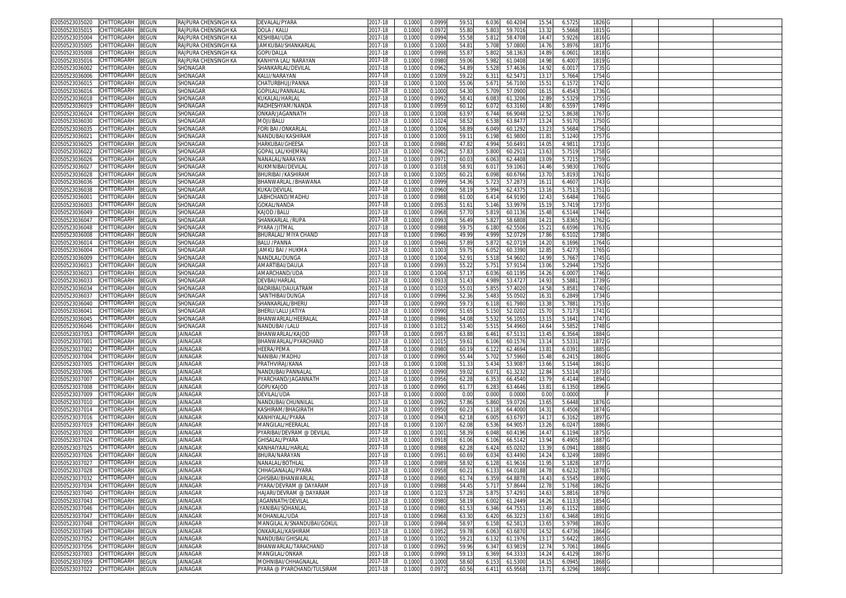| 02050523035020                   | CHITTORGARH        | BEGUN        | RAJPURA CHENSINGH KA | DEVALAL/PYARA              | 2017-18     | 0.1000 | 0.0999 | 59.5  | 6.036<br>60.4204 | 15.54             | 6.572  | 1826 G |  |  |
|----------------------------------|--------------------|--------------|----------------------|----------------------------|-------------|--------|--------|-------|------------------|-------------------|--------|--------|--|--|
| 2050523035015                    | CHITTORGARH        | <b>BEGUN</b> | RAJPURA CHENSINGH KA | DOLA / KALU                | 2017-18     | 0.1000 | 0.0972 | 55.80 | 5.803<br>59.7016 | 13.32             | 5.5668 | 1815 G |  |  |
| 02050523035004                   | CHITTORGARH        | <b>BEGUN</b> | RAJPURA CHENSINGH KA | KESHIBAI/UDA               | 2017-18     | 0.1000 | 0.0994 | 55.58 | 5.812<br>58.4708 | 14.4              | 5.922  | 1816 G |  |  |
|                                  |                    |              |                      |                            |             |        |        |       |                  |                   |        |        |  |  |
| 2050523035005                    | CHITTORGARH        | <b>BEGUN</b> | RAJPURA CHENSINGH KA | JAMKUBAI/SHANKARLAL        | 2017-18     | 0.1000 | 0.1000 | 54.8  | 5.708<br>57.080  | 14.7              | 5.8976 | 1817 G |  |  |
| 02050523035008                   | CHITTORGARH        | <b>BEGUN</b> | RAJPURA CHENSINGH KA | GOPI/DALLA                 | 2017-18     | 0.100  | 0.099  | 55.87 | 5.802<br>58.136  | 14.8              | 6.060  | 1818 G |  |  |
| 2050523035016                    | CHITTORGARH        | <b>BEGUN</b> | RAJPURA CHENSINGH KA | KANHIYA LAL/ NARAYAN       | 2017-18     | 0.100  | 0.098  | 59.06 | 5.982<br>61.0408 | 14.98             | 6.400  | 1819 G |  |  |
| 12050523036002                   | CHITTORGARH        | <b>EGUN</b>  | SHONAGAR             | SHANKARLAL/DEVILAL         | 2017-18     | 0.100  | 0.096  | 54.8  | 5.52<br>57.4636  | 14.9              | 6.001  | 1735   |  |  |
| 2050523036006                    | CHITTORGARH        | <b>EGUN</b>  | SHONAGAR             | KALU/NARAYAN               | 2017-18     | 0.100  | 0.100  | 59.2  | 62.547<br>6.311  | 13.1              | 5.7664 | 1754   |  |  |
| 02050523036015                   | CHITTORGARH        | <b>EGUN</b>  | SHONAGAR             | CHATURBHUJ/PANNA           | 2017-18     | 0.100  | 0.100  | 55.06 |                  |                   | 6.157  | 1742   |  |  |
|                                  |                    |              |                      |                            |             |        |        |       | 5.671<br>56.710  | $15.5^{\circ}$    |        |        |  |  |
| 2050523036016                    | CHITTORGARH        | <b>EGUN</b>  | SHONAGAR             | <b>GOPILAL/PANNALAI</b>    | 2017-18     | 0.100  | 0.100  | 54.3  | 5.709<br>57.090  | 16.1!             | 6.454  | 1736   |  |  |
| 02050523036018                   | CHITTORGARH        | <b>EGUN</b>  | SHONAGAR             | <b>KUKALAL/HARLAI</b>      | 2017-18     | 0.100  | 0.099  | 58.4  | 6.083<br>61.320  | 12.8              | 5.532  | 1755   |  |  |
| 02050523036019                   | CHITTORGARH        | <b>BEGUN</b> | SHONAGAR             | RADHESHYAM/NANDA           | 2017-18     | 0.100  | 0.095  | 60.1  | 6.072<br>63.3160 | 14.8              | 6.559  | 1749 G |  |  |
| 02050523036024                   | CHITTORGARH        | ፡EGUN        | SHONAGAR             | <b>ONKAR/JAGANNATH</b>     | $2017 - 18$ | 0.100  | 0.100  | 63.9  | 66.904<br>6.744  | 12.5              | 5.863  | 1767   |  |  |
| 2050523036030                    | CHITTORGARH        | ፡EGUN        | SHONAGAR             | <b>MOJI/BALU</b>           | 017-18      | 0.100  | 0.102  | 58.5  | 6.538<br>63.847  | 13.24             | 5.917  | 1750   |  |  |
|                                  |                    |              |                      |                            |             |        |        |       |                  |                   |        |        |  |  |
| 02050523036035                   | CHITTORGARH        | ፡EGUN        | SHONAGAR             | FORI BAI /ONKARLAI         | 2017-18     | 0.100  | 0.100  | 58.89 | 6.049<br>60.1292 | 13.2              | 5.568  | 1756 G |  |  |
| 0205052303602                    | CHITTORGARH        | <b>EGUN</b>  | SHONAGAR             | VANDUBAI/KASHIRAN          | 017-18      | 0.100  | 0.100  | 59.1  | 6.198<br>61.980  | 11.8              | 5.124  | 1757   |  |  |
| 02050523036025                   | CHITTORGARH        | ፡EGUN        | SHONAGAR             | HARKUBAI/GHEESA            | 2017-18     | 0.100  | 0.098  | 47.8  | 4.99<br>50.649   | 14.0              | 4.981  | 1733   |  |  |
| 02050523036022                   | CHITTORGARH        | <b>BEGUN</b> | SHONAGAR             | GOPAL LAL/KHEMRA           | 2017-18     | 0.100  | 0.096  | 57.8  | 5.800<br>60.291  | 13.6              | 5.751  | 1758   |  |  |
| 02050523036026                   | <b>CHITTORGARH</b> | EGUN         | SHONAGAR             | <b>VANALAL/NARAYAN</b>     | 2017-18     | 0.100  | 0.097  | 60.0  | 6.063<br>62.4408 | 13.0              | 5.721  | 1759   |  |  |
| 02050523036027                   | <b>CHITTORGARH</b> | <b>BEGUN</b> | SHONAGAR             | RUKMNIBAI/DEVILAI          | 2017-18     | 0.100  | 0.101  | 58.9  | 6.01<br>59.106   | 14.46             | 5.983  | 1760   |  |  |
|                                  |                    |              |                      |                            |             |        |        |       |                  |                   |        |        |  |  |
| 2050523036028                    | <b>CHITTORGARH</b> | <b>BEGUN</b> | SHONAGAR             | BHURIBAI /KASHIRAM         | 2017-18     | 0.100  | 0.100  | 60.2  | 6.098<br>60.6766 | 13.7              | 5.819  | 1761   |  |  |
| 02050523036036                   | <b>CHITTORGARH</b> | ፡EGUN        | SHONAGAR             | BHANWARLAL /BHAWANA        | 2017-18     | 0.100  | 0.099  | 54.36 | 5.723<br>57.287  | 16.1              | 6.460  | 1743   |  |  |
| 2050523036038                    | <b>HITTORGARH</b>  | ፡EGUN        | SHONAGAR             | (UKA/DEVILAL               | 017-18      | 0.100  | 0.096  | 58.1  | 62.437<br>5.994  | 13.1              | 5.751  | 1751   |  |  |
| 02050523036001                   | CHITTORGARH        | <b>BEGUN</b> | SHONAGAR             | LABHCHAND/MADHU            | 2017-18     | 0.100  | 0.0988 | 61.00 | 6.414<br>64.9190 | 12.4              | 5.6484 | 1766 G |  |  |
| 2050523036003                    | CHITTORGARH        | <b>BEGUN</b> | SHONAGAR             | GOKAL/NANDA                | 2017-18     | 0.1000 | 0.0953 | 51.6  | 5.146<br>53.997  | 15.1              | 5.741  | 1737 G |  |  |
| 02050523036049                   | CHITTORGARH        | <b>BEGUN</b> | SHONAGAR             |                            | 2017-18     | 0.100  | 0.0968 | 57.70 | 5.819<br>60.1136 | 15.48             | 6.514  | 1744 G |  |  |
|                                  |                    |              |                      | KAJOD /BALU                |             |        |        |       |                  |                   |        |        |  |  |
| 2050523036047                    | CHITTORGARH        | <b>BEGUN</b> | SHONAGAR             | SHANKARLAL /RUPA           | 2017-18     | 0.100  | 0.099  | 56.49 | 58.6808<br>5.827 | 14.2              | 5.836  | 1762 G |  |  |
| 02050523036048                   | CHITTORGARH        | <b>EGUN</b>  | SHONAGAR             | PYARA /JITMAL              | 2017-18     | 0.100  | 0.098  | 59.75 | 62.550<br>6.180  | 15.2              | 6.659  | 1763 G |  |  |
| 2050523036008                    | <b>CHITTORGARH</b> | <b>BEGUN</b> | SHONAGAR             | BHURALAL/ MIYA CHAND       | 2017-18     | 0.100  | 0.0960 | 49.99 | 4.999<br>52.072  | 17.86             | 6.510  | 1738 G |  |  |
| 02050523036014                   | CHITTORGARH        | <b>EGUN</b>  | SHONAGAR             | BALU /PANNA                | 2017-18     | 0.100  | 0.0946 | 57.89 | 5.872<br>62.071  | 14.20             | 6.169  | 1764   |  |  |
| 2050523036004                    | CHITTORGARH        | <b>EGUN</b>  | SHONAGAR             | IAMKU BAI / HUKMA          | 2017-18     | 0.1000 | 0.100  | 59.7  | 6.052<br>60.339  | 12.8              | 5.427  | 1765   |  |  |
|                                  | CHITTORGARH        |              |                      | NANDLAL/DUNGA              |             |        |        | 52.9  |                  |                   |        | 1745   |  |  |
| 02050523036009                   |                    | <b>BEGUN</b> | SHONAGAR             |                            | 2017-18     | 0.100  | 0.100  |       | 5.518<br>54.960  | 14.99             | 5.766  |        |  |  |
| 2050523036013                    | CHITTORGARH        | <b>EGUN</b>  | SHONAGAR             | AMARTIBAI/DAULA            | 2017-18     | 0.100  | 0.099  | 55.22 | 5.751<br>57.915  | 13.06             | 5.2944 | 1752   |  |  |
| 02050523036023                   | CHITTORGARH        | <b>EGUN</b>  | SHONAGAR             | AMARCHAND/UDA              | 2017-18     | 0.100  | 0.100  | 57.17 | 6.036<br>60.119  | 14.26             | 6.000  | 1746 G |  |  |
| 2050523036033                    | CHITTORGARH        | <b>BEGUN</b> | SHONAGAR             | <b>DEVBAI/HARLAL</b>       | 2017-18     | 0.1000 | 0.093  | 51.43 | 4.989<br>53.472  | 14.9              | 5.588  | 1739   |  |  |
| 02050523036034                   | CHITTORGARH        | <b>BEGUN</b> | SHONAGAR             | BADRIBAI/DAULATRAM         | 2017-18     | 0.100  | 0.102  | 55.0  | 5.855<br>57.402  | 14.58             | 5.858  | 1740   |  |  |
| 205052303603                     | CHITTORGARH        | <b>BEGUN</b> | SHONAGAR             | SANTHIBAI/DUNGA            | 2017-18     | 0.100  | 0.099  | 52.36 | 55.050<br>5.483  | 16.3'             | 6.284  | 1734   |  |  |
|                                  |                    |              |                      | SHANKARLAL/BHERL           |             |        |        |       |                  |                   |        |        |  |  |
| 02050523036040                   | <b>CHITTORGARH</b> | EGUN         | SHONAGAR             |                            | 2017-18     | 0.100  | 0.099  | 59.7  | 6.118<br>61.798  | 13.3              | 5.788  | 1753   |  |  |
| 205052303604                     | <b>CHITTORGARH</b> | EGUN         | SHONAGAR             | BHERU/LALU JATIYA          | 017-18      | 0.100  | 0.099  | 51.6  | 5.150<br>52.020  | 15.7              | 5.7173 | 1741 G |  |  |
| 02050523036045                   | CHITTORGARH        | ፡EGUN        | SHONAGAR             | BHANWARLAL/HEERALAI        | 2017-18     | 0.100  | 0.098  | 54.08 | 5.53<br>56.105   | 13.1              | 5.164  | 1747   |  |  |
| 02050523036046                   | CHITTORGARH        | ፡EGUN        | SHONAGAR             | VANDUBAI /LALU             | 2017-18     | 0.100  | 0.101  | 53.40 | 5.51<br>54.4960  | 14.64             | 5.585  | 1748   |  |  |
| 02050523037053                   | CHITTORGARH        | <b>EGUN</b>  | JAINAGAR             | 3HANWARLAL/KAJOE           | 2017-18     | 0.100  | 0.095  | 63.8  | 6.46<br>67.513   | 13.4              | 6.356  | 1884   |  |  |
| 02050523037001                   | CHITTORGARH        | <b>BEGUN</b> | <b>JAINAGAR</b>      | BHANWARLAL/PYARCHAND       | 2017-18     | 0.100  | 0.101  | 59.6  | 6.106<br>60.1576 | 13.1              | 5.533  | 1872   |  |  |
| 2050523037002                    | <b>CHITTORGARH</b> | ፡EGUN        | <b>JAINAGAR</b>      | HEERA/PEMA                 | 017-18      | 0.100  | 0.098  | 60.1  | 62.469<br>6.12   | 13.8              | 6.039  | 1885   |  |  |
|                                  |                    |              |                      |                            |             |        |        |       |                  |                   |        |        |  |  |
| 02050523037004                   | <b>CHITTORGARH</b> | ፡EGUN        | JAINAGAR             | NANIBAI /MADHU             | 2017-18     | 0.100  | 0.099  | 55.44 | 57.5960<br>5.702 | 15.48             | 6.241  | 1860   |  |  |
| 2050523037005                    | <b>CHITTORGARH</b> | ፡EGUN        | <b>JAINAGAR</b>      | PRATHVIRAJ/KANA            | 2017-18     | 0.100  | 0.100  | 51.3  | 53.908<br>5.434  | 13.6              | 5.1544 | 1861   |  |  |
| 02050523037006                   | CHITTORGARH        | <b>BEGUN</b> | <b>JAINAGAR</b>      | NANDUBAI/PANNALAI          | 2017-18     | 0.100  | 0.099  | 59.02 | 6.07<br>61.3232  | 12.84             | 5.511  | 1873   |  |  |
| 2050523037007                    | CHITTORGARH        | <b>BEGUN</b> | <b>JAINAGAR</b>      | PYARCHAND/JAGANNATH        | 017-18      | 0.100  | 0.0956 | 62.28 | 6.353<br>66.4540 | 13.7 <sup>0</sup> | 6.414  | 1894   |  |  |
| )2050523037008                   | CHITTORGARH        | <b>BEGUN</b> | <b>JAINAGAR</b>      | GOPI/KAJOD                 | 2017-18     | 0.100  | 0.0990 | 61.7  | 6.283<br>63.4646 | 13.8              | 6.135  | 1896 G |  |  |
| 2050523037009                    | CHITTORGARH        | ፡EGUN        | <b>JAINAGAR</b>      | DEVILAL/UDA                | 2017-18     | 0.100  | 0.000  | 0.00  | 0.000<br>0.0000  | 0.00              | 0.000  |        |  |  |
|                                  |                    |              |                      |                            |             |        |        |       |                  |                   |        |        |  |  |
| 02050523037010                   | CHITTORGARH        | <b>BEGUN</b> | <b>JAINAGAR</b>      | NANDUBAI/CHUNNILAL         | 2017-18     | 0.100  | 0.0992 | 57.86 | 5.860<br>59.0726 | 13.6              | 5.6448 | 1876 G |  |  |
| 2050523037014                    | CHITTORGARH        | <b>BEGUN</b> | <b>JAINAGAR</b>      | KASHIRAM/BHAGIRATH         | 2017-18     | 0.100  | 0.0950 | 60.2  | 64.4000<br>6.118 | 14.3'             | 6.450  | 1874 G |  |  |
| )2050523037016                   | CHITTORGARH        | }EGUN        | <b>JAINAGAR</b>      | KANHIYALAL/PYARA           | 2017-18     | 0.100  | 0.094  | 62.1  | 6.005<br>63.679  | 14.1              | 6.3162 | 1897 G |  |  |
| 2050523037019                    | CHITTORGARH        | <b>BEGUN</b> | <b>JAINAGAR</b>      | VIANGILAL/HEERALAL         | 2017-18     | 0.100  | 0.100  | 62.08 | 6.536<br>64.905  | 13.26             | 6.024  | 1886   |  |  |
| )2050523037020                   | CHITTORGARH        | <b>BEGUN</b> | <b>JAINAGAR</b>      | PYARIBAI/DEVRAM @ DEVILAL  | 2017-18     | 0.100  | 0.100  | 58.3  | 6.048<br>60.4196 | 14.4              | 6.1194 | 1875   |  |  |
| 2050523037024                    | CHITTORGARH        |              | <b>JAINAGAR</b>      | <b>GHISALAL/PYARA</b>      |             |        | 0.091  | 61.06 |                  | 13.94             |        |        |  |  |
|                                  | CHITTORGARH        | <b>EGUN</b>  |                      | KANHAIYAAL/HARLA           | 2017-18     | 0.100  |        |       | 66.5142<br>6.106 |                   | 6.490  | 1887   |  |  |
| 02050523037025                   |                    | <b>EGUN</b>  | <b>JAINAGAR</b>      |                            | 2017-18     | 0.100  | 0.098  | 62.2  | 6.424<br>65.020  | 13.3'             | 6.094  | 1888   |  |  |
| 02050523037026                   | CHITTORGARH        | <b>BEGUN</b> | <b>JAINAGAR</b>      | 3HURA/NARAYAN              | 2017-18     | 0.100  | 0.095  | 60.69 | 63.4490<br>6.034 | 14.24             | 6.3249 | 1889   |  |  |
| 02050523037027                   | CHITTORGARH        | <b>BEGUN</b> | <b>JAINAGAR</b>      | NANALAL/BOTHLAL            | 2017-18     | 0.100  | 0.098  | 58.9  | 6.12<br>61.961   | 11.9              | 5.1828 | 1877 G |  |  |
| 02050523037028 CHILIORGARH BEGUN |                    |              | JAINAGAR             | CHHAGANALAL/PYARA          | 2017-18     | 0.1000 | 0.0958 | 60.2  | 6.133<br>64.0188 | 14.78             | 6.623. | 1878 G |  |  |
| 02050523037032                   | CHITTORGARH        | <b>BEGUN</b> | <b>JAINAGAR</b>      | GHISIBAI/BHANWARLAL        | 2017-18     | 0.1000 | 0.0980 | 61.74 | 6.359<br>64.887  | 14.43             | 6.5545 | 1890 G |  |  |
| 02050523037034                   | CHITTORGARH        | BEGUN        | <b>JAINAGAR</b>      | PYARA/DEVRAM @ DAYARAM     | 2017-18     | 0.1000 | 0.098  | 54.45 | 5.717<br>57.8644 | 12.78             | 5.1768 | 1862 G |  |  |
|                                  |                    |              |                      |                            |             |        |        |       |                  |                   |        |        |  |  |
| 02050523037040                   | CHITTORGARH        | <b>BEGUN</b> | <b>JAINAGAR</b>      | HAJARI/DEVRAM @ DAYARAM    | 2017-18     | 0.1000 | 0.102  | 57.28 | 5.875<br>57.4291 | 14.63             | 5.881  | 1879 G |  |  |
| 02050523037043                   | CHITTORGARH        | <b>BEGUN</b> | <b>JAINAGAR</b>      | JAGANNATH/DEVILAL          | 2017-18     | 0.1000 | 0.0980 | 58.1  | 6.002<br>61.2449 | 14.26             | 6.1133 | 1854 G |  |  |
| 02050523037046                   | CHITTORGARH        | <b>EGUN</b>  | JAINAGAR             | JYANIBAI/SOHANLAL          | 2017-18     | 0.100  | 0.098  | 61.53 | 6.346<br>64.755  | 13.49             | 6.1152 | 1880 G |  |  |
| 02050523037047                   | CHITTORGARH        | <b>BEGUN</b> | JAINAGAR             | MOHANLAL/UDA               | 2017-18     | 0.1000 | 0.0968 | 63.30 | 6.420<br>66.322  | 13.67             | 6.3468 | 1891 G |  |  |
| 02050523037048                   | CHITTORGARH        | <b>BEGUN</b> | JAINAGAR             | MANGILAL A/SNANDUBAI/GOKUL | 2017-18     | 0.100  | 0.0984 | 58.9  | 62.581<br>6.158  | 13.6              | 5.9798 | 1863   |  |  |
| 02050523037049                   | CHITTORGARH        | BEGUN        | JAINAGAR             | ONKARLAL/KASHIRAM          | 2017-18     | 0.1000 | 0.095  | 59.78 | 6.063<br>63.6870 | 14.52             | 6.4736 | 1864 G |  |  |
|                                  |                    |              |                      |                            |             |        |        |       |                  |                   |        |        |  |  |
| 02050523037052                   | CHITTORGARH        | BEGUN        | JAINAGAR             | NANDUBAI/GHISALAL          | 2017-18     | 0.1000 | 0.1002 | 59.2  | 6.132<br>61.1976 | 13.1              | 5.6422 | 1865 G |  |  |
| 02050523037056                   | CHITTORGARH        | BEGUN        | JAINAGAR             | BHANWARLAL/TARACHAND       | 2017-18     | 0.1000 | 0.0992 | 59.96 | 6.347<br>63.9819 | 12.74             | 5.7061 | 1866 G |  |  |
| 02050523037003                   | CHITTORGARH        | BEGUN        | JAINAGAR             | MANGILAL/ONKAR             | 2017-18     | 0.1000 | 0.0990 | 59.1  | 64.333<br>6.369  | 14.24             | 6.412  | 1867   |  |  |
| 02050523037059                   | CHITTORGARH        | <b>BEGUN</b> | <b>JAINAGAR</b>      | MOHNIBAI/CHHAGNALAL        | 2017-18     | 0.1000 | 0.1000 | 58.60 | 6.153<br>61.5300 | 14.15             | 6.0945 | 1868 G |  |  |
| 02050523037022 CHITTORGARH BEGUN |                    |              | <b>JAINAGAR</b>      | PYARA @ PYARCHAND/TULSIRAM | 2017-18     | 0.1000 | 0.0972 | 60.56 | 65.9568<br>6.411 | 13.71             | 6.3296 | 1869 G |  |  |
|                                  |                    |              |                      |                            |             |        |        |       |                  |                   |        |        |  |  |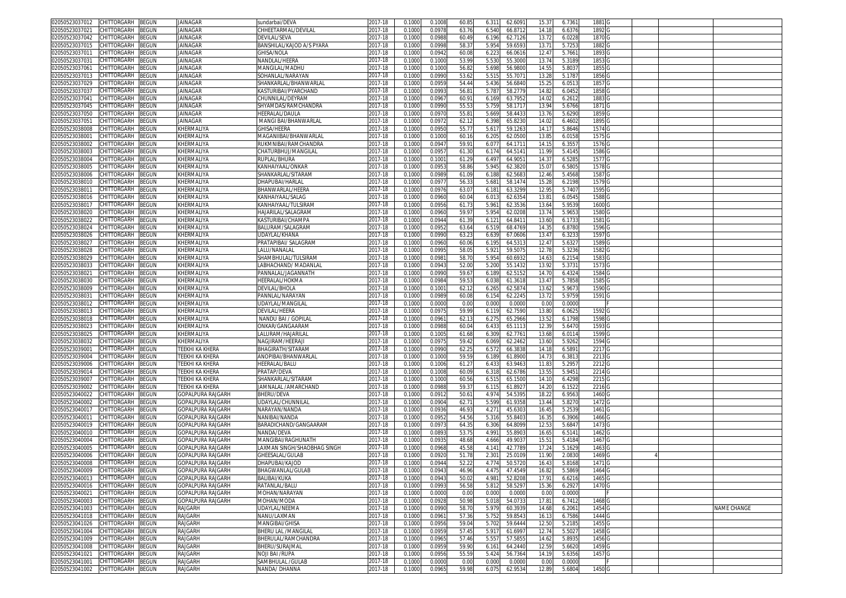| CHITTORGARH<br>BEGUN<br>02050523037012        | <b>JAINAGAR</b>          | sundarbai/DEVA             | 2017-18 | 0.100  | 0.100  | 60.8           | 6.31'      | 62.609  | 15.3              | 6.736  | 1881   |  |             |
|-----------------------------------------------|--------------------------|----------------------------|---------|--------|--------|----------------|------------|---------|-------------------|--------|--------|--|-------------|
| CHITTORGARH<br>02050523037021<br>BEGUN        | JAINAGAR                 | CHHEETARMAL/DEVILAL        | 2017-18 | 0.100( | 0.097  | 63.76          | 6.540      | 66.8712 | 14.18             | 6.6376 | 1892   |  |             |
| CHITTORGARH                                   | <b>JAINAGAR</b>          |                            |         | 0.100  |        |                |            |         |                   |        |        |  |             |
| 02050523037042<br>3EGUN                       |                          | DEVILAL/SEVA               | 2017-18 |        | 0.098  | 60.49          | 6.196      | 62.7126 | 13.7              | 6.0228 | 1870   |  |             |
| CHITTORGARH<br>BEGUN<br>02050523037015        | JAINAGAR                 | BANSHILAL/KAJOD A/S PYARA  | 2017-18 | 0.1000 | 0.099  | 58.3           | 5.954      | 59.659  | $13.7^{\circ}$    | 5.725  | 1882   |  |             |
| CHITTORGARH<br>BEGUN<br>02050523037011        | <b>JAINAGAR</b>          | GHISA/NOLA                 | 2017-18 | 0.100  | 0.094  | 60.08          | 6.22       | 66.061  | 12.4              | 5.766  | 1893   |  |             |
| 02050523037031<br>CHITTORGARH<br>BEGUN        | JAINAGAR                 | NANDLAL/HEERA              | 2017-18 | 0.100  | 0.100  | 53.99          | 5.53       | 55.300  | 13.7              | 5.3189 | 1853   |  |             |
| CHITTORGARH<br>02050523037061<br>3EGUN        | JAINAGAR                 | MANGILAL/MADHL             | 2017-18 | 0.100  | 0.100  | 56.8           | 5.698      | 56.980  | 14.5              | 5.803  | 1855   |  |             |
| 02050523037013<br>CHITTORGARH<br>BEGUN        | JAINAGAR                 | SOHANLAL/NARAYAN           | 2017-18 | 0.100  | 0.099  | 53.62          | 5.51       | 55.707  | 13.2              | 5.178  | 1856   |  |             |
|                                               |                          |                            |         |        |        |                |            |         |                   |        |        |  |             |
| 02050523037029<br>CHITTORGARH<br>3EGUN        | <b>JAINAGAR</b>          | SHANKARLAL/BHANWARLAI      | 2017-18 | 0.100  | 0.095  | 54.44          | 5.43       | 56.684  | 15.2              | 6.051  | 1857   |  |             |
| 02050523037037<br>CHITTORGARH<br>BEGUN        | JAINAGAR                 | KASTURIBAI/PYARCHAND       | 017-18  | 0.100  | 0.099  | 56.8           | 5.78       | 58.277  | 14.82             | 6.0452 | 1858   |  |             |
| 02050523037041<br>CHITTORGARH<br>3EGUN        | JAINAGAR                 | CHUNNILAL/DEYRAM           | 2017-18 | 0.100  | 0.096  | 60.9           | 6.169      | 63.795  | 14.0              | 6.261  | 1883   |  |             |
| 02050523037045<br><b>CHITTORGARH</b><br>BEGUN | JAINAGAR                 | SHYAMDAS/RAMCHANDRA        | 017-18  | 0.100  | 0.099  | 55.5           | 5.75       | 58.171  | 13.9              | 5.6766 | 1871   |  |             |
| CHITTORGARH<br>02050523037050<br>BEGUN        | JAINAGAR                 | HEERALAL/DAULA             | 2017-18 | 0.100  | 0.097  | 55.8           | 5.669      | 58.443  | 13.7              | 5.629  | 1859   |  |             |
| CHITTORGARH<br>BEGUN<br>02050523037051        | JAINAGAR                 | MANGI BAI/BHANWARLAL       | 2017-18 | 0.100  | 0.097  | 62.1           | 6.398      | 65.823  | 14.02             | 6.4602 | 1895   |  |             |
| 02050523038008<br>CHITTORGARH<br>BEGUN        | KHERMALIYA               | <b>GHISA/HEERA</b>         | 017-18  | 0.100  | 0.095  | 55.7           | 5.61       | 59.126  | 14.1              | 5.8646 | 1574   |  |             |
|                                               |                          |                            |         |        |        |                |            |         |                   |        |        |  |             |
| CHITTORGARH<br>BEGUN<br>02050523038001        | KHERMALIYA               | MAGANIIBAI/BHANWARLAL      | 2017-18 | 0.100  | 0.100  | 60.1           | 6.205      | 62.050  | 13.8              | 6.0158 | 1575   |  |             |
| 02050523038002<br>CHITTORGARH<br>BEGUN        | KHERMALIYA               | RUKMNIBAI/RAMCHANDRA       | 017-18  | 0.100  | 0.094  | 59.9           | 6.07       | 64.171  | 14.1              | 6.355  | 1576   |  |             |
| CHITTORGARH<br>BEGUN<br>02050523038003        | KHERMALIYA               | CHATURBHUJ/MANGILAL        | 2017-18 | 0.100  | 0.095  | 61.3           | 6.174      | 64.5141 | 11.99             | 5.4145 | 1586 G |  |             |
| CHITTORGARH<br>BEGUN<br>02050523038004        | KHERMALIYA               | RUPLAL/BHURA               | 2017-18 | 0.100  | 0.100  | 61.29          | 6.497      | 64.905  | 14.3              | 6.5285 | 1577 G |  |             |
| 02050523038005<br>CHITTORGARH<br>BEGUN        | KHERMALIYA               | KANHAIYAAL/ONKAR           | 2017-18 | 0.100  | 0.095  | 58.86          | 5.94       | 62.382  | 15.0              | 6.5805 | 1578   |  |             |
| BEGUN<br>02050523038006<br>CHITTORGARH        | KHERMALIYA               | SHANKARLAL/SITARAM         | 2017-18 | 0.100  | 0.098  | 61.09          | 6.18       | 62.568  | 12.46             | 5.4568 | 1587   |  |             |
| 02050523038010<br>CHITTORGARH<br>BEGUN        | KHERMALIYA               | DHAPUBAI/HARLAL            | 2017-18 | 0.100  | 0.097  | 56.3           | 5.68       | 58.147  | 15.2              | 6.2198 | 1579 G |  |             |
|                                               |                          |                            |         |        |        |                |            |         |                   |        |        |  |             |
| CHITTORGARH<br>BEGUN<br>02050523038011        | KHERMALIYA               | BHANWARLAL/HEERA           | 2017-18 | 0.100  | 0.097  | 63.07          | 6.181      | 63.329  | 12.9              | 5.7407 | 1595 G |  |             |
| BEGUN<br>02050523038016<br>CHITTORGARH        | KHERMALIYA               | KANHAIYAAL/SALAG           | 2017-18 | 0.100  | 0.096  | 60.04          | 6.01       | 62.635  | 13.8              | 6.054  | 1588   |  |             |
| 02050523038017<br>CHITTORGARH<br>BEGUN        | KHERMALIYA               | KANHAIYAAL/TULSIRAN        | 2017-18 | 0.100  | 0.095  | 61.7           | 5.961      | 62.353  | 13.64             | 5.953  | 1600   |  |             |
| CHITTORGARH<br>3EGUN<br>02050523038020        | KHERMALIYA               | HAJARILAL/SALAGRAM         | 2017-18 | 0.100  | 0.096  | 59.97          | 5.954      | 62.020  | 13.7              | 5.965  | 1580   |  |             |
| CHITTORGARH<br>BEGUN<br>02050523038022        | KHERMALIYA               | KASTURIBAI/CHAMPA          | 2017-18 | 0.100  | 0.094  | 61.39          | $6.12^{7}$ | 64.841  | 13.60             | 6.173  | 1581   |  |             |
| CHITTORGARH<br>BEGUN<br>02050523038024        | KHERMALIYA               | BALURAM/SALAGRAM           | 2017-18 | 0.100  | 0.095  | 63.64          | 6.519      | 68.476  | 14.3              | 6.878  | 1596   |  |             |
| CHITTORGARH<br>BEGUN<br>02050523038026        | KHERMALIYA               | JDAYLAL/KHANA              | 2017-18 | 0.100  | 0.099  | 63.2           | 6.639      | 67.060  | 13.4              | 6.323  | 1597   |  |             |
|                                               |                          |                            |         |        |        |                |            |         |                   |        |        |  |             |
| CHITTORGARH<br>BEGUN<br>02050523038027        | KHERMALIYA               | PRATAPIBAI/ SALAGRAM       | 2017-18 | 0.100  | 0.096  | 60.06          | 6.195      | 64.531  | 12.4              | 5.632  | 1589   |  |             |
| CHITTORGARH<br>02050523038028<br>BEGUN        | KHERMALIYA               | LALU/NANALAL               | 2017-18 | 0.100  | 0.099  | 58.0           | 5.92       | 59.507  | 12.7              | 5.3236 | 1582   |  |             |
| 02050523038029<br>CHITTORGARH<br>3EGUN        | KHERMALIYA               | SHAMBHULAL/TULSIRAM        | 017-18  | 0.100  | 0.098  | 58.7           | 5.95       | 60.693  | 14.6              | 6.215  | 1583   |  |             |
| 02050523038033<br>CHITTORGARH<br>BEGUN        | KHERMALIYA               | ABHACHAND/MADANLA          | 017-18  | 0.100  | 0.094  | 52.0           | 5.200      | 55.143  | 13.9              | 5.373  | 1573   |  |             |
| 02050523038021<br>CHITTORGARH<br>BEGUN        | KHERMALIYA               | PANNALAL/JAGANNATH         | 2017-18 | 0.100  | 0.099  | 59.6           | 6.189      | 62.515  | 14.7              | 6.432  | 1584   |  |             |
| CHITTORGARH<br>BEGUN<br>02050523038030        | KHERMALIYA               | HEERALAL/HOKMA             | 2017-18 | 0.100  | 0.098  | 59.5           | 6.038      | 61.361  | 13.4              | 5.7858 | 1585   |  |             |
|                                               |                          |                            |         |        |        |                |            |         |                   |        |        |  |             |
| 02050523038009<br>CHITTORGARH<br>3EGUN        | KHERMALIYA               | DEVILAL/BHOLA              | 2017-18 | 0.100  | 0.100  | 62.1           | 6.26       | 62.587  | 13.6              | 5.967  | 1590   |  |             |
| 02050523038031<br>CHITTORGARH<br>BEGUN        | KHERMALIYA               | PANNLAL/NARAYAN            | 2017-18 | 0.100  | 0.098  | 60.08          | 6.154      | 62.2245 | 13.7              | 5.9759 | 1591   |  |             |
| 02050523038012<br>CHITTORGARH<br>BEGUN        | KHERMALIYA               | JDAYLAL/MANGILAI           | 017-18  | 0.100  | 0.000  | 0.00           | 0.000      | 0.000   | 0.0               | 0.000  |        |  |             |
| CHITTORGARH<br>BEGUN<br>02050523038013        | KHERMALIYA               | DEVILAL/HEERA              | 2017-18 | 0.100  | 0.097  | 59.99          | 6.11       | 62.759  | 13.80             | 6.062  | 1592   |  |             |
| 02050523038018<br>CHITTORGARH<br>BEGUN        | KHERMALIYA               | NANDU BAI / GOPILAI        | 017-18  | 0.100  | 0.096  | 62.1           | 6.27       | 65.2966 | 13.5              | 6.1798 | 1598   |  |             |
| CHITTORGARH<br>02050523038023<br>BEGUN        | KHERMALIYA               | ONKAR/GANGAARAM            | 2017-18 | 0.100  | 0.098  | 60.04          | 6.433      | 65.1113 | 12.3 <sup>0</sup> | 5.647  | 1593   |  |             |
| 02050523038025<br>CHITTORGARH<br>BEGUN        | KHERMALIYA               | ALURAM/HAJARILAI           | 017-18  | 0.100  | 0.100  | 61.68          | 6.309      | 62.776  | 13.6              | 6.011  | 1599   |  |             |
|                                               |                          |                            |         |        |        |                |            |         |                   |        |        |  |             |
| CHITTORGARH<br>BEGUN<br>02050523038032        | KHERMALIYA               | NAGJIRAM/HEERAJI           | 2017-18 | 0.100  | 0.097  | 59.42          | 6.069      | 62.2462 | 13.60             | 5.9262 | 1594   |  |             |
| CHITTORGARH<br>BEGUN<br>02050523039001        | TEEKHI KA KHERA          | BHAGIRATH/SITARAM          | 2017-18 | 0.100  | 0.099  | 62.2           | 6.572      | 66.3838 | 14.1              | 6.589  | 2217 G |  |             |
| CHITTORGARH<br>BEGUN<br>02050523039004        | TEEKHI KA KHERA          | ANOPIBAI/BHANWARLAI        | 2017-18 | 0.100  | 0.100  | 59.59          | 6.189      | 61.8900 | 14.73             | 6.381  | 2213   |  |             |
| BEGUN<br>02050523039006<br>CHITTORGARH        | TEEKHI KA KHERA          | HEERALAL/BALU              | 2017-18 | 0.100  | 0.100  | 61.2           | 6.433      | 63.946  | 11.83             | 5.295  | 2212   |  |             |
| BEGUN<br>02050523039014<br>CHITTORGARH        | TEEKHI KA KHERA          | PRATAP/DEVA                | 2017-18 | 0.100  | 0.100  | 60.09          | 6.318      | 62.6786 | 13.5              | 5.945  | 2214   |  |             |
| 02050523039007<br>CHITTORGARH<br>BEGUN        | TEEKHI KA KHERA          | SHANKARLAL/SITARAM         | 2017-18 | 0.100  | 0.100  | 60.56          | 6.51       | 65.150  | 14.10             | 6.4298 | 2215   |  |             |
| CHITTORGARH<br>3EGUN<br>02050523039002        | TEEKHI KA KHERA          | JAMNALAL /AMARCHAND        | 2017-18 | 0.100  | 0.098  | 59.3           | 6.11!      | 61.892  | 14.20             | 6.1522 | 2216   |  |             |
|                                               |                          |                            |         |        |        |                |            |         |                   |        |        |  |             |
| CHITTORGARH<br>BEGUN<br>02050523040022        | GOPALPURA RAJGARH        | BHERU/DEVA                 | 2017-18 | 0.100( | 0.091  | $50.6^{\circ}$ | 4.974      | 54.539  | 18.22             | 6.9563 | 1460   |  |             |
| 02050523040002<br>CHITTORGARH<br>BEGUN        | <b>GOPALPURA RAJGARH</b> | UDAYLAL/CHUNNILAL          | 2017-18 | 0.100  | 0.090  | 62.7           | 5.599      | 61.935  | 13.44             | 5.827  | 1472   |  |             |
| CHITTORGARH<br>BEGUN<br>02050523040017        | GOPALPURA RAJGARH        | <b>VARAYAN/NANDA</b>       | 2017-18 | 0.100  | 0.093  | 46.9           | 4.27'      | 45.630  | 16.4              | 5.253  | 1461   |  |             |
| CHITTORGARH<br>3EGUN<br>02050523040011        | GOPALPURA RAJGARH        | NANIBAI/NANDA              | 2017-18 | 0.100  | 0.095  | 54.56          | 5.316      | 55.840  | 16.3              | 6.3906 | 1466   |  |             |
| CHITTORGARH<br>02050523040019<br>BEGUN        | GOPALPURA RAJGARH        | BARADICHAND/GANGAARAM      | 2017-18 | 0.100  | 0.097  | 64.3           | 6.306      | 64.809  | 12.53             | 5.6847 | 1473   |  |             |
| CHITTORGARH<br>02050523040010<br>BEGUN        | GOPALPURA RAJGARH        | NANDA/DEVA                 | 2017-18 | 0.100  | 0.089  | 53.7           | 4.99       | 55.890  | 16.6              | 6.514  | 1462   |  |             |
| 02050523040004<br>CHITTORGARH<br>BEGUN        | GOPALPURA RAJGARH        | MANGIBAI/RAGHUNATH         | 017-18  | 0.100  | 0.093  | 48.68          | 4.666      | 49.903  | 15.5'             | 5.4184 | 1467   |  |             |
|                                               |                          |                            |         |        |        |                |            |         |                   |        |        |  |             |
| 02050523040005<br>CHITTORGARH<br>BEGUN        | GOPALPURA RAJGARH        | AXMAN SINGH/SHAOBHAG SINGH | 017-18  | 0.100  | 0.096  | 45.5           | 4.14       | 42.778  | 17.2              | 5.162  | 1463   |  |             |
| 02050523040006<br>CHITTORGARH<br>BEGUN        | <b>GOPALPURA RAJGARH</b> | <b>GHEESALAL/GULAB</b>     | 017-18  | 0.100  | 0.092  | 51.7           | 2.301      | 25.010  | 11.90             | 2.083  | 1469   |  |             |
| 02050523040008<br>CHITTORGARH<br>BEGUN        | GOPALPURA RAJGARH        | DHAPUBAI/KAJOD             | 2017-18 | 0.100  | 0.094  | 52.22          | 4.77       | 50.572  | 16.4              | 5.8168 | 1471   |  |             |
| 02050523040009 CHITIORGARH BEGUN              | GOPALPURA RAJGARH        | BHAGWANLAL/GULAB           | 2017-18 | 0.1000 | 0.094  | 46.96          | 4.475      | 47.4549 | 16.82             | 5.5869 | 1464.  |  |             |
| 02050523040013<br>CHITTORGARH<br><b>BEGUN</b> | <b>GOPALPURA RAJGARH</b> | BALIBAI/KUKA               | 2017-18 | 0.1000 | 0.094  | 50.02          | 4.981      | 52.8208 | 17.91             | 6.6216 | 1465 G |  |             |
| CHITTORGARH<br>02050523040016<br>BEGUN        | GOPALPURA RAJGARH        | RATANLAL/BALU              | 2017-18 | 0.1000 | 0.099  | 56.58          | 5.812      | 58.5297 | 15.36             | 6.2927 | 1470 G |  |             |
| BEGUN<br>02050523040021<br>CHITTORGARH        | GOPALPURA RAJGARH        | MOHAN/NARAYAN              | 2017-18 | 0.100  | 0.000  | 0.00           | 0.000      | 0.0000  | 0.00              | 0.0000 |        |  |             |
|                                               |                          |                            |         |        |        |                |            |         |                   |        |        |  |             |
| 02050523040003<br>CHITTORGARH<br>BEGUN        | <b>GOPALPURA RAJGARH</b> | MOHAN/MODA                 | 2017-18 | 0.1000 | 0.092  | 50.98          | 5.018      | 54.073  | 17.81             | 6.7412 | 1468 G |  |             |
| BEGUN<br>02050523041003<br>CHITTORGARH        | RAJGARH                  | <b>JDAYLAL/NEEMA</b>       | 2017-18 | 0.1000 | 0.099  | 58.7           | 5.979      | 60.393  | 14.68             | 6.2061 | 1454 G |  | NAME CHANGE |
| 02050523041018<br>CHITTORGARH<br><b>BEGUN</b> | RAJGARH                  | NANU/LAXMAN                | 2017-18 | 0.1000 | 0.0961 | 57.36          | 5.752      | 59.8543 | 16.13             | 6.7586 | 1444 G |  |             |
| 02050523041026<br>CHITTORGARH<br>BEGUN        | RAJGARH                  | MANGIBAI/GHISA             | 2017-18 | 0.1000 | 0.0956 | 59.04          | 5.702      | 59.6444 | 12.50             | 5.2185 | 1455 G |  |             |
| 02050523041004<br>CHITTORGARH<br>BEGUN        | RAJGARH                  | BHERU LAL / MANGILAL       | 2017-18 | 0.1000 | 0.095  | 57.4           | 5.917      | 61.6997 | 12.74             | 5.5027 | 1458 G |  |             |
| 02050523041009<br><b>BEGUN</b><br>CHITTORGARH | RAJGARH                  | BHERULAL/RAMCHANDRA        | 2017-18 | 0.1000 | 0.0965 | 57.46          | 5.557      | 57.5855 | 14.62             | 5.8935 | 1456 G |  |             |
| 02050523041008<br>CHITTORGARH<br>BEGUN        | RAJGARH                  | BHERU/SURAJMAL             | 2017-18 | 0.1000 | 0.0959 | 59.90          | 6.161      | 64.2440 | 12.59             | 5.662  | 1459 G |  |             |
|                                               |                          |                            |         |        |        |                |            |         |                   |        |        |  |             |
| 02050523041021<br>CHITTORGARH<br>BEGUN        | RAJGARH                  | NOJI BAI /RUPA             | 2017-18 | 0.1000 | 0.0956 | 55.5           | 5.424      | 56.7364 | 14.19             | 5.6356 | 1457 G |  |             |
| CHITTORGARH<br>02050523041001<br>BEGUN        | RAJGARH                  | SAMBHULAL /GULAB           | 2017-18 | 0.1000 | 0.000  | 0.00           | 0.000      | 0.0000  | 0.00              | 0.0000 |        |  |             |
| 02050523041002 CHITTORGARH BEGUN              | RAJGARH                  | NANDA/ DHANNA              | 2017-18 | 0.1000 | 0.0965 | 59.98          | 6.075      | 62.9534 | 12.89             | 5.6804 | 1450 G |  |             |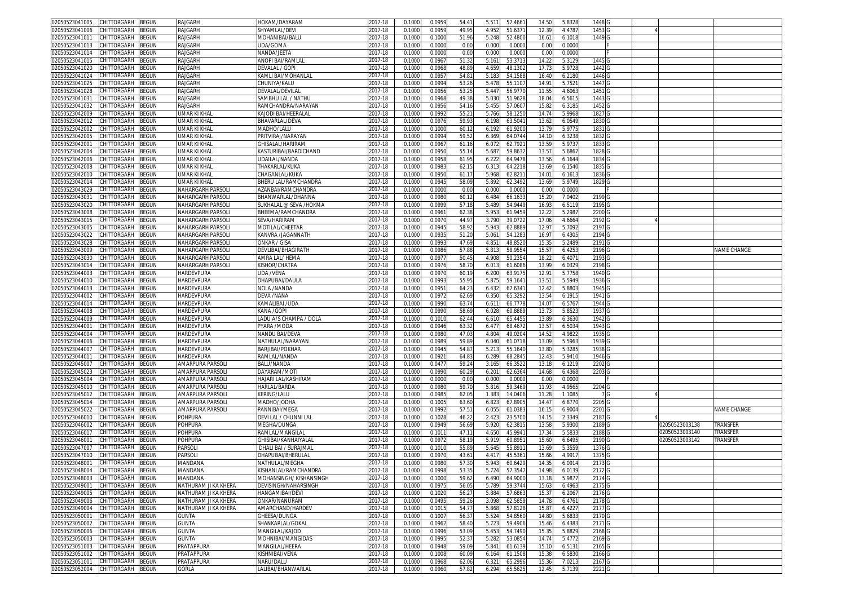| 02050523041005<br>CHITTORGARH<br>BEGUN               | RAJGARH              | HOKAM/DAYARAM           | 2017-18     | 0.1000 | 0.0959 | 54.4  | 5.511<br>57.466          | 14.50 | 5.832  | 1448              |                |             |
|------------------------------------------------------|----------------------|-------------------------|-------------|--------|--------|-------|--------------------------|-------|--------|-------------------|----------------|-------------|
| CHITTORGARH<br>02050523041006<br>BEGUN               | RAJGARH              | SHYAMLAL/DEVI           | 017-18      | 0.1000 | 0.0959 | 49.99 | 4.952<br>51.637          | 12.39 | 4.4787 | 1453              |                |             |
| 02050523041011<br>CHITTORGARH<br>3EGUN               | RAJGARH              | MOHANIBAI/BALU          | 2017-18     | 0.1000 | 0.1000 | 51.96 | 52.480<br>5.248          | 16.61 | 6.101  | 1449 G            |                |             |
|                                                      |                      |                         |             |        |        |       |                          |       |        |                   |                |             |
| 02050523041013<br>CHITTORGARH<br>BEGUN               | RAJGARH              | UDA/GOMA                | 017-18      | 0.1000 | 0.0000 | 0.00  | 0.000<br>0.000           | 0.00  | 0.0000 |                   |                |             |
| 02050523041014<br>CHITTORGARH<br>BEGUN               | RAJGARH              | NANDA/JEETA             | 2017-18     | 0.100  | 0.000  | 0.00  | 0.000<br>0.000           | 0.0   | 0.0000 |                   |                |             |
| 02050523041015<br>CHITTORGARH<br>BEGUN               | RAJGARH              | ANOPI BAI/RAMLAI        | 2017-18     | 0.1000 | 0.0967 | 51.32 | 5.161<br>53.371          | 14.22 | 5.3129 | 1445              |                |             |
| <b>CHITTORGARH</b><br><b>BEGUN</b><br>02050523041020 | RAJGARH              | DEVALAL / GOPI          | 2017-18     | 0.100  | 0.096  | 48.8  | 48.130<br>4.65           | 17.7  | 5.9728 | 1442              |                |             |
| CHITTORGARH<br>BEGUN<br>02050523041024               | RAJGARH              | KAMLI BAI/MOHANLAL      | 2017-18     | 0.1000 | 0.095  | 54.8  | 5.183<br>54.1588         | 16.40 | 6.2180 | 1446              |                |             |
| 02050523041025<br>CHITTORGARH<br>3EGUN               | RAJGARH              | CHUNIYA/KALU            | 2017-18     | 0.100  | 0.0994 | 53.26 | 5.47<br>55.110           | 14.9  | 5.752  | 1447              |                |             |
|                                                      |                      |                         |             |        |        |       |                          |       |        |                   |                |             |
| CHITTORGARH<br>3EGUN<br>02050523041028               | RAJGARH              | DEVALAL/DEVILAI         | 2017-18     | 0.1000 | 0.095  | 53.2  | 56.977<br>5.44           | 11.55 | 4.6063 | 1451              |                |             |
| 02050523041031<br>CHITTORGARH<br>BEGUN               | RAJGARH              | SAMBHU LAL / NATHU      | 2017-18     | 0.100  | 0.096  | 49.3  | 51.962<br>5.03           | 18.0  | 6.561  | 1443              |                |             |
| CHITTORGARH<br>BEGUN<br>02050523041032               | RAJGARH              | RAMCHANDRA/NARAYAN      | 2017-18     | 0.1000 | 0.0956 | 54.16 | 5.455<br>57.060          | 15.82 | 6.3185 | 1452 G            |                |             |
| CHITTORGARH<br>BEGUN<br>02050523042009               | UMAR KI KHAL         | KAJODI BAI/HEERALAI     | 2017-18     | 0.1000 | 0.0992 | 55.2  | 5.766<br>58.125          | 14.74 | 5.9968 | 1827 G            |                |             |
| CHITTORGARH<br>BEGUN<br>02050523042012               | UMAR KI KHAL         | BHAVARLAL/DEVA          | 2017-18     | 0.1000 | 0.097  | 59.93 | 6.198<br>63.504          | 13.62 | 6.0549 | 1830 G            |                |             |
|                                                      |                      |                         |             |        |        |       |                          |       |        |                   |                |             |
| CHITTORGARH<br>BEGUN<br>02050523042002               | UMAR KI KHAL         | MADHO/LALU              | 2017-18     | 0.1000 | 0.1000 | 60.1  | 6.192<br>61.920          | 13.7  | 5.9775 | 1831 G            |                |             |
| CHITTORGARH<br>BEGUN<br>02050523042005               | UMAR KI KHAL         | PRITVIRAJ/NARAYAN       | 2017-18     | 0.1000 | 0.0994 | 59.52 | 6.369<br>64.074          | 14.1  | 6.3238 | 1832 G            |                |             |
| CHITTORGARH<br>BEGUN<br>02050523042001               | UMAR KI KHAL         | GHISALAL/HARIRAM        | 2017-18     | 0.1000 | 0.0967 | 61.16 | 62.792<br>6.07           | 13.59 | 5.9737 | 1833 G            |                |             |
| 02050523042004<br>CHITTORGARH<br>3EGUN               | UMAR KI KHAI         | KASTURIBAI/BARDICHAND   | 2017-18     | 0.100  | 0.0950 | 55.1  | 5.68<br>59.863           | 13.57 | 5.686  | 1828 G            |                |             |
| 02050523042006<br>CHITTORGARH<br>BEGUN               | UMAR KI KHAL         | UDAILAL/NANDA           | 2017-18     | 0.1000 | 0.095  | 61.9  | 6.222<br>64.9478         | 13.56 | 6.1644 | 1834              |                |             |
| 02050523042008<br>CHITTORGARH<br>3EGUN               | <b>UMAR KI KHAI</b>  | THAKARLAL/KUKA          | 2017-18     | 0.100  | 0.098  | 62.1! | 6.31<br>64.221           | 13.69 | 6.1540 | 1835 0            |                |             |
|                                                      |                      |                         |             |        |        |       |                          |       |        |                   |                |             |
| 02050523042010<br>CHITTORGARH<br>BEGUN               | UMAR KI KHAL         | CHAGANLAL/KUKA          | 017-18      | 0.1000 | 0.095  | 61.1  | 5.968<br>62.821          | 14.01 | 6.1613 | 1836 0            |                |             |
| 02050523042014<br>CHITTORGARH<br>3EGUN               | UMAR KI KHAL         | BHERU LAL/RAMCHANDRA    | 2017-18     | 0.100  | 0.094  | 58.0  | 5.89<br>62.349           | 13.69 | 5.9749 | 1829 G            |                |             |
| 02050523043029<br>CHITTORGARH<br>BEGUN               | NAHARGARH PARSOL     | \ZANBAI/RAMCHANDRA      | 2017-18     | 0.1000 | 0.0000 | 0.00  | 0.000<br>0.000           | 0.00  | 0.0000 |                   |                |             |
| CHITTORGARH<br>BEGUN<br>02050523043031               | NAHARGARH PARSOL     | BHANWARLAL/DHANNA       | 2017-18     | 0.100  | 0.0980 | 60.1  | 6.484<br>66.163          | 15.20 | 7.0402 | 2199 G            |                |             |
| CHITTORGARH<br>02050523043020<br>3EGUN               | NAHARGARH PARSOL     | SUKHALAL @ SEVA /HOKMA  | 2017-18     | 0.100  | 0.0999 | 57.1  | 54.944<br>5.48           | 16.9  | 6.5119 | 2195              |                |             |
| CHITTORGARH                                          |                      |                         | $2017 - 18$ |        |        |       | 61.945                   |       |        |                   |                |             |
| 02050523043008<br>3EGUN                              | NAHARGARH PARSOL     | BHEEMA/RAMCHANDRA       |             | 0.100  | 0.096  | 62.3  | 5.95                     | 12.2  | 5.2987 | 22000             |                |             |
| 02050523043015<br>CHITTORGARH<br>BEGUN               | NAHARGARH PARSOL     | SEVA/HARIRAM            | 2017-18     | 0.1000 | 0.097  | 44.97 | 3.790<br>39.072          | 17.06 | 4.6664 | 2192 <sub>G</sub> |                |             |
| 02050523043005<br>CHITTORGARH<br>BEGUN               | NAHARGARH PARSOL     | MOTILAL/CHEETAR         | 2017-18     | 0.100  | 0.094  | 58.92 | 5.94<br>62.888           | 12.97 | 5.7092 | 2197              |                |             |
| 02050523043022<br>CHITTORGARH<br>BEGUN               | NAHARGARH PARSOL     | KANVRA /JAGANNATH       | 017-18      | 0.100  | 0.093  | 51.20 | $5.06^{\circ}$<br>54.128 | 16.97 | 6.430  | 2194              |                |             |
| 02050523043028<br>CHITTORGARH<br>BEGUN               | NAHARGARH PARSOL     | ONKAR / GISA            | 2017-18     | 0.100  | 0.099  | 47.6  | 4.85<br>48.852           | 15.3  | 5.2489 | 2191 G            |                |             |
| CHITTORGARH                                          |                      | DEVLIBAI/BHAGIRATH      | 017-18      |        | 0.098  | 57.88 | 5.81<br>58.955           |       |        | 2196              |                | NAME CHANGE |
| 02050523043009<br>BEGUN                              | NAHARGARH PARSOL     |                         |             | 0.1000 |        |       |                          | 15.57 | 6.425  |                   |                |             |
| 02050523043030<br>CHITTORGARH<br>3EGUN               | NAHARGARH PARSOL     | AMRA LAL/ HEMA          | 017-18      | 0.100  | 0.097  | 50.4  | 50.235<br>4.90           | 18.2  | 6.407  | 2193              |                |             |
| CHITTORGARH<br>02050523043014<br>BEGUN               | NAHARGARH PARSOLI    | KISHOR/CHATRA           | 2017-18     | 0.1000 | 0.097  | 58.7  | 6.01<br>61.6086          | 13.99 | 6.0329 | 2198              |                |             |
| 02050523044003<br>CHITTORGARH<br>3EGUN               | HARDEVPURA           | UDA /VENA               | 017-18      | 0.100  | 0.097  | 60.1  | 6.200<br>63.917          | 12.9  | 5.7758 | 1940              |                |             |
| 02050523044010<br>CHITTORGARH<br>BEGUN               | HARDEVPURA           | DHAPUBAI/DAULA          | 017-18      | 0.1000 | 0.099  | 55.9  | 5.87<br>59.164           | 13.5  | 5.5949 | 1936              |                |             |
| 02050523044013<br>CHITTORGARH<br>BEGUN               | HARDEVPURA           | NOLA /NANDA             | 2017-18     | 0.100  | 0.095  | 64.2  | 6.43<br>67.634           | 12.4  | 5.880  | 1945 G            |                |             |
| CHITTORGARH                                          |                      | DEVA /NANA              |             |        |        |       |                          |       |        | 1941 G            |                |             |
| 02050523044002<br>BEGUN                              | HARDEVPURA           |                         | 2017-18     | 0.1000 | 0.097  | 62.69 | 6.350<br>65.3292         | 13.54 | 6.1915 |                   |                |             |
| 02050523044014<br>CHITTORGARH<br>BEGUN               | HARDEVPURA           | KAMALIBAI /UDA          | 2017-18     | 0.1000 | 0.0990 | 63.74 | 6.611<br>66.7778         | 14.0  | 6.576  | 1944 G            |                |             |
| BEGUN<br>02050523044008<br>CHITTORGARH               | HARDEVPURA           | KANA /GOPI              | 2017-18     | 0.1000 | 0.0990 | 58.6  | 6.028<br>60.888          | 13.73 | 5.852  | 1937 G            |                |             |
| CHITTORGARH<br>BEGUN<br>02050523044009               | HARDEVPURA           | LADU A/S CHAMPA / DOLA  | 2017-18     | 0.1000 | 0.101  | 62.44 | 6.610<br>65.445          | 13.89 | 6.3630 | 1942 G            |                |             |
| CHITTORGARH<br>BEGUN<br>02050523044001               | HARDEVPURA           | PYARA /MODA             | 2017-18     | 0.1000 | 0.0946 | 63.32 | 6.47<br>68.4672          | 13.57 | 6.5034 | 1943 <sub>G</sub> |                |             |
| BEGUN<br>02050523044004<br>CHITTORGARH               | HARDEVPURA           | NANDU BAI/DEVA          | 2017-18     | 0.1000 | 0.0980 | 47.0  | 4.804<br>49.020          | 14.5  | 4.9822 | 1935 G            |                |             |
|                                                      |                      |                         |             |        |        |       |                          |       |        |                   |                |             |
| 02050523044006<br>CHITTORGARH<br>BEGUN               | <b>HARDEVPURA</b>    | NATHULAL/NARAYAN        | 2017-18     | 0.1000 | 0.0989 | 59.8  | 6.040<br>61.0718         | 13.09 | 5.596  | 1939              |                |             |
| 02050523044007<br>CHITTORGARH<br>BEGUN               | HARDEVPURA           | BARJIBAI/POKHAR         | 017-18      | 0.100  | 0.0945 | 54.8  | 5.21<br>55.1640          | 13.8  | 5.328  | 1938              |                |             |
| 02050523044011<br>CHITTORGARH<br>3EGUN               | HARDEVPURA           | RAMLAL/NANDA            | 2017-18     | 0.1000 | 0.092  | 64.8  | 6.289<br>68.284          | 12.4  | 5.9410 | 1946 G            |                |             |
| CHITTORGARH<br>BEGUN<br>02050523045007               | AMARPURA PARSOLI     | BALU/NANDA              | 017-18      | 0.1000 | 0.047  | 59.24 | 3.165<br>66.3522         | 13.1  | 6.1219 | 2202              |                |             |
| 02050523045023<br>CHITTORGARH<br>BEGUN               | AMARPURA PARSOLI     | DAYARAM/MOTI            | 2017-18     | 0.100  | 0.0990 | 60.29 | 6.20<br>62.636           | 14.68 | 6.4368 | 2203              |                |             |
| CHITTORGARH<br>02050523045004<br>BEGUN               | AMARPURA PARSOLI     | HAJARI LAL/KASHIRAM     | 2017-18     | 0.1000 | 0.0000 | 0.00  | 0.000<br>0.0000          | 0.00  | 0.0000 |                   |                |             |
|                                                      |                      |                         |             |        |        |       |                          |       |        |                   |                |             |
| CHITTORGARH<br>0205052304501<br>3EGUN                | AMARPURA PARSOL      | HARLAL/BARDA            | $2017 - 18$ | 0.100  | 0.098  | 59.7  | 59.346<br>5.816          | 11.9  | 4.9565 | 2204 G            |                |             |
| 02050523045012<br>CHITTORGARH<br>3EGUN               | AMARPURA PARSOL      | KERING/LALU             | 017-18      | 0.100  | 0.098  | 62.0  | 1.383<br>14.040          | 11.28 | 1.1085 | 7 G               |                |             |
| 02050523045014<br>CHITTORGARH<br>BEGUN               | AMARPURA PARSOLI     | MADHO/JODHA             | 2017-18     | 0.100  | 0.100  | 63.60 | 67.890<br>6.82           | 14.47 | 6.877  | 2205 G            |                |             |
| 02050523045022<br>CHITTORGARH<br>BEGUN               | AMARPURA PARSOLI     | PANNIBAI/MEGA           | 017-18      | 0.1000 | 0.099  | 57.5  | 6.05<br>61.038           | 16.1! | 6.9004 | 2201 <sub>G</sub> |                | NAME CHANGE |
| 02050523046010<br>CHITTORGARH<br>3EGUN               | POHPURA              | DEVI LAL / CHUNNI LAI   | 2017-18     | 0.100  | 0.102  | 46.2  | 2.42<br>23.570           | 14.1  | 2.3349 | 2187              |                |             |
| <b>CHITTORGARH</b><br>02050523046002<br>BEGUN        | POHPURA              | MEGHA/DUNGA             | 2017-18     | 0.1000 | 0.0949 | 56.6  | 62.381<br>5.920          | 13.5  | 5.9300 | 2189              | 2050523003138  | TRANSFER    |
|                                                      |                      |                         |             |        |        |       |                          |       |        |                   |                |             |
| CHITTORGARH<br>02050523046017<br>3EGUN               | Pohpura              | RAMLAL/MANGILAI         | 2017-18     | 0.100  | 0.101  | 47.1  | 45.994<br>4.65           | 17.3  | 5.583  | 2188              | 02050523003140 | transfer    |
| CHITTORGARH<br>02050523046001<br>3EGUN               | Pohpura              | SHISIBAI/KANHAIYALAI    | 2017-18     | 0.1000 | 0.097  | 58.1  | 5.91<br>60.895           | 15.60 | 6.6495 | 2190              | 02050523003142 | TRANSFER    |
| 02050523047007<br>CHITTORGARH<br>3EGUN               | Parsoli              | DHALI BAI / SURAJMA     | 2017-18     | 0.100  | 0.101  | 55.8  | 5.645<br>55.891          | 13.69 | 5.3559 | 1376              |                |             |
| 02050523047010<br>CHITTORGARH<br>BEGUN               | Parsoli              | DHAPUBAI/BHERULAL       | 2017-18     | 0.1000 | 0.097  | 43.6  | 45.536<br>4.41           | 15.66 | 4.991  | 1375              |                |             |
| 02050523048001<br>CHITTORGARH<br>3EGUN               | MANDANA              | NATHULAL/MEGHA          | 017-18      | 0.100  | 0.098  | 57.30 | 5.94<br>60.642           | 14.3  | 6.091  | 2173              |                |             |
|                                                      |                      |                         |             |        |        |       |                          |       |        |                   |                |             |
| 02050523048004 CHILIORGARH BEGUN                     | MANDANA              | KISHANLAL/RAMCHANDRA    | 2017-18     | 0.1000 | 0.0998 | 53.35 | 5.724<br>57.3547         | 14.98 | 6.0139 | 2172 G            |                |             |
| 02050523048003<br>CHITTORGARH BEGUN                  | MANDANA              | MOHANSINGH/ KISHANSINGH | 2017-18     | 0.1000 | 0.1000 | 59.62 | 6.490<br>64.9000         | 13.18 | 5.9877 | 2174 G            |                |             |
| 02050523049001<br>CHITTORGARH<br>BEGUN               | NATHURAM JI KA KHERA | DEVISINGH/NAHARSINGH    | 2017-18     | 0.1000 | 0.097  | 56.0  | 5.789<br>59.3744         | 15.63 | 6.4963 | 2175 G            |                |             |
| 02050523049005<br>CHITTORGARH<br>BEGUN               | NATHURAM JI KA KHERA | HANGAMIBAI/DEVI         | 2017-18     | 0.1000 | 0.1020 | 56.27 | 5.884<br>57.686          | 15.37 | 6.2067 | 2176 G            |                |             |
| 02050523049006<br>CHITTORGARH<br>BEGUN               | NATHURAM JI KA KHERA | ONKAR/NANURAM           | 2017-18     | 0.1000 | 0.0495 | 59.26 | 3.098<br>62.585          | 14.78 | 6.4761 | 2178 G            |                |             |
| 02050523049004<br><b>BEGUN</b><br>CHITTORGARH        | NATHURAM JI KA KHERA | AMARCHAND/HARDEV        | 2017-18     | 0.1000 | 0.1015 | 54.7  | 5.868<br>57.8128         | 15.87 | 6.4227 | 2177 G            |                |             |
|                                                      |                      |                         |             |        |        |       |                          |       |        |                   |                |             |
| CHITTORGARH<br>02050523050001<br>BEGUN               | <b>GUNTA</b>         | GHEESA/DUNGA            | 2017-18     | 0.1000 | 0.1007 | 56.37 | 5.524<br>54.8560         | 14.80 | 5.6833 | 2170 G            |                |             |
| 02050523050002<br>CHITTORGARH<br>BEGUN               | <b>GUNTA</b>         | SHANKARLAL/GOKAL        | 2017-18     | 0.1000 | 0.0962 | 58.40 | 5.723<br>59.4906         | 15.46 | 6.4383 | 2171 G            |                |             |
| 02050523050006<br>CHITTORGARH<br>BEGUN               | <b>GUNTA</b>         | MANGILAL/KAJOD          | 2017-18     | 0.1000 | 0.0996 | 53.09 | 5.453<br>54.7490         | 15.35 | 5.8829 | 2168 <sub>G</sub> |                |             |
| 02050523050003<br>CHITTORGARH<br>BEGUN               | <b>GUNTA</b>         | MOHNIBAI/MANGIDAS       | 2017-18     | 0.1000 | 0.099  | 52.37 | 5.282<br>53.085          | 14.74 | 5.4772 | 2169 G            |                |             |
| 02050523051003<br>CHITTORGARH<br>BEGUN               | PRATAPPURA           | MANGILAL/HEERA          | 2017-18     | 0.1000 | 0.0948 | 59.09 | 5.841<br>61.613          | 15.10 | 6.513  | 2165 G            |                |             |
| 02050523051002<br>CHITTORGARH<br>BEGUN               | PRATAPPURA           | KISHNIBAI/VENA          | 2017-18     | 0.1000 | 0.1008 | 60.09 | 61.1508<br>6.164         | 15.38 | 6.5830 | 2166 G            |                |             |
|                                                      |                      |                         |             |        |        |       |                          |       |        |                   |                |             |
| 02050523051001<br>CHITTORGARH<br><b>BEGUN</b>        | PRATAPPURA           | NARU/DALU               | 2017-18     | 0.1000 | 0.0968 | 62.0  | 6.321<br>65.2996         | 15.36 | 7.0213 | 2167 G            |                |             |
| CHITTORGARH BEGUN<br>02050523052004                  | GORLA                | LALIBAI/BHANWARLAL      | 2017-18     | 0.1000 | 0.0960 | 57.82 | 6.294<br>65.5625         | 12.45 | 5.7139 | 2221 G            |                |             |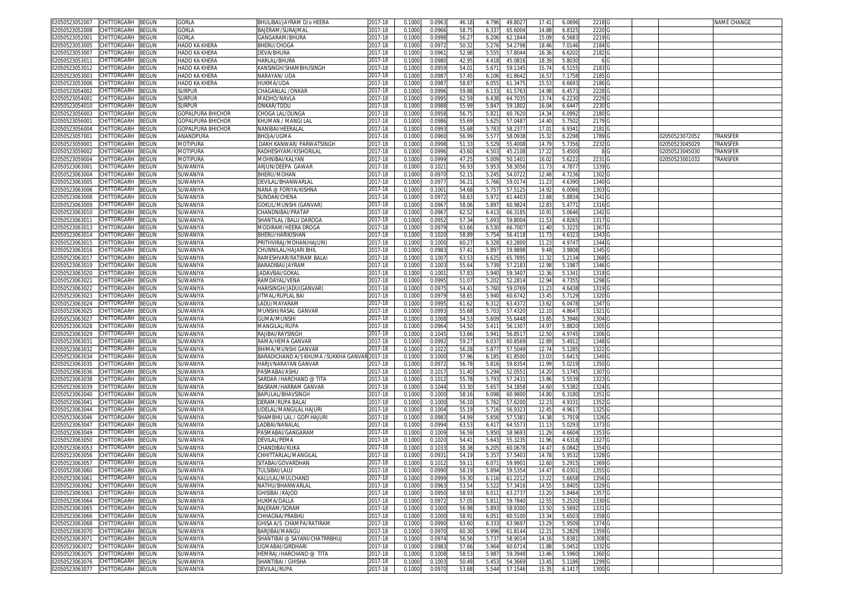| CHITTORGARH<br>BEGUN<br>02050523052007                                | GORLA                       | BHULIBAI/JAYRAM D/o HEERA                    | 2017-18     | 0.1000  | 0.0963         | 46.18          | 4.796         | 49.802           | 17.41         | 6.0696  | 2218              |                | NAME CHANGE     |
|-----------------------------------------------------------------------|-----------------------------|----------------------------------------------|-------------|---------|----------------|----------------|---------------|------------------|---------------|---------|-------------------|----------------|-----------------|
| 02050523052008<br>CHITTORGARH<br>3EGUN                                | GORLA                       | BAJERAM/SURAJMAI                             | 2017-18     | 0.1000  | 0.0966         | 58.7           | 6.33          | 65.600           | 14.8          | 6.832   | 2220              |                |                 |
| CHITTORGARH<br>02050523052001<br>3EGUN                                | <b>GORLA</b>                | GANGARAM/BHURA                               | 2017-18     | 0.1000  | 0.0998         | 56.2           | 6.206         | 62.1844          | 15.09         | 6.568   | 2219              |                |                 |
| 02050523053005<br><b>CHITTORGARH</b><br>BEGUN                         | HADO KA KHERA               | <b>BHERU/CHOGA</b>                           | 2017-18     | 0.100   | 0.097          | 50.3           | 5.276         | 54.279           | 18.46         | 7.014   | 2184              |                |                 |
| BEGUN<br>02050523053007<br>CHITTORGARH                                | HADO KA KHERA               | DEVA/BHURA                                   | 2017-18     | 0.1000  | 0.096          | 52.98          | 5.555         | 57.804           | 16.3          | 6.620   | 2182              |                |                 |
| 02050523053011<br>CHITTORGARH<br>BEGUN                                | HADO KA KHERA               | HARLAL/BHURA                                 | 2017-18     | 0.1000  | 0.0980         | 42.9           | 4.418         | 45.081           | 18.3          | 5.803   | 6                 |                |                 |
| CHITTORGARH<br>3EGUN<br>02050523053012                                | HADO KA KHERA               | KANSINGH/SHAMBHUSINGH                        | 2017-18     | 0.1000  | 0.0959         | 54.0           | 5.67'         | 59.134           | 15.74         | 6.515   | 2183              |                |                 |
| CHITTORGARH<br>3EGUN<br>02050523053003                                | HADO KA KHERA               | VARAYAN/ UDA                                 | 2017-18     | 0.1000  | 0.098          | 57.4           | 6.106         | 61.864           | 16.5          | 7.175   | 2185              |                |                 |
| 3EGUN<br>02050523053006<br>CHITTORGARH                                | HADO KA KHERA               | HUKMA/UDA                                    | 2017-18     | 0.1000  | 0.098          | 58.8           | 6.055         | 61.347           | 15.5          | 6.669   | 2186              |                |                 |
| 02050523054002<br>CHITTORGARH<br>3EGUN                                | Surpur                      | CHAGANLAL /ONKAR                             | 2017-18     | 0.1000  | 0.0996         | 59.8           | 6.13          | 61.576           | 14.98         | 6.457   | 2228              |                |                 |
| 02050523054001<br>CHITTORGARH<br>3EGUN                                | <b>SURPUR</b>               | MADHO/NAVLA                                  | 2017-18     | 0.1000  | 0.0995         | $62.5^{\circ}$ | 6.438         | 64.703           | 13.74         | 6.223   | 2229              |                |                 |
| 3EGUN<br>02050523054010<br>CHITTORGARH                                | surpur                      | onkar/todu                                   | 2017-18     | 0.1000  | 0.098          | 55.9           | 5.84          | 59.180           | 16.04         | 6.644   | 2230              |                |                 |
| 02050523056003<br>CHITTORGARH<br>BEGUN                                | GOPALPURA BHICHOR           | CHOGA LAL/DUNGA                              | 2017-18     | 0.1000  | 0.095          | 56.7           | 5.82          | 60.762           | 14.34         | 6.099   | 2180              |                |                 |
| 02050523056001<br>CHITTORGARH<br>BEGUN                                | GOPALPURA BHICHOR           | (HUMAN / MANGI LAI                           | 2017-18     | 0.1000  | 0.098          | 55.6           | 5.62          | 57.048           | 14.40         | 5.7502  | 2179              |                |                 |
| 02050523056004<br>CHITTORGARH<br>፡EGUN                                | GOPALPURA BHICHOR           | NANIBAI/HEERALAI                             | 2017-18     | 0.1000  | 0.099          | 55.68          | 5.78          | 58.237           | 17.0          | 6.934   | 2181              |                |                 |
| CHITTORGARH<br>3EGUN<br>02050523057001                                | ANANDPURA                   | <b>BHOJA/UGMA</b>                            | 2017-18     | 0.1000  | 0.0960         | 56.99          | 5.577         | 58.093           | 15.32         | 6.2298  | 1789              | 02050523072052 | TRANSFER        |
| 02050523059001<br>CHITTORGARH<br>BEGUN                                | <b>MOTIPURA</b>             | DAKH KANWAR/ PARWATSINGH                     | 2017-18     | 0.100   | 0.099          | 51.3           | 5.52          | 55.400           | 14.79         | 5.735   | 2232              | 02050523045029 | <b>TRANSFER</b> |
| CHITTORGARH<br>3EGUN<br>02050523059002                                | MOTIPURA                    | RADHESHYAM/KISHORILAL                        | 2017-18     | 0.1000  | 0.0996         | 43.60          | 4.50          | 45.210           | 17.22         | 5.450   |                   | )2050523045030 | TRANSFER        |
| CHITTORGARH<br>02050523059004<br><b>EGUN</b>                          | <b>MOTIPURA</b>             | MOHNIBAI/KALYAN                              | $2017 - 18$ | 0.100   | 0.0999         | 47.2           | 5.009         | 50.140           | 16.0          | 5.622   | 2231              | 02050523001032 | <b>TRANSFER</b> |
| CHITTORGARH<br>02050523063001<br>3EGUN                                | SUWANIYA                    | ARJUN/DEEPA GAWAR                            | 2017-18     | 0.1000  | 0.102          | 56.93          | 5.953         | 58.305           | 11.73         | 4.787   | 1339              |                |                 |
| 02050523063004<br>CHITTORGARH<br><b>EGUN</b>                          | SUWANIYA                    | BHERU/MOHAN                                  | 2017-18     | 0.100   | 0.097          | 52.1           | 5.245         | 54.072           | 12.48         | 4.723   | 1302              |                |                 |
| 02050523063005<br>CHITTORGARH<br>BEGUN                                | SUWANIYA                    | DEVILAL/BHANWARLAI                           | 2017-18     | 0.1000  | 0.097          | 56.2           | 5.766         | 59.017           | 11.2          | 4.639   | 1340              |                |                 |
| 02050523063006<br>CHITTORGARH<br>BEGUN                                | SUWANIYA                    | NANA @ FORIYA/KISHNA                         | 2017-18     | 0.1000  | 0.100          | 54.6           | 5.75          | 57.512           | 14.9          | 6.0066  | 1303              |                |                 |
| 02050523063008<br>CHITTORGARH<br>3EGUN                                | SUWANIYA                    | SUNDAR/CHENA                                 | 2017-18     | 0.1000  | 0.097          | 58.63          | 5.972         | 61.440           | 13.6          | 5.883   | 1341              |                |                 |
| CHITTORGARH<br><b>BEGUN</b><br>02050523063009                         |                             |                                              | 2017-18     | 0.100   | 0.096          | 58.0           | 5.89          | 60.982           | 12.8          | 5.477   | 1316              |                |                 |
| CHITTORGARH                                                           | SUWANIYA                    | GOKUL/MUNSHI (GANVAR)                        | 2017-18     |         | 0.096          | 62.5           |               |                  |               | 5.0646  | 1342              |                |                 |
| 02050523063010<br>3EGUN<br>02050523063011                             | SUWANIYA                    | CHANDNIBAI/PRATAP                            | 2017-18     | 0.1000  |                |                | 6.41<br>5.693 | 66.318<br>59.800 | 10.91         | 4.826   | 1317              |                |                 |
| <b>CHITTORGARH</b><br>BEGUN<br>CHITTORGARH<br>BEGUN<br>02050523063013 | <b>SUWANIYA</b><br>SUWANIYA | SHANTILAL /BALU DAROGA                       |             | 0.100   | 0.095<br>0.097 | 57.3<br>63.66  | 6.53          | 66.700           | 11.5<br>11.40 | 5.322   | 1367              |                |                 |
|                                                                       |                             | MODIRAM/HEERA DROGA                          | 2017-18     | 0.1000  |                |                |               |                  |               |         |                   |                |                 |
| 02050523063014<br>CHITTORGARH<br>3EGUN                                | SUWANIYA                    | BHERU/HARIKISHAN                             | 2017-18     | 0.1000  | 0.102          | 58.8           | 5.754         | 56.411           | 11.7          | 4.632   | 1343              |                |                 |
| CHITTORGARH<br>02050523063015<br>3EGUN                                | SUWANIYA                    | PRITHVIRAJ/MOHAN(HAJURI)                     | 2017-18     | 0.1000  | 0.1000         | 60.2           | 6.328         | 63.280           | 11.2          | 4.974   | 1344              |                |                 |
| CHITTORGARH<br>3EGUN<br>02050523063016                                | SUWANIYA                    | CHUNNILAL/HAJARI BHI                         | 2017-18     | 0.1000  | 0.098          | 57.4           | 5.897         | 59.9898          | 9.48          | 3.9808  | 1345              |                |                 |
| 3EGUN<br>02050523063017<br>CHITTORGARH                                | SUWANIYA                    | RAMESHVAR/RATIRAM BALAI                      | 2017-18     | 0.1000  | 0.100          | 63.5           | 6.625         | 65.789           | 11.32         | 5.213   | 1368              |                |                 |
| 3EGUN<br>02050523063019<br>CHITTORGARH                                | SUWANIYA                    | BARADIBAI/JAYRAM                             | 2017-18     | 0.1000  | 0.100          | 55.64          | 5.73          | 57.218           | 12.98         | 5.198   | 1346              |                |                 |
| 02050523063020<br>CHITTORGARH<br>3EGUN                                | SUWANIYA                    | JADAVBAI/GOKAI                               | 2017-18     | 0.1000  | 0.100          | 57.8           | 5.940         | 59.340           | 12.36         | 5.134   | 1318              |                |                 |
| 3EGUN<br>02050523063021<br>CHITTORGARH                                | SUWANIYA                    | RAMDAYAL/VENA                                | 2017-18     | 0.1000  | 0.099          | 51.0           | 5.202         | 52.281           | 12.94         | 4.735   | 1298              |                |                 |
| 3EGUN<br>02050523063022<br>CHITTORGARH                                | SUWANIYA                    | HARISINGH/JADU(GANVAR)                       | 2017-18     | 0.1000  | 0.097          | 54.4           | 5.760         | 59.076           | 11.2          | 4.643   | 1319              |                |                 |
| 02050523063023<br>CHITTORGARH<br>3EGUN                                | SUWANIYA                    | IITMAL/RUPLAL BAI                            | 2017-18     | 0.1000  | 0.097          | 58.6           | 5.940         | 60.674           | 13.45         | 5.7129  | 1320              |                |                 |
| CHITTORGARH<br><b>EGUN</b><br>02050523063024                          | SUWANIYA                    | LADU/MAYARAM                                 | 2017-18     | 0.1000  | 0.099          | 61.62          | 6.312         | 63.437           | 13.6          | 6.047   | 1347              |                |                 |
| CHITTORGARH<br>3EGUN<br>02050523063025                                | SUWANIYA                    | VIUNSHI/RASAL GANVAR                         | 2017-18     | 0.1000  | 0.099          | 55.68          | 5.703         | 57.432           | 12.10         | 4.864   | 1321              |                |                 |
| CHITTORGARH<br>BEGUN<br>02050523063027                                | SUWANIYA                    | GUMA/MUNSHI                                  | 2017-18     | 0.1000  | 0.100          | 54.5           | 5.609         | 55.6448          | 13.8          | 5.394   | 1304              |                |                 |
| 02050523063028<br>CHITTORGARH<br>3EGUN                                | SUWANIYA                    | <b>MANGILAL/RUPA</b>                         | 2017-18     | 0.1000  | 0.096          | 54.50          | 5.41'         | 56.130           | 14.97         | 5.8820  | 1305              |                |                 |
| CHITTORGARH<br>BEGUN<br>02050523063029                                | SUWANIYA                    | RAJIBAI/RAYSINGH                             | 2017-18     | 0.1000  | 0.104          | 53.66          | 5.941         | 56.851           | 12.50         | 4.974   | 1306              |                |                 |
| CHITTORGARH<br>02050523063031<br>3EGUN                                | SUWANIYA                    | RAMA/HEMA GANVAR                             | 2017-18     | 0.1000  | 0.0992         | 59.27          | 6.03          | 60.856           | 12.8          | 5.491   | 1348              |                |                 |
| 0205052306303.<br>CHITTORGARH<br><b>EGUN</b>                          | SUWANIYA                    | 3HIMA/MUNSHI GANVAR                          | 2017-18     | 0.100   | 0.102          | 56.2           | 5.87          | 57.504           | 12.74         | 5.128   | 1322              |                |                 |
| 02050523063034<br>CHITTORGARH<br>BEGUN                                | SUWANIYA                    | BARADICHAND A/S KHUMA /SUKKHA GANVAR 2017-18 |             | 0.1000  | 0.1000         | 57.96          | 6.185         | 61.850           | 13.03         | 5.641   | 1349              |                |                 |
| 02050523063035<br>CHITTORGARH<br>BEGUN                                | SUWANIYA                    | HARJI/NARAYAN GANVAR                         | 2017-18     | 0.1000  | 0.097          | 56.7           | 5.81          | 59.835           | 11.99         | 5.021   | 1350              |                |                 |
| 02050523063036<br>CHITTORGARH<br>3EGUN                                | SUWANIYA                    | PASMABAI/ASHU                                | 2017-18     | 0.1000  | 0.101          | 51.40          | 5.294         | 52.055           | 14.20         | 5.1745  | 1307              |                |                 |
| 02050523063038<br>CHITTORGARH<br><b>BEGUN</b>                         | SUWANIYA                    | SARDAR /HARCHAND @ TITA                      | 2017-18     | 0.100   | 0.101          | 55.7           | 5.79          | 57.243           | 13.8          | 5.553   | 1323              |                |                 |
| CHITTORGARH<br>02050523063039<br>3EGUN                                | SUWANIYA                    | BASRAM/HARRAM GANVAR                         | 2017-18     | 0.1000  | 0.1044         | 53.3           | 5.65          | 54.185           | 14.60         | 5.5382  | 1324              |                |                 |
| 02050523063040<br><b>CHITTORGARH</b><br>BEGUN                         | SUWANIYA                    | BAPULAL/BHAVSINGH                            | 2017-18     | 0.100   | 0.100          | 58.1           | 6.098         | 60.980           | 14.8          | 6.318   | 1351              |                |                 |
| CHITTORGARH<br>BEGUN<br>02050523063041                                | SUWANIYA                    | DERAM/RUPA BALAI                             | 2017-18     | 0.1000  | 0.1000         | 56.1           | 5.762         | 57.620           | 12.2          | 4.933   | 1352              |                |                 |
| 02050523063044<br>CHITTORGARH<br>3EGUN                                | SUWANIYA                    | JDELAL/MANGILAL HAJURI                       | 2017-18     | 0.1000  | 0.100          | 55.1           | 5.71          | 56.932           | 12.45         | 4.961   | 1325              |                |                 |
| CHITTORGARH<br>02050523063046<br>3EGUN                                | SUWANIYA                    | SHAMBHU LAL / GOPI HAJUR                     | 2017-18     | 0.1000  | 0.098          | 54.99          | 5.656         | 57.538           | 14.3          | 5.791   | 1326              |                |                 |
| CHITTORGARH<br>EGUN<br>02050523063047                                 | SUWANIYA                    | ADBAI/NANALAI                                | 2017-18     | 0.1000  | 0.0994         | 63.5           | 6.41          | 64.557           | 11.1          | 5.029   | 1373              |                |                 |
| CHITTORGARH<br>3EGUN<br>02050523063049                                | SUWANIYA                    | PASMABAI/GANGARAM                            | 2017-18     | 0.1000  | 0.1009         | 56.59          | 5.950         | 58.969           | 11.29         | 4.660   | 1353              |                |                 |
| CHITTORGARH<br>3EGUN<br>02050523063050                                | SUWANIYA                    | DEVILAL/PEMA                                 | 2017-18     | 0.1000  | 0.1020         | 54.4           | 5.643         | 55.323           | 11.96         | 4.631   | 1327              |                |                 |
| 02050523063053<br>CHITTORGARH<br>3EGUN                                | SUWANIYA                    | CHANDIBAI/KUKA                               | 2017-18     | 0.1000  | 0.103          | 58.3           | 6.205         | 60.067           | 14.47         | 6.0842  | 1354              |                |                 |
| 3EGUN<br>02050523063056<br>CHITTORGARH                                | SUWANIYA                    | CHHITTARLAL/MANGILAI                         | 2017-18     | 0.1000  | 0.093          | 54.1           | 5.35          | 57.540           | 14.7          | 5.953   | 1328              |                |                 |
| 02050523063057<br>CHITTORGARH<br>BEGUN                                | SUWANIYA                    | SITABAI/GOVARDHAN                            | 2017-18     | 0.1000  | 0.101          | 59.1           | 6.07          | 59.990           | 12.60         | 5.291   | 1369              |                |                 |
| 02050523063060 CHITTORGARH BEGUN                                      | SUWANIYA                    | I ULSIBAI/LALU                               | 2017-18     | U. IUUU | <b>0.0990</b>  | 58.19          | 5.894         | 59.535           | 14.4/         | 0.U3U I | 1355 (            |                |                 |
| 02050523063061 CHITTORGARH<br>BEGUN                                   | SUWANIYA                    | KALULAL/MULCHAND                             | 2017-18     | 0.1000  | 0.0999         | 59.30          | 6.116         | 61.221           | 13.22         | 5.6658  | 1356 <sub>C</sub> |                |                 |
| 02050523063062<br>CHITTORGARH<br>BEGUN                                | SUWANIYA                    | NATHU/BHANWARLAL                             | 2017-18     | 0.1000  | 0.0963         | 53.54          | 5.522         | 57.3416          | 14.55         | 5.8405  | 1329 G            |                |                 |
| 02050523063063<br>CHITTORGARH<br>BEGUN                                | SUWANIYA                    | GHISIBAI /KAJOD                              | 2017-18     | 0.1000  | 0.0950         | 58.93          | 6.011         | 63.273           | 13.20         | 5.8464  | 1357 G            |                |                 |
| 02050523063064<br>CHITTORGARH<br>BEGUN                                | SUWANIYA                    | HUKMA/DALLA                                  | 2017-18     | 0.1000  | 0.0972         | 57.05          | 5.811         | 59.7840          | 12.55         | 5.2520  | 1330 <sub>C</sub> |                |                 |
| 02050523063065<br>CHITTORGARH<br><b>BEGUN</b>                         | SUWANIYA                    | BAJERAM/SORAM                                | 2017-18     | 0.1000  | 0.1000         | 56.98          | 5.893         | 58.930           | 13.50         | 5.5692  | 1331 G            |                |                 |
| 02050523063066<br>CHITTORGARH<br>BEGUN                                | SUWANIYA                    | CHHAGNA/PRABHU                               | 2017-18     | 0.1000  | 0.1000         | 58.91          | 6.051         | 60.5100          | 13.34         | 5.6503  | 1358 <sub>C</sub> |                |                 |
| CHITTORGARH<br>02050523063068<br>3EGUN                                | SUWANIYA                    | GHISA A/S CHAMPA/RATIRAM                     | 2017-18     | 0.1000  | 0.0990         | 63.60          | 6.333         | 63.969           | 13.29         | 5.9509  | 1374              |                |                 |
| 02050523063070<br>CHITTORGARH<br>BEGUN                                | SUWANIYA                    | BARJIBAI/MANGU                               | 2017-18     | 0.1000  | 0.0970         | 60.30          | 5.996         | 61.814           | 12.21         | 5.2829  | 1359              |                |                 |
| 02050523063071<br>CHITTORGARH<br>3EGUN                                | SUWANIYA                    | SHANTIBAI @ SAYANI/CHATRRBHUJ                | 2017-18     | 0.1000  | 0.097          | 56.56          | 5.737         | 58.901           | 14.16         | 5.8381  | 1308              |                |                 |
| 02050523063072<br>CHITTORGARH<br>BEGUN                                | SUWANIYA                    | UGMABAI/GIRDHARI                             | 2017-18     | 0.1000  | 0.0983         | 57.66          | 5.964         | 60.671           | 11.88         | 5.0452  | 1332              |                |                 |
| 02050523063075<br>CHITTORGARH<br>3EGUN                                | SUWANIYA                    | HEMRAJ /HARCHAND @ TITA                      | 2017-18     | 0.1000  | 0.100          | 58.53          | 5.98          | 59.3948          | 13.46         | 5.5960  | 1360              |                |                 |
| 02050523063076<br>CHITTORGARH<br>BEGUN                                | SUWANIYA                    | SHANTIBAI / GHISHA                           | 2017-18     | 0.1000  | 0.1003         | 50.49          | 5.453         | 54.3669          | 13.45         | 5.1186  | 1299              |                |                 |
| 02050523063077<br>CHITTORGARH<br><b>BEGUN</b>                         | SUWANIYA                    | <b>DEVILAL/RUPA</b>                          | 2017-18     | 0.1000  | 0.0970         | 53.68          | 5.544         | 57.1546          | 15.35         | 6.1417  | 1300 <sub>G</sub> |                |                 |
|                                                                       |                             |                                              |             |         |                |                |               |                  |               |         |                   |                |                 |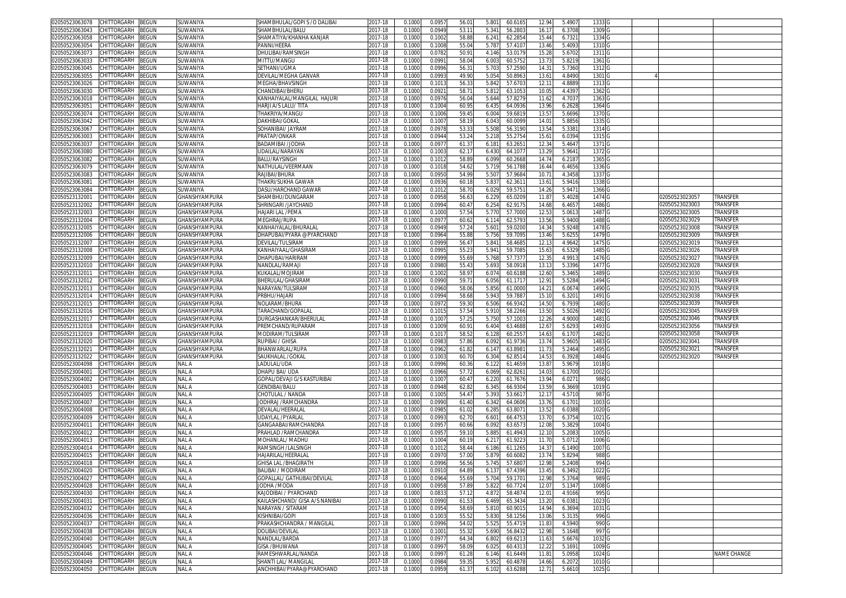| 02050523063078<br>CHITTORGARH<br>BEGUN                                | <b>SUWANIYA</b> | SHAMBHULAL/GOPI S / O DALIBAI  | 2017-18 | 0.100  | 0.095           | 56.0  | 5.80  | 60.616  | 12.94          | 5.490            | 1333              |                |                        |
|-----------------------------------------------------------------------|-----------------|--------------------------------|---------|--------|-----------------|-------|-------|---------|----------------|------------------|-------------------|----------------|------------------------|
| 02050523063043<br>CHITTORGARH<br>BEGUN                                | <b>SUWANIYA</b> | SHAMBHULAL/BALU                | 2017-18 | 0.1000 | 0.094           | 53.1  | 5.34  | 56.280  | 16.17          | 6.370            | 1309              |                |                        |
| 02050523063058<br>CHITTORGARH<br>BEGUN                                | <b>SUWANIYA</b> | SHAMATIYA/KHANHA KANJAR        | 2017-18 | 0.1000 | 0.100           | 58.8  | 6.241 | 62.285  | 15.44          | 6.732            | 1334 0            |                |                        |
| 02050523063054<br>CHITTORGARH<br>BEGUN                                | SUWANIYA        | PANNI/HEERA                    | 2017-18 | 0.1000 | 0.100           | 55.0  | 5.787 | 57.410  | 13.46          | 5.4093           | 1310              |                |                        |
|                                                                       |                 |                                |         |        |                 |       |       |         |                |                  |                   |                |                        |
| 02050523063073<br>CHITTORGARH<br>BEGUN                                | <b>SUWANIYA</b> | DHULIBAI/RAMSINGH              | 2017-18 | 0.100  | 0.078           | 50.9  | 4.146 | 53.017  | 15.28          | 5.670            | 1311 0            |                |                        |
| 02050523063033<br>CHITTORGARH<br>BEGUN                                | <b>SUWANIYA</b> | MITTU/MANGU                    | 2017-18 | 0.1000 | 0.099           | 58.0  | 6.00  | 60.575  | 13.73          | 5.821            | 1361              |                |                        |
| <b>CHITTORGARH</b><br><b>BEGUN</b><br>02050523063045                  | SUWANIYA        | SETHANI/UGMA                   | 2017-18 | 0.100  | 0.099           | 56.3  | 5.70  | 57.259  | 14.3           | 5.7360           | 1312              |                |                        |
| CHITTORGARH<br>BEGUN<br>02050523063055                                | SUWANIYA        | DEVILAL/MEGHA GANVAR           | 2017-18 | 0.100  | 0.099           | 49.90 | 5.05  | 50.896  | 13.61          | 4.8490           | 1301              |                |                        |
| 02050523063026<br>CHITTORGARH<br><b>BEGUN</b>                         | <b>SUWANIYA</b> | MEGHA/BHAVSINGH                | 2017-18 | 0.100  | 0.101           | 56.3  | 5.84  | 57.670  | 12.1           | 4.888            | 1313              |                |                        |
| CHITTORGARH<br>02050523063030<br>3EGUN                                | SUWANIYA        | CHANDIBAI/BHERU                | 2017-18 | 0.100  | 0.092           | 58.7  | 5.81  | 63.105  | 10.05          | 4.4397           | 1362              |                |                        |
| 02050523063018<br>CHITTORGARH<br><b>BEGUN</b>                         | SUWANIYA        | KANHAIYALAL/MANGILAL HAJURI    | 2017-18 | 0.100  | 0.097           | 56.0  | 5.64  | 57.827  | 11.6           | 4.703            | 1363              |                |                        |
| BEGUN<br>02050523063051<br>CHITTORGARH                                | SUWANIYA        | HARJI A/S LALU/ TITA           | 2017-18 | 0.1000 | 0.1004          | 60.95 | 6.435 | 64.093  | 13.96          | 6.2628           | 1364              |                |                        |
| CHITTORGARH<br>BEGUN<br>02050523063074                                | SUWANIYA        | THAKRIYA/MANGU                 | 2017-18 | 0.1000 | 0.1006          | 59.45 | 6.00  | 59.681  | 13.5           | 5.6696           | 1370              |                |                        |
| CHITTORGARH<br>BEGUN<br>02050523063042                                | <b>SUWANIYA</b> | DAKHIBAI/GOKAL                 | 2017-18 | 0.1000 | 0.100           | 58.1  | 6.04  | 60.009  | 14.01          | 5.8856           | 1335              |                |                        |
|                                                                       |                 |                                |         |        |                 | 53.3  |       |         |                |                  |                   |                |                        |
| CHITTORGARH<br>BEGUN<br>02050523063067                                | SUWANIYA        | SOHANIBAI/ JAYRAN              | 2017-18 | 0.100  | 0.097           |       | 5.50  | 56.319  | 13.54          | 5.3381           | 1314              |                |                        |
| BEGUN<br>02050523063003<br>CHITTORGARH                                | <b>SUWANIYA</b> | PRATAP/ONKAR                   | 2017-18 | 0.1000 | 0.094           | 53.2  | 5.218 | 55.275  | $15.6^{\circ}$ | 6.0394           | 1315              |                |                        |
| CHITTORGARH<br>BEGUN<br>02050523063037                                | SUWANIYA        | BADAMIBAI /JODHA               | 2017-18 | 0.1000 | 0.097           | 61.3  | 6.18  | 63.265  | 12.34          | 5.4647           | 1371              |                |                        |
| 02050523063080<br>CHITTORGARH<br>3EGUN                                | SUWANIYA        | UDAILAL/NARAYAN                | 2017-18 | 0.100  | 0.100           | 62.1  | 6.43  | 64.107  | 13.29          | 5.964            | 1372              |                |                        |
| 02050523063082<br>CHITTORGARH<br>BEGUN                                | SUWANIYA        | BALU/RAYSINGH                  | 2017-18 | 0.1000 | 0.101           | 58.8  | 6.099 | 60.2668 | 14.74          | 6.218            | 1365              |                |                        |
| 02050523063079<br>CHITTORGARH<br>BEGUN                                | <b>SUWANIYA</b> | NATHULAL/VEERMAAN              | 2017-18 | 0.100  | 0.101           | 54.6  | 5.71  | 56.178  | 16.44          | 6.4656           | 1336              |                |                        |
| 02050523063083<br>CHITTORGARH<br><b>BEGUN</b>                         | SUWANIYA        | RAJIBAI/BHURA                  | 2017-18 | 0.100  | 0.095           | 54.99 | 5.50  | 57.968  | 10.7'          | 4.3458           | 1337              |                |                        |
| CHITTORGARH<br><b>BEGUN</b><br>02050523063081                         | SUWANIYA        | THAKRI/SUKHA GAWAR             | 2017-18 | 0.1000 | 0.093           | 60.1  | 5.83  | 62.36   | 13.61          | 5.9416           | 1338              |                |                        |
| CHITTORGARH<br>BEGUN<br>02050523063084                                | SUWANIYA        | DASU/HARCHAND GAWAR            | 2017-18 | 0.1000 | 0.101           | 58.7  | 6.02  | 59.575  | 14.26          | 5.947            | 1366              |                |                        |
| 02050523132001<br>CHITTORGARH<br>BEGUN                                | GHANSHYAMPURA   | SHAMBHU/DUNGARAM               | 2017-18 | 0.100  | 0.095           | 56.6  | 6.22  | 65.020  | 11.87          | 5.4028           | 1474 <sub>C</sub> | 02050523023057 | TRANSFER               |
| CHITTORGARH<br>02050523132002<br>BEGUN                                | GHANSHYAMPURA   | SHRINGARI /JAYCHAND            | 2017-18 | 0.1000 | 0.099           | 60.4  | 6.25  | 62.917  | 14.68          | 6.465            | 1486              | 2050523023003  | <b><i>FRANSFER</i></b> |
| CHITTORGARH<br>02050523132003<br>3EGUN                                | GHANSHYAMPURA   | HAJARI LAL /PEMA               | 2017-18 | 0.100  | 0.100           | 57.5  | 5.77  | 57.700  | 12.5           | 5.061            | 1487              | )2050523023005 | TRANSFER               |
| 02050523132004<br>CHITTORGARH<br>BEGUN                                | GHANSHYAMPURA   | MEGHRAJ/RUPA                   | 2017-18 | 0.100  | 0.097           | 60.6  | 6.114 | 62.579  | 13.56          | 5.9400           | 1488              | 02050523023029 | <b><i>FRANSFEF</i></b> |
| 02050523132005<br>CHITTORGARH<br>BEGUN                                | GHANSHYAMPURA   | KANHAIYALAL/BHURALAI           | 2017-18 | 0.100  | 0.094           | 57.2  | 5.60  | 59.020  | 14.34          | 5.9248           | 1478              | 02050523023008 | Transfer               |
| 02050523132006<br>CHITTORGARH<br>BEGUN                                | GHANSHYAMPURA   | DHAPUBAI/PYARA @PYARCHAND      | 2017-18 | 0.1000 | 0.096           | 55.8  | 5.756 | 59.709  | 13.46          | 5.625            | 1479              | 02050523023009 | Transfer               |
| 02050523132007<br>CHITTORGARH                                         |                 |                                |         |        |                 |       |       |         |                |                  |                   |                |                        |
| 3EGUN                                                                 | GHANSHYAMPURA   | DEVILAL/TULSIRAM               | 2017-18 | 0.100  | 0.099           | 56.4  | 5.84  | 58.468  | 12.1           | 4.9642           | 1475              | 02050523023019 | <b><i>FRANSFEF</i></b> |
| CHITTORGARH<br>BEGUN<br>02050523132008                                | GHANSHYAMPURA   | KANHAIYAAL/GHASIRAM            | 2017-18 | 0.1000 | 0.099           | 55.2  | 5.94  | 59.708  | 15.63          | 6.532            | 1485              | 02050523023026 | Transfer               |
| 02050523132009<br>CHITTORGARH<br><b>BEGUN</b>                         | GHANSHYAMPURA   | DHAPUBAI/HARIRAM               | 2017-18 | 0.100  | 0.099           | 55.6  | 5.76  | 57.737  | 12.35          | 4.991            | 1476              | 02050523023027 | <b>TRANSFER</b>        |
| CHITTORGARH<br>02050523132010<br>3EGUN                                | GHANSHYAMPURA   | NANDLAL/RAMAJ                  | 2017-18 | 0.100  | 0.098           | 55.43 | 5.69  | 58.091  | 13.13          | 5.3396           | 1477              | 02050523023028 | <b>TRANSFER</b>        |
| 02050523132011<br>CHITTORGARH<br>BEGUN                                | GHANSHYAMPURA   | KUKALAL/MOJIRAN                | 2017-18 | 0.100  | 0.100           | 58.9  | 6.07  | 60.618  | 12.60          | 5.3465           | 1489              | 02050523023030 | <b>TRANSFER</b>        |
| BEGUN<br>02050523132012<br>CHITTORGARH                                | GHANSHYAMPURA   | BHERULAL/GHASIRAM              | 2017-18 | 0.1000 | 0.099           | 59.7  | 6.056 | 61.171  | 12.91          | 5.5284           | 1494              | 02050523023031 | transfer               |
| BEGUN<br>CHITTORGARH<br>02050523132013                                | GHANSHYAMPURA   | NARAYAN/TULSIRAM               | 2017-18 | 0.100  | 0.096           | 58.06 | 5.85  | 61.000  | 14.2           | 6.067            | 1490              | 02050523023035 | <b>TRANSFER</b>        |
| CHITTORGARH<br>02050523132014<br>BEGUN                                | GHANSHYAMPURA   | PRBHU/HAJARI                   | 2017-18 | 0.1000 | 0.099           | 58.68 | 5.94  | 59.788  | 15.10          | 6.320            | 1491              | 02050523023038 | TRANSFER               |
| CHITTORGARH<br>BEGUN<br>02050523132015                                | GHANSHYAMPURA   | NOLARAM/BHURA                  | 2017-18 | 0.1000 | 0.097           | 59.3  | 6.506 | 66.934  | 14.50          | 6.7939           | 1480              | 02050523023039 | <b><i>FRANSFER</i></b> |
| BEGUN<br>02050523132016<br>CHITTORGARH                                | GHANSHYAMPURA   | TARACHAND/GOPALAI              | 2017-18 | 0.1000 | 0.101           | 57.5  | 5.91  | 58.226  | 13.50          | 5.5026           | 1492              | )2050523023045 | TRANSFER               |
| CHITTORGARH<br>BEGUN<br>02050523132017                                | GHANSHYAMPURA   | DURGASHANKAR/BHERULAL          | 2017-18 | 0.1000 | 0.100           | 57.2! | 5.75  | 57.100  | 12.26          | 4.9000           | 1481              | )2050523023046 | TRANSFER               |
| 02050523132018<br>CHITTORGARH<br>BEGUN                                | GHANSHYAMPURA   | PREMCHAND/RUPARAN              | 2017-18 | 0.1000 | 0.100           | 60.9  | 6.404 | 63.468  | 12.67          | 5.6293           | 1493              | )2050523023056 | transfer               |
| BEGUN<br>02050523132019<br>CHITTORGARH                                | GHANSHYAMPURA   | MODIRAM/TULSIRAM               | 2017-18 | 0.100  | 0.101           | 58.5  | 6.128 | 60.255  | 14.63          | 6.1707           | 1482              | )2050523023058 | Transfer               |
| CHITTORGARH<br>BEGUN<br>02050523132020                                | GHANSHYAMPURA   | RUPIBAI / GHISA                | 2017-18 | 0.100  | 0.098           | 57.86 | 6.09  | 61.973  | 13.74          | 5.9605           | 1483              | )2050523023041 | transfer               |
| 02050523132021<br>CHITTORGARH<br>BEGUN                                | GHANSHYAMPURA   | BHANWARLAL/RUPA                | 2017-18 | 0.100  | 0.096           | 61.82 | 6.14  | 63.898  | 11.73          | 5.2464           | 1495              | 02050523023021 | <b><i>FRANSFER</i></b> |
| CHITTORGARH<br><b>BEGUN</b><br>02050523132022                         | GHANSHYAMPURA   | SAUKHALAL / GOKAI              | 2017-18 | 0.1000 | 0.100           | 60.7  | 6.30  | 62.85   | 14.53          | 6.3928           | 1484              | 02050523023020 | TRANSFER               |
| 02050523004098<br>CHITTORGARH<br>BEGUN                                | NAL A           | LADULAL/UDA                    | 2017-18 | 0.1000 | 0.099           | 60.36 | 6.122 | 61.465  | 13.87          | 5.9679           | 1018              |                |                        |
| 02050523004001<br>CHITTORGARH<br>BEGUN                                | NAL A           | DHAPU BAI/ UDA                 | 2017-18 | 0.100  | 0.096           | 57.7  | 6.06  | 62.826  | 14.03          | 6.1700           | 1002              |                |                        |
|                                                                       |                 |                                |         |        |                 |       |       |         |                |                  |                   |                |                        |
| CHITTORGARH<br>02050523004002<br>BEGUN                                | NAL A           | GOPAL/DEVAJI G/S KASTURIBAI    | 2017-18 | 0.1000 | 0.100           | 60.4  | 6.22  | 61.767  | 13.94          | 6.027            | 986               |                |                        |
| CHITTORGARH<br>02050523004003<br>3EGUN                                | NAL A           | GENDIBAI/BALL                  | 2017-18 | 0.100  | 0.094           | 62.8  | 6.34  | 66.930  | 13.59          | 6.3669           | 1019              |                |                        |
| 02050523004005<br>CHITTORGARH<br>BEGUN                                | NAL A           | CHOTULAL / NANDA               | 2017-18 | 0.1000 | 0.100!          | 54.4  | 5.39  | 53.661  | 12.1           | 4.5710           | 987               |                |                        |
| 02050523004007<br>CHITTORGARH<br>BEGUN                                | <b>NAL A</b>    | JODHRAJ /RAMCHANDRA            | 2017-18 | 0.100  | 0.099           | 61.40 | 6.34  | 64.060  | 13.76          | 6.170            | 1003              |                |                        |
| 02050523004008<br>CHITTORGARH<br>BEGUN                                | NAL A           | DEVALAL/HEERALAI               | 2017-18 | 0.100  | 0.098           | 61.0  | 6.28  | 63.807  | 13.52          | 6.0388           | 1020              |                |                        |
| 02050523004009<br>CHITTORGARH<br>3EGUN                                | NAL A           | UDAYLAL /PYARLAI               | 2017-18 | 0.100  | 0.099           | 62.70 | 6.60  | 66.475  | 13.70          | 6.375            | 1021              |                |                        |
| CHITTORGARH<br>02050523004011<br>BEGUN                                | NAL A           | GANGAABAI/RAMCHANDRA           | 2017-18 | 0.1000 | 0.095           | 60.66 | 6.09  | 63.657  | 12.08          | 5.3829           | 1004              |                |                        |
| CHITTORGARH<br>0205052300401<br>BEGUN                                 | NAL A           | PRAHLAD /RAMCHANDRA            | 2017-18 | 0.100  | 0.095           | 59.1  | 5.88  | 61.494  | 12.1           | 5.208            | 1005              |                |                        |
| CHITTORGARH<br>02050523004013<br>3EGUN                                | NAL A           | MOHANLAL/ MADHU                | 2017-18 | 0.100  | 0.100           | 60.1  | 6.21  | 61.922  | 11.7           | 5.0712           | 1006              |                |                        |
| CHITTORGARH<br><b>BEGUN</b><br>02050523004014                         | NAL A           | RAMSINGH /LALSINGH             | 2017-18 | 0.100  | 0.101           | 58.4  | 6.186 | 61.126  | 14.3           | 6.1490           | 1007              |                |                        |
| 02050523004015<br>CHITTORGARH<br>BEGUN                                | NAL A           | HAJARILAL/HEERALAL             | 2017-18 | 0.1000 | 0.097           | 57.00 | 5.87  | 60.608  | 13.74          | 5.8294           | 988               |                |                        |
| 02050523004018<br>CHITTORGARH<br><b>BEGUN</b>                         | NAL A           | <b>GHISA LAL /BHAGIRATH</b>    | 2017-18 | 0.100  | 0.099           | 56.5  | 5.745 | 57.680  | 12.98          | 5.2408           | 994               |                |                        |
| 02050523004020 CHILIORGARH BEGUN                                      | NAL A           | BALIBAI / MODIRAM              | 2017-18 | 0.1000 | 0.091           | 64.89 | 6.137 | 67.4396 | 13.45          | 6.3492           | 1022 G            |                |                        |
| 02050523004027 CHITTORGARH BEGUN                                      | NAL A           | GOPALLAL/ GATHUBAI/DEVILAL     | 2017-18 | 0.1000 | 0.0964          | 55.69 | 5.704 | 59.1701 | 12.98          | 5.3764           | 989 G             |                |                        |
| 02050523004028<br>CHITTORGARH<br><b>BEGUN</b>                         | NAL A           | JODHA / MODA                   | 2017-18 | 0.1000 | 0.0958          | 57.89 | 5.822 | 60.772  | 12.07          | 5.1347           | 1008 <sub>G</sub> |                |                        |
| 02050523004030                                                        | NAL A           | KAJODIBAI / PYARCHAND          |         |        |                 | 57.12 |       |         |                |                  | 995 <sub>G</sub>  |                |                        |
| CHITTORGARH<br><b>BEGUN</b><br>02050523004031<br>CHITTORGARH<br>BEGUN | NAL A           | KAILASHCHAND/ GISA A/S NANIBAI | 2017-18 | 0.1000 | 0.083<br>0.0990 |       | 4.872 | 58.487  | 12.01<br>13.20 | 4.9166<br>6.0381 | 1023 G            |                |                        |
|                                                                       |                 |                                | 2017-18 | 0.1000 |                 | 61.53 | 6.469 | 65.343  |                |                  |                   |                |                        |
| 02050523004032<br>CHITTORGARH<br><b>BEGUN</b>                         | NAL A           | NARAYAN / SITARAM              | 2017-18 | 0.1000 | 0.0954          | 58.69 | 5.810 | 60.901  | 14.94          | 6.3694           | 1031 G            |                |                        |
| CHITTORGARH<br>02050523004036<br>BEGUN                                | NAL A           | KISHNIBAI/GOPI                 | 2017-18 | 0.1000 | 0.100           | 55.52 | 5.830 | 58.1256 | 13.06          | 5.3135           | 996 G             |                |                        |
| 02050523004037<br>CHITTORGARH<br>BEGUN                                | NAL A           | PRAKASHCHANDRA / MANGILAL      | 2017-18 | 0.1000 | 0.0996          | 54.02 | 5.525 | 55.4719 | 11.83          | 4.5940           | 990 <sub>G</sub>  |                |                        |
| 02050523004038<br>CHITTORGARH<br>BEGUN                                | NAL A           | DOLIBAI/DEVILAL                | 2017-18 | 0.1000 | 0.100           | 55.32 | 5.690 | 56.843  | 12.98          | 5.1648           | 997 G             |                |                        |
| 02050523004040<br>CHITTORGARH<br><b>BEGUN</b>                         | NAL A           | NANDLAL/BARDA                  | 2017-18 | 0.1000 | 0.0977          | 64.34 | 6.802 | 69.621  | 11.63          | 5.6676           | 1032 G            |                |                        |
| 02050523004045<br>CHITTORGARH<br>BEGUN                                | NAL A           | <b>GISA /BHUWANA</b>           | 2017-18 | 0.1000 | 0.099           | 58.09 | 6.02  | 60.431  | 12.22          | 5.1691           | 1009 <sub>G</sub> |                |                        |
| 02050523004046<br>CHITTORGARH<br>BEGUN                                |                 |                                |         |        |                 |       | 6.146 | 61.6449 | 11.81          | 5.0958           | 1024 G            |                | <b>NAME CHANGE</b>     |
|                                                                       | NAL A           | RAMESHWARLAL/NANDA             | 2017-18 | 0.1000 | 0.0997          | 61.28 |       |         |                |                  |                   |                |                        |
| 02050523004049<br>CHITTORGARH BEGUN                                   | NAL A           | SHANTI LAL/ MANGILAL           | 2017-18 | 0.1000 | 0.0984          | 59.35 | 5.952 | 60.4878 | 14.66          | 6.2072           | 1010 <sub>G</sub> |                |                        |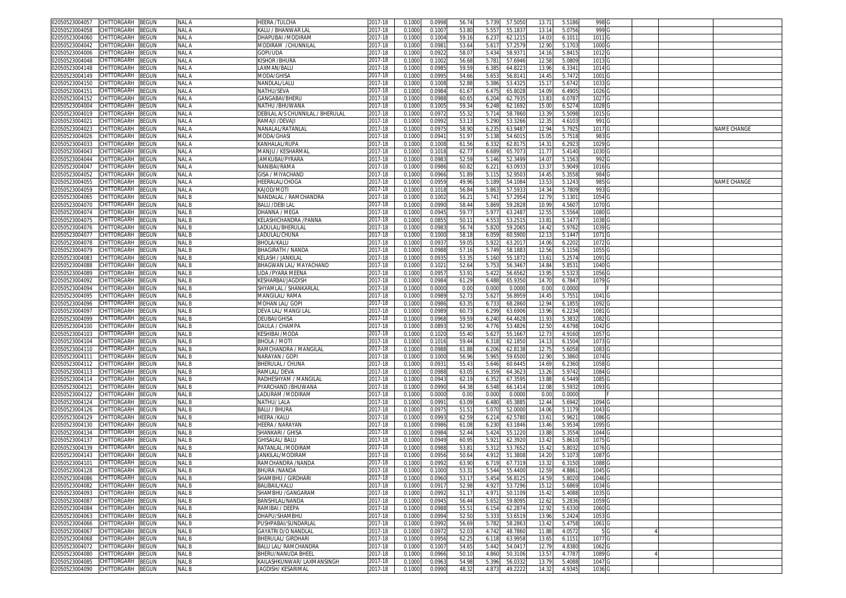| 02050523004057<br>CHITTORGARH<br>BEGUN        | NAL A            | HEERA /TULCHA                    | 2017-18 | 0.1000 | 0.0998 | 56.74 | 5.739 | 57.505  | 13.71          | 5.5186 | 998 G             |  |                    |
|-----------------------------------------------|------------------|----------------------------------|---------|--------|--------|-------|-------|---------|----------------|--------|-------------------|--|--------------------|
| CHITTORGARH<br>BEGUN<br>02050523004058        | NAL A            | KALU / BHANWAR LAL               | 017-18  | 0.100  | 0.100  | 53.80 | 5.557 | 55.183  | 13.14          | 5.0756 | 999 G             |  |                    |
| BEGUN<br>02050523004060<br>CHITTORGARH        | <b>NAL A</b>     | DHAPUBAI /MODIRAN                |         | 0.100  | 0.100  | 59.1  | 6.237 | 62.1215 | 14.03          | 6.101  | 1011 G            |  |                    |
|                                               |                  |                                  | 2017-18 |        |        |       |       |         |                |        |                   |  |                    |
| BEGUN<br>02050523004042<br>CHITTORGARH        | <b>NAL A</b>     | MODIRAM /CHUNNILAI               | 2017-18 | 0.1000 | 0.098  | 53.64 | 5.617 | 57.257  | 12.9           | 5.1703 | 1000 <sub>G</sub> |  |                    |
| BEGUN<br>02050523004006<br>CHITTORGARH        | NAL A            | Gopi/uda                         | 2017-18 | 0.100  | 0.092  | 58.07 | 5.434 | 58.937  | 14.16          | 5.841  | 1012              |  |                    |
| BEGUN<br>02050523004048<br>CHITTORGARH        | NAL A            | Kishor /Bhura                    | 2017-18 | 0.100  | 0.100  | 56.68 | 5.781 | 57.6946 | 12.58          | 5.0809 | 1013 <sub>G</sub> |  |                    |
| 02050523004148<br>CHITTORGARH<br>3EGUN        | NAL A            | LAXMAN/BALU                      | 2017-18 | 0.100  | 0.098  | 59.5  | 6.38  | 64.822  | 13.96          | 6.334  | 1014              |  |                    |
| 02050523004149<br>CHITTORGARH<br>BEGUN        | NAL A            | <b>MODA/GHISA</b>                | 2017-18 | 0.100  | 0.099  | 54.66 | 5.653 | 56.814  | 14.49          | 5.7472 | 1001              |  |                    |
| 02050523004150<br>CHITTORGARH<br><b>BEGUN</b> | NAL A            | NANDLAL/LALU                     | 2017-18 | 0.100  | 0.100  | 52.88 | 5.386 | 53.432  | 15.1           | 5.6742 | 1033              |  |                    |
|                                               |                  |                                  |         |        |        |       |       |         |                |        |                   |  |                    |
| 02050523004151<br>CHITTORGARH<br>3EGUN        | NAL A            | NATHU/SEVA                       | 2017-18 | 0.100  | 0.098  | 61.6  | 6.47  | 65.802  | 14.09          | 6.4905 | 1026              |  |                    |
| 02050523004152<br>CHITTORGARH<br>3EGUN        | NAL A            | GANGABAI/BHERL                   | 2017-18 | 0.100  | 0.098  | 60.6  | 6.204 | 62.793  | 13.8           | 6.078  | 1027              |  |                    |
| 02050523004004<br>CHITTORGARH<br>BEGUN        | NAL A            | NATHU /BHUWANA                   | 2017-18 | 0.100  | 0.100  | 59.34 | 6.248 | 62.1692 | 15.0           | 6.5274 | 1028              |  |                    |
| CHITTORGARH<br>02050523004019<br>BEGUN        | NAL A            | DEBILAL A/S CHUNNILAL / BHERULAL | 2017-18 | 0.100  | 0.097  | 55.3  | 5.71  | 58.786  | 13.3           | 5.5098 | 1015              |  |                    |
| CHITTORGARH<br>02050523004021<br>BEGUN        | nal A            | RAMAJI /DEVAJI                   | 2017-18 | 0.100  | 0.099  | 53.1  | 5.290 | 53.3266 | 12.3           | 4.6103 | 991               |  |                    |
| 02050523004023<br>CHITTORGARH<br>BEGUN        | NAL A            | VANALAL/RATANLAI                 | 2017-18 | 0.100  | 0.097  | 58.9  | 6.23  | 63.948  | 12.9           | 5.7925 | 1017              |  | NAME CHANGE        |
| 02050523004026<br>CHITTORGARH<br>BEGUN        | nal A            | <b>MODA/GHASI</b>                | 017-18  | 0.100  | 0.094  | 51.97 | 5.138 | 54.601  | 15.0           | 5.7518 | 983               |  |                    |
| 02050523004033<br>CHITTORGARH                 | <b>NAL A</b>     |                                  |         |        |        | 61.56 |       |         | 14.3           |        |                   |  |                    |
| BEGUN                                         |                  | KANHALAL/RUPA                    | 2017-18 | 0.100  | 0.100  |       | 6.33  | 62.817  |                | 6.292  | 1029              |  |                    |
| 02050523004043<br>CHITTORGARH<br>BEGUN        | nal A            | VIANJU / KESHARMA                | 017-18  | 0.100  | 0.101  | 62.7  | 6.689 | 65.707  | 11.7           | 5.4140 | 1030              |  |                    |
| CHITTORGARH<br>02050523004044<br>BEGUN        | <b>NAL A</b>     | IAMKUBAI/PYRARA                  | 2017-18 | 0.100  | 0.098  | 52.59 | 5.146 | 52.349  | 14.0           | 5.156  | 992               |  |                    |
| 02050523004047<br>CHITTORGARH<br>BEGUN        | NAL A            | NANIBAI/RAMA                     | 2017-18 | 0.100  | 0.098  | 60.82 | 6.22  | 63.093  | 13.3           | 5.9049 | 1016              |  |                    |
| 02050523004052<br>CHITTORGARH<br>3EGUN        | NAL A            | <b>GISA / MIYACHAND</b>          | 017-18  | 0.100  | 0.096  | 51.89 | 5.11  | 52.950  | 14.4           | 5.3558 | 984               |  |                    |
| 02050523004055<br>CHITTORGARH<br>BEGUN        | <b>NAL A</b>     | HEERALAL/CHOGA                   | 2017-18 | 0.100  | 0.095  | 49.96 | 5.18  | 54.108  | 13.53          | 5.1243 | 985               |  | <b>VAME CHANGE</b> |
| 02050523004059<br>CHITTORGARH<br>BEGUN        | <b>NAL A</b>     | KAJOD/MOTI                       | 017-18  | 0.100  | 0.101  | 56.8  | 5.863 | 57.593  | 14.3           | 5.7809 | 993               |  |                    |
| CHITTORGARH<br>BEGUN<br>02050523004065        | NAL B            | NANDALAL / RAMCHANDRA            | 2017-18 | 0.100  | 0.100  | 56.2  | 5.741 | 57.295  | 12.79          | 5.1301 | 1054 G            |  |                    |
|                                               |                  |                                  |         |        |        |       |       |         |                |        |                   |  |                    |
| BEGUN<br>02050523004070<br>CHITTORGARH        | <b>NAL B</b>     | BALU /DEBI LAL                   | 2017-18 | 0.100  | 0.099  | 58.44 | 5.869 | 59.282  | 10.9           | 4.5607 | 1070 G            |  |                    |
| CHITTORGARH<br>BEGUN<br>02050523004074        | NAL B            | DHANNA / MEGA                    | 2017-18 | 0.100  | 0.094  | 59.7  | 5.977 | 63.248  | 12.5           | 5.556  | 1080              |  |                    |
| BEGUN<br>02050523004075<br>CHITTORGARH        | NAL B            | KELASHICHANDRA /PANNA            | 2017-18 | 0.100  | 0.085  | 50.1  | 4.553 | 53.251  | 13.8           | 5.1477 | 1038 <sub>G</sub> |  |                    |
| BEGUN<br>02050523004076<br>CHITTORGARH        | NAL B            | LADULAL/BHERULAI                 | 2017-18 | 0.100  | 0.098  | 56.7  | 5.820 | 59.206  | 14.42          | 5.9762 | 1039 G            |  |                    |
| BEGUN<br>02050523004077<br>CHITTORGARH        | <b>NAL B</b>     | LADULAL/CHUNA                    | 2017-18 | 0.100  | 0.100  | 58.1  | 6.059 | 60.590  | 12.1           | 5.1447 | 1071              |  |                    |
| 02050523004078<br>CHITTORGARH<br>3EGUN        | NAL B            | BHOLA/KALU                       | 2017-18 | 0.100  | 0.093  | 59.0  | 5.92  | 63.201  | 14.06          | 6.220  | 1072              |  |                    |
|                                               |                  |                                  |         |        |        |       |       |         |                |        |                   |  |                    |
| 02050523004079<br>CHITTORGARH<br>BEGUN        | NAL B            | BHAGIRATH / NANDA                | 2017-18 | 0.100  | 0.098  | 57.1  | 5.749 | 58.188  | 12.56          | 5.1156 | 1055              |  |                    |
| 02050523004083<br>CHITTORGARH<br>BEGUN        | NAL B            | KELASH / JANKILAL                | 2017-18 | 0.100  | 0.093  | 53.3  | 5.160 | 55.187  | $13.6^{\circ}$ | 5.257  | 1091              |  |                    |
| 12050523004088<br>CHITTORGARH<br>BEGUN        | NAL B            | 3HAGWAN LAL/ MAYACHAND           | 2017-18 | 0.100  | 0.102  | 52.64 | 5.75  | 56.346  | 14.84          | 5.853  | 1040              |  |                    |
| 02050523004089<br>CHITTORGARH<br>3EGUN        | NAL B            | UDA /PYARA MEENA                 | 2017-18 | 0.100  | 0.095  | 53.9  | 5.42  | 56.656  | 13.9           | 5.532  | 1056              |  |                    |
| 02050523004092<br>CHITTORGARH<br>BEGUN        | NAL B            | KESHARBAI/JAGDISH                | 2017-18 | 0.100  | 0.098  | 61.29 | 6.488 | 65.935  | 14.70          | 6.7847 | 1079              |  |                    |
| 02050523004094<br>CHITTORGARH<br>BEGUN        | NAL B            | SHYAMLAL / SHANKARLAI            | 2017-18 | 0.100  | 0.000  | 0.00  | 0.000 | 0.000   | 0.0            | 0.000  |                   |  |                    |
| CHITTORGARH<br>02050523004095<br>3EGUN        | NAL B            | MANGILAL/RAMA                    | 2017-18 | 0.100  | 0.098  |       |       | 56.895  | 14.49          |        |                   |  |                    |
|                                               |                  |                                  |         |        |        | 52.7  | 5.62  |         |                | 5.755  | 1041              |  |                    |
| 02050523004096<br>CHITTORGARH<br>3EGUN        | NAL <sub>B</sub> | MOHAN LAL/ GOP                   | 2017-18 | 0.100  | 0.098  | 63.3  | 6.73  | 68.2860 | 12.9           | 6.185  | 1092              |  |                    |
| 02050523004097<br>CHITTORGARH<br>BEGUN        | NAL B            | DEVA LAL/ MANGI LAI              | 017-18  | 0.100  | 0.098  | 60.7  | 6.299 | 63.690  | 13.96          | 6.223  | 1081              |  |                    |
| 02050523004099<br>CHITTORGARH<br>3EGUN        | NAL B            | DEUBAI/GHISA                     | 017-18  | 0.100  | 0.096  | 59.59 | 6.240 | 64.462  | 11.9           | 5.383  | 1082              |  |                    |
| 02050523004100<br>CHITTORGARH<br>BEGUN        | NAL B            | DAULA / CHAMP/                   | 017-18  | 0.100  | 0.089  | 52.9  | 4.776 | 53.482  | 12.50          | 4.6798 | 1042              |  |                    |
| 02050523004103<br>CHITTORGARH<br>3EGUN        | NAL B            | KESHIBAI /MODA                   | 2017-18 | 0.100  | 0.102  | 55.40 | 5.62  | 55.166  | 12.7           | 4.9160 | 1057              |  |                    |
| 02050523004104<br>CHITTORGARH<br>BEGUN        | NAL B            | BHOLA / MOTI                     | 2017-18 | 0.100  | 0.101  | 59.44 | 6.31  | 62.185  | 14.1           | 6.1504 | 1073              |  |                    |
|                                               | NAL B            |                                  |         |        |        |       |       | 62.813  | 12.7           |        |                   |  |                    |
| 02050523004110<br>CHITTORGARH<br>BEGUN        |                  | RAMCHANDRA / MANGILAL            | 2017-18 | 0.100  | 0.098  | 61.88 | 6.206 |         |                | 5.6058 | 1083              |  |                    |
| 02050523004111<br>CHITTORGARH<br>BEGUN        | NAL B            | NARAYAN / GOPI                   | 2017-18 | 0.100  | 0.100  | 56.96 | 5.965 | 59.650  | 12.90          | 5.3860 | 1074              |  |                    |
| 02050523004112<br>CHITTORGARH<br>3EGUN        | NAL B            | <b>BHERULAL / CHUNA</b>          | 017-18  | 0.100  | 0.093  | 55.4  | 5.646 | 60.644  | 14.6           | 6.2360 | 1058              |  |                    |
| CHITTORGARH<br>BEGUN<br>02050523004113        | NAL B            | RAMLAL/ DEVA                     | 017-18  | 0.100  | 0.098  | 63.0  | 6.35  | 64.362  | 13.26          | 5.9742 | 1084              |  |                    |
| CHITTORGARH<br>BEGUN<br>02050523004114        | <b>NALB</b>      | RADHESHYAM / MANGILAL            | 2017-18 | 0.100  | 0.094  | 62.1  | 6.352 | 67.3595 | 13.88          | 6.5449 | 1085              |  |                    |
| CHITTORGARH<br>BEGUN<br>02050523004121        | <b>NAL B</b>     | PYARCHAND /BHUWANA               | 2017-18 | 0.100  | 0.099  | 64.38 | 6.548 | 66.141  | 12.08          | 5.5932 | 1093              |  |                    |
|                                               | <b>NAL B</b>     | LADURAM /MODIRAM                 |         |        | 0.000  |       |       |         |                |        |                   |  |                    |
| CHITTORGARH<br>BEGUN<br>02050523004122        |                  |                                  | 2017-18 | 0.100  |        | 0.00  | 0.000 | 0.000   | 0.00           | 0.000  |                   |  |                    |
| BEGUN<br>02050523004124<br>CHITTORGARH        | NAL B            | NATHU/ LALA                      | 2017-18 | 0.100  | 0.099  | 63.09 | 6.480 | 65.388  | 12.44          | 5.6942 | 1094 G            |  |                    |
| CHITTORGARH<br>BEGUN<br>02050523004126        | <b>NAL B</b>     | BALU / BHURA                     | 2017-18 | 0.100  | 0.097  | 51.5  | 5.070 | 52.000  | 14.06          | 5.117  | 1043 G            |  |                    |
| 02050523004129<br>CHITTORGARH<br>3EGUN        | NAL B            | HEERA /KALU                      | 2017-18 | 0.100  | 0.099  | 62.59 | 6.214 | 62.578  | $13.6^{\circ}$ | 5.962  | 1086              |  |                    |
| 02050523004130<br>CHITTORGARH<br>BEGUN        | <b>NAL B</b>     | HEERA / NARAYAN                  | 2017-18 | 0.100  | 0.098  | 61.08 | 6.230 | 63.1846 | 13.46          | 5.953  | 1095              |  |                    |
| 02050523004134<br>CHITTORGARH<br>BEGUN        | NAL B            | SHANKARI / GHISA                 | 2017-18 | 0.100  | 0.098  | 52.44 | 5.424 | 55.122  | 13.8           | 5.3554 | 1044              |  |                    |
| CHITTORGARH<br>02050523004137<br>3EGUN        | NAL B            | <b>GHISALAL/BALU</b>             | 2017-18 | 0.100  | 0.094  | 60.9  | 5.92  | 62.392  | 13.42          | 5.861  | 1075              |  |                    |
| CHITTORGARH<br>BEGUN<br>02050523004139        | NAL B            | RATANLAL /MODIRAM                | 2017-18 | 0.100  | 0.098  | 53.8  | 5.31  | 53.765  | 15.4           | 5.803  | 1076              |  |                    |
|                                               |                  |                                  |         |        |        |       |       |         |                |        |                   |  |                    |
| CHITTORGARH<br>BEGUN<br>02050523004143        | NAL B            | IANKILAL/MODIRAM                 | 2017-18 | 0.100  | 0.095  | 50.64 | 4.912 | 51.380  | 14.20          | 5.107  | 1087              |  |                    |
| 02050523004101<br>CHITTORGARH<br>BEGUN        | NAL B            | RAMCHANDRA /NANDA                | 2017-18 | 0.100  | 0.099  | 63.90 | 6.719 | 67.731  | 13.3           | 6.315  | 1088              |  |                    |
| 02050523004128 CHILIORGARH BEGUN              | NAL B            | BHURA /NANDA                     | 2017-18 | 0.1000 | 0.1000 | 53.3  | 5.544 | 55.4400 | 12.59          | 4.886  | 1045 G            |  |                    |
| 02050523004086<br>CHITTORGARH<br><b>BEGUN</b> | NAL B            | SHAMBHU / GIRDHARI               | 2017-18 | 0.1000 | 0.0960 | 53.17 | 5.454 | 56.812  | 14.59          | 5.802  | 1046 <sub>G</sub> |  |                    |
| 02050523004082<br>CHITTORGARH<br>BEGUN        | NAL B            | BALIBAIL/KALU                    | 2017-18 | 0.1000 | 0.091  | 52.98 | 4.927 | 53.7296 | 15.12          | 5.6869 | 1034 G            |  |                    |
| CHITTORGARH<br>02050523004093<br>BEGUN        | NAL B            | SHAMBHU / GANGARAM               | 2017-18 | 0.1000 | 0.099  | 51.1  | 4.971 | 50.1109 | 15.42          | 5.4088 | 1035 G            |  |                    |
| 02050523004087<br>CHITTORGARH<br>BEGUN        | NAL B            | BANSHILAL/NANDA                  | 2017-18 | 0.1000 | 0.094  | 56.44 | 5.652 | 59.8095 | 12.62          | 5.2836 | 1059 G            |  |                    |
|                                               |                  |                                  |         |        |        |       |       |         |                |        |                   |  |                    |
| 02050523004084<br>CHITTORGARH<br>BEGUN        | NAL B            | RAMIBAI / DEEPA                  | 2017-18 | 0.1000 | 0.098  | 55.5  | 6.154 | 62.287  | 12.92          | 5.6330 | 1060              |  |                    |
| CHITTORGARH<br>02050523004063<br>BEGUN        | NAL B            | DHAPU/SHAMBHU                    | 2017-18 | 0.1000 | 0.099  | 52.50 | 5.333 | 53.6519 | 13.96          | 5.2424 | 1053 G            |  |                    |
| CHITTORGARH<br>BEGUN<br>02050523004066        | NAL B            | PUSHPABAI/SUNDARLAL              | 2017-18 | 0.1000 | 0.099  | 56.69 | 5.782 | 58.2863 | 13.42          | 5.4758 | 1061 G            |  |                    |
| 02050523004067<br>CHITTORGARH<br>BEGUN        | NAL B            | GAYATRI D/O NANDLAL              | 2017-18 | 0.1000 | 0.097  | 52.03 | 4.742 | 48.7860 | 11.88          | 4.0572 | 5 G               |  |                    |
| 02050523004068<br>CHITTORGARH<br>BEGUN        | NAL B            | BHERULAL/ GIRDHARI               | 2017-18 | 0.1000 | 0.0956 | 62.25 | 6.118 | 63.9958 | 13.65          | 6.1151 | 1077 G            |  |                    |
| 02050523004072<br>CHITTORGARH<br>BEGUN        | NAL B            | BALU LAL/ RAMCHANDRA             | 2017-18 | 0.1000 | 0.100  | 54.6  | 5.442 | 54.041  | 12.79          | 4.8380 | 1062 <sub>G</sub> |  |                    |
| 02050523004080<br>BEGUN                       | NAL B            |                                  |         | 0.1000 | 0.0966 | 50.1  | 4.860 | 50.3106 | 13.5           | 4.7787 | 1089              |  |                    |
| CHITTORGARH                                   |                  | BHERU/NANUDA BHEEL               | 2017-18 |        |        |       |       |         |                |        |                   |  |                    |
| CHITTORGARH<br>02050523004085<br><b>BEGUN</b> | NAL B            | KAILASHKUNWAR/ LAXMANSINGH       | 2017-18 | 0.1000 | 0.0963 | 54.98 | 5.396 | 56.0332 | 13.79          | 5.4088 | 1047 <sub>G</sub> |  |                    |
| 02050523004090 CHITTORGARH BEGUN              | NAL B            | <b>JAGDISH/KESARIMAL</b>         | 2017-18 | 0.1000 | 0.0990 | 48.32 | 4.873 | 49.2222 | 14.32          | 4.9345 | 1036 G            |  |                    |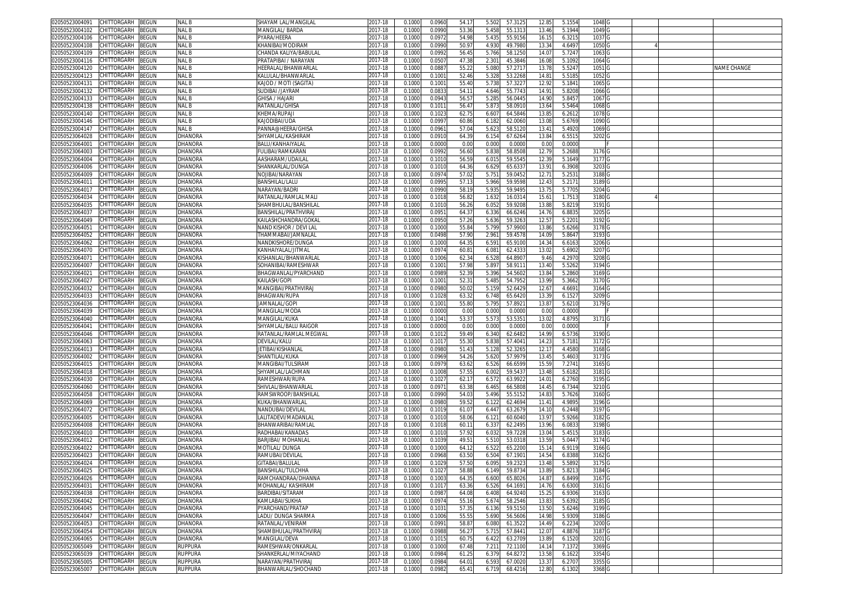| CHITTORGARH<br>BEGUN<br>02050523004091        | NAL B              | SHAYAM LAL/MANGILAI        | 2017-18     | 0.1000 | 0.0960          | 54.17 | 57.312<br>5.502  | 12.85 | 5.1554 | 1048              |  |             |
|-----------------------------------------------|--------------------|----------------------------|-------------|--------|-----------------|-------|------------------|-------|--------|-------------------|--|-------------|
| CHITTORGARH<br>BEGUN<br>02050523004102        | NAL B              | <b>MANGILAL/BARDA</b>      | 2017-18     | 0.1000 | 0.0990          | 53.36 | 5.458<br>55.131  | 13.46 | 5.1944 | 1049              |  |             |
| CHITTORGARH<br>02050523004106<br>BEGUN        | NAL B              | YARA/HEERA                 | 2017-18     | 0.1000 | 0.097           | 54.98 | 5.435<br>55.915  | 16.1! | 6.3215 | 1037              |  |             |
| 02050523004108<br>CHITTORGARH<br>3EGUN        | <b>NALB</b>        | (HANIBAI/MODIRAM           | 017-18      | 0.100  | 0.099           | 50.9  | 49.798<br>4.930  | 13.3  | 4.6497 | 1050              |  |             |
| BEGUN<br>02050523004109<br>CHITTORGARH        | NAL B              | CHANDA KALIYA/BABULAI      | 2017-18     | 0.1000 | 0.099           | 56.4  | 5.766<br>58.125  | 14.0  | 5.7247 | 1063              |  |             |
| CHITTORGARH<br>BEGUN<br>02050523004116        | NAL B              | PRATAPIBAI / NARAYAN       | 2017-18     | 0.1000 | 0.050           | 47.38 | 2.30'<br>45.3846 | 16.0  | 5.1092 | 1064              |  |             |
| 02050523004120<br>CHITTORGARH<br>BEGUN        | <b>NALB</b>        | HEERALAL/BHANWARLAI        | 2017-18     | 0.1000 | 0.088           | 55.2  | 57.271<br>5.080  | 13.7  | 5.5247 | 1051 G            |  | NAME CHANGE |
| CHITTORGARH<br>BEGUN                          | <b>NALB</b>        |                            | 2017-18     | 0.1000 | 0.100           | 52.46 | 5.328<br>53.2268 | 14.8  | 5.5185 | 1052              |  |             |
| 02050523004123                                |                    | KALULAL/BHANWARLAI         |             |        |                 |       |                  |       |        |                   |  |             |
| BEGUN<br>02050523004131<br>CHITTORGARH        | NAL B              | KAJOD / MOTI (SAGITA)      | 2017-18     | 0.1000 | 0.100           | 55.40 | 5.738<br>57.322  | 12.92 | 5.1841 | 1065 <sub>G</sub> |  |             |
| CHITTORGARH<br>BEGUN<br>02050523004132        | NAL B              | SUDIBAI /JAYRAM            | 2017-18     | 0.1000 | 0.083           | 54.1  | 4.646<br>55.774  | 14.91 | 5.8208 | 1066 <sub>G</sub> |  |             |
| 02050523004133<br>BEGUN<br>CHITTORGARH        | <b>NALB</b>        | GHISA / HAJARI             | 2017-18     | 0.1000 | 0.094           | 56.5  | 5.285<br>56.0445 | 14.90 | 5.8457 | 1067 <sub>G</sub> |  |             |
| BEGUN<br>02050523004138<br>CHITTORGARH        | NAL B              | RATANLAL/GHISA             | 2017-18     | 0.1000 | 0.101           | 56.4  | 5.873<br>58.091  | 13.6  | 5.5464 | 1068              |  |             |
| 02050523004140<br>CHITTORGARH<br>BEGUN        | NAL B              | KHEMA/RUPAJI               | 2017-18     | 0.100  | 0.102           | 62.7! | 6.60<br>64.584   | 13.8  | 6.261  | 1078              |  |             |
| 02050523004146<br>CHITTORGARH<br>3EGUN        | NAL B              | KA IODIBAI/UDA             | 2017-18     | 0.100  | 0.099           | 60.86 | 6.18<br>62.006   | 13.0  | 5.6769 | 1090              |  |             |
| 02050523004147<br>CHITTORGARH<br>3EGUN        | NAL B              | PANNA@HEERA/GHISA          | 2017-18     | 0.1000 | 0.096           | 57.04 | 5.62<br>58.512   | 13.41 | 5.4920 | 1069              |  |             |
| 02050523064028<br>CHITTORGARH<br>BEGUN        | DHANORA            | SHYAMLAL/KASHIRAM          | 017-18      | 0.1000 | 0.091           | 64.39 | 67.626<br>6.154  | 13.84 | 6.5515 | 3202              |  |             |
| 02050523064001<br>CHITTORGARH<br>BEGUN        | DHANORA            | BALU/KANHAIYALAI           | 2017-18     | 0.100  | 0.000           | 0.00  | 0.000<br>0.000   | 0.0   | 0.0000 |                   |  |             |
| 02050523064003<br>CHITTORGARH<br>BEGUN        | DHANORA            | FULIBAI/RAMKARAN           | 2017-18     | 0.100  | 0.099           | 56.60 | 5.83<br>58.850   | 12.7  | 5.2688 | 3176 G            |  |             |
| CHITTORGARH<br>02050523064004<br>3EGUN        | DHANORA            | AASHARAM/UDAILA            | 2017-18     | 0.100  | 0.101           | 56.5  | 59.554<br>6.01   | 12.3  | 5.1649 | 3177              |  |             |
| CHITTORGARH<br>02050523064006<br>3EGUN        | DHANORA            | SHANKARLAL/DUNGA           | 017-18      | 0.100  | 0.101           | 64.36 | 65.633<br>6.629  | 13.91 | 6.3908 | 3203              |  |             |
| 02050523064009<br>CHITTORGARH<br>BEGUN        | DHANORA            | NOJIBAI/NARAYAN            | 2017-18     | 0.100  | 0.097           | 57.0  | 5.75<br>59.045   | 12.7  | 5.253  | 3188              |  |             |
| 02050523064011<br>CHITTORGARH<br>BEGUN        | DHANORA            | BANSHILAL/LALU             | 017-18      | 0.100  | 0.099           | 57.1  | 5.966<br>59.959  | 12.43 | 5.2171 | 3189              |  |             |
| 02050523064017<br>CHITTORGARH<br>3EGUN        | DHANORA            | NARAYAN/BADRI              | 2017-18     | 0.100  | 0.099           | 58.1  | 5.93<br>59.949   | 13.7  | 5.770  | 3204              |  |             |
| CHITTORGARH                                   |                    |                            | 017-18      | 0.100  | 0.101           |       |                  |       |        |                   |  |             |
| 02050523064034<br>BEGUN                       | DHANORA            | RATANLAL/RAMLAL MALI       |             |        |                 | 56.82 | 1.632<br>16.031  | 15.6  | 1.751  | 3180              |  |             |
| CHITTORGARH<br><b>BEGUN</b><br>02050523064035 | DHANORA            | SHAMBHULAL/BANSHILAI       | 2017-18     | 0.100  | 0.101           | 56.2  | 59.920<br>6.05   | 13.8  | 5.821  | 3191              |  |             |
| CHITTORGARH<br>02050523064037<br>BEGUN        | DHANORA            | BANSHILAL/PRATHVIRAJ       | 2017-18     | 0.1000 | 0.095           | 64.3  | 66.6246<br>6.336 | 14.7  | 6.8835 | 3205              |  |             |
| 02050523064049<br>CHITTORGARH<br>BEGUN        | <b>DHANORA</b>     | KAILASHCHANDRA/GOKAI       | 2017-18     | 0.100  | 0.095           | 57.26 | 59.326<br>5.636  | 12.5  | 5.2201 | 3192              |  |             |
| 02050523064051<br>CHITTORGARH<br>BEGUN        | DHANORA            | NAND KISHOR / DEVI LAI     | 2017-18     | 0.1000 | 0.100           | 55.84 | 57.990<br>5.799  | 13.86 | 5.6266 | 31780             |  |             |
| 02050523064052<br>CHITTORGARH<br>3EGUN        | DHANORA            | FHAMMABAI/JAMNALAI         | 017-18      | 0.100  | 0.049           | 57.90 | 2.96<br>59.457   | 14.0  | 5.864  | 3193              |  |             |
| CHITTORGARH<br>02050523064062<br>BEGUN        | DHANORA            | NANDKISHORE/DUNGA          | 2017-18     | 0.1000 | 0.1000          | 64.3  | 6.591<br>65.9100 | 14.34 | 6.6163 | 3206 G            |  |             |
| CHITTORGARH<br>BEGUN<br>02050523064070        | DHANORA            | KANHAIYALAL/JITMAL         | 2017-18     | 0.1000 | 0.0974          | 60.8  | 62.433<br>6.08   | 13.02 | 5.6902 | 3207 G            |  |             |
| BEGUN<br>02050523064071<br>CHITTORGARH        | DHANORA            | KISHANLAL/BHANWARLAI       | 2017-18     | 0.1000 | 0.1006          | 62.34 | 6.528<br>64.890  | 9.46  | 4.2970 | 3208 G            |  |             |
| BEGUN<br>02050523064007<br>CHITTORGARH        | DHANORA            | SOHANIBAI/RAMESHWAR        | 2017-18     | 0.100  | $0.100^{\circ}$ | 57.98 | 5.89<br>58.911   | 13.40 | 5.5262 | 3194              |  |             |
| CHITTORGARH<br>3EGUN<br>02050523064021        | DHANORA            | BHAGWANLAL/PYARCHAND       | 2017-18     | 0.1000 | 0.0989          | 52.39 | 5.396<br>54.560  | 13.84 | 5.2860 | 3169 G            |  |             |
| BEGUN<br>02050523064027<br>CHITTORGARH        | DHANORA            | Kailash/Gopi               | 2017-18     | 0.1000 | 0.100           | 52.3  | 5.485<br>54.795  | 13.99 | 5.3662 | 3170 G            |  |             |
| 02050523064032<br>CHITTORGARH<br>BEGUN        | DHANORA            | MANGIBAI/PRATHVIRAJ        | 2017-18     | 0.1000 | 0.0980          | 50.0  | 5.159<br>52.642  | 12.67 | 4.6691 | 3164 G            |  |             |
| 02050523064033<br>CHITTORGARH<br>BEGUN        | DHANORA            | BHAGWAN/RUPA               | 2017-18     | 0.1000 | 0.1028          | 63.32 | 6.748<br>65.642  | 13.39 | 6.1527 | 3209              |  |             |
|                                               |                    |                            |             |        |                 |       |                  |       |        |                   |  |             |
| 02050523064036<br>CHITTORGARH<br>3EGUN        | DHANORA            | <b>JAMNALAL/GOPI</b>       | 2017-18     | 0.100  | 0.100           | 55.80 | 5.79<br>57.892   | 13.87 | 5.6210 | 3179 G            |  |             |
| 02050523064039<br>CHITTORGARH<br>BEGUN        | DHANORA            | MANGILAL/MODA              | 017-18      | 0.1000 | 0.0000          | 0.00  | 0.000<br>0.000   | 0.00  | 0.0000 |                   |  |             |
| 02050523064040<br>CHITTORGARH<br>BEGUN        | DHANORA            | MANGILAL/KUKA              | 2017-18     | 0.1000 | 0.104           | 53.3  | 5.573<br>53.535  | 13.0  | 4.8795 | 3171 G            |  |             |
| 02050523064041<br>CHITTORGARH<br>BEGUN        | DHANORA            | SHYAMLAL/BALU RAIGOR       | 2017-18     | 0.100  | 0.000           | 0.00  | 0.000<br>0.000   | 0.0   | 0.0000 |                   |  |             |
| 02050523064046<br>CHITTORGARH<br>3EGUN        | DHANORA            | RATANLAL/RAMLAL MEGWAL     | 2017-18     | 0.100  | 0.101           | 59.4  | 6.340<br>62.648  | 14.99 | 6.5736 | 3190 G            |  |             |
| CHITTORGARH<br>02050523064063<br>BEGUN        | DHANORA            | DEVILAL/KALU               | 2017-18     | 0.1000 | 0.101           | 55.30 | 5.838<br>57.404  | 14.2  | 5.7181 | 3172 G            |  |             |
| 02050523064013<br>CHITTORGARH<br>3EGUN        | DHANORA            | JETIBAI/KISHANLAI          | 017-18      | 0.100  | 0.098           | 51.4  | 5.12<br>52.326   | 12.1  | 4.4580 | 3168              |  |             |
| 02050523064002<br>CHITTORGARH<br>BEGUN        | DHANORA            | SHANTILAL/KUKA             | 017-18      | 0.100  | 0.0969          | 54.26 | 5.620<br>57.997  | 13.45 | 5.460  | 31730             |  |             |
| 02050523064015<br>CHITTORGARH<br>BEGUN        | DHANORA            | MANGIBAI/TULSIRAN          | 2017-18     | 0.1000 | 0.097           | 63.6  | 6.526<br>66.659  | 15.59 | 7.2741 | 3165 G            |  |             |
| 02050523064018<br>CHITTORGARH<br>BEGUN        | DHANORA            | SHYAMLAL/LACHMAN           | 017-18      | 0.1000 | 0.100           | 57.5  | 6.002<br>59.543  | 13.48 | 5.6182 | 3181 0            |  |             |
| 02050523064030<br>CHITTORGARH<br><b>BEGUN</b> | DHANORA            | RAMESHWAR/RUPA             | 2017-18     | 0.100  | 0.102           | 62.1  | 6.57<br>63.992   | 14.0  | 6.2760 | 3195              |  |             |
| CHITTORGARH<br>02050523064060<br>BEGUN        | DHANORA            | SHIVLAL/BHANWARLAI         | 2017-18     | 0.1000 | 0.097           | 63.38 | 66.580<br>6.465  | 14.45 | 6.7344 | 32100             |  |             |
| 02050523064058<br>CHITTORGARH<br>3EGUN        |                    | <b>RAMSWROOP/BANSHILAI</b> | 017-18      | 0.100  | 0.099           | 54.0  | 55.515<br>5.496  | 14.8  | 5.7626 | 3160              |  |             |
| 02050523064069<br>BEGUN                       | DHANORA<br>DHANORA | KUKA/BHANWARLAL            |             | 0.1000 | 0.098           | 59.5  |                  | 11.41 | 4.9895 | 3196              |  |             |
| CHITTORGARH                                   |                    |                            | 2017-18     |        |                 |       | 62.469<br>6.122  |       |        | 3197              |  |             |
| 02050523064072<br>CHITTORGARH<br>BEGUN        | DHANORA            | NANDUBAI/DEVILAI           | 2017-18     | 0.100  | 0.101           | 61.0  | 6.44<br>63.267   | 14.1  | 6.2448 |                   |  |             |
| 02050523064005<br>CHITTORGARH<br>3EGUN        | DHANORA            | LALITADEVI/MADANLAI        | 2017-18     | 0.1000 | 0.101           | 58.06 | 6.12<br>60.6040  | 13.97 | 5.9266 | 3182              |  |             |
| CHITTORGARH<br><b>BEGUN</b><br>02050523064008 | DHANORA            | BHANWARIBAI/RAMLA          | 2017-18     | 0.100  | 0.101           | 60.1  | 6.33<br>62.2495  | 13.9  | 6.083  | 3198              |  |             |
| 02050523064010<br>CHITTORGARH<br>BEGUN        | DHANORA            | RADHABAI/KANADAS           | 2017-18     | 0.1000 | 0.101           | 57.92 | 6.032<br>59.722  | 13.04 | 5.451  | 3183 G            |  |             |
| 02050523064012<br>CHITTORGARH<br>BEGUN        | DHANORA            | BARJIBAI/ MOHANLAL         | 2017-18     | 0.1000 | 0.1039          | 49.5  | 5.510<br>53.0318 | 13.59 | 5.0447 | 3174 G            |  |             |
| 02050523064022<br>CHITTORGARH<br>3EGUN        | DHANORA            | MOTILAL/ DUNGA             | 2017-18     | 0.1000 | 0.1000          | 64.12 | 6.522<br>65.220  | 15.1  | 6.9119 | 3166 G            |  |             |
| BEGUN<br>02050523064023<br>CHITTORGARH        | DHANORA            | RAMUBAI/DEVILAI            | $2017 - 18$ | 0.100  | 0.096           | 63.50 | 67.190<br>6.504  | 14.5  | 6.8388 | 3162              |  |             |
| 02050523064024<br>CHITTORGARH<br>BEGUN        | DHANORA            | GITABAI/BALULAL            | 2017-18     | 0.1000 | 0.102           | 57.50 | 59.232<br>6.095  | 13.48 | 5.589  | 3175 G            |  |             |
| 02050523064025 CHITTORGARH BEGUN              | DHANORA            | BANSHILAL/TULCHHA          | 2017-18     | 0.1000 | <b>U.IUZI</b>   | 58.85 | 0.149<br>59.8734 | 13.89 | 5.8213 | 3184 G            |  |             |
| 02050523064026 CHITTORGARH BEGUN              | DHANORA            | RAMCHANDRAA/DHANNA         | 2017-18     | 0.1000 | 0.1003          | 64.3  | 6.600<br>65.8026 | 14.87 | 6.8499 | 3167 G            |  |             |
| 02050523064031<br>CHITTORGARH<br><b>BEGUN</b> | DHANORA            | MOHANI AI / KASHIRAM       | 2017-18     | 0.1000 | 0.1017          | 63.36 | 6.526<br>64.1691 | 14.76 | 6.6300 | 3161 G            |  |             |
| 02050523064038<br>CHITTORGARH<br>BEGUN        | DHANORA            | BARDIBAI/SITARAM           | 2017-18     | 0.1000 | 0.0987          | 64.08 | 6.408<br>64.924  | 15.25 | 6.9306 | 3163 G            |  |             |
| 02050523064042<br>CHITTORGARH<br>BEGUN        | DHANORA            | KAMLABAI/SUKHA             | 2017-18     | 0.1000 | 0.0974          | 55.16 | 5.674<br>58.2546 | 13.83 | 5.6392 | 3185 G            |  |             |
| CHITTORGARH                                   |                    |                            |             |        |                 |       |                  |       |        | 3199 G            |  |             |
| 02050523064045<br>BEGUN                       | DHANORA            | PYARCHAND/PRATAP           | 2017-18     | 0.1000 | 0.103           | 57.3  | 6.136<br>59.515  | 13.50 | 5.6246 |                   |  |             |
| 02050523064047<br>CHITTORGARH<br><b>BEGUN</b> | DHANORA            | LADU/ DUNGA SHARMA         | 2017-18     | 0.1000 | 0.1006          | 55.55 | 56.5606<br>5.690 | 14.98 | 5.9309 | 3186 G            |  |             |
| CHITTORGARH<br>02050523064053<br>BEGUN        | DHANORA            | RATANLAL/VENIRAM           | 2017-18     | 0.1000 | 0.099           | 58.8  | 6.080<br>61.352  | 14.49 | 6.2234 | 3200 G            |  |             |
| CHITTORGARH<br>02050523064054<br>BEGUN        | DHANORA            | SHAMBHULAL/PRATHVIRAJ      | 2017-18     | 0.1000 | 0.0988          | 56.2  | 5.715<br>57.844  | 12.07 | 4.8876 | 3187 G            |  |             |
| 02050523064065<br>CHITTORGARH<br>BEGUN        | DHANORA            | MANGILAL/DEVA              | 2017-18     | 0.1000 | 0.101           | 60.75 | 6.422<br>63.270  | 13.89 | 6.1520 | 3201 G            |  |             |
| 02050523065049<br>CHITTORGARH<br>BEGUN        | <b>RUPPURA</b>     | RAMESHWAR/ONKARLAL         | 2017-18     | 0.1000 | 0.1000          | 67.48 | 7.211<br>72.1100 | 14.14 | 7.1372 | 3369 G            |  |             |
| 02050523065039<br>CHITTORGARH<br>BEGUN        | <b>RUPPURA</b>     | SHANKERLAL/MIYACHAND       | 2017-18     | 0.1000 | 0.0984          | 61.2  | 6.379<br>64.827  | 13.58 | 6.1622 | 3354 G            |  |             |
| 02050523065005<br>CHITTORGARH<br><b>BEGUN</b> | <b>RUPPURA</b>     | NARAYAN/PRATHVIRAJ         | 2017-18     | 0.1000 | 0.0984          | 64.0  | 6.593<br>67.0020 | 13.37 | 6.2707 | 3355 G            |  |             |
| 02050523065007<br>CHITTORGARH BEGUN           | <b>RUPPURA</b>     | BHANWARLAL/SHOCHAND        | 2017-18     | 0.1000 | 0.0982          | 65.41 | 6.719<br>68.4216 | 12.80 | 6.1302 | 3368 G            |  |             |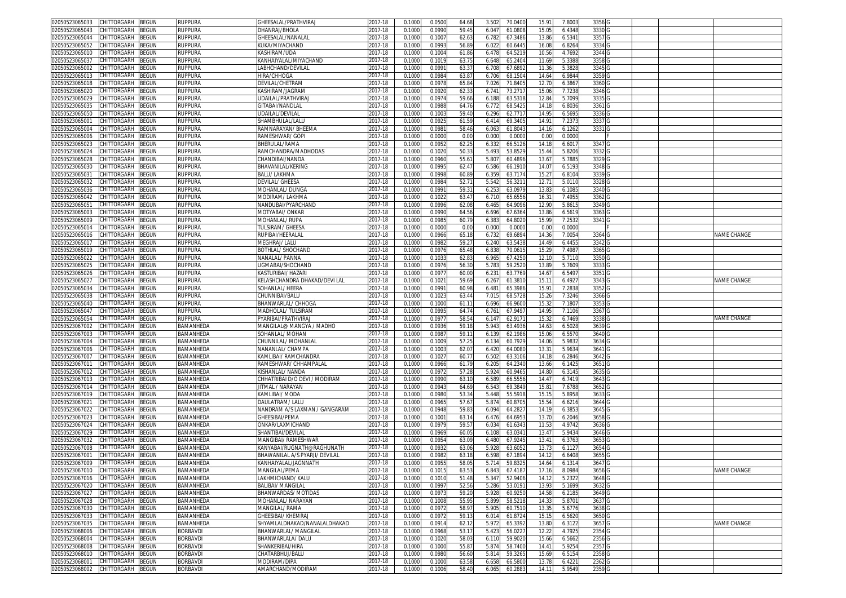| 02050523065033<br>CHITTORGARH<br>BEGUN        | <b>RUPPURA</b>  | <b>GHEESALAL/PRATHVIRAJ</b>    | 2017-18     | 0.1000 | 0.0500 | 64.68 | 3.502<br>70.040  | 15.91 | 7.800  | 3356 G            |                    |
|-----------------------------------------------|-----------------|--------------------------------|-------------|--------|--------|-------|------------------|-------|--------|-------------------|--------------------|
| 02050523065043<br>CHITTORGARH<br>BEGUN        | RUPPURA         | <b>HANRAJ/BHOLA</b>            | 2017-18     | 0.1000 | 0.0990 | 59.4  | 6.04<br>61.080   | 15.05 | 6.4348 | 3330              |                    |
| CHITTORGARH<br>02050523065044                 |                 |                                |             |        |        |       |                  |       |        |                   |                    |
| 3EGUN                                         | <b>RUPPURA</b>  | SHEESALAL/NANALAI              | 2017-18     | 0.1000 | 0.100  | 62.6  | 6.782<br>67.3486 | 13.86 | 6.5341 | 3357 G            |                    |
| CHITTORGARH<br>BEGUN<br>02050523065052        | Ruppura         | KUKA/MIYACHAND                 | 017-18      | 0.1000 | 0.099  | 56.89 | 6.022<br>60.6445 | 16.0  | 6.8264 | 3334              |                    |
| 02050523065010<br>CHITTORGARH<br>BEGUN        | <b>RUPPURA</b>  | KASHIRAM/UDA                   | 2017-18     | 0.100  | 0.1004 | 61.86 | 6.478<br>64.521  | 10.56 | 4.7692 | 3344              |                    |
| 02050523065037<br>CHITTORGARH<br>BEGUN        | Ruppura         | KANHAIYALAL/MIYACHAND          | 017-18      | 0.100  | 0.1019 | 63.7  | 6.648<br>65.240  | 11.69 | 5.338  | 3358              |                    |
| CHITTORGARH<br>02050523065002<br>3EGUN        | ruppura         | LABHCHAND/DEVILAI              | 2017-18     | 0.100  | 0.099  | 63.3  | 6.70<br>67.689   | 11.3  | 5.382  | 3345              |                    |
| CHITTORGARH<br>02050523065013<br>3EGUN        | ruppura         | <b>HIRA/CHHOGA</b>             | 017-18      | 0.100  | 0.0984 | 63.8  | 68.150<br>6.706  | 14.64 | 6.9844 | 3359              |                    |
| CHITTORGARH                                   |                 |                                |             |        |        |       |                  |       |        |                   |                    |
| 0205052306501<br>3EGUN                        | ruppura         | DEVILAL/CHETRAM                | 2017-18     | 0.100  | 0.097  | 65.8  | 7.02<br>71.840   | 12.7  | 6.386  | 3360              |                    |
| 02050523065020<br>CHITTORGARH<br>BEGUN        | Ruppura         | KASHIRAM/JAGRAM                | 017-18      | 0.1000 | 0.092  | 62.3  | 6.74<br>73.271   | 15.0  | 7.7238 | 3346              |                    |
| 02050523065029<br>CHITTORGARH<br>3EGUN        | ruppura         | UDAILAL/PRATHVIRAJ             | 2017-18     | 0.100  | 0.097  | 59.66 | 6.188<br>63.531  | 12.8  | 5.7099 | 3335              |                    |
| 02050523065035<br><b>CHITTORGARH</b><br>BEGUN | ruppura         | GITABAI/NANDLAI                | 017-18      | 0.100  | 0.098  | 64.76 | 6.77<br>68.542   | 14.1  | 6.8036 | 3361              |                    |
| CHITTORGARH<br><b>BEGUN</b><br>02050523065050 | RUPPURA         | JDAILAL/DEVILAL                | 2017-18     | 0.100  | 0.100  | 59.40 | 62.771<br>6.296  | 14.9  | 6.569  | 3336              |                    |
| CHITTORGARH<br>02050523065001<br>BEGUN        | Ruppura         | <b>SHAMBHULAL/LALL</b>         | 2017-18     | 0.1000 | 0.092  | 61.59 | 6.41<br>69.340   | 14.9  | 7.237  | 3337              |                    |
| 02050523065004<br>CHITTORGARH<br>3EGUN        | RUPPURA         | RAMNARAYAN/ BHEEMA             | 017-18      | 0.100  | 0.098  | 58.4  | 6.063<br>61.804  | 14.1  | 6.1262 | 3331              |                    |
|                                               |                 |                                |             |        |        |       |                  |       |        |                   |                    |
| 02050523065006<br>CHITTORGARH<br>BEGUN        | <b>RUPPURA</b>  | RAMESHWAR/ GOPI                | 2017-18     | 0.1000 | 0.000  | 0.00  | 0.000<br>0.000   | 0.00  | 0.0000 |                   |                    |
| 02050523065023<br>CHITTORGARH<br>3EGUN        | RUPPURA         | BHERULAL/RAMA                  | 017-18      | 0.100  | 0.095  | 62.2! | 66.512<br>6.33   | 14.1  | 6.601  | 3347              |                    |
| 02050523065024<br>CHITTORGARH<br>BEGUN        | <b>RUPPURA</b>  | RAMCHANDRA/MADHODAS            | 2017-18     | 0.1000 | 0.1020 | 50.3  | 5.493<br>53.852  | 15.44 | 5.8206 | 3332 G            |                    |
| CHITTORGARH<br>BEGUN<br>02050523065028        | Ruppura         | CHANDIBAI/NANDA                | 2017-18     | 0.1000 | 0.0960 | 55.6  | 5.807<br>60.4896 | 13.67 | 5.7885 | 3329 G            |                    |
| 02050523065030<br>CHITTORGARH<br>BEGUN        | <b>RUPPURA</b>  | BHAVANILAL/KERING              | 2017-18     | 0.1000 | 0.0995 | 62.4  | 6.586<br>66.1910 | 14.07 | 6.5193 | 3348 G            |                    |
| 02050523065031<br>CHITTORGARH<br>BEGUN        | Ruppura         | BALU/ LAKHMA                   | 2017-18     | 0.1000 | 0.0998 | 60.89 | 6.359<br>63.717  | 15.27 | 6.8104 | 3339              |                    |
| CHITTORGARH<br>3EGUN<br>02050523065032        | <b>RUPPURA</b>  | DEVILAL/ GHEESA                | 2017-18     | 0.1000 | 0.0984 | 52.7  | 5.542<br>56.321  | 12.71 | 5.0110 | 3328 G            |                    |
|                                               |                 |                                |             |        |        |       |                  |       |        |                   |                    |
| 02050523065036<br>CHITTORGARH<br>BEGUN        | Ruppura         | MOHANLAL/DUNGA                 | 017-18      | 0.1000 | 0.099  | 59.3  | 6.253<br>63.097  | 13.83 | 6.1085 | 3340 G            |                    |
| BEGUN<br>02050523065042<br>CHITTORGARH        | <b>RUPPURA</b>  | MODIRAM/ LAKHMA                | 2017-18     | 0.1000 | 0.102  | 63.47 | 6.710<br>65.655  | 16.31 | 7.4955 | 3362              |                    |
| 02050523065051<br>CHITTORGARH<br>BEGUN        | Ruppura         | NANDUBAI/PYARCHAND             | 2017-18     | 0.1000 | 0.0996 | 62.08 | 6.46!<br>64.909  | 12.9  | 5.861  | 3349              |                    |
| 02050523065003<br>CHITTORGARH<br>3EGUN        | <b>RUPPURA</b>  | MOTYABAI/ ONKAR                | 2017-18     | 0.100  | 0.099  | 64.56 | 6.696<br>67.636  | 13.86 | 6.561  | 3363              |                    |
| 02050523065009<br>CHITTORGARH<br>BEGUN        | <b>RUPPURA</b>  | MOHANLAL/RUPA                  | 017-18      | 0.1000 | 0.098  | 60.7  | 6.383<br>64.802  | 15.99 | 7.2532 | 3341 G            |                    |
| 02050523065014<br>CHITTORGARH<br>BEGUN        | <b>RUPPURA</b>  | TULSIRAM/ GHEESA               | 2017-18     | 0.100  | 0.000  | 0.00  | 0.000<br>0.000   | 0.0   | 0.0000 |                   |                    |
| 02050523065016<br>CHITTORGARH<br>BEGUN        | Ruppura         | RUPIBAI/HEERALAI               | 2017-18     | 0.1000 | 0.0966 | 65.1  | 69.689<br>6.73   | 14.3  | 7.0054 | 3364              | NAME CHANGE        |
|                                               |                 |                                |             |        |        |       |                  |       |        |                   |                    |
| 02050523065017<br>CHITTORGARH<br>3EGUN        | <b>RUPPURA</b>  | MEGHRAJ/ LALU                  | 2017-18     | 0.1000 | 0.098  | 59.2  | 6.240<br>63.543  | 14.49 | 6.4455 | 3342              |                    |
| CHITTORGARH<br>02050523065019<br>BEGUN        | Ruppura         | <b>BOTHLAL/ SHOCHAND</b>       | 2017-18     | 0.1000 | 0.097  | 65.48 | 6.838<br>70.061  | 15.29 | 7.4987 | 3365              |                    |
| 02050523065022<br>CHITTORGARH<br>3EGUN        | <b>RUPPURA</b>  | NANALAL/ PANNA                 | 017-18      | 0.100  | 0.103  | 62.8  | 6.96<br>67.425   | 12.1  | 5.711  | 3350              |                    |
| 02050523065025<br>CHITTORGARH<br>3EGUN        | Ruppura         | UGMABAI/SHOCHANI               | 017-18      | 0.100  | 0.097  | 56.3  | 5.78<br>59.252   | 13.8  | 5.7609 | 3333              |                    |
| 02050523065026<br>CHITTORGARH<br>3EGUN        | ruppura         | KASTURIBAI/ HAZARI             | 2017-18     | 0.100  | 0.097  | 60.00 | 6.23<br>63.776   | 14.6  | 6.5497 | 3351 G            |                    |
| 02050523065027<br>CHITTORGARH<br>BEGUN        | Ruppura         | KELASHCHANDRA DHAKAD/DEVI LAL  | 2017-18     | 0.1000 | 0.102  | 59.6  | 6.267<br>61.381  | 15.1  | 6.4927 | 3343              | NAME CHANGE        |
|                                               |                 |                                |             |        |        |       |                  |       |        |                   |                    |
| 02050523065034<br><b>CHITTORGARH</b><br>3EGUN | ruppura         | SOHANLAL/ HEERA                | 2017-18     | 0.100  | 0.099  | 60.9  | 6.48<br>65.398   | 15.9  | 7.283  | 3352              |                    |
| CHITTORGARH<br>02050523065038<br>BEGUN        | <b>RUPPURA</b>  | CHUNNIBAI/BALU                 | 2017-18     | 0.1000 | 0.102  | 63.44 | 7.01<br>68.572   | 15.26 | 7.3246 | 3366              |                    |
| 02050523065040<br>CHITTORGARH<br>3EGUN        | RUPPURA         | BHANWARLAL/ CHHOGA             | 017-18      | 0.100  | 0.100  | 61.1  | 66.960<br>6.696  | 15.3  | 7.1807 | 3353              |                    |
| 02050523065047<br>CHITTORGARH<br>3EGUN        | Ruppura         | MADHOLAL/ TULSIRAM             | 017-18      | 0.100  | 0.099  | 64.7  | 67.949<br>6.76   | 14.95 | 7.1106 | 3367              |                    |
| 02050523065054<br>CHITTORGARH<br>BEGUN        | Ruppura         | PYARIBAI/PRATHVIRAJ            | 2017-18     | 0.100  | 0.097  | 58.5  | 6.14<br>62.917   | 15.3  | 6.7469 | 3338              | <b>VAME CHANGE</b> |
| CHITTORGARH<br>02050523067002<br>3EGUN        | BAMANHEDA       | MANGILAL@ MANGYA / MADHO       | 2017-18     | 0.1000 | 0.093  | 59.1  | 5.943<br>63.493  | 14.63 | 6.5028 | 3639              |                    |
| 02050523067003<br>CHITTORGARH<br>BEGUN        | BAMANHEDA       | <b>SOHANLAL/ MOHAN</b>         | 017-18      | 0.100  | 0.098  | 59.1  | 62.198           | 15.0  | 6.5570 | 3640              |                    |
|                                               |                 |                                |             |        |        |       | 6.139            |       |        |                   |                    |
| CHITTORGARH<br>BEGUN<br>02050523067004        | BAMANHEDA       | CHUNNILAL/ MOHANLAI            | 2017-18     | 0.1000 | 0.100  | 57.2  | 6.134<br>60.792  | 14.06 | 5.9832 | 3634 G            |                    |
| CHITTORGARH<br>BEGUN<br>02050523067006        | BAMANHEDA       | NANANLAL/ CHAMPA               | 2017-18     | 0.1000 | 0.1003 | 62.0  | 6.420<br>64.008  | 13.31 | 5.9634 | 3641 G            |                    |
| CHITTORGARH<br>BEGUN<br>02050523067007        | BAMANHEDA       | KAMLIBAI/ RAMCHANDRA           | 2017-18     | 0.1000 | 0.1027 | 60.7  | 6.502<br>63.3106 | 14.18 | 6.2846 | 3642 G            |                    |
| BEGUN<br>02050523067011<br>CHITTORGARH        | BAMANHEDA       | RAMESHWAR/ CHHAMPALAI          | 2017-18     | 0.1000 | 0.0966 | 61.79 | 6.205<br>64.234  | 13.66 | 6.1425 | 3651 G            |                    |
| BEGUN<br>02050523067012<br>CHITTORGARH        | BAMANHEDA       | KISHANLAL/ NANDA               | 2017-18     | 0.1000 | 0.097  | 57.28 | 5.924<br>60.946  | 14.80 | 6.3145 | 3635 G            |                    |
| 02050523067013<br>CHITTORGARH<br><b>BEGUN</b> | BAMANHEDA       | CHHATRIBAI D/O DEVI / MODIRAM  | 2017-18     | 0.100  | 0.0990 | 63.10 | 6.58<br>66.555   | 14.47 | 6.7419 | 3643              |                    |
|                                               |                 |                                |             |        |        |       |                  |       |        |                   |                    |
| CHITTORGARH<br>3EGUN<br>02050523067014        | BAMANHEDA       | <b>ITMAL / NARAYAN</b>         | 2017-18     | 0.1000 | 0.094  | 64.69 | 6.54<br>69.384   | 15.8  | 7.6788 | 3652              |                    |
| CHITTORGARH<br>BEGUN<br>02050523067019        | BAMANHEDA       | KAMLIBAI/ MODA                 | 2017-18     | 0.1000 | 0.098  | 53.34 | 5.448<br>55.5918 | 15.1  | 5.8958 | 3633              |                    |
| 02050523067021<br>CHITTORGARH<br>BEGUN        | BAMANHEDA       | DAULATRAM/ LALU                | 2017-18     | 0.100  | 0.096  | 57.6  | 5.874<br>60.870  | 15.54 | 6.621  | 3644 0            |                    |
| CHITTORGARH<br>3EGUN<br>02050523067022        | BAMANHEDA       | NANDRAM A/S LAXMAN / GANGARAM  | 2017-18     | 0.100  | 0.0948 | 59.8  | 6.094<br>64.282  | 14.1  | 6.385  | 3645              |                    |
| CHITTORGARH<br>3EGUN<br>02050523067023        | BAMANHEDA       | GHEESIBAI/PEMA                 | 2017-18     | 0.100  | 0.100  | 63.1  | 6.476<br>64.695  | 13.7  | 6.2046 | 3658              |                    |
| CHITTORGARH<br>BEGUN<br>02050523067024        | BAMANHEDA       | ONKAR/LAXMICHAND               | 2017-18     | 0.1000 | 0.0979 | 59.5  | 6.034<br>61.634  | 11.53 | 4.9742 | 3636 G            |                    |
| CHITTORGARH<br>02050523067029<br>BEGUN        | BAMANHEDA       | SHANTIBAI/DEVILAL              | $2017 - 18$ | 0.100  | 0.0969 | 60.0  | 6.10<br>63.034   | 13.47 | 5.9434 | 3646 G            |                    |
|                                               | BAMANHEDA       | <b>MANGIBAI/ RAMESHWAR</b>     | 017-18      | 0.1000 | 0.0954 |       | 67.924<br>6.480  |       |        |                   |                    |
|                                               |                 |                                |             |        |        | 63.0  |                  | 13.41 | 6.3763 | 3653              |                    |
| CHITTORGARH<br>BEGUN<br>02050523067032        |                 |                                |             |        |        |       |                  |       |        |                   |                    |
| 02050523067008<br><b>CHITTORGARH</b><br>BEGUN | BAMANHEDA       | KANYABAI/RUGNATH@RAGHUNATH     | 2017-18     | 0.100  | 0.093  | 63.0  | 5.92<br>63.605   | 13.7  | 6.112  | 3654              |                    |
| 02050523067001<br>CHITTORGARH<br>BEGUN        | BAMANHEDA       | BHAWANILAL A/S PYARJI/ DEVILAL | 017-18      | 0.100  | 0.098  | 63.1  | 6.598<br>67.189  | 14.1  | 6.640  | 3655              |                    |
| 02050523067009<br>CHITTORGARH<br>BEGUN        | BAMANHEDA       | KANHAIYALAL/JAGNNATH           | 2017-18     | 0.100  | 0.095  | 58.0  | 59.832<br>5.71   | 14.64 | 6.131  | 3647 <sub>G</sub> |                    |
| 02050523067010 CHILLORGARH BEGUN              | BAMANHEDA       | MANGILAL/PEMA                  | 2017-18     | 0.1000 | 0.1015 | 63.5  | 6.843<br>67.418  | 17.16 | 8.0984 | 3656 C            | name Change        |
|                                               |                 |                                |             |        |        |       |                  |       |        |                   |                    |
| 02050523067016<br>CHITTORGARH<br><b>BEGUN</b> | BAMANHEDA       | LAKHMICHAND/ KALU              | 2017-18     | 0.1000 | 0.1010 | 51.48 | 52.9406<br>5.347 | 14.12 | 5.2322 | 3648              |                    |
| 02050523067020<br>CHITTORGARH<br>BEGUN        | BAMANHEDA       | BALIBAI/MANGILAL               | 2017-18     | 0.1000 | 0.0997 | 52.56 | 5.286<br>53.019  | 13.93 | 5.1699 | 3632 G            |                    |
| 02050523067027<br>CHITTORGARH<br>BEGUN        | BAMANHEDA       | BHANWARDAS/ MOTIDAS            | 2017-18     | 0.100  | 0.097  | 59.20 | 5.928<br>60.925  | 14.58 | 6.218  | 3649              |                    |
| 02050523067028<br><b>CHITTORGARH</b><br>BEGUN | BAMANHEDA       | MOHANLAL/ NARAYAN              | 2017-18     | 0.1000 | 0.1008 | 55.9  | 5.899<br>58.5218 | 14.33 | 5.870  | 3637              |                    |
| BEGUN<br>02050523067030<br>CHITTORGARH        | BAMANHEDA       | <b>MANGILAL/ RAMA</b>          | $2017 - 18$ | 0.1000 | 0.097  | 58.9  | 5.905<br>60.7510 | 13.35 | 5.6776 | 3638              |                    |
| 02050523067033<br>CHITTORGARH<br><b>BEGUN</b> | BAMANHEDA       | GHEESIBAI/ KHEMRAJ             | 2017-18     | 0.1000 | 0.0972 | 59.13 | 6.014<br>61.8724 | 15.15 | 6.5620 | 3650 G            |                    |
| 02050523067035<br>CHITTORGARH<br>BEGUN        | BAMANHEDA       | SHYAMLALDHAKAD/NANALALDHAKAD   | 2017-18     | 0.1000 | 0.0914 | 62.12 | 5.972<br>65.3392 | 13.80 | 6.3122 | 3657 G            | NAME CHANGE        |
|                                               |                 |                                |             |        |        |       |                  |       |        |                   |                    |
| 02050523068006<br>CHITTORGARH<br>BEGUN        | <b>BORBAVDI</b> | BHANWARLAL/ MANGILAL           | 2017-18     | 0.1000 | 0.0968 | 53.17 | 5.423<br>56.022  | 12.22 | 4.7925 | 2354 G            |                    |
| <b>BEGUN</b><br>02050523068004<br>CHITTORGARH | <b>BORBAVDI</b> | BHANWARLALA/ DALU              | 2017-18     | 0.1000 | 0.1020 | 58.03 | 6.110<br>59.9020 | 15.66 | 6.5662 | 2356 G            |                    |
| 02050523068008<br>CHITTORGARH<br>BEGUN        | <b>BORBAVDI</b> | SHANKERIBAI/HIRA               | 2017-18     | 0.1000 | 0.1000 | 55.87 | 5.874<br>58.7400 | 14.41 | 5.9254 | 2357 G            |                    |
| 02050523068010<br>CHITTORGARH<br>BEGUN        | <b>BORBAVDI</b> | CHATARBHUJ/BALU                | 2017-18     | 0.1000 | 0.0980 | 56.60 | 5.814<br>59.3265 | 15.69 | 6.5154 | 2358 G            |                    |
| CHITTORGARH<br>02050523068001<br>BEGUN        | <b>BORBAVDI</b> | MODIRAM/DIPA                   | 2017-18     | 0.1000 | 0.1000 | 63.58 | 6.658<br>66.580  | 13.78 | 6.422  | 2362 G            |                    |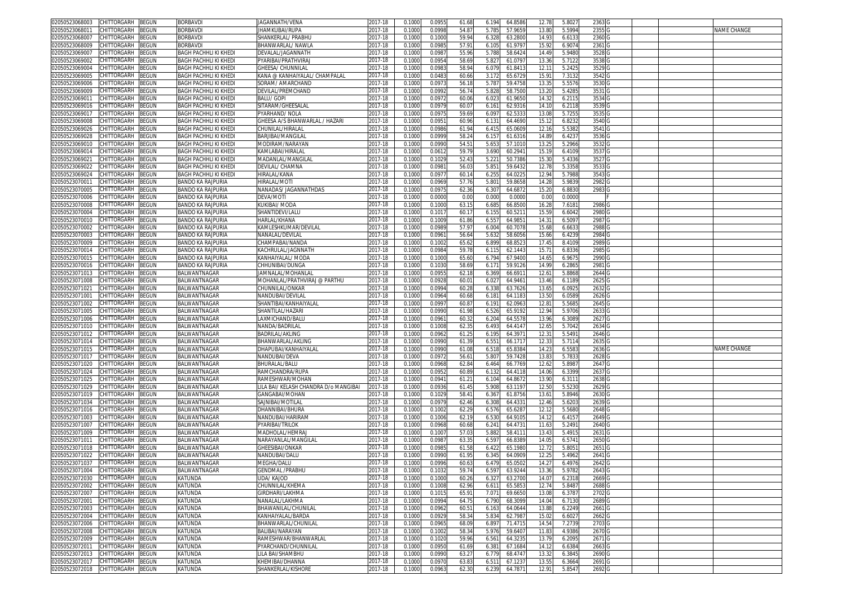| 02050523068003                   | CHITTORGARH                | BEGUN        | <b>BORBAVDI</b>              | JAGANNATH/VENA                        | 2017-18     | 0.1000 | 0.0955 | 61.68 | 6.194 | 64.8586 | 12.78 | 5.8027 | 2363   |  |             |
|----------------------------------|----------------------------|--------------|------------------------------|---------------------------------------|-------------|--------|--------|-------|-------|---------|-------|--------|--------|--|-------------|
| 02050523068011                   | CHITTORGARH                | 3EGUN        | BORBAVDI                     | IHAMKUBAI/RUPA                        | 2017-18     | 0.1000 | 0.0998 | 54.8  | 5.785 | 57.965  | 13.80 | 5.5994 | 2355   |  | NAME CHANGE |
| 02050523068007                   | CHITTORGARH                | BEGUN        | <b>BORBAVDI</b>              | SHANKERLAL/ PRABHL                    | 2017-18     | 0.1000 | 0.1000 | 59.94 | 6.328 | 63.280  | 14.93 | 6.6133 | 2360   |  |             |
| 02050523068009                   |                            |              |                              | BHANWARLAL/ NAWLA                     |             |        |        | 57.9  |       |         |       |        |        |  |             |
|                                  | CHITTORGARH                | BEGUN        | BORBAVDI                     |                                       | 2017-18     | 0.1000 | 0.098  |       | 6.105 | 61.979  | 15.92 | 6.9074 | 2361   |  |             |
| 02050523069007                   | CHITTORGARH                | BEGUN        | <b>BAGH PACHHLI KI KHEDI</b> | DEVALAL/JAGANNATH                     | 2017-18     | 0.1000 | 0.098  | 55.96 | 5.788 | 58.642  | 14.49 | 5.9480 | 3528   |  |             |
| 02050523069002                   | CHITTORGARH                | BEGUN        | BAGH PACHHLI KI KHEDI        | PYARIBAI/PRATHVIRAJ                   | 2017-18     | 0.1000 | 0.095  | 58.6  | 5.82  | 61.079  | 13.36 | 5.7122 | 3538   |  |             |
| 02050523069004                   | CHITTORGARH                | BEGUN        | <b>BAGH PACHHLI KI KHEDI</b> | GHEESA/ CHUNNILAL                     | 2017-18     | 0.1000 | 0.098  | 58.9  | 6.07  | 61.841  | 12.1  | 5.2425 | 3529   |  |             |
| 02050523069005                   | CHITTORGARH                | BEGUN        | <b>BAGH PACHHLI KI KHEDI</b> | KANA @ KANHAIYALAL/ CHAMPALAL         | 2017-18     | 0.1000 | 0.048  | 60.66 | 3.172 | 65.672  | 15.91 | 7.3132 | 3542   |  |             |
| 02050523069006                   | CHITTORGARH                | BEGUN        | <b>BAGH PACHHLI KI KHEDI</b> | SORAM/ AMARCHAND                      | 2017-18     | 0.1000 | 0.097  | 56.1  | 5.78  | 59.475  | 13.35 | 5.5576 | 3530   |  |             |
| 02050523069009                   | CHITTORGARH                | BEGUN        | <b>BAGH PACHHLI KI KHEDI</b> | DEVILAL/PREMCHAND                     | 2017-18     | 0.1000 | 0.0992 | 56.7  | 5.82  | 58.750  | 13.20 | 5.4285 | 3531   |  |             |
|                                  |                            |              |                              |                                       |             |        |        |       |       |         |       |        |        |  |             |
| 0205052306901                    | <b>CHITTORGARH</b>         | BEGUN        | <b>BAGH PACHHLI KI KHEDI</b> | <b>BALU/ GOPI</b>                     | 2017-18     | 0.1000 | 0.097  | 60.0  | 6.02  | 61.965  | 14.3  | 6.2115 | 3534   |  |             |
| 02050523069016                   | CHITTORGARH                | BEGUN        | <b>BAGH PACHHLI KI KHEDI</b> | SITARAM/GHEESALAL                     | 2017-18     | 0.1000 | 0.097  | 60.0  | 6.161 | 62.931  | 14.10 | 6.2118 | 3539   |  |             |
| 02050523069017                   | CHITTORGARH                | BEGUN        | <b>BAGH PACHHLI KI KHED</b>  | PYARHAND/NOLA                         | $2017 - 18$ | 0.100  | 0.097  | 59.6  | 6.09  | 62.533  | 13.0  | 5.7255 | 3535   |  |             |
| 02050523069008                   | CHITTORGARH                | <b>EGUN</b>  | <b>BAGH PACHHLI KI KHEDI</b> | SHEESA A/S BHANWARLAL / HAZARI        | 2017-18     | 0.1000 | 0.095  | 60.9  | 6.13  | 64.469  | 15.1  | 6.8232 | 3540   |  |             |
| 02050523069026                   | <b>CHITTORGARH</b>         | <b>EGUN</b>  | <b>BAGH PACHHLI KI KHEDI</b> | CHUNILAL/HIRALAI                      | 2017-18     | 0.1000 | 0.0986 | 61.9  | 6.415 | 65.060  | 12.16 | 5.5382 | 3541   |  |             |
| 02050523069028                   | CHITTORGARH                | <b>EGUN</b>  | <b>BAGH PACHHLI KI KHEDI</b> | <b>BARJIBAI/MANGILAL</b>              | 2017-18     | 0.1000 | 0.0999 | 58.2  | 6.157 | 61.631  | 14.89 | 6.4237 | 3536   |  |             |
|                                  |                            |              |                              |                                       |             |        |        |       |       |         |       |        |        |  |             |
| 02050523069010                   | <b>CHITTORGARH</b>         | <b>EGUN</b>  | <b>BAGH PACHHLI KI KHED</b>  | MODIRAM/NARAYAM                       | 2017-18     | 0.100  | 0.099  | 54.5  | 5.65  | 57.101  | 13.2  | 5.2966 | 3532   |  |             |
| 02050523069014                   | CHITTORGARH                | BEGUN        | <b>BAGH PACHHLI KI KHED</b>  | (AMLABAI/HIRALAL                      | 2017-18     | 0.1000 | 0.061  | 59.7  | 3.690 | 60.294  | 15.1  | 6.4109 | 3537   |  |             |
| 0205052306902                    | CHITTORGARF                | EGUN         | BAGH PACHHLI KI KHEDI        | MADANLAL/MANGILAI                     | 2017-18     | 0.100  | 0.102  | 52.4  | 5.22  | 50.738  | 15.3  | 5.4336 | 3527   |  |             |
| 02050523069022                   | CHITTORGARH                | <b>EGUN</b>  | <b>BAGH PACHHLI KI KHEDI</b> | DEVILAL/ CHAMNA                       | 2017-18     | 0.1000 | 0.098  | 56.0  | 5.85  | 59.643  | 12.78 | 5.3358 | 3533   |  |             |
| 02050523069024                   | CHITTORGARH                | EGUN         | BAGH PACHHLI KI KHEDI        | <b>IIRALAL/KANA</b>                   | 2017-18     | 0.1000 | 0.097  | 60.1  | 6.25! | 64.022  | 12.94 | 5.7988 | 3543   |  |             |
| 0205052307001                    | <b>CHITTORGARH</b>         | <b>EGUN</b>  | BANDO KA RAJPURIA            | IIRALAL/MOTI                          | 2017-18     | 0.1000 | 0.0969 | 57.7  | 5.80  | 59.865  | 14.28 | 5.9839 | 2982   |  |             |
|                                  |                            |              |                              |                                       |             |        |        |       |       | 64.687  |       | 6.883  |        |  |             |
| 02050523070005                   | <b>HITTORGARH</b>          | <b>EGUN</b>  | BANDO KA RAJPURIA            | VANADAS/ JAGANNATHDAS                 | 2017-18     | 0.1000 | 0.097  | 62.3  | 6.30  |         | 15.2  |        | 2983   |  |             |
| 02050523070006                   | CHITTORGARH                | BEGUN        | BANDO KA RAJPURIA            | DEVA/MOTI                             | 2017-18     | 0.1000 | 0.0000 | 0.00  | 0.000 | 0.000   | 0.00  | 0.0000 |        |  |             |
| 02050523070008                   | CHITTORGARH                | <b>BEGUN</b> | <b>BANDO KA RAJPURIA</b>     | KUKIBAI/ MODA                         | 2017-18     | 0.1000 | 0.1000 | 63.1  | 6.685 | 66.850  | 16.28 | 7.6181 | 2986   |  |             |
| 02050523070004                   | CHITTORGARH                | <b>BEGUN</b> | BANDO KA RAJPURIA            | SHANTIDEVI/LALL                       | 2017-18     | 0.1000 | 0.101  | 60.1  | 6.15! | 60.521  | 15.59 | 6.6042 | 2980   |  |             |
| 02050523070010                   | CHITTORGARH                | BEGUN        | BANDO KA RAJPURIA            | <b>HARLAL/KHANA</b>                   | 2017-18     | 0.1000 | 0.1009 | 61.8  | 6.557 | 64.985  | 14.31 | 6.5097 | 2987   |  |             |
| 02050523070002                   | CHITTORGARH                | BEGUN        | BANDO KA RAJPURIA            | KAMLESHKUMAR/DEVILAL                  | 2017-18     | 0.1000 | 0.098  | 57.9  | 6.004 | 60.707  | 15.68 | 6.663  | 2988   |  |             |
|                                  |                            |              |                              |                                       |             |        |        |       |       |         |       |        |        |  |             |
| 02050523070003                   | CHITTORGARH                | BEGUN        | BANDO KA RAJPURIA            | <b>VANALAL/DEVILAL</b>                | 2017-18     | 0.1000 | 0.096  | 56.6  | 5.632 | 58.605  | 15.66 | 6.4239 | 2984   |  |             |
| 02050523070009                   | CHITTORGARH                | BEGUN        | BANDO KA RAJPURIA            | CHAMPABAI/NANDA                       | 2017-18     | 0.1000 | 0.100  | 65.6  | 6.899 | 68.852  | 17.45 | 8.4109 | 2989   |  |             |
| 02050523070014                   | CHITTORGARH                | <b>BEGUN</b> | <b>BANDO KA RAJPURIA</b>     | KACHRULAL/JAGNNATH                    | 2017-18     | 0.1000 | 0.0984 | 59.7  | 6.115 | 62.144  | 15.7  | 6.8336 | 2985   |  |             |
| 02050523070015                   | CHITTORGARH                | 3EGUN        | <b>BANDO KA RAJPURIA</b>     | KANHAIYALAL/ MODA                     | 2017-18     | 0.1000 | 0.100  | 65.60 | 6.794 | 67.940  | 14.65 | 6.9675 | 2990   |  |             |
| 02050523070016                   | CHITTORGARH                | BEGUN        | <b>BANDO KA RAJPURIA</b>     | <b>CHHUNIBAI/DUNGA</b>                | 2017-18     | 0.1000 | 0.1030 | 58.6  | 6.17  | 59.912  | 14.99 | 6.2865 | 2981   |  |             |
| 02050523071013                   | CHITTORGARH                | BEGUN        | BALWANTNAGAR                 | JAMNALAL/MOHANLAL                     | 2017-18     | 0.1000 | 0.095  | 62.1  | 6.369 | 66.691  | 12.6  | 5.8868 | 2644   |  |             |
|                                  | CHITTORGARH                |              |                              |                                       |             |        |        |       |       |         |       |        |        |  |             |
| 02050523071008                   |                            | 3EGUN        | BALWANTNAGAR                 | MOHANLAL/PRATHVIRAJ @ PARTHU          | 2017-18     | 0.1000 | 0.092  | 60.0  | 6.027 | 64.946  | 13.46 | 6.1189 | 2625   |  |             |
| 02050523071021                   | CHITTORGARH                | 3EGUN        | BALWANTNAGAR                 | CHUNNILAL/ONKAR                       | 2017-18     | 0.1000 | 0.099  | 60.2  | 6.33  | 63.762  | 13.65 | 6.0925 | 2632   |  |             |
| 02050523071001                   | CHITTORGARH                | BEGUN        | BALWANTNAGAR                 | NANDUBAI/DEVILAL                      | 2017-18     | 0.1000 | 0.0964 | 60.6  | 6.18  | 64.118  | 13.50 | 6.0589 | 2626   |  |             |
| 02050523071002                   | <b>CHITTORGARH</b>         | <b>EGUN</b>  | BALWANTNAGAR                 | SHANTIBAI/KANHAIYALAL                 | 2017-18     | 0.100  | 0.099  | 60.8  | 6.19  | 62.096  | 12.8  | 5.5685 | 2645   |  |             |
| 02050523071005                   | <b>CHITTORGARH</b>         | <b>EGUN</b>  | BALWANTNAGAR                 | SHANTILAL/HAZARI                      | 2017-18     | 0.1000 | 0.0990 | 61.9  | 6.526 | 65.919  | 12.94 | 5.9706 | 2633   |  |             |
| 02050523071006                   | CHITTORGARI                | BEGUN        | BALWANTNAGAR                 | AXMICHAND/BALL                        | 2017-18     | 0.100  | 0.096  | 60.3  | 6.20  | 64.557  | 13.96 | 6.3089 | 2627   |  |             |
| 02050523071010                   | CHITTORGARH                | BEGUN        | BALWANTNAGAR                 | NANDA/BADRILAL                        | 2017-18     | 0.1000 | 0.100  | 62.3! | 6.493 | 64.414  | 12.65 | 5.7042 | 2634   |  |             |
|                                  |                            |              |                              |                                       |             |        |        |       |       |         |       |        |        |  |             |
| 02050523071012                   | <b>CHITTORGARF</b>         | <b>EGUN</b>  | BALWANTNAGAR                 | BADRILAL/AKLING                       | 2017-18     | 0.100  | 0.096  | 61.2  | 6.195 | 64.397  | 12.3  | 5.5491 | 2646   |  |             |
| 02050523071014                   | CHITTORGARH                | <b>BEGUN</b> | BALWANTNAGAR                 | BHANWARLAL/AKLING                     | 2017-18     | 0.1000 | 0.0990 | 61.3  | 6.551 | 66.171  | 12.33 | 5.7114 | 2635   |  |             |
| 02050523071015                   | CHITTORGARH                | ፡EGUN        | BALWANTNAGAR                 | )HAPUBAI/KANHAIYALAL                  | 2017-18     | 0.100  | 0.099  | 61.0  | 6.51  | 65.838  | 14.2  | 6.5583 | 2636   |  | NAME CHANGE |
| 0205052307101                    | CHITTORGARH                | <b>EGUN</b>  | BALWANTNAGAR                 | NANDUBAI/DEVA                         | 2017-18     | 0.1000 | 0.097  | 56.6  | 5.80  | 59.742  | 13.83 | 5.7833 | 2628   |  |             |
| 02050523071020                   | <b>CHITTORGARH</b>         | EGUN         | BALWANTNAGAR                 | BHURALAL/BALU                         | 2017-18     | 0.1000 | 0.096  | 62.8  | 6.46  | 66.776  | 12.62 | 5.8987 | 2647   |  |             |
| 02050523071024                   | CHITTORGARH                | BEGUN        | BALWANTNAGAR                 | RAMCHANDRA/RUPA                       | 2017-18     | 0.1000 | 0.095  | 60.8  | 6.13  | 64.411  | 14.06 | 6.3399 | 2637   |  |             |
|                                  |                            |              |                              |                                       |             |        |        |       |       |         |       |        |        |  |             |
| 02050523071025                   | CHITTORGARH                | EGUN         | BALWANTNAGAR                 | RAMESHWAR/MOHAN                       | 2017-18     | 0.1000 | 0.094  | 61.2  | 6.104 | 64.867  | 13.90 | 6.3111 | 2638   |  |             |
| 02050523071029                   | CHITTORGARH                | BEGUN        | BALWANTNAGAR                 | LILA BAI/ KELASH CHANDRA D/o MANGIBAI | 2017-18     | 0.1000 | 0.0936 | 61.4! | 5.908 | 63.119  | 12.50 | 5.5230 | 2629   |  |             |
| 02050523071019                   | CHITTORGARH                | BEGUN        | BALWANTNAGAR                 | <b>GANGABAI/MOHAN</b>                 | 2017-18     | 0.1000 | 0.1029 | 58.4  | 6.367 | 61.875  | 13.6  | 5.8946 | 2630   |  |             |
| 02050523071034                   | CHITTORGARH                | BEGUN        | BALWANTNAGAR                 | SAJNIBAI/MOTILAL                      | 2017-18     | 0.1000 | 0.097  | 62.4  | 6.308 | 64.433  | 12.46 | 5.6203 | 2639   |  |             |
| 02050523071016                   | CHITTORGARH                | BEGUN        | BALWANTNAGAR                 | <b>CHANNIBAI/BHURA</b>                | 2017-18     | 0.1000 | 0.1002 | 62.2  | 6.576 | 65.628  | 12.12 | 5.5680 | 2648   |  |             |
| 02050523071003                   | CHITTORGARH                | BEGUN        | BALWANTNAGAR                 | NANDUBAI/HARIRAM                      | 2017-18     | 0.1000 | 0.1006 | 62.1  | 6.530 | 64.910  | 14.12 | 6.4157 | 2649   |  |             |
| 02050523071007                   | CHITTORGARH                | <b>BEGUN</b> | BALWANTNAGAR                 | PYARIBAI/TRILOK                       | 2017-18     | 0.1000 | 0.0968 | 60.6  | 6.241 | 64.473  | 11.63 | 5.2491 | 2640   |  |             |
|                                  |                            |              |                              |                                       |             |        |        |       |       |         |       |        |        |  |             |
| 02050523071009                   | CHITTORGARH                | 3EGUN        | <b>BALWANTNAGAR</b>          | MADHOLAL/HEMRAJ                       | 2017-18     | 0.1000 | 0.100  | 57.0  | 5.88  | 58.411  | 13.43 | 5.4915 | 2631   |  |             |
| 02050523071011                   | CHITTORGARH                | BEGUN        | BALWANTNAGAR                 | VARAYANLAL/MANGILAL                   | 2017-18     | 0.1000 | 0.098  | 63.3  | 6.597 | 66.838  | 14.05 | 6.5741 | 2650   |  |             |
| 02050523071018                   | CHITTORGARH                | BEGUN        | BALWANTNAGAR                 | <b>GHEESIBAI/ONKAR</b>                | 2017-18     | 0.1000 | 0.098  | 61.5  | 6.42  | 65.198  | 12.7  | 5.8051 | 2651   |  |             |
| 02050523071022                   | CHITTORGARH                | <b>BEGUN</b> | BALWANTNAGAR                 | NANDUBAI/DALU                         | 2017-18     | 0.1000 | 0.099  | 61.9  | 6.345 | 64.090  | 12.21 | 5.4962 | 2641   |  |             |
| 02050523071037                   | CHITTORGARH                | BEGUN        | <b>BALWANTNAGAR</b>          | MEGHA/DALU                            | 2017-18     | 0.1000 | 0.099  | 60.6  | 6.47  | 65.050  | 14.2  | 6.4976 | 2642   |  |             |
| 02050523071004 CHILLORGARH BEGUN |                            |              |                              |                                       |             |        |        |       |       |         |       |        |        |  |             |
|                                  |                            |              | BALWANTNAGAR                 | SENDMAL /PRABHU                       | 2017-18     | 0.1000 | 0.1032 | 59.14 | 6.591 | 63.924  | 13.36 | 5.9782 | 2643   |  |             |
| 02050523072030                   | CHITTORGARH                | <b>BEGUN</b> | KATUNDA                      | JDA/ KAJOD                            | 2017-18     | 0.1000 | 0.1000 | 60.26 | 6.327 | 63.270  | 14.07 | 6.2318 | 2669   |  |             |
| 02050523072002                   | CHITTORGARH                | BEGUN        | KATUNDA                      | CHUNNILAL/KHEMA                       | 2017-18     | 0.1000 | 0.1008 | 62.96 | 6.611 | 65.585  | 12.74 | 5.8487 | 2688   |  |             |
| 02050523072007                   | CHITTORGARH                | BEGUN        | KATUNDA                      | GIRDHARI/LAKHMA                       | 2017-18     | 0.1000 | 0.101! | 65.9  | 7.07  | 69.6650 | 13.08 | 6.3787 | 2702   |  |             |
| 02050523072001                   | CHITTORGARH                | BEGUN        | KATUNDA                      | NANALAL/LAKHMA                        | 2017-18     | 0.1000 | 0.0994 | 64.7  | 6.790 | 68.3099 | 14.04 | 6.7130 | 2689   |  |             |
| 02050523072003                   | CHITTORGARH                | BEGUN        | KATUNDA                      | BHAWANILAL/CHUNILAL                   | 2017-18     | 0.1000 | 0.096  | 60.5  | 6.163 | 64.064  | 13.88 | 6.2249 | 2661   |  |             |
| 02050523072004                   | CHITTORGARH                | BEGUN        | KATUNDA                      | KANHAIYALAL/BARDA                     | 2017-18     | 0.1000 | 0.0929 | 58.34 | 5.834 | 62.798  | 15.02 | 6.6027 | 2662   |  |             |
|                                  | CHITTORGARH                |              |                              |                                       |             |        |        |       |       |         |       |        |        |  |             |
| 02050523072006                   |                            | BEGUN        | KATUNDA                      | BHANWARLAL/CHUNILAL                   | 2017-18     | 0.1000 | 0.096  | 68.0  | 6.89  | 71.471  | 14.54 | 7.2739 | 2703   |  |             |
| 02050523072008                   | CHITTORGARH                | BEGUN        | KATUNDA                      | BALIBAI/NARAYAN                       | 2017-18     | 0.1000 | 0.1002 | 58.3  | 5.976 | 59.640  | 11.83 | 4.9386 | 2670   |  |             |
| 02050523072009                   | CHITTORGARH                | <b>BEGUN</b> | KATUNDA                      | RAMESHWAR/BHANWARLAL                  | 2017-18     | 0.1000 | 0.1020 | 59.96 | 6.561 | 64.323  | 13.79 | 6.2095 | 2671   |  |             |
| 02050523072011                   | CHITTORGARH                | <b>BEGUN</b> | KATUNDA                      | PYARCHAND/CHUNNILAL                   | 2017-18     | 0.1000 | 0.0950 | 61.69 | 6.381 | 67.1684 | 14.12 | 6.6384 | 2663   |  |             |
| 02050523072013                   | CHITTORGARH                | BEGUN        | KATUNDA                      | <b>ILA BAI/SHAMBHU</b>                | 2017-18     | 0.1000 | 0.0990 | 63.2  | 6.779 | 68.474  | 13.32 | 6.3845 | 2690   |  |             |
| 02050523072017                   | CHITTORGARH                | <b>BEGUN</b> | KATUNDA                      | KHEMIBAI/DHANNA                       | 2017-18     | 0.1000 | 0.0970 | 63.83 | 6.511 | 67.123  | 13.55 | 6.3664 | 2691 G |  |             |
|                                  | 02050523072018 CHITTORGARH | <b>BEGUN</b> | KATUNDA                      | SHANKERLAL/KISHORE                    | 2017-18     |        |        | 62.30 |       |         |       | 5.8547 | 2692 G |  |             |
|                                  |                            |              |                              |                                       |             | 0.1000 | 0.0963 |       | 6.239 | 64.7871 | 12.91 |        |        |  |             |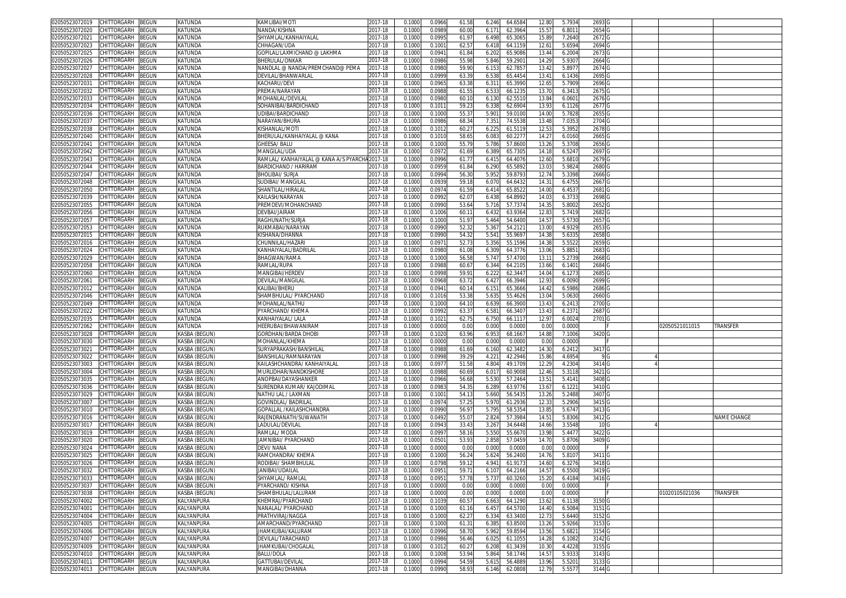| CHITTORGARH<br>BEGUN<br>02050523072019                                     | KATUNDA                  | KAMLIBAI/MOTI                          | 2017-18            | 0.1000           | 0.0966           | 61.58          | 64.658<br>6.246                     | 12.80          | 5.793           | 2693              |  |                |             |
|----------------------------------------------------------------------------|--------------------------|----------------------------------------|--------------------|------------------|------------------|----------------|-------------------------------------|----------------|-----------------|-------------------|--|----------------|-------------|
| CHITTORGARH<br>BEGUN<br>02050523072020                                     | KATUNDA                  | NANDA/KISHNA                           | 2017-18            | 0.1000           | 0.0989           | 60.00          | 62.396<br>6.171                     | 15.57          | 6.8011          | 2654              |  |                |             |
| CHITTORGARH<br>3EGUN<br>02050523072021                                     | KATUNDA                  | SHYAMLAL/KANHAIYALAL                   | 2017-18            | 0.1000           | 0.099            | 61.97          | 6.498<br>65.306                     | 15.89          | 7.2640          | 2672              |  |                |             |
| CHITTORGARH<br>BEGUN<br>02050523072023                                     | KATUNDA                  | CHHAGAN/UDA                            | 2017-18            | 0.1000           | 0.100            | 62.57          | 64.115<br>6.418                     | 12.61          | 5.6594          | 2694              |  |                |             |
| CHITTORGARH<br>BEGUN                                                       | KATUNDA                  |                                        |                    |                  | 0.094            |                |                                     |                |                 |                   |  |                |             |
| 02050523072025                                                             |                          | GOPILAL/LAXMICHAND @ LAKHMA            | 2017-18            | 0.100            |                  | 61.84          | 65.908<br>6.20                      | 13.44          | 6.2004          | 2673              |  |                |             |
| 02050523072026<br>CHITTORGARH<br>BEGUN                                     | KATUNDA                  | BHERULAL/ONKAR                         | 017-18             | 0.100            | 0.0986           | 55.98          | 5.846<br>59.290                     | 14.29          | 5.9307          | 2664              |  |                |             |
| CHITTORGARH<br>02050523072027<br>3EGUN                                     | KATUNDA                  | NANDLAL @ NANDA/PREMCHAND@ PEMA        | 2017-18            | 0.100            | 0.098            | 59.90          | 6.15<br>62.785                      | 13.4           | 5.897           | 2674              |  |                |             |
| 02050523072028<br>CHITTORGARH<br>3EGUN                                     | KATUNDA                  | DEVILAL/BHANWARLAI                     | 2017-18            | 0.100            | 0.0999           | 63.3           | 6.538<br>65.445                     | 13.41          | 6.1436          | 2695              |  |                |             |
| 02050523072031<br>CHITTORGARH<br>BEGUN                                     | KATUNDA                  | KACHARU/DEVI                           | 017-18             | 0.100            | 0.096            | 63.3           | 6.31<br>65.399                      | 12.6           | 5.7909          | 2696 0            |  |                |             |
| 02050523072032<br>CHITTORGARH<br>BEGUN                                     | KATUNDA                  | PREMA/NARAYAN                          | 017-18             | 0.1000           | 0.098            | 61.5           | 6.53<br>66.123                      | 13.7           | 6.341           | 2675              |  |                |             |
| 02050523072033<br>CHITTORGARH<br>3EGUN                                     | KATUNDA                  | MOHANLAL/DEVILA                        | 2017-18            | 0.100            | 0.098            | 60.1           | 6.130<br>62.551                     | 13.8           | 6.060           | 2676 G            |  |                |             |
| 02050523072034<br><b>CHITTORGARH</b><br>BEGUN                              | KATUNDA                  | SOHANIBAI/BARDICHAND                   | 017-18             | 0.100            | 0.101            | 59.2           | 6.338<br>62.690                     | 13.9           | 6.1126          | 2677              |  |                |             |
| CHITTORGARH<br>02050523072036<br>BEGUN                                     | KATUNDA                  | <b>JDIBAI/BARDICHAND</b>               | 2017-18            | 0.100            | 0.100            | 55.3           | 5.90<br>59.010                      | 14.0           | 5.7828          | 2655              |  |                |             |
| CHITTORGARH<br>BEGUN<br>02050523072037                                     | KATUNDA                  | <b>VARAYAN/BHURA</b>                   | 2017-18            | 0.100            | 0.0986           | 68.3           | 74.553<br>7.35                      | 13.4           | 7.035           | 2704              |  |                |             |
| 02050523072038<br>CHITTORGARH<br>3EGUN                                     | KATUNDA                  | (ISHANLAL/MOTI                         | 017-18             | 0.100            | 0.101            | 60.2           | 61.511<br>6.22!                     | 12.5           | 5.3952          | 2678              |  |                |             |
| CHITTORGARH<br>BEGUN<br>02050523072040                                     | KATUNDA                  | BHERULAL/KANHAIYALAL @ KANA            | 2017-18            | 0.1000           | 0.101            | 58.6           | 60.227<br>6.083                     | 14.27          | 6.0160          | 2665              |  |                |             |
| 02050523072041<br>CHITTORGARH<br>3EGUN                                     | KATUNDA                  | <b>GHEESA/BALU</b>                     | 017-18             | 0.100            | 0.100            | 55.7           | 5.786<br>57.860                     | 13.2           | 5.3708          | 2656              |  |                |             |
|                                                                            |                          | <b>MANGILAL/UDA</b>                    |                    |                  |                  |                |                                     |                |                 |                   |  |                |             |
| CHITTORGARH<br>02050523072042<br>BEGUN                                     | KATUNDA                  |                                        | 2017-18            | 0.1000           | 0.097            | 61.69          | 6.389<br>65.730                     | 14.18          | 6.5247          | 2697 G            |  |                |             |
| CHITTORGARH<br>BEGUN<br>02050523072043                                     | KATUNDA                  | RAMLAL/ KANHAIYALAL @ KANA A/S PYARCH. | 2017-18            | 0.1000           | 0.0996           | 61.7           | 64.4076<br>6.415                    | 12.60          | 5.6810          | 2679 G            |  |                |             |
| CHITTORGARH<br>BEGUN<br>02050523072044                                     | KATUNDA                  | BARDICHAND / HARIRAM                   | 2017-18            | 0.1000           | 0.0959           | 61.84          | 6.290<br>65.5892                    | 13.03          | 5.9824          | 2680 G            |  |                |             |
| CHITTORGARH<br>BEGUN<br>02050523072047                                     | KATUNDA                  | BHOLIBAI/ SURJA                        | 2017-18            | 0.1000           | 0.0994           | 56.30          | 5.95<br>59.879                      | 12.74          | 5.3398          | 2666 <sub>G</sub> |  |                |             |
| 02050523072048<br>CHITTORGARH<br>3EGUN                                     | KATUNDA                  | SUDIBAI/ MANGILA                       | 2017-18            | 0.1000           | 0.093            | 59.18          | 6.070<br>64.643                     | 14.31          | 6.4755          | 2667 G            |  |                |             |
| CHITTORGARH<br>BEGUN<br>02050523072050                                     | KATUNDA                  | SHANTILAL/HIRALAI                      | 017-18             | 0.1000           | 0.0974           | 61.59          | 6.414<br>65.852                     | 14.0           | 6.4537          | 2681 G            |  |                |             |
| BEGUN<br>02050523072039<br>CHITTORGARH                                     | KATUNDA                  | KAILASH/NARAYAN                        | 2017-18            | 0.1000           | 0.099            | 62.0           | 6.43<br>64.899                      | 14.0           | 6.373           | 2698              |  |                |             |
| 02050523072055<br>CHITTORGARH<br>BEGUN                                     | KATUNDA                  | PREMDEVI/MOHANCHAND                    | 2017-18            | 0.1000           | 0.099            | 53.64          | 5.716<br>57.737                     | 14.3           | 5.800           | 2652              |  |                |             |
| CHITTORGARH<br>3EGUN<br>02050523072056                                     | KATUNDA                  | DEVBAI/JAIRAM                          | 2017-18            | 0.100            | 0.1006           | 60.1           | 6.432<br>63.936                     | 12.8           | 5.7419          | 2682              |  |                |             |
| CHITTORGARH<br>BEGUN<br>02050523072057                                     | KATUNDA                  | RAGHUNATH/SURJA                        | 017-18             | 0.1000           | 0.1000           | 51.97          | 5.464<br>54.640                     | 14.57          | 5.5730          | 2657              |  |                |             |
| CHITTORGARH<br>BEGUN<br>02050523072053                                     | KATUNDA                  | RUKMABAI/NARAYAN                       | 2017-18            | 0.100            | 0.099            | 52.32          | 5.36<br>54.212                      | 13.0           | 4.932           | 2653              |  |                |             |
| 02050523072015<br>CHITTORGARH<br>BEGUN                                     | KATUNDA                  | KISHANA/DHANNA                         | 2017-18            | 0.1000           | 0.099            | 54.32          | 5.54<br>55.969                      | 14.3           | 5.633           | 2658              |  |                |             |
| 02050523072016<br>CHITTORGARH<br>3EGUN                                     | KATUNDA                  | CHUNNILAL/HAZAR                        | 2017-18            | 0.1000           | 0.097            | 52.73          | 5.356<br>55.159                     | 14.3           | 5.5522          | 2659              |  |                |             |
| CHITTORGARH<br>02050523072024<br>BEGUN                                     | KATUNDA                  | KANHAIYALAL/BADRILAL                   | 2017-18            | 0.1000           | 0.0980           | 61.08          | 6.309<br>64.3776                    | 13.0           | 5.885           | 2683              |  |                |             |
| 02050523072029<br>CHITTORGARH<br>3EGUN                                     | KATUNDA                  | BHAGWAN/RAMA                           | 017-18             | 0.100            | 0.100            | 56.5           | 5.74<br>57.470                      | 13.1           | 5.273           | 2668              |  |                |             |
| 02050523072058<br>CHITTORGARH                                              | KATUNDA                  | RAMLAL/RUPA                            | 017-18             | 0.100            | 0.098            |                | 64.210                              |                |                 | 2684              |  |                |             |
| 3EGUN<br>CHITTORGARH                                                       |                          |                                        |                    |                  |                  | 60.6           | 6.344                               | 13.66          | 6.140           |                   |  |                |             |
| 02050523072060<br>BEGUN                                                    | KATUNDA                  | MANGIBAI/HERDE\                        | 2017-18            | 0.100            | 0.099            | 59.9           | 62.344<br>6.22                      | 14.0           | 6.127           | 2685              |  |                |             |
| 02050523072061<br>CHITTORGARH<br>BEGUN                                     | KATUNDA                  | DEVILAL/MANGILAL                       | 2017-18            | 0.1000           | 0.096            | 63.7           | 66.3946<br>6.42                     | 12.93          | 6.0090          | 2699              |  |                |             |
| 02050523072012<br><b>CHITTORGARH</b><br>3EGUN                              | KATUNDA                  | KALIBAI/BHERU                          | 2017-18            | 0.100            | 0.094            | 60.1           | 6.15<br>65.366                      | 14.4           | 6.5986          | 2686              |  |                |             |
| CHITTORGARH<br>02050523072046<br>BEGUN                                     |                          |                                        |                    |                  |                  |                |                                     |                |                 |                   |  |                |             |
|                                                                            | KATUNDA                  | SHAMBHULAL/ PYARCHAND                  | 2017-18            | 0.1000           | 0.101            | 53.38          | 5.63<br>55.4626                     | 13.04          | 5.0630          | 2660              |  |                |             |
| 02050523072049<br>CHITTORGARH<br>3EGUN                                     | KATUNDA                  | MOHANLAL/NATHL                         | 017-18             | 0.100            | 0.100            | 64.1           | 66.390<br>6.63                      | 13.4           | 6.241           | 2700              |  |                |             |
| CHITTORGARH<br>BEGUN<br>02050523072022                                     | KATUNDA                  | PYARCHAND/KHEMA                        | 2017-18            | 0.100            | 0.099            | 63.3           | 6.58<br>66.340                      | 13.4           | 6.237           | 2687              |  |                |             |
| 02050523072035<br>CHITTORGARH<br>BEGUN                                     | KATUNDA                  | (ANHAIYALAL/ LALA                      | 2017-18            | 0.100            | 0.102            | 62.7!          | 6.750<br>66.111                     | 12.97          | 6.0024          | 2701              |  |                |             |
| CHITTORGARH<br>02050523072062<br>3EGUN                                     | KATUNDA                  | HEERUBAI/BHAWANIRAM                    | 2017-18            | 0.1000           | 0.0000           | 0.00           | 0.000<br>0.0000                     | 0.00           | 0.0000          |                   |  | 2050521011015  | TRANSFER    |
| 02050523073028<br>CHITTORGARH<br>BEGUN                                     | KASBA (BEGUN)            | GORDHAN/BARDA DHOBI                    | 017-18             | 0.100            | 0.102            | 63.96          | 6.95<br>68.166                      | 14.8           | 7.1006          | 3420              |  |                |             |
| CHITTORGARH<br>BEGUN<br>02050523073030                                     | KASBA (BEGUN)            | MOHANLAL/KHEMA                         | 2017-18            | 0.1000           | 0.000            | 0.00           | 0.000<br>0.000                      | 0.00           | 0.0000          |                   |  |                |             |
| CHITTORGARH<br>BEGUN<br>02050523073021                                     | KASBA (BEGUN)            | SURYAPRAKASH/BANSHILAI                 | 2017-18            | 0.1000           | 0.0988           | 61.69          | 6.160<br>62.3482                    | 14.30          | 6.2412          | 3417 G            |  |                |             |
|                                                                            |                          |                                        |                    |                  |                  |                |                                     |                |                 | 9 G               |  |                |             |
| CHITTORGARH<br>BEGUN<br>02050523073022                                     | KASBA (BEGUN)            | BANSHILAL/RAMNARAYAN                   | 2017-18            | 0.1000           | 0.0998<br>0.097  | 39.29          | 4.22'<br>42.2946                    | 15.86          | 4.6954          |                   |  |                |             |
| BEGUN<br>02050523073003<br>CHITTORGARH                                     | KASBA (BEGUN)            | KAILASHCHANDRA/ KANHAIYALAL            | 2017-18            | 0.1000           |                  | 51.58          | 4.804<br>49.170                     | 12.29          | 4.2304          | 3414 G            |  |                |             |
| BEGUN<br>02050523073004<br>CHITTORGARH                                     | KASBA (BEGUN)            | MURLIDHAR/NANDKISHORE                  | 2017-18            | 0.1000           | 0.098            | 60.69          | 6.01<br>60.900                      | 12.46          | 5.3118          | 3421 G            |  |                |             |
| 02050523073035<br>CHITTORGARH<br><b>BEGUN</b>                              | KASBA (BEGUN)            | ANOPBAI/DAYASHANKER                    | 2017-18            | 0.100            | 0.0966           | 56.68          | 5.530<br>57.246                     | 13.51          | 5.4141          | 3408              |  |                |             |
| CHITTORGARH<br>3EGUN<br>02050523073036                                     | KASBA (BEGUN)            | SURENDRA KUMAR/ KAJODIMAI              | 2017-18            | 0.1000           | 0.098            | 54.3           | 6.289<br>63.977                     | 13.67          | 6.122           | 3410 <sub>C</sub> |  |                |             |
| CHITTORGARH<br>BEGUN<br>02050523073029                                     | KASBA (BEGUN)            | NATHU LAL / LAXMAN                     | 017-18             | 0.1000           | 0.100            | 54.1           | 5.660<br>56.543                     | 13.26          | 5.2488          | 3407              |  |                |             |
| CHITTORGARH<br>BEGUN<br>02050523073007                                     | KASBA (BEGUN)            | GOVINDLAL/ BADRILAI                    | 2017-18            | 0.100            | 0.0974           | 57.2           | 5.970<br>61.293                     | 12.3           | 5.2906          | 3415              |  |                |             |
| CHITTORGARH<br>3EGUN<br>02050523073010                                     | KASBA (BEGUN)            | GOPALLAL /KAILASHCHANDRA               | 2017-18            | 0.100            | 0.099            | 56.97          | 5.79<br>58.535                      | 13.8           | 5.6747          | 3413              |  |                |             |
| CHITTORGARH<br>3EGUN<br>02050523073016                                     | KASBA (BEGUN)            | RAJENDRANATH/SUWANATH                  | 2017-18            | 0.100            | 0.049            | 55.0           | 2.824<br>57.398                     | 14.51          | 5.8306          | 3412              |  |                | NAME CHANGE |
| CHITTORGARH<br>02050523073017<br>BEGUN                                     | KASBA (BEGUN)            | LADULAL/DEVILAI                        | 017-18             | 0.1000           | 0.0943           | 33.43          | 34.6448<br>3.267                    | 14.66          | 3.5548          | 10 <sub>G</sub>   |  |                |             |
| CHITTORGARH<br>02050523073019<br>BEGUN                                     | KASBA (BEGUN)            | RAMLAL/ MODA                           | 2017-18            | 0.100            | 0.099            | 58.1           | 5.550<br>55.667                     | 13.9           | 5.4477          | 3422 G            |  |                |             |
| 02050523073020<br>CHITTORGARH<br>BEGUN                                     | KASBA (BEGUN)            | <b>JAMNIBAI/ PYARCHAND</b>             | 017-18             | 0.1000           | 0.050            | 53.93          | 2.858<br>57.045                     | 14.7           | 5.8706          | 3409 <sub>G</sub> |  |                |             |
| 02050523073024<br><b>CHITTORGARH</b><br>BEGUN                              | KASBA (BEGUN             | DEVI/NANA                              | 017-18             | 0.100            | 0.000            | 0.00           | 0.000<br>0.000                      | 0.0            | 0.000           |                   |  |                |             |
| 02050523073025<br>CHITTORGARH<br>BEGUN                                     | KASBA (BEGUN)            | RAMCHANDRA/ KHEMA                      | 017-18             | 0.100            | 0.1000           | 56.2           | 5.624<br>56.240                     | 14.7           | 5.8107          | 3411              |  |                |             |
| 02050523073026<br>CHITTORGARH<br>BEGUN                                     | KASBA (BEGUN)            | RODIBAI/ SHAMBHULAL                    | 2017-18            | 0.100            | 0.0798           | 59.1           | 4.94<br>61.917                      | 14.60          | 6.3276          | 3418 G            |  |                |             |
| 02050523073032 CHILLORGARH BEGUN                                           | KASBA (BEGUN)            | anibai/udailal                         | 2017-18            | 0.1000           | 0.0951           | 59.71          | 6.107<br>64.2166                    | 14.57          | 6.5500          | 3419 G            |  |                |             |
| 02050523073033<br>CHITTORGARH<br><b>BEGUN</b>                              | KASBA (BEGUN)            | SHYAMLAL/RAMLAL                        | 2017-18            | 0.1000           | 0.0951           | 57.78          | 5.737<br>60.3260                    | 15.20          | 6.4184          | 3416 <sub>G</sub> |  |                |             |
| CHITTORGARH<br>02050523073037<br>BEGUN                                     | KASBA (BEGUN)            | PYARCHAND/KISHNA                       | 2017-18            | 0.1000           | 0.0000           | 0.00           | 0.000<br>0.0000                     | 0.00           | 0.0000          |                   |  |                |             |
| <b>CHITTORGARH</b><br>BEGUN<br>02050523073038                              | KASBA (BEGUN)            | SHAMBHULAL/LALURAM                     | 2017-18            | 0.1000           | 0.0000           | 0.00           | 0.000<br>0.000                      | 0.00           | 0.0000          |                   |  | 01020105021036 | TRANSFER    |
| 02050523074002<br><b>CHITTORGARH</b><br>BEGUN                              | KALYANPURA               | KHEMRAJ/PYARCHAND                      | 2017-18            | 0.1000           | 0.1039           | 60.5           | 6.663<br>64.1290                    | 13.62          | 6.1138          | 3150 <sub>G</sub> |  |                |             |
| BEGUN<br>02050523074001<br>CHITTORGARH                                     | KALYANPURA               | NANALAL/ PYARCHAND                     | 2017-18            | 0.1000           | 0.1000           | 61.16          | 64.5700<br>6.457                    | 14.40          | 6.5084          | 3151 G            |  |                |             |
| 02050523074004<br>CHITTORGARH<br>BEGUN                                     | KALYANPURA               | PRATHVIRAJ/NAGGA                       | 2017-18            | 0.1000           | 0.1000           | 62.27          | 63.3400                             | 12.73          | 5.6440          | 3152 G            |  |                |             |
| 02050523074005                                                             |                          |                                        |                    |                  |                  |                | 6.334                               |                |                 |                   |  |                |             |
| CHITTORGARH<br><b>BEGUN</b>                                                | KALYANPURA               | AMARCHAND/PYARCHAND                    | 2017-18            | 0.1000           | 0.1000           | 61.3           | 6.385<br>63.850                     | 13.26          | 5.9266          | 3153 G            |  |                |             |
| 02050523074006<br>CHITTORGARH<br>BEGUN                                     | KALYANPURA               | IHAMKUBAI/KALURAM                      | 2017-18            | 0.1000           | 0.0996           | 58.70          | 5.962<br>59.859                     | 13.56          | 5.6821          | 3154 G            |  |                |             |
| CHITTORGARH<br><b>BEGUN</b><br>02050523074007                              | KALYANPURA               | DEVILAL/TARACHAND                      | 2017-18            | 0.1000           | 0.0986           | 56.46          | 6.025<br>61.1055                    | 14.28          | 6.1082          | 3142 G            |  |                |             |
| 02050523074009<br>CHITTORGARH<br>BEGUN                                     | KALYANPURA               | <b>IHAMKUBAI/CHOGALAL</b>              | 2017-18            | 0.1000           | 0.1012           | 60.27          | 6.208<br>61.3439                    | 10.30          | 4.4228          | 3155 G            |  |                |             |
| 02050523074010<br>CHITTORGARH<br>BEGUN                                     | KALYANPURA               | BALU/DOLA                              | 2017-18            | 0.1000           | 0.1008           | 53.94          | 5.864<br>58.1746                    | 14.57          | 5.9333          | 3143 G            |  |                |             |
| CHITTORGARH<br>BEGUN<br>02050523074011<br>02050523074013 CHITTORGARH BEGUN | KALYANPURA<br>KALYANPURA | GATTUBAI/DEVILAL<br>MANGIBAI/DHANNA    | 2017-18<br>2017-18 | 0.1000<br>0.1000 | 0.0994<br>0.0990 | 54.59<br>58.93 | 5.615<br>56.488<br>6.146<br>62.0808 | 13.96<br>12.79 | 5.520<br>5.5577 | 3133 G<br>3144 G  |  |                |             |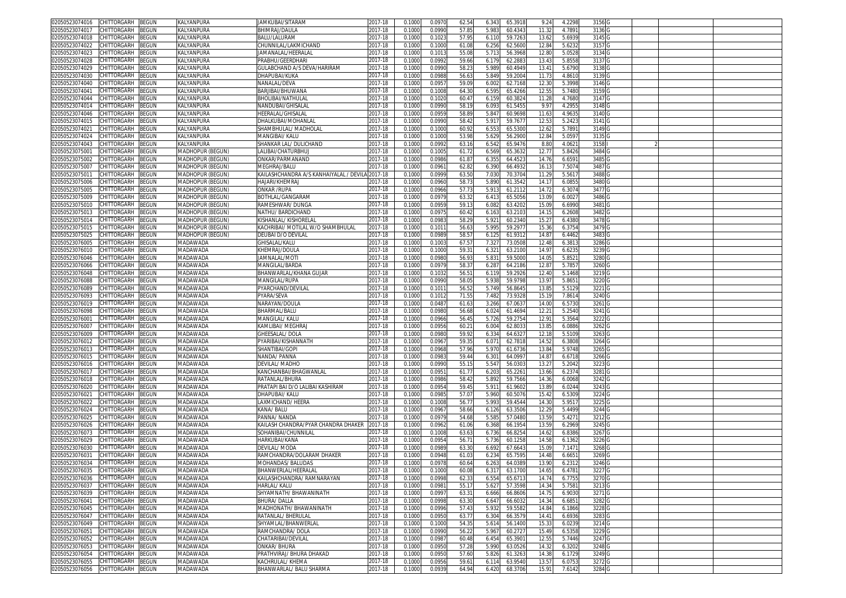| 02050523074016                   | CHITTORGARH                      | 3EGUN        | KALYANPURA             | IAMKUBAI/SITARAM                       | 2017-18     | 0.1000 | 0.097  | 62.54        | 65.3918<br>6.343  | 9.24              | 4.2298 | 3156   |  |  |
|----------------------------------|----------------------------------|--------------|------------------------|----------------------------------------|-------------|--------|--------|--------------|-------------------|-------------------|--------|--------|--|--|
| 02050523074017                   | CHITTORGARH                      | <b>BEGUN</b> | KALYANPURA             | <b>BHIMRAJ/DAULA</b>                   | 2017-18     | 0.100  | 0.099  | 57.8         | 5.983<br>60.434   | 11.32             | 4.789  | 3136   |  |  |
| )2050523074018                   | CHITTORGARH                      | ፧EGUN        | KALYANPURA             | 3ALU/LALURAM                           | 2017-18     | 0.1000 | 0.102  | 57.9         | 6.110<br>59.726   | 13.62             | 5.693  | 3145   |  |  |
| 02050523074022                   | :HITTORGARH                      | <b>EGUN</b>  | KALYANPURA             | CHUNNILAL/LAKMICHAND                   | 017-18      | 0.100  | 0.100  | 61.08        | 62.560<br>6.256   | 12.8              | 5.623  | 3157   |  |  |
| )2050523074023                   | <b>CHITTORGARH</b>               | <b>BEGUN</b> | KALYANPURA             | JAMANALAL/HEERALAI                     | 2017-18     | 0.100  | 0.101  | 55.08        | 5.713<br>56.3968  | 12.8              | 5.0528 | 3134   |  |  |
| 02050523074028                   | CHITTORGARH                      | <b>BEGUN</b> |                        | PRABHU/GEERDHARI                       | 2017-18     |        | 0.099  | 59.66        | 62.288<br>6.179   | 13.4              | 5.8558 |        |  |  |
|                                  |                                  |              | KALYANPURA             |                                        |             | 0.100  |        |              |                   |                   |        | 3137   |  |  |
| 02050523074029                   | CHITTORGARH                      | <b>BEGUN</b> | KALYANPURA             | GULABCHAND A/S DEVA/HARIRAM            | 2017-18     | 0.100  | 0.0990 | 58.2         | 5.989<br>60.4949  | 13.4              | 5.679  | 3138 G |  |  |
| 2050523074030                    | CHITTORGARH                      | <b>BEGUN</b> | KALYANPURA             | DHAPUBAI/KUKA                          | 2017-18     | 0.100  | 0.0988 | 56.6         | 59.2004<br>5.849  | 11.73             | 4.861  | 3139 G |  |  |
| 02050523074040                   | CHITTORGARH                      | <b>EGUN</b>  | KALYANPURA             | NANALAL/DEVA                           | 2017-18     | 0.100  | 0.095  | 59.09        | 6.002<br>62.7168  | 12.3              | 5.3998 | 3146 G |  |  |
| 2050523074041                    | CHITTORGARH                      | <b>BEGUN</b> | KALYANPURA             | BARJIBAI/BHUWANA                       | 017-18      | 0.100  | 0.100  | 64.30        | 6.595<br>65.4266  | 12.55             | 5.748  | 3159 G |  |  |
| 02050523074044                   | CHITTORGARH                      | ፡EGUN        | KALYANPURA             | BHOLIBAI/NATHULA                       | 2017-18     | 0.100  | 0.102  | 60.4         | 6.159<br>60.382   | 11.28             | 4.768  | 3147 G |  |  |
| 2050523074014                    | CHITTORGARH                      | <b>BEGUN</b> | KALYANPURA             | <b>NANDUBAI/GHISALAL</b>               | 2017-18     | 0.100  | 0.099  | 58.1         | 61.5455<br>6.093  | 9.9               | 4.295  | 3148   |  |  |
| 02050523074046                   | CHITTORGARH                      | <b>BEGUN</b> | KALYANPURA             | HEERALAL/GHISALAI                      | 2017-18     | 0.100  | 0.095  | 58.8         | 5.84<br>60.9698   | 11.63             | 4.963  | 3140   |  |  |
| 2050523074015                    | CHITTORGARH                      | <b>EGUN</b>  | KALYANPURA             | )HALKUBAI/MOHANLAI                     | 2017-18     | 0.100  | 0.099  | 58.4         | 5.91<br>59.767    | 12.5              | 5.242  | 3141   |  |  |
| 02050523074021                   | CHITTORGARH                      | <b>EGUN</b>  | KALYANPURA             | SHAMBHULAL/ MADHOLAL                   | 2017-18     | 0.100  | 0.100  | 60.9         | 6.55<br>65.530    | 12.6              | 5.789  | 3149 G |  |  |
| 2050523074024                    | CHITTORGARH                      | <b>BEGUN</b> | KALYANPURA             | VIANGIBAI/ KALU                        | 2017-18     | 0.100  | 0.100  | 53.98        | 5.629<br>56.290   | 12.84             | 5.059  | 3135   |  |  |
| 02050523074043                   | CHITTORGARH                      | <b>BEGUN</b> |                        | SHANKAR LAL/ DULICHAND                 | 2017-18     | 0.100  | 0.099  | 63.16        | 65.9476           | 8.80              | 4.062  | 3158   |  |  |
|                                  |                                  |              | KALYANPURA             |                                        |             |        |        |              | 6.542             |                   |        |        |  |  |
| 2050523075001                    | CHITTORGARH                      | <b>EGUN</b>  | MADHOPUR (BEGUN)       | ALIBAI/CHATURBHUJ                      | 2017-18     | 0.100  | 0.100  | 61.72        | 6.569<br>65.363   | 12.7              | 5.842  | 3484   |  |  |
| 02050523075002                   | CHITTORGARH                      | EGUN         | <b>MADHOPUR (BEGUN</b> | ONKAR/PARMANAND                        | $2017 - 18$ | 0.100  | 0.0986 | 61.8         | 64.452<br>6.355   | 14.7              | 6.659  | 3485   |  |  |
| 2050523075007                    | CHITTORGARH                      | EGUN         | <b>MADHOPUR (BEGUN</b> | <b>MEGHRAJ/BALU</b>                    | 2017-18     | 0.100  | 0.096  | 62.82        | 6.390<br>66.493   | 16.1              | 7.507  | 3487   |  |  |
| 0205052307501                    | CHITTORGARH                      | EGUN         | <b>MADHOPUR (BEGUN</b> | KAILASHCHANDRA A/S KANHAIYALAL / DEVIL | 2017-18     | 0.100  | 0.099  | 63.50        | 7.03<br>70.370    | 11.2              | 5.561  | 3488   |  |  |
| 02050523075006                   | CHITTORGARH                      | <b>EGUN</b>  | <b>MADHOPUR (BEGUN</b> | HAJARI/KHEMRAJ                         | 2017-18     | 0.100  | 0.096  | 58.7         | 5.890<br>61.354   | 14.1              | 6.085  | 3480   |  |  |
| 02050523075005                   | CHITTORGARH                      | <b>EGUN</b>  | MADHOPUR (BEGUN        | ONKAR /RUPA                            | 2017-18     | 0.100  | 0.0966 | 57.7         | 5.91<br>61.211    | 14.7              | 6.307  | 3477 G |  |  |
| 02050523075009                   | CHITTORGARH                      | <b>EGUN</b>  | MADHOPUR (BEGUN        | BOTHLAL/GANGARAM                       | 017-18      | 0.100  | 0.097  | 63.3         | 6.413<br>65.505   | 13.0              | 6.002  | 3486   |  |  |
| 02050523075010                   | CHITTORGARH                      | <b>BEGUN</b> | MADHOPUR (BEGUN        | RAMESHWAR/ DUNGA                       | 2017-18     | 0.100  | 0.095  | 59.1         | 63.420<br>6.082   | 15.0              | 6.699  | 3481   |  |  |
| 02050523075013                   | CHITTORGARH                      | <b>EGUN</b>  | MADHOPUR (BEGUN        | NATHU/ BARDICHAND                      | 2017-18     | 0.100  | 0.097  | 60.4         | 63.210<br>6.163   | 14.1              | 6.2608 | 3482   |  |  |
| 02050523075014                   | <b>HITTORGARH</b>                | <b>EGUN</b>  | MADHOPUR (BEGUN        | (ISHANLAL/ KISHORELAI                  | 2017-18     | 0.100  | 0.098  | 58.2         | 5.92<br>60.234    | 15.2              | 6.438  | 3478   |  |  |
| 02050523075015                   | CHITTORGARH                      | <b>BEGUN</b> | MADHOPUR (BEGUN)       | KACHRIBAI/ MOTILAL W/O SHAMBHULAL      | 2017-18     | 0.100  | 0.101  | 56.6         | 5.995<br>59.297   | 15.36             | 6.375  | 3479   |  |  |
| 2050523075025                    | CHITTORGARH                      | <b>BEGUN</b> | MADHOPUR (BEGUN)       | DEUBAI D/O DEVILAI                     | 2017-18     | 0.100  | 0.098  | 58.5         | 61.931<br>6.12    | 14.8              | 6.4462 | 3483   |  |  |
| )2050523076005                   | CHITTORGARH                      | <b>BEGUN</b> | MADAWADA               | GHISALAL/KALU                          | 2017-18     | 0.100  | 0.100  | 67.5         | 7.327<br>73.0508  | 12.48             | 6.381  | 3286 G |  |  |
|                                  |                                  |              |                        |                                        |             |        |        |              |                   |                   |        |        |  |  |
| 02050523076010                   | CHITTORGARH                      | <b>BEGUN</b> | <b>MADAWADA</b>        | KHEMRAJ/DOULA                          | 2017-18     | 0.100  | 0.100  | 59.3         | 63.210<br>6.321   | 14.9              | 6.623  | 3239   |  |  |
| 02050523076046                   | CHITTORGARH                      | <b>EGUN</b>  | <b>MADAWADA</b>        | JAMNALAL/MOTI                          | 2017-18     | 0.100  | 0.098  | 56.93        | 5.831<br>59.500   | 14.0              | 5.852  | 3280 G |  |  |
| 2050523076066                    | <b>CHITTORGARH</b>               | <b>BEGUN</b> | <b>MADAWADA</b>        | MANGILAL/BARDA                         | 2017-18     | 0.100  | 0.097  | 58.3         | 6.287<br>64.2186  | 12.8              | 5.785  | 3260 G |  |  |
| 02050523076048                   | CHITTORGARH                      | <b>EGUN</b>  | MADAWADA               | BHANWARLAL/KHANA GUJAR                 | 2017-18     | 0.1000 | 0.103  | 56.5         | 59.2926<br>6.119  | 12.40             | 5.1468 | 3219 G |  |  |
| )2050523076088                   | CHITTORGARH                      | <b>BEGUN</b> | <b>MADAWADA</b>        | MANGILAL/RUPA                          | 2017-18     | 0.100  | 0.099  | 58.0         | 59.9798<br>5.938  | 13.97             | 5.865  | 3220   |  |  |
| 02050523076089                   | CHITTORGARH                      | <b>EGUN</b>  | <b>MADAWADA</b>        | PYARCHAND/DEVILAI                      | 2017-18     | 0.100  | 0.101  | 56.5         | 5.749<br>56.864   | 13.8              | 5.512  | 3221   |  |  |
| 2050523076093                    | CHITTORGARH                      | <b>EGUN</b>  | <b>MADAWADA</b>        | YARA/SEVA                              | 2017-18     | 0.100  | 0.101  | 71.5         | 7.482<br>73.9328  | 15.1              | 7.861  | 3240   |  |  |
| 02050523076019                   | CHITTORGARH                      | <b>EGUN</b>  | <b>MADAWADA</b>        | NARAYAN/DOULA                          | 2017-18     | 0.100  | 0.048  | 61.63        | 3.266<br>67.063   | 14.0              | 6.573  | 3261 G |  |  |
| 2050523076098                    | CHITTORGARH                      | <b>BEGUN</b> | <b>MADAWADA</b>        | 3HARMAL/BALU                           | 2017-18     | 0.1000 | 0.098  | 56.68        | 6.024<br>61.4694  | 12.2              | 5.2540 | 3241   |  |  |
| 02050523076001                   | CHITTORGARH                      | <b>BEGUN</b> | <b>MADAWADA</b>        | MANGILAL/ KALU                         | 2017-18     | 0.100  | 0.096  | 56.4         | 5.726<br>59.275   | 12.9              | 5.356  | 3222   |  |  |
| 2050523076007                    | CHITTORGARH                      | <b>EGUN</b>  | <b>MADAWADA</b>        | (AMLIBAI/ MEGHRA.                      | 2017-18     | 0.100  | 0.095  | 60.2         | 6.004<br>62.803   | 13.8              | 6.088  | 3262   |  |  |
| 02050523076009                   | CHITTORGARH                      | <b>EGUN</b>  | <b>MADAWADA</b>        | GHEESALAL/DOLA                         | 2017-18     | 0.100  | 0.098  | 59.92        | 6.334<br>64.632   | 12.1              | 5.5109 | 3263   |  |  |
| 02050523076012                   | CHITTORGARH                      | EGUN         | MADAWADA               | PYARIBAI/KISHANNATH                    | 2017-18     | 0.100  | 0.096  | 59.3         | 6.071<br>62.781   | 14.52             | 6.380  | 3264   |  |  |
| 02050523076013                   | CHITTORGARH                      | <b>EGUN</b>  | MADAWADA               | SHANTIBAI/GOP                          | 2017-18     | 0.100  | 0.096  | 57.9         | 5.97<br>61.673    | 13.84             | 5.974  | 3265   |  |  |
| 2050523076015                    | CHITTORGARH                      | <b>EGUN</b>  | <b>MADAWADA</b>        | NANDA/ PANNA                           | 017-18      | 0.100  | 0.098  | 59.44        | 6.301<br>64.099   | 14.8              | 6.671  | 3266   |  |  |
| 02050523076016                   | CHITTORGARH                      | EGUN         | MADAWADA               | DEVILAL/ MADHC                         | 2017-18     | 0.100  | 0.099  | 55.1         | 5.547<br>56.030   | 13.2              | 5.204  | 3223   |  |  |
| 2050523076017                    | <b>CHITTORGARH</b>               | EGUN         |                        |                                        | 017-18      | 0.100  | 0.095  | 61.7         |                   | 13.66             |        |        |  |  |
|                                  |                                  |              | <b>MADAWADA</b>        | KANCHANBAI/BHAGWANLAL                  |             |        |        |              | 6.203<br>65.226   |                   | 6.237  | 3281   |  |  |
| 02050523076018                   | CHITTORGARH                      | EGUN         | MADAWADA               | RATANLAL/BHURA                         | 2017-18     | 0.100  | 0.098  | 58.4         | 5.892<br>59.756   | 14.3              | 6.0068 | 3242   |  |  |
| 02050523076020                   | <b>CHITTORGARH</b>               | <b>EGUN</b>  | <b>MADAWADA</b>        | PRATAPI BAI D/O LALIBAI KASHIRAM       | 2017-18     | 0.100  | 0.095  | 59.4         | 5.91<br>61.9602   | 13.8              | 6.024  | 3243   |  |  |
| 12050523076021                   | <b>HITTORGARH</b>                | <b>EGUN</b>  | MADAWADA               | <b>DHAPUBAI/ KALL</b>                  | 2017-18     | 0.100  | 0.098  | 57.0         | 5.960<br>60.507   | 15.4              | 6.5309 | 3224   |  |  |
| 02050523076022                   | CHITTORGARH                      | <b>BEGUN</b> | <b>MADAWADA</b>        | LAXMICHAND/HEERA                       | 2017-18     | 0.100  | 0.100  | 56.7         | 5.993<br>59.4544  | 14.3              | 5.951  | 3225   |  |  |
| 2050523076024                    | <b>HITTORGARH</b>                | <b>EGUN</b>  | MADAWADA               | KANA/ BALU                             | 017-18      | 0.100  | 0.096  | 58.66        | 63.350<br>6.126   | 12.2              | 5.449  | 3244   |  |  |
| )2050523076025                   | <b>CHITTORGARH</b>               | <b>EGUN</b>  | <b>MADAWADA</b>        | PANNA/ NANDA                           | 2017-18     | 0.100  | 0.097  | 54.68        | 5.585<br>57.0480  | 13.5 <sup>0</sup> | 5.427  | 3212   |  |  |
| 2050523076026                    | <b>CHITTORGARH</b>               | EGUN         | <b>MADAWADA</b>        | KAILASH CHANDRA/PYAR CHANDRA DHAKER    | 2017-18     | 0.100  | 0.0962 | 61.06        | 66.1954<br>6.368  | 13.5 <sup>0</sup> | 6.2969 | 3245 G |  |  |
| 02050523076073                   | CHITTORGARH                      | <b>BEGUN</b> | <b>MADAWADA</b>        | SOHANIBAI/CHUNNILAL                    | 2017-18     | 0.100  | 0.100  | 63.63        | 6.736<br>66.825   | 14.62             | 6.838  | 3267 G |  |  |
| 2050523076029                    | CHITTORGARH                      | <b>BEGUN</b> | <b>MADAWADA</b>        | HARKUBAI/KANA                          | 2017-18     | 0.1000 | 0.0954 | 56.7         | 5.736<br>60.1258  | 14.58             | 6.1362 | 3226 G |  |  |
| )2050523076030                   | CHITTORGARH                      | ፧EGUN        | MADAWADA               | DEVILAL/ MODA                          | 2017-18     | 0.100  | 0.098  | 63.30        | 6.692<br>67.6643  | 15.0              | 7.147  | 3268   |  |  |
| )2050523076031                   | CHITTORGARH                      | <b>BEGUN</b> | MADAWADA               | RAMCHANDRA/DOLARAM DHAKER              | 2017-18     | 0.100  | 0.094  | 61.0         | 65.7595<br>6.234  | 14.4              | 6.665  | 3269 G |  |  |
| 02050523076034                   | CHITTORGARH                      | <b>BEGUN</b> | <b>MADAWADA</b>        | MOHANDAS/ BALUDAS                      | 2017-18     | 0.100  | 0.097  | 60.6         | 6.263<br>64.038   | 13.9              | 6.231  | 3246 G |  |  |
| 02050523076035 CHITTORGARH BEGUN |                                  |              | MADAWADA               | BHANWERLAL/HEERALAL                    | 2017-18     | 0.1000 | U.IUUU | <b>bu.ut</b> | $0.311$ $03.1700$ | 14.05             | 0.4781 | 3221 G |  |  |
| 02050523076036                   | CHITTORGARH BEGUN                |              | MADAWADA               | KAILASHCHANDRA/ RAMNARAYAN             | 2017-18     | 0.1000 | 0.0998 | 62.33        | 6.554<br>65.6713  | 14.74             | 6.7755 | 3270 G |  |  |
| 02050523076037                   | CHITTORGARH                      | BEGUN        | MADAWADA               | HARLAL/ KALU                           | 2017-18     | 0.1000 | 0.0981 |              |                   | 14.34             | 5.7581 | 3213 G |  |  |
| 02050523076039                   |                                  |              |                        | SHYAMNATH/BHAWANINATH                  |             |        |        | 55.17        | 5.627<br>57.3598  |                   |        |        |  |  |
|                                  | CHITTORGARH                      | BEGUN        | MADAWADA               | BHURA/DALLA                            | 2017-18     | 0.1000 | 0.0997 | 63.3         | 6.666<br>66.8606  | 14.75             | 6.903  | 3271 G |  |  |
| 02050523076041                   | CHITTORGARH                      | BEGUN        | MADAWADA               |                                        | 2017-18     | 0.1000 | 0.0998 | 63.30        | 6.647<br>66.6032  | 14.34             | 6.685  | 3282 G |  |  |
| 02050523076045                   | CHITTORGARH                      | <b>BEGUN</b> | MADAWADA               | MADHONATH/ BHAWANINATH                 | 2017-18     | 0.1000 | 0.0996 | 57.43        | 5.932<br>59.5582  | 14.84             | 6.1866 | 3228 G |  |  |
| 02050523076047                   | CHITTORGARH                      | BEGUN        | MADAWADA               | RATANLAL/ BHERULAL                     | 2017-18     | 0.1000 | 0.0950 | 63.77        | 66.3579<br>6.304  | 14.41             | 6.6936 | 3283 G |  |  |
| 02050523076049                   | CHITTORGARH                      | BEGUN        | MADAWADA               | SHYAMLAL/BHANWERLAL                    | 2017-18     | 0.1000 | 0.1000 | 54.3         | 5.614<br>56.1400  | 15.33             | 6.0239 | 3214 G |  |  |
| 02050523076051                   | CHITTORGARH                      | 3EGUN        | MADAWADA               | RAMCHANDRA/ DOLA                       | 2017-18     | 0.1000 | 0.0990 | 56.22        | 5.967<br>60.2727  | 15.49             | 6.5358 | 3229 G |  |  |
| 02050523076052                   | CHITTORGARH                      | 3EGUN        | MADAWADA               | CHATARIBAI/DEVILAL                     | 2017-18     | 0.1000 | 0.098  | 60.48        | 6.454<br>65.390   | 12.55             | 5.7446 | 3247 G |  |  |
| 02050523076053                   | CHITTORGARH                      | BEGUN        | <b>MADAWADA</b>        | <b>ONKAR/ BHURA</b>                    | 2017-18     | 0.1000 | 0.0950 | 57.28        | 5.990<br>63.0526  | 14.32             | 6.320  | 3248 G |  |  |
| 02050523076054                   | CHITTORGARH                      | BEGUN        | MADAWADA               | PRATHVIRAJ/ BHURA DHAKAD               | 2017-18     | 0.1000 | 0.0950 | 57.60        | 5.826<br>61.326   | 14.3              | 6.1729 | 3249 G |  |  |
| 02050523076055                   | CHITTORGARH                      | <b>BEGUN</b> | MADAWADA               | KACHRULAL/ KHEMA                       | 2017-18     | 0.1000 | 0.0956 | 59.6         | 63.9540<br>6.114  | 13.57             | 6.075  | 3272 G |  |  |
|                                  | 02050523076056 CHITTORGARH BEGUN |              | MADAWADA               | BHANWARLAL/ BALU SHARMA                | 2017-18     | 0.1000 | 0.0939 | 64.94        | 68.3706<br>6.420  | 15.91             | 7.6142 | 3284 G |  |  |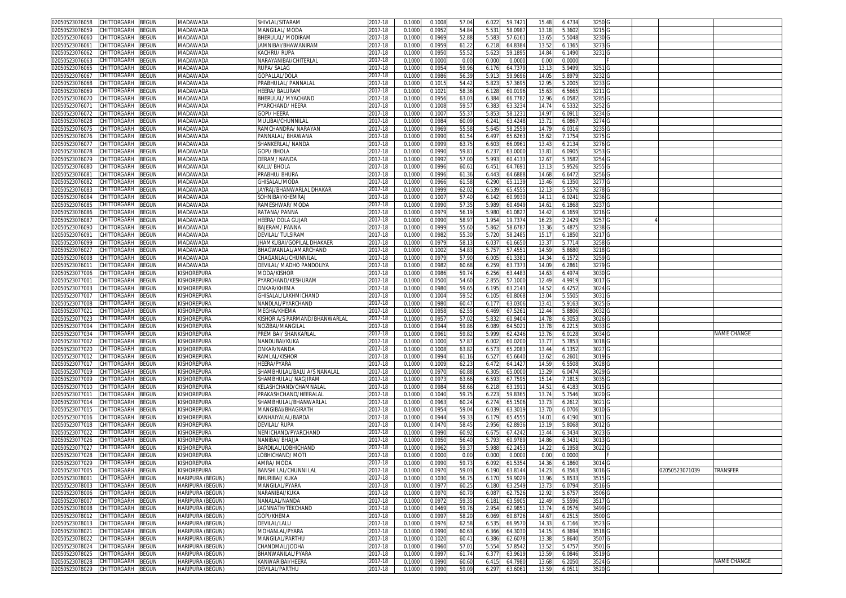| 02050523076058                   | CHITTORGARH                                     | BEGUN        | MADAWADA                             | SHIVLAL/SITARAM                    | 2017-18            | 0.1000           | 0.1008           | 57.04          | 59.7421<br>6.022                     | 15.48             | 6.473            | 3250 G           |  |                |                    |
|----------------------------------|-------------------------------------------------|--------------|--------------------------------------|------------------------------------|--------------------|------------------|------------------|----------------|--------------------------------------|-------------------|------------------|------------------|--|----------------|--------------------|
| 2050523076059                    | CHITTORGARH                                     | <b>BEGUN</b> | MADAWADA                             | MANGILAL/MODA                      | 017-18             | 0.100            | 0.0952           | 54.84          | 5.531<br>58.098                      | 13.18             | 5.360            | 3215 G           |  |                |                    |
| 02050523076060                   | CHITTORGARH                                     | 3EGUN        | <b>MADAWADA</b>                      | BHERULAL/ MODIRAN                  | 2017-18            | 0.1000           | 0.0969           | 52.88          | 5.583<br>57.616                      | 13.6              | 5.5048           | 3230 G           |  |                |                    |
|                                  |                                                 |              |                                      |                                    |                    |                  |                  |                |                                      |                   |                  |                  |  |                |                    |
| 2050523076061                    | CHITTORGARH                                     | <b>BEGUN</b> | <b>MADAWADA</b>                      | JAMNIBAI/BHAWANIRAM                | 2017-18            | 0.1000           | 0.0959           | 61.22          | 64.838<br>6.218                      | 13.52             | 6.136            | 3273 G           |  |                |                    |
| )2050523076062                   | CHITTORGARH                                     | <b>BEGUN</b> | <b>MADAWADA</b>                      | KACHRU/RUPA                        | 2017-18            | 0.100            | 0.095            | 55.52          | 5.623<br>59.1895                     | 14.84             | 6.149            | 3231 G           |  |                |                    |
| 2050523076063                    | CHITTORGARH                                     | <b>BEGUN</b> | MADAWADA                             | VARAYANIBAI/CHITERLAL              | 2017-18            | 0.100            | 0.000            | 0.00           | 0.000<br>0.000                       | 0.00              | 0.000            |                  |  |                |                    |
| )2050523076065                   | CHITTORGARH                                     | <b>EGUN</b>  | <b>MADAWADA</b>                      | RUPA/ SALAG                        | 2017-18            | 0.100            | 0.095            | 59.9           | 6.176<br>64.737                      | 13.1              | 5.949            | 3251 G           |  |                |                    |
| 2050523076067                    | CHITTORGARH                                     | <b>BEGUN</b> | <b>MADAWADA</b>                      | GOPALLAL/DOLA                      | 2017-18            | 0.100            | 0.0986           | 56.3           | 5.913<br>59.9696                     | 14.0              | 5.897            | 3232             |  |                |                    |
|                                  | CHITTORGARH                                     |              |                                      |                                    |                    |                  |                  | 54.42          |                                      |                   |                  |                  |  |                |                    |
| 02050523076068                   |                                                 | <b>BEGUN</b> | <b>MADAWADA</b>                      | PRABHULAL/ PANNALAL                | 2017-18            | 0.100            | 0.101            |                | 5.82<br>57.369                       | 12.9              | 5.200            | 3233             |  |                |                    |
| 2050523076069                    | CHITTORGARH                                     | <b>EGUN</b>  | <b>MADAWADA</b>                      | <b>HFFRA/ BAI URAM</b>             | 2017-18            | 0.100            | 0.102            | 58.36          | 6.128<br>60.0196                     | 15.63             | 6.566            | 3211             |  |                |                    |
| 02050523076070                   | CHITTORGARH                                     | <b>EGUN</b>  | <b>MADAWADA</b>                      | <b>BHERULAL/ MYACHAND</b>          | 2017-18            | 0.100            | 0.095            | 63.0           | 6.384<br>66.778                      | 12.96             | 6.058            | 3285             |  |                |                    |
| 02050523076071                   | CHITTORGARH                                     | <b>BEGUN</b> | MADAWADA                             | <sup>PYARCHAND/HEERA</sup>         | 2017-18            | 0.100            | 0.100            | 59.5           | 6.383<br>63.323                      | 14.74             | 6.533            | 3252             |  |                |                    |
| 02050523076072                   | CHITTORGARH                                     | ፡EGUN        | <b>MADAWADA</b>                      | <b>GOPI/ HEERA</b>                 | $2017 - 18$        | 0.100            | 0.100            | 55.3           | 5.85<br>58.123                       | 14.9              | 6.091            | 3234             |  |                |                    |
| 2050523076028                    | CHITTORGARH                                     | ፡EGUN        | <b>MADAWADA</b>                      | <i><b>MULIBAI/CHUNNILAI</b></i>    | 017-18             | 0.100            | 0.098            | 60.09          | 6.241<br>63.4248                     | 13.7              | 6.086            | 3274             |  |                |                    |
| 02050523076075                   | CHITTORGARH                                     | <b>EGUN</b>  | <b>MADAWADA</b>                      | RAMCHANDRA/ NARAYAN                | 2017-18            | 0.100            | 0.096            | 55.5           | 58.255<br>5.645                      | 14.7              | 6.031            | 3235 G           |  |                |                    |
|                                  | CHITTORGARH                                     |              | <b>MADAWADA</b>                      | PANNALAL/BHAWANA                   | 017-18             | 0.100            | 0.099            |                |                                      |                   | 7.1754           |                  |  |                |                    |
| 02050523076076                   |                                                 | <b>EGUN</b>  |                                      |                                    |                    |                  |                  | 61.54          | 6.497<br>65.626                      | 15.62             |                  | 3275 G           |  |                |                    |
| 02050523076077                   | CHITTORGARH                                     | <b>EGUN</b>  | <b>MADAWADA</b>                      | SHANKERLAL/NANDA                   | 2017-18            | 0.100            | 0.099            | 63.7           | 6.603<br>66.096                      | 13.4              | 6.213            | 3276 G           |  |                |                    |
| 02050523076078                   | CHITTORGARH                                     | <b>BEGUN</b> | <b>MADAWADA</b>                      | GOPI/BHOLA                         | 017-18             | 0.100            | 0.099            | 59.8           | 6.23<br>63.000                       | 13.8              | 6.090            | 3253             |  |                |                    |
| 02050523076079                   | <b>CHITTORGARH</b>                              | EGUN         | MADAWADA                             | DERAM/NANDA                        | 2017-18            | 0.100            | 0.099            | 57.00          | 5.993<br>60.413                      | 12.6              | 5.3582           | 3254             |  |                |                    |
| )2050523076080                   | CHITTORGARH                                     | <b>BEGUN</b> | <b>MADAWADA</b>                      | KALU/BHOLA                         | 2017-18            | 0.100            | 0.099            | 60.6           | 64.769<br>6.45'                      | 13.1              | 5.952            | 3255             |  |                |                    |
| 1205052307608                    | CHITTORGARH                                     | <b>BEGUN</b> | <b>MADAWADA</b>                      | PRABHU/BHURA                       | 2017-18            | 0.100            | 0.0996           | 61.36          | 64.6888<br>6.443                     | 14.68             | 6.647            | 3256             |  |                |                    |
| )2050523076082                   | <b>CHITTORGARH</b>                              | ፧EGUN        | <b>MADAWADA</b>                      | <b>GHISALAL/MODA</b>               | 2017-18            | 0.100            | 0.0966           | 61.58          | 6.290<br>65.113                      | 13.46             | 6.135            | 3277             |  |                |                    |
| 2050523076083                    | <b>HITTORGARH</b>                               | <b>EGUN</b>  | MADAWADA                             | IAYRAJ/BHANWARLAL DHAKAR           | 017-18             | 0.100            | 0.099            | 62.0           | 6.539<br>65.455                      | 12.1              | 5.557            | 3278             |  |                |                    |
| 02050523076084                   | CHITTORGARH                                     | <b>BEGUN</b> | <b>MADAWADA</b>                      | SOHNIBAI/KHEMRAJ                   | 2017-18            | 0.100            | 0.100            | 57.40          | 60.9930                              | 14.1              | 6.0241           | 3236 G           |  |                |                    |
|                                  |                                                 |              |                                      |                                    |                    |                  |                  |                | 6.142                                |                   |                  |                  |  |                |                    |
| 2050523076085                    | CHITTORGARH                                     | <b>BEGUN</b> | <b>MADAWADA</b>                      | RAMESHWAR/MODA                     | 2017-18            | 0.100            | 0.0990           | 57.35          | 5.989<br>60.4949                     | 14.6              | 6.1868           | 3237 G           |  |                |                    |
| )2050523076086                   | CHITTORGARH                                     | <b>BEGUN</b> | <b>MADAWADA</b>                      | RATANA/ PANNA                      | 2017-18            | 0.100            | 0.097            | 56.1           | 5.980<br>61.082                      | 14.42             | 6.165            | 3216 G           |  |                |                    |
| 2050523076087                    | CHITTORGARH                                     | <b>BEGUN</b> | <b>MADAWADA</b>                      | HEERA/ DOLA GUJAR                  | 2017-18            | 0.100            | 0.0990           | 58.9           | 1.954<br>19.7374                     | 16.2              | 2.242            | 3257             |  |                |                    |
| 02050523076090                   | CHITTORGARH                                     | <b>EGUN</b>  | <b>MADAWADA</b>                      | BAJERAM/ PANNA                     | 2017-18            | 0.100            | 0.0999           | 55.60          | 58.678<br>5.862                      | 13.36             | 5.487            | 3238 G           |  |                |                    |
| 2050523076091                    | CHITTORGARH                                     | <b>BEGUN</b> | <b>MADAWADA</b>                      | DEVILAL/ TULSIRAM                  | 2017-18            | 0.100            | 0.0982           | 55.30          | 58.2485<br>5.720                     | 15.1              | 6.185            | 3217 G           |  |                |                    |
| 02050523076099                   | CHITTORGARH                                     | <b>EGUN</b>  | MADAWADA                             | JHAMKUBAI/GOPILAL DHAKAER          | 2017-18            | 0.100            | 0.097            | 58.1           | 6.03<br>61.665                       | 13.3              | 5.771            | 3258             |  |                |                    |
| 2050523076027                    | CHITTORGARH                                     | <b>EGUN</b>  | <b>MADAWADA</b>                      | 3HAGWANLAL/AMARCHAND               | 2017-18            | 0.1000           | 0.100            | 54.8           | 57.455                               | 14.5              | 5.868            | 3218             |  |                |                    |
|                                  |                                                 |              |                                      |                                    |                    |                  |                  |                | 5.757                                |                   |                  |                  |  |                |                    |
| 02050523076008                   | CHITTORGARH                                     | <b>BEGUN</b> | <b>MADAWADA</b>                      | CHAGANLAL/CHUNNILAI                | 2017-18            | 0.100            | 0.097            | 57.90          | 6.005<br>61.338                      | 14.34             | 6.157            | 3259             |  |                |                    |
| 2050523076011                    | CHITTORGARH                                     | <b>EGUN</b>  | MADAWADA                             | DEVILAL/ MADHO PANDOLIYA           | 2017-18            | 0.100            | 0.098            | 60.68          | 6.259<br>63.737                      | 14.0              | 6.286            | 3279             |  |                |                    |
| 02050523077006                   | CHITTORGARH                                     | <b>EGUN</b>  | <b>KISHOREPURA</b>                   | <b>MODA/KISHOR</b>                 | 2017-18            | 0.100            | 0.0986           | 59.7           | 6.256<br>63.448                      | 14.6              | 6.497            | 3030             |  |                |                    |
| 2050523077001                    | CHITTORGARH                                     | <b>BEGUN</b> | <b>KISHOREPURA</b>                   | <sup>PYARCHAND/KESHURAM</sup>      | 2017-18            | 0.1000           | 0.050            | 54.60          | 2.855<br>57.1000                     | 12.49             | 4.991            | 3017             |  |                |                    |
| 02050523077003                   | CHITTORGARH                                     | <b>BEGUN</b> | <b>KISHOREPURA</b>                   | ONKAR/KHFMA                        | 2017-18            | 0.100            | 0.098            | 59.6           | 6.195<br>63.214                      | 14.52             | 6.4252           | 3024             |  |                |                    |
|                                  |                                                 |              |                                      |                                    |                    |                  |                  |                |                                      |                   |                  |                  |  |                |                    |
|                                  |                                                 |              |                                      |                                    |                    |                  |                  |                |                                      |                   |                  |                  |  |                |                    |
| 2050523077007                    | CHITTORGARH                                     | <b>BEGUN</b> | KISHOREPURA                          | GHISALAL/LAKHMICHAND               | 2017-18            | 0.100            | 0.100            | 59.5           | 6.105<br>60.8068                     | 13.04             | 5.550            | 3031             |  |                |                    |
| 02050523077008                   | CHITTORGARH                                     | EGUN         | <b>KISHOREPURA</b>                   | NANDLAL/PYARCHAND                  | 2017-18            | 0.100            | 0.098            | 60.4           | 6.177<br>63.030                      | 13.4              | 5.916            | 3025             |  |                |                    |
| 2050523077021                    | <b>CHITTORGARH</b>                              | EGUN         | KISHOREPURA                          | <b>MEGHA/KHEMA</b>                 | 017-18             | 0.100            | 0.095            | 62.5           | 6.469<br>67.526                      | 12.44             | 5.880            | 3032             |  |                |                    |
| 02050523077023                   | CHITTORGARH                                     | <b>EGUN</b>  | <b>KISHOREPURA</b>                   | (ISHOR A/S PARMAND/BHANWARLAL      | 2017-18            | 0.100            | 0.095            | 57.0           | 5.83<br>60.940                       | 14.7              | 6.305            | 3026             |  |                |                    |
| 2050523077004                    | CHITTORGARH                                     | <b>EGUN</b>  | KISHOREPURA                          | <b>VOZIBAI/MANGILAL</b>            | 017-18             | 0.100            | 0.094            | 59.86          | 6.089<br>64.502                      | 13.7              | 6.221            | 3033             |  |                |                    |
| 02050523077034                   | CHITTORGARH                                     | <b>EGUN</b>  | Kishorepura                          | PREM BAI/ SHANKARLA                | 2017-18            | 0.100            | 0.096            | 59.8           | 5.999<br>62.424                      | 13.7              | 6.012            | 3034             |  |                | <b>JAME CHANGE</b> |
|                                  |                                                 |              |                                      |                                    |                    |                  |                  |                |                                      |                   |                  |                  |  |                |                    |
| 02050523077002                   | CHITTORGARH                                     | <b>BEGUN</b> | KISHOREPURA                          | NANDUBAI/KUKA                      | 2017-18            | 0.100            | 0.100            | 57.87          | 6.002<br>60.0200                     | 13.7              | 5.785            | 3018             |  |                |                    |
| 2050523077020                    | <b>CHITTORGARH</b>                              | <b>EGUN</b>  | KISHOREPURA                          | ONKAR/NANDA                        | 017-18             | 0.100            | 0.100            | 63.82          | 6.57<br>65.208                       | 13.4              | 6.135            | 3027             |  |                |                    |
| )2050523077012                   | CHITTORGARH                                     | <b>EGUN</b>  | Kishorepura                          | RAMLAL/KISHOF                      | 2017-18            | 0.100            | 0.099            | 61.1           | 6.52<br>65.6640                      | 13.62             | 6.260            | 3019             |  |                |                    |
| 2050523077017                    | <b>CHITTORGARH</b>                              | <b>EGUN</b>  | Kishorepura                          | HEERA/PYARA                        | 017-18             | 0.100            | 0.100            | 62.2           | 64.142<br>6.472                      | 14.5 <sup>0</sup> | 6.5508           | 3028             |  |                |                    |
| 02050523077019                   | CHITTORGARH                                     | <b>BEGUN</b> | <b>KISHOREPURA</b>                   | SHAMBHULAL/BALU A/S NANALAL        | 2017-18            | 0.100            | 0.097            | 60.88          | 6.305<br>65.0000                     | 13.2 <sup>0</sup> | 6.047            | 3029             |  |                |                    |
| 2050523077009                    | CHITTORGARH                                     | <b>BEGUN</b> | KISHOREPURA                          | SHAMBHULAL/ NAGJIRAM               | 2017-18            | 0.100            | 0.097            | 63.66          | 6.593<br>67.7595                     | 15.1              | 7.181            | 3035             |  |                |                    |
| )2050523077010                   | CHITTORGARH                                     | <b>BEGUN</b> | KISHOREPURA                          | KELASHCHAND/CHAMNALA               | 2017-18            | 0.100            | 0.098            | 58.66          | 6.218<br>63.191                      | $14.5^{\circ}$    | 6.418            | 3015 G           |  |                |                    |
| 2050523077011                    | CHITTORGARH                                     | <b>EGUN</b>  | Kishorepura                          | PRAKASHCHAND/HEERALAL              | 2017-18            | 0.100            | 0.104            | 59.7           | 59.836<br>6.223                      | 13.74             | 5.7546           | 3020             |  |                |                    |
| )2050523077014                   | CHITTORGARH                                     | <b>BEGUN</b> | <b>KISHOREPURA</b>                   |                                    | 2017-18            | 0.100            | 0.096            | 60.2           | 65.1506<br>6.274                     | 13.7              | 6.261            | 3021 G           |  |                |                    |
|                                  |                                                 |              |                                      | SHAMBHULAL/BHANWARLAI              |                    |                  | 0.0954           |                |                                      |                   |                  |                  |  |                |                    |
| 2050523077015                    | CHITTORGARH                                     | <b>BEGUN</b> | <b>KISHOREPURA</b>                   | MANGIBAI/BHAGIRATH                 | 2017-18            | 0.100            |                  | 59.04          | 6.039<br>63.3019                     | 13.70             | 6.0706           | 3010 G           |  |                |                    |
| )2050523077016                   | CHITTORGARH                                     | }EGUN        | <b>KISHOREPURA</b>                   | KANHAIYALAL/BARDA                  | 2017-18            | 0.100            | 0.094            | 59.3           | 6.179<br>65.4555                     | 14.0              | 6.419            | 3011 G           |  |                |                    |
| 2050523077018                    | CHITTORGARH                                     | <b>BEGUN</b> | <b>KISHOREPURA</b>                   | <b>DEVILAL/RUPA</b>                | 2017-18            | 0.100            | 0.047            | 58.4           | 2.956<br>62.8936                     | 13.1              | 5.8068           | 3012             |  |                |                    |
| )2050523077022                   | CHITTORGARH                                     | <b>BEGUN</b> | <b>KISHOREPURA</b>                   | NEMICHAND/PYARCHAND                | 2017-18            | 0.100            | 0.099            | 60.9           | 6.675<br>67.424                      | 13.44             | 6.343            | 3023             |  |                |                    |
| 2050523077026                    | CHITTORGARH                                     | <b>EGUN</b>  | <b>KISHOREPURA</b>                   | <b>VANIBAI/ BHAIJA</b>             | 2017-18            | 0.100            | 0.095            | 56.40          | 5.793<br>60.978                      | 14.86             | 6.343            | 3013             |  |                |                    |
| 02050523077027                   | CHITTORGARH                                     | <b>EGUN</b>  | <b>KISHOREPURA</b>                   | 3ARDILAL/LOBHICHAND                | 2017-18            | 0.100            | 0.096            | 59.3           | 5.98<br>62.245                       | 14.2              | 6.1958           | 3022             |  |                |                    |
| 02050523077028                   | CHITTORGARH                                     | <b>BEGUN</b> | KISHOREPURA                          | OBHICHAND/ MOTI                    | 2017-18            | 0.100            | 0.000            | 0.00           | 0.000<br>0.0000                      | 0.00              | 0.0000           |                  |  |                |                    |
| 02050523077029                   | CHITTORGARH                                     | <b>BEGUN</b> | KISHOREPURA                          | AMRA/ MODA                         | 2017-18            | 0.100            | 0.099            | 59.7           | 6.092<br>61.535                      | 14.36             | 6.186            | 3014 G           |  |                |                    |
|                                  |                                                 |              |                                      |                                    |                    |                  |                  |                |                                      |                   |                  |                  |  |                |                    |
| 02050523077005 CHILIORGARH BEGUN |                                                 |              | KISHOREPURA                          | BANSHI LAL/CHUNNI LAL              | 2017-18            | 0.1000           | 0.097            | 59.03          | 6.190<br>63.8144                     | 14.23             | 6.356            | 301616           |  | 02050523071039 | <b>IKANSFEK</b>    |
| 02050523078001                   | CHITTORGARH                                     | <b>BEGUN</b> | HARIPURA (BEGUN)                     | BHURIBAI/ KUKA                     | 2017-18            | 0.1000           | 0.103            | 56.7           | 6.170<br>59.902                      | 13.96             | 5.853            | 3515 G           |  |                |                    |
| 02050523078003                   | CHITTORGARH                                     | BEGUN        | HARIPURA (BEGUN)                     | MANGILAL/PYARA                     | 2017-18            | 0.1000           | 0.0977           | 60.2           | 6.180<br>63.2549                     | 13.73             | 6.0794           | 3516 G           |  |                |                    |
| 02050523078006                   | CHITTORGARH                                     | 3EGUN        | HARIPURA (BEGUN)                     | NARANIBAI/KUKA                     | 2017-18            | 0.1000           | 0.097            | 60.70          | 6.087<br>62.7526                     | 12.92             | 5.675            | 3506 G           |  |                |                    |
| 02050523078007                   | CHITTORGARH                                     | 3EGUN        | HARIPURA (BEGUN)                     | NANALAL/NANDA                      | 2017-18            | 0.1000           | 0.097            | 59.3           | 6.181<br>63.5905                     | 12.49             | 5.5596           | 3517 G           |  |                |                    |
| 02050523078008                   | CHITTORGARH                                     | <b>EGUN</b>  | HARIPURA (BEGUN)                     | JAGNNATH/TEKCHAND                  | 2017-18            | 0.100            | 0.0469           | 59.76          | 2.954<br>62.985                      | 13.74             | 6.057            | 3499 G           |  |                |                    |
| 02050523078012                   | CHITTORGARH                                     | <b>BEGUN</b> | HARIPURA (BEGUN)                     | GOPI/KHEMA                         | 2017-18            | 0.1000           | 0.0997           | 58.20          | 6.069<br>60.8726                     | 14.67             | 6.2515           | 3500 G           |  |                |                    |
| 02050523078013                   | CHITTORGARH                                     | <b>BEGUN</b> | HARIPURA (BEGUN)                     | DEVILAL/LALU                       | 2017-18            | 0.1000           | 0.0976           | 62.58          | 6.53<br>66.9570                      | 14.33             | 6.7166           | 3523             |  |                |                    |
|                                  |                                                 |              |                                      |                                    |                    |                  |                  |                |                                      |                   |                  |                  |  |                |                    |
| 02050523078021                   | CHITTORGARH                                     | BEGUN        | <b>HARIPURA (BEGUN)</b>              | MOHANLAL/PYARA                     | 2017-18            | 0.1000           | 0.0990           | 60.63          | 6.366<br>64.3030                     | 14.15             | 6.3694           | 3518 G           |  |                |                    |
| 02050523078022                   | CHITTORGARH                                     | BEGUN        | <b>HARIPURA (BEGUN)</b>              | MANGILAL/PARTHU                    | 2017-18            | 0.1000           | 0.1020           | 60.4           | 6.386<br>62.6078                     | 13.38             | 5.8640           | 3507             |  |                |                    |
| 02050523078024                   | CHITTORGARH                                     | BEGUN        | HARIPURA (BEGUN)                     | CHANDMAL/JODHA                     | 2017-18            | 0.1000           | 0.0960           | 57.0           | 5.554<br>57.8542                     | 13.52             | 5.475            | 3501 G           |  |                |                    |
| 02050523078025                   | CHITTORGARH                                     | BEGUN        | HARIPURA (BEGUN)                     | BHANWANILAL/PYARA                  | 2017-18            | 0.1000           | 0.0997           | 61.74          | 6.37<br>63.9619                      | 13.5 <sup>0</sup> | 6.0846           | 3519 G           |  |                |                    |
| 02050523078028                   | CHITTORGARH<br>02050523078029 CHITTORGARH BEGUN | <b>BEGUN</b> | HARIPURA (BEGUN)<br>HARIPURA (BEGUN) | KANWARIBAI/HEERA<br>DEVILAL/PARTHU | 2017-18<br>2017-18 | 0.1000<br>0.1000 | 0.0990<br>0.0990 | 60.60<br>59.09 | 6.415<br>64.7980<br>6.297<br>63.6061 | 13.68<br>13.59    | 6.2050<br>6.0511 | 3524 G<br>3520 G |  |                | NAME CHANGE        |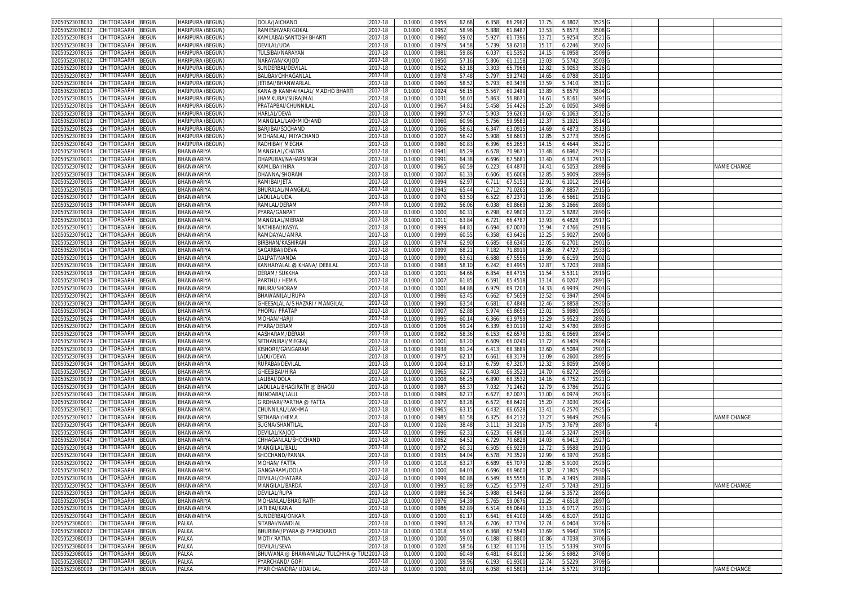| 02050523078030                   | CHITTORGARH        | <b>BEGUN</b> | HARIPURA (BEGUN)                | DOLA/JAICHAND                        | 2017-18            | 0.1000 | 0.0959 | 62.68 | 6.358 | 66.2982 | 13.75             | 6.3807 | 3525              |  |             |
|----------------------------------|--------------------|--------------|---------------------------------|--------------------------------------|--------------------|--------|--------|-------|-------|---------|-------------------|--------|-------------------|--|-------------|
| 02050523078032                   | CHITTORGARH        | BEGUN        | HARIPURA (BEGUN)                | RAMESHWAR/GOKAL                      | 2017-18            | 0.1000 | 0.0952 | 58.96 | 5.888 | 61.8487 | 13.53             | 5.857  | 3508              |  |             |
| 02050523078034                   | CHITTORGARH        | <b>BEGUN</b> | <b>HARIPURA (BEGUN)</b>         | KAMLABAI/SANTOSH BHARTI              | 2017-18            | 0.1000 | 0.0960 | 59.02 | 5.927 | 61.7396 | 13.71             | 5.925  | 3521              |  |             |
| 2050523078033                    | CHITTORGARH        | <b>BEGUN</b> | HARIPURA (BEGUN)                | )evilal/uda                          | 2017-18            | 0.1000 | 0.097  | 54.58 | 5.739 | 58.6210 | 15.1              | 6.2246 | 3502              |  |             |
| 02050523078036                   | CHITTORGARH        | <b>BEGUN</b> |                                 | TULSIBAI/NARAYAN                     | 2017-18            | 0.1000 | 0.098  | 59.86 | 6.037 | 61.5392 | 14.15             | 6.0958 | 3509              |  |             |
|                                  |                    |              | HARIPURA (BEGUN)                |                                      |                    |        |        | 57.16 | 5.806 |         |                   | 5.5742 | 3503              |  |             |
| 2050523078002                    | CHITTORGARH        | <b>BEGUN</b> | HARIPURA (BEGUN)                | NARAYAN/KAJOD                        | 2017-18            | 0.1000 | 0.095  |       |       | 61.1158 | 13.03             |        |                   |  |             |
| 02050523078009                   | CHITTORGARI        | BEGUN        | HARIPURA (BEGUN)                | SUNDERBAI/DEVILAI                    | 2017-18            | 0.100  | 0.050  | 63.1  | 3.303 | 65.7968 | 12.8              | 5.905  | 3526              |  |             |
| 2050523078037                    | CHITTORGARH        | BEGUN        | HARIPURA (BEGUN)                | BALIBAI/CHHAGANLAL                   | 2017-18            | 0.1000 | 0.097  | 57.48 | 5.797 | 59.2740 | 14.65             | 6.0788 | 3510              |  |             |
| 02050523078004                   | CHITTORGARH        | BEGUN        | HARIPURA (BEGUN)                | JETIBAI/BHANWARLAI                   | 2017-18            | 0.100  | 0.0960 | 58.5  | 5.793 | 60.343  | 13.59             | 5.741  | 3511              |  |             |
| 2050523078010                    | CHITTORGARH        | BEGUN        | HARIPURA (BEGUN)                | KANA @ KANHAIYALAL/ MADHO BHARTI     | 2017-18            | 0.100  | 0.092  | 56.1  | 5.56  | 60.248  | 13.89             | 5.8579 | 3504              |  |             |
| 02050523078015                   | CHITTORGARH        | BEGUN        | <b>HARIPURA (BEGUN)</b>         | IHAMKUBAI/SURAJMAL                   | 2017-18            | 0.100  | 0.103  | 56.0  | 5.86  | 56.867  | 14.61             | 5.816  | 3497              |  |             |
| 02050523078016                   | CHITTORGARH        | BEGUN        | HARIPURA (BEGUN)                | PRATAPBAI/CHUNNILAL                  | 2017-18            | 0.1000 | 0.096  | 54.81 | 5.458 | 56.442  | 15.20             | 6.0050 | 3498              |  |             |
| 02050523078018                   | CHITTORGARH        | <b>BEGUN</b> | HARIPURA (BEGUN)                | <b>HARLAL/DEVA</b>                   | 2017-18            | 0.100  | 0.099  | 57.4  | 5.90  | 59.626  | 14.6              | 6.106  | 3512              |  |             |
| 2050523078019                    | CHITTORGARH        | BEGUN        | HARIPURA (BEGUN)                | MANGILAL/LAKHMICHAND                 | 2017-18            | 0.100  | 0.0960 | 60.96 | 5.756 | 59.958  | 12.3              | 5.192  | 3514              |  |             |
| 02050523078026                   | CHITTORGARH        | BEGUN        | HARIPURA (BEGUN)                | BARJIBAI/SOCHAND                     | 2017-18            | 0.100  | 0.100  | 58.6  | 6.34  | 63.091  | 14.6              | 6.487  | 3513              |  |             |
| 02050523078039                   | CHITTORGARH        | BEGUN        | HARIPURA (BEGUN)                | MOHANLAL/ MIYACHAND                  | 2017-18            | 0.1000 | 0.100  | 56.42 | 5.908 | 58.669  | 12.8              | 5.277  | 3505              |  |             |
| 02050523078040                   | CHITTORGARH        | BEGUN        | HARIPURA (BEGUN)                | RADHIBAI/ MEGHA                      | 2017-18            | 0.100  | 0.098  | 60.8  | 6.396 | 65.265  | 14.1              | 6.464  | 3522              |  |             |
|                                  |                    |              |                                 |                                      |                    |        |        |       |       |         |                   |        |                   |  |             |
| 02050523079004                   | CHITTORGARH        | BEGUN        | <b>BHANWARIYA</b>               | MANGILAL/CHATRA                      | 2017-18            | 0.100  | 0.094  | 65.2  | 6.678 | 70.967  | 13.4              | 6.696  | 2932              |  |             |
| 02050523079001                   | CHITTORGARH        | <b>BEGUN</b> | <b>BHANWARIYA</b>               | DHAPUBAI/NAHARSINGH                  | 2017-18            | 0.100  | 0.099  | 64.3  | 6.696 | 67.568  | 13.4              | 6.337  | 2913              |  |             |
| 02050523079002                   | CHITTORGARH        | BEGUN        | BHANWARIYA                      | <b><i>CAMLIBAI/HIRA</i></b>          | 2017-18            | 0.100  | 0.096  | 60.5  | 6.22  | 64.487  | 14.4              | 6.505  | 2898              |  | NAME CHANGE |
| 2050523079003                    | CHITTORGARH        | BEGUN        | BHANWARIYA                      | HANNA/SHORAM                         | 2017-18            | 0.100  | 0.100  | 61.3  | 6.606 | 65.600  | 12.8              | 5.900  | 2899              |  |             |
| 02050523079005                   | CHITTORGARH        | BEGUN        | BHANWARIYA                      | RAMIBAI/JETA                         | 2017-18            | 0.100  | 0.0994 | 62.9  | 6.71' | 67.515  | 12.91             | 6.1012 | 2914              |  |             |
| 02050523079006                   | <b>HITTORGARH</b>  | BEGUN        | <b>BHANWARIYA</b>               | BHURALAL/MANGILAL                    | 2017-18            | 0.1000 | 0.094  | 65.4  | 6.712 | 71.026  | 15.8              | 7.885  | 2915              |  |             |
| 02050523079007                   | CHITTORGARH        | BEGUN        | BHANWARIYA                      | LADULAL/UDA                          | 2017-18            | 0.1000 | 0.097  | 63.50 | 6.522 | 67.237  | 13.9              | 6.566  | 2916              |  |             |
| 02050523079008                   | CHITTORGARH        | BEGUN        | BHANWARIYA                      | RAMLAL/DERAN                         | 2017-18            | 0.1000 | 0.099  | 56.06 | 6.038 | 60.8669 | 12.36             | 5.2666 | 2889              |  |             |
| 02050523079009                   | CHITTORGARH        | BEGUN        | <b>BHANWARIYA</b>               | PYARA/GANPAT                         | 2017-18            | 0.1000 | 0.1000 | 60.3  | 6.298 | 62.9800 | 13.22             | 5.828  | 2890              |  |             |
| 2050523079010                    | CHITTORGARH        | BEGUN        | BHANWARIYA                      | <b>MANGILAL/MERAM</b>                | 2017-18            | 0.1000 | 0.101  | 63.84 | 6.721 | 66.478  | 13.93             | 6.4828 | 2917              |  |             |
| )205052307901 <sup>.</sup>       | CHITTORGARH        | <b>BEGUN</b> | BHANWARIYA                      | NATHIBAI/KASYA                       | 2017-18            | 0.1000 | 0.0999 | 64.8  | 6.694 | 67.007  | 15.94             | 7.4766 | 2918              |  |             |
| 2050523079012                    | CHITTORGARH        | BEGUN        | BHANWARIYA                      | RAMDAYAL/AMRA                        | 2017-18            | 0.1000 | 0.0999 | 60.55 | 6.358 | 63.643  | 13.2              | 5.9027 | 2900              |  |             |
| 02050523079013                   | CHITTORGARH        | <b>BEGUN</b> | <b>BHANWARIYA</b>               | BIRBHAN/KASHIRAN                     | 2017-18            | 0.100  | 0.097  | 62.90 | 6.68  | 68.634  | 13.05             | 6.270  | 2901              |  |             |
| 2050523079014                    | CHITTORGARH        | <b>BEGUN</b> | BHANWARIYA                      | SAGARBAI/DEVA                        | 2017-18            | 0.1000 | 0.0999 | 68.2  | 7.182 | 71.891  | 14.8              | 7.4727 | 2933              |  |             |
| 02050523079015                   | CHITTORGARH        | <b>BEGUN</b> | BHANWARIYA                      | DALPAT/NANDA                         | 2017-18            | 0.100  | 0.099  | 63.6  | 6.688 | 67.555  | 13.99             | 6.615  | 2902              |  |             |
| 2050523079016                    | CHITTORGARH        | BEGUN        | BHANWARIYA                      | KANHAIYALAL @ KHANA/ DEBILAL         | 2017-18            | 0.100  | 0.098  | 58.1  | 6.242 | 63.499  | 12.8              | 5.7203 | 2888              |  |             |
| 02050523079018                   | CHITTORGARH        | BEGUN        | <b>BHANWARIYA</b>               | DERAM/ SUKKHA                        | 2017-18            | 0.100  | 0.100  | 64.66 | 6.854 | 68.471  | 11.54             | 5.531  | 2919              |  |             |
| 2050523079019                    | CHITTORGARH        | <b>BEGUN</b> | BHANWARIYA                      | PARTHU / HFMA                        | 2017-18            | 0.1000 | 0.1007 | 61.8  | 6.591 | 65.451  | 13.14             | 6.0207 | 2891              |  |             |
| 02050523079020                   | CHITTORGARH        | <b>BEGUN</b> | BHANWARIYA                      | BHURA/SHORAM                         | 2017-18            | 0.100  | 0.100  | 64.8  | 6.979 | 69.720  | 14.3              | 6.993  | 2903              |  |             |
| 2050523079021                    | CHITTORGARH        |              |                                 | BHAWANILAL/RUPA                      | 2017-18            |        |        |       |       |         |                   |        |                   |  |             |
|                                  |                    | BEGUN        | BHANWARIYA<br><b>BHANWARIYA</b> |                                      |                    | 0.100  | 0.0986 | 63.4  | 6.662 | 67.565  | 13.52             | 6.3947 | 2904              |  |             |
| 02050523079023                   | <b>CHITTORGARI</b> | BEGUN        |                                 | GHEESALAL A/S HAZARI / MANGILAI      | 2017-18            | 0.100  | 0.099  | 63.5  | 6.68  | 67.4848 | 12.46             | 5.8858 | 2920              |  |             |
| 02050523079024                   | CHITTORGARH        | BEGUN        | BHANWARIYA                      | PHORU/ PRATAP                        | 2017-18            | 0.100  | 0.090  | 62.88 | 5.974 | 65.865  | 13.01             | 5.9980 | 2905              |  |             |
| 02050523079026                   | CHITTORGARH        | BEGUN        | <b>BHANWARIYA</b>               | MOHAN/HARJI                          | 2017-18            | 0.100  | 0.099  | 60.1  | 6.366 | 63.979  | 13.2 <sup>0</sup> | 5.952  | 2892              |  |             |
| 205052307902                     | CHITTORGARH        | BEGUN        | <b>BHANWARIYA</b>               | PYARA/DERAM                          | 2017-18            | 0.100  | 0.100  | 59.2  | 6.339 | 63.011  | 12.4              | 5.478  | 2893              |  |             |
| 02050523079028                   | CHITTORGARH        | 3EGUN        | <b>BHANWARIYA</b>               | AASHARAM/DERAM                       | 2017-18            | 0.100  | 0.098  | 58.3  | 6.15  | 62.657  | 13.8              | 6.056  | 2894              |  |             |
| 02050523079029                   | CHITTORGARH        | BEGUN        | <b>BHANWARIYA</b>               | SETHANIBAI/MEGRA.                    | 2017-18            | 0.100  | 0.100  | 63.2  | 6.609 | 66.024  | 13.7              | 6.3409 | 2906              |  |             |
| 2050523079030                    | <b>HITTORGARH</b>  | BEGUN        | BHANWARIYA                      | KISHORE/GANGARAM                     | 2017-18            | 0.100  | 0.093  | 61.2  | 6.41  | 68.368  | 13.6              | 6.508  | 2907              |  |             |
| )2050523079033                   | CHITTORGARH        | <b>BEGUN</b> | BHANWARIYA                      | .ADU/DEVA                            | 2017-18            | 0.1000 | 0.097  | 62.1  | 6.66  | 68.317  | 13.09             | 6.2600 | 2895              |  |             |
| 02050523079034                   | <b>HITTORGARH</b>  | <b>BEGUN</b> | <b>BHANWARIYA</b>               | rupabai/devilal                      | 2017-18            | 0.1000 | 0.100  | 63.1  | 6.759 | 67.320  | 12.3              | 5.805  | 2908              |  |             |
| )2050523079037                   | CHITTORGARH        | BEGUN        | BHANWARIYA                      | GHEESIBAI/HIRA                       | 2017-18            | 0.100  | 0.096  | 62.7  | 6.403 | 66.352  | 14.7              | 6.8272 | 2909              |  |             |
| 2050523079038                    | CHITTORGARH        | <b>BEGUN</b> | BHANWARIYA                      | ALIBAI/DOLA                          | 2017-18            | 0.1000 | 0.100  | 66.2  | 6.89  | 68.3532 | 14.16             | 6.7752 | 2921              |  |             |
| 02050523079039                   | CHITTORGARH        | <b>BEGUN</b> | <b>BHANWARIYA</b>               | LADULAL/BHAGIRATH @ BHAGL            | 2017-18            | 0.1000 | 0.098  | 65.37 | 7.032 | 71.2462 | 12.7 <sup>0</sup> | 6.3786 | 2922              |  |             |
| 2050523079040                    | CHITTORGARH        | <b>BEGUN</b> | BHANWARIYA                      | BUNDABAI/LALU                        | 2017-18            | 0.1000 | 0.098  | 62.7  | 6.627 | 67.007  | 13.00             | 6.097  | 2923              |  |             |
| )2050523079042                   | CHITTORGARH        | <b>BEGUN</b> | <b>BHANWARIYA</b>               | GIRDHARI/PARTHA @ FATTA              | 2017-18            | 0.1000 | 0.097  | 63.28 | 6.672 | 68.642  | 15.20             | 7.3030 | 2924              |  |             |
| 2050523079031                    | CHITTORGARH        | BEGUN        | <b>BHANWARIYA</b>               | CHUNNILAL/LAKHMA                     | 2017-18            | 0.1000 | 0.096  | 63.1  | 6.432 | 66.6528 | 13.41             | 6.2570 | 2925              |  |             |
| )2050523079011                   | CHITTORGARH        | <b>BEGUN</b> | <b>BHANWARIYA</b>               | SETHABAI/HEMA                        | 2017-18            | 0.1000 | 0.098  | 61.58 | 6.32! | 64.2132 | 13.2              | 5.9649 | 2926              |  | NAME CHANGE |
| 2050523079045                    | CHITTORGARH        | BEGUN        | BHANWARIYA                      | SUGNA/SHANTILAL                      | 2017-18            | 0.1000 | 0.1026 | 38.4  | 3.111 | 30.321  | 17.75             | 3.7679 | 2887              |  |             |
| 02050523079046                   | CHITTORGARH        | <b>BEGUN</b> | BHANWARIYA                      | DEVILAL/KAJOD                        | 2017-18            | 0.100  | 0.0996 | 62.3' | 6.62  | 66.496  | 11.44             | 5.324  | 2934              |  |             |
| 2050523079047                    | CHITTORGARH        | BEGUN        | BHANWARIYA                      | CHHAGANLAL/SHOCHAND                  | 2017-18            | 0.100  | 0.095  | 64.52 | 6.72  | 70.682  | 14.03             | 6.941  | 2927              |  |             |
| )2050523079048                   | CHITTORGARH        | BEGUN        | <b>BHANWARIYA</b>               | MANGILAL/BALU                        | 2017-18            | 0.100  | 0.097  | 60.3  | 6.50  | 66.923  | 12.72             | 5.9588 | 2910              |  |             |
| 02050523079049                   | CHITTORGARH        | <b>BEGUN</b> | BHANWARIYA                      | SHOCHAND/PANNA                       | 2017-18            | 0.1000 | 0.093  | 64.04 | 6.578 | 70.352  | 12.99             | 6.397  | 2928              |  |             |
| 02050523079022                   | CHITTORGARH        | BEGUN        | BHANWARIYA                      | MOHAN/ FATTA                         | 2017-18            | 0.100  | 0.101  | 63.2  | 6.689 | 65.707  | 12.8              | 5.910  | 2929              |  |             |
|                                  |                    |              |                                 |                                      |                    |        |        |       |       |         |                   |        |                   |  |             |
| 02050523079032 CHILIORGARH BEGUN |                    |              | BHANWARIYA<br>BHANWARIYA        | ANGARAM/DOLA،                        | 2017-18<br>2017-18 | 0.1000 | 0.1000 | 64.03 | 6.696 | 66.9600 | 15.32             | 7.1805 | 2930              |  |             |
| 02050523079036                   | CHITTORGARH        | <b>BEGUN</b> |                                 | <b>DEVILAL/CHATARA</b>               |                    | 0.1000 | 0.0999 | 60.88 | 6.549 | 65.5556 | 10.35             | 4.7495 | 2886              |  |             |
| 02050523079052                   | CHITTORGARH        | <b>BEGUN</b> | BHANWARIYA                      | MANGILAL/BARDA                       | 2017-18            | 0.1000 | 0.0995 | 61.89 | 6.525 | 65.5779 | 12.47             | 5.7243 | 2911              |  | NAME CHANGE |
| 02050523079053                   | CHITTORGARH        | BEGUN        | BHANWARIYA                      | DEVILAL/RUPA                         | 2017-18            | 0.1000 | 0.0989 | 56.34 | 5.988 | 60.5460 | 12.64             | 5.357  | 2896              |  |             |
| 02050523079054                   | CHITTORGARH        | BEGUN        | BHANWARIYA                      | MOHANLAL/BHAGIRATH                   | 2017-18            | 0.1000 | 0.0976 | 54.39 | 5.765 | 59.0676 | 11.25             | 4.6518 | 2897              |  |             |
| 02050523079035                   | CHITTORGARH        | <b>BEGUN</b> | BHANWARIYA                      | JATI BAI/KANA                        | 2017-18            | 0.100  | 0.0986 | 62.8  | 6.514 | 66.064  | 13.1              | 6.071  | 2931              |  |             |
| 02050523079043                   | CHITTORGARH        | BEGUN        | BHANWARIYA                      | SUNDERBAI/ONKAR                      | 2017-18            | 0.1000 | 0.1000 | 61.1  | 6.641 | 66.410  | 14.65             | 6.8107 | 2912              |  |             |
| 02050523080001                   | CHITTORGARH        | BEGUN        | PALKA                           | SITABAI/NANDLAL                      | 2017-18            | 0.1000 | 0.099  | 63.26 | 6.706 | 67.737  | 12.74             | 6.040  | 3726              |  |             |
| 02050523080002                   | CHITTORGARH        | BEGUN        | PALKA                           | BHURIBAI/PYARA @ PYARCHAND           | 2017-18            | 0.1000 | 0.101  | 59.6  | 6.368 | 62.5540 | 13.69             | 5.9942 | 3705              |  |             |
| 02050523080003                   | CHITTORGARH        | BEGUN        | PALKA                           | MOTI/ RATNA                          | 2017-18            | 0.1000 | 0.1000 | 59.0  | 6.188 | 61.8800 | 10.86             | 4.7038 | 3706              |  |             |
| 02050523080004                   | CHITTORGARH        | BEGUN        | PALKA                           | DEVILAL/SEVA                         | 2017-18            | 0.1000 | 0.102  | 58.56 | 6.132 | 60.1176 | 13.15             | 5.5339 | 3707              |  |             |
| 02050523080005                   | CHITTORGARH        | BEGUN        | PALKA                           | BHUWANA @ BHAWANILAL/ TULCHHA @ TUL! | 2017-18            | 0.1000 | 0.1000 | 60.49 | 6.481 | 64.8100 | 12.56             | 5.6982 | 3708              |  |             |
| 02050523080007                   | CHITTORGARH        | <b>BEGUN</b> | PALKA                           | PYARCHAND/ GOPI                      | 2017-18            | 0.1000 | 0.1000 | 59.96 | 6.193 | 61.9300 | 12.74             | 5.5229 | 3709 <sub>G</sub> |  |             |
| 02050523080008                   | CHITTORGARH BEGUN  |              | PALKA                           | PYAR CHANDRA/ UDAI LAL               | 2017-18            | 0.1000 | 0.1000 | 58.01 | 6.058 | 60.5800 | 13.14             | 5.5721 | 3710 <sub>G</sub> |  | NAME CHANGE |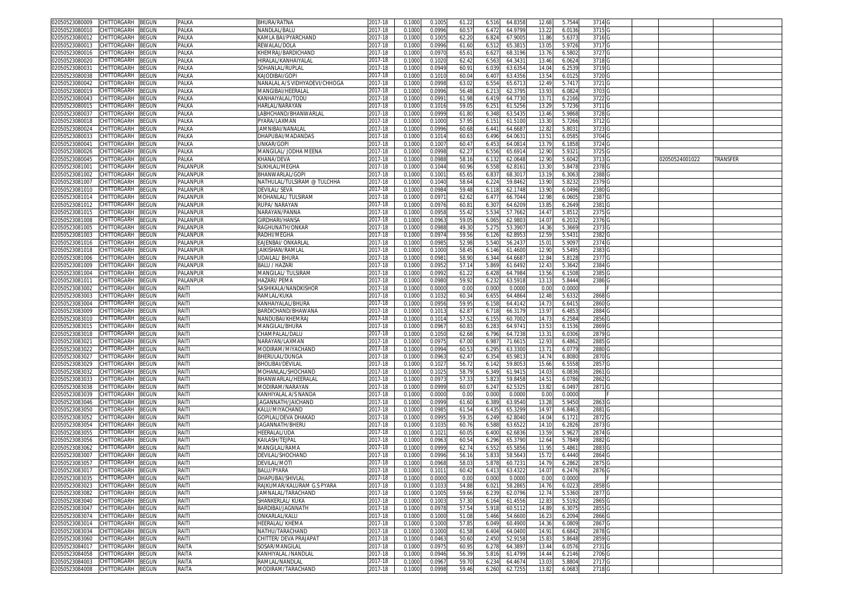| 02050523080009<br>CHITTORGARH<br>BEGUN        | PALKA    | BHURA/RATNA                   | 2017-18     | 0.100  | 0.100  | 61.22 | 6.516 | 64.8358 | 12.68          | 5.7544 | 3714              |                |          |
|-----------------------------------------------|----------|-------------------------------|-------------|--------|--------|-------|-------|---------|----------------|--------|-------------------|----------------|----------|
| CHITTORGARH<br>02050523080010<br>BEGUN        | PALKA    | VANDLAL/BALU                  | 2017-18     | 0.100( | 0.099  | 60.5  | 6.472 | 64.9799 | 13.22          | 6.0136 | 3715              |                |          |
| CHITTORGARH<br>02050523080012<br>3EGUN        | PALKA    | KAMLA BAI/PYARCHAND           | 2017-18     | 0.100  | 0.100  | 62.2  | 6.82  | 67.900  | 11.86          | 5.637  | 3716              |                |          |
| CHITTORGARH                                   |          | REWAI AI /DOI A               |             |        | 0.099  | 61.60 |       |         | 13.0           |        | 3717              |                |          |
| BEGUN<br>02050523080013                       | PALKA    |                               | 2017-18     | 0.1000 |        |       | 6.512 | 65.381  |                | 5.9726 |                   |                |          |
| 02050523080016<br>CHITTORGARH<br>BEGUN        | PALKA    | KHEMRAJ/BARDICHAND            | 2017-18     | 0.100  | 0.097  | 65.6  | 6.62  | 68.319  | 13.76          | 6.580  | 3727              |                |          |
| 02050523080020<br>CHITTORGARH<br>BEGUN        | PALKA    | HIRALAL/KANHAIYALAL           | 2017-18     | 0.100  | 0.102  | 62.42 | 6.563 | 64.343  | 13.46          | 6.062  | 3718              |                |          |
| CHITTORGARH<br>02050523080031<br>3EGUN        | PALKA    | SOHANLAL/RUPLAL               | 2017-18     | 0.100  | 0.094  | 60.9  | 6.03  | 63.635  | 14.0           | 6.253  | 3719              |                |          |
| 02050523080038<br>CHITTORGARH<br>3EGUN        | PALKA    | KAJODIBAI/GOPI                | 2017-18     | 0.100  | 0.101  | 60.04 | 6.407 | 63.435  | 13.54          | 6.012! | 3720              |                |          |
| 02050523080042<br>CHITTORGARH<br>3EGUN        | PALKA    | NANALAL A/S VIDHYADEVI/CHHOGA | 2017-18     | 0.100  | 0.099  | 63.0  | 6.55  | 65.671  | 12.4           | 5.741  | 3721              |                |          |
| 02050523080019<br>CHITTORGARH<br>BEGUN        | PALKA    | MANGIBAI/HEERALAL             | 017-18      | 0.100  | 0.099  | 56.48 | 6.21  | 62.379  | 13.9           | 6.082  | 3703              |                |          |
|                                               |          |                               |             |        |        |       |       |         |                |        |                   |                |          |
| 02050523080043<br>CHITTORGARH<br>3EGUN        | PALKA    | KANHAIYALAL/TODL              | 2017-18     | 0.100  | 0.099  | 61.9  | 6.419 | 64.773  | 13.7           | 6.2166 | 3722              |                |          |
| 02050523080015<br><b>CHITTORGARH</b><br>BEGUN | PALKA    | HARLAL/NARAYAN                | 017-18      | 0.100  | 0.101  | 59.0  | 6.25' | 61.525  | 13.2           | 5.7236 | 3711              |                |          |
| CHITTORGARH<br>0205052308003<br>BEGUN         | PALKA    | .ABHCHAND/BHANWARLAL          | 2017-18     | 0.100  | 0.099  | 61.80 | 6.348 | 63.543  | 13.4           | 5.9868 | 3728              |                |          |
| CHITTORGARH<br>02050523080018<br>BEGUN        | PALKA    | PYARA/LAXMAN                  | 2017-18     | 0.100  | 0.100  | 57.9  | 6.15  | 61.510  | 13.3           | 5.7266 | 3712              |                |          |
| 02050523080024<br>CHITTORGARH<br>BEGUN        | PALKA    | IAMNIBAI/NANALA               | 017-18      | 0.100  | 0.099  | 60.6  | 6.44  | 64.668  | 12.8           | 5.803  | 3723              |                |          |
| 02050523080033<br>BEGUN<br>CHITTORGARH        | PALKA    | DHAPUBAI/MADANDAS             | 2017-18     | 0.100  | 0.101  | 60.63 | 6.496 | 64.063  | $13.5^{\circ}$ | 6.0585 | 3704              |                |          |
| 02050523080041<br>CHITTORGARH<br>BEGUN        | PALKA    | JNKAR/GOPI                    | 017-18      | 0.100  | 0.100  | 60.4  | 6.45  | 64.081  | 13.7           | 6.1858 | 3724              |                |          |
| CHITTORGARH<br>02050523080026<br>BEGUN        | PALKA    | MANGILAL/ JODHA MEENA         | 2017-18     | 0.100  | 0.099  | 62.2  | 6.556 | 65.691  | 12.90          | 5.932  | 3725 G            |                |          |
|                                               |          |                               |             |        |        |       |       |         |                |        |                   |                |          |
| BEGUN<br>02050523080045<br>CHITTORGARH        | PALKA    | KHANA/DEVA                    | 2017-18     | 0.100  | 0.098  | 58.1  | 6.132 | 62.0648 | 12.9           | 5.6042 | 3713 G            | 02050524001022 | TRANSFER |
| CHITTORGARH<br>BEGUN<br>02050523081001        | PALANPUR | SUKHLAL/MEGHA                 | 2017-18     | 0.100  | 0.104  | 60.9  | 6.558 | 62.816  | 13.3           | 5.8478 | 2378              |                |          |
| CHITTORGARH<br>BEGUN<br>02050523081002        | PALANPUR | BHANWARLAL/GOPI               | 2017-18     | 0.100  | 0.100  | 65.6  | 6.83  | 68.301  | 13.1           | 6.306  | 2388              |                |          |
| 02050523081007<br>CHITTORGARH<br>BEGUN        | PALANPUR | NATHULAL/TULSIRAM @ TULCHHA   | 2017-18     | 0.100  | 0.104  | 58.6  | 6.224 | 59.8462 | 13.90          | 5.8232 | 2379 G            |                |          |
| BEGUN<br>02050523081010<br>CHITTORGARH        | PALANPUR | DEVILAL/ SEVA                 | 017-18      | 0.100  | 0.098  | 59.48 | 6.118 | 62.1748 | 13.90          | 6.0496 | 2380              |                |          |
| BEGUN<br>02050523081014<br>CHITTORGARH        | PALANPUR | MOHANLAL/ TULSIRAM            | 2017-18     | 0.100  | 0.097  | 62.62 | 6.47  | 66.704  | 12.98          | 6.060  | 2387              |                |          |
| CHITTORGARH                                   | PALANPUR | <b>RUPA/ NARAYAN</b>          | 2017-18     |        | 0.097  |       |       |         |                |        |                   |                |          |
| 02050523081012<br>BEGUN                       |          |                               |             | 0.100  |        | 60.8  | 6.307 | 64.620  | 13.8           | 6.2649 | 2381              |                |          |
| CHITTORGARH<br><b>BEGUN</b><br>02050523081015 | PALANPUR | NARAYAN/PANNA                 | 2017-18     | 0.100  | 0.095  | 55.42 | 5.534 | 57.7662 | 14.4           | 5.8512 | 2375              |                |          |
| CHITTORGARH<br>BEGUN<br>02050523081008        | PALANPUR | <b>GIRDHARI/HANSA</b>         | 2017-18     | 0.100  | 0.096  | 59.0  | 6.065 | 62.980  | 14.0           | 6.2032 | 2376              |                |          |
| CHITTORGARH<br>BEGUN<br>02050523081005        | PALANPUR | RAGHUNATH/ONKAR               | 2017-18     | 0.100  | 0.098  | 49.3  | 5.27  | 53.390  | 14.36          | 5.3669 | 2373              |                |          |
| 02050523081003<br>CHITTORGARH<br>BEGUN        | PALANPUR | RADHI/MEGHA                   | 2017-18     | 0.100  | 0.097  | 59.56 | 6.126 | 62.895  | 12.5           | 5.543  | 2382              |                |          |
| 02050523081016<br>CHITTORGARH<br>3EGUN        | PALANPUR | EAJENBAI/ ONKARLAL            | 2017-18     | 0.100  | 0.098  | 52.98 | 5.540 | 56.243  | 15.0           | 5.909  | 2374              |                |          |
| CHITTORGARH<br>02050523081018<br>BEGUN        | PALANPUR | IAIKISHAN/RAMLAL              | 2017-18     | 0.100  | 0.100  | 58.4  | 6.146 | 61.460  | 12.90          | 5.5495 | 2383              |                |          |
|                                               |          |                               |             |        |        |       |       |         |                |        |                   |                |          |
| 02050523081006<br>CHITTORGARH<br>3EGUN        | PALANPUR | UDAILAL/BHURA                 | 017-18      | 0.100  | 0.098  | 58.9  | 6.34  | 64.668  | 12.8           | 5.812  | 2377              |                |          |
| 02050523081009<br>CHITTORGARH<br>BEGUN        | PALANPUR | BALU / HAZARI                 | 017-18      | 0.100  | 0.095  | 57.1  | 5.869 | 61.6492 | 12.4           | 5.3642 | 2384              |                |          |
| 02050523081004<br>CHITTORGARH<br>3EGUN        | PALANPUR | VIANGILAL/TULSIRAM            | 2017-18     | 0.100  | 0.099  | 61.2  | 6.42  | 64.798  | 13.5           | 6.1508 | 2385              |                |          |
| 02050523081011<br>CHITTORGARH<br>BEGUN        | PALANPUR | HAZARI/ PEMA                  | 2017-18     | 0.100  | 0.098  | 59.92 | 6.232 | 63.5918 | 13.1           | 5.8444 | 2386              |                |          |
| 02050523083002<br>CHITTORGARH<br>3EGUN        | RAITI    | SASHIKALA/NANDKISHOR          | 2017-18     | 0.100  | 0.000  | 0.00  | 0.000 | 0.000   | 0.0            | 0.000  |                   |                |          |
| 02050523083003<br>CHITTORGARH<br>BEGUN        | RAITI    | RAMLAL/KUKA                   | 2017-18     | 0.100  | 0.103  | 60.3  | 6.655 | 64.486  | 12.48          | 5.6332 | 2868              |                |          |
|                                               |          |                               |             |        |        |       |       |         |                |        |                   |                |          |
| 02050523083004<br>CHITTORGARH<br>3EGUN        | RAITI    | (ANHAIYALAL/BHURA             | 017-18      | 0.100  | 0.095  | 59.9  | 6.15  | 64.414  | 14.7           | 6.641  | 2860              |                |          |
| 02050523083009<br>CHITTORGARH<br>BEGUN        | RAITI    | BARDICHAND/BHAWANA            | 2017-18     | 0.100  | 0.101  | 62.8  | 6.71  | 66.317  | 13.9           | 6.485  | 2884              |                |          |
| 02050523083010<br>CHITTORGARH<br>BEGUN        | RAITI    | VANDUBAI/KHEMRAJ              | 017-18      | 0.100  | 0.101  | 57.52 | 6.15  | 60.700  | 14.7           | 6.258  | 2856              |                |          |
| CHITTORGARH<br>02050523083015<br>BEGUN        | RAITI    | MANGILAL/BHURA                | 2017-18     | 0.100  | 0.096  | 60.8  | 6.283 | 64.974  | 13.5           | 6.1536 | 2869              |                |          |
| 02050523083018<br>CHITTORGARH<br>BEGUN        | RAITI    | CHAMPALAL/DALU                | 017-18      | 0.100  | 0.105  | 62.68 | 6.796 | 64.7238 | 13.3           | 6.0306 | 2879              |                |          |
| CHITTORGARH<br>BEGUN<br>02050523083021        | RAITI    | NARAYAN/LAXMAN                | 2017-18     | 0.100  | 0.097  | 67.00 | 6.98  | 71.661  | 12.93          | 6.4862 | 2885              |                |          |
| CHITTORGARH<br>BEGUN                          | RAITI    |                               | 2017-18     | 0.100  | 0.099  | 60.5  | 6.295 | 63.330  | $13.7^{\circ}$ | 6.077  | 2880              |                |          |
| 02050523083022                                |          | VIODIRAM/MIYACHAND            |             |        |        |       |       |         |                |        |                   |                |          |
| 02050523083027<br>CHITTORGARH<br>BEGUN        | RAITI    | BHERULAL/DUNGA                | 2017-18     | 0.100  | 0.096  | 62.4  | 6.354 | 65.981  | 14.7           | 6.808  | 2870              |                |          |
| BEGUN<br>02050523083029<br>CHITTORGARH        | RAITI    | BHOLIBAI/DEVILAI              | 2017-18     | 0.100  | 0.102  | 56.7  | 6.142 | 59.805  | 15.6           | 6.5558 | 2857              |                |          |
| BEGUN<br>02050523083032<br>CHITTORGARH        | RAITI    | MOHANLAL/SHOCHAND             | 2017-18     | 0.100  | 0.102  | 58.7  | 6.349 | 61.941  | 14.03          | 6.083  | 2861              |                |          |
| 02050523083033<br>CHITTORGARH<br>BEGUN        | RAITI    | BHANWARLAL/HEERALAI           | 2017-18     | 0.100  | 0.097  | 57.33 | 5.82  | 59.8458 | 14.51          | 6.0786 | 2862              |                |          |
| 02050523083038<br>CHITTORGARH<br><b>BEGUN</b> | RAITI    | MODIRAM/NARAYAN               | 2017-18     | 0.100  | 0.099  | 60.0  | 6.24  | 62.532  | 13.8           | 6.049  | 2871              |                |          |
| CHITTORGARH<br>BEGUN<br>02050523083039        | RAITI    | KANHIYALAL A/S NANDA          | 2017-18     | 0.1000 | 0.000  | 0.00  | 0.000 | 0.0000  | 0.00           | 0.000  |                   |                |          |
|                                               |          |                               |             |        |        |       |       |         |                |        |                   |                |          |
| 02050523083046<br>CHITTORGARH<br>BEGUN        | RAITI    | JAGANNATH/JAICHAND            | 2017-18     | 0.100  | 0.099  | 61.60 | 6.389 | 63.954  | 13.2           | 5.9450 | 2863              |                |          |
| CHITTORGARH<br>BEGUN<br>02050523083050        | RAITI    | KALU/MIYACHAND                | 2017-18     | 0.100  | 0.098  | 61.54 | 6.43  | 65.329  | 14.9           | 6.8463 | 2881              |                |          |
| CHITTORGARH<br>3EGUN<br>02050523083052        | RAITI    | GOPILAL/DEVA DHAKAD           | 2017-18     | 0.100  | 0.099  | 59.3  | 6.249 | 62.804  | 14.0           | 6.172  | 2872              |                |          |
| CHITTORGARH<br>02050523083054<br>BEGUN        | RAITI    | <b>JAGANNATH/BHERU</b>        | 2017-18     | 0.100  | 0.103  | 60.76 | 6.588 | 63.652  | 14.10          | 6.2826 | 2873              |                |          |
| CHITTORGARH<br>02050523083055<br>BEGUN        | RAITI    | HEERALAL/UDA                  | $2017 - 18$ | 0.100  | 0.102  | 60.0  | 6.400 | 62.683  | 13.5           | 5.962  | 2874              |                |          |
| 02050523083056<br>CHITTORGARH<br>BEGUN        | RAITI    | KAILASH/TEJPAL                | 017-18      | 0.100  | 0.096  | 60.54 | 6.296 | 65.379  | 12.64          | 5.7849 | 2882              |                |          |
| 02050523083062<br><b>CHITTORGARH</b><br>BEGUN | RAITI    | <b>MANGILAL/RAMA</b>          | 017-18      | 0.100  | 0.099  | 62.7  | 6.55  | 65.585  | 11.9           | 5.486  | 2883              |                |          |
| 02050523083007<br>CHITTORGARH<br>BEGUN        | RAITI    | DEVILAL/SHOCHAND              | 017-18      | 0.100  | 0.099  | 56.1  | 5.83  | 58.564  | 15.7           | 6.444  | 2864              |                |          |
|                                               |          |                               |             |        |        |       |       |         |                |        |                   |                |          |
| 02050523083057<br>CHITTORGARH<br>BEGUN        | RAITI    | DEVILAL/MOTI                  | 2017-18     | 0.100  | 0.096  | 58.0  | 5.87  | 60.723  | 14.7           | 6.2862 | 2875              |                |          |
| 02050523083017 CHILLORGARH BEGUN              | RAIII    | BALU/PYARA                    | 2017-18     | 0.1000 | 0.1011 | 60.42 | 6.413 | 63.4322 | 14.07          | 6.2476 | 2876 G            |                |          |
| 02050523083035<br>CHITTORGARH<br><b>BEGUN</b> | RAITI    | DHAPUBAI/SHIVLAL              | 2017-18     | 0.1000 | 0.0000 | 0.00  | 0.000 | 0.0000  | 0.00           | 0.0000 |                   |                |          |
| 02050523083023<br>CHITTORGARH<br>BEGUN        | RAITI    | RAJKUMAR/KALURAM G.S PYARA    | 2017-18     | 0.1000 | 0.103  | 54.88 | 6.021 | 58.2865 | 14.76          | 6.0223 | 2858 G            |                |          |
| BEGUN<br>02050523083082<br>CHITTORGARH        | RAITI    | <b>JAMNALAL/TARACHAND</b>     | 2017-18     | 0.100  | 0.1005 | 59.66 | 6.239 | 62.0796 | 12.74          | 5.5360 | 2877 G            |                |          |
| 02050523083040<br>CHITTORGARH<br>BEGUN        | RAITI    | SHANKERLAL/KUKA               | 2017-18     | 0.1000 | 0.100  | 57.30 | 6.164 | 61.4556 | 12.83          | 5.5192 | 2865 G            |                |          |
|                                               |          |                               |             |        |        |       |       |         |                |        |                   |                |          |
| 02050523083047<br>CHITTORGARH<br>BEGUN        | RAITI    | BARDIBAI/JAGNNATH             | 2017-18     | 0.1000 | 0.097  | 57.54 | 5.918 | 60.5112 | 14.89          | 6.3075 | 2855 G            |                |          |
| CHITTORGARH<br>02050523083074<br>BEGUN        | RAITI    | ONKARLAL/KALU                 | 2017-18     | 0.1000 | 0.1000 | 51.08 | 5.466 | 54.6600 | 16.23          | 6.2094 | 2866 G            |                |          |
| CHITTORGARH<br>02050523083014<br>BEGUN        | RAITI    | HEERALAL/ KHEMA               | 2017-18     | 0.1000 | 0.100  | 57.8  | 6.049 | 60.4900 | 14.36          | 6.0809 | 2867 G            |                |          |
| 02050523083034<br>CHITTORGARH<br>BEGUN        | RAITI    | NATHU/TARACHAND               | 2017-18     | 0.1000 | 0.100  | 61.58 | 6.404 | 64.0400 | 14.91          | 6.6842 | 2878 G            |                |          |
| 02050523083060<br>CHITTORGARH<br>BEGUN        | RAITI    | CHITTER/ DEVA PRAJAPAT        | 2017-18     | 0.1000 | 0.0463 | 50.60 | 2.450 | 52.9158 | 15.83          | 5.8648 | 2859 <sub>G</sub> |                |          |
| 02050523084017<br>CHITTORGARH<br>BEGUN        | RAITA    | SOSAR/MANGILAL                | 2017-18     | 0.1000 | 0.097! | 60.9  | 6.278 | 64.3897 | 13.44          | 6.0576 | 2731 G            |                |          |
|                                               |          |                               |             |        |        |       |       |         |                |        |                   |                |          |
| 02050523084058<br>CHITTORGARH<br>BEGUN        | RAITA    | KANHIYALAL /NANDLAL           | 2017-18     | 0.1000 | 0.0946 | 56.39 | 5.816 | 61.4799 | 14.44          | 6.2146 | 2706 G            |                |          |
| CHITTORGARH<br>02050523084003<br>BEGUN        | RAITA    | RAMLAL/NANDLAL                | 2017-18     | 0.1000 | 0.096  | 59.70 | 6.234 | 64.4674 | 13.03          | 5.8804 | 2717 G            |                |          |
| 02050523084008 CHITTORGARH BEGUN              | RAITA    | MODIRAM/TARACHAND             | 2017-18     | 0.1000 | 0.0998 | 59.46 | 6.260 | 62.7255 | 13.82          | 6.0683 | 2718 G            |                |          |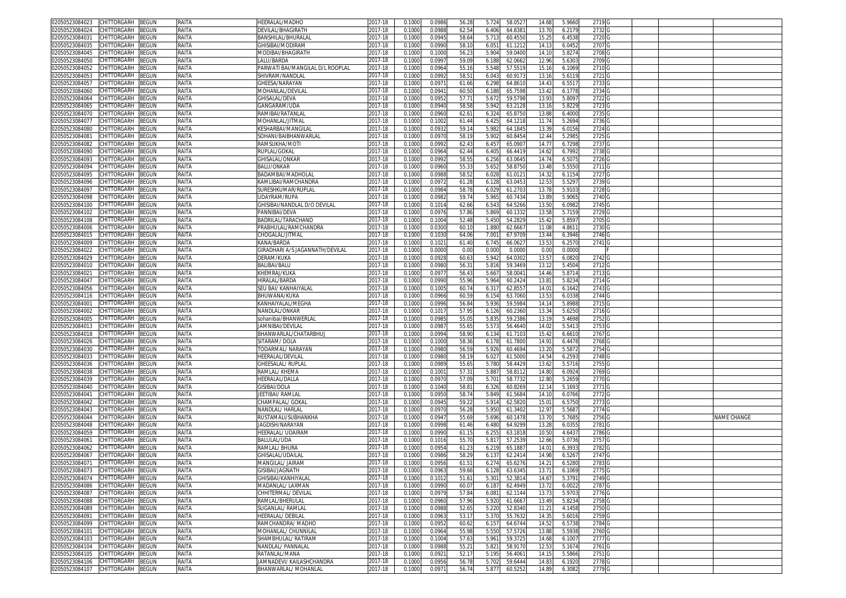| 02050523084023                   | CHITTORGARH        | <b>BEGUN</b> | RAITA | HEERALAL/MADHO                   | 2017-18 | 0.1000 | 0.0986 | 56.28          | 5.72  | 58.052  | 14.68 | 5.9660 | 2719 G            |  |                    |
|----------------------------------|--------------------|--------------|-------|----------------------------------|---------|--------|--------|----------------|-------|---------|-------|--------|-------------------|--|--------------------|
| 02050523084024                   | CHITTORGARH        | <b>BEGUN</b> | RAITA | DEVILAL/BHAGIRATH                | 2017-18 | 0.100  | 0.098  | 62.5           | 6.406 | 64.838  | 13.70 | 6.2179 | 2732              |  |                    |
| 02050523084031                   | CHITTORGARH        | <b>BEGUN</b> | RAITA | <b>BANSHILAL/BHURALA</b>         | 2017-18 | 0.1000 | 0.094  | 58.6           | 5.713 | 60.455  | 15.25 | 6.4538 | 2720 G            |  |                    |
| 02050523084035                   | CHITTORGARH        | <b>BEGUN</b> | RAITA | GHISIBAI/MODIRAM                 | 2017-18 | 0.1000 | 0.099  | 58.1           | 6.051 | 61.1212 | 14.13 | 6.0452 | 2707 <sub>C</sub> |  |                    |
|                                  |                    |              |       |                                  |         |        |        |                |       |         |       |        |                   |  |                    |
| 02050523084045                   | CHITTORGARH        | <b>BEGUN</b> | RAITA | MODIBAI/BHAGIRATH                | 2017-18 | 0.100  | 0.100  | 56.2           | 5.90  | 59.040  | 14.1  | 5.8274 | 2708              |  |                    |
| 02050523084050                   | CHITTORGARH        | <b>BEGUN</b> | RAITA | LALU/BARDA                       | 2017-18 | 0.100  | 0.099  | 59.0           | 6.18  | 62.066  | 12.96 | 5.6303 | 2709 0            |  |                    |
| 02050523084052                   | CHITTORGARH        | BEGUN        | RAITA | PARWATI BAI/MANGILAL D/L ROOPLAI | 2017-18 | 0.100  | 0.096  | 55.1           | 5.54  | 57.551  | 15.1  | 6.1069 | 2710 <sub>C</sub> |  |                    |
| 02050523084053                   | CHITTORGARH        | <b>BEGUN</b> | RAITA | SHIVRAM/NANDLAL                  | 2017-18 | 0.100  | 0.099  | 58.5           | 6.04  | 60.917  | 13.1  | 5.6119 | 2721 G            |  |                    |
| 02050523084057                   | CHITTORGARH        | <b>BEGUN</b> | RAITA | GHEESA/NARAYAN                   | 2017-18 | 0.100  | 0.097  | 61.6           | 6.29  | 64.861  | 14.4  | 6.551  | 27330             |  |                    |
| 02050523084060                   | CHITTORGARH        | <b>BEGUN</b> | RAITA | <b>MOHANLAL/DEVILA</b>           | 2017-18 | 0.100  | 0.094  | 60.5           | 6.18  | 65.759  | 13.42 | 6.1778 | 2734 G            |  |                    |
| 02050523084064                   | CHITTORGARH        | 3EGUN        | RAITA | GHISALAL/DEVA                    | 2017-18 | 0.100  | 0.095  | 57.7           | 5.67  | 59.579  | 13.9  | 5.8097 | 2722              |  |                    |
| 02050523084065                   | <b>CHITTORGARH</b> | <b>BEGUN</b> | RAITA | GANGARAM/UDA                     | 2017-18 | 0.100  | 0.094  | 58.5           | 5.94  | 63.212  | 13.1  | 5.8229 | 2723              |  |                    |
|                                  | CHITTORGARH        |              | RAITA |                                  | 2017-18 |        |        |                |       | 65.875  |       |        |                   |  |                    |
| 02050523084070                   |                    | <b>BEGUN</b> |       | RAMIBAI/RATANLAI                 |         | 0.100  | 0.096  | 62.6           | 6.32  |         | 13.8  | 6.4000 | 2735              |  |                    |
| 02050523084077                   | CHITTORGARH        | 3EGUN        | RAITA | VIOHANLAL/JITMAL                 | 2017-18 | 0.100  | 0.1002 | 61.4           | 6.42  | 64.121  | 11.74 | 5.2694 | 2736              |  |                    |
| 02050523084080                   | <b>CHITTORGARH</b> | <b>BEGUN</b> | RAITA | KESHARBAI/MANGILA                | 2017-18 | 0.100  | 0.093  | 59.1           | 5.98  | 64.184  | 13.3' | 6.0156 | 2724              |  |                    |
| 02050523084081                   | CHITTORGARH        | BEGUN        | RAITA | SOHANI/BAIBHANWARLAL             | 2017-18 | 0.1000 | 0.097  | 58.1           | 5.902 | 60.845  | 12.44 | 5.2985 | 2725              |  |                    |
| 02050523084082                   | <b>CHITTORGARH</b> | ፡EGUN        | RAITA | RAMSUKHA/MOTI                    | 2017-18 | 0.100  | 0.099  | 62.4           | 6.45  | 65.090  | 14.7  | 6.7298 | 2737              |  |                    |
| 02050523084090                   | CHITTORGARH        | <b>BEGUN</b> | RAITA | RUPLAL/GOKAL                     | 2017-18 | 0.1000 | 0.096  | 62.44          | 6.405 | 66.4419 | 14.62 | 6.7992 | 2738 <sub>G</sub> |  |                    |
| 02050523084093                   | CHITTORGARH        | <b>BEGUN</b> | RAITA | GHISALAL/ONKAR                   | 2017-18 | 0.1000 | 0.099  | 58.55          | 6.256 | 63.064  | 14.7  | 6.5075 | 2726 G            |  |                    |
| 02050523084094                   | CHITTORGARH        | <b>BEGUN</b> | RAITA | <b>BALU/ONKAR</b>                | 2017-18 | 0.1000 | 0.096  | 55.3           | 5.65  | 58.875  | 13.48 | 5.5550 | 2711 G            |  |                    |
| 02050523084095                   | CHITTORGARH        | <b>BEGUN</b> | RAITA | BADAMBAI/MADHOLAL                | 2017-18 | 0.100  | 0.098  | 58.5           | 6.02  | 61.012  | 14.3  | 6.1154 | 2727 G            |  |                    |
|                                  |                    |              |       |                                  |         |        |        |                |       |         |       |        |                   |  |                    |
| 02050523084096                   | CHITTORGARH        | <b>BEGUN</b> | RAITA | KAMLIBAI/RAMCHANDRA              | 2017-18 | 0.1000 | 0.097  | 61.2           | 6.12  | 63.045  | 12.53 | 5.5297 | 2739 G            |  |                    |
| 02050523084097                   | CHITTORGARH        | <b>BEGUN</b> | RAITA | SURESHKUMAR/RUPLAL               | 2017-18 | 0.1000 | 0.098  | 58.78          | 6.02  | 61.270  | 13.78 | 5.9103 | 2728 G            |  |                    |
| 02050523084098                   | CHITTORGARH        | <b>BEGUN</b> | RAITA | UDAYRAM/RUPA                     | 2017-18 | 0.1000 | 0.098  | 59.7           | 5.965 | 60.743  | 13.89 | 5.9065 | 2740 <sub>G</sub> |  |                    |
| 02050523084100                   | CHITTORGARH        | <b>BEGUN</b> | RAITA | GHISIBAI/NANDLAL D/O DEVILAL     | 2017-18 | 0.100  | 0.101  | 62.66          | 6.54  | 64.526  | 13.50 | 6.0982 | 2745 <sub>C</sub> |  |                    |
| 02050523084102                   | CHITTORGARH        | <b>BEGUN</b> | RAITA | PANNIBAI/DEVA                    | 2017-18 | 0.100  | 0.097  | 57.8           | 5.86  | 60.133  | 13.58 | 5.7159 | 2729 G            |  |                    |
| 02050523084108                   | CHITTORGARH        | <b>BEGUN</b> | RAITA | BADRILAL/TARACHAND               | 2017-18 | 0.100  | 0.1004 | 52.48          | 5.450 | 54.282  | 15.4  | 5.8597 | 2705 <sub>G</sub> |  |                    |
| 02050523084006                   | CHITTORGARH        | <b>BEGUN</b> | RAITA | PRABHULAL/RAMCHANDRA             | 2017-18 | 0.100  | 0.030  | 60.1           | 1.88  | 62.666  | 11.08 | 4.861  | 2730 <sub>C</sub> |  |                    |
| 02050523084015                   | CHITTORGARH        | <b>BEGUN</b> | RAITA | CHOGALAL/JITMAL                  | 2017-18 | 0.100  | 0.103  | 64.0           | 7.00  | 67.970  | 13.44 | 6.3946 | 2746              |  |                    |
| 02050523084009                   | CHITTORGARH        | <b>BEGUN</b> | RAITA | KANA/BARDA                       | 2017-18 | 0.100  | 0.102  |                |       | 66.062  | 13.53 | 6.2570 | 2741 G            |  |                    |
|                                  |                    |              |       |                                  |         |        |        | 61.40          | 6.745 |         |       |        |                   |  |                    |
| 02050523084022                   | CHITTORGARH        | <b>BEGUN</b> | RAITA | GIRADHARI A/S JAGANNATH/DEVILAL  | 2017-18 | 0.100  | 0.000  | 0.00           | 0.001 | 0.000   | 0.00  | 0.0000 |                   |  |                    |
| 02050523084029                   | CHITTORGARH        | BEGUN        | RAITA | DERAM/KUKA                       | 2017-18 | 0.100  | 0.092  | 60.6           | 5.94  | 64.030  | 13.57 | 6.0820 | 27420             |  |                    |
| 02050523084010                   | <b>CHITTORGARH</b> | <b>BEGUN</b> | RAITA | <b>BALIBAI/BALU</b>              | 2017-18 | 0.100  | 0.098  | 56.3           | 5.81  | 59.346  | 13.1  | 5.4504 | 2712 <sub>C</sub> |  |                    |
| 02050523084021                   | CHITTORGARH        | BEGUN        | RAITA | KHEMRAJ/KUKA                     | 2017-18 | 0.100  | 0.097  | 56.4           | 5.66  | 58.004  | 14.46 | 5.871  | 2713 G            |  |                    |
| 02050523084047                   | CHITTORGARH        | <b>BEGUN</b> | RAITA | HIRALAL/BARDA                    | 2017-18 | 0.100  | 0.099  | 55.96          | 5.964 | 60.242  | 13.81 | 5.8234 | 2714 G            |  |                    |
| 02050523084056                   | CHITTORGARH        | BEGUN        | RAITA | SEU BAI/ KANHAIYALAI             | 2017-18 | 0.100  | 0.100! | 60.7           | 6.31  | 62.855  | 14.0  | 6.1642 | 2743              |  |                    |
| 02050523084116                   | CHITTORGARH        | BEGUN        | RAITA | BHUWANA/KUKA                     | 2017-18 | 0.1000 | 0.096  | $60.5^{\circ}$ | 6.15  | 63.7060 | 13.53 | 6.0338 | 2744              |  |                    |
|                                  |                    |              |       |                                  |         |        |        |                |       |         |       |        |                   |  |                    |
| 0205052308400                    | CHITTORGARH        | <b>EGUN</b>  | RAITA | KANHAIYALAL/MEGHA                | 2017-18 | 0.100  | 0.099  | 56.8           | 5.93  | 59.598  | 14.1  | 5.8988 | 2715              |  |                    |
| 02050523084002                   | CHITTORGARH        | 3EGUN        | RAITA | NANDLAL/ONKAR                    | 2017-18 | 0.100  | 0.101  | 57.95          | 6.126 | 60.236  | 13.3  | 5.6250 | 2716              |  |                    |
| 02050523084005                   | CHITTORGARH        | 3EGUN        | RAITA | sohanibai/BHANWERLAI             | 2017-18 | 0.100  | 0.098  | 55.0           | 5.83  | 59.238  | 13.1  | 5.4698 | 2752              |  |                    |
| 02050523084013                   | CHITTORGARH        | 3EGUN        | RAITA | JAMNIBAI/DEVILAL                 | 2017-18 | 0.1000 | 0.098  | 55.6           | 5.57  | 56.4640 | 14.02 | 5.5413 | 2753              |  |                    |
| 02050523084018                   | CHITTORGARH        | BEGUN        | RAITA | BHANWARLAL/CHATARBHUJ            | 2017-18 | 0.100  | 0.099  | 58.9           | 6.13  | 61.710  | 15.4  | 6.661  | 2767              |  |                    |
| 02050523084026                   | CHITTORGARH        | <b>BEGUN</b> | RAITA | SITARAM/DOLA                     | 2017-18 | 0.1000 | 0.100  | 58.36          | 6.178 | 61.780  | 14.91 | 6.4478 | 2768 <sub>C</sub> |  |                    |
| 02050523084030                   | CHITTORGARH        | <b>BEGUN</b> | RAITA | TODARMAL/ NARAYAN                | 2017-18 | 0.100  | 0.098  | 56.5           | 5.92  | 60.469  | 13.2  | 5.5872 | 2754 G            |  |                    |
| 02050523084033                   | CHITTORGARH        | <b>BEGUN</b> | RAITA | HEERALAL/DEVILAL                 | 2017-18 | 0.1000 | 0.098  | 58.1           | 6.02  | 61.500  | 14.54 | 6.2593 | 2748 G            |  |                    |
|                                  |                    |              | RAITA |                                  |         |        | 0.098  | 55.65          | 5.780 | 58.442  | 13.6  | 5.5716 | 2755 <sub>G</sub> |  |                    |
| 02050523084036                   | CHITTORGARH        | <b>BEGUN</b> |       | <b>GHEESALAL/ RUPLAI</b>         | 2017-18 | 0.100  |        |                |       |         |       |        |                   |  |                    |
| 02050523084038                   | CHITTORGARH        | <b>BEGUN</b> | RAITA | RAMLAL/ KHEMA                    | 2017-18 | 0.1000 | 0.100  | 57.3           | 5.88  | 58.811  | 14.80 | 6.0924 | 2769 G            |  |                    |
| 02050523084039                   | CHITTORGARH        | <b>BEGUN</b> | RAITA | HEERALAL/DALLA                   | 2017-18 | 0.100  | 0.097  | 57.09          | 5.701 | 58.773  | 12.80 | 5.2659 | 2770 G            |  |                    |
| 02050523084040                   | CHITTORGARH        | <b>BEGUN</b> | RAITA | GISIBAI/DOLA                     | 2017-18 | 0.100  | 0.104  | 58.8           | 6.326 | 60.826  | 12.14 | 5.1693 | 2771 G            |  |                    |
| 02050523084041                   | CHITTORGARH        | <b>BEGUN</b> | RAITA | JEETIBAI/ RAMLAL                 | 2017-18 | 0.1000 | 0.095  | 58.7           | 5.849 | 61.568  | 14.1  | 6.0766 | 2772 <sub>C</sub> |  |                    |
| 02050523084042                   | CHITTORGARH        | <b>BEGUN</b> | RAITA | CHAMPALAL/ GOKAI                 | 2017-18 | 0.100  | 0.094  | 59.2           | 5.914 | 62.582  | 15.01 | 6.5750 | 2773 G            |  |                    |
| 02050523084043                   | CHITTORGARH        | <b>BEGUN</b> | RAITA | NANDLAL/ HARLAL                  | 2017-18 | 0.100  | 0.097  | 56.2           | 5.95  | 61.340  | 12.97 | 5.5687 | 2774 G            |  |                    |
| 02050523084044                   | CHITTORGARH        | <b>BEGUN</b> | RAITA | RUSTAMALI/SUBHANKHA              | 2017-18 | 0.100  | 0.094  | 55.6           | 5.696 | 60.147  | 13.70 | 5.7685 | 2756 <sub>C</sub> |  | <b>NAME CHANGE</b> |
| 02050523084048                   | CHITTORGARH        | <b>BEGUN</b> | RAITA | JAGDISH/NARAYAN                  | 2017-18 | 0.1000 | 0.099  | 61.46          | 6.480 | 64.9299 | 13.28 | 6.0355 | 2781 G            |  |                    |
| 02050523084059                   | CHITTORGARH        | <b>BEGUN</b> | RAITA | HEERALAL/ UDAIRAM                | 2017-18 | 0.100  | 0.099  | 61.1!          |       |         | 10.50 | 4.643  |                   |  |                    |
|                                  |                    |              |       |                                  |         |        |        |                | 6.25  | 63.181  |       |        | 2786 G            |  |                    |
| 02050523084061                   | <b>CHITTORGARH</b> | <b>BEGUN</b> | RAITA | <b>BALULAL/UDA</b>               | 2017-18 | 0.100  | 0.101  | 55.7           | 5.81  | 57.253  | 12.66 | 5.0736 | 2757 <sub>C</sub> |  |                    |
| 02050523084062                   | <b>CHITTORGARI</b> | <b>EGUN</b>  | RAITA | RAMLAL/ BHURA                    | 2017-18 | 0.100  | 0.095  | 61.2           | 6.21  | 65.188  | 14.0  | 6.393  | 2782              |  |                    |
| 02050523084067                   | CHITTORGARH        | <b>BEGUN</b> | RAITA | <b>GHISALAL/UDAILAI</b>          | 2017-18 | 0.100  | 0.098  | 58.2           | 6.13  | 62.241  | 14.98 | 6.526  | 2747 C            |  |                    |
| 02050523084071                   | CHITTORGARH        | <b>BEGUN</b> | RAITA | MANGILAL/ JAIRAN                 | 2017-18 | 0.100  | 0.095  | 61.5           | 6.27  | 65.627  | 14.21 | 6.5280 | 2783 G            |  |                    |
| 02050523084073 CHILIORGARH BEGUN |                    |              | RAIIA | GISIBAI/JAGNATH                  | 2017-18 | 0.1000 | 0.0963 | 59.66          | 6.128 | 63.634  | 13.71 | 6.1069 | 2775 G            |  |                    |
| 02050523084074                   | CHITTORGARH BEGUN  |              | RAITA | GHISIBAI/KANHIYALAL              | 2017-18 | 0.1000 | 0.1012 | 51.61          | 5.301 | 52.3814 | 14.67 | 5.3791 | 2749 G            |  |                    |
| 02050523084086                   | CHITTORGARH        | <b>BEGUN</b> | RAITA | MADANLAL/ LAXMAN                 | 2017-18 | 0.1000 | 0.0990 | 60.07          | 6.187 | 62.4949 | 13.72 | 6.0022 | 2787 G            |  |                    |
| 02050523084087                   | CHITTORGARH        | <b>BEGUN</b> | RAITA | CHHITERMAL/DEVILAL               | 2017-18 | 0.1000 | 0.097  | 57.84          | 6.08  | 62.114  | 13.73 | 5.9703 | 2776 C            |  |                    |
|                                  |                    |              |       |                                  |         |        |        |                |       |         |       |        | 2758              |  |                    |
| 02050523084088                   | CHITTORGARH        | <b>BEGUN</b> | RAITA | RAMLAL/BHERULAL                  | 2017-18 | 0.1000 | 0.0960 | 57.96          | 5.920 | 61.666  | 13.49 | 5.8234 |                   |  |                    |
| 02050523084089                   | CHITTORGARH        | <b>BEGUN</b> | RAITA | SUGANLAL/ RAMLAL                 | 2017-18 | 0.1000 | 0.098  | 52.65          | 5.220 | 52.8340 | 11.21 | 4.1458 | 2750 G            |  |                    |
| 02050523084091                   | CHITTORGARH        | <b>BEGUN</b> | RAITA | HEERALAL/ DEBILAL                | 2017-18 | 0.1000 | 0.0963 | 53.17          | 5.370 | 55.7632 | 14.35 | 5.6016 | 2759 G            |  |                    |
| 02050523084099                   | CHITTORGARH BEGUN  |              | RAITA | RAMCHANDRA/ MADHO                | 2017-18 | 0.1000 | 0.095  | 60.62          | 6.157 | 64.674  | 14.52 | 6.5738 | 2784 G            |  |                    |
| 02050523084101                   | CHITTORGARH        | <b>BEGUN</b> | RAITA | MOHANLAL/ CHUNNILAL              | 2017-18 | 0.1000 | 0.0964 | 55.98          | 5.550 | 57.5726 | 13.88 | 5.5938 | 2760 <sub>G</sub> |  |                    |
| 02050523084103                   | CHITTORGARH BEGUN  |              | RAITA | SHAMBHULAL/ RATIRAM              | 2017-18 | 0.1000 | 0.1004 | 57.63          | 5.961 | 59.3725 | 14.68 | 6.1007 | 2777 G            |  |                    |
| 02050523084104                   | CHITTORGARH BEGUN  |              | RAITA | NANDLAL/ PANNALAL                | 2017-18 | 0.1000 | 0.098  | 55.21          | 5.821 | 58.9170 | 12.53 | 5.1674 | 2761 G            |  |                    |
| 02050523084105                   | CHITTORGARH BEGUN  |              | RAITA | RATANLAL/MANA                    | 2017-18 | 0.1000 | 0.092  | 52.17          | 5.195 | 56.406  | 14.15 | 5.5866 | 2751 G            |  |                    |
|                                  | CHITTORGARH        |              |       |                                  | 2017-18 |        |        |                |       |         |       |        |                   |  |                    |
| 02050523084106                   |                    | <b>BEGUN</b> | RAITA | JAMNADEVI/ KAILASHCHANDRA        |         | 0.1000 | 0.095  | 56.78          | 5.702 | 59.6444 | 14.83 | 6.1920 | 2778 G            |  |                    |
| 02050523084107 CHITTORGARH BEGUN |                    |              | RAITA | BHANWARLAL/ MOHANLAL             | 2017-18 | 0.1000 | 0.0971 | 56.74          | 5.877 | 60.5252 | 14.89 | 6.3082 | 2779 G            |  |                    |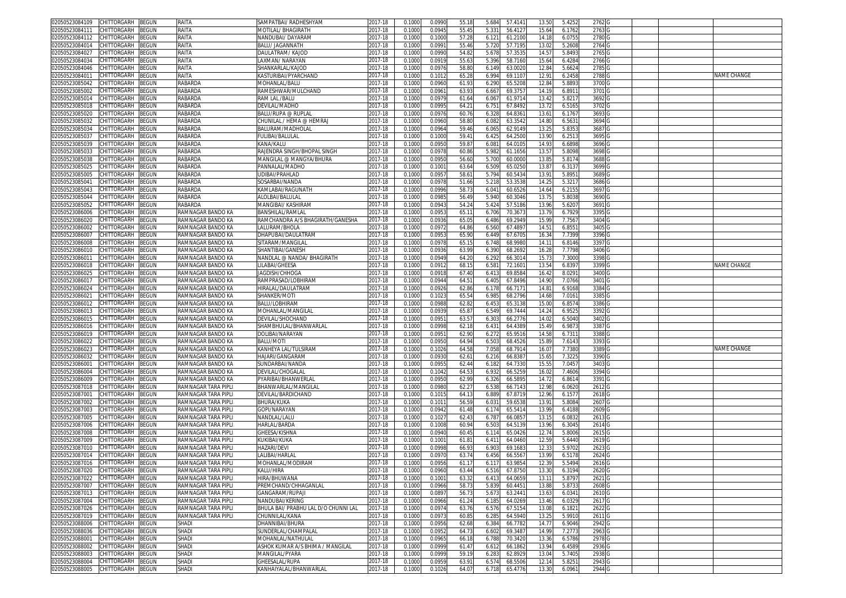| 02050523084109                              | CHITTORGARH        | <b>BEGUN</b>          | RAITA                 | SAMPATBAI/ RADHESHYAM                    | 2017-18            | 0.100            | 0.0990           | 55.18         | 5.684<br>57.4141                     | 13.50             | 5.4252          | 2762             |  |                    |
|---------------------------------------------|--------------------|-----------------------|-----------------------|------------------------------------------|--------------------|------------------|------------------|---------------|--------------------------------------|-------------------|-----------------|------------------|--|--------------------|
| 2050523084111                               | CHITTORGARH        | 3EGUN                 | RAITA                 | <b>MOTILAL/ BHAGIRATH</b>                | 2017-18            | 0.100(           | 0.0945           | 55.4          | 5.331<br>56.412                      | 15.64             | 6.1762          | 2763             |  |                    |
| 12050523084112                              | CHITTORGARH        | <b>EGUN</b>           | RAITA                 | NANDUBAI/ DAYARAM                        | 2017-18            | 0.100            | 0.100            | 57.28         | 6.121<br>61.210                      | 14.1              | 6.075           | 2780             |  |                    |
|                                             |                    |                       |                       |                                          |                    |                  |                  |               |                                      |                   |                 |                  |  |                    |
| 02050523084014                              | CHITTORGARH        | <b>BEGUN</b>          | RAITA                 | <b>BALU/ JAGANNATH</b>                   | 2017-18            | 0.1000           | 0.099            | 55.4          | 5.720<br>57.7195                     | 13.02             | 5.2608          | 2764             |  |                    |
| 02050523084027                              | CHITTORGARH        | <b>BEGUN</b>          | RAITA                 | DAULATRAM/ KAJOD                         | 2017-18            | 0.100            | 0.099            | 54.8          | 5.678<br>57.353                      | 14.5              | 5.849           | 2765             |  |                    |
| 2050523084034                               | CHITTORGARH        | <b>EGUN</b>           | RAITA                 | AXMAN/NARAYAN                            | 2017-18            | 0.100            | 0.091            | 55.63         | 5.396<br>58.7160                     | 15.64             | 6.428           | 2766             |  |                    |
| 02050523084046                              | CHITTORGARH        | <b>EGUN</b>           | RAITA                 | SHANKARLAL/KAJOD                         | $2017 - 18$        | 0.100            | 0.097            | 58.80         | 6.149<br>63.002                      | 12.8              | 5.662           | 2785             |  |                    |
| 2050523084011                               | CHITTORGARH        | EGUN                  | RAITA                 | KASTURIBAI/PYARCHAND                     | 2017-18            | 0.100            | 0.101            | 65.2          | 6.994<br>69.110                      | 12.9              | 6.2458          | 2788             |  | <b>VAME CHANGE</b> |
|                                             | CHITTORGARH        | EGUN                  | <b>RABARDA</b>        |                                          | 2017-18            | 0.100            | 0.096            | 61.9          |                                      |                   |                 |                  |  |                    |
| 02050523085042                              |                    |                       |                       | MOHANLAL/BALU                            |                    |                  |                  |               | 6.29<br>65.520                       | 12.8              | 5.889           | 3700             |  |                    |
| 2050523085002                               | CHITTORGARH        | <b>EGUN</b>           | RABARDA               | RAMESHWAR/MULCHAND                       | 017-18             | 0.100            | 0.096            | 63.93         | 6.667<br>69.375                      | 14.1              | 6.891           | 3701             |  |                    |
| 02050523085014                              | CHITTORGARH        | <b>EGUN</b>           | RABARDA               | RAM LAL /BALU                            | 2017-18            | 0.100            | 0.097            | 61.64         | 6.067<br>61.971                      | 13.4              | 5.821           | 3692             |  |                    |
| 02050523085018                              | CHITTORGARH        | <b>EGUN</b>           | RABARDA               | devilal/Madho                            | 017-18             | 0.100            | 0.099            | 64.2          | 6.751<br>67.8492                     | 13.7              | 6.516           | 3702             |  |                    |
| 02050523085020                              | CHITTORGARH        | <b>BEGUN</b>          | RABARDA               | BALU/RUPA @ RUPLAL                       | 2017-18            | 0.100            | 0.097            | 60.7          | 64.836<br>6.32                       | 13.6              | 6.176           | 3693             |  |                    |
| 02050523085032                              | <b>CHITTORGARH</b> | ፤EGUN                 | RABARDA               | :HUNILAL / HEMA @ HEMRAJ                 | 2017-18            | 0.100            | 0.096            | 58.80         | 6.082<br>63.3542                     | 14.8              | 6.563           | 3694             |  |                    |
|                                             |                    |                       |                       |                                          |                    |                  |                  |               |                                      |                   |                 |                  |  |                    |
| 02050523085034                              | <b>HITTORGARH</b>  | <b>EGUN</b>           | RABARDA               | BALURAM/MADHOLAI                         | 017-18             | 0.100            | 0.096            | 59.46         | 62.9149<br>6.065                     | 13.21             | 5.835           | 3687             |  |                    |
| 02050523085037                              | CHITTORGARH        | <b>BEGUN</b>          | RABARDA               | FULIBAI/BALULAL                          | 2017-18            | 0.100            | 0.100            | 59.4          | 64.2500<br>6.425                     | 13.90             | 6.251           | 3695             |  |                    |
| 2050523085039                               | CHITTORGARH        | <b>BEGUN</b>          | RABARDA               | KANA/KALU                                | 2017-18            | 0.100            | 0.095            | 59.8          | 6.08<br>64.010                       | 14.9              | 6.6898          | 3696             |  |                    |
| 02050523085033                              | CHITTORGARH        | <b>BEGUN</b>          | RABARDA               | RAJENDRA SINGH/BHOPAL SINGH              | 2017-18            | 0.100            | 0.097            | 60.86         | 5.982<br>61.1656                     | 13.5              | 5.8098          | 3698             |  |                    |
| 02050523085038                              | CHITTORGARH        | <b>BEGUN</b>          | RABARDA               | MANGILAL @ MANGYA/BHURA                  | 2017-18            | 0.100            | 0.095            | 56.60         | 60.000<br>5.700                      | 13.8              | 5.817           | 3688             |  |                    |
| )2050523085025                              | CHITTORGARH        | <b>EGUN</b>           | RABARDA               | PANNALAL/MADHC                           | 2017-18            | 0.100            | 0.100            | 63.64         | 6.509<br>65.025                      | 13.8              | 6.313           | 3699 G           |  |                    |
|                                             |                    |                       |                       |                                          |                    |                  |                  |               |                                      |                   |                 |                  |  |                    |
| 2050523085005                               | CHITTORGARH        | <b>BEGUN</b>          | RABARDA               | JDIBAI/PRAHLAD                           | 2017-18            | 0.100            | 0.0957           | 58.6          | 5.794<br>60.5434                     | $13.9^{°}$        | 5.895           | 3689 G           |  |                    |
| 1205052308504                               | CHITTORGARH        | <b>BEGUN</b>          | RABARDA               | SOSARBAI/NANDA                           | 2017-18            | 0.1000           | 0.097            | 51.66         | 5.218<br>53.3538                     | 14.2              | 5.321           | 3686 G           |  |                    |
| 2050523085043                               | CHITTORGARH        | <b>BEGUN</b>          | RABARDA               | KAMLABAI/RAGUNATH                        | 2017-18            | 0.100            | 0.0996           | 58.7          | 6.041<br>60.6526                     | 14.64             | 6.215           | 3697             |  |                    |
| )2050523085044                              | CHITTORGARH        | <b>BEGUN</b>          | RABARDA               | ALOLBAI/BALULAL                          | 2017-18            | 0.100            | 0.098            | 56.4          | 5.940<br>60.3046                     | 13.75             | 5.8038          | 3690             |  |                    |
| 2050523085052                               | CHITTORGARH        | <b>EGUN</b>           | RABARDA               | VIANGIBAI/ KASHIRAN                      | 2017-18            | 0.100            | 0.094            | 54.24         | 5.424<br>57.5186                     | 13.9              | 5.620           | 3691             |  |                    |
| 02050523086006                              | CHITTORGARH        | <b>EGUN</b>           | RAMNAGAR BANDO KA     | <b>BANSHILAL/RAMLAL</b>                  | 2017-18            | 0.100            | 0.095            | 65.1          | 6.706<br>70.367                      | 13.7              | 6.792           | 3395             |  |                    |
|                                             |                    |                       | RAMNAGAR BANDO KA     | RAMCHANDRA A/S BHAGIRATH/GANESHA         |                    |                  |                  |               |                                      |                   |                 |                  |  |                    |
| 2050523086020                               | CHITTORGARH        | <b>BEGUN</b>          |                       |                                          | 2017-18            | 0.1000           | 0.0936           | 65.0          | 6.486<br>69.2949                     | 15.9              | 7.756           | 3404             |  |                    |
| 2050523086002                               | CHITTORGARH        | <b>BEGUN</b>          | RAMNAGAR BANDO KA     | ALURAM/BHOLA                             | 2017-18            | 0.100            | 0.097            | 64.86         | 6.560<br>67.489                      | $14.5^{\circ}$    | 6.855           | 3405             |  |                    |
| 2050523086007                               | CHITTORGARH        | <b>EGUN</b>           | RAMNAGAR BANDO KA     | DHAPUBAI/DAULATRAM                       | 2017-18            | 0.100            | 0.095            | 65.90         | 6.449<br>67.670                      | 16.34             | 7.7399          | 3396             |  |                    |
| 02050523086008                              | CHITTORGARH        | <b>EGUN</b>           | RAMNAGAR BANDO KA     | SITARAM/MANGILAI                         | 2017-18            | 0.100            | 0.097            | 65.1          | 6.748<br>68.998                      | 14.1              | 6.8146          | 3397             |  |                    |
| 02050523086010                              | CHITTORGARH        | EGUN                  | RAMNAGAR BANDO KA     | SHANTIBAI/GANESH                         | 2017-18            | 0.100            | 0.093            | 63.9          | 6.390<br>68.269                      | 16.2              | 7.7798          | 3406             |  |                    |
| 0205052308601                               | CHITTORGARH        | <b>EGUN</b>           | RAMNAGAR BANDO KA     | NANDLAL @ NANDA∕ BHAGIRATH               | 2017-18            | 0.100            | 0.094            | 64.2          | 6.292<br>66.301                      | 15.7              | 7.300           | 3398             |  |                    |
|                                             | CHITTORGARH        |                       |                       | <b>ILABAI/GHEESA</b>                     |                    |                  |                  |               |                                      |                   |                 |                  |  |                    |
| 02050523086018                              |                    | <b>EGUN</b>           | RAMNAGAR BANDO KA     |                                          | 017-18             | 0.100            | 0.091            | 68.1          | 6.581<br>72.160                      | 13.54             | 6.839           | 3399             |  | NAME CHANGE        |
| 02050523086025                              | CHITTORGARH        | EGUN                  | RAMNAGAR BANDO KA     | IAGDISH/CHHOGA                           | 2017-18            | 0.100            | 0.091            | 67.40         | 6.413<br>69.858                      | 16.4              | 8.029           | 3400             |  |                    |
| 1205052308601                               | CHITTORGARH        | <b>EGUN</b>           | RAMNAGAR BANDO KA     | RAMPRASAD/LOBHIRAN                       | 017-18             | 0.100            | 0.094            | 64.5          | 6.405<br>67.8496                     | 14.9              | 7.0766          | 3401             |  |                    |
| 02050523086024                              | CHITTORGARH        | <b>EGUN</b>           | RAMNAGAR BANDO KA     | HRALAL/DAULATRAM                         | 2017-18            | 0.100            | 0.092            | 62.86         | 6.17<br>66.717                       | 14.8              | 6.9168          | 3384             |  |                    |
| 0205052308602                               | CHITTORGARH        | <b>BEGUN</b>          | RAMNAGAR BANDO KA     | SHANKER/MOTI                             | 2017-18            | 0.100            | 0.102            | 65.54         | 6.985<br>68.2796                     | 14.6              | 7.016           | 3385             |  |                    |
| 02050523086012                              | <b>CHITTORGARH</b> | EGUN                  | RAMNAGAR BANDO KA     | BALU/LOBHIRAM                            | 017-18             | 0.100            | 0.098            | 62.8          | 65.3138<br>6.45                      | 15.0              | 6.857           | 3386             |  |                    |
|                                             |                    |                       |                       |                                          |                    |                  |                  |               |                                      |                   |                 |                  |  |                    |
| 02050523086013                              | CHITTORGARH        | <b>BEGUN</b>          | RAMNAGAR BANDO KA     | MOHANLAL/MANGILAL                        | 2017-18            | 0.100            | 0.093            | 65.87         | 6.549<br>69.7444                     | 14.24             | 6.952           | 3392             |  |                    |
| 2050523086015                               | <b>CHITTORGARH</b> | <b>EGUN</b>           | RAMNAGAR BANDO KA     | DEVILAL/SHOCHAND                         | 017-18             | 0.100            | 0.095            | 63.5          | 66.2776<br>6.303                     | 14.0              | 6.504           | 3402             |  |                    |
| 02050523086016                              | <b>CHITTORGARH</b> | <b>EGUN</b>           | RAMNAGAR BANDO KA     | SHAMBHULAL/BHANWARLAL                    | 2017-18            | 0.100            | 0.099            | 62.1          | 6.431<br>64.438                      | 15.49             | 6.987           | 3387             |  |                    |
| 02050523086019                              | CHITTORGARH        | <b>BEGUN</b>          | RAMNAGAR BANDO KA     | DOLIBAI/NARAYAN                          | 2017-18            | 0.100            | 0.095            | 62.90         | 65.9516<br>6.272                     | 14.58             | 6.731           | 3388             |  |                    |
| 02050523086022                              | CHITTORGARH        | <b>BEGUN</b>          | RAMNAGAR BANDO KA     | BALU/MOTI                                | 2017-18            | 0.100            | 0.095            | 64.94         | 6.503<br>68.4526                     | 15.8              | 7.614           | 3393 G           |  |                    |
| 2050523086023                               | CHITTORGARH        | <b>BEGUN</b>          | RAMNAGAR BANDO KA     | KANHEYA LAL/TULSIRAM                     | 2017-18            | 0.100            | 0.1026           | 64.58         | 7.058<br>68.7914                     | 16.0              | 7.738           | 3389             |  | NAME CHANGE        |
| 02050523086032                              | CHITTORGARH        | <b>BEGUN</b>          | RAMNAGAR BANDO KA     | HAJARI/GANGARAM                          | 2017-18            | 0.100            | 0.093            | 62.6          | 6.216<br>66.838                      | 15.6              | 7.322           | 3390 G           |  |                    |
|                                             |                    |                       |                       |                                          |                    |                  |                  |               |                                      |                   |                 |                  |  |                    |
| 2050523086001                               | <b>CHITTORGARH</b> | <b>BEGUN</b>          | RAMNAGAR BANDO KA     | SUNDARBAI/NANDA                          | 2017-18            | 0.100            | 0.095            | 62.44         | 6.182<br>64.733                      | 15.5              | 7.045           | 3403             |  |                    |
| 02050523086004                              | CHITTORGARH        | <b>BEGUN</b>          | RAMNAGAR BANDO KA     | DEVILAL/CHOGALAL                         | 2017-18            | 0.100            | 0.104            | 64.53         | 6.932<br>66.525                      | 16.02             | 7.460           | 3394 G           |  |                    |
| 2050523086009                               | CHITTORGARH        | <b>EGUN</b>           | RAMNAGAR BANDO KA     | <sup>PYARIBAI/BHANWERLAL</sup>           | 2017-18            | 0.100            | 0.095            | 62.9          | 66.589<br>6.326                      | 14.72             | 6.861           | 3391             |  |                    |
| 02050523087018                              | CHITTORGARH        | <b>EGUN</b>           | RAMNAGAR TARA PIPLI   | BHANWARLAL/MANGILAI                      | 2017-18            | 0.100            | 0.098            | 62.2          | 6.538<br>66.714                      | 12.9              | 6.062           | 2612             |  |                    |
| 2050523087001                               | CHITTORGARH        | <b>BEGUN</b>          | RAMNAGAR TARA PIPLI   | DEVILAL/BARDICHAND                       | 2017-18            | 0.1000           | 0.101            | 64.1          | 6.889<br>67.8719                     | 12.96             | 6.157           | 2618             |  |                    |
| 02050523087002                              | CHITTORGARH        | <b>BEGUN</b>          | RAMNAGAR TARA PIPLI   | BHURA/KUKA                               | 2017-18            | 0.100            | 0.101            | 56.5          | 6.03<br>59.653                       | 13.9              | 5.808           | 2607             |  |                    |
|                                             |                    |                       |                       |                                          |                    |                  |                  |               |                                      |                   |                 |                  |  |                    |
| 2050523087003                               | CHITTORGARH        | <b>BEGUN</b>          | RAMNAGAR TARA PIPLI   | <b>GOPI/NARAYAN</b>                      | 2017-18            | 0.100            | 0.094            | 61.48         | 6.174<br>65.5414                     | 13.9              | 6.4188          | 2609             |  |                    |
| 02050523087005                              | CHITTORGARH        | <b>EGUN</b>           | RAMNAGAR TARA PIPLI   | NANDLAL/LALL                             | 2017-18            | 0.100            | 0.102            | 62.43         | 6.787<br>66.085                      | 13.1              | 6.083           | 2613             |  |                    |
| 02050523087006                              | CHITTORGARH        | <b>BEGUN</b>          | RAMNAGAR TARA PIPLI   | HARLAL/BARDA                             | 2017-18            | 0.1000           | 0.100            | 60.94         | 64.513<br>6.503                      | 13.96             | 6.3045          | 2614 G           |  |                    |
| 02050523087008                              | CHITTORGARH        | ፡EGUN                 | RAMNAGAR TARA PIPLI   | GHEESA/KISHNA                            | 2017-18            | 0.100            | 0.094            | 60.4          | 6.114<br>65.042                      | 12.7              | 5.800           | 2615 G           |  |                    |
| 2050523087009                               | CHITTORGARH        | <b>EGUN</b>           | RAMNAGAR TARA PIPLI   | (UKIBAI/KUKA                             | 017-18             | 0.100            | 0.100            | 61.8          | 6.41'<br>64.0460                     | 12.5 <sup>0</sup> | 5.644           | 2619             |  |                    |
| 02050523087010                              |                    |                       |                       |                                          |                    |                  |                  | 66.9          |                                      | 12.3              | 5.970           |                  |  |                    |
|                                             |                    |                       |                       |                                          |                    |                  |                  |               |                                      |                   |                 |                  |  |                    |
|                                             | <b>HITTORGARH</b>  | EGUN                  | RAMNAGAR TARA PIPLI   | <b>HAZARI/DEVI</b>                       | 2017-18            | 0.100            | 0.099            |               | 6.90<br>69.168                       |                   |                 | 2623             |  |                    |
| 02050523087014                              | CHITTORGARH        | ፡EGUN                 | RAMNAGAR TARA PIPLI   | ALIBAI/HARLAI                            | 2017-18            | 0.100            | 0.097            | 63.7          | 66.556<br>6.456                      | 13.9              | 6.517           | 2624             |  |                    |
| 02050523087016                              | CHITTORGARH        | <b>BEGUN</b>          | RAMNAGAR TARA PIPLI   | MOHANLAL/MODIRAM                         | 2017-18            | 0.100            | 0.0956           | 61.1          | 6.11<br>63.985                       | 12.3              | 5.549           | 2616 G           |  |                    |
| 02050523087020 CHILIORGARH BEGUN            |                    |                       | RAMNAGAR TARA PIPLI   | KALU/HIRA                                | 2017-18            | 0.1000           | 0.0960           | 63.44         | 6.516<br>67.8750                     | 13.30             | 6.3194          | 2620 G           |  |                    |
| 02050523087022                              | CHITTORGARH        | <b>BEGUN</b>          | RAMNAGAR TARA PIPLI   | HIRA/BHUWANA                             | 2017-18            | 0.1000           | 0.1001           | 63.32         | 6.413<br>64.0659                     | 13.11             | 5.8797          | 2621             |  |                    |
| 02050523087007                              | CHITTORGARH        | BEGUN                 | RAMNAGAR TARA PIPLI   | PREMCHAND/CHHAGANLAL                     | 2017-18            | 0.1000           | 0.0966           | 58.73         | 5.839<br>60.4451                     | 13.88             | 5.873           | 2608             |  |                    |
|                                             |                    |                       |                       |                                          |                    |                  |                  |               |                                      |                   |                 |                  |  |                    |
| 02050523087013                              | CHITTORGARH        | <b>BEGUN</b>          | RAMNAGAR TARA PIPLI   | GANGARAM/RUPAJI                          | 2017-18            | 0.100            | 0.089            | 56.7          | 5.673<br>63.244                      | 13.63             | 6.034           | 2610             |  |                    |
| 02050523087004                              | CHITTORGARH        | BEGUN                 | RAMNAGAR TARA PIPLI   | NANDUBAI/KERING                          | 2017-18            | 0.1000           | 0.0966           | 61.24         | 6.185<br>64.0269                     | 13.46             | 6.0329          | 2617             |  |                    |
| 02050523087026                              | CHITTORGARH        | BEGUN                 | RAMNAGAR TARA PIPLI   | BHULA BAI/ PRABHU LAL D/O CHUNNI LAL     | 2017-18            | 0.1000           | 0.097            | 63.76         | 67.5154<br>6.576                     | 13.0              | 6.182           | 2622             |  |                    |
| 02050523087019                              | CHITTORGARH        | BEGUN                 | RAMNAGAR TARA PIPLI   | CHUNNILAL/KANA                           | 2017-18            | 0.1000           | 0.0973           | 60.8          | 64.5940<br>6.285                     | 13.25             | 5.9910          | 2611 G           |  |                    |
| 02050523088006                              | CHITTORGARH        | BEGUN                 | SHADI                 | DHANNIBAI/BHURA                          | 2017-18            | 0.1000           | 0.0956           | 62.68         | 6.384<br>66.7782                     | 14.77             | 6.9046          | 2942 G           |  |                    |
| 02050523088036                              | CHITTORGARH        | <b>BEGUN</b>          | <b>SHADI</b>          | SUNDERLAL/CHAMPALAL                      | 2017-18            | 0.1000           | 0.0952           | 64.73         | 6.602<br>69.3487                     | 14.99             | 7.277           | 2963 G           |  |                    |
| 02050523088001                              | <b>CHITTORGARH</b> | BEGUN                 | <b>SHADI</b>          | MOHANLAL/NATHULAL                        | 2017-18            | 0.1000           | 0.0965           | 66.18         | 6.788<br>70.3420                     | 13.36             | 6.5786          | 2978 G           |  |                    |
|                                             |                    |                       |                       |                                          |                    |                  |                  |               |                                      |                   |                 |                  |  |                    |
| 02050523088002                              | CHITTORGARH        | BEGUN                 | <b>SHADI</b>          | ASHOK KUMAR A/S BHIMA / MANGILAL         | 2017-18            | 0.1000           | 0.0999           | 61.47         | 6.612<br>66.1862                     | 13.94             | 6.4589          | 2936 G           |  |                    |
| 2050523088003                               | CHITTORGARH        | BEGUN                 | SHADI                 | MANGILAL/PYARA                           | 2017-18            | 0.1000           | 0.0999           | 59.19         | 6.283<br>62.8929                     | 13.04             | 5.7405          | 2938 G           |  |                    |
| 02050523088004<br>2050523088005 CHITTORGARH | CHITTORGARH        | <b>BEGUN</b><br>BEGUN | <b>SHADI</b><br>SHADI | GHEESALAL/RUPA<br>KANHAIYALAL/BHANWARLAL | 2017-18<br>2017-18 | 0.1000<br>0.1000 | 0.0959<br>0.1026 | 63.9<br>64.07 | 6.574<br>68.5506<br>6.718<br>65.4776 | 12.14<br>13.30    | 5.825<br>6.0961 | 2943 G<br>2944 G |  |                    |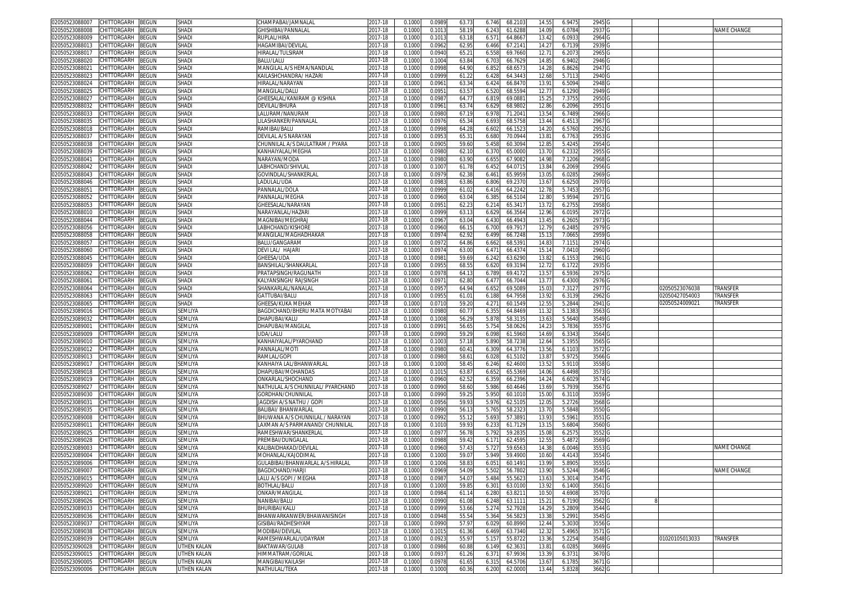| 02050523088007                                     | CHITTORGARH       | <b>BEGUN</b> | SHADI                      | CHAMPABAI/JAMNALAI                | 2017-18            | 0.1000           | 0.0989           | 63.7          | 6.746          | 68.210             | 14.55             | 6.947            | 2945             |                |             |
|----------------------------------------------------|-------------------|--------------|----------------------------|-----------------------------------|--------------------|------------------|------------------|---------------|----------------|--------------------|-------------------|------------------|------------------|----------------|-------------|
| 02050523088008                                     | CHITTORGARH       | <b>BEGUN</b> | <b>SHADI</b>               | <b>GHISHIBAI/PANNALAI</b>         | 017-18             | 0.100            | 0.101            | 58.1          | 6.243          | 61.628             | 14.09             | 6.078            | 2937             |                | NAME CHANGE |
| 02050523088009                                     | CHITTORGARH       | BEGUN        | <b>SHADI</b>               | RUPLAL/HIRA                       | 2017-18            | 0.1000           | 0.101            | 63.1          | 6.57           | 64.866             | 13.42             | 6.093            | 2964             |                |             |
|                                                    |                   |              |                            |                                   |                    |                  |                  |               |                |                    |                   |                  |                  |                |             |
| 02050523088013                                     | CHITTORGARH       | BEGUN        | <b>SHADI</b>               | HAGAMIBAI/DEVILAI                 | 2017-18            | 0.100            | 0.096            | 62.9          | 6.466          | 67.214             | 14.2              | 6.713            | 2939             |                |             |
| 02050523088017                                     | CHITTORGARH       | BEGUN        | SHADI                      | HIRALAL/TULSIRAM                  | 2017-18            | 0.100            | 0.0940           | 65.2          | 6.558          | 69.7660            | 12.71             | 6.207            | 2965             |                |             |
| 02050523088020                                     | CHITTORGARH       | BEGUN        | <b>SHADI</b>               | BALU/LALU                         | 2017-18            | 0.100            | 0.100            | 63.8          | 6.703          | 66.762             | 14.8              | 6.9402           | 2946             |                |             |
| 02050523088021                                     | CHITTORGARH       | <b>BEGUN</b> | <b>SHADI</b>               | MANGILAL A/S HEMA/NANDLAL         | 2017-18            | 0.100            | 0.099            | 64.9          | 6.85           | 68.657             | 14.2              | 6.862            | 2947             |                |             |
| 02050523088023                                     | CHITTORGARH       | BEGUN        | SHADI                      | KAILASHCHANDRA/ HAZARI            | 2017-18            | 0.1000           | 0.099            | 61.2          | 6.428          | 64.344             | 12.68             | 5.711            | 2940             |                |             |
| 02050523088024                                     | CHITTORGARH       | BEGUN        | <b>SHADI</b>               | HIRALAL/NARAYAN                   | 2017-18            | 0.100            | 0.096            | 63.3          | 6.42           | 66.847             | $13.9^{o}$        | 6.509            | 2948             |                |             |
| 02050523088025                                     | CHITTORGARH       | BEGUN        | <b>SHADI</b>               | <b>MANGILAL/DALU</b>              | 2017-18            | 0.100            | 0.095            | 63.5          | 6.520          | 68.559             | 12.7              | 6.129            | 2949             |                |             |
|                                                    |                   |              |                            |                                   |                    |                  |                  |               |                |                    |                   |                  |                  |                |             |
| 02050523088027                                     | CHITTORGARH       | BEGUN        | <b>SHADI</b>               | SHEESALAL/KANIRAM @ KISHNA        | 2017-18            | 0.100            | 0.098            | 64.7          | 6.81           | 69.088             | 15.2              | 7.375            | 2950             |                |             |
| 02050523088032                                     | CHITTORGARH       | BEGUN        | <b>SHADI</b>               | DEVILAL/BHURA                     | 2017-18            | 0.1000           | 0.096            | 63.7          | 6.629          | 68.980             | 12.86             | 6.2096           | 2951             |                |             |
| 02050523088033                                     | CHITTORGARH       | BEGUN        | SHAD                       | LALURAM/NANURAM                   | 2017-18            | 0.100            | 0.098            | 67.1          | 6.97           | 71.204             | 13.5              | 6.748            | 2966             |                |             |
| 02050523088035                                     | CHITTORGARH       | <b>EGUN</b>  | SHAD                       | .ILASHANKER/PANNALAI              | 2017-18            | 0.100            | 0.097            | 65.3          | 6.693          | 68.575             | 13.44             | 6.451            | 2967             |                |             |
| 02050523088018                                     | CHITTORGARH       | EGUN         | SHAD                       | RAMIBAI/BALU                      | 2017-18            | 0.100            | 0.099            | 64.2          | 6.60           | 66.152             | 14.2              | 6.576            | 2952             |                |             |
| 02050523088037                                     | CHITTORGARH       | <b>EGUN</b>  | <b>SHADI</b>               | DEVILAL A/S NARAYAN               | 2017-18            | 0.1000           | 0.095            | 65.3          | 6.680          | 70.094             | $13.8^{\circ}$    | 6.776            | 2953             |                |             |
|                                                    |                   |              |                            |                                   |                    |                  |                  |               |                |                    |                   |                  |                  |                |             |
| 02050523088038                                     | CHITTORGARH       | <b>BEGUN</b> | <b>SHADI</b>               | CHUNNILAL A/S DAULATRAM / PYARA   | 2017-18            | 0.100            | 0.090            | 59.6          | 5.45           | 60.309             | 12.8              | 5.424            | 2954             |                |             |
| 02050523088039                                     | CHITTORGARH       | <b>EGUN</b>  | SHAD                       | KANHAIYALAL/MEGHA                 | 017-18             | 0.100            | 0.098            | 62.1          | 6.37           | 65.000             | 13.7              | 6.233            | 2955             |                |             |
| 0205052308804                                      | CHITTORGARH       | EGUN         | SHAD                       | NARAYAN/MODA                      | 2017-18            | 0.100            | 0.098            | 63.9          | 6.65           | 67.908             | 14.9              | 7.1206           | 2968             |                |             |
| 02050523088042                                     | <b>HITTORGARH</b> | EGUN         | SHADI                      | LABHCHAND/SHIVLAL                 | 2017-18            | 0.100            | 0.100            | 61.7          | 6.45           | 64.07              | 13.84             | 6.2069           | 2956             |                |             |
| 02050523088043                                     | CHITTORGARH       | EGUN         | SHADI                      | GOVINDLAL/SHANKERLAL              | 017-18             | 0.100            | 0.097            | 62.3          | 6.46           | 65.995             | 13.0              | 6.028            | 2969             |                |             |
| 02050523088046                                     | CHITTORGARH       |              | SHADI                      |                                   |                    |                  | 0.098            | 63.8          |                |                    |                   | 6.625            | 2970             |                |             |
|                                                    |                   | EGUN         |                            | LADULAL/UDA                       | 2017-18            | 0.100            |                  |               | 6.806          | 69.237             | 13.6              |                  |                  |                |             |
| 0205052308805                                      | CHITTORGARH       | EGUN         | SHADI                      | <b>PANNALAL/DOLA</b>              | 017-18             | 0.100            | 0.099            | 61.0          | 6.41           | 64.224             | 12.7              | 5.745            | 2957             |                |             |
| 02050523088052                                     | CHITTORGARH       | <b>BEGUN</b> | SHADI                      | PANNALAL/MEGHA                    | 2017-18            | 0.100            | 0.0960           | 63.0          | 6.385          | 66.510             | 12.80             | 5.9594           | 2971             |                |             |
| 02050523088053                                     | CHITTORGARH       | BEGUN        | SHADI                      | SHEESALAL/NARAYAN                 | 2017-18            | 0.100            | 0.095            | 62.2          | 6.21           | 65.341             | 13.72             | 6.275            | 2958             |                |             |
| 02050523088010                                     | CHITTORGARH       | BEGUN        | <b>SHADI</b>               | NARAYANLAL/HAZAR                  | 2017-18            | 0.100            | 0.0999           | 63.1          | 6.629          | 66.356             | 12.96             | 6.019            | 2972             |                |             |
| 02050523088044                                     | CHITTORGARH       | BEGUN        | SHADI                      | MAGNIBAI/MEGHRAJ                  | 2017-18            | 0.100            | 0.096            | 63.0          | 6.430          | 66.494             | 13.4              | 6.260            | 2973             |                |             |
| 02050523088056                                     | CHITTORGARH       | BEGUN        | SHADI                      | LABHCHAND/KISHORI                 | 2017-18            | 0.100            | 0.096            | 66.1          | 6.700          | 69.791             | 12.7 <sup>0</sup> | 6.248            | 2979             |                |             |
|                                                    |                   |              |                            |                                   |                    |                  |                  |               |                |                    |                   |                  |                  |                |             |
| 02050523088058                                     | CHITTORGARH       | BEGUN        | SHADI                      | MANGILAL/MAGHADHAKAR              | 2017-18            | 0.100            | 0.097            | 62.9          | 6.499          | 66.724             | 15.13             | 7.066            | 2959             |                |             |
| 02050523088057                                     | CHITTORGARH       | BEGUN        | <b>SHADI</b>               | BALU/GANGARAM                     | 2017-18            | 0.100            | 0.097            | 64.8          | 6.66           | 68.539             | 14.8              | 7.115'           | 2974             |                |             |
| 02050523088060                                     | CHITTORGARH       | BEGUN        | SHADI                      | DEVI LAL/ HAJARI                  | 2017-18            | 0.100            | 0.097            | 63.0          | 6.47           | 66.437             | 15.14             | 7.041            | 2960             |                |             |
| 02050523088045                                     | CHITTORGARH       | BEGUN        | <b>SHADI</b>               | GHEESA/UDA                        | 2017-18            | 0.100            | 0.098            | 59.6          | 6.24           | 63.629             | 13.8              | 6.155            | 2961             |                |             |
| 02050523088059                                     | CHITTORGARH       | BEGUN        | <b>SHADI</b>               | BANSHILAL/SHANKARLAI              | 2017-18            | 0.100            | 0.095            | 68.5          | 6.620          | 69.319             | 12.72             | 6.1722           | 2935             |                |             |
| 02050523088062                                     | CHITTORGARH       | <b>BEGUN</b> | <b>SHADI</b>               | PRATAPSINGH/RAGUNATH              | 2017-18            | 0.100            | 0.097            | 64.1          | 6.78           | 69.417             | 13.5              | 6.593            | 2975             |                |             |
|                                                    |                   |              |                            |                                   |                    |                  |                  |               |                |                    |                   |                  |                  |                |             |
| 02050523088061                                     | CHITTORGARH       | BEGUN        | <b>SHADI</b>               | KALYANSINGH/ RAJSINGH             | 2017-18            | 0.100            | 0.097            | 62.8          | 6.47           | 66.704             | 13.7              | 6.430            | 2976             |                |             |
| 02050523088064                                     | CHITTORGARH       | BEGUN        | <b>SHADI</b>               | SHANKARLAL/NANALAI                | 2017-18            | 0.100            | 0.095            | 64.9          | 6.65           | 69.508             | 15.0              | 7.312            | 2977             | 02050523076038 | TRANSFER    |
| 02050523088063                                     | CHITTORGARH       | <b>BEGUN</b> | <b>SHADI</b>               | <b>GATTUBAI/BALU</b>              | 2017-18            | 0.100            | 0.095            | 61.0          | 6.188          | 64.795             | 13.92             | 6.313            | 2962             | )2050427054003 | TRANSFER    |
| 02050523088065                                     |                   |              |                            |                                   |                    |                  |                  |               |                |                    |                   |                  |                  |                |             |
|                                                    | CHITTORGARH       |              | SHADI                      |                                   | 2017-18            | 0.100            | 0.071            | 59.2          |                |                    |                   |                  |                  |                | TRANSFER    |
|                                                    |                   | EGUN         |                            | SHEESA/KUKA MEHAR                 |                    |                  |                  |               | 4.27           | 60.154             | 12.5              | 5.284            | 2941             | 205052400902   |             |
| 02050523089016                                     | CHITTORGARH       | <b>EGUN</b>  | <b>SEMLIYA</b>             | BAGDICHAND/BHERU MATA MOTYABAI    | 017-18             | 0.100            | 0.098            | 60.7          | 6.35           | 64.846             | 11.3              | 5.1383           | 3563             |                |             |
| 02050523089032                                     | CHITTORGARH       | <b>BEGUN</b> | SEMLIYA                    | DHAPUBAI/KALU                     | 2017-18            | 0.100            | 0.100            | 56.2          | 5.87           | 58.313             | 13.6              | 5.564            | 3549             |                |             |
| 02050523089001                                     | CHITTORGARH       | <b>EGUN</b>  | SEMLIYA                    | DHAPUBAI/MANGILAI                 | 017-18             | 0.100            | 0.099            | 56.6          | 5.754          | 58.062             | 14.2              | 5.783            | 3557             |                |             |
| 02050523089009                                     | CHITTORGARH       | <b>BEGUN</b> | SEMLIYA                    | UDA/LALU                          | 2017-18            | 0.100            | 0.099            | 59.2          | 6.098          | 61.596             | 14.6              | 6.334            | 3564             |                |             |
| 02050523089010                                     | CHITTORGARH       | EGUN         | SEMLIYA                    | KANHAIYALAL/PYARCHAND             | 2017-18            | 0.100            | 0.100            | 57.1          | 5.890          | 58.723             | 12.64             | 5.195            | 3565             |                |             |
| 02050523089012                                     | CHITTORGARH       | EGUN         | SEMLIYA                    |                                   | 017-18             | 0.100            | 0.098            | 60.4          | 6.30           | 64.377             | 13.56             | 6.110            |                  |                |             |
|                                                    |                   |              |                            | ANNALAL/MOTI                      |                    |                  |                  |               |                |                    |                   |                  | 3572             |                |             |
| 02050523089013                                     | CHITTORGARH       | EGUN         | SEMLIYA                    | RAMLAL/GOPI                       | 2017-18            | 0.100            | 0.0980           | 58.6          | 6.028          | 61.510             | 13.8              | 5.972            | 3566             |                |             |
| 0205052308901                                      | CHITTORGARH       | EGUN         | SEMLIYA                    | <b>KANHAIYA LAL/BHANWARLAL</b>    | 017-18             | 0.100            | 0.100            | 58.4          | 6.246          | 62.460             | 13.5              | 5.911            | 3558             |                |             |
| 02050523089018                                     | CHITTORGARH       | EGUN         | SEMLIYA                    | DHAPUBAI/MOHANDAS                 | 2017-18            | 0.100            | 0.101            | 63.8          | 6.652          | 65.536             | 14.06             | 6.4498           | 3573             |                |             |
| 02050523089019                                     | CHITTORGARH       | EGUN         | SEMLIYA                    | ONKARLAL/SHOCHAND                 | 2017-18            | 0.100            | 0.096            | 62.5          | 6.35           | 66.239             | 14.24             | 6.6029           | 3574             |                |             |
| 02050523089027                                     | CHITTORGARH       | BEGUN        | SEMLIYA                    | NATHULAL A/S CHUNNILAL/ PYARCHAND | 2017-18            | 0.1000           | 0.0990           | 58.6          | 5.986          | 60.464             | 13.69             | 5.793            | 3567             |                |             |
| 02050523089030                                     | CHITTORGARH       | BEGUN        | SEMLIYA                    | GORDHAN/CHUNNILAI                 | 2017-18            | 0.100            | 0.0990           | 59.2          | 5.950          | 60.101             | 15.00             | 6.311            | 3559             |                |             |
| 02050523089031                                     | CHITTORGARH       | BEGUN        | SEMLIYA                    | IAGDISH A/S NATHU / GOPI          | 2017-18            | 0.100            | 0.095            | 59.9          | 5.976          |                    |                   | 5.272            | 3568             |                |             |
|                                                    |                   |              |                            |                                   |                    |                  |                  |               |                | 62.510             | 12.05             |                  |                  |                |             |
| 02050523089035                                     | CHITTORGARH       | BEGUN        | SEMLIYA                    | BALIBAI/ BHANWARLAL               | 2017-18            | 0.100            | 0.0990           | 56.1          | 5.76           | 58.232             | 13.70             | 5.584            | 3550             |                |             |
| 02050523089008                                     | CHITTORGARH       | BEGUN        | SEMLIYA                    | BHUWANA A/S CHUNNILAL / NARAYAN   | 2017-18            | 0.100            | 0.099            | 55.1          | 5.69           | 57.389             | 13.93             | 5.596            | 3551             |                |             |
| 02050523089011                                     | CHITTORGARH       | BEGUN        | SEMLIYA                    | AXMAN A/S PARMANAND/ CHUNNILAL    | 2017-18            | 0.1000           | 0.1010           | 59.9          | 6.233          | 61.712             | 13.15             | 5.680            | 3560             |                |             |
| 02050523089025                                     | CHITTORGARH       | <b>BEGUN</b> | <b>SEMLIYA</b>             | RAMESHWAR/SHANKERLAI              | 2017-18            | 0.100            | 0.097            | 56.7          | 5.792          | 59.283             | 15.08             | 6.257            | 3552             |                |             |
| 02050523089028                                     | CHITTORGARH       | 3EGUN        | SEMLIYA                    | PREMBAI/DUNGALAI                  | 2017-18            | 0.100            | 0.098            | 59.4          | 6.17           | 62.459             | 12.5              | 5.487            | 3569             |                |             |
|                                                    | CHITTORGARH       |              | SEMLIYA                    |                                   | 2017-18            | 0.100            |                  |               |                |                    |                   |                  |                  |                |             |
| 02050523089003<br>02050523089004                   |                   | <b>BEGUN</b> |                            | KALIBAIDHAKAD/DEVILAI             |                    |                  | 0.096            | 57.4          | 5.72           | 59.656             | 14.3              | 6.004            | 355              |                | NAME CHANGE |
|                                                    | CHITTORGARH       | BEGUN        | SEMLIYA                    | VIOHANLAL/KAJODIMAL               | 2017-18            | 0.100            | 0.100            | 59.0          | 5.949          | 59.490             | 10.60             | 4.414            | 3554             |                |             |
| 02050523089006                                     | CHITTORGARH       | <b>BEGUN</b> | SEMLIYA                    | GULABIBAI/BHANWARLAL A/S HIRALAL  | 2017-18            | 0.100            | 0.100            | 58.8          | 6.05           | 60.149             | 13.99             | 5.890            | 3555             |                |             |
| 02050523089007 CHITTORGARH BEGUN                   |                   |              | SEMLIYA                    | BAGDICHAND/HARJI                  | 2017-18            | 0.1000           | 0.0969           | 54.09         | 5.502          | 56.780.            | 13.90             | 5.524            | 3546             |                | NAME CHANGE |
| 02050523089015                                     | CHITTORGARH BEGUN |              | SEMLIYA                    | LALU A/S GOPI / MEGHA             | 2017-18            | 0.1000           | 0.098            | 54.0          | 5.484          | 55.562             | 13.63             | 5.301            | 3547             |                |             |
| 02050523089020                                     | CHITTORGARH BEGUN |              | SEMLIYA                    | BOTHLAL/BALU                      | 2017-18            | 0.1000           | 0.1000           | 59.8          | 6.301          | 63.010             | 13.92             | 6.1400           | 3561             |                |             |
|                                                    | CHITTORGARH       |              |                            |                                   |                    | 0.1000           | 0.098            |               |                |                    |                   |                  |                  |                |             |
| 02050523089021                                     |                   | <b>BEGUN</b> | SEMLIYA                    | ONKAR/MANGILAL                    | 2017-18            |                  |                  | 61.14         | 6.280          | 63.821             | 10.50             | 4.690            | 3570             |                |             |
| 02050523089026                                     | CHITTORGARH       | <b>BEGUN</b> | SEMLIYA                    | NANIBAI/BALU                      | 2017-18            | 0.1000           | 0.0990           | 61.08         | 6.248          | 63.111             | 15.21             | 6.7190           | 3562             |                |             |
| 02050523089033                                     | CHITTORGARH       | BEGUN        | SEMLIYA                    | BHURIBAI/KALU                     | 2017-18            | 0.1000           | 0.099            | 53.66         | 5.274          | 52.792             | 14.29             | 5.2809           | 3544             |                |             |
| 02050523089036                                     | CHITTORGARH       | BEGUN        | SEMLIYA                    | BHANWARKANWER/BHAWANISINGH        | 2017-18            | 0.1000           | 0.0948           | 55.54         | 5.364          | 56.582             | 13.38             | 5.2991           | 3545             |                |             |
| 02050523089037                                     | CHITTORGARH       | <b>BEGUN</b> | SEMLIYA                    | GISIBAI/RADHESHYAM                | 2017-18            | 0.100            | 0.0990           | 57.9          | 6.029          | 60.899             | 12.44             | 5.303            | 3556             |                |             |
| 02050523089038                                     | CHITTORGARH       | BEGUN        | SEMLIYA                    | MODIBAI/DEVILAL                   | 2017-18            | 0.1000           | 0.1015           | 61.36         | 6.469          | 63.7340            | 12.32             | 5.4965           | 3571             |                |             |
|                                                    |                   | BEGUN        |                            | RAMESHWARLAL/UDAYRAM              |                    |                  | 0.092            |               |                |                    |                   |                  |                  |                | TRANSFER    |
| 02050523089039                                     | CHITTORGARH       |              | SEMLIYA                    |                                   | 2017-18            | 0.1000           |                  | 55.9          | 5.15           | 55.872             | 13.36             | 5.2254           | 3548             | 01020105013033 |             |
| 02050523090028                                     | CHITTORGARH       | BEGUN        | <b>UTHEN KALAN</b>         | BAKTAWAR/GULAB                    | 2017-18            | 0.1000           | 0.0986           | 60.8          | 6.149          | 62.363             | 13.81             | 6.0285           | 3669             |                |             |
| 02050523090015                                     | CHITTORGARH       | BEGUN        | UTHEN KALAN                | HIMMATRAM/GORILAL                 | 2017-18            | 0.1000           | 0.093            | 61.2          | 6.37           | 67.993             | 13.39             | 6.3731           | 3670             |                |             |
| 02050523090005<br>02050523090006 CHITTORGARH BEGUN | CHITTORGARH       | <b>BEGUN</b> | UTHEN KALAN<br>UTHEN KALAN | MANGIBAI/KAILASH<br>NATHULAL/TEKA | 2017-18<br>2017-18 | 0.1000<br>0.1000 | 0.0978<br>0.1000 | 61.6<br>60.36 | 6.315<br>6.200 | 64.5706<br>62.0000 | 13.67<br>13.44    | 6.1785<br>5.8328 | 3671 G<br>3662 G |                |             |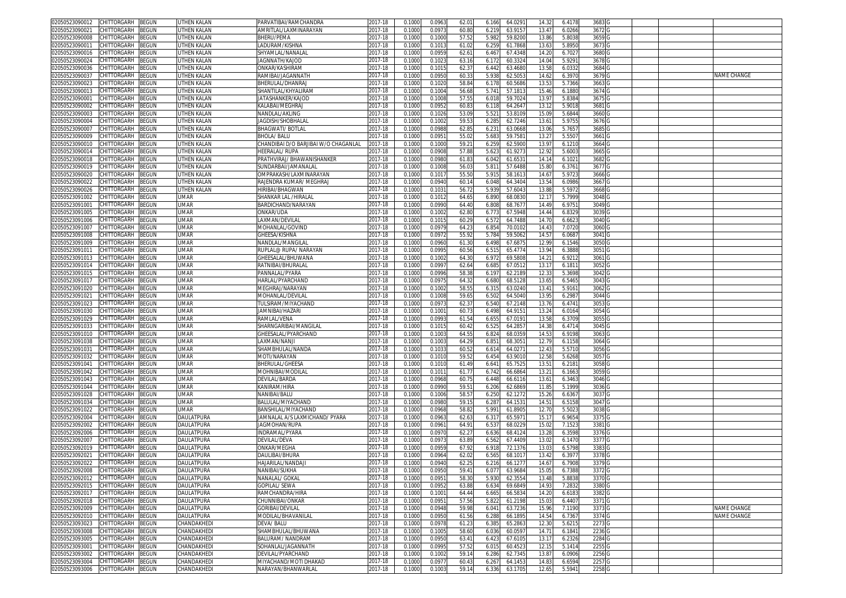| 02050523090012                    | CHITTORGARH        | <b>BEGUN</b> | UTHEN KALAN        | PARVATIBAI/RAMCHANDRA                | 2017-18     | 0.1000 | 0.096  | 62.01 | 6.166 | 64.029  | 14.32          | 6.4178 | 3683 G            |  |             |
|-----------------------------------|--------------------|--------------|--------------------|--------------------------------------|-------------|--------|--------|-------|-------|---------|----------------|--------|-------------------|--|-------------|
| 2050523090021                     | CHITTORGARH        | BEGUN        | UTHEN KALAN        | AMRITLAL/LAXMINARAYAN                | 2017-18     | 0.100  | 0.097  | 60.8  | 6.219 | 63.915  | 13.47          | 6.0266 | 3672 G            |  |             |
| 02050523090008                    | CHITTORGARH        |              | UTHEN KALAN        |                                      |             | 0.1000 | 0.100  | 57.5  | 5.982 | 59.820  | 13.86          | 5.8038 | 3659              |  |             |
|                                   |                    | 3EGUN        |                    | BHERU/PEMA                           | 2017-18     |        |        |       |       |         |                |        |                   |  |             |
| 2050523090011                     | CHITTORGARH        | BEGUN        | UTHEN KALAN        | .ADURAM/KISHNA                       | 2017-18     | 0.100  | 0.101  | 61.0  | 6.259 | 61.786  | 13.63          | 5.8950 | 3673              |  |             |
| )2050523090016                    | CHITTORGARH        | <b>BEGUN</b> | UTHEN KALAN        | SHYAMLAL/NANALA                      | 2017-18     | 0.100  | 0.095  | 62.6  | 6.467 | 67.434  | 14.20          | 6.7027 | 3680              |  |             |
| 2050523090024                     | CHITTORGARH        | <b>BEGUN</b> | UTHEN KALAN        | JAGNNATH/KAJOD                       | 2017-18     | 0.100  | 0.102  | 63.1  | 6.172 | 60.332  | 14.04          | 5.9291 | 3678              |  |             |
| 12050523090036                    | CHITTORGARH        | <b>EGUN</b>  | <b>UTHEN KALAN</b> | ONKAR/KASHIRAM                       | 2017-18     | 0.100  | 0.101  | 62.3  | 6.442 | 63.468  | 13.5           | 6.033  | 3684              |  |             |
| 2050523090037                     | CHITTORGARH        | <b>BEGUN</b> | UTHEN KALAN        | RAMIBAI/JAGANNATH                    | 2017-18     | 0.1000 | 0.095  | 60.3  | 5.938 | 62.505  | 14.62          | 6.3970 | 3679              |  | NAME CHANGE |
|                                   | CHITTORGARH        |              | <b>UTHEN KALAN</b> |                                      |             | 0.100  |        | 58.8  |       |         | 13.5           |        |                   |  |             |
| 02050523090023                    |                    | <b>BEGUN</b> |                    | BHERULAL/DHANRA                      | 2017-18     |        | 0.102  |       | 6.17  | 60.568  |                | 5.7366 | 3663              |  |             |
| 2050523090013                     | CHITTORGARH        | <b>EGUN</b>  | UTHEN KALAN        | SHANTII AI /KHYAI IRAM               | 2017-18     | 0.100  | 0.100  | 56.6  | 5.74  | 57.181  | 15.46          | 6.1880 | 3674              |  |             |
| 0205052309000                     | CHITTORGARH        | <b>EGUN</b>  | <b>UTHEN KALAN</b> | JATASHANKER/KAJOD                    | 2017-18     | 0.1000 | 0.100  | 57.5  | 6.01  | 59.702  | 13.9           | 5.8384 | 3675              |  |             |
| 02050523090002                    | CHITTORGARH        | <b>BEGUN</b> | UTHEN KALAN        | KALABAI/MEGHRAJ                      | 2017-18     | 0.1000 | 0.095  | 60.8  | 6.118 | 64.264  | 13.12          | 5.9018 | 3681              |  |             |
| 02050523090003                    | CHITTORGARH        | <b>BEGUN</b> | UTHEN KALAN        | NANDLAL/AKLING                       | $2017 - 18$ | 0.100  | 0.102  | 53.0  | 5.52  | 53.810  | 15.0           | 5.6844 | 3660              |  |             |
| 2050523090004                     | CHITTORGARH        | <b>BEGUN</b> | UTHEN KALAN        | JAGDISH/SHOBHALAI                    | 2017-18     | 0.1000 | 0.100  | 59.5  | 6.285 | 62.724  | 13.61          | 5.975  | 3676              |  |             |
| 0205052309000                     | CHITTORGARH        | EGUN         | UTHEN KALAN        | <b>BHAGWATI/BOTLAL</b>               | 2017-18     | 0.100  | 0.098  | 62.8  | 6.23  | 63.066  | 13.06          | 5.7657 | 3685              |  |             |
|                                   | CHITTORGARH        | <b>EGUN</b>  |                    | <b>BHOLA/BALU</b>                    | 2017-18     | 0.1000 | 0.095  |       |       |         |                |        |                   |  |             |
| 2050523090009                     |                    |              | UTHEN KALAN        |                                      |             |        |        | 55.0  | 5.683 | 59.758  | 13.2           | 5.5507 | 3661              |  |             |
| 02050523090010                    | CHITTORGARH        | <b>EGUN</b>  | UTHEN KALAN        | CHANDIBAI D/O BARJIBAI W/O CHAGANLAL | 2017-18     | 0.100  | 0.100  | 59.2  | 6.25  | 62.590  | 13.97          | 6.121  | 3664              |  |             |
| 02050523090014                    | CHITTORGARH        | <b>BEGUN</b> | UTHEN KALAN        | HEERALAL/RUPA                        | 2017-18     | 0.100  | 0.090  | 57.8  | 5.62  | 61.927  | 12.92          | 5.6003 | 3665              |  |             |
| 02050523090018                    | <b>CHITTORGARH</b> | <b>BEGUN</b> | UTHEN KALAN        | PRATHVIRAJ/ BHAWANISHANKER           | 2017-18     | 0.100  | 0.098  | 61.8  | 6.042 | 61.653  | 14.1           | 6.102  | 3682              |  |             |
| 02050523090019                    | CHITTORGARH        | <b>EGUN</b>  | UTHEN KALAN        | SUNDARBAI/JAMANALAI                  | 2017-18     | 0.100  | 0.100  | 56.0  | 5.81  | 57.648  | 15.80          | 6.376  | 3677              |  |             |
| 2050523090020                     | :HITTORGARH        | <b>EGUN</b>  | UTHEN KALAN        | )MPRAKASH/LAXMINARAYAN               | 2017-18     | 0.100  | 0.101  | 55.5  | 5.91  | 58.161  | 14.6           | 5.9723 | 3666              |  |             |
| )2050523090022                    | <b>CHITTORGARH</b> | <b>BEGUN</b> | UTHEN KALAN        | RAJENDRA KUMAR/ MEGHRAJ              | 2017-18     | 0.100  | 0.094  | 60.1  | 6.048 | 64.340  | 13.54          | 6.0986 | 3667              |  |             |
| 02050523090026                    | <b>CHITTORGARH</b> | BEGUN        | UTHEN KALAN        | <b>HIRIBAI/BHAGWAN</b>               | 2017-18     | 0.100  | 0.103  | 56.7  | 5.93  | 57.604  | 13.88          | 5.5972 | 3668              |  |             |
|                                   | CHITTORGARH        | BEGUN        | <b>UMAR</b>        |                                      | 2017-18     |        | 0.101  |       | 6.890 |         |                | 5.7999 | 3048              |  |             |
| 02050523091002                    |                    |              |                    | SHANKAR LAL /HIRALAL                 |             | 0.1000 |        | 64.6  |       | 68.083  | 12.17          |        |                   |  |             |
| 2050523091001                     | CHITTORGARH        | BEGUN        | <b>UMAR</b>        | BARDICHAND/NARAYAN                   | 2017-18     | 0.100  | 0.0990 | 64.4  | 6.808 | 68.767  | 14.49          | 6.9751 | 3049              |  |             |
| )2050523091005                    | CHITTORGARH        | 3EGUN        | <b>UMAR</b>        | onkar/uda                            | 2017-18     | 0.100  | 0.100  | 62.8  | 6.773 | 67.594  | 14.44          | 6.8329 | 3039              |  |             |
| 2050523091006                     | CHITTORGARH        | BEGUN        | UMAR               | LAXMAN/DEVILAL                       | 2017-18     | 0.100  | 0.101! | 60.2  | 6.572 | 64.748  | 14.70          | 6.6623 | 3040 <sub>G</sub> |  |             |
| )2050523091007                    | CHITTORGARH        | BEGUN        | <b>UMAR</b>        | MOHANLAL/GOVIND                      | 2017-18     | 0.100  | 0.097  | 64.2  | 6.854 | 70.010  | 14.43          | 7.0720 | 3060              |  |             |
| 2050523091008                     | CHITTORGARH        | 3EGUN        | UMAR               | GHEESA/KISHNA                        | 2017-18     | 0.100  | 0.097  | 55.9  | 5.784 | 59.506  | 14.5           | 6.0687 | 3041              |  |             |
| 02050523091009                    | CHITTORGARH        | ፧EGUN        | <b>UMAR</b>        | NANDLAL/MANGILAI                     | 2017-18     | 0.100  | 0.096  | 61.3  | 6.498 | 67.687  | 12.99          | 6.1546 | 3050              |  |             |
| 2050523091011                     | CHITTORGARH        | <b>EGUN</b>  | UMAR               | RUPLAL@ RUPA/ NARAYAN                | 2017-18     | 0.100  | 0.099  | 60.5  |       |         | 13.94          | 6.3888 |                   |  |             |
|                                   |                    |              |                    |                                      |             |        |        |       | 6.515 | 65.4774 |                |        | 3051              |  |             |
| 02050523091013                    | CHITTORGARH        | <b>BEGUN</b> | <b>UMAR</b>        | GHEESALAL/BHUWANA                    | 2017-18     | 0.100  | 0.100  | 64.3  | 6.97  | 69.580  | $14.2^{\circ}$ | 6.921  | 3061              |  |             |
| 2050523091014                     | CHITTORGARH        | <b>BEGUN</b> | <b>UMAR</b>        | RATNIBAI/BHURALAI                    | 2017-18     | 0.100  | 0.099  | 62.6  | 6.685 | 67.051  | 13.17          | 6.1811 | 3052              |  |             |
| 02050523091015                    | CHITTORGARH        | <b>EGUN</b>  | <b>UMAR</b>        | PANNALAL/PYARA                       | 2017-18     | 0.1000 | 0.099  | 58.3  | 6.19  | 62.218  | 12.3           | 5.3698 | 3042              |  |             |
| 2050523091017                     | CHITTORGARH        | <b>BEGUN</b> | UMAR               | <b>HARLAL/PYARCHAND</b>              | 2017-18     | 0.1000 | 0.097  | 64.3  | 6.680 | 68.512  | 13.65          | 6.5465 | 3043              |  |             |
| 02050523091020                    | CHITTORGARH        | <b>BEGUN</b> | <b>UMAR</b>        | MEGHRAJ/NARAYAN                      | 2017-18     | 0.100  | 0.100  | 58.5  | 6.31  | 63.024  | 13.41          | 5.916  | 3062              |  |             |
| 2050523091021                     | CHITTORGARH        | ፡EGUN        | UMAR               | <b>MOHANLAL/DEVILA</b>               | 2017-18     | 0.1000 | 0.100  | 59.6  | 6.502 | 64.504  | 13.95          | 6.2987 | 3044              |  |             |
| 02050523091023                    | CHITTORGARH        | ፡EGUN        | <b>UMAR</b>        | TULSIRAM/MIYACHAND                   | 2017-18     | 0.1000 | 0.097  | 62.3  | 6.540 | 67.214  | 13.7           | 6.4741 | 3053              |  |             |
|                                   |                    |              |                    |                                      |             |        |        |       |       |         |                |        |                   |  |             |
| 2050523091030                     | CHITTORGARH        | <b>EGUN</b>  | UMAR               | JAMNIBAI/HAZARI                      | 2017-18     | 0.1000 | 0.100  | 60.7  | 6.498 | 64.915  | 13.24          | 6.0164 | 3054              |  |             |
| 02050523091029                    | CHITTORGARH        | ፡EGUN        | <b>UMAR</b>        | RAMLAL/VENA                          | 2017-18     | 0.100  | 0.099  | 61.5  | 6.65  | 67.019  | 13.5           | 6.3709 | 3055              |  |             |
| 2050523091033                     | CHITTORGARH        | ፡EGUN        | UMAR               | SHARNGARIBAI/MANGILA                 | 2017-18     | 0.1000 | 0.101  | 60.4  | 6.52  | 64.285  | 14.3           | 6.4714 | 3045              |  |             |
| 02050523091010                    | CHITTORGARH        | <b>EGUN</b>  | <b>UMAR</b>        | GHEESALAL/PYARCHAND                  | 2017-18     | 0.100  | 0.100  | 64.5  | 6.82  | 68.035  | 14.5           | 6.9198 | 3063              |  |             |
| 02050523091038                    | CHITTORGARH        | <b>BEGUN</b> | UMAR               | LAXMAN/NANJI                         | 2017-18     | 0.1000 | 0.100  | 64.2  | 6.85  | 68.305  | 12.79          | 6.1158 | 3064              |  |             |
| 2050523091031                     | CHITTORGARH        | <b>BEGUN</b> | UMAR               | SHAMBHULAL/NANDA                     | 2017-18     | 0.100  | 0.103  | 60.5  | 6.61  | 64.027  | 12.4           | 5.5710 | 3056              |  |             |
| )2050523091032                    | CHITTORGARH        | ፧EGUN        | UMAR               | MOTI/NARAYAN                         | 2017-18     | 0.1000 | 0.101  | 59.5  | 6.454 | 63.901  | 12.58          | 5.6268 | 3057              |  |             |
|                                   |                    |              | UMAR               |                                      |             |        |        | 61.4  |       | 65.752  |                |        |                   |  |             |
| 205052309104                      | :HITTORGARH        | ፡EGUN        |                    | BHERULAL/GHEESA                      | 2017-18     | 0.100  | 0.101  |       | 6.64  |         | 13.5           | 6.2181 | 3058              |  |             |
| )2050523091042                    | CHITTORGARH        | <b>BEGUN</b> | UMAR               | MOHNIBAI/MODILAI                     | 2017-18     | 0.100  | 0.101  | 61.7  | 6.742 | 66.686  | 13.21          | 6.1663 | 3059              |  |             |
| 2050523091043                     | CHITTORGARH        | BEGUN        | <b>UMAR</b>        | DEVILAL/BARDA                        | 2017-18     | 0.1000 | 0.0968 | 60.7  | 6.448 | 66.6116 | 13.61          | 6.3463 | 3046              |  |             |
| )2050523091044                    | CHITTORGARH        | <b>BEGUN</b> | <b>UMAR</b>        | KANIRAM/HIRA                         | 2017-18     | 0.100  | 0.0990 | 59.5  | 6.206 | 62.686  | 11.85          | 5.1999 | 3036              |  |             |
| 2050523091028                     | CHITTORGARH        | <b>BEGUN</b> | UMAR               | NANIBAI/BALU                         | 2017-18     | 0.100  | 0.100( | 58.5  | 6.250 | 62.127  | 15.26          | 6.6367 | 3037              |  |             |
| )2050523091034                    | CHITTORGARH        | <b>BEGUN</b> | <b>UMAR</b>        | BALULAL/MIYACHAND                    | 2017-18     | 0.100  | 0.098  | 59.1  | 6.287 | 64.153  | 14.51          | 6.5158 | 3047              |  |             |
| 2050523091022                     | CHITTORGARH        | <b>BEGUN</b> | UMAR               | BANSHILAL/MIYACHAND                  | 2017-18     | 0.100  | 0.096  | 58.8  | 5.991 | 61.890  | 12.70          | 5.502  | 3038              |  |             |
| )2050523092004                    | CHITTORGARH        | ፧EGUN        | DAULATPURA         | JAMNALAL A/S LAXMICHAND/ PYARA       | 2017-18     | 0.100  | 0.096  | 62.6  | 6.31  | 65.597  | 15.1           | 6.9654 | 3375              |  |             |
|                                   | CHITTORGARH        |              | DAUI ATPURA        |                                      | 2017-18     |        | 0.096  |       |       |         | 15.02          |        | 3381              |  |             |
| 2050523092002                     |                    | <b>BEGUN</b> |                    | JAGMOHAN/RUPA                        |             | 0.1000 |        | 64.9  | 6.537 | 68.022  |                | 7.1523 |                   |  |             |
| 02050523092006                    | CHITTORGARH        | <b>BEGUN</b> | DAULATPURA         | INDRAMAL/PYARA                       | 2017-18     | 0.100  | 0.097  | 62.2  | 6.636 | 68.412  | 13.2           | 6.3598 | 3376              |  |             |
| 2050523092007                     | CHITTORGARH        | <b>EGUN</b>  | DAULATPURA         | )EVILAL/DEVA                         | 2017-18     | 0.1000 | 0.097  | 63.89 | 6.562 | 67.440  | 13.02          | 6.1470 | 3377              |  |             |
| )2050523092019                    | CHITTORGARH        | <b>EGUN</b>  | DAULATPURA         | ONKAR/MEGHA                          | 2017-18     | 0.100  | 0.095  | 67.9  | 6.91  | 72.137  | 13.03          | 6.5798 | 3383              |  |             |
| )2050523092021                    | CHITTORGARH        | BEGUN        | DAULATPURA         | DAULIBAI/BHURA                       | 2017-18     | 0.100  | 0.096  | 62.0  | 6.565 | 68.101  | 13.42          | 6.3977 | 3378              |  |             |
| 02050523092022                    | CHITTORGARH        | BEGUN        | <b>DAUI ATPURA</b> | HAJARILAL/NANDAJI                    | 2017-18     | 0.1000 | 0.094  | 62.2  | 6.21  | 66.127  | 14.6           | 6.7908 | 3379              |  |             |
| 102050523092008 CHILLORGARH BEGUN |                    |              | DAULATPURA         | NANIBAI/SUKHA                        | 2017-18     | 0.1000 | 0.0950 | 59.4  | 6.011 | 63.968  | 15.05          | 6.7388 | 337210            |  |             |
| 02050523092012                    | CHITTORGARH        | <b>BEGUN</b> | DAULATPURA         | NANALAL/ GOKAL                       | 2017-18     | 0.1000 | 0.095  | 58.3  | 5.930 | 62.3554 | 13.48          | 5.8838 | 3370 G            |  |             |
|                                   |                    |              | DAULATPURA         | GOPILAL/ SEWA                        |             |        |        |       |       |         | 14.93          |        | 3380              |  |             |
| 02050523092015                    | CHITTORGARH        | <b>BEGUN</b> |                    |                                      | 2017-18     | 0.1000 | 0.095  | 63.88 | 6.634 | 69.6849 |                | 7.2832 |                   |  |             |
| 02050523092017                    | <b>CHITTORGARH</b> | BEGUN        | DAULATPURA         | RAMCHANDRA/HIRA                      | 2017-18     | 0.1000 | 0.100  | 64.44 | 6.665 | 66.583  | 14.20          | 6.6183 | 3382              |  |             |
| 02050523092018                    | CHITTORGARH        | BEGUN        | DAULATPURA         | CHUNNIBAI/ONKAR                      | 2017-18     | 0.1000 | 0.095  | 57.56 | 5.822 | 61.2198 | 15.03          | 6.4407 | 3371              |  |             |
| 02050523092009                    | CHITTORGARH        | <b>BEGUN</b> | DAULATPURA         | GORIBAI/DEVILAL                      | 2017-18     | 0.1000 | 0.0948 | 59.9  | 6.041 | 63.723  | 15.96          | 7.1190 | 3373              |  | NAME CHANGE |
| 02050523092010                    | CHITTORGARH        | BEGUN        | DAULATPURA         | MODILAL/BHAVANILAL                   | 2017-18     | 0.1000 | 0.0950 | 61.56 | 6.288 | 66.1895 | 14.54          | 6.7367 | 3374 G            |  | NAME CHANGE |
| 02050523093023                    | CHITTORGARH        | BEGUN        | CHANDAKHEDI        | DEVA/BALU                            | 2017-18     | 0.1000 | 0.097  | 61.2  | 6.385 | 65.286  | 12.30          | 5.6215 | 2273              |  |             |
| 02050523093008                    | CHITTORGARH        | BEGUN        | CHANDAKHEDI        | SHAMBHULAL/BHUWANA                   | 2017-18     | 0.1000 | 0.1005 | 58.60 | 6.036 | 60.059  | 14.71          | 6.1841 | 2236              |  |             |
| 02050523093005                    | CHITTORGARH        | BEGUN        | CHANDAKHEDI        | BALURAM/NANDRAM                      | 2017-18     | 0.1000 | 0.0950 | 63.4  | 6.423 | 67.6105 | 13.17          | 6.2326 | 2284              |  |             |
| 02050523093001                    | CHITTORGARH        | BEGUN        | CHANDAKHEDI        |                                      |             |        | 0.0995 | 57.5  |       |         |                | 5.1414 |                   |  |             |
|                                   |                    |              |                    | SOHANLAL/JAGANNATH                   | 2017-18     | 0.1000 |        |       | 6.015 | 60.452  | 12.15          |        | 2255              |  |             |
| 02050523093002                    | CHITTORGARH        | BEGUN        | CHANDAKHEDI        | DEVILAL/PYARCHAND                    | 2017-18     | 0.1000 | 0.1002 | 59.1  | 6.286 | 62.734  | 13.87          | 6.0906 | 2256              |  |             |
| 02050523093004                    | CHITTORGARH        | <b>BEGUN</b> | CHANDAKHEDI        | MIYACHAND/MOTI DHAKAD                | 2017-18     | 0.1000 | 0.0977 | 60.4  | 6.267 | 64.1453 | 14.83          | 6.6594 | 2257 G            |  |             |
| 02050523093006 CHITTORGARH BEGUN  |                    |              | CHANDAKHEDI        | NARAYAN/BHANWARLAL                   | 2017-18     | 0.1000 | 0.1003 | 59.14 | 6.336 | 63.1705 | 12.65          | 5.5941 | 2258 G            |  |             |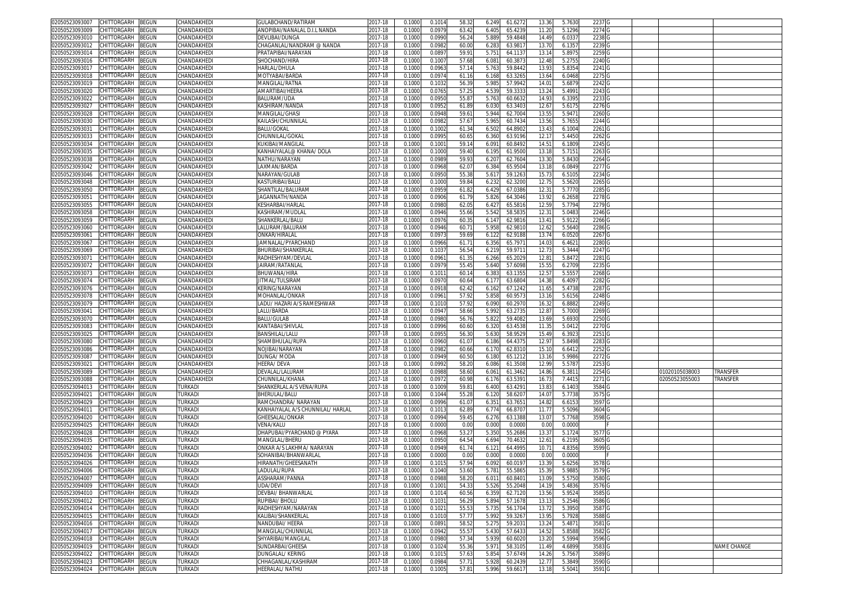| 02050523093007<br>CHITTORGARH<br>BEGUN        | CHANDAKHEDI           | GULABCHAND/RATIRAM                | 2017-18     | 0.1000 | 0.1014 | 58.32 | 61.627<br>6.249  | 13.36 | 5.7630           | 2237 G            |                |                    |
|-----------------------------------------------|-----------------------|-----------------------------------|-------------|--------|--------|-------|------------------|-------|------------------|-------------------|----------------|--------------------|
| 02050523093009<br>CHITTORGARH<br>BEGUN        | CHANDAKHEDI           | ANOPIBAI/NANALAL D.I.L NANDA      | 2017-18     | 0.1000 | 0.0979 | 63.42 | 6.405<br>65.423  | 11.20 | 5.1296           | 2274              |                |                    |
| CHITTORGARH<br>3EGUN<br>02050523093010        | CHANDAKHEDI           | DEVI IBAI/DUNGA                   | 2017-18     | 0.1000 | 0.0990 | 56.24 | 5.889<br>59.4848 | 14.49 | 6.033            | 2238              |                |                    |
| CHITTORGARH<br>BEGUN<br>02050523093012        | CHANDAKHEDI           | <b>CHAGANLAL/NANDRAM @ NANDA</b>  | 2017-18     | 0.1000 | 0.0982 | 60.00 | 63.981<br>6.283  | 13.7  | 6.1357           | 2239              |                |                    |
| 02050523093014<br>CHITTORGARH                 | CHANDAKHEDI           |                                   |             |        |        |       |                  |       |                  |                   |                |                    |
| BEGUN                                         |                       | PRATAPIBAI/NARAYAN                | 2017-18     | 0.100  | 0.089  | 59.9  | 5.751<br>64.113  | 13.1  | 5.897            | 2259              |                |                    |
| 02050523093016<br>CHITTORGARH<br>BEGUN        | CHANDAKHEDI           | SHOCHAND/HIRA                     | 2017-18     | 0.100  | 0.100  | 57.68 | 6.08<br>60.387   | 12.4  | 5.2755           | 2240              |                |                    |
| CHITTORGARH<br>02050523093017<br>3EGUN        | CHANDAKHEDI           | HARLAL/DHULA                      | 2017-18     | 0.100  | 0.096  | 57.1  | 59.844<br>5.763  | 13.9  | 5.8354           | 2241 G            |                |                    |
| 02050523093018<br>CHITTORGARH<br>3EGUN        | CHANDAKHEDI           | MOTYABAI/BARDA                    | 2017-18     | 0.100  | 0.097  | 61.1  | 63.326<br>6.168  | 13.64 | 6.0468           | 22750             |                |                    |
| 02050523093019<br>CHITTORGARH<br>3EGUN        | CHANDAKHEDI           | MANGILAL/RATNA                    | 017-18      | 0.100  | 0.103  | 56.3  | 57.994<br>5.98   | 14.0  | 5.687            | 2242              |                |                    |
| 02050523093020<br>CHITTORGARH<br>BEGUN        | CHANDAKHEDI           | AMARTIBAI/HEERA                   | 017-18      | 0.1000 | 0.076  | 57.2  | 4.53<br>59.333   | 13.24 | 5.4991           | 2243              |                |                    |
| 02050523093022<br>CHITTORGARH<br>3EGUN        | CHANDAKHEDI           | BALURAM/UDA                       | $2017 - 18$ | 0.100  | 0.095  | 55.8  | 5.763<br>60.663  | 14.9  | 6.3395           | 2233              |                |                    |
| 02050523093027<br>CHITTORGARH<br>BEGUN        | CHANDAKHEDI           | KASHIRAM/NANDA                    | 017-18      | 0.100  | 0.095  | 61.89 | 6.03<br>63.340   | 12.6  | 5.617            | 2276 G            |                |                    |
| CHITTORGARH<br>02050523093028<br>BEGUN        | <b>HANDAKHEDI</b>     | MANGILAL/GHASI                    | 2017-18     | 0.100  | 0.094  | 59.6  | 5.94<br>62.700   | 13.5  | 5.947            | 2260              |                |                    |
| CHITTORGARH<br>02050523093030<br>BEGUN        | CHANDAKHEDI           | KAILASH/CHUNNILA                  | 2017-18     | 0.100  | 0.098  | 57.6  | 5.96<br>60.743   | 13.56 | 5.7655           | 2244              |                |                    |
| 02050523093031<br>CHITTORGARH<br>3EGUN        | <b>HANDAKHEDI</b>     | BALU/GOKAL                        | 017-18      | 0.100  | 0.100  | 61.3  | 64.890<br>6.502  | 13.4  | 6.1004           | 2261              |                |                    |
| 02050523093033<br>CHITTORGARH<br>BEGUN        | CHANDAKHEDI           | CHUNNILAL/GOKAL                   | 2017-18     | 0.1000 | 0.099  | 60.6  | 63.9196<br>6.360 | 12.1  | 5.4450           | 2262              |                |                    |
| 02050523093034<br>CHITTORGARH<br>3EGUN        | <b>HANDAKHEDI</b>     | KUKIBAI/MANGILAI                  | 017-18      | 0.100  | 0.100  | 59.1  | 60.849<br>6.09   | 14.5  | 6.1809           | 2245              |                |                    |
| CHITTORGARH<br>02050523093035<br>BEGUN        | CHANDAKHEDI           | KANHAIYALAL@ KHANA/ DOLA          | 2017-18     | 0.1000 | 0.1000 | 59.40 | 6.195<br>61.9500 | 13.18 | 5.715            | 2263              |                |                    |
|                                               |                       |                                   |             |        |        |       |                  |       |                  |                   |                |                    |
| BEGUN<br>02050523093038<br>CHITTORGARH        | CHANDAKHEDI           | NATHU/NARAYAN                     | 2017-18     | 0.1000 | 0.0989 | 59.9  | 62.760<br>6.20   | 13.3  | 5.8430           | 2264 G            |                |                    |
| CHITTORGARH<br>BEGUN<br>02050523093042        | CHANDAKHEDI           | LAXMAN/BARDA                      | 2017-18     | 0.1000 | 0.096  | 62.0  | 6.384<br>65.950  | 13.1  | 6.0849           | 2277 G            |                |                    |
| CHITTORGARH<br>BEGUN<br>02050523093046        | CHANDAKHEDI           | NARAYAN/GULAB                     | 2017-18     | 0.1000 | 0.0950 | 55.38 | 5.617<br>59.126  | 15.7  | 6.5105           | 2234              |                |                    |
| 02050523093048<br>CHITTORGARH<br>3EGUN        | CHANDAKHEDI           | KASTURIBAI/BALU                   | 2017-18     | 0.1000 | 0.100  | 59.84 | 6.232<br>62.320  | 12.75 | 5.5620           | 2265 G            |                |                    |
| CHITTORGARH<br>BEGUN<br>02050523093050        | CHANDAKHEDI           | SHANTILAL/BALURAN                 | 2017-18     | 0.1000 | 0.0959 | 61.82 | 6.429<br>67.0386 | 12.31 | 5.7770           | 2285 G            |                |                    |
| 02050523093051<br>CHITTORGARH<br>BEGUN        | CHANDAKHEDI           | IAGANNATH/NANDA                   | 2017-18     | 0.1000 | 0.0906 | 61.79 | 5.826<br>64.3046 | 13.92 | 6.2658           | 2278 G            |                |                    |
| 02050523093055<br>CHITTORGARH<br>BEGUN        | CHANDAKHEDI           | KESHARBAI/HARLAL                  | 017-18      | 0.1000 | 0.098  | 62.0  | 6.42<br>65.5816  | 12.59 | 5.7794           | 2279              |                |                    |
| 02050523093058<br>CHITTORGARH<br>3EGUN        | CHANDAKHEDI           | KASHIRAM/MUDLAI                   | 2017-18     | 0.100  | 0.0946 | 55.66 | 5.542<br>58.583  | 12.31 | 5.048            | 2246 G            |                |                    |
| CHITTORGARH<br>BEGUN<br>02050523093059        | CHANDAKHEDI           | SHANKERLAL/BALU                   | 017-18      | 0.1000 | 0.0976 | 60.3  | 6.147<br>62.981  | 13.41 | 5.9122           | 2266              |                |                    |
| CHITTORGARH<br>BEGUN<br>02050523093060        | CHANDAKHEDI           | LALURAM/BALURAN                   | 2017-18     | 0.100  | 0.0946 | 60.7  | 5.95<br>62.981   | 12.6  | 5.5640           | 2286 <sup>C</sup> |                |                    |
| 02050523093061<br>CHITTORGARH<br>BEGUN        | CHANDAKHEDI           | ONKAR/HIRALAL                     | 2017-18     | 0.1000 | 0.097  | 59.69 | 62.918<br>6.12   | 13.74 | 6.0520           | 2267              |                |                    |
| 02050523093067<br>CHITTORGARH<br>3EGUN        | CHANDAKHEDI           | JAMNALAL/PYARCHAND                | 2017-18     | 0.1000 | 0.0966 | 61.7  | 6.356<br>65.797  | 14.03 | 6.462            | 2280              |                |                    |
| CHITTORGARH<br>02050523093069<br>BEGUN        | CHANDAKHEDI           | BHURIBAI/SHANKERLAI               | 2017-18     | 0.1000 | 0.103  | 56.54 | 59.971<br>6.219  | 12.7  | 5.3444           | 2247 <sub>G</sub> |                |                    |
| 02050523093071<br>CHITTORGARH<br>3EGUN        | CHANDAKHEDI           | RADHESHYAM/DEVLAI                 | 017-18      | 0.100  | 0.096  | 61.3  | 6.266<br>65.202  | 12.8  | 5.847            | 2281              |                |                    |
| 02050523093072<br>CHITTORGARH<br>3EGUN        | CHANDAKHEDI           | AIRAM/RATANLAI                    | 017-18      | 0.100  | 0.097  | 55.4  | 5.640<br>57.609  | 15.55 | 6.2709           | 2235              |                |                    |
| 02050523093073<br>CHITTORGARH<br>3EGUN        | CHANDAKHEDI           | BHUWANA/HIRA                      | 2017-18     | 0.100  | 0.101  | 60.1  | 6.383<br>63.135  | 12.5  | 5.555            | 2268 <sub>C</sub> |                |                    |
| 02050523093074<br>CHITTORGARH<br>BEGUN        | <b>CHANDAKHEDI</b>    | ITMAL/TULSIRAM                    | 2017-18     | 0.1000 | 0.097  | 60.64 | 6.177<br>63.680  | 14.3  | 6.4097           | 2282              |                |                    |
| 02050523093076<br>CHITTORGARH<br>3EGUN        | CHANDAKHEDI           | KERING/NARAYAN                    | 2017-18     | 0.100  | 0.091  | 62.4  | 6.16<br>67.124   | 11.6  | 5.473            | 2287              |                |                    |
| 02050523093078<br>CHITTORGARH                 | CHANDAKHEDI           | MOHANLAL/ONKAR                    | 2017-18     | 0.1000 | 0.096  |       | 5.858<br>60.957  |       |                  | 2248              |                |                    |
| BEGUN<br>02050523093079                       |                       |                                   |             |        |        | 57.92 |                  | 13.1  | 5.6156<br>6.8882 |                   |                |                    |
| CHITTORGARH<br>3EGUN                          | <b>HANDAKHEDI</b>     | ADU/ HAZARI A/S RAMESHWAR.        | 017-18      | 0.100  | 0.101  | 57.9  | 6.09<br>60.297   | 16.3  |                  | 2249              |                |                    |
| CHITTORGARH<br>BEGUN<br>02050523093041        | CHANDAKHEDI           | LALU/BARDA                        | 2017-18     | 0.100  | 0.094  | 58.66 | 5.992<br>63.273  | 12.8  | 5.7000           | 2269              |                |                    |
| 02050523093070<br>CHITTORGARH<br>BEGUN        | CHANDAKHEDI           | BALU/GULAB                        | 2017-18     | 0.100  | 0.098  | 56.76 | 59.408<br>5.82   | 13.69 | 5.6930           | 2250              |                |                    |
| CHITTORGARH<br>02050523093083<br>3EGUN        | CHANDAKHEDI           | KANTABAI/SHIVLAI                  | 2017-18     | 0.1000 | 0.0996 | 60.60 | 63.453<br>6.32C  | 11.3  | 5.0412           | 2270              |                |                    |
| 02050523093025<br>CHITTORGARH<br>BEGUN        | <b>HANDAKHEDI</b>     | BANSHILAL/LALU                    | 017-18      | 0.100  | 0.095  | 56.30 | 58.952<br>5.630  | 15.4  | 6.392            | 2251              |                |                    |
| CHITTORGARH<br>BEGUN<br>02050523093080        | CHANDAKHEDI           | SHAMBHULAL/RUPA                   | 2017-18     | 0.1000 | 0.0960 | 61.0  | 6.186<br>64.437  | 12.97 | 5.8498           | 2283 G            |                |                    |
| CHITTORGARH<br>BEGUN<br>02050523093086        | CHANDAKHEDI           | NOJIBAI/NARAYAN                   | 2017-18     | 0.1000 | 0.0982 | 60.66 | 6.170<br>62.8310 | 15.1  | 6.6412           | 2252 G            |                |                    |
| CHITTORGARH<br>BEGUN<br>02050523093087        | CHANDAKHEDI           | DUNGA/ MODA                       | 2017-18     | 0.1000 | 0.0949 | 60.50 | 6.180<br>65.1212 | 13.1  | 5.9986           | 2272 G            |                |                    |
| BEGUN<br>02050523093021<br>CHITTORGARH        | CHANDAKHEDI           | HEERA/ DEVA                       | 2017-18     | 0.1000 | 0.0992 | 58.20 | 6.086<br>61.3508 | 12.99 | 5.5787           | 2253              |                |                    |
| BEGUN<br>02050523093089<br>CHITTORGARH        | CHANDAKHEDI           | DEVALAL/LALURAM                   | 2017-18     | 0.1000 | 0.098  | 58.60 | 6.06<br>61.3462  | 14.86 | 6.381            | 2254 G            | 01020105038003 | TRANSFER           |
| 02050523093088<br>CHITTORGARH<br>BEGUN        | CHANDAKHEDI           | CHUNNILAL/KHANA                   | 2017-18     | 0.1000 | 0.097  | 60.98 | 6.176<br>63.539  | 16.73 | 7.4415           | 2271 G            | 02050523055003 | TRANSFER           |
| 02050523094013<br>CHITTORGARH<br>3EGUN        | TURKADI               | SHANKERLAL A/S VENA/RUPA          | 2017-18     | 0.1000 | 0.1009 | 59.8  | 6.400<br>63.429  | 13.8  | 6.1403           | 3584              |                |                    |
| 02050523094021<br>CHITTORGARH<br>BEGUN        | TURKADI               | BHERULAL/BALU                     | 2017-18     | 0.1000 | 0.1044 | 55.28 | 58.620<br>6.120  | 14.07 | 5.7738           | 3575              |                |                    |
| 02050523094029<br>CHITTORGARH<br>BEGUN        | TURKADI               | RAMCHANDRA/ NARAYAN               | 2017-18     | 0.100  | 0.0996 | 61.0  | 6.35'<br>63.765  | 14.8  | 6.615            | 3597              |                |                    |
| 02050523094011<br>CHITTORGARH<br>BEGUN        | TURKADI               | KANHAIYALAL A/S CHUNNILAL/ HARLAL | 2017-18     | 0.100  | 0.101  | 62.89 | 66.870<br>6.774  | 11.77 | 5.5096           | 3604              |                |                    |
| 02050523094020<br>CHITTORGARH<br>3EGUN        | TURKADI               | GHEESALAL/ONKAR                   | 2017-18     | 0.100  | 0.0994 | 59.4  | 6.276<br>63.138  | 13.0  | 5.7768           | 3598              |                |                    |
| CHITTORGARH<br>02050523094025<br>BEGUN        | turkadı               | VENA/KALU                         | 2017-18     | 0.1000 | 0.0000 | 0.00  | 0.000<br>0.0000  | 0.00  | 0.0000           |                   |                |                    |
| CHITTORGARH<br>02050523094028<br>BEGUN        | <b>TURKADI</b>        | DHAPUBAI/PYARCHAND @ PYARA        | 2017-18     | 0.100  | 0.0968 | 53.2  | 5.350<br>55.268  | 13.3  | 5.1724           | 3577 <sub>G</sub> |                |                    |
| 02050523094035<br>CHITTORGARH<br>BEGUN        | <b><i>TURKADI</i></b> | MANGILAL/BHERU                    | 017-18      | 0.1000 | 0.0950 | 64.54 | 70.463<br>6.694  | 12.61 | 6.2195           | 3605              |                |                    |
| 02050523094002<br><b>CHITTORGARH</b><br>BEGUN | TURKAD                | ONKAR A/S LAKHMA/ NARAYAN         | 2017-18     | 0.100  | 0.0949 | 61.7  | 6.12<br>64.499   | 10.7  | 4.8356           | 3599              |                |                    |
| 02050523094036<br>CHITTORGARH<br>BEGUN        | <b>URKAD</b>          | SOHANIBAI/BHANWARLAI              | 017-18      | 0.100  | 0.000  | 0.00  | 0.000<br>0.000   | 0.0   | 0.0000           |                   |                |                    |
| 02050523094026<br>CHITTORGARH<br>BEGUN        | TURKAD                | HIRANATH/GHEESANATH               | 2017-18     | 0.1000 | 0.101  | 57.94 | 6.09<br>60.019   | 13.3' | 5.6256           | 3578 <sub>G</sub> |                |                    |
|                                               |                       |                                   |             |        |        |       |                  |       |                  |                   |                |                    |
| 02050523094006 CHILLORGARH BEGUN              | I URKADI              | .adulal/rupa                      | 2017-18     | 0.1000 | 0.1040 | 53.60 | 5.781<br>55.586  | 15.39 | 5.9885           | 3579 G            |                |                    |
| 02050523094007<br>CHITTORGARH<br><b>BEGUN</b> | <b>TURKADI</b>        | ASSHARAM/PANNA                    | 2017-18     | 0.1000 | 0.0988 | 58.20 | 6.011<br>60.840  | 13.09 | 5.5750           | 3580              |                |                    |
| CHITTORGARH<br>02050523094009<br>BEGUN        | <b>TURKADI</b>        | UDA/DEVI                          | 2017-18     | 0.1000 | 0.1001 | 54.33 | 5.526<br>55.2048 | 14.19 | 5.4836           | 3576 G            |                |                    |
| 02050523094010<br>CHITTORGARH<br>BEGUN        | TURKADI               | DEVBAI/ BHANWARLAL                | 2017-18     | 0.1000 | 0.101  | 60.56 | 6.359<br>62.712  | 13.56 | 5.9524           | 3585              |                |                    |
| 02050523094012<br>CHITTORGARH<br>BEGUN        | <b>TURKADI</b>        | RUPIBAI/ BHOLU                    | 2017-18     | 0.1000 | 0.103  | 56.29 | 5.894<br>57.1678 | 13.13 | 5.2546           | 3586 G            |                |                    |
| BEGUN<br>02050523094014<br>CHITTORGARH        | <b>TURKADI</b>        | RADHESHYAM/NARAYAN                | 2017-18     | 0.1000 | 0.1021 | 55.53 | 5.735<br>56.170  | 13.72 | 5.3950           | 3587 G            |                |                    |
| 02050523094015<br>CHITTORGARH<br><b>BEGUN</b> | <b>TURKADI</b>        | KALIBAI/SHANKERLAL                | 2017-18     | 0.1000 | 0.1010 | 57.77 | 5.992<br>59.326  | 13.95 | 5.7928           | 3588 G            |                |                    |
| 02050523094016<br>CHITTORGARH<br>BEGUN        | TURKADI               | NANDUBAI/ HEERA                   | 2017-18     | 0.1000 | 0.089  | 58.52 | 5.275<br>59.203  | 13.24 | 5.4871           | 3581 G            |                |                    |
| 02050523094017<br>CHITTORGARH<br>BEGUN        | TURKADI               | MANGILAL/CHUNNILAL                | 2017-18     | 0.1000 | 0.0942 | 55.5  | 5.430<br>57.643  | 14.52 | 5.8588           | 3582 G            |                |                    |
| 02050523094018<br><b>BEGUN</b><br>CHITTORGARH | <b>TURKADI</b>        | SHYARIBAI/MANGILAL                | 2017-18     | 0.1000 | 0.0980 | 57.34 | 5.939<br>60.6020 | 13.20 | 5.5994           | 3596 G            |                |                    |
| 02050523094019<br>CHITTORGARH<br>BEGUN        | <b>TURKADI</b>        | SUNDARBAI/GHEESA                  | 2017-18     | 0.1000 | 0.1024 | 55.36 | 5.971<br>58.3105 | 11.49 | 4.6899           | 3583 G            |                | <b>NAME CHANGE</b> |
| 02050523094022<br>CHITTORGARH<br>BEGUN        | TURKADI               | DUNGALAL/ KERING                  | 2017-18     | 0.1000 | 0.1015 | 57.63 | 5.854<br>57.6749 | 14.26 | 5.7567           | 3589 G            |                |                    |
| CHITTORGARH<br>02050523094023<br>BEGUN        | TURKADI               | CHHAGANLAL/KASHIRAM               | 2017-18     | 0.1000 | 0.0984 | 57.7' | 5.928<br>60.243  | 12.77 | 5.3849           | 3590 G            |                |                    |
| 02050523094024 CHITTORGARH BEGUN              | TURKADI               | HEERALAL/NATHU                    | 2017-18     | 0.1000 | 0.1005 | 57.81 | 5.996<br>59.6617 | 13.18 | 5.5041           | 3591 G            |                |                    |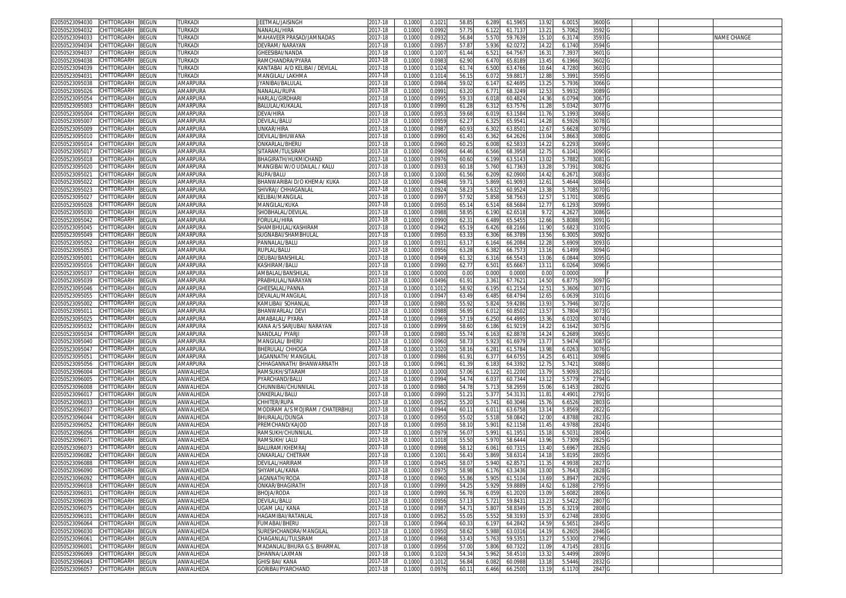| 02050523094030<br>CHITTORGARH<br>BEGUN        | TURKADI               | JEETMAL/JAISINGH                 | 2017-18     | 0.1000 | 0.102  | 58.8           | 61.596<br>6.289  | 13.92             | 6.001  | 3600              |  |             |
|-----------------------------------------------|-----------------------|----------------------------------|-------------|--------|--------|----------------|------------------|-------------------|--------|-------------------|--|-------------|
| 02050523094032<br>CHITTORGARH<br>BEGUN        | <b>TURKADI</b>        | NANALAL/HIRA                     | 2017-18     | 0.1000 | 0.099  | 57.75          | 61.713<br>6.122  | 13.21             | 5.7062 | 3592              |  |             |
| CHITTORGARH<br>3EGUN<br>02050523094033        | TURKADI               | MAHAVEER PRASAD/JAMNADAS         | 2017-18     | 0.1000 | 0.093  | 56.84          | 5.570<br>59.763  | 15.1              | 6.3174 | 3593              |  | NAME CHANGE |
| CHITTORGARH                                   | TURKADI               |                                  |             |        |        |                |                  |                   |        |                   |  |             |
| 02050523094034<br>BEGUN                       |                       | DEVRAM/ NARAYAN                  | 017-18      | 0.1000 | 0.095  | 57.87          | 5.936<br>62.027  | 14.22             | 6.1740 | 3594              |  |             |
| 02050523094037<br>CHITTORGARH<br>BEGUN        | TURKADI               | <b>GHEESIBAI/NANDA</b>           | 2017-18     | 0.100  | 0.100  | 61.44          | 6.52<br>64.756   | 16.31             | 7.393  | 3601              |  |             |
| 02050523094038<br>CHITTORGARH<br>BEGUN        | TURKADI               | RAMCHANDRA/PYARA                 | 017-18      | 0.100  | 0.098  | 62.90          | 6.470<br>65.818  | 13.4              | 6.1966 | 3602              |  |             |
| CHITTORGARH<br>02050523094039<br>3EGUN        | <b>TURKADI</b>        | KANTABAI A/D KELIBAI / DEVILAL   | 2017-18     | 0.100  | 0.102  | 61.7           | 6.500<br>63.476  | 10.6              | 4.7280 | 3603              |  |             |
| CHITTORGARH<br>02050523094031<br>3EGUN        | <b><i>TURKADI</i></b> | MANGILAL/ LAKHMA                 | 2017-18     | 0.100  | 0.101  | 56.1           | 6.07<br>59.881   | 12.8              | 5.3991 | 3595              |  |             |
| 02050523095038<br>CHITTORGARH<br>3EGUN        | AMARPURA              | IYANIBAI/BALULAI                 | 2017-18     | 0.100  | 0.098  | 59.0           | 6.14<br>62.469   | 13.2              | 5.7936 | 3066 <sub>C</sub> |  |             |
|                                               |                       |                                  |             |        |        |                |                  |                   |        |                   |  |             |
| 02050523095026<br>CHITTORGARH<br>BEGUN        | AMARPURA              | NANALAL/RUPA                     | 017-18      | 0.100  | 0.099  | 63.20          | 6.77'<br>68.324  | 12.53             | 5.993  | 3089              |  |             |
| 02050523095054<br>CHITTORGARH<br>3EGUN        | AMARPURA              | HARLAL/GIRDHAR                   | $2017 - 18$ | 0.100  | 0.099  | 59.3           | 6.01<br>60.482   | 14.3              | 6.0794 | 3067              |  |             |
| 02050523095003<br><b>CHITTORGARH</b><br>BEGUN | AMARPURA              | BALULAL/KUKALAL                  | 017-18      | 0.100  | 0.099  | 61.28          | 6.31<br>63.757   | 11.2              | 5.0342 | 3077              |  |             |
| CHITTORGARH<br><b>BEGUN</b><br>02050523095004 | AMARPURA              | DEVA/HIRA                        | 2017-18     | 0.100  | 0.095  | 59.68          | 6.01<br>63.158   | 11.7              | 5.1993 | 3068              |  |             |
| CHITTORGARH<br>02050523095007<br>BEGUN        | AMARPURA              | DEVILAL/BALL                     | 2017-18     | 0.100  | 0.095  | 62.2           | 6.32<br>65.954   | 14.2              | 6.5926 | 3078              |  |             |
| 02050523095009<br>CHITTORGARH<br>3EGUN        | AMARPURA              | JNKAR/HIRA                       | 017-18      | 0.100  | 0.098  | 60.9           | 6.302<br>63.850  | 12.6              | 5.6628 | 3079              |  |             |
|                                               |                       |                                  |             |        |        |                |                  |                   |        |                   |  |             |
| 02050523095010<br>CHITTORGARH<br>BEGUN        | AMARPURA              | DEVILAL/BHUWANA                  | 2017-18     | 0.1000 | 0.099  | 61.43          | 6.362<br>64.262  | 13.04             | 5.8663 | 3080              |  |             |
| 02050523095014<br>CHITTORGARH<br>3EGUN        | AMARPURA              | )NKARLAL/BHERL                   | 017-18      | 0.100  | 0.096  | 60.2           | 62.583<br>6.00   | 14.2              | 6.2293 | 3069              |  |             |
| 02050523095017<br>CHITTORGARH<br>BEGUN        | AMARPURA              | SITARAM/TULSIRAM                 | 2017-18     | 0.1000 | 0.0960 | 64.46          | 6.566<br>68.3958 | 12.75             | 6.1041 | 3090 G            |  |             |
| CHITTORGARH<br>BEGUN<br>02050523095018        | AMARPURA              | BHAGIRATH/HUKMICHAND             | 2017-18     | 0.1000 | 0.0976 | 60.60          | 63.514<br>6.199  | 13.0              | 5.7882 | 3081 G            |  |             |
| 02050523095020<br>CHITTORGARH<br>BEGUN        | AMARPURA              | MANGIBAI W/O UDAILAL / KALU      | 2017-18     | 0.1000 | 0.093  | 60.1           | 5.760<br>61.736  | 13.2              | 5.7391 | 3082 G            |  |             |
| 02050523095021<br>CHITTORGARH<br>BEGUN        | AMARPURA              | RUPA/BALU                        | 2017-18     | 0.1000 | 0.1000 | 61.56          | 6.209<br>62.090  | 14.42             | 6.267  | 3083              |  |             |
|                                               |                       |                                  |             |        | 0.094  | 59.7           | 5.869<br>61.909  |                   |        | 3084 G            |  |             |
| CHITTORGARH<br>02050523095022<br>3EGUN        | AMARPURA              | BHANWARIBAI D/O KHEMA/ KUKA      | 2017-18     | 0.1000 |        |                |                  | 12.61             | 5.4644 |                   |  |             |
| 02050523095023<br>CHITTORGARH<br>BEGUN        | AMARPURA              | SHIVRAJ/ CHHAGANLAL              | 017-18      | 0.1000 | 0.0924 | 58.2           | 5.632<br>60.952  | 13.3              | 5.7085 | 3070 G            |  |             |
| BEGUN<br>02050523095027<br>CHITTORGARH        | AMARPURA              | KELIBAI/MANGILAL                 | 2017-18     | 0.1000 | 0.099  | 57.92          | 5.858<br>58.756  | 12.5              | 5.170  | 3085 <sub>G</sub> |  |             |
| 02050523095028<br>CHITTORGARH<br>BEGUN        | AMARPURA              | MANGILAL/KUKA                    | 2017-18     | 0.1000 | 0.0950 | 65.1           | 6.514<br>68.568  | 12.7              | 6.1293 | 3099              |  |             |
| 02050523095030<br>CHITTORGARH<br>3EGUN        | AMARPURA              | SHOBHALAL/DEVILAL                | 2017-18     | 0.100  | 0.098  | 58.9           | 6.190<br>62.651  | 9.72              | 4.2627 | 3086              |  |             |
| 02050523095042<br>CHITTORGARH<br>BEGUN        | AMARPURA              | FORULAI /HIRA                    | 017-18      | 0.1000 | 0.099  | 62.3           | 6.489<br>65.545  | 12.66             | 5.8088 | 3091              |  |             |
|                                               |                       |                                  |             |        |        |                |                  |                   |        |                   |  |             |
| 02050523095045<br>CHITTORGARH<br>BEGUN        | AMARPURA              | SHAMBHULAL/KASHIRAM              | 2017-18     | 0.100  | 0.094  | 65.1           | 6.426<br>68.216  | 11.9              | 5.682  | 3100              |  |             |
| 02050523095049<br>CHITTORGARH<br>BEGUN        | AMARPURA              | SUGNABAI/SHAMBHULAL              | 2017-18     | 0.1000 | 0.095  | 63.3           | 66.378<br>6.306  | 13.56             | 6.3005 | 3092              |  |             |
| 02050523095052<br>CHITTORGARH<br>3EGUN        | AMARPURA              | PANNALAL/BALU                    | 2017-18     | 0.1000 | 0.093  | 63.1           | 6.164<br>66.208  | 12.2              | 5.6909 | 3093              |  |             |
| CHITTORGARH<br>02050523095053<br>BEGUN        | AMARPURA              | RUPLAL/BALU                      | 2017-18     | 0.1000 | 0.0956 | 63.28          | 6.382<br>66.757  | 13.1              | 6.1499 | 3094              |  |             |
| 02050523095001<br>CHITTORGARH<br>3EGUN        | AMARPURA              | DEUBAI/BANSHILAL                 | 017-18      | 0.100  | 0.0949 | 61.3           | 6.31<br>66.554   | 13.0              | 6.0844 | 3095              |  |             |
| 02050523095016<br>CHITTORGARH<br>3EGUN        | AMARPURA              | KASHIRAM/BALU                    | 017-18      | 0.100  | 0.099  | 62.7           | 6.50<br>65.666   | 13.1              | 6.0264 | 3096 <sub>C</sub> |  |             |
| 0205052309503                                 |                       | AMBALAL/BANSHILA                 |             |        |        |                |                  |                   |        |                   |  |             |
| CHITTORGARH<br>3EGUN                          | AMARPURA              |                                  | 2017-18     | 0.100  | 0.000  | 0.00           | 0.000<br>0.000   | 0.0               | 0.0000 |                   |  |             |
| 02050523095039<br>CHITTORGARH<br>BEGUN        | AMARPURA              | PRABHULAL/NARAYAN                | 2017-18     | 0.1000 | 0.0496 | 61.9           | 3.361<br>67.762  | 14.50             | 6.8775 | 3097              |  |             |
| 02050523095046<br><b>CHITTORGARH</b><br>3EGUN | AMARPURA              | SHEESALAL/PANNA                  | 2017-18     | 0.100  | 0.101  | 58.9           | 6.19<br>61.215   | 12.5              | 5.3606 | 30710             |  |             |
| <b>CHITTORGARH</b><br>02050523095055<br>BEGUN | AMARPURA              | DEVALAL/MANGILAI                 | 2017-18     | 0.1000 | 0.094  | 63.49          | 68.479<br>6.485  | 12.65             | 6.0639 | 3101              |  |             |
| 02050523095002<br>CHITTORGARH<br>3EGUN        | AMARPURA              | KAMLIBAI/ SOHANLA                | 017-18      | 0.100  | 0.098  | 55.9           | 5.82<br>59.428   | 13.9              | 5.7946 | 3072              |  |             |
| 02050523095011<br>CHITTORGARH<br>3EGUN        | AMARPURA              | BHANWARLAL/ DEV                  | 017-18      | 0.100  | 0.098  | 56.9           | 60.850<br>6.01   | 13.5              | 5.7804 | 3073              |  |             |
|                                               |                       |                                  |             |        |        |                |                  |                   |        |                   |  |             |
| 02050523095025<br>CHITTORGARH<br>3EGUN        | AMARPURA              | AMABALAL/ PYARA                  | 2017-18     | 0.100  | 0.0969 | 57.1           | 64.499<br>6.25C  | 13.3 <sub>1</sub> | 6.0320 | 3074              |  |             |
| 02050523095032<br><b>CHITTORGARH</b><br>3EGUN | AMARPURA              | KANA A/S SARJUBAI/ NARAYAN       | 2017-18     | 0.1000 | 0.0999 | 58.60          | 61.921<br>6.186  | 14.22             | 6.1642 | 3075              |  |             |
| 02050523095034<br>CHITTORGARH<br>BEGUN        | AMARPURA              | <b>JANDLAL/ PYARJI</b>           | 017-18      | 0.100  | 0.098  | 55.7           | 6.163<br>62.887  | 14.24             | 6.2689 | 3065              |  |             |
| 02050523095040<br>CHITTORGARH<br>BEGUN        | AMARPURA              | MANGILAL/ BHERU                  | 2017-18     | 0.1000 | 0.0960 | 58.7           | 5.923<br>61.697  | 13.77             | 5.9474 | 3087 G            |  |             |
| CHITTORGARH<br>BEGUN<br>02050523095047        | AMARPURA              | BHERULAL/ CHHOGA                 | 2017-18     | 0.100  | 0.1020 | 58.16          | 6.28<br>61.578   | 13.9              | 6.026  | 3076 G            |  |             |
| CHITTORGARH<br>BEGUN<br>02050523095051        | AMARPURA              | IAGANNATH/ MANGILAI              | 2017-18     | 0.1000 | 0.0986 | 61.9           | 6.377<br>64.675  | 14.25             | 6.451  | 3098 G            |  |             |
|                                               |                       |                                  |             |        |        |                |                  | 12.7              |        | 3088              |  |             |
| 02050523095056<br>BEGUN<br>CHITTORGARH        | AMARPURA              | CHHAGANNATH/ BHANWARNATH         | 2017-18     | 0.1000 | 0.096  | 61.39          | 6.183<br>64.339  |                   | 5.7421 |                   |  |             |
| BEGUN<br>02050523096004<br>CHITTORGARH        | <b>ANWALHEDA</b>      | RAMSUKH/SITARAM                  | 2017-18     | 0.1000 | 0.100  | 57.06          | 6.122<br>61.220  | 13.7              | 5.9093 | 2821 G            |  |             |
| 02050523096005<br>CHITTORGARH<br>3EGUN        | ANWALHEDA             | PYARCHAND/BALU                   | 017-18      | 0.100  | 0.0994 | 54.74          | 6.03<br>60.734   | 13.1              | 5.5779 | 2794 G            |  |             |
| 02050523096008<br>CHITTORGARH<br>3EGUN        | ANWALHEDA             | CHUNNIBAI/CHUNNILAI              | 2017-18     | 0.1000 | 0.098  | 54.78          | 5.713<br>58.295  | 15.0              | 6.1453 | 2802              |  |             |
| 02050523096017<br>CHITTORGARH<br>BEGUN        | ANWALHEDA             | ONKERLAL/BALU                    | 2017-18     | 0.1000 | 0.099  | $51.2^{\circ}$ | 5.377<br>54.313  | 11.81             | 4.4901 | 2791 G            |  |             |
| 02050523096033<br>CHITTORGARH<br>BEGUN        | ANWALHEDA             | CHHITER/RUPA                     | 2017-18     | 0.100  | 0.095  | 55.20          | 5.741<br>60.304  | 15.7              | 6.6526 | 2803              |  |             |
| CHITTORGARH                                   |                       |                                  |             |        |        |                |                  |                   |        |                   |  |             |
| 0205052309603<br>3EGUN                        | ANWALHEDA             | MODIRAM A/S MOJIRAM / CHATERBHUJ | 2017-18     | 0.100  | 0.0944 | 60.1           | 6.01<br>63.675   | 13.1              | 5.8569 | 2822              |  |             |
| 02050523096044<br>CHITTORGARH<br>3EGUN        | ANWALHEDA             | BHURALAL/DUNGA                   | 2017-18     | 0.100  | 0.095  | 55.0           | 5.518<br>58.084  | 12.0              | 4.8788 | 2823              |  |             |
| CHITTORGARH<br>BEGUN<br>02050523096052        | ANWALHEDA             | PREMCHAND/KAJOD                  | 2017-18     | 0.1000 | 0.0950 | 58.10          | 5.901<br>62.115  | 11.45             | 4.9788 | 2824 G            |  |             |
| CHITTORGARH<br>02050523096056<br>BEGUN        | ANWALHEDA             | RAMSUKH/CHUNNILAI                | 2017-18     | 0.100  | 0.097  | 56.0           | 5.99<br>61.195   | 15.1              | 6.503  | 2804 G            |  |             |
| 02050523096071<br>CHITTORGARH<br>BEGUN        | ANWALHEDA             | RAMSUKH/ LALU                    | 017-18      | 0.1000 | 0.101  | 55.50          | 5.970<br>58.644  | 13.96             | 5.7309 | 2825              |  |             |
| 02050523096073<br><b>CHITTORGARH</b><br>BEGUN | ANWALHEDA             | BALURAM/KHEMRA                   | 017-18      | 0.100  | 0.099  | 58.1           | 6.06<br>60.731   | 13.4              | 5.696  | 28260             |  |             |
|                                               |                       | ONKARLAL/ CHETRAN                |             |        |        |                |                  |                   |        |                   |  |             |
| 02050523096082<br><b>CHITTORGARH</b><br>BEGUN | <b>ANWALHEDA</b>      |                                  | 017-18      | 0.100  | 0.100  | 56.4           | 5.869<br>58.631  | 14.1              | 5.8195 | 2805              |  |             |
| 02050523096088<br>CHITTORGARH<br>BEGUN        | ANWALHEDA             | DEVILAL/HARIRAM                  | 2017-18     | 0.100  | 0.0945 | 58.C           | 62.857<br>5.940  | 11.3              | 4.993  | 2827 <sub>G</sub> |  |             |
| 02050523096090 CHITTORGARH BEGUN              | ANWALHEDA             | SHYAMLAL/KANA                    | 2017-18     | 0.1000 | 0.0975 | 58.98          | 6.176<br>63.3436 | 13.00             | 5.7643 | 2828 G            |  |             |
| 02050523096092<br>CHITTORGARH<br><b>BEGUN</b> | ANWALHEDA             | JAGNNATH/RODA                    | 2017-18     | 0.1000 | 0.0960 | 55.86          | 5.905<br>61.5104 | 13.69             | 5.8947 | 2829              |  |             |
| CHITTORGARH<br>02050523096018<br>BEGUN        | ANWALHEDA             | ONKAR/BHAGIRATH                  | 2017-18     | 0.1000 | 0.0990 | 54.2           | 5.929<br>59.888  | 14.62             | 6.1288 | 2795 G            |  |             |
| BEGUN<br>02050523096031<br>CHITTORGARH        | ANWALHEDA             | BHOJA/RODA                       | 2017-18     | 0.1000 | 0.0990 | 56.78          | 6.059<br>61.202  | 13.09             | 5.6082 | 2806              |  |             |
|                                               |                       |                                  |             |        |        |                |                  |                   |        |                   |  |             |
| 02050523096039<br>CHITTORGARH<br>BEGUN        | ANWALHEDA             | DEVILAL/BALU                     | 2017-18     | 0.1000 | 0.0956 | 57.13          | 5.721<br>59.843  | 13.23             | 5.5422 | 2807              |  |             |
| BEGUN<br>02050523096075<br>CHITTORGARH        | ANWALHEDA             | <b>UGAM LAL/ KANA</b>            | $2017 - 18$ | 0.1000 | 0.0987 | 54.7           | 5.807<br>58.834  | 15.35             | 6.3219 | 2808              |  |             |
| 02050523096101<br>CHITTORGARH<br>BEGUN        | ANWALHEDA             | HAGAMIBAI/RATANLAL               | 2017-18     | 0.1000 | 0.0952 | 55.0           | 5.552<br>58.3193 | 15.37             | 6.2748 | 2830 G            |  |             |
| CHITTORGARH<br>02050523096064<br>BEGUN        | ANWALHEDA             | FUMABAI/BHERU                    | $2017 - 18$ | 0.1000 | 0.0964 | 60.33          | 6.197<br>64.2842 | 14.59             | 6.5651 | 2845 G            |  |             |
| 02050523096030<br>CHITTORGARH<br>BEGUN        | ANWALHEDA             | SURESHCHANDRA/MANGILAL           | 2017-18     | 0.1000 | 0.0950 | 58.62          | 5.988<br>63.0316 | 14.19             | 6.2605 | 2846 G            |  |             |
| 02050523096061<br><b>BEGUN</b><br>CHITTORGARH | ANWALHEDA             | CHAGANLAL/TULSIRAM               | 2017-18     | 0.1000 | 0.0968 | 53.43          | 5.763<br>59.535  | 13.27             | 5.5300 | 2796 G            |  |             |
|                                               |                       | MADANLAL/BHURA G.S. BHARMAL      |             |        |        |                |                  |                   |        |                   |  |             |
| 02050523096001<br>CHITTORGARH<br>BEGUN        | ANWALHEDA             |                                  | 2017-18     | 0.1000 | 0.0956 | 57.00          | 5.806<br>60.7322 | 11.09             | 4.7145 | 2831 G            |  |             |
| 02050523096069<br>CHITTORGARH<br>BEGUN        | ANWALHEDA             | DHANNA/LAXMAN                    | 2017-18     | 0.1000 | 0.1020 | 54.34          | 5.962<br>58.4510 | 13.32             | 5.4499 | 2809 G            |  |             |
| CHITTORGARH<br>BEGUN<br>02050523096043        | ANWALHEDA             | <b>GHISI BAI/ KANA</b>           | 2017-18     | 0.1000 | 0.101  | 56.84          | 6.082<br>60.098  | 13.18             | 5.5446 | 2832 G            |  |             |
| 02050523096057 CHITTORGARH BEGUN              | ANWALHEDA             | GORIBAI/PYARCHAND                | 2017-18     | 0.1000 | 0.0976 | 60.11          | 6.466<br>66.2500 | 13.19             | 6.1170 | 2847 G            |  |             |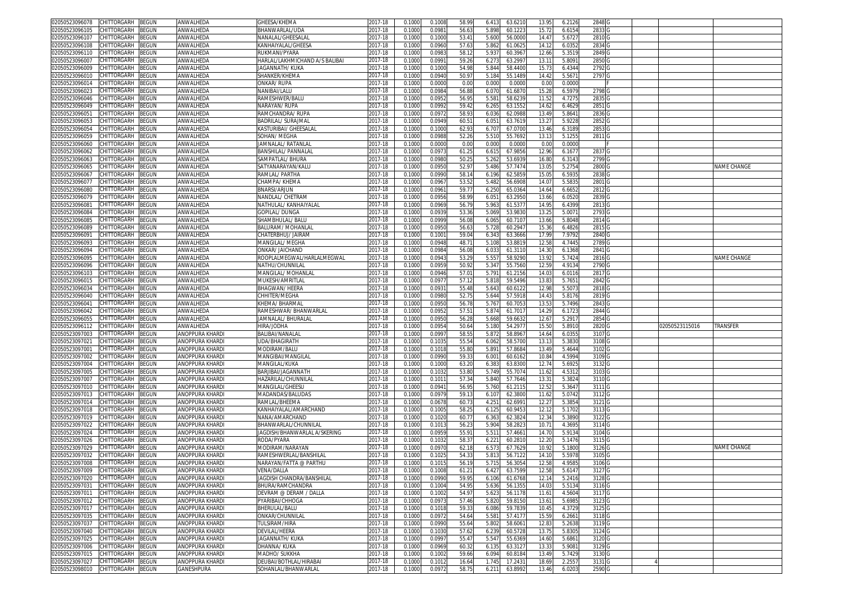| 02050523096078                               | CHITTORGARH        | <b>BEGUN</b>          | ANWALHEDA                            | <b>GHEESA/KHEMA</b>                                                                                                                                                                                | 2017-18            | 0.1000           | 0.100           | 58.9           | 63.6210<br>6.413                     | 13.9              | 6.212           | 2848              |  |                |                    |
|----------------------------------------------|--------------------|-----------------------|--------------------------------------|----------------------------------------------------------------------------------------------------------------------------------------------------------------------------------------------------|--------------------|------------------|-----------------|----------------|--------------------------------------|-------------------|-----------------|-------------------|--|----------------|--------------------|
| 2050523096105                                | CHITTORGARH        | 3EGUN                 | ANWALHEDA                            | <b>BHANWARLAL/UDA</b>                                                                                                                                                                              | 2017-18            | 0.100(           | 0.098           | 56.63          | 5.898<br>60.1223                     | 15.7              | 6.615           | 2833              |  |                |                    |
| 02050523096107                               | CHITTORGARH        | <b>EGUN</b>           | ANWALHEDA                            | VANALAL/GHEESALAI                                                                                                                                                                                  | 2017-18            | 0.1000           | 0.100           | $53.4^{\circ}$ | 5.600<br>56.000                      | 14.4              | 5.672           | 2810 <sub>G</sub> |  |                |                    |
| 02050523096108                               | CHITTORGARH        | <b>BEGUN</b>          | ANWALHEDA                            | <anhaiyalal gheesa<="" td=""><td>2017-18</td><td>0.1000</td><td>0.0960</td><td>57.63</td><td>5.862<br/>61.062</td><td>14.1</td><td>6.035</td><td>2834</td><td></td><td></td><td></td></anhaiyalal> | 2017-18            | 0.1000           | 0.0960          | 57.63          | 5.862<br>61.062                      | 14.1              | 6.035           | 2834              |  |                |                    |
| 02050523096110                               |                    |                       |                                      | RUKMANI/PYARA                                                                                                                                                                                      |                    |                  |                 |                |                                      |                   |                 |                   |  |                |                    |
|                                              | CHITTORGARH        | <b>BEGUN</b>          | ANWALHEDA                            |                                                                                                                                                                                                    | 2017-18            | 0.100            | 0.098           | 58.1           | 5.93<br>60.396                       | 12.66             | 5.351           | 2849              |  |                |                    |
| 2050523096007                                | CHITTORGARH        | <b>EGUN</b>           | ANWALHEDA                            | HARLAL/LAKHMICHAND A/S BALIBAI                                                                                                                                                                     | 2017-18            | 0.100            | 0.099           | 59.26          | 6.273<br>63.299                      | 13.1              | 5.809           | 2850              |  |                |                    |
| 02050523096009                               | CHITTORGARH        | EGUN                  | ANWALHEDA                            | IAGANNATH/KUKA                                                                                                                                                                                     | 2017-18            | 0.100            | 0.100           | 54.98          | 5.844<br>58.440                      | 15.7              | 6.434           | 2792              |  |                |                    |
| 2050523096010                                | CHITTORGARH        | EGUN                  | ANWALHEDA                            | SHANKER/KHEMA                                                                                                                                                                                      | 2017-18            | 0.100            | 0.094           | 50.97          | 5.184<br>55.148                      | 14.42             | 5.567           | 2797              |  |                |                    |
| 0205052309601                                | CHITTORGARH        | EGUN                  | ANWALHEDA                            | onkar/ Rupa                                                                                                                                                                                        | 2017-18            | 0.100            | 0.000           | 0.00           | 0.00<br>0.000                        | 0.0               | 0.000           |                   |  |                |                    |
| 02050523096023                               | CHITTORGARH        | ፡EGUN                 | ANWALHEDA                            | VANIBAI/LALU                                                                                                                                                                                       | 017-18             | 0.100            | 0.098           | 56.88          | 6.07<br>61.687                       | 15.2              | 6.597           | 2798              |  |                |                    |
| 02050523096046                               | CHITTORGARH        | ፡EGUN                 | ANWALHEDA                            | RAMESHWER/BALU                                                                                                                                                                                     | 2017-18            | 0.100            | 0.095           | 56.9           | 5.58'<br>58.623                      | 11.5              | 4.727           | 2835              |  |                |                    |
| 02050523096049                               | CHITTORGARH        | <b>EGUN</b>           | ANWALHEDA                            | VARAYAN/ RUPA                                                                                                                                                                                      | 017-18             | 0.100            | 0.099           | 59.4           | 6.265<br>63.155                      | 14.62             | 6.462           | 2851              |  |                |                    |
|                                              |                    |                       |                                      |                                                                                                                                                                                                    |                    |                  |                 |                |                                      |                   |                 |                   |  |                |                    |
| 1205052309605                                | CHITTORGARH        | <b>BEGUN</b>          | ANWALHEDA                            | RAMCHANDRA/ RUPA                                                                                                                                                                                   | 2017-18            | 0.100            | 0.097           | 58.9           | 62.0988<br>6.036                     | $13.4^{\circ}$    | 5.864           | 2836              |  |                |                    |
| 02050523096053                               | <b>CHITTORGARH</b> | ፡EGUN                 | ANWALHEDA                            | BADRILAL/ SURAJMAI                                                                                                                                                                                 | 2017-18            | 0.100            | 0.094           | 60.5           | 6.051<br>63.761                      | 13.2              | 5.9228          | 2852              |  |                |                    |
| 02050523096054                               | <b>HITTORGARH</b>  | ፡EGUN                 | ANWALHEDA                            | (ASTURIBAI/ GHEESALAI                                                                                                                                                                              | 017-18             | 0.100            | 0.100           | 62.9           | 67.070<br>6.70                       | 13.46             | 6.318           | 2853              |  |                |                    |
| 02050523096059                               | <b>CHITTORGARH</b> | <b>BEGUN</b>          | ANWALHEDA                            | SOHAN/ MEGHA                                                                                                                                                                                       | 2017-18            | 0.100            | 0.098           | 52.26          | 5.510<br>55.7692                     | 13.1              | 5.125           | 2811              |  |                |                    |
| 02050523096060                               | <b>CHITTORGARH</b> | <b>BEGUN</b>          | ANWALHEDA                            | JAMNALAL/ RATANLAI                                                                                                                                                                                 | 2017-18            | 0.100            | 0.000           | 0.00           | 0.000<br>0.000                       | 0.0               | 0.0000          |                   |  |                |                    |
| 02050523096062                               | CHITTORGARH        | <b>BEGUN</b>          | ANWALHEDA                            | BANSHILAL/ PANNALAI                                                                                                                                                                                | 2017-18            | 0.100            | 0.097           | 61.2           | 67.9856<br>6.615                     | 12.96             | 6.167           | 2837 G            |  |                |                    |
| 02050523096063                               | CHITTORGARH        | <b>BEGUN</b>          | ANWALHEDA                            | SAMPATLAL/BHURA                                                                                                                                                                                    | 2017-18            | 0.100            | 0.098           | 50.2           | 5.262<br>53.693                      | 16.80             | 6.314           | 2799 G            |  |                |                    |
| 02050523096065                               | CHITTORGARH        | <b>EGUN</b>           | ANWALHEDA                            | SATYANARAYAN/KALL                                                                                                                                                                                  | 2017-18            | 0.100            | 0.095           | 52.9           | 57.747<br>5.486                      | 13.0              | 5.275           | 2800 G            |  |                | NAME CHANGE        |
|                                              |                    |                       |                                      |                                                                                                                                                                                                    |                    |                  |                 |                |                                      |                   |                 |                   |  |                |                    |
| 2050523096067                                | CHITTORGARH        | <b>BEGUN</b>          | ANWALHEDA                            | RAMLAL/ PARTHA                                                                                                                                                                                     | 2017-18            | 0.100            | 0.0990          | 58.1           | 62.585<br>6.196                      | 15.0              | 6.593           | 2838 G            |  |                |                    |
| 02050523096077                               | CHITTORGARH        | <b>EGUN</b>           | ANWALHEDA                            | СНАМРА/ КНЕМА                                                                                                                                                                                      | 2017-18            | 0.1000           | 0.096           | 53.52          | 5.482<br>56.6908                     | 14.0              | 5.583           | 2801 G            |  |                |                    |
| 2050523096080                                | <b>CHITTORGARH</b> | <b>EGUN</b>           | ANWALHEDA                            | BNARSI/ARJUN                                                                                                                                                                                       | 2017-18            | 0.100            | 0.096           | 59.7           | 6.250<br>65.036                      | 14.64             | 6.6652          | 2812 G            |  |                |                    |
| )2050523096079                               | CHITTORGARH        | <b>EGUN</b>           | ANWALHEDA                            | NANDLAL/ CHETRAM                                                                                                                                                                                   | 2017-18            | 0.100            | 0.095           | 58.99          | $6.05^{\circ}$<br>63.295             | 13.66             | 6.052           | 2839 G            |  |                |                    |
| 2050523096081                                | CHITTORGARH        | <b>EGUN</b>           | ANWALHEDA                            | NATHULAL/ KANHAIYALAL                                                                                                                                                                              | 2017-18            | 0.100            | 0.0969          | 56.7           | 5.963<br>61.537                      | 14.9              | 6.439           | 2813              |  |                |                    |
| 02050523096084                               | CHITTORGARH        | <b>EGUN</b>           | ANWALHEDA                            | GOPILAL/DUNGA                                                                                                                                                                                      | 2017-18            | 0.100            | 0.093           | 53.36          | 5.069<br>53.983                      | 13.2              | 5.007           | 2793              |  |                |                    |
| 2050523096085                                | CHITTORGARH        | <b>BEGUN</b>          | ANWALHEDA                            | SHAMBHULAL/ BALU                                                                                                                                                                                   | 2017-18            | 0.1000           | 0.099           | 56.08          | 6.065<br>60.710                      | 13.66             | 5.8048          | 2814              |  |                |                    |
| 02050523096089                               | CHITTORGARH        | <b>BEGUN</b>          | ANWALHEDA                            | BALURAM/ MOHANLA                                                                                                                                                                                   | 2017-18            | 0.100            | 0.095           | 56.63          | 5.728<br>60.294                      | 15.36             | 6.482           | 2815              |  |                |                    |
| 2050523096091                                | CHITTORGARH        | <b>EGUN</b>           | ANWALHEDA                            | CHATERBHUJ/ JAIRAM                                                                                                                                                                                 | 2017-18            | 0.100            | 0.100           | 59.04          | 6.343<br>63.3666                     | 17.9              | 7.9792          | 2840              |  |                |                    |
|                                              |                    |                       |                                      |                                                                                                                                                                                                    |                    |                  |                 |                |                                      |                   |                 |                   |  |                |                    |
| 02050523096093                               | CHITTORGARH        | <b>EGUN</b>           | ANWALHEDA                            | MANGILAL/ MEGHA                                                                                                                                                                                    | 2017-18            | 0.100            | 0.094           | 48.7           | 5.108<br>53.881                      | 12.5              | 4.744           | 2789              |  |                |                    |
| 02050523096094                               | CHITTORGARH        | EGUN                  | ANWALHEDA                            | ONKAR/ JAICHAND                                                                                                                                                                                    | 2017-18            | 0.100            | 0.098           | 56.08          | 6.033<br>61.311                      | 14.3              | 6.1368          | 2841              |  |                |                    |
| 02050523096095                               | CHITTORGARH        | <b>EGUN</b>           | ANWALHEDA                            | ROOPLALMEGWAL/HARLALMEGWAL                                                                                                                                                                         | 2017-18            | 0.100            | 0.094           | 53.29          | 5.55<br>58.929                       | 13.9              | 5.742           | 2816 G            |  |                | <b>VAME CHANGE</b> |
| 02050523096096                               | <b>CHITTORGARH</b> | <b>EGUN</b>           | ANWALHEDA                            | NATHU/CHUNNILAL                                                                                                                                                                                    | 017-18             | 0.100            | 0.095           | 50.92          | 5.347<br>55.7560                     | 12.5 <sup>0</sup> | 4.913           | 2790              |  |                |                    |
| 02050523096103                               | CHITTORGARH        | EGUN                  | ANWALHEDA                            | MANGILAL/ MOHANLAI                                                                                                                                                                                 | 2017-18            | 0.100            | 0.094           | 57.0           | 5.791<br>61.215                      | 14.0              | 6.011           | 2817              |  |                |                    |
| 02050523096015                               | <b>CHITTORGARH</b> | <b>EGUN</b>           | ANWALHEDA                            | VIUKESH/AMRITLAL                                                                                                                                                                                   | 017-18             | 0.100            | 0.097           | 57.1           | 5.818<br>59.5496                     | 13.83             | 5.765           | 2842              |  |                |                    |
|                                              | CHITTORGARH        |                       | ANWALHEDA                            | BHAGWAN/HEERA                                                                                                                                                                                      | 2017-18            | 0.100            | 0.093           | 55.48          | 5.643<br>60.612                      | 12.9              |                 | 2818              |  |                |                    |
| 02050523096034                               |                    | <b>EGUN</b>           |                                      |                                                                                                                                                                                                    |                    |                  |                 |                |                                      |                   | 5.507           |                   |  |                |                    |
|                                              |                    |                       |                                      |                                                                                                                                                                                                    |                    |                  |                 |                |                                      |                   |                 |                   |  |                |                    |
| 02050523096040                               | <b>CHITTORGARH</b> | <b>BEGUN</b>          | ANWALHEDA                            | CHHITER/MEGHA                                                                                                                                                                                      | 2017-18            | 0.100            | 0.098           | 52.7           | 57.5918<br>5.644                     | 14.4              | 5.817           | 2819              |  |                |                    |
| 0205052309604                                | <b>CHITTORGARH</b> | EGUN                  | ANWALHEDA                            | (HEMA/ BHARMA                                                                                                                                                                                      | 017-18             | 0.100            | 0.095           | 56.7           | 5.767<br>60.705                      | 13.5              | 5.749           | 2843              |  |                |                    |
| 02050523096042                               | CHITTORGARH        | <b>BEGUN</b>          | ANWALHEDA                            | RAMESHWAR/ BHANWARLAL                                                                                                                                                                              | 2017-18            | 0.100            | 0.095           | 57.5           | 5.874<br>61.701                      | 14.2 <sup>0</sup> | 6.172           | 2844              |  |                |                    |
| 2050523096055                                | <b>HITTORGARH</b>  | <b>EGUN</b>           | ANWALHEDA                            | IAMNALAL/ BHURALA                                                                                                                                                                                  | 017-18             | 0.100            | 0.095           | 56.2           | 59.663<br>5.668                      | 12.6              | 5.291           | 2854              |  |                |                    |
| 02050523096112                               | <b>CHITTORGARH</b> | <b>EGUN</b>           | ANWALHEDA                            | AHOOL\AЯIH                                                                                                                                                                                         | 2017-18            | 0.100            | 0.095           | 50.6           | 54.297<br>5.180                      | 15.5              | 5.891           | 2820              |  | 02050523115016 | TRANSFER           |
|                                              |                    |                       |                                      |                                                                                                                                                                                                    |                    |                  |                 |                |                                      |                   |                 |                   |  |                |                    |
| 02050523097003                               | CHITTORGARH        | <b>BEGUN</b>          | ANOPPURA KHARDI                      | <b>BALIBAI/NANALAI</b>                                                                                                                                                                             | 2017-18            | 0.100            | 0.099           | 58.5           | 58.896<br>5.872                      | 14.64             | 6.035           | 3107              |  |                |                    |
| 02050523097021                               | CHITTORGARH        | <b>BEGUN</b>          | ANOPPURA KHARDI                      | UDA/BHAGIRATH                                                                                                                                                                                      | 2017-18            | 0.100            | 0.103           | 55.54          | 58.570<br>6.062                      | 13.1              | 5.383           | 3108 G            |  |                |                    |
| 2050523097001                                | CHITTORGARH        | <b>BEGUN</b>          | ANOPPURA KHARDI                      | MODIRAM/BALU                                                                                                                                                                                       | 2017-18            | 0.100            | 0.101           | 55.80          | 5.891<br>57.868                      | 13.49             | 5.464           | 3102 G            |  |                |                    |
| 02050523097002                               | CHITTORGARH        | <b>EGUN</b>           | ANOPPURA KHARDI                      | MANGIBAI/MANGILAI                                                                                                                                                                                  | 2017-18            | 0.100            | 0.099           | 59.3           | 6.001<br>60.6162                     | 10.84             | 4.599           | 3109 G            |  |                |                    |
| 2050523097004                                | CHITTORGARH        | <b>EGUN</b>           | ANOPPURA KHARD                       | MANGILAL/KUKA                                                                                                                                                                                      | 2017-18            | 0.100            | 0.100           | 63.20          | 6.383<br>63.830                      | 12.74             | 5.692           | 3132 G            |  |                |                    |
| 02050523097005                               | CHITTORGARH        | <b>BEGUN</b>          | ANOPPURA KHARDI                      | BARJIBAI/JAGANNATH                                                                                                                                                                                 | 2017-18            | 0.100            | 0.103           | 53.80          | 5.749<br>55.707                      | 11.62             | 4.531           | 3103 G            |  |                |                    |
| 2050523097007                                | CHITTORGARH        | <b>EGUN</b>           | ANOPPURA KHARDI                      | HAZARILAL/CHUNNILAL                                                                                                                                                                                | 2017-18            | 0.100            | 0.101           | 57.34          | 5.840<br>57.7646                     | 13.3'             | 5.382           | 3110 G            |  |                |                    |
| 02050523097010                               | CHITTORGARH        | <b>EGUN</b>           | ANOPPURA KHARDI                      | MANGILAL/GHEESU                                                                                                                                                                                    | 2017-18            | 0.100            | 0.094           | 56.9           | 5.760<br>61.2115                     | 12.52             | 5.364           | 3111 G            |  |                |                    |
|                                              | CHITTORGARH        |                       |                                      |                                                                                                                                                                                                    |                    |                  | 0.097           |                |                                      |                   |                 |                   |  |                |                    |
| 2050523097013                                |                    | <b>BEGUN</b>          | ANOPPURA KHARDI                      | <b>MADANDAS/BALUDAS</b>                                                                                                                                                                            | 2017-18            | 0.1000           |                 | 59.1           | 6.107<br>62.380                      | 11.62             | 5.0742          | 3112              |  |                |                    |
| 02050523097014                               | CHITTORGARH        | <b>BEGUN</b>          | ANOPPURA KHARDI                      | RAMLAL/BHEEMA                                                                                                                                                                                      | 2017-18            | 0.100            | 0.067           | 60.7           | 4.251<br>62.699                      | 12.2              | 5.3854          | 3121 G            |  |                |                    |
| 2050523097018                                | CHITTORGARH        | <b>EGUN</b>           | ANOPPURA KHARDI                      | (ANHAIYALAL/AMARCHAND                                                                                                                                                                              | 2017-18            | 0.100            | 0.100           | 58.2           | 6.12!<br>60.945                      | 12.1              | 5.1702          | 3113              |  |                |                    |
| 02050523097019                               | CHITTORGARH        | <b>EGUN</b>           | ANOPPURA KHARDI                      | NANA/AMARCHAND                                                                                                                                                                                     | 2017-18            | 0.100            | 0.102           | 60.7           | 6.363<br>62.382                      | 12.34             | 5.389           | 3122              |  |                |                    |
| 02050523097022                               | CHITTORGARH        | <b>BEGUN</b>          | ANOPPURA KHARDI                      | BHANWARLAL/CHUNNILAL                                                                                                                                                                               | 2017-18            | 0.1000           | 0.101           | 56.2           | 5.904<br>58.282                      | 10.7'             | 4.369           | 3114 G            |  |                |                    |
| 02050523097024                               | CHITTORGARH        | EGUN                  | ANOPPURA KHARDI                      | JAGDISH/BHANWARLAL A/SKERING                                                                                                                                                                       | 2017-18            | 0.100            | 0.095           | 55.9           | 5.51<br>57.466                       | 14.7              | 5.913           | 3104              |  |                |                    |
| 2050523097026                                | CHITTORGARH        | <b>EGUN</b>           | ANOPPURA KHARDI                      | RODA/PYARA                                                                                                                                                                                         | 017-18             | 0.100            | 0.103           | 58.3           | 6.221<br>60.281                      | 12.2              | 5.147           | 3115              |  |                |                    |
| 02050523097029                               | :HITTORGARH        | EGUN                  | <b>ANOPPURA KHARDI</b>               | VIODIRAM/NARAYAN                                                                                                                                                                                   | 2017-18            | 0.100            | 0.097           | 62.1           | 6.57<br>67.762                       | 10.9              | 5.180           | 3126              |  |                | <b>VAME CHANGE</b> |
| 02050523097032                               | <b>CHITTORGARH</b> | ፡EGUN                 | ANOPPURA KHARDI                      | RAMESHWERLAL/BANSHILAI                                                                                                                                                                             | 2017-18            | 0.100            | 0.102           | 54.3           | 5.81<br>56.712                       | 14.1              | 5.597           | 3105              |  |                |                    |
| 02050523097008                               | CHITTORGARH        | <b>BEGUN</b>          | ANOPPURA KHARDI                      |                                                                                                                                                                                                    | 2017-18            | 0.100            | 0.101           | 56.1           | 56.305<br>5.71                       | 12.5              | 4.958           |                   |  |                |                    |
|                                              |                    |                       |                                      | NARAYAN/FATTA @ PARTHU                                                                                                                                                                             |                    |                  |                 |                |                                      |                   |                 | 3106 G            |  |                |                    |
| 02050523097009 CHILIORGARH BEGUN             |                    |                       | ANOPPURA KHARDI                      | /ENA/DALLA                                                                                                                                                                                         | 2017-18            | 0.1000           | 0.1008          | 61.21          | 6.427<br>63.7599                     | 12.58             | 5.6147          | 3127 G            |  |                |                    |
| 02050523097020                               | CHITTORGARH        | <b>BEGUN</b>          | <b>ANOPPURA KHARDI</b>               | JAGDISH CHANDRA/BANSHILAL                                                                                                                                                                          | 2017-18            | 0.1000           | 0.0990          | 59.95          | 6.106<br>61.6768                     | 12.14             | 5.2416          | 3128 G            |  |                |                    |
| 02050523097031                               | CHITTORGARH        | BEGUN                 | ANOPPURA KHARDI                      | BHURA/RAMCHANDRA                                                                                                                                                                                   | 2017-18            | 0.1000           | 0.1004          | 54.9           | 5.636<br>56.1355                     | 14.03             | 5.5134          | 3116 G            |  |                |                    |
| 02050523097011                               | CHITTORGARH        | <b>BEGUN</b>          | <b>ANOPPURA KHARDI</b>               | DEVRAM @ DERAM / DALLA                                                                                                                                                                             | 2017-18            | 0.1000           | 0.1002          | 54.97          | 5.623<br>56.1178                     | 11.61             | 4.5604          | 3117 G            |  |                |                    |
| 02050523097012                               | CHITTORGARH        | BEGUN                 | ANOPPURA KHARDI                      | PYARIBAI/CHHOGA                                                                                                                                                                                    | 2017-18            | 0.1000           | 0.097           | 57.46          | 5.820<br>59.8150                     | 13.61             | 5.6985          | 3123 G            |  |                |                    |
| 02050523097017                               | CHITTORGARH        | BEGUN                 | ANOPPURA KHARDI                      | BHERULAL/BALU                                                                                                                                                                                      | 2017-18            | 0.1000           | 0.101           | 59.3           | 59.7839<br>6.086                     | 10.45             | 4.3729          | 3125 G            |  |                |                    |
| 02050523097035                               | CHITTORGARH        | BEGUN                 | ANOPPURA KHARDI                      | ONKAR/CHUNNILAL                                                                                                                                                                                    | 2017-18            | 0.1000           | 0.0972          | 54.64          | 5.581<br>57.4177                     | 15.59             | 6.2661          | 3118 <sub>G</sub> |  |                |                    |
| 02050523097037                               | CHITTORGARH        | BEGUN                 | ANOPPURA KHARDI                      | TULSIRAM/HIRA                                                                                                                                                                                      | 2017-18            | 0.1000           | 0.0990          | 55.64          | 5.802<br>58.6061                     | 12.83             | 5.2638          | 3119 G            |  |                |                    |
| 02050523097040                               | CHITTORGARH        |                       |                                      |                                                                                                                                                                                                    |                    |                  |                 |                |                                      |                   |                 |                   |  |                |                    |
|                                              |                    | <b>BEGUN</b>          | ANOPPURA KHARDI                      | DEVILAL/HEERA                                                                                                                                                                                      | 2017-18            | 0.1000           | 0.103           | 57.62          | 6.239<br>60.5728                     | 13.75             | 5.8305          | 3124 G            |  |                |                    |
| 2050523097025                                | CHITTORGARH        | BEGUN                 | ANOPPURA KHARDI                      | JAGANNATH/KUKA                                                                                                                                                                                     | 2017-18            | 0.1000           | 0.0997          | 55.47          | 5.547<br>55.6369                     | 14.60             | 5.686           | 3120 G            |  |                |                    |
| 02050523097006                               | CHITTORGARH        | <b>BEGUN</b>          | ANOPPURA KHARDI                      | DHANNA/ KUKA                                                                                                                                                                                       | 2017-18            | 0.1000           | 0.0969          | 60.32          | 6.135<br>63.3127                     | 13.33             | 5.908           | 3129 G            |  |                |                    |
| 02050523097015                               | CHITTORGARH        | BEGUN                 | ANOPPURA KHARDI                      | MADHO/ SUKKHA                                                                                                                                                                                      | 2017-18            | 0.1000           | 0.1002          | 59.66          | 6.094<br>60.8184                     | 13.49             | 5.7429          | 3130 G            |  |                |                    |
| 02050523097027<br>02050523098010 CHITTORGARH | CHITTORGARH        | <b>BEGUN</b><br>BEGUN | <b>ANOPPURA KHARDI</b><br>GANESHPURA | DEUBAI/BOTHLAL/HIRABAI<br>SOHANLAL/BHANWARLAL                                                                                                                                                      | 2017-18<br>2017-18 | 0.1000<br>0.1000 | 0.101<br>0.0972 | 16.64<br>58.75 | 1.745<br>17.2431<br>6.211<br>63.8992 | 18.69<br>13.46    | 2.255<br>6.0203 | 3131 G<br>2590 G  |  |                |                    |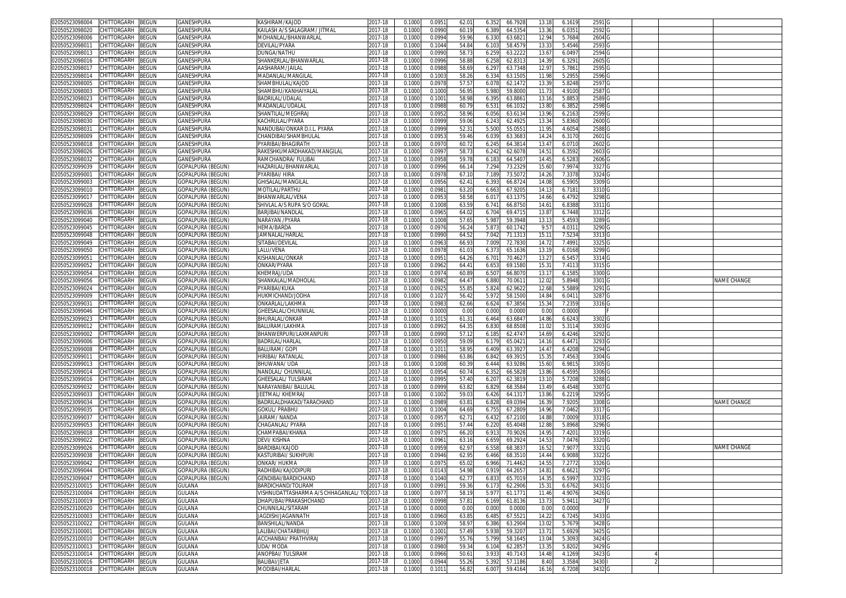| 02050523098004<br>CHITTORGARH<br>BEGUN                                        | GANESHPURA              | KASHIRAM/KAJOD                       | 2017-18            | 0.100            | 0.095            | 62.0           | 6.352<br>66.792                      | 13.1              | 6.161            | 2591 G            |  |                    |
|-------------------------------------------------------------------------------|-------------------------|--------------------------------------|--------------------|------------------|------------------|----------------|--------------------------------------|-------------------|------------------|-------------------|--|--------------------|
| 02050523098020<br>CHITTORGARH<br>BEGUN                                        | GANESHPURA              | KAILASH A/S SALAGRAM/ JITMAL         | 017-18             | 0.1000           | 0.0990           | 60.1           | 6.389<br>64.535                      | 13.3 <sub>1</sub> | 6.035            | 2592              |  |                    |
| 02050523098006<br>CHITTORGARH<br>3EGUN                                        | GANESHPURA              | MOHANLAL/BHANWARLAL                  | 2017-18            | 0.1000           | 0.0994           | 59.96          | 6.330<br>63.682                      | 12.94             | 5.7684           | 2604              |  |                    |
|                                                                               |                         |                                      |                    |                  |                  |                |                                      |                   |                  |                   |  |                    |
| 02050523098011<br>CHITTORGARH<br>BEGUN                                        | GANESHPURA              | DEVILAL/PYARA                        | 017-18             | 0.1000           | 0.1044           | 54.84          | 58.457<br>6.103                      | 13.3              | 5.4546           | 2593              |  |                    |
| 02050523098013<br>CHITTORGARH<br>BEGUN                                        | GANESHPURA              | DUNGA/NATHU                          | 2017-18            | 0.100            | 0.099            | 58.7           | 6.259<br>63.222                      | 13.6              | 6.0497           | 2594              |  |                    |
| 02050523098016<br>CHITTORGARH<br>BEGUN                                        | GANESHPURA              | SHANKERLAL/BHANWARLAL                | 2017-18            | 0.1000           | 0.0996           | 58.8           | 6.258<br>62.831                      | 14.39             | 6.3291           | 2605              |  |                    |
| <b>CHITTORGARH</b><br><b>BEGUN</b><br>02050523098017                          | GANESHPURA              | AASHARAM/JAILAI                      | 2017-18            | 0.100            | 0.098            | 58.6           | 63.7348<br>6.29                      | 12.9              | 5.7861           | 2595              |  |                    |
| 02050523098014<br>CHITTORGARH<br>BEGUN                                        | GANESHPURA              | MADANLAL/MANGILAL                    | 2017-18            | 0.1000           | 0.1003           | 58.26          | 6.334<br>63.150                      | 11.98             | 5.2955           | 2596              |  |                    |
| 02050523098005<br>CHITTORGARH<br>BEGUN                                        | GANESHPURA              | <b>SHAMBHULAL/KAJOD</b>              | 2017-18            | 0.100            | 0.097            | 57.5           | 6.07<br>62.147                       | 13.3'             | 5.8248           | 2597              |  |                    |
| 02050523098003<br>CHITTORGARH<br>3EGUN                                        | GANESHPURA              | SHAMBHU/KANHAIYALAI                  | 2017-18            | 0.1000           | 0.100            | 56.9           | 5.980<br>59.800                      | 11.7              | 4.9100           | 2587              |  |                    |
| 02050523098023<br>CHITTORGARH<br>BEGUN                                        | GANESHPURA              | <b>BADRILAL/UDALAI</b>               | 2017-18            | 0.100            | 0.100            | 58.9           | 6.39<br>63.886                       | 13.1              | 5.885            | 2589              |  |                    |
| 02050523098024<br>CHITTORGARH<br>BEGUN                                        | GANESHPURA              | MADANLAL/UDALAL                      |                    | 0.1000           | 0.0988           | 60.79          |                                      | 13.80             |                  | 2598              |  |                    |
|                                                                               |                         |                                      | 2017-18            |                  |                  |                | 6.531<br>66.103                      |                   | 6.3852           |                   |  |                    |
| BEGUN<br>02050523098029<br>CHITTORGARH                                        | GANESHPURA              | SHANTILAL/MEGHRAJ                    | 2017-18            | 0.1000           | 0.0952           | 58.96          | 6.056<br>63.613                      | 13.96             | 6.2163           | 2599 <sub>G</sub> |  |                    |
| CHITTORGARH<br>02050523098030<br>BEGUN                                        | GANESHPURA              | KACHRULAL/PYARA                      | 2017-18            | 0.1000           | 0.0999           | 59.06          | 6.243<br>62.492                      | 13.34             | 5.8360           | 2600 G            |  |                    |
| CHITTORGARH<br>BEGUN<br>02050523098031                                        | GANESHPURA              | NANDUBAI/ONKAR D.I.L. PYARA          | 2017-18            | 0.1000           | 0.0999           | 52.3           | 5.500<br>55.055                      | 11.95             | 4.6054           | 2588              |  |                    |
| BEGUN<br>02050523098009<br>CHITTORGARH                                        | GANESHPURA              | CHANDIBAI/SHAMBHULAL                 | 2017-18            | 0.1000           | 0.095            | 59.46          | 6.039<br>63.368                      | 14.24             | 6.3170           | 2601 G            |  |                    |
| BEGUN<br>02050523098018<br>CHITTORGARH                                        | GANESHPURA              | PYARIBAI/BHAGIRATH                   | 2017-18            | 0.1000           | 0.097            | 60.7           | 6.245<br>64.381                      | 13.47             | 6.0710           | 2602              |  |                    |
| 02050523098026<br>CHITTORGARH<br>3EGUN                                        | GANESHPURA              | RAKESHKUMARDHAKAD/MANGILAL           | 2017-18            | 0.100            | 0.099            | 58.7           | 6.24<br>62.607                       | 14.51             | 6.3592           | 2603              |  |                    |
| 02050523098032<br>CHITTORGARH<br>BEGUN                                        | GANESHPURA              | RAMCHANDRA/ FULIBAI                  | 2017-18            | 0.1000           | 0.095            | 59.7           | 64.540<br>6.183                      | 14.45             | 6.5283           | 2606              |  |                    |
| CHITTORGARH<br>BEGUN                                                          | GOPALPURA (BEGUN)       |                                      | 2017-18            |                  |                  |                |                                      |                   |                  |                   |  |                    |
| 02050523099039                                                                |                         | HAZARILAL/BHANWARLAI                 |                    | 0.100            | 0.0996           | 66.1           | 7.294<br>73.232                      | 15.6              | 7.997            | 3327              |  |                    |
| 02050523099001<br>CHITTORGARH<br>BEGUN                                        | GOPALPURA (BEGUN        | YARIBAI/ HIRA                        | 017-18             | 0.1000           | 0.097            | 67.1           | 73.507<br>7.189                      | 14.26             | 7.3378           | 3324              |  |                    |
| 02050523099003<br>CHITTORGARH<br>3EGUN                                        | GOPALPURA (BEGUN        | <b>GHISALAL/MANGILAL</b>             | 2017-18            | 0.100            | 0.0956           | 62.4           | 6.393<br>66.872                      | 14.0              | 6.5905           | 3309              |  |                    |
| 02050523099010<br>CHITTORGARH<br>BEGUN                                        | GOPALPURA (BEGUN)       | <b>MOTILAL/PARTHU</b>                | 2017-18            | 0.1000           | 0.098            | 63.20          | 6.663<br>67.920                      | 14.1              | 6.7181           | 3310              |  |                    |
| 02050523099017<br>CHITTORGARH<br>BEGUN                                        | GOPALPURA (BEGUN)       | BHANWARLAL/VENA                      | 2017-18            | 0.100            | 0.095            | 58.58          | 6.01<br>63.137                       | 14.66             | 6.4792           | 3298              |  |                    |
| CHITTORGARH<br>02050523099028<br>3EGUN                                        | GOPALPURA (BEGUN        | SHIVLAL A/S RUPA S/O GOKAL           | 2017-18            | 0.100            | 0.100            | 63.5           | 6.74<br>66.875                       | 14.61             | 6.8388           | 3311              |  |                    |
| CHITTORGARH<br>02050523099036<br>3EGUN                                        | GOPALPURA (BEGUN        | BARJIBAI/NANDLAI                     | $2017 - 18$        | 0.100            | 0.096            | 64.0           | 6.704<br>69.471                      | 13.8              | 6.7448           | 33120             |  |                    |
| 02050523099040<br>CHITTORGARH<br>BEGUN                                        | GOPALPURA (BEGUN        | NARAYAN / PYARA                      | 2017-18            | 0.1000           | 0.100            | 57.6           | 5.987<br>59.3948                     | 13.1              | 5.4593           | 3289              |  |                    |
|                                                                               |                         |                                      |                    |                  |                  |                |                                      |                   |                  |                   |  |                    |
| 02050523099045<br>CHITTORGARH<br>BEGUN                                        | GOPALPURA (BEGUN        | HEMA/BARDA                           | 2017-18            | 0.100            | 0.097            | 56.2           | 5.87<br>60.174                       | 9.57              | 4.031            | 3290              |  |                    |
| 02050523099048<br>CHITTORGARH<br>BEGUN                                        | GOPALPURA (BEGUN        | AMNALAL/HARLAI                       | 017-18             | 0.100            | 0.099            | 64.5           | 7.042<br>71.131                      | 15.1              | 7.5234           | 3313              |  |                    |
| 02050523099049<br>CHITTORGARH<br>BEGUN                                        | GOPALPURA (BEGUN        | SITABAI/DEVILAL                      | 2017-18            | 0.100            | 0.096            | 66.9           | 7.009<br>72.783                      | 14.7              | 7.4991           | 3325 G            |  |                    |
| CHITTORGARH<br>02050523099050<br>BEGUN                                        | GOPALPURA (BEGUN        | LALU/VENA                            | 017-18             | 0.1000           | 0.097            | 61.0           | 6.37<br>65.1636                      | 13.1              | 6.0168           | 3299              |  |                    |
| 02050523099051<br>CHITTORGARH<br>BEGUN                                        | GOPALPURA (BEGUN)       | KISHANLAL/ONKAR                      | 017-18             | 0.100            | 0.095            | 64.26          | 70.462<br>$6.70^{6}$                 | 13.2              | 6.545            | 3314              |  |                    |
| 02050523099052<br>CHITTORGARH<br>BEGUN                                        | GOPALPURA (BEGUN        | ONKAR/PYARA                          | 2017-18            | 0.1000           | 0.0962           | 64.4           | 6.65<br>69.1580                      | 15.31             | 7.4113           | 3315              |  |                    |
| 02050523099054<br>CHITTORGARH<br>3EGUN                                        | GOPALPURA (BEGUN)       | KHEMRAJ/UDA                          | 017-18             | 0.100            | 0.097            | 60.8           | 6.50<br>66.807                       | 13.1              | 6.1585           | 3300              |  |                    |
|                                                                               |                         |                                      |                    |                  |                  |                |                                      |                   |                  |                   |  |                    |
| 02050523099056<br>CHITTORGARH<br>BEGUN                                        | GOPALPURA (BEGUN        | SHANKALAL/MADHOLAL                   | 017-18             | 0.1000           | 0.098            | 64.4           | 6.880<br>70.061                      | 12.02             | 5.8948           | 3301              |  | NAME CHANGE        |
| 02050523099024<br>CHITTORGARH<br>BEGUN                                        | GOPALPURA (BEGUN)       | PYARIBAI/KUKA                        | 2017-18            | 0.1000           | 0.092            | 55.8           | 62.962<br>5.824                      | 12.68             | 5.5889           | 3291 <sub>C</sub> |  |                    |
| CHITTORGARH<br>02050523099009<br>BEGUN                                        | GOPALPURA (BEGUN)       | HUKMICHAND/JODHA                     | 2017-18            | 0.1000           | 0.102            | 56.42          | 5.97<br>58.1500                      | 14.84             | 6.041            | 3287 G            |  |                    |
| CHITTORGARH<br>BEGUN<br>02050523099031                                        | GOPALPURA (BEGUN        | ONKARLAL/LAKHMA                      | 2017-18            | 0.1000           | 0.0983           | 62.66          | 6.624<br>67.385                      | 15.34             | 7.2359           | 3316 G            |  |                    |
| 02050523099046<br>CHITTORGARH<br>BEGUN                                        | GOPALPURA (BEGUN)       | GHEESALAL/CHUNNILAI                  | 2017-18            | 0.1000           | 0.000            | 0.00           | 0.000<br>0.000                       | 0.00              | 0.0000           |                   |  |                    |
| CHITTORGARH<br>BEGUN<br>02050523099023                                        | GOPALPURA (BEGUN        | BHURALAL/ONKAR                       | 2017-18            | 0.1000           | 0.1015           | 61.3           | 6.464<br>63.684                      | 14.86             | 6.6243           | 3302              |  |                    |
| CHITTORGARH<br>02050523099012<br>BEGUN                                        | GOPALPURA (BEGUN        | BALURAM/LAKHMA                       | 2017-18            | 0.1000           | 0.0992           | 64.3           | 6.83<br>68.850                       | 11.02             | 5.3114           | 3303 G            |  |                    |
| BEGUN<br>02050523099002<br>CHITTORGARH                                        |                         | BHANWERPURI/LAXMANPURI               | 2017-18            | 0.1000           | 0.0990           | 57.1           | 62.474<br>6.185                      | 14.6              | 6.4246           | 3292              |  |                    |
|                                                                               | GOPALPURA (BEGUN)       |                                      |                    |                  |                  |                |                                      |                   |                  |                   |  |                    |
| 02050523099006<br>CHITTORGARH<br>BEGUN                                        | <b>GOPALPURA (BEGUN</b> | BADRILAL/HARLAL                      | 2017-18            | 0.1000           | 0.095            | 59.09          | 6.179<br>65.042                      | 14.1              | 6.447            | 3293              |  |                    |
| 02050523099008<br>CHITTORGARH<br>BEGUN                                        | GOPALPURA (BEGUN        | BALURAM/ GOPI                        | 017-18             | 0.100            | 0.101            | 58.9           | 6.409<br>63.392                      | 14.4              | 6.4208           | 3294              |  |                    |
| 02050523099011<br>CHITTORGARH<br>3EGUN                                        | GOPALPURA (BEGUN        | HIRIBAI/ RATANLAI                    | 2017-18            | 0.1000           | 0.0986           | 63.86          | 6.842<br>69.391                      | 15.3              | 7.4563           | 3304 G            |  |                    |
| 02050523099013<br>CHITTORGARH<br>BEGUN                                        | GOPALPURA (BEGUN)       | BHUWANA/ UDA                         | 2017-18            | 0.1000           | 0.1008           | 60.3           | 6.444<br>63.9286                     | 15.60             | 6.981            | 3305              |  |                    |
| 02050523099014<br>CHITTORGARH<br>BEGUN                                        | <b>GOPALPURA (BEGUN</b> | NANDLAL/ CHUNNILAL                   | 2017-18            | 0.100            | 0.0954           | 60.74          | 6.35<br>66.582                       | 13.86             | 6.4595           | 3306 G            |  |                    |
| CHITTORGARH<br>02050523099016<br>BEGUN                                        | GOPALPURA (BEGUN        | GHEESALAL/ TULSIRAM                  | 2017-18            | 0.1000           | 0.099            | 57.40          | 6.20<br>62.381                       | 13.1              | 5.7208           | 3288              |  |                    |
| CHITTORGARH<br>02050523099032<br>3EGUN                                        | GOPALPURA (BEGUN        | NARAYANIBAI/ BALULAI                 | 2017-18            | 0.100            | 0.0999           | 63.8           | 6.829<br>68.358                      | 13.49             | 6.4548           | 3307              |  |                    |
|                                                                               |                         |                                      |                    |                  |                  |                |                                      |                   |                  |                   |  |                    |
| 02050523099033<br>CHITTORGARH<br>3EGUN                                        | GOPALPURA (BEGUN        | JEETMAL/ KHEMRAJ                     | 017-18             | 0.1000           | 0.100            | 59.0           | 6.426<br>64.131                      | 13.86             | 6.2219           | 3295 0            |  |                    |
| 02050523099034<br>CHITTORGARH<br>BEGUN                                        | GOPALPURA (BEGUN        | BADRILALDHAKAD/TARACHAND             | 2017-18            | 0.100            | 0.0989           | 63.8           | 6.82<br>69.039                       | 16.3              | 7.920            | 3308 <sub>C</sub> |  | NAME CHANGE        |
| 02050523099035<br>CHITTORGARH<br>BEGUN                                        | GOPALPURA (BEGUN        | <b>GOKUL/ PRABHU</b>                 | 2017-18            | 0.1000           | 0.1004           | 64.69          | 67.280<br>6.755                      | 14.96             | 7.0462           | 3317              |  |                    |
| 02050523099037<br>CHITTORGARH<br>3EGUN                                        | GOPALPURA (BEGUN        | JAIRAM/ NANDA                        | 2017-18            | 0.100            | 0.095            | 62.7           | 6.43<br>67.210                       | 14.8              | 7.0009           | 3318              |  |                    |
| CHITTORGARH<br>02050523099053<br>BEGUN                                        | GOPALPURA (BEGUN)       | CHAGANLAL/ PYARA                     | 2017-18            | 0.1000           | 0.095            | 57.44          | 6.220<br>65.4048                     | 12.8              | 5.8968           | 3296              |  |                    |
| CHITTORGARH<br>02050523099018<br>3EGUN                                        | <b>GOPALPURA (BEGUN</b> | <b>HAMPABAI/KHANA</b>                | 2017-18            | 0.100            | 0.097            | 66.2           | 6.91<br>70.902                       | 14.9              | 7.420            | 3319              |  |                    |
| 02050523099022<br>CHITTORGARH<br>3EGUN                                        | GOPALPURA (BEGUN        | DEVI/KISHNA                          | 2017-18            | 0.1000           | 0.096            | 63.16          | 6.659<br>69.292                      | 14.5              | 7.0476           | 3320              |  |                    |
| 02050523099026<br>CHITTORGARH<br>BEGUN                                        | GOPALPURA (BEGUN)       | BARDIBAI/KAJOD                       | 2017-18            | 0.100            | 0.095            | 62.9           | 6.558<br>68.383                      | 16.5              | 7.907            | 3321              |  | <b>VAME CHANGE</b> |
|                                                                               |                         |                                      |                    |                  |                  |                |                                      |                   |                  |                   |  |                    |
| 02050523099038<br>CHITTORGARH<br>BEGUN                                        | GOPALPURA (BEGUN)       | KASTURIBAI/ SUKHPURI                 | 2017-18            | 0.1000           | 0.0946           | 62.9           | 68.3510<br>6.466                     | 14.44             | 6.9088           | 3322              |  |                    |
| 02050523099042<br>CHITTORGARH<br>3EGUN                                        | GOPALPURA (BEGUN)       | ONKAR/ HUKMA                         | 2017-18            | 0.100            | 0.097            | 65.0           | 71.4462<br>6.966                     | 14.5              | 7.277            | 3326              |  |                    |
| 02050523099044 CHILIORGARH BEGUN                                              | GOPALPURA (BEGUN)       | RADHIBAI/KAJODIPURI                  | 2017-18            | 0.1000           | 0.0143           | 54.98          | 0.919<br>64.2657                     | 14.81             | 6.6621           | 3297 G            |  |                    |
| 02050523099047 CHITTORGARH BEGUN                                              | GOPALPURA (BEGUN)       | GENDIBAI/BARDICHAND                  | 2017-18            | 0.1000           | 0.1040           | 62.77          | 6.833<br>65.7019                     | 14.35             | 6.5997           | 3323 G            |  |                    |
| 02050523100015<br>CHITTORGARH<br>BEGUN                                        | <b>GULANA</b>           | BARDICHAND/TOLIRAM                   | 2017-18            | 0.1000           | 0.0991           | 59.36          | 6.173<br>62.2906                     | 15.31             | 6.6762           | 3431 G            |  |                    |
| 02050523100004<br>CHITTORGARH<br>BEGUN                                        | <b>GULANA</b>           | VISHNUDATTASHARMA A/S CHHAGANLAL/ TC | 2017-18            | 0.1000           | 0.0977           | 58.19          | 5.977<br>61.177                      | 11.46             | 4.9076           | 3426 G            |  |                    |
| 02050523100019<br>CHITTORGARH<br>BEGUN                                        | <b>GULANA</b>           | DHAPUBAI/PRAKASHCHAND                | 2017-18            | 0.1000           | 0.0998           | 57.8           | 6.169<br>61.8136                     | 13.73             | 5.9411           | 3427 G            |  |                    |
| 02050523100020<br>CHITTORGARH<br>BEGUN                                        |                         |                                      | 2017-18            | 0.1000           | 0.0000           | 0.00           | 0.000<br>0.0000                      | 0.00              | 0.0000           |                   |  |                    |
|                                                                               |                         |                                      |                    |                  |                  |                |                                      |                   |                  |                   |  |                    |
|                                                                               | <b>GULANA</b>           | CHUNNILAL/SITARAM                    |                    |                  |                  |                |                                      |                   |                  |                   |  |                    |
| CHITTORGARH<br>02050523100003<br>BEGUN                                        | <b>GULANA</b>           | JAGDISH/JAGANNATH                    | 2017-18            | 0.1000           | 0.0960           | 63.8           | 6.485<br>67.552                      | 14.22             | 6.7245           | 3433 G            |  |                    |
| 02050523100022<br>CHITTORGARH<br>BEGUN                                        | <b>GULANA</b>           | BANSHILAL/NANDA                      | 2017-18            | 0.1000           | 0.1009           | 58.97          | 6.386<br>63.2904                     | 13.02             | 5.7679           | 3428 G            |  |                    |
| 02050523100001<br>CHITTORGARH<br>BEGUN                                        | GULANA                  | LALIBAI/CHATARBHUJ                   | 2017-18            | 0.1000           | 0.100            | 57.49          | 5.938<br>59.320                      | 13.71             | 5.6929           | 3425 G            |  |                    |
| 02050523100010<br>CHITTORGARH<br>BEGUN                                        | <b>GULANA</b>           | ACCHANBAI/ PRATHVIRAJ                | 2017-18            | 0.1000           | 0.0997           | 55.76          | 5.799<br>58.1645                     | 13.04             | 5.3093           | 3424 G            |  |                    |
| 02050523100013<br>CHITTORGARH<br>BEGUN                                        | GULANA                  | UDA/MODA                             | 2017-18            | 0.1000           | 0.0980           | 59.34          |                                      | 13.35             |                  |                   |  |                    |
|                                                                               |                         |                                      |                    |                  |                  |                | 6.104<br>62.285                      |                   | 5.8202           | 3429 G            |  |                    |
| 02050523100014<br>CHITTORGARH<br>BEGUN                                        | <b>GULANA</b>           | ANOPBAI/ TULSIRAM                    | 2017-18            | 0.1000           | 0.0966           | $50.6^{\circ}$ | 3.933<br>40.7143                     | 14.48             | 4.1269           | 3423 G            |  |                    |
| CHITTORGARH<br>BEGUN<br>02050523100016<br>02050523100018<br>CHITTORGARH BEGUN | <b>GULANA</b><br>GULANA | BALIBAI/JETA<br>MODIBAI/HARLAL       | 2017-18<br>2017-18 | 0.1000<br>0.1000 | 0.0944<br>0.1011 | 55.26<br>56.82 | 5.392<br>57.1186<br>6.007<br>59.4164 | 8.40<br>16.16     | 3.3584<br>6.7208 | 3430<br>3432 G    |  |                    |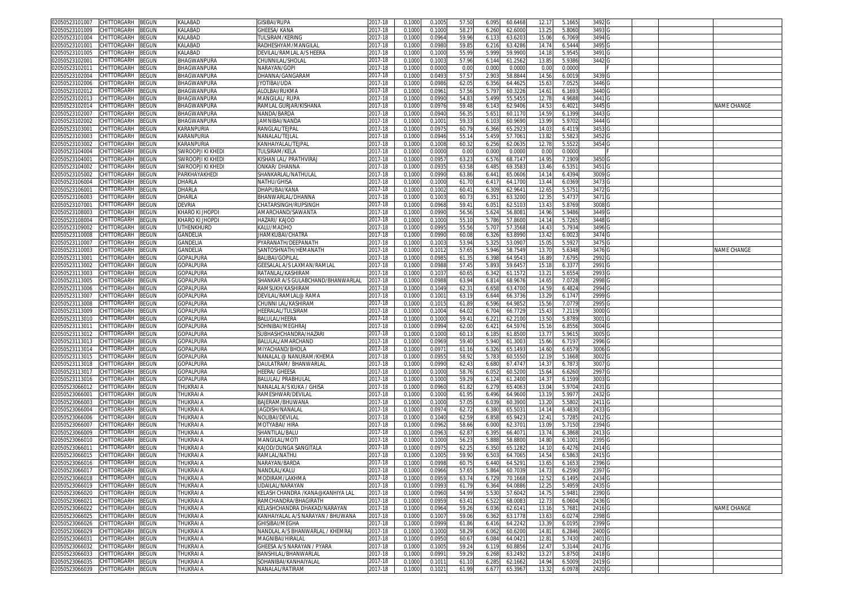| CHITTORGARH<br>3EGUN<br>02050523101007             | KALABAD           | <b>GISIBAI/RUPA</b>               | 2017-18 | 0.1000 | 0.1005 | 57.50          | 6.095          | 60.6468 | 12.17             | 5.166  | 3492   |  |             |
|----------------------------------------------------|-------------------|-----------------------------------|---------|--------|--------|----------------|----------------|---------|-------------------|--------|--------|--|-------------|
| 02050523101009<br>CHITTORGARH<br>3EGUN             | KALABAD           | <b>GHEESA/ KANA</b>               | 2017-18 | 0.1000 | 0.1000 | 58.27          | 6.260          | 62.600  | 13.25             | 5.806  | 3493   |  |             |
| CHITTORGARH<br><b>EGUN</b><br>02050523101004       | KALABAD           | <b>TUI SIRAM/KERING</b>           | 2017-18 | 0.1000 | 0.0964 | 59.96          | 6.133          | 63.620  | 15.06             | 6.706  | 3494   |  |             |
| CHITTORGARH<br>3EGUN<br>02050523101001             | KALABAD           | RADHESHYAM/MANGILAL               | 2017-18 | 0.1000 | 0.0980 | 59.8           | 6.216          | 63.428  | 14.74             | 6.544  | 3495   |  |             |
|                                                    | KALABAD           |                                   |         |        |        |                |                |         |                   |        |        |  |             |
| 02050523101005<br>CHITTORGARH<br>3EGUN             |                   | DEVILAL/RAMLAL A/S HEERA          | 2017-18 | 0.1000 | 0.1000 | 55.99          | 5.999          | 59.990  | 14.18             | 5.954  | 3491   |  |             |
| 02050523102001<br>CHITTORGARH<br>3EGUN             | BHAGWANPURA       | CHUNNILAL/SHOLAL                  | 2017-18 | 0.1000 | 0.100  | 57.96          | 6.144          | 61.256  | 13.8              | 5.938  | 3442   |  |             |
| CHITTORGARH<br>02050523102011<br><b>EGUN</b>       | BHAGWANPURA       | <b>VARAYAN/GOPI</b>               | 2017-18 | 0.100  | 0.000  | 0.0            | 0.000          | 0.000   | 0.0               | 0.000  |        |  |             |
| CHITTORGARH<br>02050523102004<br>BEGUN             | BHAGWANPURA       | DHANNA/GANGARAM                   | 2017-18 | 0.1000 | 0.0493 | 57.5           | 2.903          | 58.884  | 14.56             | 6.001  | 3439   |  |             |
| 02050523102006<br>CHITTORGARH<br>BEGUN             | BHAGWANPURA       | iyotibai/uda                      | 2017-18 | 0.100  | 0.0986 | 62.0           | 6.356          | 64.462  | 15.6              | 7.052  | 3446   |  |             |
| 02050523102012<br>CHITTORGARH<br>3EGUN             | BHAGWANPURA       | ALOLBAI/RUKMA                     | 2017-18 | 0.1000 | 0.096  | 57.56          | 5.797          | 60.322  | 14.61             | 6.169  | 3440   |  |             |
| 02050523102013<br>CHITTORGARH<br><b>EGUN</b>       | BHAGWANPURA       | MANGILAL/RUPA                     | 2017-18 | 0.100  | 0.0990 | 54.8           | 5.499          | 55.545  | 12.7              | 4.968  | 3441   |  |             |
| 02050523102014<br><b>CHITTORGARH</b><br>3EGUN      | BHAGWANPURA       | RAMLAL GURJAR/KISHANA             | 2017-18 | 0.1000 | 0.0976 | 59.48          | 6.143          | 62.940  | 14.5              | 6.402  | 3445   |  | NAME CHANGE |
| CHITTORGARH<br><b>BEGUN</b><br>02050523102007      | BHAGWANPURA       | VANDA/BARDA                       | 2017-18 | 0.100  | 0.094  | 56.3           | 5.65           | 60.117  | 14.5              | 6.139  | 3443   |  |             |
| CHITTORGARH<br>3EGUN<br>02050523102002             | BHAGWANPURA       | JAMNIBAI/NANDA                    | 2017-18 | 0.1000 | 0.100  | 59.3           | 6.103          | 60.969  | 13.9              | 5.9702 | 3444   |  |             |
| 02050523103001<br>CHITTORGARH<br>3EGUN             | KARANPURIA        | RANGLAL/TEJPAL                    | 2017-18 | 0.1000 | 0.0975 | 60.7           | 6.366          | 65.292  | 14.0              | 6.411  | 3453   |  |             |
| 02050523103003<br><b>CHITTORGARH</b><br>3EGUN      | KARANPURIA        | NANALAL/TEJLAL                    | 2017-18 | 0.1000 | 0.0946 | 55.1           | 5.459          | 57.706  | 13.8              | 5.582  | 3452   |  |             |
| 02050523103002<br>CHITTORGARH<br>BEGUN             | KARANPURIA        | (ANHAIYALAL/TEJPAI                | 2017-18 | 0.100  | 0.100  | 60.3           | 6.256          | 62.063  | 12.7              | 5.552  | 3454   |  |             |
| CHITTORGARH<br>BEGUN<br>02050523104004             | SWROOPJI KI KHEDI | TULSIRAM/KELA                     | 2017-18 | 0.1000 | 0.0000 | 0.00           | 0.000          | 0.0000  | 0.00              | 0.0000 |        |  |             |
| CHITTORGARH<br>BEGUN<br>02050523104001             | SWROOPJI KI KHEDI | KISHAN LAL/ PRATHVIRAJ            | 2017-18 | 0.1000 | 0.095  | 63.2           | 6.576          | 68.714  | 14.95             | 7.1909 | 3450   |  |             |
| CHITTORGARH<br>3EGUN<br>02050523104002             | SWROOPJI KI KHEDI | ONKAR/ DHANNA                     | 2017-18 | 0.1000 | 0.093  | 63.58          | 6.485          | 69.358  | 13.46             | 6.535  | 3451   |  |             |
| CHITTORGARH<br>3EGUN<br>02050523105002             | PARKHAYAKHEDI     | SHANKARLAL/NATHULAI               | 2017-18 | 0.1000 | 0.0990 | 63.86          | 6.44           | 65.060  | 14.14             | 6.439  | 3009   |  |             |
| CHITTORGARH<br>3EGUN<br>02050523106004             | DHARLA            | NATHU/GHISA                       | 2017-18 | 0.1000 | 0.1000 | 61.7           | 6.41           | 64.170  | 13.44             | 6.036  | 3473   |  |             |
| CHITTORGARH<br>3EGUN<br>02050523106001             | DHARLA            | <b>DHAPUBAI/KANA</b>              | 2017-18 | 0.1000 | 0.1002 | 60.4           | 6.309          | 62.964  | 12.6              | 5.5751 | 3472   |  |             |
| 02050523106003<br>CHITTORGARH<br>3EGUN             | DHARLA            | BHANWARLAL/DHANNA                 | 2017-18 | 0.1000 | 0.100  | 60.7           | 6.35'          | 63.320  | 12.3              | 5.473  | 3471   |  |             |
|                                                    |                   |                                   |         |        |        |                |                |         |                   |        |        |  |             |
| 02050523107001<br>CHITTORGARH<br>BEGUN             | DEVRIA            | CHATARSINGH/RUPSINGH              | 2017-18 | 0.1000 | 0.096  | 59.4           | $6.05^{\circ}$ | 62.510  | 13.43             | 5.8769 | 3008   |  |             |
| 02050523108003<br>CHITTORGARH<br>፡EGUN             | KHARO KI JHOPDI   | AMARCHAND/SAWANTA                 | 2017-18 | 0.1000 | 0.0990 | 56.56          | 5.624          | 56.808  | 14.9              | 5.9486 | 3449   |  |             |
| 02050523108004<br>CHITTORGARH<br>3EGUN             | KHARO KI JHOPDI   | <b>HAZARI/ KAJOD</b>              | 2017-18 | 0.1000 | 0.1000 | 55.1           | 5.786          | 57.860  | 14.14             | 5.7265 | 3448   |  |             |
| 02050523109002<br>CHITTORGARH<br>BEGUN             | UTHENKHURD        | KALU/MADHO                        | 2017-18 | 0.1000 | 0.099  | 55.56          | 5.70           | 57.356  | 14.43             | 5.793  | 3496   |  |             |
| 02050523110008<br>CHITTORGARH<br>BEGUN             | GANDELIA          | <b>IHAMKUBAI/CHATRA</b>           | 2017-18 | 0.1000 | 0.0990 | 60.08          | 6.326          | 63.899  | 13.42             | 6.002  | 3474   |  |             |
| CHITTORGARH<br>BEGUN<br>02050523110007             | GANDELIA          | PYARANATH/DEEPANATH               | 2017-18 | 0.1000 | 0.100  | 53.94          | 5.325          | 53.090  | 15.0              | 5.592  | 3475   |  |             |
| CHITTORGARH<br>02050523110003<br>BEGUN             | GANDELIA          | SANTOSHNATH/HEMANATH              | 2017-18 | 0.1000 | 0.101  | 57.6           | 5.946          | 58.754  | 13.7              | 5.6348 | 3476   |  | NAME CHANGE |
| 02050523113001<br>CHITTORGARH<br>BEGUN             | GOPALPURA         | BALIBAI/GOPILAL                   | 2017-18 | 0.100  | 0.098  | 61.3           | 6.398          | 64.954  | 16.8 <sup>°</sup> | 7.679  | 2992   |  |             |
| 02050523113002<br>CHITTORGARH<br>3EGUN             | <b>GOPALPURA</b>  | GEESALAL A/S LAXMAN/RAMLAL        | 2017-18 | 0.1000 | 0.0988 | 57.4           | 5.893          | 59.645  | 15.18             | 6.337  | 2991   |  |             |
| 02050523113003<br>CHITTORGARH<br><b>EGUN</b>       | <b>GOPALPURA</b>  | RATANLAL/KASHIRAN                 | 2017-18 | 0.100  | 0.103  | 60.6           | 6.342          | 61.157  | 13.2              | 5.655  | 2993   |  |             |
| 02050523113005<br><b>CHITTORGARH</b><br>3EGUN      | GOPALPURA         | SHANKAR A/S GULABCHAND/BHANWARLAL | 2017-18 | 0.1000 | 0.0988 | 63.94          | 6.814          | 68.967  | 14.65             | 7.0728 | 2998   |  |             |
| 02050523113006<br>CHITTORGARH<br>BEGUN             | <b>GOPALPURA</b>  | RAMSUKH/KASHIRAN                  | 2017-18 | 0.100  | 0.104  | 62.3           | 6.658          | 63.470  | 14.5              | 6.482  | 2994   |  |             |
| CHITTORGARH<br>BEGUN<br>02050523113007             | GOPALPURA         | DEVILAL/RAMLAL@ RAMA              | 2017-18 | 0.1000 | 0.100  | 63.1           | 6.644          | 66.373  | 13.2              | 6.174  | 2999   |  |             |
| 02050523113008<br>CHITTORGARH<br>3EGUN             | <b>GOPALPURA</b>  | CHUNNI LAL/KASHIRAN               | 2017-18 | 0.1000 | 0.101  | 61.8           | 6.596          | 64.985  | 15.56             | 7.077  | 2995   |  |             |
| 02050523113009<br>CHITTORGARH<br>3EGUN             | GOPALPURA         | HEERALAL/TULSIRAM                 | 2017-18 | 0.1000 | 0.100  | 64.0           | 6.704          | 66.772  | 15.4              | 7.211  | 3000   |  |             |
| 02050523113010<br>CHITTORGARH<br>BEGUN             | GOPALPURA         | BALULAL/HEERA                     | 2017-18 | 0.100  | 0.100  | 59.4           | 6.22           | 62.210  | 13.50             | 5.878  | 3001   |  |             |
| CHITTORGARH<br>02050523113011<br>3EGUN             | GOPALPURA         | SOHNIBAI/MEGHRAJ                  | 2017-18 | 0.1000 | 0.0994 | 62.00          | 6.421          | 64.597  | 15.16             | 6.8556 | 3004   |  |             |
| 02050523113012<br>CHITTORGARH<br>3EGUN             | <b>GOPALPURA</b>  | SUBHASHCHANDRA/HAZARI             | 2017-18 | 0.1000 | 0.1000 | 60.1           | 6.185          | 61.850  | 13.7              | 5.961  | 3005   |  |             |
| CHITTORGARH<br>3EGUN                               | <b>GOPALPURA</b>  | BALULAL/AMARCHAND                 | 2017-18 |        | 0.0969 | 59.40          | 5.940          |         | 15.66             | 6.719  | 2996   |  |             |
| 02050523113013                                     |                   |                                   |         | 0.1000 |        |                |                | 61.300  |                   |        |        |  |             |
| CHITTORGARH<br>3EGUN<br>02050523113014             | <b>GOPALPURA</b>  | MIYACHAND/BHOLA                   | 2017-18 | 0.1000 | 0.097  | 61.1           | 6.326          | 65.149  | 14.60             | 6.657  | 3006   |  |             |
| CHITTORGARH<br>3EGUN<br>02050523113015             | <b>GOPALPURA</b>  | NANALAL @ NANURAM/KHEMA           | 2017-18 | 0.1000 | 0.095  | 58.9           | 5.783          | 60.555  | 12.1 <sup>0</sup> | 5.1668 | 3002   |  |             |
| <b>BEGUN</b><br>CHITTORGARH<br>02050523113018      | <b>GOPALPURA</b>  | DAULATRAM/ BHANWARLAL             | 2017-18 | 0.1000 | 0.0990 | 62.4           | 6.680          | 67.474  | 14.3              | 6.7873 | 3007   |  |             |
| 3EGUN<br>02050523113017<br>CHITTORGARH             | GOPALPURA         | HEERA/ GHEESA                     | 2017-18 | 0.1000 | 0.1000 | 58.76          | 6.052          | 60.520  | 15.64             | 6.626  | 2997   |  |             |
| 02050523113016<br>CHITTORGARH<br>3EGUN             | GOPALPURA         | BALULAL/ PRABHULAL                | 2017-18 | 0.1000 | 0.1000 | 59.2           | 6.124          | 61.240  | 14.37             | 6.1599 | 3003   |  |             |
| CHITTORGARH<br><b>EGUN</b><br>02050523066012       | THUKRAI A         | NANALAL A/S KUKA / GHISA          | 2017-18 | 0.1000 | 0.0960 | 61.8           | 6.279          | 65.406  | 13.04             | 5.970  | 2431   |  |             |
| CHITTORGARH<br>3EGUN<br>02050523066001             | THUKRAI A         | RAMESHWAR/DEVILAI                 | 2017-18 | 0.1000 | 0.1000 | 61.9           | 6.496          | 64.960  | 13.19             | 5.997  | 2432   |  |             |
| 02050523066003<br>CHITTORGARH<br>3EGUN             | THUKRAI A         | BAJERAM/BHUWANA                   | 2017-18 | 0.1000 | 0.1000 | 57.0           | 6.039          | 60.390  | 13.2              | 5.580  | 2411   |  |             |
| 02050523066004<br>CHITTORGARH<br>BEGUN             | THUKRAI A         | JAGDISH/NANALAI                   | 2017-18 | 0.1000 | 0.097  | 62.7           | 6.38           | 65.503  | 14.14             | 6.483  | 2433   |  |             |
| 02050523066006<br>CHITTORGARH<br><b>EGUN</b>       | THUKRAI A         | NOLIBAI/DEVILAL                   | 2017-18 | 0.1000 | 0.1040 | $62.5^{\circ}$ | 6.858          | 65.942  | 12.41             | 5.728  | 2412   |  |             |
| CHITTORGARH<br>02050523066007<br>3EGUN             | THUKRAI A         | MOTYABAI/ HIRA                    | 2017-18 | 0.1000 | 0.0962 | 58.66          | 6.000          | 62.370  | 13.09             | 5.7150 | 2394   |  |             |
| CHITTORGARH<br>02050523066009<br>BEGUN             | THUKRAI A         | SHANTILAL/BALU                    | 2017-18 | 0.1000 | 0.096  | 62.8           | 6.395          | 66.407  | 13.74             | 6.386  | 2413   |  |             |
| 02050523066010<br>CHITTORGARH<br>3EGUN             | THUKRAI A         | MANGII AI /MOTI                   | 2017-18 | 0.1000 | 0.1000 | 56.23          | 5.888          | 58.880  | 14.80             | 6.100  | 2395   |  |             |
| 0205052306601<br><b>CHITTORGARH</b><br><b>EGUN</b> | THUKRAI <i>F</i>  | (AJOD/DUNGA SANGITALA             | 2017-18 | 0.100  | 0.097  | 62.2           | 6.35           | 65.128  | 14.1              | 6.427  | 2414   |  |             |
| 02050523066015<br>CHITTORGARH<br>3EGUN             | THUKRAI <i>F</i>  | RAMLAL/NATHU                      | 2017-18 | 0.1000 | 0.100  | 59.90          | 6.503          | 64.706  | 14.54             | 6.586  | 2415   |  |             |
| 02050523066016<br>CHITTORGARH<br>3EGUN             | THUKRAI A         | NARAYAN/BARDA                     | 2017-18 | 0.1000 | 0.0998 | 60.7           | 6.440          | 64.529  | 13.6              | 6.165  | 2396   |  |             |
| 02050523066017 CHILLORGARH BEGUN                   | I HUKRAI A        | NANDLAL/KALU                      | 2017-18 | 0.1000 | 0.0966 | 57.65          | 5.864          | 60.7039 | 14.73             | 6.2590 | 2397   |  |             |
| 02050523066018<br>CHITTORGARH<br>BEGUN             | THUKRAI A         | MODIRAM/LAKHMA                    | 2017-18 | 0.1000 | 0.0959 | 63.74          | 6.729          | 70.1668 | 12.52             | 6.1495 | 2434   |  |             |
| 02050523066019<br>CHITTORGARH<br>BEGUN             | THUKRAI A         | UDAILAL/NARAYAN                   | 2017-18 | 0.1000 | 0.0993 | 61.79          | 6.364          | 64.0886 | 12.25             | 5.4959 | 2435   |  |             |
| 02050523066020<br>CHITTORGARH<br>3EGUN             | THUKRAI A         | KELASH CHANDRA /KANA@KANHIYA LAL  | 2017-18 | 0.1000 | 0.0960 | 54.9           | 5.53           | 57.604  | 14.75             | 5.948  | 2390   |  |             |
| 02050523066021<br>CHITTORGARH<br>BEGUN             | THUKRAI A         | RAMCHANDRA/BHAGIRATH              | 2017-18 | 0.1000 | 0.0959 | 63.4           | 6.522          | 68.0083 | 12.73             | 6.0604 | 2436   |  |             |
| BEGUN                                              |                   | KELASHCHANDRA DHAKAD/NARAYAN      | 2017-18 | 0.1000 | 0.0964 | 59.26          |                | 62.614  |                   | 5.7681 | 2416   |  | NAME CHANGE |
| 02050523066022<br>CHITTORGARH                      | THUKRAI A         |                                   |         |        |        |                | 6.036          |         | 13.16             |        |        |  |             |
| 02050523066025<br>CHITTORGARH<br>BEGUN             | THUKRAI A         | KANHAIYALAL A/S NARAYAN / BHUWANA | 2017-18 | 0.1000 | 0.1007 | 59.06          | 6.362          | 63.1778 | 13.63             | 6.027  | 2398   |  |             |
| 02050523066026<br>CHITTORGARH<br>BEGUN             | <b>THUKRAI A</b>  | GHISIBAI/MEGHA                    | 2017-18 | 0.1000 | 0.0999 | 61.86          | 6.416          | 64.2242 | 13.39             | 6.0195 | 2399   |  |             |
| 02050523066029<br>CHITTORGARH<br>BEGUN             | <b>THUKRAI A</b>  | NANDLAL A/S BHANWARLAL / KHEMRAJ  | 2017-18 | 0.1000 | 0.1000 | 58.29          | 6.062          | 60.620  | 14.81             | 6.2846 | 2400   |  |             |
| BEGUN<br>02050523066031<br><b>CHITTORGARH</b>      | THUKRAI A         | MAGNIBAI/HIRALAL                  | 2017-18 | 0.1000 | 0.0950 | 60.67          | 6.084          | 64.0421 | 12.81             | 5.7430 | 2401   |  |             |
| 02050523066032<br>CHITTORGARH<br>BEGUN             | <b>THUKRAI A</b>  | GHEESA A/S NARAYAN / PYARA        | 2017-18 | 0.1000 | 0.1005 | 59.24          | 6.119          | 60.8856 | 12.47             | 5.314  | 2417   |  |             |
| 02050523066033<br>CHITTORGARH<br>BEGUN             | THUKRAI A         | BANSHILAL/BHANWARLAL              | 2017-18 | 0.1000 | 0.099  | 59.29          | 6.268          | 63.2492 | 13.27             | 5.8750 | 2418   |  |             |
| CHITTORGARH<br>02050523066035<br><b>BEGUN</b>      | <b>THUKRAI A</b>  | SOHANIBAI/KANHAIYALAL             | 2017-18 | 0.1000 | 0.101  | 61.10          | 6.285          | 62.1662 | 14.94             | 6.5009 | 2419   |  |             |
| 02050523066039 CHITTORGARH BEGUN                   | THUKRAI A         | NANALAL/RATIRAM                   | 2017-18 | 0.1000 | 0.1021 | 61.99          | 6.677          | 65.3967 | 13.32             | 6.0978 | 2420 G |  |             |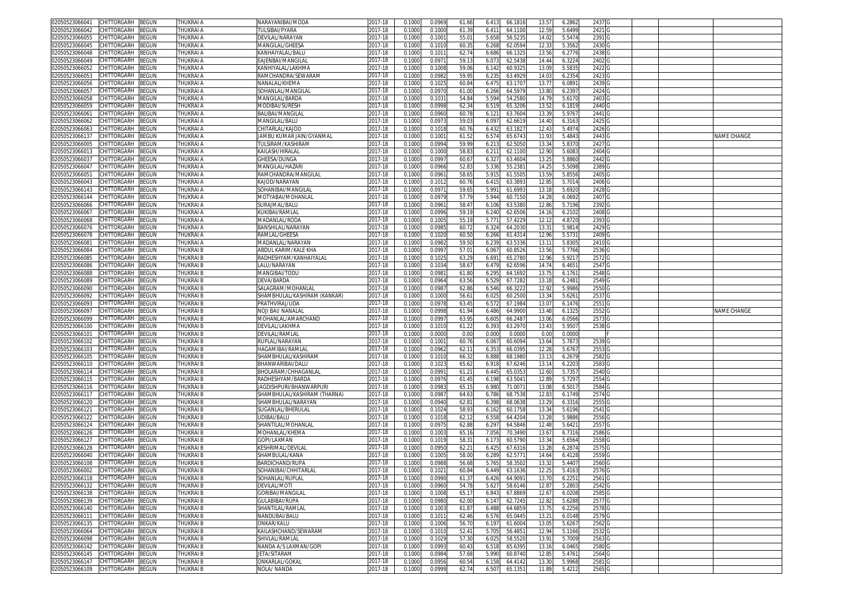| 02050523066041                   | CHITTORGARH                | BEGUN                        | THUKRAI <i>I</i>       | NARAYANIBAI/MODA              | 2017-18            | 0.1000           | 0.0969           | 61.66         | 6.413          | 66.181            | 13.57             | 6.2862           | 2437              |  |             |
|----------------------------------|----------------------------|------------------------------|------------------------|-------------------------------|--------------------|------------------|------------------|---------------|----------------|-------------------|-------------------|------------------|-------------------|--|-------------|
| 02050523066042                   | CHITTORGARH                | BEGUN                        | THUKRAI A              | <b><i>FULSIBAI/PYARA</i></b>  | 2017-18            | 0.100            | 0.1000           | 61.3          | 6.41           | 64.110            | 12.59             | 5.6499           | 2421              |  |             |
| )2050523066055                   | <b>CHITTORGARH</b>         | ፧EGUN                        | THUKRAI A              | DEVILAL/NARAYAN               | 2017-18            | 0.1000           | 0.100            | 55.0          | 5.658          | 56.523            | 14.02             | 5.5474           | 2391              |  |             |
| 02050523066045                   | :HITTORGARH                | <b>EGUN</b>                  | <b>THUKRAI A</b>       | MANGILAL/GHEESA               | 2017-18            | 0.100            | 0.101            | 60.3          | 6.268          | 62.059            | 12.33             | 5.3562           | 2430              |  |             |
| 02050523066048                   | <b>CHITTORGARH</b>         | <b>BEGUN</b>                 | THUKRAI A              | KANHAIYALAL/BALU              | 2017-18            | 0.100            | 0.101            | 62.7          | 6.686          | 66.132            | 13.56             | 6.2776           | 2438              |  |             |
| 02050523066049                   | CHITTORGARH                | BEGUN                        | THUKRAI A              | EAJENBAI/MANGILAI             | 2017-18            | 0.100            | 0.097            | 59.1          | 6.07           | 62.543            | 14.44             | 6.3224           | 2402              |  |             |
| 02050523066052                   | CHITTORGARH                | <b>BEGUN</b>                 | THUKRAI A              | KANHIYALAL/LAKHM <i>A</i>     | 2017-18            | 0.1000           | 0.100            | 59.0          | 6.142          | 60.932            | 13.09             | 5.5835           | 2422              |  |             |
| 2050523066053                    | CHITTORGARH                | BEGUN                        | THUKRAI A              | RAMCHANDRA/SEWARAM            | 2017-18            |                  | 0.098            | 59.9          | 6.235          | 63.492            | 14.03             | 6.2354           | 2423              |  |             |
|                                  |                            |                              |                        |                               |                    | 0.100            |                  |               |                |                   |                   |                  |                   |  |             |
| 2050523066056                    | CHITTORGARH                | <b>BEGUN</b>                 | THUKRAI A              | NANALAL/KHEMA                 | 2017-18            | 0.100            | 0.102            | 60.8          | 6.475          | 63.170            | 13.77             | 6.0891           | 2439              |  |             |
| 2050523066057                    | CHITTORGARH                | BEGUN                        | THUKRAI A              | SOHANLAL/MANGILAI             | 2017-18            | 0.100            | 0.097            | 61.0          | 6.266          | 64.597            | 13.80             | 6.2397           | 2424              |  |             |
| 02050523066058                   | CHITTORGARH                | <b>BEGUN</b>                 | THUKRAI A              | MANGILAL/BARDA                | 2017-18            | 0.1000           | 0.103            | 54.8          | 5.594          | 54.258            | 14.79             | 5.617            | 2403              |  |             |
| 2050523066059                    | CHITTORGARH                | <b>BEGUN</b>                 | THUKRAI A              | MODIBAI/SURESH                | 2017-18            | 0.100            | 0.099            | 62.3          | 6.519          | 65.320            | 13.52             | 6.1819           | 2440              |  |             |
| 02050523066061                   | CHITTORGARH                | <b>BEGUN</b>                 | THUKRAI A              | BALIBAI/MANGILAL              | 2017-18            | 0.100            | 0.096            | 60.7          | 6.12           | 63.760            | 13.39             | 5.9767           | 2441              |  |             |
| 2050523066062                    | CHITTORGARH                | <b>EGUN</b>                  | THUKRAI A              | MANGILAL/BALU                 | 2017-18            | 0.100            | 0.097            | 59.0          | 6.09           | 62.661            | 14.40             | 6.3163           | 2425              |  |             |
| 02050523066063                   | CHITTORGARH                | <b>EGUN</b>                  | THUKRAI A              | CHITARLAL/KAJOD               | 2017-18            | 0.1000           | 0.101            | 60.7          | 6.43           | 63.182            | 12.43             | 5.4974           | 2426              |  |             |
| 2050523066137                    | CHITTORGARH                | <b>BEGUN</b>                 | THUKRAI A              | JAMBU KUMAR JAIN/GYANMAL      | 2017-18            | 0.1000           | 0.100            | 61.5          | 6.574          | 65.674            | 11.93             | 5.4843           | 2443              |  | NAME CHANGE |
| 02050523066005                   | CHITTORGARH                | <b>BEGUN</b>                 | THUKRAI A              | TULSIRAM/KASHIRAM             | 2017-18            | 0.100            | 0.099            | 59.9          | 6.21           | 62.505            | 13.34             | 5.837            | 2427              |  |             |
| 2050523066013                    | CHITTORGARH                | <b>BEGUN</b>                 | THUKRAI A              | KAILASH/HIRALAL               | 2017-18            | 0.100            | 0.100            | 58.8          | 6.21           | 62.110            | 12.90             | 5.608            | 2404              |  |             |
| 0205052306603                    | CHITTORGARH                | <b>EGUN</b>                  | THUKRAI A              | GHEESA/DUNGA                  | $2017 - 18$        | 0.100            | 0.099            | 60.6          | 6.32           | 63.460            | 13.2              | 5.8860           | 2442              |  |             |
| 2050523066047                    | CHITTORGARH                | <b>EGUN</b>                  | <b>THUKRAI A</b>       | <b>MANGILAL/HAZARI</b>        | 2017-18            | 0.100            | 0.096            | 52.8          | 5.336          | 55.238            | 14.25             | 5.5098           | 2389              |  |             |
| 1205052306605                    | CHITTORGARH                | <b>EGUN</b>                  | THUKRAI A              |                               | 2017-18            | 0.100            | 0.096            | 58.6          | 5.91           | 61.550            | 13.5 <sup>0</sup> | 5.8556           |                   |  |             |
|                                  |                            |                              |                        | RAMCHANDRA/MANGILAL           |                    |                  |                  |               |                |                   |                   |                  | 2405              |  |             |
| 02050523066043                   | CHITTORGARH                | <b>EGUN</b>                  | THUKRAI A              | KAJOD/NARAYAN                 | 2017-18            | 0.1000           | 0.101            | 60.7          | 6.41           | 63.389            | 12.8              | 5.7014           | 2406              |  |             |
| 02050523066143                   | CHITTORGARH                | <b>EGUN</b>                  | THUKRAI A              | SOHANIBAI/MANGILA             | 2017-18            | 0.100            | 0.097            | 59.6          | 5.99           | 61.699            | 13.1              | 5.6920           | 2428              |  |             |
| 02050523066144                   | CHITTORGARH                | <b>BEGUN</b>                 | THUKRAI A              | VIOTYABAI/MOHANLAL            | 2017-18            | 0.1000           | 0.097            | 57.7          | 5.944          | 60.715            | 14.28             | 6.0692           | 2407              |  |             |
| 02050523066066                   | <b>CHITTORGARH</b>         | <b>BEGUN</b>                 | THUKRAI A              | SURAJMAL/BALU                 | 2017-18            | 0.100            | 0.096            | 58.4          | 6.10           | 63.538            | 12.86             | 5.7196           | 2392              |  |             |
| )2050523066067                   | CHITTORGARH                | <b>BEGUN</b>                 | THUKRAI A              | (UKIBAI/RAMLAL                | 2017-18            | 0.100            | 0.099            | 59.1          | 6.240          | 62.650            | 14.16             | 6.2102           | 2408              |  |             |
| 02050523066068                   | <b>CHITTORGARH</b>         | <b>BEGUN</b>                 | THUKRAI A              | MADANLAL/RODA                 | 2017-18            | 0.100            | 0.100!           | 55.1          | 5.771          | 57.422            | 12.12             | 4.8720           | 2393              |  |             |
| 02050523066076                   | <b>CHITTORGARH</b>         | <b>EGUN</b>                  | THUKRAI A              | BANSHILAL/NARAYAN             | 2017-18            | 0.100            | 0.098            | 60.7          | 6.324          | 64.203            | 13.3'             | 5.9814           | 2429              |  |             |
| 2050523066078                    | <b>HITTORGARH</b>          | <b>EGUN</b>                  | THUKRAI <i>I</i>       | RAMLAL/GHEESA                 | 2017-18            | 0.100            | 0.102            | 60.5          | 6.266          | 61.431            | 12.96             | 5.573            | 2409              |  |             |
| 02050523066081                   | CHITTORGARH                | BEGUN                        | THUKRAI A              | MADANLAL/NARAYAN              | 2017-18            | 0.1000           | 0.098            | 59.5          | 6.239          | 63.533            | 13.11             | 5.8305           | 2410 <sub>G</sub> |  |             |
| 02050523066084                   | CHITTORGARH                | BEGUN                        | THUKRAI B              | ABDUL KARIM/KALE KHA          | 2017-18            | 0.1000           | 0.099            | 57.0          | 6.067          | 60.852            | 13.56             | 5.7766           | 2536              |  |             |
| )2050523066085                   | CHITTORGARH                | BEGUN                        | THUKRAI B              | RADHESHYAM/KANHAIYALAI        | 2017-18            | 0.100            | 0.102            | 63.2          | 6.691          | 65.278            | 12.96             | 5.9217           | 2572              |  |             |
| 2050523066086                    | <b>CHITTORGARH</b>         | <b>BEGUN</b>                 | THUKRAI B              | .ALU/NARAYAN                  | 2017-18            | 0.100            | 0.103            | 58.6          | 6.479          | 62.659            | 14.74             | 6.4651           | 2547              |  |             |
| )2050523066088                   | CHITTORGARH                | <b>BEGUN</b>                 | THUKRAI B              | MANGIBAI/TODL                 | 2017-18            | 0.1000           | 0.098            | 61.8          | 6.295          | 64.169            | 13.75             | 6.176            | 2548              |  |             |
|                                  |                            |                              |                        |                               |                    |                  |                  |               |                |                   |                   |                  |                   |  |             |
| 2050523066089                    | CHITTORGARH                | BEGUN                        | THUKRAI B              | DEVA/BARDA                    | 2017-18            | 0.1000           | 0.096            | 63.5          | 6.529          | 67.728            | 13.18             | 6.2481           | 2549              |  |             |
| 02050523066090                   | CHITTORGARH                | BEGUN                        | THUKRAI B              | SALAGRAM/MOHANLAL             | 2017-18            |                  |                  |               |                |                   | 12.92             | 5.9986           | 2550              |  |             |
|                                  |                            |                              |                        |                               |                    | 0.100            | 0.098            | 62.8          | 6.546          | 66.322            |                   |                  |                   |  |             |
| 2050523066092                    | CHITTORGARH                | <b>BEGUN</b>                 | THUKRAI B              | SHAMBHULAL/KASHIRAM (KANKAR)  | 2017-18            | 0.100            | 0.1000           | 56.6          | 6.02!          | 60.250            | 13.34             | 5.6261           | 2537              |  |             |
| 02050523066093                   | CHITTORGARH                | <b>EGUN</b>                  | THUKRAI B              | PRATHVIRAJ/UDA                | 2017-18            | 0.1000           | 0.097            | 63.4          | 6.57           | 67.198            | 13.0              | 6.1476           | 2551              |  |             |
| 2050523066097                    | CHITTORGARH                | <b>BEGUN</b>                 | THUKRAI B              | <b>VOJI BAI/ NANALAL</b>      | 2017-18            | 0.1000           | 0.099            | 61.94         | 6.486          | 64.990            | 13.48             | 6.1325           | 2552              |  | NAME CHANGE |
| 02050523066099                   | CHITTORGARH                | <b>BEGUN</b>                 | THUKRAI B              | MOHANLAL/AMARCHAND            | 2017-18            | 0.100            | 0.099            | 63.9          | 6.60           | 66.248            | 13.06             | 6.0566           | 2573              |  |             |
| 2050523066100                    | CHITTORGARH                | <b>BEGUN</b>                 | THUKRAI B              | <b>DEVILAL/LAKHMA</b>         | 2017-18            | 0.100            | 0.101            | 61.2          | 6.393          | 63.297            | 13.43             | 5.9507           | 2538              |  |             |
| 0205052306610                    | CHITTORGARH                | <b>EGUN</b>                  | THUKRAI B              | DEVILAL/RAMLAL                | 2017-18            | 0.1000           | 0.000            | 0.0           | 0.000          | 0.000             | 0.00              | 0.0000           |                   |  |             |
|                                  | CHITTORGARH                | <b>EGUN</b>                  | THUKRAI B              | RUPLAL/NARAYAN                | 2017-18            | 0.1000           | 0.100            |               |                | 60.609            |                   |                  |                   |  |             |
| 02050523066102                   |                            |                              |                        |                               |                    |                  |                  | 60.7          | 6.067          |                   | 13.64             | 5.7873           | 2539              |  |             |
| 02050523066103                   | CHITTORGARH                | ፡EGUN                        | THUKRAI B              | HAGAMIBAI/RAMLA               | 2017-18            | 0.100            | 0.096            | 62.1          | 6.35           | 66.039            | 12.2              | 5.6767           | 2553              |  |             |
| 02050523066105                   | CHITTORGARH                | ፡EGUN                        | <b>THUKRAI B</b>       | SHAMBHULAL/KASHIRAN           | 2017-18            | 0.1000           | 0.101            | 66.3          | 6.88           | 68.198            | 13.13             | 6.2679           | 2582              |  |             |
| 02050523066110                   | CHITTORGARH                | ፡EGUN                        | THUKRAI B              | BHANWARIBAI/DALL              | 2017-18            | 0.1000           | 0.102            | 65.6          | 6.91           | 67.624            | 13.1              | 6.2203           | 2583              |  |             |
| 02050523066114                   | CHITTORGARH                | <b>EGUN</b>                  | <b>THUKRAI B</b>       | BHOLARAM/CHHAGANLAL           | 2017-18            | 0.1000           | 0.099            | 61.2          | 6.445          | 65.035            | 12.60             | 5.7357           | 2540              |  |             |
| 02050523066115                   | CHITTORGARH                | <b>BEGUN</b>                 | THUKRAI B              | RADHESHYAM/BARDA              | 2017-18            | 0.100            | 0.097            | 61.45         | 6.19           | 63.504            | 12.8              | 5.7297           | 2554              |  |             |
| )2050523066116                   | CHITTORGARH                | ፡EGUN                        | <b>THUKRAI B</b>       | JAGDISHPURI/BHANWARPURI       | 2017-18            | 0.100            | 0.098            | 65.1          | 6.980          | 71.007            | 13.08             | 6.5017           | 2584              |  |             |
| 0205052306611                    | <b>HITTORGARH</b>          | ፡EGUN                        | THUKRAI B              | SHAMBHULAL/KASHIRAM (THARNA)  | 2017-18            | 0.100            | 0.098            | 64.6          | 6.786          | 68.753            | 12.8              | 6.1749           | 2574              |  |             |
| 02050523066120                   | CHITTORGARH                | BEGUN                        | THUKRAI B              | SHAMBHULAL/NARAYAN            | 2017-18            | 0.100            | 0.094            | 62.8          | 6.398          | 68.063            | 13.29             | 6.3316           | 2555              |  |             |
| 02050523066121                   | CHITTORGARH                | <b>BEGUN</b>                 | THUKRAI B              | SUGANLAL/BHERULAI             | 2017-18            | 0.100            | 0.102            | 58.9          | 6.16           | 60.175            | 13.34             | 5.6196           | 2541              |  |             |
| 02050523066122                   | CHITTORGARH                | ፧EGUN                        | THUKRAI B              | JDIBAI/BALU                   | 2017-18            | 0.100            | 0.101            | 62.1          | 6.558          | 64.420            | 13.28             | 5.9886           | 2556              |  |             |
| 2050523066124                    | CHITTORGARH                | EGUN                         | <b>THUKRAI B</b>       | SHANTILAL/MOHANLAL            | 2017-18            | 0.100            | 0.097            | 62.8          | 6.297          | 64.584            | 12.48             | 5.6421           | 2557              |  |             |
| )2050523066126                   | CHITTORGARH                | <b>BEGUN</b>                 | THUKRAI B              | MOHANLAL/KHEMA                | 2017-18            | 0.1000           | 0.100            | 65.1          | 7.056          | 70.349            | 13.6              | 6.7316           | 2586              |  |             |
| 2050523066127                    | CHITTORGARH                | BEGUN                        | THUKRAI B              | GOPI/LAXMAN                   | 2017-18            | 0.100            | 0.101            | 58.3          | 6.173          | 60.579            | 13.34             | 5.6564           | 2558              |  |             |
| )2050523066128                   | CHITTORGARH                | 3EGUN                        | THUKRAI B              | KESHRIMAL/DEVILA              | 2017-18            | 0.100            | 0.095            | 62.2          | 6.42           | 67.631            | 13.28             | 6.2874           |                   |  |             |
|                                  |                            |                              |                        |                               | 2017-18            | 0.100            |                  |               |                |                   |                   |                  | 2575              |  |             |
| )2050523066040                   | CHITTORGARH                | <b>BEGUN</b>                 | thukrai B              | SHAMBULAL/KANA                |                    |                  | 0.100            | 58.0          | 6.289          | 62.577            | 14.64             | 6.4128           | 2559              |  |             |
| 02050523066108                   | CHITTORGARH                | BEGUN                        | THUKRAI B              | BARDICHAND/RUPA               | 2017-18            | 0.1000           | 0.098            | 56.6          | 5.765          | 58.350            | 13.32             | 5.4407           | 2560              |  |             |
| 02050523066002 CHITTORGARH BEGUN |                            |                              | <b>IHUKKAI B</b>       | SOHANIBAI/CHHI I ARLAL        | 2017-18            | 0.1000           | 0.1021           | OU.O          | 0.449          | 03.1030           | 12.25             | 5.4163           | <b>تا 25/0</b>    |  |             |
| 02050523066118 CHITTORGARH       |                            | <b>BEGUN</b>                 | THUKRAI B              | SOHANLAL/RUPLAL               | 2017-18            | 0.1000           | 0.0990           | 61.37         | 6.426          | 64.9091           | 13.70             | 6.2251           | 2561              |  |             |
| 02050523066132 CHITTORGARH       |                            | BEGUN                        | THUKRAI B              | DEVILAL/MOTI                  | 2017-18            | 0.1000           | 0.0960           | 54.78         | 5.627          | 58.6146           | 12.87             | 5.2803           | 2542              |  |             |
| 02050523066138                   | CHITTORGARH                | BEGUN                        | THUKRAI B              | GORIBAI/MANGILAL              | 2017-18            | 0.1000           | 0.100            | 65.1          | 6.843          | 67.886            | 12.67             | 6.0208           | 2585              |  |             |
| 02050523066139                   | CHITTORGARH                | BEGUN                        | THUKRAI B              | GULABIBAI/RUPA                | 2017-18            | 0.1000           | 0.0980           | 62.00         | 6.147          | 62.7245           | 12.82             | 5.6288           | 2577 G            |  |             |
| 02050523066140                   | CHITTORGARH                | BEGUN                        | THUKRAI B              | SHANTILAL/RAMLAL              | 2017-18            | 0.1000           | 0.100            | 61.87         | 6.488          | 64.685            | 13.75             | 6.2256           | 2578              |  |             |
| 02050523066111                   | CHITTORGARH                | <b>BEGUN</b>                 | THUKRAI B              | NANDUBAI/BALU                 | 2017-18            | 0.1000           | 0.101            | 62.46         | 6.576          | 65.0445           | 13.21             | 6.0148           | 2579 G            |  |             |
| 02050523066135                   | CHITTORGARH                | BEGUN                        | THUKRAI B              | ONKAR/KALU                    | 2017-18            | 0.1000           | 0.100(           | 56.7          | 6.197          | 61.600            | 13.05             | 5.6267           | 2562              |  |             |
| 02050523066064                   | CHITTORGARH                | BEGUN                        | THUKRAI B              | KAILASHCHAND/SEWARAM          | 2017-18            | 0.1000           | 0.101            | 52.4          | 5.705          | 56.485            | 12.94             | 5.1166           | 2532              |  |             |
| 02050523066098                   | CHITTORGARH                | BEGUN                        | THUKRAI B              | SHIVLAL/RAMLAL                | 2017-18            | 0.1000           | 0.102            | 57.3          | 6.025          | 58.552            | 13.91             | 5.7009           | 2563              |  |             |
| 02050523066142                   | CHITTORGARH                | BEGUN                        | THUKRAI B              | NANDA A/S LAXMAN/GOPI         | 2017-18            | 0.1000           | 0.0993           | 60.43         | 6.518          | 65.639            | 13.16             | 6.0465           | 2580              |  |             |
|                                  |                            |                              |                        | JETA/SITARAM                  |                    | 0.1000           | 0.098            |               |                |                   | 12.85             |                  |                   |  |             |
| 02050523066145                   | CHITTORGARH                | BEGUN                        | THUKRAI B              |                               | 2017-18            |                  |                  | 57.68         | 5.990          | 60.874            |                   | 5.4761           | 2564              |  |             |
| 02050523066147<br>02050523066109 | CHITTORGARH<br>CHITTORGARH | <b>BEGUN</b><br><b>BEGUN</b> | THUKRAI B<br>THUKRAI B | ONKARLAL/GOKAL<br>NOLA/ NANDA | 2017-18<br>2017-18 | 0.1000<br>0.1000 | 0.0956<br>0.0999 | 60.5<br>62.74 | 6.158<br>6.507 | 64.414<br>65.1351 | 13.30<br>11.89    | 5.9968<br>5.4212 | 2581<br>2565 G    |  |             |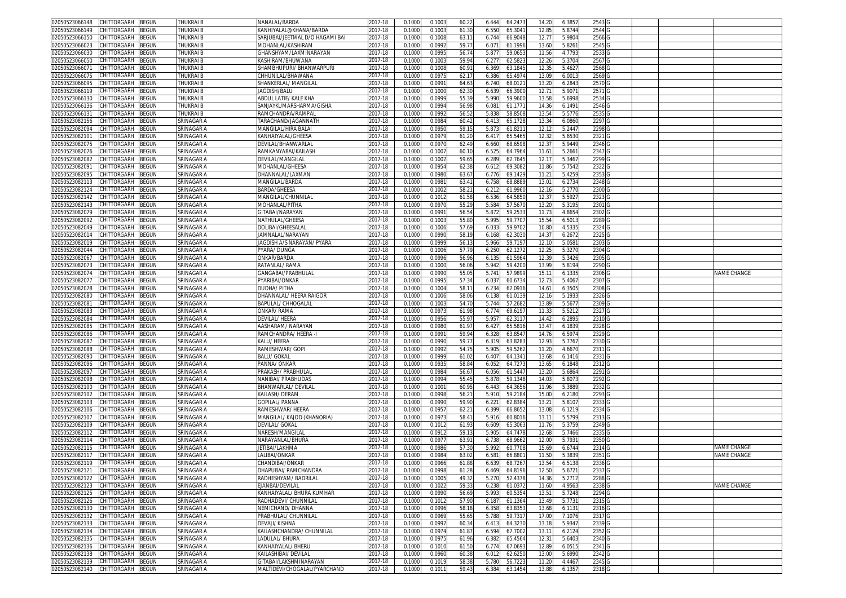| 02050523066148                   | CHITTORGARH        | BEGUN        | THUKRAI B        | NANALAL/BARDA                     | 2017-18     | 0.1000 | 0.100  | 60.22 | 6.444 | 64.247  | 14.20             | 6.3857 | 2543   |  |             |
|----------------------------------|--------------------|--------------|------------------|-----------------------------------|-------------|--------|--------|-------|-------|---------|-------------------|--------|--------|--|-------------|
| 2050523066149                    | CHITTORGARH        | <b>BEGUN</b> | THUKRAI B        | KANHIYALAL@KHANA/BARDA            | 2017-18     | 0.1000 | 0.100  | 61.3  | 6.550 | 65.3041 | 12.85             | 5.8744 | 2544   |  |             |
| 2050523066150                    | CHITTORGARH        | <b>EGUN</b>  | THUKRAI B        | SARJUBAI/JEETMAL D/O HAGAMI BAI   | 2017-18     | 0.1000 | 0.100  | 63.1  | 6.744 | 66.9048 | 12.7              | 5.9804 | 2566   |  |             |
| 02050523066023                   | CHITTORGARH        | <b>BEGUN</b> | THUKRAI B        | VIOHANLAL/KASHIRAM                | 2017-18     | 0.1000 | 0.099  | 59.7  | 6.07  | 61.1996 | 13.60             | 5.8261 | 2545   |  |             |
|                                  |                    |              |                  |                                   |             |        |        |       |       |         |                   |        |        |  |             |
| 02050523066030                   | CHITTORGARH        | <b>BEGUN</b> | THUKRAI B        | GHANSHYAM/LAXMINARAYAN            | 2017-18     | 0.100  | 0.099  | 56.7  | 5.87  | 59.065  | 11.56             | 4.7793 | 2533   |  |             |
| 2050523066050                    | CHITTORGARH        | <b>BEGUN</b> | THUKRAI B        | KASHIRAM/BHUWANA                  | 2017-18     | 0.1000 | 0.100  | 59.9  | 6.27  | 62.582  | 12.26             | 5.3704 | 2567   |  |             |
| 0205052306607                    | CHITTORGARH        | <b>EGUN</b>  | THUKRAI B        | SHAMBHUPURI/ BHANWARPURI          | $2017 - 18$ | 0.100  | 0.100  | 60.9  | 6.369 | 63.184  | 12.35             | 5.4627 | 2568   |  |             |
| 2050523066075                    | CHITTORGARH        | <b>EGUN</b>  | <b>THUKRAI B</b> | CHHUNILAL/BHAWANA                 | 2017-18     | 0.1000 | 0.097  | 62.1  | 6.386 | 65.497  | 13.09             | 6.001  | 2569   |  |             |
| 12050523066095                   | CHITTORGARH        | <b>EGUN</b>  | THUKRAI B        | SHANKERLAL/ MANGILAI              | 2017-18     | 0.100  | 0.099  | 64.6  | 6.740 | 68.012  | 13.20             | 6.284  | 2570   |  |             |
| 02050523066119                   | CHITTORGARH        | <b>BEGUN</b> | THUKRAI B        | JAGDISH/BALU                      | 2017-18     | 0.1000 | 0.100  | 62.3  | 6.63  | 66.390  | 12.7              | 5.907  | 2571   |  |             |
| 02050523066130                   | CHITTORGARH        | <b>EGUN</b>  | THUKRAI B        | ABDUL LATIF/ KALE KHA             | 2017-18     | 0.100  | 0.099  | 55.3  | 5.990 | 59.960  | 13.5              | 5.6998 | 2534   |  |             |
| 02050523066136                   | CHITTORGARH        | <b>BEGUN</b> | <b>THUKRAI B</b> | SANJAYKUMARSHARMA/GISHA           | 2017-18     | 0.100  | 0.099  | 56.9  | 6.08  | 61.177  | 14.36             | 6.1491 | 2546   |  |             |
|                                  |                    |              |                  |                                   |             |        |        |       |       |         |                   |        |        |  |             |
| 02050523066131                   | CHITTORGARH        | <b>BEGUN</b> | THUKRAI B        | RAMCHANDRA/RAMPAI                 | 2017-18     | 0.100  | 0.099  | 56.5  | 5.83  | 58.850  | 13.54             | 5.5776 | 2535   |  |             |
| 02050523082156                   | CHITTORGARH        | <b>BEGUN</b> | SRINAGAR A       | <b><i>FARACHAND/JAGANNATH</i></b> | 2017-18     | 0.100  | 0.098  | 60.4  | 6.41  | 65.172  | 13.34             | 6.0860 | 2297   |  |             |
| 02050523082094                   | CHITTORGARH        | <b>BEGUN</b> | SRINAGAR A       | MANGILAL/HIRA BALA                | 2017-18     | 0.100  | 0.095  | 59.1  | 5.87  | 61.821  | 12.12             | 5.2447 | 2298   |  |             |
| 02050523082101                   | CHITTORGARH        | <b>BEGUN</b> | SRINAGAR A       | KANHAIYALAL/GHEESA                | 2017-18     | 0.1000 | 0.097  | 61.2  | 6.41  | 65.546  | 12.32             | 5.6530 | 2321   |  |             |
| 2050523082075                    | <b>HITTORGARH</b>  | <b>BEGUN</b> | SRINAGAR A       | DEVILAL/BHANWARLAI                | 2017-18     | 0.100  | 0.097  | 62.4  | 6.660 | 68.659  | 12.3              | 5.9449 | 2346   |  |             |
| 02050523082076                   | CHITTORGARH        | BEGUN        | SRINAGAR A       | RAMKANYABAI/KAILASH               | 2017-18     | 0.1000 | 0.100  | 60.1  | 6.525 | 64.7964 | 11.61             | 5.266  | 2347   |  |             |
| 02050523082082                   | CHITTORGARH        | BEGUN        | SRINAGAR A       | DEVILAL/MANGILAL                  | 2017-18     | 0.1000 | 0.1002 | 59.6  | 6.289 | 62.7645 | 12.17             | 5.3467 | 2299   |  |             |
| 02050523082091                   | CHITTORGARH        | BEGUN        | SRINAGAR A       | MOHANLAL/GHEESA                   | 2017-18     | 0.1000 | 0.095  | 62.3  | 6.61  | 69.308  | 11.86             | 5.7542 | 2322   |  |             |
|                                  |                    |              |                  |                                   |             |        |        |       |       |         |                   |        |        |  |             |
| 2050523082095                    | CHITTORGARH        | BEGUN        | SRINAGAR A       | DHANNALAL/LAXMAN                  | 2017-18     | 0.100  | 0.098  | 63.6  | 6.776 | 69.142  | $11.2^{\circ}$    | 5.4259 | 2353   |  |             |
| 02050523082113                   | CHITTORGARH        | <b>BEGUN</b> | SRINAGAR A       | MANGILAL/BARDA                    | 2017-18     | 0.1000 | 0.098  | 63.4  | 6.758 | 68.888  | 13.01             | 6.2734 | 2348   |  |             |
| 02050523082124                   | CHITTORGARH        | BEGUN        | SRINAGAR A       | BARDA/GHEESA                      | 2017-18     | 0.1000 | 0.1002 | 58.2  | 6.212 | 61.9960 | 12.16             | 5.2770 | 2300   |  |             |
| 02050523082142                   | CHITTORGARH        | BEGUN        | SRINAGAR A       | MANGILAL/CHUNNILAL                | 2017-18     | 0.1000 | 0.101  | 61.5  | 6.536 | 64.585  | 12.3              | 5.5927 | 2323   |  |             |
| 2050523082143                    | CHITTORGARH        | <b>BEGUN</b> | SRINAGAR A       | <b>MOHANLAL/PITHA</b>             | 2017-18     | 0.1000 | 0.097  | 55.2  | 5.58  | 57.567  | 13.20             | 5.319  | 2301   |  |             |
| 02050523082079                   | CHITTORGARH        | <b>EGUN</b>  | SRINAGAR A       | GITABAI/NARAYAN                   | 2017-18     | 0.100  | 0.099  | 56.5  | 5.87  | 59.253  | 11.73             | 4.8654 | 2302   |  |             |
| 2050523082092                    | CHITTORGARH        | <b>BEGUN</b> | SRINAGAR A       | NATHULAL/GHEESA                   | 2017-18     | 0.1000 | 0.100  | 55.8  | 5.995 | 59.770  | 15.54             | 6.5013 | 2289   |  |             |
| 02050523082049                   | CHITTORGARH        | <b>BEGUN</b> | SRINAGAR A       | DOLIBAI/GHEESALAI                 | 2017-18     | 0.1000 | 0.100( | 57.69 | 6.03  | 59.970  | 10.8              | 4.533  | 2324   |  |             |
| 2050523082014                    | CHITTORGARH        | BEGUN        | SRINAGAR A       | JAMNALAL/NARAYAN                  |             |        | 0.099  |       |       | 62.303  | 14.3              |        | 2325   |  |             |
|                                  |                    |              |                  |                                   | 2017-18     | 0.100  |        | 58.1  | 6.168 |         |                   | 6.2672 |        |  |             |
| 02050523082019                   | CHITTORGARH        | <b>BEGUN</b> | SRINAGAR A       | JAGDISH A/S NARAYAN/ PYARA        | 2017-18     | 0.1000 | 0.099  | 56.1  | 5.966 | 59.719  | 12.10             | 5.0581 | 2303   |  |             |
| 02050523082044                   | CHITTORGARH        | <b>BEGUN</b> | SRINAGAR A       | PYARA/DUNGA                       | 2017-18     | 0.1000 | 0.100( | 57.7  | 6.250 | 62.127  | 12.25             | 5.3270 | 2304   |  |             |
| 02050523082067                   | CHITTORGARH        | <b>EGUN</b>  | SRINAGAR A       | onkar/Barda                       | 2017-18     | 0.100  | 0.099  | 56.9  | 6.13  | 61.596  | 12.3 <sup>0</sup> | 5.3426 | 2305   |  |             |
| 2050523082073                    | CHITTORGARH        | ፡EGUN        | SRINAGAR A       | RATANLAL/RAMA                     | 2017-18     | 0.1000 | 0.100  | 56.0  | 5.942 | 59.420  | 13.99             | 5.8194 | 2290   |  |             |
| 02050523082074                   | CHITTORGARH        | ፡EGUN        | SRINAGAR A       | GANGABAI/PRABHULAL                | 2017-18     | 0.1000 | 0.099  | 55.0  | 5.74  | 57.989  | 15.1              | 6.1335 | 2306   |  | NAME CHANGE |
| 02050523082077                   | CHITTORGARH        | <b>BEGUN</b> | SRINAGAR A       | PYARIBAI/ONKAR                    | 2017-18     | 0.1000 | 0.099  | 57.3  | 6.037 | 60.673  | 12.73             | 5.4067 | 2307   |  |             |
| 02050523082078                   | CHITTORGARH        | <b>EGUN</b>  | SRINAGAR A       | )UDHA/ PITHA                      | 2017-18     | 0.100  | 0.100  | 58.1  | 6.23  | 62.091  | 14.6              | 6.350  | 2308   |  |             |
|                                  | CHITTORGARH        |              |                  | <b>DHANNALAL/ HEERA RAIGOR</b>    |             |        |        |       |       |         |                   |        |        |  |             |
| 02050523082080                   |                    | <b>BEGUN</b> | SRINAGAR A       |                                   | 2017-18     | 0.1000 | 0.1006 | 58.0  | 6.138 | 61.013  | 12.16             | 5.1933 | 2326   |  |             |
| 1205052308208                    | <b>HITTORGARH</b>  | ፡EGUN        | SRINAGAR A       | BAPULAL/ CHHOGALAI                | 2017-18     | 0.100  | 0.100  | 54.7  | 5.744 | 57.268  | 13.8              | 5.567  | 2309   |  |             |
| 02050523082083                   | <b>CHITTORGARH</b> | <b>BEGUN</b> | SRINAGAR A       | ONKAR/RAMA                        | 2017-18     | 0.100  | 0.097  | 61.9  | 6.77  | 69.619  | 11.33             | 5.521  | 2327   |  |             |
| 02050523082084                   | CHITTORGARH        | BEGUN        | SRINAGAR A       | DEVILAL/ HEERA                    | 2017-18     | 0.100  | 0.095  | 55.9  | 5.95  | 62.311  | 14.42             | 6.2895 | 2310   |  |             |
| )2050523082085                   | <b>CHITTORGARH</b> | 3EGUN        | SRINAGAR A       | AASHARAM/ NARAYAN                 | 2017-18     | 0.100  | 0.0980 | 61.9  | 6.427 | 65.581  | 13.47             | 6.1839 | 2328   |  |             |
| 02050523082086                   | <b>HITTORGARH</b>  | <b>BEGUN</b> | SRINAGAR A       | RAMCHANDRA/ HEERA                 | 2017-18     | 0.100  | 0.099  | 59.9  | 6.328 | 63.854  | 14.76             | 6.5974 | 2329   |  |             |
| 02050523082087                   | CHITTORGARH        | <b>BEGUN</b> | SRINAGAR A       | KALU/ HEERA                       | 2017-18     | 0.100  | 0.0990 | 59.7  | 6.319 | 63.828  | 12.93             | 5.7767 | 2330 G |  |             |
| 2050523082088                    | CHITTORGARH        | BEGUN        | SRINAGAR A       | RAMESHWAR/ GOPI                   | 2017-18     | 0.100  | 0.0992 | 54.7  | 5.905 | 59.526  | 11.20             | 4.6670 | 2311   |  |             |
| 02050523082090                   | CHITTORGARH        | <b>BEGUN</b> | SRINAGAR A       | BALU/ GOKAL                       |             | 0.1000 | 0.0999 | 61.0  | 6.407 | 64.134  | 13.68             | 6.1416 | 2331   |  |             |
|                                  |                    |              |                  |                                   | 2017-18     |        |        |       |       |         |                   |        |        |  |             |
| 2050523082096                    | CHITTORGARH        | <b>BEGUN</b> | SRINAGAR A       | PANNA/ ONKAR                      | 2017-18     | 0.100  | 0.093  | 58.8  | 6.052 | 64.727  | 13.65             | 6.1848 | 2312   |  |             |
| )2050523082097                   | CHITTORGARH        | <b>BEGUN</b> | SRINAGAR A       | PRAKASH/ PRABHULAL                | 2017-18     | 0.1000 | 0.098  | 56.6  | 6.056 | 61.544  | 13.20             | 5.6864 | 2291   |  |             |
| 2050523082098                    | CHITTORGARH        | <b>BEGUN</b> | SRINAGAR A       | VANIBAI/ PRABHUDAS                | 2017-18     | 0.1000 | 0.099  | 55.4  | 5.87  | 59.134  | 14.03             | 5.8073 | 2292   |  |             |
| 02050523082100                   | CHITTORGARH        | <b>EGUN</b>  | SRINAGAR A       | BHANWARLAL/ DEVILAL               | 2017-18     | 0.1000 | 0.100  | 60.9  | 6.443 | 64.365  | 11.96             | 5.3889 | 2332   |  |             |
| 2050523082102                    | CHITTORGARH        | <b>BEGUN</b> | SRINAGAR A       | KAILASH/DERAM                     | 2017-18     | 0.1000 | 0.099  | 56.2  | 5.910 | 59.2184 | 15.00             | 6.2180 | 2293   |  |             |
| 02050523082103                   | CHITTORGARH        | BEGUN        | SRINAGAR A       | GOPILAL/ PANNA                    | 2017-18     | 0.100  | 0.099  | 59.9  | 6.22  | 62.838  | 13.21             | 5.8107 | 2333   |  |             |
| 2050523082106                    | CHITTORGARH        | <b>BEGUN</b> | SRINAGAR A       | RAMESHWAR/ HEERA                  | 2017-18     | 0.100  | 0.095  | 62.2  | 6.399 | 66.865  | 13.08             | 6.1219 | 2334   |  |             |
| 02050523082107                   | CHITTORGARH        | <b>EGUN</b>  | SRINAGAR A       | MANGILAL/ KAJOD (KHANORIA)        | 2017-18     | 0.1000 | 0.097  | 58.4  | 5.916 | 60.801  | 13.1'             | 5.5799 | 2313   |  |             |
| 02050523082109                   | CHITTORGARH        | BEGUN        |                  |                                   | 2017-18     |        |        |       |       |         |                   | 5.3759 | 2349   |  |             |
|                                  |                    |              | SRINAGAR A       | DEVILAL/ GOKAL                    |             | 0.1000 | 0.101  | 61.93 | 6.609 | 65.306  | 11.76             |        |        |  |             |
| 02050523082112                   | CHITTORGARH        | <b>BEGUN</b> | SRINAGAR A       | NARESH/MANGILAL                   | 2017-18     | 0.100  | 0.091  | 59.1  | 5.905 | 64.747  | 12.68             | 5.7466 | 2335   |  |             |
| 2050523082114                    | CHITTORGARH        | <b>EGUN</b>  | SRINAGAR A       | VARAYANLAL/BHURA                  | 2017-18     | 0.1000 | 0.097  | 63.9  | 6.738 | 68.966  | 12.00             | 5.7931 | 2350   |  |             |
| 02050523082115                   | <b>CHITTORGARH</b> | <b>EGUN</b>  | SRINAGAR A       | JETIBAI/LAKHMA                    | 2017-18     | 0.100  | 0.098  | 57.3  | 5.99  | 60.770  | 15.6              | 6.6744 | 2314   |  | NAME CHANGE |
| 02050523082117                   | CHITTORGARH        | <b>BEGUN</b> | SRINAGAR A       | ALIBAI/ONKAR                      | 2017-18     | 0.1000 | 0.098  | 63.0  | 6.58  | 66.880  | 11.50             | 5.3839 | 2351   |  | NAME CHANGE |
| 02050523082119                   | CHITTORGARH        | BEGUN        | SRINAGAR A       | CHANDIBAI/ONKAR                   | 2017-18     | 0.1000 | 0.096  | 61.8  | 6.63  | 68.726  | 13.54             | 6.5138 | 2336   |  |             |
| 02050523082121 CHILIORGARH BEGUN |                    |              | SRINAGAR A       | )HAPUBAI/ RAMCHANDRA              | 2017-18     | 0.1000 | 0.0998 | 61.28 | 6.469 | 64.8196 | 12.50             | 5.6721 | 2337 G |  |             |
| 02050523082122 CHITTORGARH       |                    | <b>BEGUN</b> | SRINAGAR A       | RADHESHYAM/BADRILAL               | 2017-18     | 0.1000 | 0.1005 | 49.3  | 5.270 | 52.4378 | 14.36             | 5.2712 | 2288   |  |             |
| 02050523082123                   | CHITTORGARH        | BEGUN        | SRINAGAR A       | EJANBAI/DEVILAL                   | 2017-18     | 0.1000 | 0.102  | 59.3  | 6.238 | 61.037  | 11.60             | 4.9563 | 2338 G |  | NAME CHANGE |
|                                  |                    |              |                  |                                   |             |        |        |       |       |         |                   |        |        |  |             |
| 02050523082125                   | CHITTORGARH        | BEGUN        | SRINAGAR A       | KANHAIYALAL/ BHURA KUMHAR         | 2017-18     | 0.1000 | 0.0990 | 56.69 | 5.993 | 60.535  | 13.51             | 5.7248 | 2294   |  |             |
| 02050523082126                   | CHITTORGARH        | BEGUN        | SRINAGAR A       | RADHADEVI/ CHUNNILAL              | 2017-18     | 0.1000 | 0.101  | 57.9  | 6.187 | 61.136  | 13.49             | 5.7731 | 2315 G |  |             |
| 02050523082130                   | CHITTORGARH        | BEGUN        | SRINAGAR A       | NEMICHAND/ DHANNA                 | 2017-18     | 0.1000 | 0.0996 | 58.1  | 6.358 | 63.835  | 13.68             | 6.1131 | 2316 G |  |             |
| 02050523082132                   | CHITTORGARH        | BEGUN        | SRINAGAR A       | PRABHULAL/ CHUNNILAL              | 2017-18     | 0.1000 | 0.0969 | 55.65 | 5.788 | 59.731  | 17.00             | 7.1076 | 2317 G |  |             |
| 2050523082133                    | CHITTORGARH        | BEGUN        | SRINAGAR A       | DEVAJI/ KISHNA                    | 2017-18     | 0.1000 | 0.0997 | 60.3  | 6.413 | 64.323  | 13.18             | 5.9347 | 2339 G |  |             |
| 02050523082134                   | CHITTORGARH        | BEGUN        | SRINAGAR A       | KAILASHCHANDRA/ CHUNNILAL         | 2017-18     | 0.1000 | 0.097  | 61.8  | 6.594 | 67.700  | 13.11             | 6.2124 | 2352 G |  |             |
| 02050523082135 CHITTORGARH       |                    | BEGUN        | SRINAGAR A       | LADULAL/ BHURA                    | 2017-18     | 0.1000 | 0.0975 | 61.96 | 6.382 | 65.4564 | 12.31             | 5.6403 | 2340 G |  |             |
| 02050523082136                   | CHITTORGARH        | BEGUN        | SRINAGAR A       | KANHAIYALAL/ BHERU                | 2017-18     | 0.1000 | 0.1010 | 61.50 | 6.774 | 67.069  | 12.89             | 6.0515 | 2341   |  |             |
| 2050523082138                    | CHITTORGARH        | BEGUN        | SRINAGAR A       | KAILASHIBAI/ DEVILAL              | 2017-18     | 0.1000 | 0.0960 | 60.3  |       | 62.625  | 13.00             | 5.6990 | 2342 G |  |             |
|                                  |                    |              |                  |                                   |             |        |        |       | 6.012 |         |                   |        |        |  |             |
| 02050523082139                   | CHITTORGARH        | BEGUN        | SRINAGAR A       | GITABAI/LAKSHMINARAYAN            | 2017-18     | 0.1000 | 0.101  | 58.3  | 5.780 | 56.722  | 11.20             | 4.4467 | 2345 G |  |             |
| 02050523082140 CHITTORGARH       |                    | <b>BEGUN</b> | SRINAGAR A       | MALTIDEVI/CHOGALAL/PYARCHAND      | 2017-18     | 0.1000 | 0.1011 | 59.43 | 6.384 | 63.1454 | 13.88             | 6.1357 | 2318 G |  |             |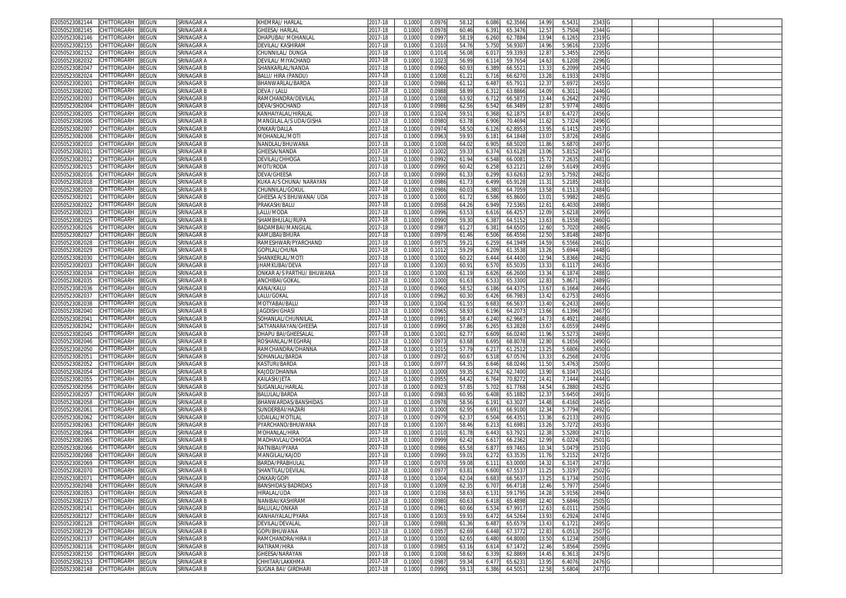| 02050523082144                   | CHITTORGARH        | <b>BEGUN</b> | SRINAGAR A        | KHEMRAJ/ HARLAL            | 2017-18 | 0.1000 | 0.0976 | 58.1  | 6.086 | 62.3566 | 14.99 | 6.5431 | 2343 <sub>C</sub> |  |  |
|----------------------------------|--------------------|--------------|-------------------|----------------------------|---------|--------|--------|-------|-------|---------|-------|--------|-------------------|--|--|
| 02050523082145                   | CHITTORGARH        | 3EGUN        | SRINAGAR A        | SHEESA/ HARLAL             | 2017-18 | 0.1000 | 0.0978 | 60.46 | 6.39  | 65.3476 | 12.57 | 5.7504 | 2344              |  |  |
| 02050523082146                   | CHITTORGARH        | BEGUN        | SRINAGAR A        | <b>DHAPUBAI/ MOHANLAI</b>  | 2017-18 | 0.1000 | 0.0997 | 58.1  | 6.260 | 62.788  | 13.94 | 6.1265 | 2319              |  |  |
| 02050523082155                   | CHITTORGARH        | BEGUN        | SRINAGAR A        | DEVILAL/ KASHIRAN          | 2017-18 | 0.1000 | 0.1010 | 54.7  | 5.750 | 56.930  | 14.96 | 5.9616 | 2320              |  |  |
| 02050523082152                   | CHITTORGARH        | BEGUN        | SRINAGAR A        | CHUNNILAL/DUNGA            | 2017-18 | 0.1000 | 0.101  | 56.0  | 6.01  | 59.339  | 12.8  | 5.3455 | 2295              |  |  |
| 02050523082032                   |                    |              |                   |                            |         |        |        |       |       |         |       |        | 2296              |  |  |
|                                  | CHITTORGARH        | BEGUN        | SRINAGAR A        | DEVILAL/ MIYACHAND         | 2017-18 | 0.1000 | 0.102  | 56.9  | 6.11  | 59.765  | 14.6  | 6.1208 |                   |  |  |
| 02050523082047                   | CHITTORGARH        | BEGUN        | SRINAGAR B        | SHANKARLAL/NANDA           | 2017-18 | 0.100  | 0.0960 | 60.9  | 6.38  | 66.552  | 13.3  | 6.2099 | 2454              |  |  |
| 02050523082024                   | CHITTORGARH        | BEGUN        | SRINAGAR B        | BALU/ HIRA (PANDU)         | 2017-18 | 0.1000 | 0.1008 | 61.2  | 6.716 | 66.627  | 13.28 | 6.1933 | 2478              |  |  |
| 02050523082001                   | CHITTORGARH        | BEGUN        | SRINAGAR B        | BHANWARLAL/BARDA           | 2017-18 | 0.1000 | 0.0986 | 61.1  | 6.48  | 65.791  | 12.3  | 5.6972 | 2455              |  |  |
| 02050523082002                   | CHITTORGARH        | BEGUN        | SRINAGAR B        | DEVA / LALU                | 2017-18 | 0.1000 | 0.098  | 58.9  | 6.31  | 63.886  | 14.09 | 6.3011 | 2446              |  |  |
| 02050523082003                   | CHITTORGARH        | BEGUN        | SRINAGAR B        | RAMCHANDRA/DEVILAI         | 2017-18 | 0.1000 | 0.100  | 63.9  | 6.71  | 66.587  | 13.44 | 6.2642 | 2479              |  |  |
| 02050523082004                   | CHITTORGARH        | BEGUN        | SRINAGAR B        | <b>JEVA/SHOCHAND</b>       | 2017-18 | 0.1000 | 0.0986 | 62.5  | 6.542 | 66.348  | 12.8  | 5.9774 | 2480              |  |  |
| 02050523082005                   | CHITTORGARH        | BEGUN        | SRINAGAR B        | KANHAIYALAL/HIRALAI        | 2017-18 | 0.100  | 0.102  | 59.5  | 6.368 | 62.187  | 14.8  | 6.4727 | 2456              |  |  |
| 02050523082006                   | CHITTORGARH        | <b>EGUN</b>  | SRINAGAR B        | MANGILAL A/S UDA/GISHA     | 2017-18 | 0.1000 | 0.0980 | 63.7  | 6.906 | 70.469  | 11.62 | 5.7324 | 2496              |  |  |
| 02050523082007                   | CHITTORGARI        | <b>EGUN</b>  | SRINAGAR B        | ONKAR/DALLA                | 2017-18 | 0.1000 | 0.097  | 58.5  | 6.126 | 62.895  | 13.95 | 6.1415 | 2457              |  |  |
| 02050523082008                   | <b>CHITTORGARH</b> | <b>EGUN</b>  | SRINAGAR B        | <b>MOHANLAL/MOT</b>        | 2017-18 | 0.1000 | 0.096  | 59.9  |       | 64.184  | 13.0  | 5.8726 | 2458              |  |  |
|                                  |                    |              |                   |                            |         |        |        |       | 6.18  |         |       |        |                   |  |  |
| 02050523082010                   | CHITTORGARI        | ፡EGUN        | SRINAGAR B        | VANDLAL/BHUWANA            | 2017-18 | 0.100  | 0.100  | 64.0  | 6.90  | 68.502  | 11.86 | 5.687  | 2497              |  |  |
| 0205052308201                    | CHITTORGARH        | BEGUN        | SRINAGAR B        | <b>SHEESA/NANDA</b>        | 2017-18 | 0.1000 | 0.1002 | 59.3  | 6.37  | 63.612  | 13.06 | 5.8152 | 2447              |  |  |
| 02050523082012                   | CHITTORGARH        | EGUN         | SRINAGAR B        | <b>JEVILAL/CHHOGA</b>      | 2017-18 | 0.100  | 0.099  | 61.9  | 6.548 | 66.008  | 15.7  | 7.263  | 2481              |  |  |
| 02050523082015                   | CHITTORGARH        | <b>EGUN</b>  | SRINAGAR B        | MOTI/RODA                  | 2017-18 | 0.1000 | 0.0990 | 60.4  | 6.25  | 63.212  | 12.69 | 5.6149 | 2459              |  |  |
| 02050523082016                   | CHITTORGARH        | ፡EGUN        | SRINAGAR B        | <b>DEVA/GHEESA</b>         | 2017-18 | 0.100  | 0.0990 | 61.3  | 6.299 | 63.626  | 12.93 | 5.7592 | 2482              |  |  |
| 02050523082018                   | <b>CHITTORGARH</b> | <b>EGUN</b>  | SRINAGAR B        | (UKA A/S CHUNA/ NARAYAN    | 2017-18 | 0.1000 | 0.0986 | 61.7  | 6.499 | 65.912  | 11.3  | 5.2185 | 2483              |  |  |
| 02050523082020                   | <b>HITTORGARH</b>  | ፡EGUN        | <b>SRINAGAR B</b> | <b>HUNNILAL/GOKU</b>       | 2017-18 | 0.100  | 0.0986 | 60.0  | 6.380 | 64.705  | 13.58 | 6.151  | 2484              |  |  |
| 02050523082021                   | CHITTORGARH        | BEGUN        | SRINAGAR B        | GHEESA A/S BHUWANA/ UDA    | 2017-18 | 0.1000 | 0.1000 | 61.7  | 6.586 | 65.860  | 13.01 | 5.9982 | 2485              |  |  |
| 02050523082022                   | CHITTORGARH        | <b>BEGUN</b> | SRINAGAR B        | PRAKASH/BALU               | 2017-18 | 0.1000 | 0.0958 | 64.2  | 6.949 | 72.536  | 12.61 | 6.4030 | 2498              |  |  |
| 02050523082023                   | CHITTORGARH        | BEGUN        | SRINAGAR B        | .alu/moda                  | 2017-18 | 0.1000 | 0.0996 | 63.5  | 6.616 | 66.425  | 12.09 | 5.6218 | 2499              |  |  |
| 02050523082025                   | CHITTORGARH        | BEGUN        | SRINAGAR B        | SHAMBHULAL/RUPA            | 2017-18 | 0.1000 | 0.0990 | 59.3  | 6.387 | 64.515  | 13.63 | 6.1558 | 2460              |  |  |
|                                  | CHITTORGARH        | BEGUN        | SRINAGAR B        | BADAMBAI/MANGILAI          |         |        | 0.098  | 61.2  | 6.38  | 64.650  |       | 5.7020 | 2486              |  |  |
| 02050523082026                   | CHITTORGARH        |              |                   | KAMLIBAI/BHURA             | 2017-18 | 0.1000 |        |       |       | 66.455  | 12.60 | 5.8148 | 2487              |  |  |
| 02050523082027                   |                    | BEGUN        | SRINAGAR B        |                            | 2017-18 | 0.1000 | 0.097  | 61.4  | 6.506 |         | 12.50 |        |                   |  |  |
| 02050523082028                   | CHITTORGARH        | BEGUN        | SRINAGAR B        | RAMESHWAR/PYARCHAND        | 2017-18 | 0.1000 | 0.097  | 59.2  | 6.259 | 64.194  | 14.59 | 6.5566 | 2461              |  |  |
| 02050523082029                   | CHITTORGARH        | BEGUN        | SRINAGAR B        | <b>SOPILAL/CHUNA</b>       | 2017-18 | 0.1000 | 0.1012 | 59.2  | 6.209 | 61.353  | 13.26 | 5.6944 | 2448              |  |  |
| 02050523082030                   | CHITTORGARH        | <b>BEGUN</b> | SRINAGAR B        | SHANKERLAL/MOT             | 2017-18 | 0.1000 | 0.1000 | 60.2  | 6.444 | 64.440  | 12.94 | 5.8366 | 2462              |  |  |
| 02050523082033                   | CHITTORGARH        | BEGUN        | SRINAGAR B        | <b>HAMKUBAI/DEVA</b>       | 2017-18 | 0.1000 | 0.100  | 60.9  | 6.57  | 65.503  | 13.3  | 6.1117 | 2463              |  |  |
| 02050523082034                   | <b>CHITTORGARH</b> | BEGUN        | SRINAGAR B        | ONKAR A/S PARTHU/ BHUWANA  | 2017-18 | 0.1000 | 0.1000 | 61.1  | 6.626 | 66.2600 | 13.34 | 6.1874 | 2488              |  |  |
| 02050523082035                   | CHITTORGARH        | 3EGUN        | SRINAGAR B        | ANCHIBAI/GOKAL             | 2017-18 | 0.1000 | 0.1000 | 61.6  | 6.533 | 65.330  | 12.83 | 5.8671 | 2489              |  |  |
| 02050523082036                   | CHITTORGARH        | 3EGUN        | SRINAGAR B        | KANA/KALU                  | 2017-18 | 0.1000 | 0.0960 | 58.5  | 6.186 | 64.437  | 13.6  | 6.1664 | 2464              |  |  |
| 0205052308203                    | CHITTORGARH        | BEGUN        | SRINAGAR B        | ALU/GOKAL                  | 2017-18 | 0.1000 | 0.096  | 60.3  | 6.426 | 66.798  | 13.42 | 6.2753 | 2465              |  |  |
| 02050523082038                   | <b>CHITTORGARH</b> | <b>EGUN</b>  | SRINAGAR B        | MOTYABAI/BALU              | 2017-18 | 0.100  | 0.100  | 61.5  | 6.68  | 66.563  | 13.40 | 6.2433 | 2466              |  |  |
| 02050523082040                   | <b>CHITTORGARH</b> | <b>EGUN</b>  | SRINAGAR B        | <b>JAGDISH/GHASI</b>       | 2017-18 | 0.1000 | 0.096  | 58.9  | 6.196 | 64.207  | 13.66 | 6.1396 | 2467              |  |  |
| 02050523082041                   | CHITTORGARH        | BEGUN        | SRINAGAR B        | SOHANLAL/CHUNNILAL         | 2017-18 | 0.100  | 0.099  | 58.4  | 6.24  | 62.966  | 14.7  | 6.4921 | 2468              |  |  |
| 02050523082042                   | CHITTORGARH        | BEGUN        | SRINAGAR B        | SATYANARAYAN/GHEESA        | 2017-18 | 0.1000 | 0.0990 | 57.8  | 6.265 | 63.282  | 13.6  | 6.0559 | 2449              |  |  |
| 02050523082045                   | <b>CHITTORGARH</b> | <b>EGUN</b>  | SRINAGAR B        | <b>DHAPU BAI/GHEESALAI</b> | 2017-18 | 0.100  | 0.100  | 62.7  | 6.609 | 66.024  | 11.9  | 5.5273 | 2469              |  |  |
| 02050523082046                   | CHITTORGARH        | BEGUN        | SRINAGAR B        | ROSHANLAL/MEGHRAJ          | 2017-18 |        | 0.097  |       |       | 68.807  |       |        | 2490              |  |  |
|                                  |                    |              |                   |                            |         | 0.1000 |        | 63.6  | 6.695 |         | 12.80 | 6.1656 |                   |  |  |
| 02050523082050                   | <b>CHITTORGARH</b> | ፡EGUN        | SRINAGAR B        | RAMCHANDRA/DHANNA          | 2017-18 | 0.100  | 0.101  | 57.7  | 6.21  | 61.251  | 13.2  | 5.6806 | 2450              |  |  |
| 02050523082051                   | <b>CHITTORGARH</b> | <b>EGUN</b>  | SRINAGAR B        | SOHANLAL/BARDA             | 2017-18 | 0.1000 | 0.097  | 60.6  | 6.51  | 67.057  | 13.33 | 6.2568 | 2470              |  |  |
| 02050523082052                   | <b>HITTORGARH</b>  | <b>EGUN</b>  | SRINAGAR B        | <b>ASTURI/BARDA</b>        | 2017-18 | 0.1000 | 0.097  | 64.3  | 6.646 | 68.024  | 11.50 | 5.4763 | 2500              |  |  |
| 02050523082054                   | CHITTORGARH        | BEGUN        | SRINAGAR B        | KAJOD/DHANNA               | 2017-18 | 0.1000 | 0.1000 | 59.3  | 6.27  | 62.740  | 13.90 | 6.1047 | 2451              |  |  |
| 02050523082055                   | CHITTORGARH        | EGUN         | SRINAGAR B        | KAILASH/JETA               | 2017-18 | 0.1000 | 0.095  | 64.4  | 6.764 | 70.827  | 14.4  | 7.1444 | 2444              |  |  |
| 02050523082056                   | CHITTORGARH        | BEGUN        | SRINAGAR B        | SUGANLAL/HARLAI            | 2017-18 | 0.1000 | 0.092  | 57.8  | 5.702 | 61.776  | 14.54 | 6.2880 | 2452              |  |  |
| 02050523082057                   | CHITTORGARH        | BEGUN        | SRINAGAR B        | BALULAL/BARDA              | 2017-18 | 0.1000 | 0.098  | 60.9  | 6.408 | 65.188  | 12.37 | 5.6450 | 2491              |  |  |
| 02050523082058                   | CHITTORGARH        | BEGUN        | SRINAGAR B        | BHANWARDAS/BANSHIDAS       | 2017-18 | 0.1000 | 0.0978 | 58.5  | 6.191 | 63.302  | 14.48 | 6.4160 | 2445              |  |  |
| 02050523082061                   | CHITTORGARH        | BEGUN        | SRINAGAR B        | SUNDERBAI/HAZARI           | 2017-18 | 0.1000 | 0.1000 | 62.9  | 6.69  | 66.910  | 12.34 | 5.7794 | 2492              |  |  |
| 02050523082062                   | CHITTORGARH        | BEGUN        | SRINAGAR B        | JDAILAL/MOTILAL            | 2017-18 | 0.1000 | 0.0979 | 62.3  | 6.504 | 66.435  | 13.36 | 6.2133 | 2493              |  |  |
| 02050523082063                   | CHITTORGARH        | BEGUN        | SRINAGAR B        | PYARCHAND/BHUWANA          | 2017-18 | 0.1000 | 0.1007 | 58.46 | 6.213 | 61.698  | 13.26 | 5.7272 | 2453              |  |  |
| 02050523082064                   | CHITTORGARH        | <b>BEGUN</b> | SRINAGAR B        | MOHANLAL/HIRA              | 2017-18 | 0.1000 | 0.101  | 61.7  | 6.443 | 63.792  | 12.3  | 5.5280 | 2471              |  |  |
| 02050523082065                   | CHITTORGARH        | BEGUN        | SRINAGAR B        | MADHAVLAL/CHHOGA           | 2017-18 | 0.1000 | 0.0999 | 62.4  | 6.617 | 66.236  | 12.99 | 6.0224 | 2501              |  |  |
| 02050523082066                   | CHITTORGARH        | BEGUN        | SRINAGAR B        |                            |         |        | 0.0986 |       | 6.87  | 69.746  | 10.3  | 5.0479 |                   |  |  |
|                                  | CHITTORGARH        |              |                   | RATNIBAI/PYARA             | 2017-18 | 0.1000 |        | 65.5  |       |         |       |        | 2510              |  |  |
| 02050523082068                   |                    | BEGUN        | SRINAGAR B        | MANGILAL/KAJOD             | 2017-18 | 0.1000 | 0.0990 | 59.0  | 6.27  | 63.353  | 11.76 | 5.2152 | 2472              |  |  |
| 02050523082069                   | CHITTORGARH        | BEGUN        | SRINAGAR B        | BARDA/PRABHULAI            | 2017-18 | 0.1000 | 0.097  | 59.0  | 6.11  | 63.000  | 14.3  | 6.3147 | 2473              |  |  |
| 02050523082070 CHILLORGARH BEGUN |                    |              | SRINAGAR B        | SHAN I ILAL/DEVILAL        | 2017-18 | 0.1000 | 0.0911 | 63.81 | 6.600 | 61.553  | 11.25 | 5.3197 | 2502              |  |  |
| 02050523082071                   | CHITTORGARH        | <b>BEGUN</b> | SRINAGAR B        | ONKAR/GOPI                 | 2017-18 | 0.1000 | 0.100  | 62.04 | 6.683 | 66.563  | 13.25 | 6.1734 | 2503              |  |  |
| 02050523082048                   | CHITTORGARH        | BEGUN        | SRINAGAR B        | BANSHIDAS/BADRIDAS         | 2017-18 | 0.1000 | 0.1009 | 62.35 | 6.707 | 66.4718 | 12.46 | 5.7977 | 2504              |  |  |
| 02050523082053                   | CHITTORGARH        | BEGUN        | SRINAGAR B        | <b>IIRALAL/UDA</b>         | 2017-18 | 0.1000 | 0.1036 | 58.63 | 6.13  | 59.179  | 14.28 | 5.9156 | 2494              |  |  |
| 02050523082157                   | CHITTORGARH        | BEGUN        | SRINAGAR B        | NANIBAI/KASHIRAM           | 2017-18 | 0.1000 | 0.0980 | 60.63 | 6.418 | 65.4898 | 12.40 | 5.6846 | 2505              |  |  |
| 02050523082141                   | CHITTORGARH        | BEGUN        | SRINAGAR B        | BALULAL/ONKAR              | 2017-18 | 0.1000 | 0.096  | 60.66 | 6.534 | 67.991  | 12.63 | 6.0111 | 2506              |  |  |
| 02050523082127                   | CHITTORGARH        | BEGUN        | SRINAGAR B        | KANHAIYALAL/PYARA          | 2017-18 | 0.1000 | 0.1003 | 59.9  | 6.472 | 64.526  | 13.93 | 6.2924 | 2474              |  |  |
| 02050523082128                   | CHITTORGARH        | <b>BEGUN</b> | SRINAGAR B        | DEVILAL/DEVALAL            | 2017-18 | 0.1000 | 0.0988 | 61.3  | 6.48  | 65.657  | 13.43 | 6.1721 | 2495              |  |  |
| 02050523082129                   | CHITTORGARH        | 3EGUN        | SRINAGAR B        | GOPI/BHUWANA               | 2017-18 | 0.1000 | 0.095  | 62.69 | 6.448 | 67.377  | 12.83 | 6.0513 | 2507              |  |  |
| 02050523082137                   | CHITTORGARH        | <b>BEGUN</b> | SRINAGAR B        | RAMCHANDRA/HIRA II         | 2017-18 | 0.1000 | 0.1000 | 62.6  | 6.480 | 64.8000 | 13.50 | 6.1234 | 2508              |  |  |
| 02050523082116                   | CHITTORGARH        | <b>BEGUN</b> | SRINAGAR B        | RATIRAM/HIRA               | 2017-18 | 0.1000 | 0.0985 | 63.16 | 6.614 | 67.147  | 12.46 | 5.8564 | 2509              |  |  |
| 02050523082150                   | CHITTORGARH        | BEGUN        | SRINAGAR B        | GHEESA/NARAYAN             | 2017-18 | 0.1000 | 0.1008 | 58.6  | 6.33' | 62.886  | 14.45 | 6.3613 | 2475              |  |  |
| 02050523082153                   | CHITTORGARH        | <b>BEGUN</b> | SRINAGAR B        | CHHITAR/LAKKHMA            | 2017-18 | 0.1000 | 0.0987 | 59.34 | 6.477 | 65.623  | 13.95 | 6.4076 | 2476 G            |  |  |
| 02050523082148 CHITTORGARH BEGUN |                    |              | SRINAGAR B        | SUGNA BAI/ GIRDHARI        | 2017-18 | 0.1000 | 0.0990 | 59.13 | 6.386 | 64.5051 | 12.58 | 5.6804 | 2477 G            |  |  |
|                                  |                    |              |                   |                            |         |        |        |       |       |         |       |        |                   |  |  |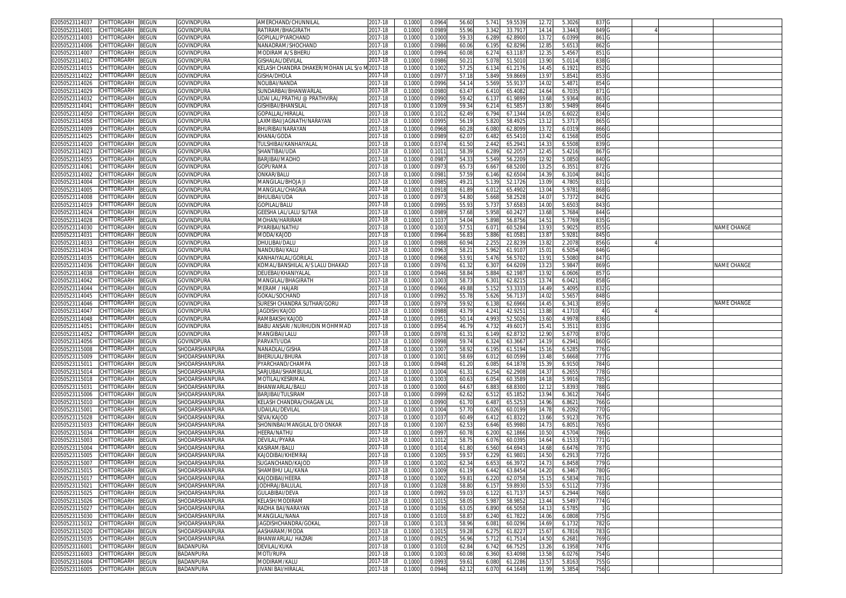| 02050523114037<br>CHITTORGARH<br>BEGUN                                     | GOVINDPURA             | AMERCHAND/CHUNNILAL                   | 2017-18            | 0.1000           | 0.0964           | 56.60             | 5.741<br>59.553                      | 12.72          | 5.3026           | 837 G                     |  |                    |
|----------------------------------------------------------------------------|------------------------|---------------------------------------|--------------------|------------------|------------------|-------------------|--------------------------------------|----------------|------------------|---------------------------|--|--------------------|
| 02050523114001<br>CHITTORGARH<br>3EGUN                                     | GOVINDPURA             | RATIRAM/BHAGIRATH                     | 017-18             | 0.1000           | 0.0989           | 55.96             | 3.342<br>33.791                      | 14.1           | 3.3443           | 849 G                     |  |                    |
| CHITTORGARH<br>3EGUN<br>02050523114003                                     | GOVINDPURA             | GOPILAL/PYARCHAND                     | 2017-18            | 0.1000           | 0.1000           | 59.3              | 6.289<br>62.890                      | 13.7           | 6.0399           | 861 G                     |  |                    |
| 02050523114006<br>CHITTORGARH<br>BEGUN                                     | GOVINDPURA             | NANADRAM/SHOCHAND                     | 2017-18            | 0.1000           | 0.0986           | 60.06             | 6.195<br>62.8296                     | 12.85          | 5.6513           |                           |  |                    |
| 02050523114007                                                             |                        |                                       |                    |                  |                  |                   |                                      |                |                  | 862 G                     |  |                    |
| CHITTORGARH<br>BEGUN                                                       | GOVINDPURA             | MODIRAM A/S BHERU                     | 2017-18            | 0.100            | 0.0994           | 60.0              | 6.274<br>63.118                      | 12.3           | 5.4567           | 851 G                     |  |                    |
| 02050523114012<br>CHITTORGARH<br>BEGUN                                     | GOVINDPURA             | <b>GISHALAL/DEVILAL</b>               | 2017-18            | 0.100            | 0.0986           | 50.2              | 5.078<br>51.5010                     | 13.9           | 5.0114           | 838 <sub>G</sub>          |  |                    |
| CHITTORGARH<br>02050523114015<br>3EGUN                                     | GOVINDPURA             | KELASH CHANDRA DHAKER/MOHAN LAL S/o M | $2017 - 18$        | 0.100            | 0.100            | 57.2              | 6.134<br>61.217                      | 14.45          | 6.1921           | 852 <sub>G</sub>          |  |                    |
| CHITTORGARH<br>02050523114022<br>3EGUN                                     | GOVINDPURA             | GISHA/DHOLA                           | 2017-18            | 0.100            | 0.097            | 57.1              | 5.849<br>59.866                      | 13.97          | 5.8541           | 853 <sub>G</sub>          |  |                    |
| 02050523114026<br>CHITTORGARH<br>3EGUN                                     | GOVINDPURA             | NOLIBAI/NANDA                         | 2017-18            | 0.100            | 0.0996           | 54.1              | 5.56<br>55.91                        | 14.0           | 5.487            | 854 G                     |  |                    |
| 02050523114029<br>CHITTORGARH<br>BEGUN                                     | <b>GOVINDPURA</b>      | SUNDARBAI/BHANWARLAL                  | 2017-18            | 0.100            | 0.098            | 63.47             | 65.408<br>6.410                      | 14.64          | 6.7035           | 871 G                     |  |                    |
| 02050523114032<br>CHITTORGARH<br>3EGUN                                     | GOVINDPURA             | UDAI LAL/PRATHU @ PRATHVIRAJ          | 2017-18            | 0.100            | 0.099            | 59.4              | 6.13<br>61.989                       | 13.6           | 5.9364           | 8630                      |  |                    |
| 02050523114041<br>CHITTORGARH<br>BEGUN                                     | GOVINDPURA             | GISHIBAI/BHANSILAI                    | 017-18             | 0.100            | 0.100            | 59.3              | 6.214<br>61.585                      | 13.8           | 5.9489           | 864 G                     |  |                    |
| CHITTORGARH<br><b>BEGUN</b><br>02050523114050                              | GOVINDPURA             | <b>GOPALLAL/HIRALAL</b>               | 2017-18            | 0.100            | 0.101            | 62.49             | 6.794<br>67.134                      | 14.0           | 6.602            | 834                       |  |                    |
| CHITTORGARH<br>02050523114058                                              |                        |                                       | 2017-18            |                  |                  |                   |                                      |                |                  |                           |  |                    |
| BEGUN                                                                      | GOVINDPURA             | AXMIBAI/JAGNATH/NARAYAN               |                    | 0.100            | 0.099            | 56.19             | 5.82<br>58.492                       | 13.1           | 5.371            | 865                       |  |                    |
| 02050523114009<br>CHITTORGARH<br>3EGUN                                     | <b>GOVINDPURA</b>      | BHURIBAI/NARAYAN                      | 2017-18            | 0.100            | 0.096            | 60.21             | 62.809<br>6.080                      | 13.7           | 6.031            | 866 <sub>C</sub>          |  |                    |
| CHITTORGARH<br>BEGUN<br>02050523114025                                     | GOVINDPURA             | KHANA/GODA                            | 2017-18            | 0.1000           | 0.0989           | 62.0              | 65.541<br>6.482                      | 13.42          | 6.1568           | 850 <sub>G</sub>          |  |                    |
| <b>BEGUN</b><br>02050523114020<br>CHITTORGARH                              | GOVINDPURA             | TULSHIBAI/KANHAIYALAI                 | 017-18             | 0.100            | 0.037            | 61.50             | 2.44<br>65.294                       | 14.3           | 6.5508           | 839                       |  |                    |
| CHITTORGARH<br>BEGUN<br>02050523114023                                     | GOVINDPURA             | SHANTIBAI/UDA                         | 2017-18            | 0.1000           | 0.101            | 58.39             | 6.289<br>62.205                      | 12.45          | 5.4216           | 867 G                     |  |                    |
| CHITTORGARH<br>BEGUN<br>02050523114055                                     | GOVINDPURA             | BARJIBAI/MADHO                        | 2017-18            | 0.1000           | 0.0987           | 54.33             | 5.549<br>56.220                      | 12.92          | 5.0850           | 840 <sub>G</sub>          |  |                    |
| 02050523114061<br>CHITTORGARH<br>BEGUN                                     | GOVINDPURA             | GOPI/RAMA                             | 2017-18            | 0.1000           | 0.097            | 65.7              | 6.66<br>68.520                       | 13.25          | 6.355            | 872 G                     |  |                    |
| CHITTORGARH<br>BEGUN<br>02050523114002                                     | GOVINDPURA             | ONKAR/BALU                            | 2017-18            | 0.1000           | 0.098            | 57.59             | 62.650<br>6.146                      | 14.39          | 6.3104           | 841 G                     |  |                    |
| CHITTORGARH<br>3EGUN<br>02050523114004                                     | GOVINDPURA             | MANGILAL/BHOJA .                      | 2017-18            | 0.1000           | 0.098            | 49.2              | 5.139<br>52.172                      | 13.09          | 4.7805           | 831 G                     |  |                    |
| BEGUN<br>02050523114005<br>CHITTORGARH                                     | GOVINDPURA             | MANGILAL/CHAGNA                       | 2017-18            | 0.1000           | 0.091            | 61.89             | 65.4902<br>6.012                     | 13.04          | 5.9781           | 868 <sub>G</sub>          |  |                    |
|                                                                            |                        |                                       |                    |                  |                  | 54.80             |                                      | 14.07          |                  |                           |  |                    |
| CHITTORGARH<br>BEGUN<br>02050523114008                                     | GOVINDPURA             | BHULIBAI/UDA                          | 2017-18            | 0.1000           | 0.097            |                   | 5.668<br>58.252                      |                | 5.7372           | 842 G                     |  |                    |
| 02050523114019<br>CHITTORGARH<br>BEGUN                                     | GOVINDPURA             | GOPILAL/BALU                          | 2017-18            | 0.1000           | 0.099            | 55.93             | 5.73<br>57.658                       | 14.00          | 5.6503           | 843 G                     |  |                    |
| 02050523114024<br>CHITTORGARH<br>3EGUN                                     | GOVINDPURA             | GEESHA LAL/LALU SUTAR                 | 2017-18            | 0.100            | 0.0989           | 57.68             | 5.958<br>60.242                      | 13.6           | 5.7684           | 844 G                     |  |                    |
| 02050523114028<br>CHITTORGARH<br>BEGUN                                     | GOVINDPURA             | MOHAN/HARIRAM                         | 2017-18            | 0.1000           | 0.103            | 54.04             | 5.898<br>56.875                      | 14.51          | 5.7769           | 835 G                     |  |                    |
| 02050523114030<br>CHITTORGARH<br>BEGUN                                     | GOVINDPURA             | PYARIBAI/NATHU                        | 2017-18            | 0.100            | 0.100            | 57.5              | 6.07<br>60.528                       | 13.9           | 5.902            | 855 G                     |  | NAME CHANGE        |
| 02050523114031<br>CHITTORGARH<br>BEGUN                                     | GOVINDPURA             | MODA/KAJOD                            | 2017-18            | 0.1000           | 0.0964           | 56.8              | 5.886<br>61.058                      | 13.87          | 5.9281           | 845 G                     |  |                    |
| 02050523114033<br>CHITTORGARH<br>3EGUN                                     | <b>GOVINDPURA</b>      | DHULIBAI/DALU                         | 2017-18            | 0.1000           | 0.0988           | 60.9 <sub>1</sub> | 2.255<br>22.823                      | 13.8           | 2.207            | 856 G                     |  |                    |
| CHITTORGARH<br>BEGUN<br>02050523114034                                     | GOVINDPURA             | NANDUBAI/KALU                         | 017-18             | 0.1000           | 0.096            | 58.2              | 5.962<br>61.910                      | 15.0           | 6.5054           | 846 G                     |  |                    |
| 02050523114035<br>CHITTORGARH<br>3EGUN                                     | GOVINDPURA             | KANHAIYALAL/GORILAL                   | 017-18             | 0.100            | 0.096            | 53.9              | 5.476<br>56.570                      | 13.9           | 5.5080           | 8470                      |  |                    |
|                                                                            |                        |                                       |                    |                  |                  |                   |                                      |                |                  |                           |  |                    |
| 02050523114036<br>CHITTORGARH<br>3EGUN                                     | <b>GOVINDPURA</b>      | KOMAL/BANSHILAL A/S LALU DHAKAD       | 017-18             | 0.100            | 0.097            | 61.3              | 6.30<br>64.620                       | 13.2           | 5.984            | 869 <sub>G</sub>          |  | NAME CHANGE        |
| 02050523114038<br>CHITTORGARH<br>BEGUN                                     | <b>GOVINDPURA</b>      | DEUEBAI/KHANIYALAI                    | 2017-18            | 0.100            | 0.0946           | 58.8              | 5.884<br>62.198                      | 13.9           | 6.0606           | 857 <sub>G</sub>          |  |                    |
| 02050523114042<br>CHITTORGARH<br>BEGUN                                     | GOVINDPURA             | MANGILAL/BHAGIRATH                    | 2017-18            | 0.1000           | 0.100            | 58.7              | 6.301<br>62.821                      | 13.74          | 6.0421           | 858 <sub>G</sub>          |  |                    |
| 02050523114044<br><b>CHITTORGARH</b><br>3EGUN                              | GOVINDPURA             | MERAM / HAJARI                        | 2017-18            | 0.100            | 0.0966           | 49.8              | 5.15<br>53.333                       | 14.49          | 5.4095           | 832                       |  |                    |
|                                                                            |                        |                                       |                    |                  |                  |                   |                                      |                |                  |                           |  |                    |
| CHITTORGARH<br>BEGUN<br>02050523114045                                     | GOVINDPURA             | GOKAL/SOCHAND                         | 2017-18            | 0.1000           | 0.099            |                   |                                      | 14.02          |                  | 848 <sub>C</sub>          |  |                    |
| CHITTORGARH                                                                |                        |                                       |                    |                  |                  | 55.7              | 5.626<br>56.713                      |                | 5.5657           |                           |  |                    |
| <b>BEGUN</b><br>02050523114046                                             | GOVINDPURA             | SURESH CHANDRA SUTHAR/GORU            | 2017-18            | 0.100            | 0.097            | 59.9              | 62.696<br>6.13                       | 14.4           | 6.341            | 859 <sub>C</sub>          |  | <b>VAME CHANGE</b> |
| 02050523114047<br>CHITTORGARH<br>3EGUN                                     | GOVINDPURA             | AGDISH/KAJOD                          | 017-18             | 0.100            | 0.098            | 43.79             | 4.24<br>42.925                       | 13.8           | 4.1710           | 4 G                       |  |                    |
| 02050523114048<br>CHITTORGARH<br>3EGUN                                     | GOVINDPURA             | RAMBAKSH/KAJOD                        | 2017-18            | 0.100            | 0.095            | 50.1              | 52.502<br>4.99                       | 13.60          | 4.9978           | 836 G                     |  |                    |
| CHITTORGARH<br>02050523114051<br>3EGUN                                     | GOVINDPURA             | BABU ANSARI /NURHUDIN MOHMMAD         | 2017-18            | 0.1000           | 0.095            | 46.79             | 4.732<br>49.601                      | 15.4           | 5.3511           | 833 G                     |  |                    |
| BEGUN<br>02050523114052<br>CHITTORGARH                                     | GOVINDPURA             | <b>MANGIBAI/LALU</b>                  | 2017-18            | 0.100            | 0.097            | 61.3              | 62.873<br>6.149                      | 12.9           | 5.6770           | 870 <sub>G</sub>          |  |                    |
| CHITTORGARH<br>BEGUN<br>02050523114056                                     | GOVINDPURA             | PARVATI/UDA                           | 2017-18            | 0.1000           | 0.099            | 59.74             | 6.324<br>63.366                      | 14.1           | 6.2941           | 860 <sub>G</sub>          |  |                    |
| BEGUN<br>CHITTORGARH<br>02050523115008                                     | SHODARSHANPURA         | NANADLAL/GISHA                        | 2017-18            | 0.1000           | 0.1007           | 58.92             | 6.195<br>61.519                      | 15.1           | 6.5285           | 776 G                     |  |                    |
| CHITTORGARH<br>BEGUN<br>02050523115009                                     | SHODARSHANPURA         | BHERULAL/BHURA                        | 2017-18            | 0.1000           | 0.100            | 58.69             | 6.01<br>60.059                       | 13.48          | 5.6668           | 777 G                     |  |                    |
| BEGUN<br>CHITTORGARH<br>02050523115011                                     | SHODARSHANPURA         | PYARCHAND/CHAMP/                      | 2017-18            | 0.1000           | 0.0948           | 61.20             | 6.085<br>64.1878                     | 15.3           | 6.9150           | 784 G                     |  |                    |
| BEGUN<br>02050523115014<br>CHITTORGARH                                     | SHODARSHANPURA         | SARJUBAI/SHAMBULAI                    | 2017-18            | 0.1000           | 0.1004           | 61.3              | 6.254<br>62.290                      | 14.37          | 6.2655           | 778 G                     |  |                    |
|                                                                            |                        |                                       |                    |                  |                  |                   |                                      |                |                  |                           |  |                    |
| CHITTORGARH<br>02050523115018<br>3EGUN                                     | SHODARSHANPURA         | MOTILAL/KESRIMAL                      | 2017-18            | 0.100            | 0.1003           | 60.63             | 6.054<br>60.358                      | 14.1           | 5.9916           | 785 G                     |  |                    |
| CHITTORGARH<br>3EGUN<br>02050523115031                                     | SHODARSHANPURA         | BHANWARLAL/BALL                       | 2017-18            | 0.1000           | 0.1000           | 64.6              | 6.88<br>68.830                       | 12.1           | 5.8393           | 788 <sub>G</sub>          |  |                    |
| 02050523115006<br>CHITTORGARH<br>BEGUN                                     | SHODARSHANPURA         | BARJIBAI/TULSIRAM                     | 2017-18            | 0.1000           | 0.0999           | 62.62             | 6.512<br>65.185                      | 13.94          | 6.3612           | 764 G                     |  |                    |
| 02050523115010<br>CHITTORGARH<br>BEGUN                                     | SHODARSHANPURA         | KELASH CHANDRA/CHAGAN LAL             | 2017-18            | 0.100            | 0.099            | 61.70             | 6.48<br>65.525                       | 14.96          | 6.862            | 766 G                     |  |                    |
| 02050523115001<br>CHITTORGARH<br>3EGUN                                     | SHODARSHANPURA         | UDAILAL/DEVILAL                       | 017-18             | 0.100            | 0.1004           | 57.70             | 6.026<br>60.019                      | 14.7           | 6.2092           | 770 G                     |  |                    |
| CHITTORGARH<br>3EGUN<br>02050523115028                                     | SHODARSHANPURA         | SEVA/KAJOD                            | 2017-18            | 0.100            | 0.103            | 60.49             | 6.412<br>61.832                      | 13.66          | 5.9123           | 767 G                     |  |                    |
| CHITTORGARH<br>BEGUN<br>02050523115033                                     | SHODARSHANPURA         | SHONINBAI/MANGILAL D/O ONKAR          | 2017-18            | 0.1000           | 0.1007           | 62.53             | 6.646<br>65.998                      | 14.7           | 6.805            | 765 G                     |  |                    |
| CHITTORGARH<br>02050523115034<br>BEGUN                                     | SHODARSHANPURA         | HEERA/NATHU                           | 2017-18            | 0.100            | 0.099            | 60.7              | 6.20<br>62.186                       | 10.5           | 4.5704           | 786 G                     |  |                    |
| 02050523115003<br>CHITTORGARH<br>BEGUN                                     | SHODARSHANPURA         | DEVILAL/PYARA                         | 017-18             | 0.1000           | 0.101            | 58.7              | 60.039<br>6.076                      | 14.64          | 6.1533           | 771 G                     |  |                    |
| 02050523115004<br><b>CHITTORGARH</b><br>BEGUN                              | SHODARSHANPURA         | KASIRAM/BALU                          | 2017-18            | 0.100            | 0.101            | 61.8              | 6.560<br>64.694                      | 14.6           | 6.647            | 787 G                     |  |                    |
| 02050523115005<br>CHITTORGARH<br>BEGUN                                     | SHODARSHANPURA         | KAJODIBAI/KHEMRAJ                     | 017-18             | 0.100            | 0.100            | 59.5              | 61.980<br>6.229                      | 14.5           | 6.291            | 772 G                     |  |                    |
|                                                                            |                        |                                       |                    |                  |                  |                   |                                      |                |                  |                           |  |                    |
| 02050523115007<br>CHITTORGARH<br>BEGUN                                     | SHODARSHANPURA         | SUGANCHAND/KAJOD                      | 2017-18            | 0.100            | 0.100            | 62.3              | 6.65<br>66.397                       | 14.7           | 6.845            | 779 G                     |  |                    |
| 02050523115015 CHILLORGARH BEGUN                                           | SHODARSHANPURA         | SHAMBHU LAL/KANA                      | 2017-18            | 0.1000           | 0.1009           | 61.19             | 6.442<br>63.845                      | 14.20          | 6.3467           | 780 G                     |  |                    |
| 02050523115017<br>CHITTORGARH<br><b>BEGUN</b>                              | SHODARSHANPURA         | KAJODIBAI/HEERA                       | 2017-18            | 0.1000           | 0.1002           | 59.8              | 6.220<br>62.0758                     | 15.15          | 6.5834           | 781 G                     |  |                    |
| 02050523115021<br>CHITTORGARH<br>BEGUN                                     | SHODARSHANPURA         | <b>JODHRAJ/BALULAL</b>                | 2017-18            | 0.1000           | 0.1028           | 58.80             | 6.157<br>59.8930                     | 15.53          | 6.5112           | 773 G                     |  |                    |
| BEGUN<br>02050523115025<br>CHITTORGARH                                     | SHODARSHANPURA         | GULABIBAI/DEVA                        | 2017-18            | 0.1000           | 0.099            | 59.0              | 6.122<br>61.713                      | 14.57          | 6.2944           | 768 <sub>G</sub>          |  |                    |
| 02050523115026<br>CHITTORGARH<br>BEGUN                                     | SHODARSHANPURA         | KELASH/MODIRAM                        | 2017-18            | 0.1000           | 0.101            | 58.0              | 5.987<br>58.9852                     | 13.44          | 5.5497           | 774 G                     |  |                    |
| BEGUN<br>02050523115027<br>CHITTORGARH                                     | SHODARSHANPURA         | RADHA BAI/NARAYAN                     | $2017 - 18$        | 0.1000           | 0.1036           | 63.0              | 6.890<br>66.5058                     | 14.1           | 6.5785           | 3 <sub>G</sub>            |  |                    |
| 02050523115030<br>CHITTORGARH<br>BEGUN                                     | SHODARSHANPURA         | MANGILAL/NANA                         | 2017-18            | 0.1000           | 0.1010           | 58.87             | 6.240<br>61.7822                     | 14.06          | 6.0808           | 775 G                     |  |                    |
| CHITTORGARH<br>02050523115032<br>BEGUN                                     | SHODARSHANPURA         | JAGDISHCHANDRA/GOKAL                  | 2017-18            | 0.1000           | 0.1013           | 58.96             | 6.081<br>60.0296                     | 14.69          | 6.1732           | 782 G                     |  |                    |
| CHITTORGARH                                                                |                        |                                       |                    |                  |                  |                   |                                      |                |                  |                           |  |                    |
| 02050523115020<br>BEGUN                                                    | SHODARSHANPURA         | AASHARAM/MODA                         | 2017-18            | 0.1000           | 0.101            | 59.28             | 6.275<br>61.822                      | 15.67          | 6.7816           | 783 G                     |  |                    |
| <b>BEGUN</b><br>02050523115035<br>CHITTORGARH                              | SHODARSHANPURA         | BHANWARLAL/ HAZARI                    | 2017-18            | 0.1000           | 0.0925           | 56.96             | 5.712<br>61.7514                     | 14.50          | 6.2681           | 769 <sub>G</sub>          |  |                    |
| 02050523116001<br>CHITTORGARH<br>BEGUN                                     | BADANPURA              | <b>DEVILAL/KUKA</b>                   | 2017-18            | 0.1000           | 0.101            | 62.84             | 6.742<br>66.7525                     | 13.26          | 6.1958           | 747 G                     |  |                    |
| CHITTORGARH<br>BEGUN<br>02050523116003                                     | BADANPURA              | MOTI/RUPA                             | 2017-18            | 0.1000           | 0.1003           | 60.08             | 6.360<br>63.4098                     | 13.58          | 6.0276           | 754 G                     |  |                    |
| CHITTORGARH<br>BEGUN<br>02050523116004<br>02050523116005 CHITTORGARH BEGUN | BADANPURA<br>BADANPURA | MODIRAM/KALU<br>JIVANI BAI/HIRALAL    | 2017-18<br>2017-18 | 0.1000<br>0.1000 | 0.0993<br>0.0946 | 59.6<br>62.12     | 6.080<br>61.2286<br>6.070<br>64.1649 | 13.57<br>11.99 | 5.8163<br>5.3854 | 755 G<br>756 <sub>G</sub> |  |                    |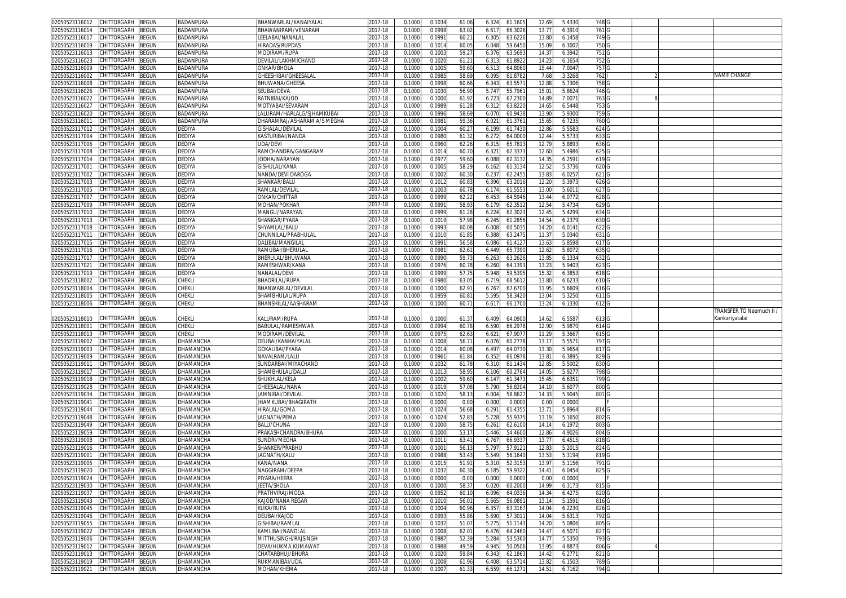| 02050523116012<br>CHITTORGARH<br>BEGUN        | BADANPURA        | BHANWARLAL/KANAIYALAI       | 2017-18 | 0.1000 | 0.103  | 61.06 | 6.324      | 61.1605 | 12.69          | 5.433  | 748 <sub>G</sub> |  |                          |
|-----------------------------------------------|------------------|-----------------------------|---------|--------|--------|-------|------------|---------|----------------|--------|------------------|--|--------------------------|
| CHITTORGARH<br>BEGUN<br>02050523116014        | BADANPURA        | 3HAWANIRAM/VENARAM          | 017-18  | 0.1000 | 0.099  | 63.02 | 6.617      | 66.3026 | 13.77          | 6.391  | 761 <sub>G</sub> |  |                          |
| BEGUN<br>02050523116017<br>CHITTORGARH        | BADANPURA        | LEELABAI/NANALAL            | 2017-18 | 0.1000 | 0.099  | 60.2  | 6.305      | 63.6226 | 13.80          | 6.1458 | 749 G            |  |                          |
| BEGUN<br>02050523116019<br>CHITTORGARH        | BADANPURA        | HIRADAS/RUPDAS              | 2017-18 | 0.1000 | 0.101  | 60.0  | 6.048      | 59.645  | 15.0           | 6.3002 | 750 <sub>G</sub> |  |                          |
|                                               |                  |                             |         |        |        |       |            |         |                |        |                  |  |                          |
| BEGUN<br>02050523116013<br>CHITTORGARH        | BADANPURA        | MODIRAM/RUPA                | 2017-18 | 0.100  | 0.100  | 59.2  | 6.376      | 63.569  | 14.3           | 6.3942 | 751 <sub>G</sub> |  |                          |
| BEGUN<br>02050523116023<br>CHITTORGARH        | BADANPURA        | DEVILAL/LAKHMICHAND         | 2017-18 | 0.100  | 0.102  | 61.2  | 6.31       | 61.892  | 14.23          | 6.1654 | 752 G            |  |                          |
| 02050523116009<br>CHITTORGARH<br>3EGUN        | <b>BADANPURA</b> | ONKAR/BHOLA                 | 2017-18 | 0.100  | 0.100  | 59.60 | 6.51       | 64.806  | 15.44          | 7.004  | 757              |  |                          |
| 02050523116002<br>CHITTORGARH<br>BEGUN        | BADANPURA        | SHEESHIBAI/GHEESALAI        | 2017-18 | 0.100  | 0.098  | 58.69 | 6.095      | 61.878  | 7.68           | 3.3268 | 762              |  | NAME CHANGE              |
| 02050523116008<br>CHITTORGARH<br>3EGUN        | BADANPURA        | BHUWANA/GHEESA              | 2017-18 | 0.100  | 0.099  | 60.66 | 6.34       | 63.557  | 12.8           | 5.7306 | 758              |  |                          |
| 02050523116026<br>CHITTORGARH<br>3EGUN        | BADANPURA        | SEUBAI/DEVA                 | 2017-18 | 0.100  | 0.103  | 56.90 | 5.74       | 55.796  | 15.0           | 5.8624 | 746 <sub>G</sub> |  |                          |
|                                               |                  |                             |         |        |        |       |            |         |                |        |                  |  |                          |
| 02050523116022<br>CHITTORGARH<br>3EGUN        | BADANPURA        | RATNIBAI/KAJOD              | 2017-18 | 0.100  | 0.100  | 61.92 | 6.72       | 67.230  | 14.8           | 7.007  | 763 <sub>G</sub> |  |                          |
| 02050523116027<br>CHITTORGARH<br>BEGUN        | BADANPURA        | <b>MOTYABAI/SEVARAM</b>     | 2017-18 | 0.100  | 0.098  | 61.28 | 6.312      | 63.822  | 14.6           | 6.5448 | 753 G            |  |                          |
| CHITTORGARH<br>BEGUN<br>02050523116020        | BADANPURA        | LALURAM/HARLALG/SJHAMKUBAI  | 2017-18 | 0.100  | 0.099  | 58.69 | 6.07       | 60.943  | 13.9           | 5.930  | 759 G            |  |                          |
| CHITTORGARH<br>02050523116011<br>BEGUN        | BADANPURA        | DHARAMRAJ/ASHARAM A/S MEGHA | 2017-18 | 0.100  | 0.098  | 59.36 | $6.02^{r}$ | 61.376  | 15.6           | 6.723  | 760 <sub>G</sub> |  |                          |
| 02050523117012<br>CHITTORGARH<br>BEGUN        | DEDIYA           | <b>GISHALAL/DEVILAL</b>     | 2017-18 | 0.100  | 0.100  | 60.2  | 6.199      | 61.743  | 12.8           | 5.558  | 624              |  |                          |
| 02050523117004<br>CHITTORGARH<br>BEGUN        | DEDIYA           | KASTURIBAI/NANDA            | 017-18  | 0.100  | 0.098  | 61.32 | 6.272      | 64.000  | 12.44          | 5.573  | 633 G            |  |                          |
| 02050523117006<br>CHITTORGARH<br>BEGUN        | <b>DEDIYA</b>    | UDA/DEVI                    | 2017-18 | 0.100  | 0.096  | 62.26 | 6.31       | 65.781  | 12.7           | 5.8893 | 636              |  |                          |
|                                               |                  | RAMCHANDRA/GANGARAM         |         |        |        |       |            |         |                |        |                  |  |                          |
| 02050523117008<br>CHITTORGARH<br>BEGUN        | DEDIYA           |                             | 017-18  | 0.100  | 0.101  | 60.7  | 6.32       | 62.337  | 12.6           | 5.4986 | 625              |  |                          |
| CHITTORGARH<br>BEGUN<br>02050523117014        | DEDIYA           | IODHA/NARAYAN               | 2017-18 | 0.100  | 0.097  | 59.60 | 6.088      | 62.313  | 14.3           | 6.259  | 619              |  |                          |
| CHITTORGARH<br>BEGUN<br>02050523117001        | DEDIYA           | GISHULAL/KANA               | 2017-18 | 0.100  | 0.100  | 58.29 | 6.162      | 61.313  | 12.52          | 5.3736 | 620 <sub>G</sub> |  |                          |
| 02050523117002<br>CHITTORGARH<br>3EGUN        | DEDIYA           | VANDA/DEVI DAROGA           | 017-18  | 0.100  | 0.100  | 60.3  | 6.23       | 62.245  | 13.8           | 6.025  | 621              |  |                          |
| CHITTORGARH<br>BEGUN<br>02050523117003        | DEDIYA           | SHANKAR/BALU                | 2017-18 | 0.100  | 0.101  | 60.8  | 6.396      | 63.2016 | 12.20          | 5.397  | 626 G            |  |                          |
| 02050523117005<br>CHITTORGARH<br>BEGUN        | DEDIYA           | RAMLAL/DEVILAL              | 017-18  | 0.100  | 0.100  | 60.7  | 6.174      | 61.555  | 13.0           | 5.601  | 627              |  |                          |
| CHITTORGARH<br>BEGUN<br>02050523117007        | <b>DEDIYA</b>    | ONKAR/CHITTAR               | 2017-18 | 0.100  | 0.099  | 62.22 | 6.453      | 64.5946 | 13.44          | 6.077  | 628 G            |  |                          |
|                                               |                  |                             |         |        |        |       |            |         |                |        |                  |  |                          |
| BEGUN<br>02050523117009<br>CHITTORGARH        | <b>DEDIYA</b>    | MOHAN/POKHAR                | 2017-18 | 0.100  | 0.099  | 58.93 | 6.179      | 62.3512 | 12.54          | 5.4734 | 629 G            |  |                          |
| CHITTORGARH<br>BEGUN<br>02050523117010        | <b>DEDIYA</b>    | MANGU/NARAYAN               | 2017-18 | 0.100  | 0.099  | 61.28 | 6.224      | 62.302  | 12.45          | 5.4299 | 634 G            |  |                          |
| BEGUN<br>02050523117013<br>CHITTORGARH        | DEDIYA           | SHANKAR/PYARA               | 2017-18 | 0.100  | 0.101  | 57.98 | 6.245      | 61.2856 | 14.54          | 6.2379 | 630 G            |  |                          |
| CHITTORGARH<br>BEGUN<br>02050523117018        | <b>DEDIYA</b>    | SHYAMLAL/BALU               | 2017-18 | 0.100  | 0.099  | 60.08 | 6.008      | 60.503  | 14.20          | 6.014  | 622 G            |  |                          |
| BEGUN<br>02050523117011<br>CHITTORGARH        | DEDIYA           | CHUNNILAL/PRABHULAL         | 2017-18 | 0.100  | 0.101  | 61.8  | 6.388      | 63.2475 | 11.3           | 5.034  | 631              |  |                          |
| 02050523117015<br>CHITTORGARH<br>3EGUN        | DEDIYA           | DALIBAI/MANGILAL            | 2017-18 | 0.100  | 0.099  | 56.58 | 6.086      | 61.412  | 13.63          | 5.8598 | 617 G            |  |                          |
|                                               |                  |                             |         |        |        |       |            |         |                |        |                  |  |                          |
| 02050523117016<br>CHITTORGARH<br>BEGUN        | DEDIYA           | RAMUBAI/BHERULAI            | 2017-18 | 0.100  | 0.098  | 62.6  | 6.449      | 65.739  | 12.62          | 5.8072 | 635 G            |  |                          |
| CHITTORGARH<br>BEGUN<br>02050523117017        | <b>DEDIYA</b>    | BHERULAL/BHUWANA            | 2017-18 | 0.100  | 0.099  | 59.7  | 6.26       | 63.262  | 13.8           | 6.133  | 632 G            |  |                          |
| 02050523117021<br>CHITTORGARH<br>BEGUN        | DEDIYA           | RAMESHWAR/KANA              | 2017-18 | 0.100  | 0.097  | 60.78 | 6.260      | 64.139  | 13.2           | 5.9403 | 623 G            |  |                          |
| CHITTORGARH<br>3EGUN<br>02050523117019        | DEDIYA           | NANALAL/DEVI                | 2017-18 | 0.100  | 0.099  | 57.7  | 5.948      | 59.539  | 15.3           | 6.385  | 618 G            |  |                          |
| 02050523118002<br>CHITTORGARH<br>BEGUN        | CHEKLI           | <b>BHADRILAL/RUPA</b>       | 2017-18 | 0.100  | 0.098  | 63.0  | 6.719      | 68.561  | 13.8           | 6.623  | 610 <sub>G</sub> |  |                          |
| 02050523118004<br>CHITTORGARH<br>BEGUN        | CHEKLI           | BHANWARLAL/DEVILAL          | 2017-18 | 0.100  |        |       | 6.76       | 67.670  | 11.9           | 5.6609 | 616 G            |  |                          |
|                                               |                  |                             |         |        |        |       |            |         |                |        |                  |  |                          |
|                                               |                  |                             |         |        | 0.100  | 62.9  |            |         |                |        |                  |  |                          |
| CHITTORGARH<br>02050523118005<br>BEGUN        | Chekli           | SHAMBHULAL/RUPA             | 2017-18 | 0.100  | 0.095  | 60.8  | 5.595      | 58.342  | 13.0           | 5.325  | 611              |  |                          |
| CHITTORGARH<br>02050523118006<br>3EGUN        | CHEKLI           | BHANSHILAL/AASHARAM         | 2017-18 | 0.100  | 0.100  | 60.7  | 6.61       | 66.170  | 13.2           | 6.1330 | 612 G            |  |                          |
|                                               |                  |                             |         |        |        |       |            |         |                |        |                  |  | TRANSFER TO Neemuch II / |
| 02050523118010<br>CHITTORGARH<br>BEGUN        | CHEKLI           | KALURAM/RUPA                | 2017-18 | 0.100  | 0.100  | 61.37 | 6.409      | 64.0900 | 14.62          | 6.5587 | 613 G            |  | Kankariyatalai           |
|                                               | :HEKLI           |                             |         |        | 0.099  |       |            |         |                |        |                  |  |                          |
| 02050523118001<br>CHITTORGARH<br>BEGUN        |                  | BABULAL/RAMESHWAR           | 017-18  | 0.100  |        | 60.78 | 6.590      | 66.2978 | 12.9           | 5.987  | 614              |  |                          |
| 02050523118013<br>CHITTORGARH<br>3EGUN        | CHEKLI           | <b>MODIRAM/DEVILAL</b>      | 2017-18 | 0.100  | 0.097  | 62.6  | 6.62       | 67.907  | 11.2           | 5.366  | 615 <sub>G</sub> |  |                          |
| <b>CHITTORGARH</b><br>BEGUN<br>02050523119002 | DHAMANCHA        | DEUBAI/KANHAIYALAL          | 2017-18 | 0.100  | 0.100  | 56.7  | 6.076      | 60.2778 | 13.1           | 5.557  | 797 G            |  |                          |
| 02050523119003<br>CHITTORGARH<br>BEGUN        | DHAMANCHA        | GOKALIBAI/PYARA             | 017-18  | 0.100  | 0.101  | 60.08 | 6.49       | 64.073  | 13.3           | 5.9654 | 817              |  |                          |
| CHITTORGARH<br>02050523119009<br>BEGUN        | DHAMANCHA        | NAVALRAM/LALU               | 2017-18 | 0.100  | 0.096  | 61.84 | 6.352      | 66.0978 | $13.8^{\circ}$ | 6.3895 | 829 G            |  |                          |
| 02050523119011<br>CHITTORGARH<br>3EGUN        | DHAMANCHA        | SUNDARBAI/MIYACHAND         | 017-18  | 0.100  | 0.103  | 61.7  | 6.31       | 61.143  | 12.8           | 5.500  | 830 C            |  |                          |
| CHITTORGARH<br>BEGUN<br>02050523119017        | DHAMANCHA        | SHAMBHULAL/DALU             | 2017-18 | 0.100  | 0.101  |       | 6.106      |         | 14.0           | 5.927  | 798 <sub>G</sub> |  |                          |
|                                               |                  |                             |         |        |        | 58.9  |            | 60.276  |                |        |                  |  |                          |
| CHITTORGARH<br>BEGUN<br>02050523119018        | DHAMANCHA        | SHUKHLAL/KELA               | 017-18  | 0.100  | 0.1002 | 59.60 | 6.14       | 61.347  | 15.4           | 6.635  | 799 G            |  |                          |
| 02050523119028<br>CHITTORGARH<br>BEGUN        | DHAMANCHA        | GHEESALAL/NANA              | 2017-18 | 0.100  | 0.101  | 57.08 | 5.790      | 56.820  | 14.1(          | 5.607  | 800 <sub>G</sub> |  |                          |
| CHITTORGARH<br>BEGUN<br>02050523119034        | DHAMANCHA        | AMNIBAI/DEVILAI             | 2017-18 | 0.100  | 0.102  | 58.1  | 6.004      | 58.862  | 14.33          | 5.9045 | 801              |  |                          |
| CHITTORGARH<br>BEGUN<br>02050523119041        | DHAMANCHA        | JHAMKUBAI/BHAGIRATH         | 2017-18 | 0.100  | 0.000  | 0.00  | 0.000      | 0.000   | 0.00           | 0.0000 |                  |  |                          |
| BEGUN<br>CHITTORGARH<br>02050523119044        | DHAMANCHA        | HIRALAL/GOMA                | 017-18  | 0.100  | 0.102  | 56.68 | 6.291      | 61.435  | 13.7           | 5.8964 | 814              |  |                          |
| CHITTORGARH<br>BEGUN<br>02050523119048        | DHAMANCHA        | JAGNATH/PEMA                | 2017-18 | 0.100  | 0.102  | 52.8  | 5.728      | 55.937  | 13.1           | 5.165  | 802 G            |  |                          |
| CHITTORGARH                                   |                  | BALU/CHUNA                  | 2017-18 | 0.100  | 0.100  |       |            |         |                |        |                  |  |                          |
| BEGUN<br>02050523119049<br>CHITTORGARH        | DHAMANCHA        |                             |         |        |        | 58.7  | 6.261      | 62.6100 | 14.1           | 6.1972 | 803              |  |                          |
| 02050523119059<br>BEGUN                       | DHAMANCHA        | PRAKASHCHANDRA/BHURA        | 2017-18 | 0.100  | 0.100  | 53.1  | 5.446      | 54.460  | 12.86          | 4.902  | 804              |  |                          |
| CHITTORGARH<br>BEGUN<br>02050523119008        | DHAMANCHA        | SUNDRI/MEGHA                | 2017-18 | 0.100  | 0.101  | 63.4  | 6.76       | 66.933  | 13.7           | 6.451  | 818 G            |  |                          |
| CHITTORGARH<br>3EGUN<br>02050523119016        | DHAMANCHA        | SHANKER/PRABHL              | 2017-18 | 0.100  | 0.100  | 56.1  | 5.79       | 57.912  | 12.8           | 5.201  | 824              |  |                          |
| CHITTORGARH<br>BEGUN<br>02050523119001        | DHAMANCHA        | <b>IAGNATH/KALU</b>         | 2017-18 | 0.100  | 0.098  | 53.4  | 5.549      | 56.164  | 13.53          | 5.3194 | 819 G            |  |                          |
| 02050523119005<br>CHITTORGARH<br>BEGUN        | DHAMANCHA        | KANA/NANA                   | 2017-18 | 0.100  | 0.101  | 51.9  | 5.310      | 52.315  | 13.97          | 5.1156 | 791              |  |                          |
| 02050523119020 CHILLORGARH BEGUN              | DHAMANCHA        | NAGGIRAM/DEEPA              | 2017-18 | 0.1000 | 0.1032 | 60.30 | 6.185      | 59.9322 | 14.41          | 6.0454 | 825 G            |  |                          |
|                                               |                  |                             |         |        |        |       |            |         |                |        |                  |  |                          |
| 02050523119024<br>CHITTORGARH<br><b>BEGUN</b> | DHAMANCHA        | PIYARA/HEERA                | 2017-18 | 0.1000 | 0.000  | 0.00  | 0.000      | 0.0000  | 0.00           | 0.0000 |                  |  |                          |
| 02050523119030<br>CHITTORGARH<br>BEGUN        | DHAMANCHA        | <b>JEETA/SHOLA</b>          | 2017-18 | 0.1000 | 0.100  | 58.37 | 6.020      | 60.2000 | 14.99          | 6.3173 | 815 <sub>G</sub> |  |                          |
| 02050523119037<br>CHITTORGARH<br>BEGUN        | DHAMANCHA        | PRATHVIRAJ/MODA             | 2017-18 | 0.1000 | 0.095  | 60.1  | 6.096      | 64.0336 | 14.34          | 6.4275 | 820 G            |  |                          |
| 02050523119043<br>CHITTORGARH<br>BEGUN        | DHAMANCHA        | KAJOD/NANA REGAR            | 2017-18 | 0.1000 | 0.101  | 56.0  | 5.665      | 56.089  | 13.14          | 5.1591 | 816 <sub>G</sub> |  |                          |
| 02050523119045<br>CHITTORGARH<br>BEGUN        | DHAMANCHA        | KUKA/RUPA                   | 2017-18 | 0.100  | 0.100  | 60.96 | 6.357      | 63.316  | 14.04          | 6.2230 | 826 G            |  |                          |
| CHITTORGARH<br>02050523119046<br>BEGUN        | DHAMANCHA        | DEUBAI/KAJOD                | 2017-18 | 0.1000 | 0.099  | 55.86 | 5.690      | 57.301  | 14.04          | 5.631  | 792 G            |  |                          |
|                                               |                  |                             |         |        |        |       |            |         |                |        |                  |  |                          |
| CHITTORGARH<br>BEGUN<br>02050523119055        | DHAMANCHA        | GISHIBAI/RAMLAL             | 2017-18 | 0.100  | 0.103  | 51.0  | 5.275      | 51.1143 | 14.20          | 5.0806 | 805 G            |  |                          |
| 02050523119022<br>CHITTORGARH<br>BEGUN        | DHAMANCHA        | KAMLIBAI/NANDLAL            | 2017-18 | 0.1000 | 0.1008 | 62.0  | 6.476      | 64.2460 | 14.47          | 6.5071 | 827 G            |  |                          |
| 02050523119006<br>CHITTORGARH<br>BEGUN        | DHAMANCHA        | MITTHUSINGH/RAJSINGH        | 2017-18 | 0.1000 | 0.098  | 52.3  | 5.284      | 53.5360 | 14.7           | 5.5350 | 793 G            |  |                          |
| CHITTORGARH<br>02050523119012<br>BEGUN        | DHAMANCHA        | DEVA/HUKMA KUMAWAT          | 2017-18 | 0.1000 | 0.098  | 49.59 | 4.945      | 50.0506 | 13.95          | 4.8873 | 806 G            |  |                          |
| BEGUN<br>02050523119013<br>CHITTORGARH        | DHAMANCHA        | CHATARBHUJ/BHURA            | 2017-18 | 0.1000 | 0.1020 | 59.84 | 6.343      | 62.1863 | 14.42          | 6.2771 | 821 G            |  |                          |
| CHITTORGARH<br><b>BEGUN</b><br>02050523119019 | DHAMANCHA        | RUKMANIBAI/UDA              | 2017-18 | 0.1000 | 0.1008 | 61.96 | 6.408      | 63.5714 | 13.82          | 6.1503 | 789 G            |  |                          |
| 02050523119021 CHITTORGARH BEGUN              | DHAMANCHA        | MOHAN/KHEMA                 | 2017-18 | 0.1000 | 0.1007 | 61.33 | 6.659      | 66.1271 | 14.51          | 6.7162 | 794 G            |  |                          |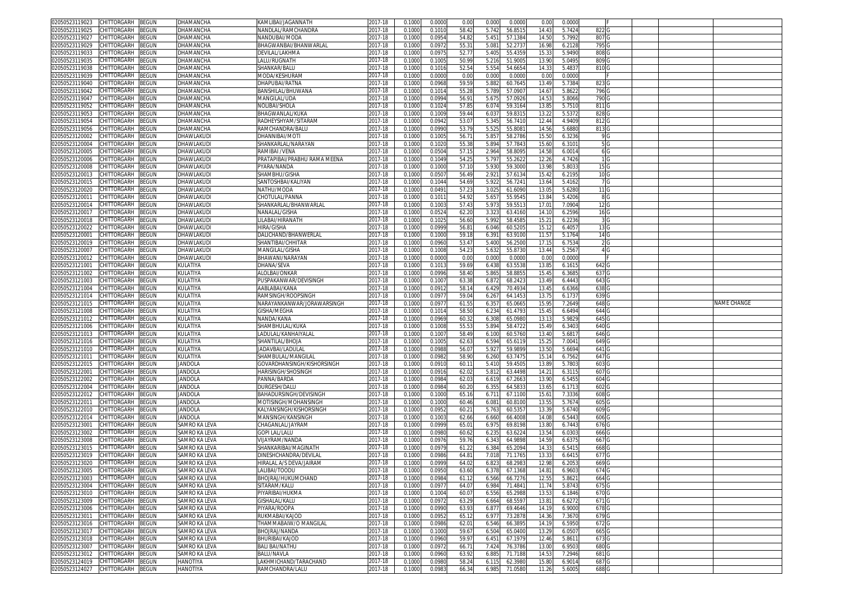| 02050523119023<br>CHITTORGARH<br>BEGUN        | DHAMANCHA      | KAMLIBAI/JAGANNATH           | 2017-18     | 0.1000 | 0.0000 | 0.00  | 0.000<br>0.0000  | 0.00  | 0.0000 |                  |  |                    |
|-----------------------------------------------|----------------|------------------------------|-------------|--------|--------|-------|------------------|-------|--------|------------------|--|--------------------|
| 02050523119025<br>CHITTORGARH<br>BEGUN        | DHAMANCHA      | NANDLAL/RAMCHANDRA           | 2017-18     | 0.1000 | 0.1010 | 58.42 | 5.742<br>56.8515 | 14.43 | 5.7424 | 822              |  |                    |
| CHITTORGARH                                   |                | NANDUBAI/MODA                |             |        |        | 54.8  |                  |       |        |                  |  |                    |
| 3EGUN<br>02050523119027                       | DHAMANCHA      |                              | 2017-18     | 0.1000 | 0.0954 |       | 5.451<br>57.138  | 14.5  | 5.7992 | 807 G            |  |                    |
| CHITTORGARH<br>BEGUN<br>02050523119029        | DHAMANCHA      | BHAGWANBAI/BHANWARLAL        | 017-18      | 0.1000 | 0.097  | 55.3  | 5.081<br>52.273  | 16.9  | 6.2128 | 795 G            |  |                    |
| 02050523119033<br>CHITTORGARH<br>BEGUN        | DHAMANCHA      | DEVILAL/LAKHMA               | 2017-18     | 0.100  | 0.097  | 52.7  | 5.405<br>55.435  | 15.3  | 5.9490 | 808              |  |                    |
| 02050523119035<br>CHITTORGARH<br>BEGUN        | DHAMANCHA      | LALU/RUGNATH                 | 2017-18     | 0.100  | 0.100  | 50.9  | 5.216<br>51.900  | 13.9  | 5.0495 | 809 <sub>G</sub> |  |                    |
| CHITTORGARH<br>02050523119038<br>3EGUN        | DHAMANCHA      | SHANKAR/BALU                 | 2017-18     | 0.100  | 0.101  | 52.54 | 5.554<br>54.665  | 14.3  | 5.483  | 810 <sub>G</sub> |  |                    |
| 02050523119039<br>CHITTORGARH<br>3EGUN        | DHAMANCHA      | MODA/KESHURAM                | 2017-18     | 0.100  | 0.000  | 0.00  | 0.000<br>0.000   | 0.0   | 0.0000 |                  |  |                    |
| 02050523119040<br>CHITTORGARH                 |                |                              |             |        |        |       |                  |       |        |                  |  |                    |
| BEGUN                                         | DHAMANCHA      | DHAPUBAI/RATNA               | 017-18      | 0.100  | 0.096  | 59.5  | 5.88<br>60.764   | 13.49 | 5.7384 | 8230             |  |                    |
| 02050523119042<br>CHITTORGARH<br>BEGUN        | DHAMANCHA      | BANSHILAL/BHUWANA            | 017-18      | 0.1000 | 0.101  | 55.2  | 5.789<br>57.090  | 14.67 | 5.8622 | 796 G            |  |                    |
| 02050523119047<br>CHITTORGARH<br>3EGUN        | DHAMANCHA      | MANGILAL/UDA                 | $2017 - 18$ | 0.100  | 0.0994 | 56.9  | 5.67<br>57.092   | 14.5  | 5.8066 | 790 C            |  |                    |
| 02050523119052<br><b>CHITTORGARH</b><br>BEGUN | DHAMANCHA      | NOLIBAI/SHOLA                | 017-18      | 0.100  | 0.102  | 57.8  | 6.074<br>59.316  | 13.8  | 5.7510 | 811 <sub>G</sub> |  |                    |
| CHITTORGARH<br>BEGUN<br>02050523119053        | DHAMANCHA      | BHAGWANLAL/KUKA              | 2017-18     | 0.100  | 0.100  | 59.4  | 59.831<br>6.03   | 13.2  | 5.537  | 828              |  |                    |
| CHITTORGARH<br>BEGUN<br>02050523119054        | DHAMANCHA      | RADHEYSHYAM/SITARAM          | 2017-18     | 0.1000 | 0.094  | 53.0  | 5.345<br>56.7410 | 12.44 | 4.9409 | 8120             |  |                    |
|                                               |                | RAMCHANDRA/BALU              |             |        |        | 53.7  | 5.52<br>55.808   |       | 5.6880 |                  |  |                    |
| 02050523119056<br>CHITTORGARH<br>3EGUN        | DHAMANCHA      |                              | 017-18      | 0.100  | 0.099  |       |                  | 14.56 |        | 8130             |  |                    |
| CHITTORGARH<br>BEGUN<br>02050523120002        | DHAWLAKUDI     | ITOM\IBAN                    | 2017-18     | 0.1000 | 0.100  | 56.7  | 5.85<br>58.2786  | 15.50 | 6.3236 | 9 G              |  |                    |
| 02050523120004<br>CHITTORGARH<br>3EGUN        | DHAWLAKUDI     | SHANKARLAL/NARAYAN           | 017-18      | 0.100  | 0.102  | 55.3  | 5.89<br>57.784   | 15.6  | 6.310  | 5G               |  |                    |
| 02050523120005<br>CHITTORGARH<br>BEGUN        | DHAWLAKUDI     | RAMIBAI /VENA                | 2017-18     | 0.1000 | 0.0504 | 57.1  | 2.964<br>58.8095 | 14.58 | 6.0014 | 6 G              |  |                    |
| CHITTORGARH<br>BEGUN<br>02050523120006        | DHAWLAKUDI     | PRATAPIBAI/PRABHU RAMA MEENA | 2017-18     | 0.1000 | 0.1049 | 54.2  | 55.262<br>5.797  | 12.26 | 4.7426 | 1 <sub>G</sub>   |  |                    |
| 02050523120008<br>CHITTORGARH<br>BEGUN        | DHAWLAKUDI     | PYARA/NANDA                  | 2017-18     | 0.1000 | 0.1000 | 57.10 | 5.930<br>59.300  | 13.98 | 5.803  | 15 <sub>6</sub>  |  |                    |
| CHITTORGARH<br>BEGUN<br>02050523120013        | DHAWLAKUDI     | SHAMBHU/GISHA                | 2017-18     | 0.1000 | 0.050  | 56.49 | 2.92<br>57.613   | 15.4  | 6.2195 | 10 <sub>G</sub>  |  |                    |
|                                               |                |                              |             |        |        |       |                  |       |        |                  |  |                    |
| CHITTORGARH<br>02050523120015<br>3EGUN        | DHAWLAKUDI     | SANTOSHBAI/KALIYAN           | 2017-18     | 0.1000 | 0.1044 | 54.6  | 5.922<br>56.724  | 13.64 | 5.4162 | 7 G              |  |                    |
| CHITTORGARH<br>BEGUN<br>02050523120020        | DHAWLAKUDI     | NATHU/MODA                   | 017-18      | 0.1000 | 0.049  | 57.23 | 3.025<br>61.6090 | 13.0  | 5.6280 | 11 <sub>G</sub>  |  |                    |
| BEGUN<br>02050523120011<br>CHITTORGARH        | DHAWLAKUDI     | CHOTULAL/PANNA               | 2017-18     | 0.1000 | 0.101  | 54.92 | 5.65<br>55.954   | 13.84 | 5.4206 | 8 G              |  |                    |
| 02050523120014<br>CHITTORGARH<br>BEGUN        | DHAWLAKUDI     | SHANKARLAL/BHANWARLAL        | 2017-18     | 0.1000 | 0.1003 | 57.43 | 5.973<br>59.551  | 17.0  | 7.0904 | 12 G             |  |                    |
| CHITTORGARH<br>3EGUN<br>02050523120017        | DHAWLAKUDI     | NANALAL/GISHA                | 2017-18     | 0.100  | 0.052  | 62.20 | 3.32<br>63.416   | 14.1  | 6.2596 | 16 G             |  |                    |
| 02050523120018<br>CHITTORGARH<br>BEGUN        | DHAWLAKUDI     | ILABAI/HIRANATH              | 017-18      | 0.1000 | 0.102  | 56.60 | 5.992<br>58.458  | 15.21 | 6.2236 | 3 G              |  |                    |
| CHITTORGARH<br>BEGUN<br>02050523120022        | DHAWLAKUDI     | HIRA/GISHA                   | 2017-18     | 0.100  | 0.0999 | 56.8  | 6.046<br>60.520  | 15.1  | 6.4057 | 13 G             |  |                    |
| 02050523120001                                |                |                              |             |        |        |       |                  |       |        |                  |  |                    |
| CHITTORGARH<br>BEGUN                          | DHAWLAKUDI     | )ALICHAND/BHANWERLAL         | 2017-18     | 0.1000 | 0.1000 | 59.1  | 6.39<br>63.910   | 11.57 | 5.1764 | 14 G             |  |                    |
| 02050523120019<br>CHITTORGARH<br>3EGUN        | DHAWLAKUDI     | SHANTIBAI/CHHITAF            | 2017-18     | 0.1000 | 0.0960 | 53.47 | 5.400<br>56.250  | 17.1  | 6.7534 | 2 <sub>G</sub>   |  |                    |
| CHITTORGARH<br>02050523120007<br>BEGUN        | DHAWLAKUDI     | MANGILAL/GISHA               | 2017-18     | 0.1000 | 0.100  | 54.2  | 5.632<br>55.873  | 13.44 | 5.2567 | 4 G              |  |                    |
| 02050523120012<br>CHITTORGARH<br>3EGUN        | DHAWLAKUDI     | BHAWANI/NARAYAN              | 017-18      | 0.100  | 0.000  | 0.00  | 0.001<br>0.000   | 0.0   | 0.0000 |                  |  |                    |
| 02050523121001<br>CHITTORGARH<br>BEGUN        | KULATIYA       | DHANA/SEVA                   | 017-18      | 0.100  | 0.101  | 59.6  | 6.438<br>63.553  | 13.8  | 6.161  | 6420             |  |                    |
| 02050523121002<br>CHITTORGARH<br>BEGUN        | KULATIYA       | ALOLBAI/ONKAR                | 2017-18     | 0.100  | 0.0996 | 58.40 | 58.885<br>5.865  | 15.45 | 6.3685 | 637 G            |  |                    |
|                                               |                |                              |             |        |        |       |                  |       |        |                  |  |                    |
| 02050523121003<br>CHITTORGARH<br>BEGUN        | KULATIYA       | PUSPAKANWAR/DEVISINGH        | 2017-18     | 0.1000 | 0.100  | 63.38 | 6.872<br>68.242  | 13.49 | 6.4443 | 643 G            |  |                    |
| 02050523121004<br>CHITTORGARH<br>3EGUN        | KULATIYA       | AABLABAI/KANA                | 2017-18     | 0.100  | 0.091  | 58.1  | 6.42<br>70.493   | 13.4  | 6.6366 | 638              |  |                    |
|                                               |                |                              |             |        |        |       |                  |       |        |                  |  |                    |
| CHITTORGARH<br>02050523121014<br>BEGUN        | KULATIYA       | RAMSINGH/ROOPSINGH           | 2017-18     | 0.1000 | 0.097  | 59.0  | 64.145<br>6.26   | 13.7  | 6.1737 | 639              |  |                    |
| 02050523121015<br>CHITTORGARH<br>3EGUN        | KULATIYA       |                              | 017-18      | 0.100  | 0.097  |       | 65.066           |       | 7.2649 |                  |  | <b>JAME CHANGE</b> |
|                                               |                | VARAYANKANWAR/JORAWARSINGH   |             |        |        | 61.5  | 6.35             | 15.9  |        | 648              |  |                    |
| CHITTORGARH<br>BEGUN<br>02050523121008        | KULATIYA       | <b>GISHA/MEGHA</b>           | 2017-18     | 0.1000 | 0.101  | 58.50 | 6.234<br>61.479  | 15.4  | 6.6494 | 644              |  |                    |
| CHITTORGARH<br>BEGUN<br>02050523121012        | KULATIYA       | VANDA/KANA                   | 2017-18     | 0.100  | 0.0969 | 60.3  | 65.098<br>6.30   | 13.1  | 5.9829 | 645              |  |                    |
| CHITTORGARH<br>02050523121006<br>3EGUN        | KULATIYA       | SHAMBHULAL/KUKA              | 2017-18     | 0.1000 | 0.1008 | 55.5  | 5.894<br>58.472  | 15.49 | 6.3403 | 640 <sub>C</sub> |  |                    |
| 02050523121013<br>CHITTORGARH<br>BEGUN        | KULATIYA       | ADULAL/KANHAIYALAI           | 017-18      | 0.100  | 0.100  | 58.4  | 60.576<br>6.100  | 13.4  | 5.681  | 646 G            |  |                    |
| CHITTORGARH<br>BEGUN<br>02050523121016        | KULATIYA       | SHANTILAL/BHOJA              | 2017-18     | 0.1000 | 0.100  | 62.6  | 6.594<br>65.611  | 15.25 | 7.0041 | 649 G            |  |                    |
| CHITTORGARH<br>BEGUN<br>02050523121010        | KULATIYA       | ADAVBAI/LADULAL              | 2017-18     | 0.1000 | 0.0988 | 56.0  | 5.92<br>59.989   | 13.50 | 5.6694 | 641 G            |  |                    |
|                                               |                |                              |             |        |        |       |                  |       |        |                  |  |                    |
| CHITTORGARH<br>BEGUN<br>02050523121011        | KULATIYA       | SHAMBULAL/MANGILAL           | 2017-18     | 0.1000 | 0.0982 | 58.90 | 6.260<br>63.747  | 15.14 | 6.7562 | 647 G            |  |                    |
| BEGUN<br>02050523122015<br>CHITTORGARH        | JANDOLA        | GOVARDHANSINGH/KISHORSINGH   | 2017-18     | 0.1000 | 0.091  | 60.1  | 5.410<br>59.450  | 13.8  | 5.780  | 603 G            |  |                    |
| BEGUN<br>02050523122001<br>CHITTORGARH        | <b>JANDOLA</b> | HARISINGH/SHOSINGH           | 2017-18     | 0.1000 | 0.091  | 62.02 | 5.81<br>63.4498  | 14.21 | 6.311  | 607 G            |  |                    |
| 02050523122002<br>CHITTORGARH<br>3EGUN        | JANDOLA        | PANNA/BARDA                  | 2017-18     | 0.100  | 0.0984 | 62.03 | 6.619<br>67.266  | 13.90 | 6.5455 | 604 G            |  |                    |
| 02050523122004<br>CHITTORGARH<br>3EGUN        | <b>JANDOLA</b> | DURGESH/DALU                 | 2017-18     | 0.1000 | 0.0984 | 60.20 | 6.35!<br>64.583  | 13.6  | 6.171  | 602 <sub>G</sub> |  |                    |
| CHITTORGARH<br>BEGUN<br>02050523122012        | JANDOLA        | BAHADURSINGH/DEVISINGH       | 2017-18     | 0.1000 | 0.1000 | 65.16 | 6.711<br>67.110  | 15.61 | 7.3336 | 608 <sub>G</sub> |  |                    |
| CHITTORGARH<br>BEGUN<br>02050523122011        | JANDOLA        | MOTISINGH/MOHANSINGH         | 2017-18     | 0.100  | 0.1000 | 60.46 | 6.08<br>60.810   | 13.5  | 5.7674 | 605 <sub>G</sub> |  |                    |
| CHITTORGARH<br>BEGUN<br>02050523122010        | JANDOLA        | KALYANSINGH/KISHORSINGH      | 2017-18     | 0.100  | 0.095  | 60.2  | 5.76<br>60.535   | 13.3' | 5.6740 | 609 <sub>G</sub> |  |                    |
| CHITTORGARH<br>3EGUN                          |                |                              | 2017-18     | 0.100  | 0.100  |       | 66.400           | 14.0  |        |                  |  |                    |
| 02050523122014                                | <b>JANDOLA</b> | MANSINGH/KANSINGI            |             |        |        | 62.66 | 6.660            |       | 6.5443 | 606 <sub>G</sub> |  |                    |
| CHITTORGARH<br>02050523123001<br>BEGUN        | SAMRO KA LEVA  | CHAGANLAL/JAYRAM             | 017-18      | 0.1000 | 0.0999 | 65.0  | 6.975<br>69.8198 | 13.80 | 6.7443 | 676 G            |  |                    |
| CHITTORGARH<br>02050523123002<br>BEGUN        | SAMRO KA LEVA  | GOPI LAL/LALU                | 2017-18     | 0.100  | 0.098  | 60.6  | 6.23<br>63.622   | 13.54 | 6.030  | 666 <sub>G</sub> |  |                    |
| 02050523123008<br>CHITTORGARH<br>BEGUN        | SAMRO KA LEVA  | VIJAYRAM/NANDA               | 017-18      | 0.1000 | 0.097  | 59.7  | 6.343<br>64.989  | 14.59 | 6.637  | 667 <sub>G</sub> |  |                    |
| 02050523123015<br>CHITTORGARH<br>BEGUN        | SAMRO KA LEVA  | SHANKARIBAI/MAGINATH         | 017-18      | 0.100  | 0.097  | 61.2  | 6.384<br>65.209  | 14.3  | 6.541  | 668              |  |                    |
| 02050523123019<br>CHITTORGARH<br>BEGUN        | SAMRO KA LEVA  | DINESHCHANDRA/DEVILAL        | 017-18      | 0.100  | 0.0986 | 64.8  | 7.01<br>71.176   | 13.3  | 6.641  | 677 G            |  |                    |
| 02050523123020<br>CHITTORGARH<br>BEGUN        | SAMRO KA LEVA  | HIRALAL A/S DEVA/JAIRAM      | 2017-18     | 0.1000 | 0.0999 | 64.0  | 68.298<br>6.82   | 12.98 | 6.205  | 669 G            |  |                    |
|                                               |                |                              | 2017-18     |        |        |       |                  |       |        | 674 G            |  |                    |
| 02050523123005 CHILLORGARH BEGUN              | SAMRO KA LEVA  | ALIBAI/TOODU.                |             | 0.1000 | 0.0950 | 63.60 | 6.378<br>67.1368 | 14.81 | 6.9603 |                  |  |                    |
| 02050523123003<br>CHITTORGARH<br><b>BEGUN</b> | SAMRO KA LEVA  | BHOJRAJ/HUKUMCHAND           | 2017-18     | 0.1000 | 0.0984 | 61.12 | 6.566<br>66.7276 | 12.55 | 5.8621 | 664 G            |  |                    |
| CHITTORGARH<br>02050523123004<br>BEGUN        | SAMRO KA LEVA  | SITARAM/KALU                 | 2017-18     | 0.1000 | 0.0977 | 64.0  | 6.984<br>71.4841 | 11.74 | 5.8743 | 675 G            |  |                    |
| 02050523123010<br>CHITTORGARH<br>BEGUN        | SAMRO KA LEVA  | PIYARIBAI/HUKMA              | 2017-18     | 0.1000 | 0.1004 | 60.0  | 6.556<br>65.2988 | 13.53 | 6.1846 | 670 G            |  |                    |
| 02050523123009<br>CHITTORGARH<br>BEGUN        | SAMRO KA LEVA  | GISHALAL/KALU                | 2017-18     | 0.1000 | 0.0972 | 63.29 | 6.664<br>68.559  | 13.81 | 6.6272 | 671 G            |  |                    |
| BEGUN<br>02050523123006<br>CHITTORGARH        | SAMRO KA LEVA  | PIYARA/ROOPA                 | 2017-18     | 0.1000 | 0.0990 | 63.93 | 6.877<br>69.4646 | 14.19 | 6.9000 | 678 G            |  |                    |
| 02050523123011<br>CHITTORGARH<br><b>BEGUN</b> | SAMRO KA LEVA  | RUKMABAI/KAJOD               | 2017-18     | 0.1000 | 0.0952 | 65.12 | 6.977<br>73.2878 | 14.36 | 7.3670 | 679 G            |  |                    |
|                                               |                | THAMMABAIW/O MANGILAL        |             |        |        |       |                  |       |        |                  |  |                    |
| 02050523123016<br>CHITTORGARH<br>BEGUN        | SAMRO KA LEVA  |                              | 2017-18     | 0.1000 | 0.0986 | 62.0  | 6.546<br>66.3895 | 14.19 | 6.5950 | 672 G            |  |                    |
| 02050523123017<br>CHITTORGARH<br>BEGUN        | SAMRO KA LEVA  | BHOJRAJ/NANDA                | 2017-18     | 0.1000 | 0.1000 | 59.6  | 6.504<br>65.0400 | 13.29 | 6.0507 | 665 G            |  |                    |
| <b>BEGUN</b><br>02050523123018<br>CHITTORGARH | SAMRO KA LEVA  | BHURIBAI/KAJOD               | 2017-18     | 0.1000 | 0.0960 | 59.97 | 6.451<br>67.1979 | 12.46 | 5.8611 | 673 G            |  |                    |
| 02050523123007<br>CHITTORGARH<br>BEGUN        | SAMRO KA LEVA  | <b>BALI BAI/NATHU</b>        | 2017-18     | 0.1000 | 0.0972 | 66.7  | 7.424<br>76.3786 | 13.00 | 6.9503 | 680 G            |  |                    |
| 02050523123012<br>CHITTORGARH<br>BEGUN        | SAMRO KA LEVA  | BALU/NAVLA                   | 2017-18     | 0.1000 | 0.0960 | 63.92 | 6.885<br>71.7188 | 14.53 | 7.2946 | 681 G            |  |                    |
| CHITTORGARH<br>02050523124019<br>BEGUN        | HANOTIYA       | LAKHMICHAND/TARACHAND        | $2017 - 18$ | 0.1000 | 0.0980 | 58.24 | 6.115<br>62.3980 | 15.80 | 6.9014 | 687 G            |  |                    |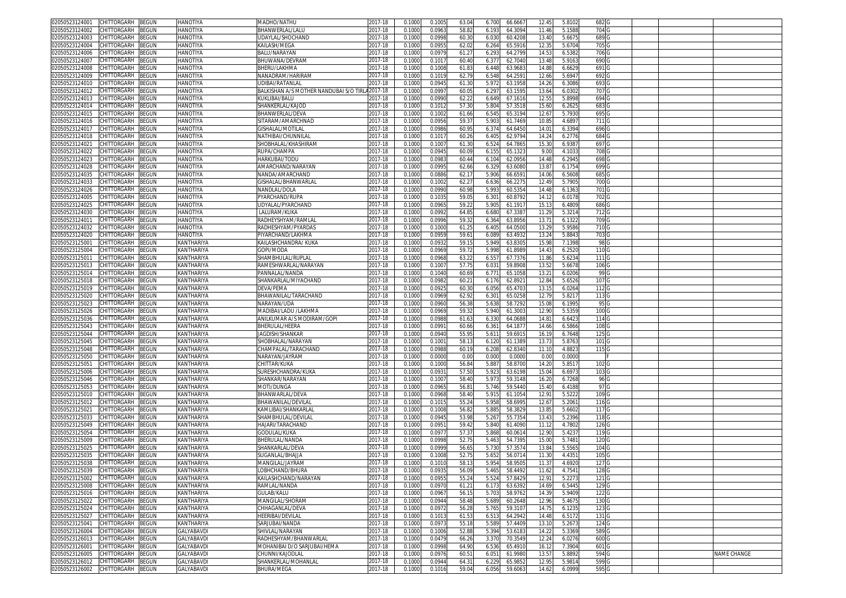| 02050523124001<br>CHITTORGARH<br>BEGUN               | <b>HANOTIYA</b>   | MADHO/NATHU                            | 2017-18 | 0.100  | 0.100  | 63.04          | 6.700 | 66.666  | 12.45             | 5.810  | 682              |  |             |
|------------------------------------------------------|-------------------|----------------------------------------|---------|--------|--------|----------------|-------|---------|-------------------|--------|------------------|--|-------------|
| 02050523124002<br>CHITTORGARH<br>3EGUN               | HANOTIYA          | <b>BHANWERLAL/LALU</b>                 | 2017-18 | 0.100( | 0.096  | 58.8           | 6.193 | 64.3094 | 11.46             | 5.1588 | 704              |  |             |
| 02050523124003<br>CHITTORGARH<br>3EGUN               | <b>HANOTIYA</b>   | UDAYLAL/SHOCHAND                       | 2017-18 | 0.100  | 0.099  | 60.3           | 6.03  | 60.4208 | 13.40             | 5.667  | 689 G            |  |             |
| CHITTORGARH                                          |                   |                                        |         | 0.100  |        |                |       |         |                   |        |                  |  |             |
| 02050523124004<br>BEGUN                              | HANOTIYA          | KAILASH/MEGA                           | 2017-18 |        | 0.095  | 62.02          | 6.264 | 65.5916 | 12.3              | 5.6704 | 705 G            |  |             |
| 02050523124006<br>CHITTORGARH<br>BEGUN               | <b>HANOTIYA</b>   | BALU/NARAYAN                           | 2017-18 | 0.100  | 0.097  | 61.2           | 6.29  | 64.279  | 14.5              | 6.538  | 706 G            |  |             |
| 02050523124007<br>CHITTORGARH<br>BEGUN               | HANOTIYA          | BHUWANA/DEVRAM                         | 2017-18 | 0.100  | 0.101  | 60.40          | 6.37  | 62.704  | 13.4              | 5.9163 | 690              |  |             |
| CHITTORGARH<br>02050523124008<br>3EGUN               | <b>HANOTIYA</b>   | BHERU/LAKHMA                           | 2017-18 | 0.100  | 0.100  | 61.8           | 6.448 | 63.968  | 14.8              | 6.6629 | 691              |  |             |
| CHITTORGARH<br>02050523124009<br>3EGUN               | HANOTIYA          | VANADRAM/HARIRAM                       | 2017-18 | 0.100  | 0.101  | 62.79          | 6.548 | 64.259  | 12.66             | 5.694  | 692              |  |             |
| 0205052312401<br>CHITTORGARH<br>3EGUN                | HANOTIYA          | JDIBAI/RATANLAL                        | 2017-18 | 0.100  | 0.094  | 61.30          | 5.97  | 63.195  | 14.2              | 6.308  | 693              |  |             |
| 02050523124012<br>CHITTORGARH<br>BEGUN               | HANOTIYA          | BALKISHAN A/S MOTHER NANDUBAI S/O TIRL | 2017-18 | 0.100  | 0.099  | 60.05          | 6.297 | 63.159  | 13.64             | 6.030  | 707              |  |             |
| 02050523124013<br>CHITTORGARH<br>3EGUN               | HANOTIYA          | KUKLIBAI/BALU                          | 2017-18 | 0.100  | 0.099  | 62.2           | 6.649 | 67.161  | 12.5              | 5.8998 | 694              |  |             |
|                                                      |                   |                                        |         |        |        |                |       |         |                   |        |                  |  |             |
| 02050523124014<br><b>CHITTORGARH</b><br>BEGUN        | HANOTIYA          | SHANKERLAL/KAJOE                       | 017-18  | 0.100  | 0.101  | 57.30          | 5.804 | 57.351  | 15.6              | 6.262! | 683              |  |             |
| CHITTORGARH<br><b>BEGUN</b><br>02050523124015        | HANOTIYA          | BHANWERLAL/DEVA                        | 2017-18 | 0.100  | 0.100  | 61.66          | 6.54  | 65.319  | 12.6              | 5.793  | 695              |  |             |
| <b>CHITTORGARH</b><br>02050523124016<br>BEGUN        | HANOTIYA          | SITARAM/AMARCHNAD                      | 2017-18 | 0.100  | 0.095  | 59.3           | 5.90  | 61.746  | 10.8              | 4.689  | 711              |  |             |
| 02050523124017<br>CHITTORGARH<br>BEGUN               | HANOTIYA          | <b>GISHALAL/MOTILAL</b>                | 017-18  | 0.100  | 0.098  | 60.9           | 6.374 | 64.645  | 14.0              | 6.3394 | 696 <sub>G</sub> |  |             |
| CHITTORGARH<br>BEGUN<br>02050523124018               | HANOTIYA          | NATHIBAI/CHUNNILA                      | 2017-18 | 0.100  | 0.101  | 60.2           | 6.405 | 62.979  | 14.24             | 6.2776 | 684              |  |             |
| <b>BEGUN</b><br>02050523124021<br>CHITTORGARH        | HANOTIYA          | SHOBHALAL/KHASHIRAN                    | 017-18  | 0.100  | 0.100  | 61.30          | 6.52  | 64.786  | 15.3              | 6.938  | 697              |  |             |
| 02050523124022<br>CHITTORGARH<br>BEGUN               | HANOTIYA          | RUPA/CHAMPA                            | 2017-18 | 0.1000 | 0.094  | 60.09          | 6.155 | 65.132  | 9.00              | 4.103  | 708 <sub>G</sub> |  |             |
| CHITTORGARH<br>BEGUN<br>02050523124023               | HANOTIYA          | HARKUBAI/TODU                          | 2017-18 | 0.100  | 0.098  | 60.44          | 6.104 | 62.0956 | 14.48             | 6.2945 | 698 G            |  |             |
| 02050523124028<br>CHITTORGARH<br>BEGUN               | HANOTIYA          | AMARCHAND/NARAYAN                      | 2017-18 | 0.100  | 0.099  | 62.66          | 6.329 | 63.608  | 13.8              | 6.175  | 699 G            |  |             |
|                                                      |                   |                                        |         |        |        |                |       |         |                   |        |                  |  |             |
| 02050523124035<br>CHITTORGARH<br>BEGUN               | HANOTIYA          | NANDA/AMARCHAND                        | 2017-18 | 0.100  | 0.088  | 62.1           | 5.906 | 66.659  | 14.06             | 6.5608 | 685 G            |  |             |
| CHITTORGARH<br>3EGUN<br>02050523124033               | <b>HANOTIYA</b>   | GISHALAL/BHANWARLA                     | 2017-18 | 0.100  | 0.100  | 62.2           | 6.636 | 66.227  | 12.4 <sup>0</sup> | 5.7905 | 700 <sub>G</sub> |  |             |
| BEGUN<br>02050523124026<br>CHITTORGARH               | HANOTIYA          | NANDLAL/DOLA                           | 2017-18 | 0.100  | 0.099  | 60.98          | 5.993 | 60.535  | 14.48             | 6.136  | 701 G            |  |             |
| BEGUN<br>02050523124005<br>CHITTORGARH               | HANOTIYA          | PYARCHAND/RUPA                         | 2017-18 | 0.100  | 0.103  | 59.0           | 6.30  | 60.879  | 14.1              | 6.0178 | 702 G            |  |             |
| 02050523124025<br>CHITTORGARH<br>BEGUN               | HANOTIYA          | JDYALAL/PYARCHAND                      | 2017-18 | 0.100  | 0.096  | 59.2           | 5.905 | 61.191  | 15.1              | 6.4809 | 686 G            |  |             |
| 02050523124030<br>CHITTORGARH<br>3EGUN               | <b>HANOTIYA</b>   | LALURAM/KUKA                           | 2017-18 | 0.100  | 0.099  | 64.8           | 6.680 | 67.338  | 11.2              | 5.321  | 712 G            |  |             |
| 02050523124011<br>CHITTORGARH<br>BEGUN               | HANOTIYA          | RADHEYSHYAM/RAMLAL                     | 2017-18 | 0.100  | 0.099  | 59.3           | 6.364 | 63.895  | $13.7^{\circ}$    | 6.1322 | 709 <sub>G</sub> |  |             |
| 02050523124032<br>CHITTORGARH<br>3EGUN               | <b>HANOTIYA</b>   | RADHESHYAM/PYARDAS                     | 2017-18 | 0.100  | 0.100  | 61.2           | 6.405 | 64.050  | 13.2              | 5.958  | 710 <sub>G</sub> |  |             |
| 02050523124020<br>CHITTORGARH<br>BEGUN               | HANOTIYA          | PIYARCHAND/LAKHMA                      | 2017-18 | 0.100  | 0.095  | 59.6           | 6.089 | 63.493  | 13.2              | 5.884  | 703 G            |  |             |
|                                                      |                   |                                        |         |        |        |                |       |         |                   |        |                  |  |             |
| 02050523125001<br>CHITTORGARH<br>3EGUN               | KANTHARIYA        | KAILASHCHANDRA/ KUKA                   | 2017-18 | 0.100  | 0.093  | 59.1           | 5.949 | 63.830  | 15.9              | 7.1398 | 98 G             |  |             |
| CHITTORGARH<br>BEGUN<br>02050523125004               | KANTHARIYA        | GOPI/MODA                              | 017-18  | 0.100  | 0.096  | 59.7           | 5.998 | 61.898  | 14.4              | 6.252  | 110 <sub>G</sub> |  |             |
| 02050523125011<br>CHITTORGARH<br>3EGUN               | KANTHARIYA        | SHAMBHULAL/RUPLAL                      | 017-18  | 0.100  | 0.096  | 63.2           | 6.55  | 67.737  | 11.8              | 5.623  | 111              |  |             |
| 02050523125013<br><b>CHITTORGARH</b><br>3EGUN        | KANTHARIYA        | RAMESHWARLAL/NARAYAN                   | 017-18  | 0.100  | 0.100  | 57.75          | 6.03  | 59.890  | 13.5              | 5.6678 | 106 <sub>G</sub> |  |             |
| 02050523125014<br>CHITTORGARH<br>3EGUN               | KANTHARIYA        | PANNALAL/NANDA                         | 2017-18 | 0.100  | 0.104  | 60.69          | 6.77' | 65.105  | 13.2              | 6.0206 | 99 <sub>G</sub>  |  |             |
| 02050523125018<br>CHITTORGARH<br>BEGUN               | KANTHARIYA        | SHANKARLAL/MIYACHAND                   | 2017-18 | 0.100  | 0.098  | 60.2           | 6.176 | 62.892  | 12.8              | 5.652  | 107 <sub>G</sub> |  |             |
| 02050523125019<br><b>CHITTORGARH</b><br>3EGUN        | KANTHARIYA        | DEVA/PEMA                              | 2017-18 | 0.100  | 0.092  | 60.3           | 6.05  | 65.470  | 13.1              | 6.0264 | 112              |  |             |
| <b>CHITTORGARH</b><br>02050523125020                 |                   | BHAWANILAL/TARACHAND                   |         |        |        | 62.92          |       |         |                   |        | 113 <sub>G</sub> |  |             |
| BEGUN                                                | KANTHARIYA        |                                        | 2017-18 | 0.100  | 0.096  |                | 6.301 | 65.025  | 12.7              | 5.821  |                  |  |             |
| <b>BEGUN</b><br>02050523125023<br><b>CHITTORGARH</b> | KANTHARIYA        | VARAYAN/UDA                            | 017-18  | 0.100  | 0.096  | 56.3           | 5.638 | 58.729  | 15.0              | 6.1995 | 95 G             |  |             |
| 02050523125026<br><b>CHITTORGARH</b><br>BEGUN        | KANTHARIYA        | MADIBAI/LADU /LAKHMA                   | 017-18  | 0.100  | 0.096  | 59.3           | 5.940 | 61.300  | 12.9              | 5.535  | 100 <sub>G</sub> |  |             |
| 02050523125036<br>CHITTORGARH<br>BEGUN               | KANTHARIYA        | ANILKUMAR A/S MODIRAM/GOPI             | 2017-18 | 0.100  | 0.098  | 61.63          | 6.33  | 64.068  | 14.8              | 6.642  | 114              |  |             |
| 02050523125043<br><b>CHITTORGARH</b><br>3EGUN        | KANTHARIYA        | BHERULAL/HEERA                         | 2017-18 | 0.100  | 0.099  | 60.66          | 6.361 | 64.187  | 14.66             | 6.5866 | 108 <sub>G</sub> |  |             |
| BEGUN<br>02050523125044<br>CHITTORGARH               | KANTHARIYA        | IAGDISH/SHANKAR                        | 017-18  | 0.100  | 0.094  | 55.9           | 5.61' | 59.691  | 16.1              | 6.7648 | 125 G            |  |             |
| CHITTORGARH<br>BEGUN<br>02050523125045               | KANTHARIYA        | SHOBHALAL/NARAYAN                      | 2017-18 | 0.100  | 0.100  | 58.1           | 6.120 | 61.138  | 13.7              | 5.876  | 101 <sub>G</sub> |  |             |
| BEGUN<br>02050523125048<br>CHITTORGARH               | KANTHARIYA        | CHAMPALAL/TARACHAND                    | 2017-18 | 0.100  | 0.098  | 60.1           | 6.208 | 62.834  | 11.1              | 4.882  | 115 <sub>G</sub> |  |             |
| CHITTORGARH<br>BEGUN<br>02050523125050               | KANTHARIYA        | NARAYAN/JAYRAM                         | 2017-18 | 0.100  | 0.000  | 0.00           | 0.000 | 0.0000  | 0.00              | 0.0000 |                  |  |             |
|                                                      |                   |                                        |         |        |        |                |       |         |                   |        |                  |  |             |
| BEGUN<br>02050523125051<br>CHITTORGARH               | KANTHARIYA        | CHITTAR/KUKA                           | 2017-18 | 0.100  | 0.100  | 56.84          | 5.887 | 58.870  | 14.2              | 5.851  | 102 G            |  |             |
| BEGUN<br>02050523125006<br>CHITTORGARH               | KANTHARIYA        | SURESHCHANDRA/KUKA                     | 017-18  | 0.100  | 0.093  | 57.50          | 5.923 | 63.619  | 15.04             | 6.697  | 103 G            |  |             |
| CHITTORGARH<br>02050523125046<br>3EGUN               | KANTHARIYA        | SHANKAR/NARAYAN                        | 2017-18 | 0.100  | 0.100  | 58.40          | 5.973 | 59.3148 | 16.20             | 6.7268 | 96 G             |  |             |
| 02050523125053<br>CHITTORGARH<br>3EGUN               | KANTHARIYA        | MOTI/DUNGA                             | 2017-18 | 0.100  | 0.096  | 56.8           | 5.746 | 59.544  | 15.40             | 6.4188 | 97 G             |  |             |
| 02050523125010<br>CHITTORGARH<br>BEGUN               | KANTHARIYA        | 3HANWARLAL/DEVA                        | 2017-18 | 0.100  | 0.096  | 58.40          | 5.915 | 61.1054 | 12.9              | 5.5222 | 109 G            |  |             |
| 02050523125012<br>CHITTORGARH<br><b>BEGUN</b>        | KANTHARIYA        | BHAWANILAL/DEVILAI                     | 2017-18 | 0.100  | 0.101  | 55.2           | 5.958 | 58.699  | 12.6              | 5.206  | 116 G            |  |             |
| 02050523125021<br>CHITTORGARH<br>3EGUN               | KANTHARIYA        | (AMLIBAI/SHANKARLAI                    | 2017-18 | 0.100  | 0.100  | 56.8           | 5.88  | 58.382  | 13.8              | 5.6602 | 117 G            |  |             |
| CHITTORGARH<br>3EGUN<br>02050523125033               | KANTHARIYA        | SHAMBHULAL/DEVILAI                     | 2017-18 | 0.100  | 0.094  | 53.98          | 5.26  | 55.735  | 13.4              | 5.2396 | 118 G            |  |             |
| CHITTORGARH<br>BEGUN<br>02050523125049               | KANTHARIYA        | HAJARI/TARACHAND                       | 2017-18 | 0.100  | 0.095  | 59.42          | 5.840 | 61.409  | 11.1              | 4.7802 | 126 G            |  |             |
|                                                      |                   |                                        |         |        |        |                |       |         |                   |        |                  |  |             |
| 02050523125054<br>CHITTORGARH<br>3EGUN               | KANTHARIYA        | GODULAL/KUKA                           | 2017-18 | 0.100  | 0.097  | 57.3           | 5.868 | 60.061  | 12.9              | 5.423  | 119 <sub>G</sub> |  |             |
| 02050523125009<br>CHITTORGARH<br>BEGUN               | KANTHARIYA        | BHERULAL/NANDA                         | 017-18  | 0.100  | 0.099  | 52.7           | 5.463 | 54.739  | 15.0              | 5.748  | 120 <sub>G</sub> |  |             |
| 02050523125025<br><b>CHITTORGARH</b><br>BEGUN        | KANTHARIYA        | SHANKARLAL/DEVA                        | 017-18  | 0.100  | 0.099  | 56.6           | 5.73  | 57.357  | 13.8              | 5.556  | 104              |  |             |
| 02050523125035<br><b>HITTORGARH</b><br>3EGUN         | KANTHARIYA        | SUGANLAL/BHAJJA                        | 017-18  | 0.100  | 0.100  | 52.7           | 5.65  | 56.071  | 11.3              | 4.435  | 105 G            |  |             |
| 02050523125038<br>CHITTORGARH<br>BEGUN               | KANTHARIYA        | MANGILAL/JAYRAM                        | 2017-18 | 0.100  | 0.101  | 58.1           | 5.95  | 58.950  | 11.3              | 4.692  | 127              |  |             |
| 02050523125039 CHILLORGARH BEGUN                     | KANTHARIYA        | .OBHCHAND/BHURA                        | 2017-18 | 0.1000 | 0.0935 | 56.09          | 5.465 | 58.4492 | 11.62             | 4.7541 | 128 G            |  |             |
| 02050523125002<br>CHITTORGARH<br><b>BEGUN</b>        | KANTHARIYA        | KAILASHCHAND/NARAYAN                   | 2017-18 | 0.1000 | 0.0955 | 55.24          | 5.524 | 57.8429 | 12.91             | 5.2273 | 121 G            |  |             |
| CHITTORGARH<br>02050523125008<br>BEGUN               | KANTHARIYA        | RAMLAL/NANDA                           | 2017-18 | 0.1000 | 0.097  | 61.2           | 6.173 | 63.6392 | 14.69             | 6.5445 | 129 G            |  |             |
|                                                      |                   |                                        |         |        |        |                |       |         |                   |        |                  |  |             |
| <b>CHITTORGARH</b><br>BEGUN<br>02050523125016        | KANTHARIYA        | GULAB/KALU                             | 2017-18 | 0.100  | 0.096  | 56.1           | 5.703 | 58.9762 | 14.3 <sup>0</sup> | 5.9409 | 122 G            |  |             |
| 02050523125022<br>CHITTORGARH<br>BEGUN               | <b>KANTHARIYA</b> | <b>MANGILAL/SHORAM</b>                 | 2017-18 | 0.100  | 0.094  | 58.48          | 5.689 | 60.2648 | 12.96             | 5.4675 | 130 <sub>G</sub> |  |             |
| 02050523125024<br>BEGUN<br>CHITTORGARH               | KANTHARIYA        | CHHAGANLAL/DEVA                        | 2017-18 | 0.1000 | 0.097  | 56.28          | 5.765 | 59.3107 | 14.75             | 6.1235 | 123 G            |  |             |
| CHITTORGARH<br>02050523125027<br>BEGUN               | KANTHARIYA        | HEERIBAI/DEVILAL                       | 2017-18 | 0.1000 | 0.101  | 61.53          | 6.513 | 64.2942 | 14.48             | 6.5172 | 131 G            |  |             |
| CHITTORGARH<br><b>BEGUN</b><br>02050523125041        | KANTHARIYA        | SARJUBAI/NANDA                         | 2017-18 | 0.1000 | 0.097  | 55.18          | 5.589 | 57.4409 | 13.10             | 5.2673 | 124 G            |  |             |
| 02050523126004<br>CHITTORGARH<br>BEGUN               | GALYABAVDI        | SHIVLAL/NARAYAN                        | 2017-18 | 0.1000 | 0.100( | 52.88          | 5.394 | 53.618  | 14.22             | 5.3369 | 589 <sub>G</sub> |  |             |
| 02050523126013<br><b>BEGUN</b><br>CHITTORGARH        | <b>GALYABAVDI</b> | RADHESHYAM/BHANWARLAL                  | 2017-18 | 0.1000 | 0.0479 | 66.26          | 3.370 | 70.3549 | 12.24             | 6.0276 | 600 G            |  |             |
| 02050523126001<br>CHITTORGARH<br>BEGUN               | <b>GALYABAVDI</b> | MOHANIBAI D/O SARJUBAI/HEMA            | 2017-18 | 0.1000 | 0.0998 | 64.90          | 6.536 | 65.4910 | 16.12             | 7.3904 | 601 G            |  |             |
| 02050523126005                                       | GALYABAVDI        |                                        |         |        |        |                |       |         |                   | 5.8892 | 594 G            |  | NAME CHANGE |
| CHITTORGARH<br>BEGUN                                 |                   | CHUNNI/KAJODLAL                        | 2017-18 | 0.100  | 0.097  | $60.5^{\circ}$ | 6.051 | 61.998  | 13.57             |        |                  |  |             |
| CHITTORGARH<br>BEGUN<br>02050523126012               | GALYABAVDI        | SHANKERLAL/MOHANLAL                    | 2017-18 | 0.1000 | 0.094  | 64.3           | 6.229 | 65.985  | 12.95             | 5.9814 | 599 G            |  |             |
| 02050523126002 CHITTORGARH BEGUN                     | GALYABAVDI        | BHURA/MEGA                             | 2017-18 | 0.1000 | 0.1016 | 59.04          | 6.056 | 59.6063 | 14.62             | 6.0999 | 595 G            |  |             |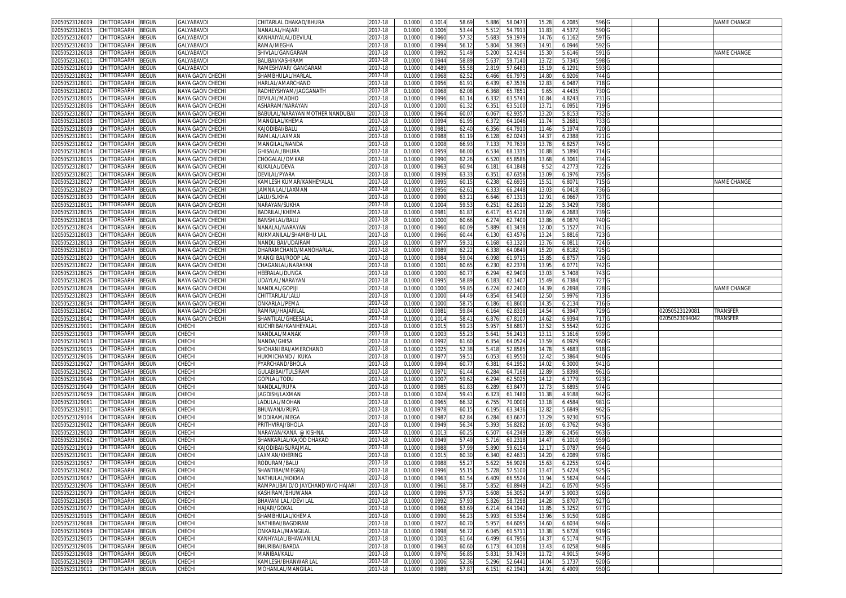| 02050523126009                   | CHITTORGARH                      | <b>BEGUN</b> | GALYABAVDI              | CHITARLAL DHAKAD/BHURA                   | 2017-18            | 0.1000           | 0.101              | 58.69          | 5.886          | 58.047             | 15.28             | 6.2085           | 596                       |               | NAME CHANGE |
|----------------------------------|----------------------------------|--------------|-------------------------|------------------------------------------|--------------------|------------------|--------------------|----------------|----------------|--------------------|-------------------|------------------|---------------------------|---------------|-------------|
| 02050523126015                   | CHITTORGARH                      | 3EGUN        | GALYABAVDI              | NANALAL/HAJARI                           | 2017-18            | 0.100            | 0.100              | 53.44          | 5.51           | 54.791             | 11.83             | 4.537            | 590                       |               |             |
| 02050523126007                   | CHITTORGARH                      | 3EGUN        | GALYABAVDI              | (ANHAIYALAL/DEVILAL                      | 2017-18            | 0.1000           | 0.0960             | 57.32          | 5.683          | 59.197             | 14.76             | 6.1162           | 597                       |               |             |
| 02050523126010                   | CHITTORGARH                      | BEGUN        | GALYABAVDI              | RAMA/MEGHA                               | 2017-18            | 0.100            | 0.0994             | 56.1           | 5.804          | 58.390             | 14.91             | 6.0946           | 592                       |               |             |
| 02050523126018                   | CHITTORGARH                      | <b>BEGUN</b> | GALYABAVDI              | SHIVLAL/GANGARAM                         | 2017-18            | 0.1000           | 0.099              | 51.49          | 5.200          | 52.419             | 15.3              | 5.6146           | 591                       |               | NAME CHANGE |
| 0205052312601                    | CHITTORGARH                      | 3EGUN        | GALYABAVDI              | BALIBAI/KASHIRAN                         | 2017-18            | 0.100            | 0.094              | 58.8           | 5.63           | 59.714             | 13.7              | 5.7345           | 598                       |               |             |
|                                  | CHITTORGARH                      |              |                         |                                          |                    |                  |                    |                |                |                    |                   |                  |                           |               |             |
| )2050523126019                   |                                  | BEGUN        | GALYABAVDI              | RAMESHWAR/ GANGARAM                      | 2017-18            | 0.100            | 0.048              | 55.5           | 2.819          | 57.648             | 15.1              | 6.1291           | 593                       |               |             |
| 02050523128032                   | CHITTORGARH                      | <b>BEGUN</b> | NAYA GAON CHECHI        | SHAMBHULAL/HARLA                         | 2017-18            | 0.100            | 0.096              | 62.5           | 6.466          | 66.797             | 14.8              | 6.9206           | 744                       |               |             |
| 02050523128001                   | CHITTORGARH                      | <b>BEGUN</b> | NAYA GAON CHECHI        | HARLAL/AMARCHAND                         | 2017-18            | 0.100            | 0.0956             | 61.9           | 6.439          | 67.353             | 12.8              | 6.0487           | 718                       |               |             |
| 2050523128002                    | CHITTORGARH                      | BEGUN        | NAYA GAON CHECH         | RADHEYSHYAM/JAGGANATH                    | 2017-18            | 0.100            | 0.096              | 62.0           | 6.368          | 65.785             | 9.65              | 4.4435           | 730                       |               |             |
| 02050523128005                   | <b>CHITTORGARH</b>               | BEGUN        | NAYA GAON CHECH         | DEVILAL/MADHO                            | 2017-18            | 0.100            | 0.099              | 61.1           | 6.332          | 63.574             | 10.84             | 4.8243           | 731                       |               |             |
| 02050523128006                   | CHITTORGARH                      | BEGUN        | NAYA GAON CHECHI        | ASHARAM/NARAYAN                          | 2017-18            | 0.1000           | 0.100              | 61.3           | 6.35'          | 63.510             | 13.7              | 6.095            | 719                       |               |             |
| 02050523128007                   | CHITTORGARH                      | BEGUN        | NAYA GAON CHECHI        | BABULAL/NARAYAN MOTHER NANDUBAI          | 2017-18            | 0.1000           | 0.0964             | 60.0           | 6.06           | 62.935             | 13.20             | 5.815            | 732                       |               |             |
| 2050523128008                    | CHITTORGARH                      | BEGUN        | NAYA GAON CHECHI        | <b>MANGILAL/KHEMA</b>                    | 2017-18            | 0.1000           | 0.0994             | 61.9           | 6.372          | 64.1046            | 11.74             | 5.2681           | 733                       |               |             |
| )2050523128009                   | CHITTORGARH                      | <b>BEGUN</b> | NAYA GAON CHECH         | KAJODIBAI/BALU                           | 2017-18            | 0.100            | 0.098 <sup>°</sup> | 62.40          | 6.356          | 64.7910            | 11.46             | 5.197            | 720                       |               |             |
| )205052312801 <sup>.</sup>       | CHITTORGARH                      | BEGUN        | NAYA GAON CHECHI        | RAMLAL/LAXMAN                            | 2017-18            | 0.1000           | 0.098              | 61.1           | 6.128          | 62.024             | 14.3              | 6.2388           | 721                       |               |             |
| )2050523128012                   | CHITTORGARH                      | <b>BEGUN</b> | NAYA GAON CHECH         | MANGILAL/NANDA                           | 2017-18            | 0.1000           | 0.100              | 66.93          | 7.13           | 70.763             | 13.78             | 6.825            | 745 C                     |               |             |
| 2050523128014                    | CHITTORGARH                      | <b>BEGUN</b> | NAYA GAON CHECHI        | GHISALAL/BHURA                           | 2017-18            | 0.1000           | 0.095              | 66.0           | 6.534          | 68.133             | 10.88             | 5.1890           | 714                       |               |             |
|                                  |                                  |              |                         |                                          |                    |                  |                    |                |                |                    |                   |                  |                           |               |             |
| 02050523128015                   | CHITTORGARH                      | BEGUN        | NAYA GAON CHECH         | CHOGALAL/OMKAR                           | 2017-18            | 0.100            | 0.099              | 62.2           | 6.520          | 65.8586            | 13.6              | 6.306            | 734 G                     |               |             |
| 2050523128017                    | CHITTORGARH                      | BEGUN        | NAYA GAON CHECHI        | KUKALAL/DEVA                             | 2017-18            | 0.1000           | 0.096              | 60.94          | 6.181          | 64.1848            | 9.5               | 4.2773           | 722 <sub>C</sub>          |               |             |
| 02050523128021                   | CHITTORGARH                      | <b>BEGUN</b> | NAYA GAON CHECH         | DEVILAL/PYARA                            | 2017-18            | 0.100            | 0.093              | 63.3           | 6.35           | 67.635             | 13.0              | 6.1976           | 735 C                     |               |             |
| 2050523128027                    | CHITTORGARH                      | BEGUN        | NAYA GAON CHECHI        | KAMLESH KUMAR/KANHEYALAL                 | 2017-18            | 0.1000           | 0.099              | 60.1           | 6.238          | 62.693             | 15.51             | 6.8071           | 7150                      |               | NAME CHANGE |
| 02050523128029                   | CHITTORGARH                      | BEGUN        | NAYA GAON CHECH         | JAMNA LAL/LAXMAN                         | 2017-18            | 0.100            | 0.095              | 62.6           | 6.33           | 66.2448            | 13.0              | 6.0418           | 736 <sub>G</sub>          |               |             |
| )2050523128030                   | CHITTORGARH                      | <b>BEGUN</b> | NAYA GAON CHECHI        | LALU/SUKHA                               | 2017-18            | 0.1000           | 0.099              | 63.2           | 6.646          | 67.131             | 12.9              | 6.0667           | 737 C                     |               |             |
| 1205052312803                    | CHITTORGARH                      | BEGUN        | NAYA GAON CHECH         | NARAYAN/SUKHA                            | 2017-18            | 0.100            | 0.100              | 59.5           | 6.25           | 62.261             | 12.2              | 5.342            | 738                       |               |             |
| 2050523128035                    | CHITTORGARH                      | BEGUN        | NAYA GAON CHECH         | BADRILAL/KHEMA                           | 2017-18            | 0.100            | 0.098              | 61.87          | 6.41           | 65.412             | 13.69             | 6.2683           | 739                       |               |             |
| 02050523128018                   | CHITTORGARH                      | <b>BEGUN</b> | NAYA GAON CHECH         | BANSHILAL/BALU                           | 2017-18            | 0.100            | 0.100              | 60.66          | 6.274          | 62.740             | 13.86             | 6.087            | 740                       |               |             |
| 02050523128024                   | CHITTORGARH                      | BEGUN        | NAYA GAON CHECHI        | NANALAL/NARAYAN                          | 2017-18            | 0.1000           | 0.0960             | 60.09          | 5.889          | 61.343             | 12.00             | 5.152            | 741                       |               |             |
| 02050523128003                   | CHITTORGARH                      | BEGUN        | NAYA GAON CHECH         | RUKMANILAL/SHAMBHU LAL                   | 2017-18            | 0.100            | 0.0966             | 60.4           | 6.13           | 63.457             | 13.2              | 5.881            | 723                       |               |             |
| 02050523128013                   | CHITTORGARH                      | 3EGUN        | NAYA GAON CHECH         | NANDU BAI/UDAIRAM                        | 2017-18            | 0.100            | 0.097              | 59.3           | 6.168          | 63.132             | 13.76             | 6.081            | 724 C                     |               |             |
| 02050523128019                   | CHITTORGARH                      | <b>BEGUN</b> | NAYA GAON CHECH         | DHARAMCHAND/MANOHARLAI                   | 2017-18            | 0.100            | 0.098              | 62.2           | 6.338          | 64.084             | 15.2              | 6.8182           | 725                       |               |             |
| 02050523128020                   | CHITTORGARH                      | <b>BEGUN</b> | NAYA GAON CHECHI        | MANGI BAI/ROOP LAL                       | 2017-18            | 0.100            | 0.098              | 59.04          | 6.098          | 61.971             | 15.8              | 6.875            | 726                       |               |             |
| 02050523128022                   | <b>HITTORGARH</b>                | <b>BEGUN</b> | NAYA GAON CHECH         | HAGANLAL/NARAYAN                         | 2017-18            | 0.100            | 0.100              | 60.6           | 6.23           | 62.237             | 13.9              | 6.077            | 742                       |               |             |
|                                  | <b>CHITTORGARH</b>               | BEGUN        | NAYA GAON CHECH         | <b>IEERALAL/DUNGA</b>                    |                    |                  | 0.1000             | 60.7           | 6.294          |                    |                   | 5.7408           | 743                       |               |             |
| )2050523128025<br>02050523128026 | <b>HITTORGARH</b>                |              |                         |                                          | 2017-18            | 0.100            | 0.099              |                |                | 62.940             | 13.03             | 6.738            |                           |               |             |
|                                  | CHITTORGARH                      | <b>BEGUN</b> | NAYA GAON CHECH         | JDAYLAL/NARAYAN                          | 2017-18            | 0.1000           |                    | 58.8           | 6.18           | 62.140             | 15.4              | 6.2698           | 727<br>728                |               | NAME CHANGE |
| 02050523128028                   |                                  |              |                         |                                          |                    |                  |                    |                |                |                    |                   |                  |                           |               |             |
|                                  |                                  | BEGUN        | <b>NAYA GAON CHECHI</b> | NANDLAL/GOPIJI                           | 2017-18            | 0.1000           | 0.1000             | 59.8           | 6.224          | 62.2400            | 14.39             |                  |                           |               |             |
| 2050523128023                    | CHITTORGARH                      | BEGUN        | NAYA GAON CHECHI        | CHITTARLAL/LALU                          | 2017-18            | 0.1000           | 0.1000             | 64.4           | 6.854          | 68.5400            | 12.50             | 5.9976           | 713                       |               |             |
| )2050523128034                   | CHITTORGARH                      | <b>BEGUN</b> | <b>NAYA GAON CHECH</b>  | ONKARLAL/PEMA                            | 2017-18            | 0.1000           | 0.1000             | 58.7           | 6.186          | 61.8600            | 14.3              | 6.2134           | 716 C                     |               |             |
| 2050523128042                    | CHITTORGARH                      | <b>BEGUN</b> | NAYA GAON CHECHI        | RAMRAJ/HAJARILAI                         | 2017-18            | 0.1000           | 0.098              | 59.8           | 6.164          | 62.833             | 14.5              | 6.3947           | 729                       | 2050523129081 | TRANSFER    |
| )2050523128041                   | CHITTORGARH                      | BEGUN        | NAYA GAON CHECHI        | SHANTILAL/GHEESALAL                      | 2017-18            | 0.1000           | 0.101              | 58.4           | 6.876          | 67.810             | 14.6              | 6.939            | 717 G                     | 2050523094042 | TRANSFER    |
| 2050523129001                    | CHITTORGARH                      | <b>BEGUN</b> | CHECHI                  | KUCHRIBAI/KANHEYALAL                     | 2017-18            | 0.1000           | 0.101              | 59.2           | 5.95           | 58.6897            | 13.5              | 5.5542           | 922                       |               |             |
| )2050523129003                   | CHITTORGARH                      | 3EGUN        | CHECHI                  | NANDLAL/MANAK                            | 2017-18            | 0.100            | 0.100              | 55.2           | 5.64           | 56.241             | 13.1'             | 5.1616           | 939                       |               |             |
| 2050523129013                    | CHITTORGARH                      | BEGUN        | СНЕСНІ                  | NANDA/GHISA                              | 2017-18            | 0.1000           | 0.099              | 61.60          | 6.354          | 64.052             | 13.5              | 6.0929           | 960                       |               |             |
| 02050523129015                   | CHITTORGARH                      | <b>BEGUN</b> | CHECHI                  | SHOHANI BAI/AMERCHAND                    | 2017-18            | 0.100            | 0.102              | 52.3           | 5.418          | 52.858             | 14.78             | 5.468            | 918                       |               |             |
| 2050523129016                    | CHITTORGARH                      | BEGUN        | СНЕСНІ                  | HUKMICHAND / KUKA                        | 2017-18            | 0.1000           | 0.097              | 59.5           | 6.053          | 61.955             | 12.42             | 5.3864           | 940                       |               |             |
| 02050523129027                   | CHITTORGARH                      | BEGUN        | СНЕСНІ                  | PYARCHAND/BHOLA                          | 2017-18            | 0.100            | 0.0994             | 60.7           | 6.38'          | 64.195             | 14.02             | 6.3000           | 941                       |               |             |
| 2050523129032                    | CHITTORGARH                      | BEGUN        | СНЕСНІ                  | <b>GULABIBAI/TULSIRAM</b>                | 2017-18            | 0.1000           | 0.097              | 61.44          |                | 64.716             |                   | 5.8398           |                           |               |             |
|                                  |                                  |              |                         |                                          |                    |                  |                    |                | 6.284          |                    | 12.8              |                  | 961                       |               |             |
| 02050523129046                   | CHITTORGARH                      | BEGUN        | CHECHI                  | GOPILAL/TODU                             | 2017-18            | 0.100            | 0.100              | 59.62          | 6.294          | 62.502             | 14.12             | 6.1779           | 923                       |               |             |
| 2050523129049                    | CHITTORGARH                      | BEGUN        | <b>CHECHI</b>           | <b>VANDLAL/RUPA</b>                      | 2017-18            | 0.100            | 0.098              | 61.8           | 6.289          | 63.847             | 12.73             | 5.6895           | 974                       |               |             |
| 02050523129059                   | CHITTORGARH                      | BEGUN        | CHECHI                  | JAGDISH/LAXMAN                           | 2017-18            | 0.100            | 0.102              | 59.4           | 6.32           | 61.748             | 11.3              | 4.9188           | 942                       |               |             |
| 02050523129061                   | CHITTORGARH                      | BEGUN        | СНЕСНІ                  | ADULAL/MOHAN                             | 2017-18            | 0.1000           | 0.096              | 66.3           | 6.755          | 70.000             | 13.1              | 6.4584           | 981                       |               |             |
| 0205052312910                    | CHITTORGARH                      | BEGUN        | СНЕСНІ                  | BHUWANA/RUPA                             | 2017-18            | 0.100            | 0.097              | 60.1           | 6.195          | 63.343             | 12.8              | 5.684            | 962                       |               |             |
| 02050523129104                   | CHITTORGARH                      | BEGUN        | СНЕСНІ                  | MODIRAM/MEGA                             | 2017-18            | 0.100            | 0.098              | 62.84          | 6.284          | 63.667             | 13.2 <sup>0</sup> | 5.9230           | 975                       |               |             |
| 02050523129002                   | CHITTORGARH                      | <b>BEGUN</b> | CHECHI                  | PRITHVIRAJ/BHOLA                         | 2017-18            | 0.100            | 0.094              | 56.3           | 5.393          | 56.8282            | 16.0              | 6.3762           | 943                       |               |             |
| 02050523129010                   | CHITTORGARH                      | <b>BEGUN</b> | CHECHI                  | NARAYAN/KANA @KISHNA                     | 2017-18            | 0.100            | 0.101              | 60.2           | 6.507          | 64.234             | 13.8              | 6.2456           | 963                       |               |             |
| 02050523129062                   | CHITTORGARH                      | BEGUN        | CHECHI                  | SHANKARLAL/KAJOD DHAKAD                  | 2017-18            | 0.1000           | 0.094              | 57.4           | 5.716          | 60.231             | 14.4              | 6.101            | 959                       |               |             |
| )2050523129019                   | <b>CHITTORGARH</b>               | 3EGUN        | <b>CHECHI</b>           | AJODIBAI/SURAJMAI                        | 2017-18            | 0.100            | 0.098              | 57.9           | 5.89           | 59.615             | 12.1              | 5.078            | 964                       |               |             |
| 1205052312903                    | <b>HITTORGARH</b>                | BEGUN        | <b>HECHI</b>            | AXMAN/KHERING                            | 2017-18            | 0.100            | 0.101              | 60.3           | 6.34           | 62.463             | 14.2              | 6.2089           | 976                       |               |             |
| 02050523129057                   | CHITTORGARH                      | BEGUN        | <b>CHECHI</b>           | RODURAM/BALU                             | 2017-18            | 0.1000           | 0.0988             | 55.2           | 5.622          | 56.902             | 15.63             | 6.2255           | 924                       |               |             |
| 02050523129082 CHITTORGARH BEGUN |                                  |              | UMEUMI                  | SHANTIBAI/MEGRAJ                         | 2017-10            | 0.1000           | 0.0996             | 55.1           | D. I 26        | 57.5100            | 13.47             | 3.4 <i>ZZ</i>    | 925                       |               |             |
| 02050523129067                   | CHITTORGARH BEGUN                |              | CHECHI                  | NATHULAL/HOKMA                           | 2017-18            | 0.1000           | 0.0963             | 61.54          | 6.409          | 66.5524            | 11.94             | 5.5624           | 944 G                     |               |             |
| 02050523129076                   | CHITTORGARH                      | BEGUN        | CHECHI                  | RAMPALIBAI D/O JAYCHAND W/O HAJARI       | 2017-18            | 0.1000           | 0.0961             | 58.77          | 5.852          | 60.8949            | 14.21             | 6.0570           | 945                       |               |             |
| 02050523129079                   | CHITTORGARH                      | BEGUN        | CHECHI                  | KASHIRAM/BHUWANA                         | 2017-18            | 0.1000           | 0.0996             | 57.73          | 5.608          | 56.3052            | 14.97             | 5.9003           | 926 G                     |               |             |
| 2050523129085                    | CHITTORGARH                      | BEGUN        | CHECHI                  | BHAVANI LAL /DEVI LAL                    | 2017-18            | 0.1000           | 0.0992             | 57.93          | 5.826          | 58.7298            | 14.28             | 5.8707           | 927                       |               |             |
| 02050523129077                   | CHITTORGARH                      | BEGUN        | CHECHI                  | HAJARI/GOKAL                             | 2017-18            | 0.1000           | 0.0968             | 63.69          | 6.214          | 64.1942            | 11.85             | 5.325            | 977 G                     |               |             |
| 2050523129105                    | CHITTORGARH                      |              |                         |                                          | 2017-18            |                  |                    |                |                |                    |                   |                  |                           |               |             |
|                                  | CHITTORGARH                      | BEGUN        | CHECHI                  | SHAMBHULAL/KHEMA                         | 2017-18            | 0.1000           | 0.0990             | 56.23          | 5.993          | 60.5354            | 13.96             | 5.9150           | 928 <sub>C</sub>          |               |             |
| 02050523129088                   |                                  | BEGUN        | CHECHI                  | NATHIBAI/BAGDIRAM                        |                    | 0.1000           | 0.0922             | 60.70          | 5.95           | 64.6095            | 14.60             | 6.603            | 946 G                     |               |             |
| 2050523129069 CHITTORGARH        |                                  | BEGUN        | CHECHI                  | ONKARLAL/MANGILAL                        | 2017-18            | 0.1000           | 0.0998             | 56.72          | 6.045          | 60.5711            | 13.38             | 5.6728           | 919 G                     |               |             |
| 02050523129005                   | CHITTORGARH                      | <b>BEGUN</b> | CHECHI                  | KANHYALAL/BHAWANILAL                     | 2017-18            | 0.1000           | 0.100              | 61.64          | 6.499          | 64.7956            | 14.37             | 6.5174           | 947 G                     |               |             |
| 02050523129006                   | CHITTORGARH                      | BEGUN        | CHECHI                  | BHURIBAI/BARDA                           | 2017-18            | 0.1000           | 0.0963             | 60.60          | 6.173          | 64.1018            | 13.43             | 6.0258           | 948 C                     |               |             |
| 02050523129008                   | CHITTORGARH                      | BEGUN        | CHECHI                  | MANIBAI/KALU                             | 2017-18            | 0.1000           | 0.0976             | 56.85          | 5.831          | 59.743             | 11.72             | 4.901            | 949 G                     |               |             |
| 02050523129009<br>02050523129011 | CHITTORGARH<br>CHITTORGARH BEGUN | <b>BEGUN</b> | CHECHI<br>CHECHI        | KAMLESH/BHANWAR LAL<br>MOHANLAL/MANGILAL | 2017-18<br>2017-18 | 0.1000<br>0.1000 | 0.1006<br>0.0989   | 52.36<br>57.87 | 5.296<br>6.151 | 52.6441<br>62.1941 | 14.04<br>14.91    | 5.1737<br>6.4909 | 920 G<br>950 <sub>G</sub> |               |             |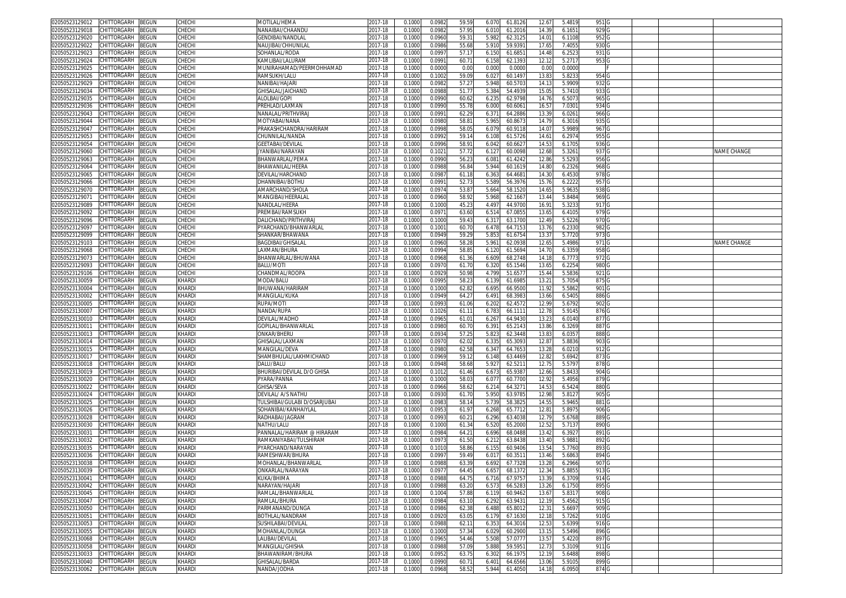| CHITTORGARH<br>BEGUN<br>02050523129012               | CHECHI       | MOTILAL/HEMA                  | 2017-18     | 0.1000 | 0.0982 | 59.59          | 61.812<br>6.070          | 12.67 | 5.481  | 951 G            |  |             |
|------------------------------------------------------|--------------|-------------------------------|-------------|--------|--------|----------------|--------------------------|-------|--------|------------------|--|-------------|
| 02050523129018<br>CHITTORGARH<br>3EGUN               | CHECHI       | NANAIBAI/CHAANDU              | 017-18      | 0.1000 | 0.0982 | 57.9           | 61.2016<br>6.010         | 14.39 | 6.165  | 929 G            |  |             |
| CHITTORGARH<br>3EGUN<br>02050523129020               | CHECHI       | GENDIBAI/NANDLA               | 2017-18     | 0.1000 | 0.096  | 59.3           | 5.982<br>62.312          | 14.0  | 6.1108 | 952 G            |  |             |
| 02050523129022<br>CHITTORGARH<br>BEGUN               | CHECHI       | NAUJIBAI/CHHUNILAI            | 017-18      | 0.1000 | 0.0986 | 55.68          | 5.910<br>59.939          | 17.65 | 7.4055 | 930              |  |             |
| 02050523129023<br>CHITTORGARH<br>3EGUN               | CHECHI       |                               | 2017-18     |        |        |                |                          |       |        |                  |  |             |
|                                                      |              | SOHANLAL/RODA                 |             | 0.100  | 0.099  | 57.1           | 6.150<br>61.685          | 14.48 | 6.252  | 931 G            |  |             |
| 02050523129024<br>CHITTORGARH<br>3EGUN               | СНЕСНІ       | KAMLIBAI/LALURAN              | 017-18      | 0.100  | 0.099  | 60.7           | 6.15<br>62.139           | 12.1  | 5.2717 | 953 <sub>G</sub> |  |             |
| CHITTORGARH<br>02050523129025<br>3EGUN               | СНЕСН        | MUNIRAHAMAD/PEERMOHHAMAD      | 2017-18     | 0.100  | 0.000  | 0.00           | 0.000<br>0.000           | 0.0   | 0.0000 |                  |  |             |
| CHITTORGARH<br>02050523129026<br>3EGUN               | <b>HECH</b>  | RAMSUKH/LALU                  | 017-18      | 0.100  | 0.100  | 59.0           | 6.02<br>60.149           | 13.8  | 5.823  | 954              |  |             |
| 02050523129029<br><b>CHITTORGARH</b><br>3EGUN        | СНЕСН        | NANIBAI/HAJARI                | 2017-18     | 0.100  | 0.098  | 57.2           | 5.948<br>60.570          | 14.1  | 5.9909 | 9320             |  |             |
| 02050523129034<br>CHITTORGARH<br>BEGUN               | CHECH        | GHISALAL/JAICHAND             | 017-18      | 0.100  | 0.098  | 51.7           | 5.384<br>54.493          | 15.0  | 5.7410 | 933 <sub>C</sub> |  |             |
| 02050523129035<br>CHITTORGARH<br>3EGUN               | СНЕСН        | ALOLBAI/GOPI                  | 2017-18     | 0.100  | 0.099  | 60.6           | 62.9798<br>6.23          | 14.7  | 6.507  | 965 <sub>C</sub> |  |             |
| 02050523129036<br><b>CHITTORGARH</b><br>BEGUN        | <b>HECH</b>  | PREHLAD/LAXMAN                | 017-18      | 0.100  | 0.099  | 55.7           | 6.000<br>60.606          | 16.5  | 7.030  | 934 G            |  |             |
| CHITTORGARH<br><b>BEGUN</b><br>02050523129043        | CHECH        | <b>JANALAL/PRITHVIRA</b>      | 2017-18     | 0.100  | 0.099  | $62.2^{\circ}$ | 64.288<br>6.37           | 13.3  | 6.026  | 966              |  |             |
| <b>CHITTORGARH</b><br>02050523129044<br>3EGUN        | CHECH        | MOTYABAI/NANA                 | 2017-18     | 0.100  | 0.098  | 58.8           | 5.96<br>60.867           | 14.7  | 6.3016 | 935              |  |             |
| 02050523129047<br>CHITTORGARH<br>3EGUN               | CHECHI       | <b>PRAKASHCHANDRA/HARIRAM</b> | 017-18      | 0.100  | 0.099  | 58.0           | 6.07<br>60.911           | 14.0  | 5.9989 | 967              |  |             |
| 02050523129053<br>CHITTORGARH<br>BEGUN               | CHECHI       | CHUNNILAL/NANDA               | 2017-18     | 0.1000 | 0.099  | 59.1           | 61.572<br>6.108          | 14.61 | 6.2974 | 955              |  |             |
| <b>BEGUN</b><br>02050523129054<br><b>CHITTORGARH</b> | CHECH        | SEETABAI/DEVILAI              | 017-18      | 0.100  | 0.099  | 58.9           | 6.04<br>60.662           | 14.5  | 6.170  | 936              |  |             |
| 02050523129060<br>CHITTORGARH<br>BEGUN               | СНЕСНІ       | IYANIBAI/NARAYAN              | 2017-18     | 0.1000 | 0.102  | 57.72          | 6.127<br>60.0098         | 12.68 | 5.326  | 937 G            |  | NAME CHANGE |
| CHITTORGARH<br>02050523129063                        |              |                               | 2017-18     |        |        |                |                          |       |        | 956 <sub>G</sub> |  |             |
| BEGUN                                                | CHECH        | BHANWARLAL/PEMA               |             | 0.1000 | 0.0990 | 56.2           | 61.4242<br>6.081         | 12.86 | 5.5293 |                  |  |             |
| 02050523129064<br>CHITTORGARH<br>BEGUN               | CHECH        | BHAWANILAL/HEERA              | 2017-18     | 0.1000 | 0.098  | 56.84          | 5.944<br>60.161          | 14.80 | 6.2326 | 968 <sub>G</sub> |  |             |
| 02050523129065<br>CHITTORGARH<br>BEGUN               | CHECH        | DEVILAL/HARCHAND              | 2017-18     | 0.1000 | 0.0987 | 61.18          | 6.363<br>64.468          | 14.3  | 6.4530 | 978 <sub>G</sub> |  |             |
| CHITTORGARH<br>02050523129066<br>3EGUN               | CHECH        | DHANNIBAI/BOTHU               | 2017-18     | 0.1000 | 0.099  | 52.73          | 5.589<br>56.3976         | 15.76 | 6.2222 | 957 G            |  |             |
| 02050523129070<br>CHITTORGARH<br>BEGUN               | СНЕСН        | AMARCHAND/SHOLA               | 017-18      | 0.1000 | 0.0974 | 53.8           | 5.664<br>58.152          | 14.65 | 5.9635 | 938 <sub>G</sub> |  |             |
| BEGUN<br>02050523129071<br>CHITTORGARH               | CHECH        | MANGIBAI/HEERALAI             | 2017-18     | 0.1000 | 0.0960 | 58.92          | 5.968<br>62.166          | 13.4  | 5.8484 | 969 <sub>G</sub> |  |             |
| 02050523129089<br>CHITTORGARH<br>3EGUN               | CHECHI       | NANDLAL/HEERA                 | 2017-18     | 0.1000 | 0.1000 | 45.2           | 4.49<br>44.970           | 16.9  | 5.323  | 917 <sub>C</sub> |  |             |
| 02050523129092<br>CHITTORGARH<br>3EGUN               | CHECHI       | PREMBAI/RAMSUKH               | 2017-18     | 0.100  | 0.097  | 63.60          | 6.514<br>67.085          | 13.6  | 6.4105 | 979 <sub>G</sub> |  |             |
| 02050523129096<br>CHITTORGARH<br>BEGUN               | СНЕСНІ       | DALICHAND/PRITHVIRAJ          | 017-18      | 0.1000 | 0.1000 | 59.43          | 6.317<br>63.170          | 12.49 | 5.5226 | 970 <sub>G</sub> |  |             |
| 02050523129097<br>CHITTORGARH<br>3EGUN               | CHECHI       | PYARCHAND/BHANWARLAL          | 2017-18     | 0.100  | 0.100  | 60.7           | 6.478<br>64.715          | 13.7  | 6.2330 | 982              |  |             |
| 02050523129099<br>CHITTORGARH<br>3EGUN               | CHECHI       | SHANKAR/BHAWANA               | 2017-18     | 0.1000 | 0.0949 | 59.2           | 5.85<br>61.675           | 13.3  | 5.7720 | 9731             |  |             |
| 02050523129103<br>CHITTORGARH<br>3EGUN               | CHECHI       | BAGDIBAI/GHISALAI             | 2017-18     | 0.1000 | 0.0960 | 58.28          | 5.961<br>62.093          | 12.65 | 5.4986 | 971 G            |  | NAME CHANGE |
| CHITTORGARH<br>02050523129068<br>BEGUN               | CHECH        | LAXMAN/BHURA                  | 2017-18     | 0.100  | 0.0994 | 58.8           | 6.120<br>61.569          | 14.7  | 6.3359 | 958 <sub>G</sub> |  |             |
| 02050523129073<br>CHITTORGARH<br>3EGUN               | СНЕСН        | BHANWARLAL/BHUWANA            | 017-18      | 0.100  | 0.096  | 61.36          | 6.609<br>68.274          | 14.1  | 6.777  | 972              |  |             |
| 02050523129093<br>CHITTORGARH<br>3EGUN               | <b>HECH</b>  | BALU/MOTI                     | 017-18      | 0.100  | 0.097  | 61.70          | 6.320<br>65.1546         | 13.65 | 6.2254 | 9800             |  |             |
| 02050523129106<br>CHITTORGARH<br>3EGUN               | СНЕСН        | CHANDMAL/ROOPA                | 2017-18     | 0.100  | 0.092  | 50.98          | 51.657<br>4.799          | 15.44 | 5.5836 | 921 G            |  |             |
| 02050523130059<br>CHITTORGARH<br>BEGUN               | KHARDI       | MODA/BALU                     | 017-18      | 0.1000 | 0.099  | 58.2           | 6.139<br>61.698          | 13.21 | 5.7054 | 875 G            |  |             |
| 02050523130004<br>CHITTORGARH<br>3EGUN               | <b>KHARD</b> | BHUWANA/HARIRAM               | 017-18      | 0.100  | 0.100  | 62.8           | 6.69<br>66.950           | 11.9  | 5.586  | 901 <sub>C</sub> |  |             |
| CHITTORGARH<br>02050523130002<br>BEGUN               | KHARDI       | MANGILAL/KUKA                 | 2017-18     | 0.1000 | 0.0949 | 64.2           |                          |       |        | 886 C            |  |             |
| <b>BEGUN</b>                                         | KHARD        |                               |             |        | 0.099  |                | 68.398<br>6.49<br>62.457 | 13.66 | 6.540  |                  |  |             |
| 02050523130005<br><b>CHITTORGARH</b>                 |              | RUPA/MOTI                     | 017-18      | 0.100  |        | 61.06          | 6.20                     | 12.9  | 5.6792 | 902              |  |             |
| CHITTORGARH<br>3EGUN<br>02050523130007               | KHARDI       | NANDA/RUPA                    | 017-18      | 0.100  | 0.102  | 61.1           | 66.111<br>6.783          | 12.7  | 5.9145 | 876 G            |  |             |
| 02050523130010<br>CHITTORGARH<br>3EGUN               | KHARDI       | DEVILAL/MADHO                 | 2017-18     | 0.100  | 0.096  | 61.0           | 6.26<br>64.943           | 13.2  | 6.0140 | 8770             |  |             |
| CHITTORGARH<br>02050523130011<br>3EGUN               | KHARDI       | GOPILAL/BHANWARLAL            | 2017-18     | 0.1000 | 0.098  | 60.7           | 65.214<br>6.39'          | 13.86 | 6.3269 | 887              |  |             |
| <b>BEGUN</b><br>02050523130013<br>CHITTORGARH        | KHARD        | )NKAR/BHERU                   | 017-18      | 0.100  | 0.093  | 57.2           | 5.82<br>62.3448          | 13.8  | 6.035  | 888              |  |             |
| CHITTORGARH<br>BEGUN<br>02050523130014               | KHARDI       | GHISALAL/LAXMAN               | 2017-18     | 0.1000 | 0.097  | 62.0           | 65.309<br>6.335          | 12.87 | 5.8836 | 903 G            |  |             |
| BEGUN<br>CHITTORGARH<br>02050523130015               | KHARD        | MANGILAL/DEVA                 | 017-18      | 0.100  | 0.0980 | 62.58          | 6.34<br>64.765           | 13.28 | 6.0210 | 912 <sub>G</sub> |  |             |
| CHITTORGARH<br>3EGUN<br>02050523130017               | KHARD        | SHAMBHULAL/LAKHMICHAND        | 2017-18     | 0.1000 | 0.0969 | 59.12          | 6.148<br>63.4469         | 12.82 | 5.6942 | 873 G            |  |             |
| BEGUN<br>02050523130018<br>CHITTORGARH               | KHARD        | DALU/BALU                     | 2017-18     | 0.1000 | 0.0948 | 58.68          | 5.92<br>62.521           | 12.7  | 5.5797 | 878 <sub>G</sub> |  |             |
| 3EGUN<br>02050523130019<br>CHITTORGARH               | KHARD        | BHURIBAI/DEVILAL D/O GHISA    | 2017-18     | 0.1000 | 0.101  | 61.46          | 6.673<br>65.938          | 12.66 | 5.843  | 904 <sub>G</sub> |  |             |
| 02050523130020<br>CHITTORGARH<br>3EGUN               | KHARDI       | PYARA/PANNA                   | 2017-18     | 0.100  | 0.100  | 58.0           | 6.07<br>60.770           | 12.9  | 5.4956 | 879 G            |  |             |
| CHITTORGARH<br>3EGUN<br>02050523130022               | KHARDI       | GHISA/SEVA                    | 2017-18     | 0.1000 | 0.0966 | 58.62          | 6.214<br>64.327          | 14.5  | 6.5424 | 880 <sub>C</sub> |  |             |
| CHITTORGARH<br>BEGUN<br>02050523130024               | KHARDI       | DEVILAL/ A/S NATHU            | 017-18      | 0.1000 | 0.093  | 61.70          | 5.950<br>63.978          | 12.9  | 5.8127 | 905 <sub>G</sub> |  |             |
| 02050523130025<br>CHITTORGARH<br>3EGUN               | KHARDI       | TULSHIBAI/GULABI D/OSARJUBAI  | 2017-18     | 0.100  | 0.098  | 58.14          | 5.739<br>58.382          | 14.5  | 5.9465 | 881 G            |  |             |
| CHITTORGARH<br>3EGUN<br>02050523130026               | KHARDI       | SOHANIBAI/KANHAIYLAL          | 2017-18     | 0.100  | 0.095  | 61.97          | 6.268<br>65.7712         | 12.8  | 5.897  | 906 <sub>G</sub> |  |             |
| CHITTORGARH<br>3EGUN<br>02050523130028               | KHARDI       | RADHABAI/JAGRAM               | 2017-18     | 0.100  | 0.099  | 60.2           | 6.296<br>63.403          | 12.7  | 5.6768 | 889 <sub>G</sub> |  |             |
| CHITTORGARH<br>BEGUN<br>02050523130030               | KHARDI       | NATHU/LALU                    | 017-18      | 0.1000 | 0.1000 | 61.34          | 6.520<br>65.200          | 12.52 | 5.7137 | 890 <sub>G</sub> |  |             |
| CHITTORGARH<br>02050523130031<br>3EGUN               | KHARD        | PANNALAL/HARIRAM @ HIRARAM    | 2017-18     | 0.100  | 0.0984 | 64.2           | 6.696<br>68.048          | 13.4  | 6.392  | 891 G            |  |             |
| 02050523130032<br>CHITTORGARH<br>3EGUN               | KHARD        | RAMKANIYABAI/TUI SHIRAM       | 017-18      | 0.100  | 0.097  | 61.50          | 63.843<br>6.21           | 13.40 | 5.988  | 892 <sub>G</sub> |  |             |
| 02050523130035<br><b>CHITTORGARH</b><br>BEGUN        | KHARDI       | PYARCHAND/NARAYAN             | 017-18      | 0.100  | 0.101  | 58.8           | 6.15<br>60.940           | 13.5  | 5.776  | 893              |  |             |
| 02050523130036<br>CHITTORGARH<br>3EGUN               | <b>KHARD</b> | RAMESHWAR/BHURA               | 017-18      | 0.100  | 0.099  | 59.4           | 60.351<br>6.01           | 13.4  | 5.686  | 894 G            |  |             |
| 02050523130038<br>CHITTORGARH<br>BEGUN               | KHARDI       | MOHANLAL/BHANWARLAL           | 2017-18     | 0.100  | 0.098  | 63.3           | 6.69<br>67.732           | 13.21 | 6.2966 | 907 <sub>G</sub> |  |             |
|                                                      |              |                               |             |        |        |                |                          |       |        |                  |  |             |
| 02050523130039 CHILLORGARH BEGUN                     | KHARDI       | JNKARLAL/NARAYAN              | 2017-18     | 0.1000 | 0.0977 | 64.4           | 6.657<br>68.1372         | 12.34 | 5.8855 | 913IG            |  |             |
| 02050523130041<br>CHITTORGARH<br><b>BEGUN</b>        | KHARDI       | KUKA/BHIMA                    | 2017-18     | 0.1000 | 0.0988 | 64.7           | 6.716<br>67.975          | 13.39 | 6.3709 | 914 G            |  |             |
| CHITTORGARH<br>02050523130042<br>BEGUN               | KHARDI       | NARAYAN/HAJARI                | 2017-18     | 0.1000 | 0.0988 | 63.20          | 6.573<br>66.528          | 13.26 | 6.1750 | 895 <sub>G</sub> |  |             |
| 02050523130045<br>CHITTORGARH<br>BEGUN               | KHARDI       | RAMLAL/BHANWARLAL             | 2017-18     | 0.1000 | 0.1004 | 57.88          | 6.119<br>60.9462         | 13.67 | 5.831  | 908              |  |             |
| 02050523130047<br>CHITTORGARH<br>BEGUN               | KHARDI       | RAMLAL/BHURA                  | 2017-18     | 0.1000 | 0.0984 | 63.10          | 6.292<br>63.943          | 12.19 | 5.4562 | 915 <sub>G</sub> |  |             |
| 02050523130050<br>CHITTORGARH<br>BEGUN               | KHARDI       | PARMANAND/DUNGA               | $2017 - 18$ | 0.1000 | 0.0986 | 62.38          | 6.488<br>65.8012         | 12.31 | 5.6697 | 909 <sub>G</sub> |  |             |
| 02050523130051<br>CHITTORGARH<br><b>BEGUN</b>        | KHARDI       | BOTHLAL/NANDRAM               | 2017-18     | 0.1000 | 0.0920 | 63.0           | 6.179<br>67.1630         | 12.18 | 5.7262 | 910 <sub>G</sub> |  |             |
| 02050523130053<br>CHITTORGARH<br>BEGUN               | KHARDI       | SUSHILABAI/DEVILAL            | $2017 - 18$ | 0.1000 | 0.0988 | 62.1           | 6.353<br>64.3016         | 12.53 | 5.6399 | 916 G            |  |             |
| 02050523130055<br>CHITTORGARH<br>BEGUN               | KHARDI       | MOHANLAL/DUNGA                | 2017-18     | 0.1000 | 0.1000 | 57.34          | 6.029<br>60.2900         | 13.15 | 5.5496 | 896 G            |  |             |
| 02050523130068<br>CHITTORGARH<br>BEGUN               | KHARDI       | LALIBAI/DEVILAL               | 2017-18     | 0.1000 | 0.0965 | 54.46          | 5.508<br>57.0777         | 13.57 | 5.4220 | 897 <sub>G</sub> |  |             |
| 02050523130058<br>CHITTORGARH<br>BEGUN               | KHARDI       | MANGILAL/GHISHA               | 2017-18     | 0.1000 | 0.0988 | 57.09          | 5.888<br>59.595          | 12.73 | 5.3109 | 911 <sub>G</sub> |  |             |
| 02050523130033<br>CHITTORGARH<br>BEGUN               | KHARDI       | BHAWANIRAM/BHURA              | 2017-18     | 0.1000 | 0.0952 | 63.75          | 6.302<br>66.1975         | 12.19 | 5.6488 | 898 G            |  |             |
| CHITTORGARH<br>02050523130040<br>BEGUN               | KHARDI       | <b>GHISALAL/BARDA</b>         | 2017-18     | 0.1000 | 0.0990 | 60.7           | 64.6566<br>6.401         | 13.06 | 5.9105 | 899 <sub>G</sub> |  |             |
| 02050523130062 CHITTORGARH BEGUN                     | KHARDI       | NANDA/JODHA                   | 2017-18     | 0.1000 | 0.0968 | 58.52          | 5.944<br>61.4050         | 14.18 | 6.0950 | 874 G            |  |             |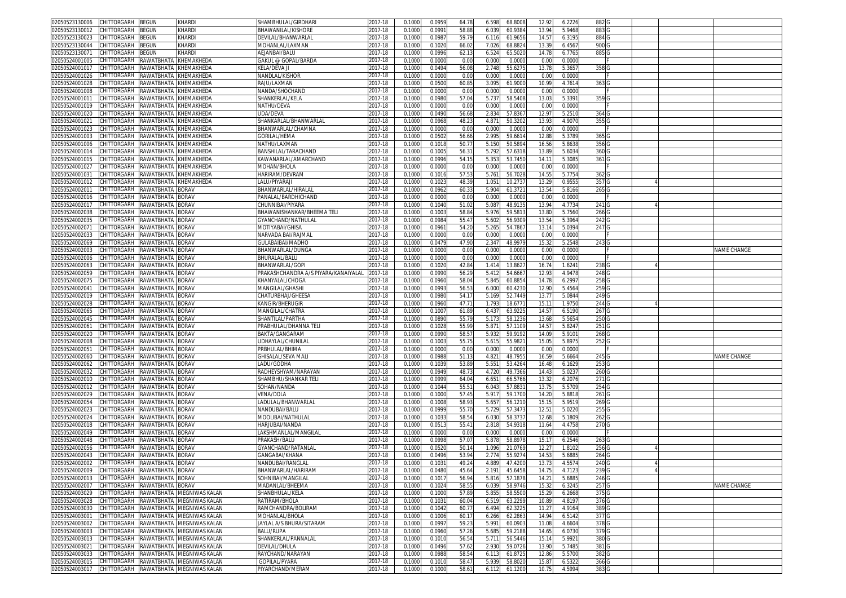| 02050523130006                                       | CHITTORGARH BEGUN            |                       | KHARDI                                | SHAMBHULAL/GIRDHARI                  | 2017-18     | 0.1000 | 0.0959 | 64.78 | 6.598 | 68.8008 | 12.92 | 6.2226 | 882 G            |  |             |
|------------------------------------------------------|------------------------------|-----------------------|---------------------------------------|--------------------------------------|-------------|--------|--------|-------|-------|---------|-------|--------|------------------|--|-------------|
| 02050523130012                                       | CHITTORGARH                  | <b>BEGUN</b>          | KHARDI                                | BHAWANILAL/KISHORE                   | 2017-18     | 0.1000 | 0.099  | 58.88 | 6.03  | 60.938  | 13.94 | 5.9468 | 883 G            |  |             |
| 02050523130023                                       | CHITTORGARH                  | <b>BEGUN</b>          | KHARD                                 | DEVILAL/BHANWARLAI                   | 2017-18     | 0.1000 | 0.098  | 59.7  | 6.116 | 61.9656 | 14.57 | 6.3195 | 884 G            |  |             |
|                                                      |                              |                       |                                       |                                      |             |        |        |       |       |         |       |        | 900 <sub>G</sub> |  |             |
| 02050523130044                                       | CHITTORGARH                  | <b>BEGUN</b>          | KHARDI                                | MOHANLAL/LAXMAN                      | 2017-18     | 0.100  | 0.1020 | 66.0  | 7.026 | 68.882  | 13.3' | 6.4567 |                  |  |             |
| 02050523130071                                       | CHITTORGARH                  | <b>BEGUN</b>          | KHARDI                                | AEJANBAI/BALU                        | 2017-18     | 0.1000 | 0.099  | 62.1  | 6.524 | 65.502  | 14.78 | 6.7765 | 885 G            |  |             |
| 02050524001005                                       | CHITTORGARH                  | RAWATBHATA            | KHEMAKHEDA                            | GAKUL @ GOPAL/BARDA                  | 2017-18     | 0.100  | 0.000  | 0.00  | 0.00  | 0.000   | 0.00  | 0.0000 |                  |  |             |
| 02050524001017                                       | CHITTORGARH                  | RAWATBHATA            | <b>KHEMAKHEDA</b>                     | KELA/DEVA JI                         | 2017-18     | 0.100  | 0.049  | 56.0  | 2.74  | 55.627  | 13.78 | 5.3657 | 358 <sub>C</sub> |  |             |
| 02050524001026                                       | CHITTORGARH                  | RAWATBHATA KHEMAKHEDA |                                       | NANDLAL/KISHOR                       | 2017-18     | 0.1000 | 0.000  | 0.00  | 0.001 | 0.0000  | 0.00  | 0.0000 |                  |  |             |
| 02050524001028                                       | CHITTORGARH                  | RAWATBHATA            | <b>KHEMAKHEDA</b>                     | RAJU/LAXMAN                          | 2017-18     | 0.100  | 0.050  | 60.8  | 3.09  | 61.900  | 10.99 | 4.7614 | 363 G            |  |             |
| 02050524001008                                       | CHITTORGARH                  | RAWATBHATA KHEMAKHEDA |                                       | NANDA/SHOCHAND                       | 2017-18     | 0.100  | 0.000  | 0.00  | 0.00  | 0.000   | 0.00  | 0.0000 |                  |  |             |
| 02050524001011                                       | CHITTORGARH                  | RAWATBHATA            | KHEMAKHEDA                            | SHANKERLAL/KELA                      | 2017-18     | 0.100  | 0.098  | 57.0  | 5.73  | 58.540  | 13.03 | 5.3391 | 359 G            |  |             |
|                                                      |                              |                       |                                       |                                      |             |        |        |       |       |         |       |        |                  |  |             |
| 02050524001019                                       | CHITTORGARH                  | RAWATBHATA KHEMAKHEDA |                                       | NATHU/DEVA                           | 2017-18     | 0.100  | 0.000  | 0.00  | 0.001 | 0.000   | 0.00  | 0.0000 |                  |  |             |
| 02050524001020                                       | CHITTORGARH                  | RAWATBHATA            | <b>KHEMAKHEDA</b>                     | UDA/DEVA                             | 2017-18     | 0.100  | 0.049  | 56.6  | 2.83  | 57.836  | 12.97 | 5.2510 | 364 G            |  |             |
| 02050524001021                                       | CHITTORGARH                  | RAWATBHATA KHEMAKHEDA |                                       | SHANKARLAL/BHANWARLAI                | 2017-18     | 0.100  | 0.096  | 48.2  | 4.87  | 50.320  | 13.93 | 4.9070 | 355 <sub>G</sub> |  |             |
| 02050524001023                                       | CHITTORGARH                  | RAWATBHATA            | KHEMAKHEDA                            | BHANWARLAL/CHAMNA                    | 2017-18     | 0.100  | 0.000  | 0.00  | 0.00  | 0.000   | 0.0   | 0.0000 |                  |  |             |
| 02050524001003                                       | CHITTORGARH                  | RAWATBHATA            | <b>KHEMAKHEDA</b>                     | Gorilal/Hema                         | 2017-18     | 0.100  | 0.050  | 56.66 | 2.995 | 59.661  | 12.88 | 5.3789 | 365 <sup>°</sup> |  |             |
| 02050524001006                                       | CHITTORGARH                  | RAWATBHATA KHEMAKHEDA |                                       | NATHU/LAXMAN                         | 2017-18     | 0.100  | 0.101  | 50.7  | 5.15  | 50.589  | 16.56 | 5.863  | 356 <sub>G</sub> |  |             |
| 02050524001014                                       | CHITTORGARH                  | RAWATBHATA KHEMAKHEDA |                                       | BANSHILAL/TARACHAND                  | 2017-18     | 0.100  | 0.100! | 56.3  | 5.79  | 57.631  | 13.89 | 5.6034 | 360 <sub>0</sub> |  |             |
| 02050524001015                                       | CHITTORGARH                  | RAWATBHATA            | KHEMAKHEDA                            | KAWANARLAL/AMARCHAND                 | 2017-18     | 0.100  | 0.099  | 54.1  | 5.35  | 53.745  | 14.1  | 5.3085 | 361 G            |  |             |
|                                                      |                              |                       |                                       |                                      |             |        |        |       |       |         |       |        |                  |  |             |
| 02050524001027                                       | CHITTORGARH                  | RAWATBHATA            | KHEMAKHEDA                            | MOHAN/BHOLA                          | 2017-18     | 0.100  | 0.000  | 0.00  | 0.000 | 0.0000  | 0.00  | 0.0000 |                  |  |             |
| 0205052400103                                        | CHITTORGARH                  | RAWATBHATA            | <b>CHEMAKHEDA</b>                     | HARIRAM/DEVRAM                       | 2017-18     | 0.100  | 0.101  | 57.5  | 5.76  | 56.702  | 14.5  | 5.7754 | 362              |  |             |
| 02050524001012                                       | CHITTORGARH                  | RAWATBHATA            | KHEMAKHEDA                            | .ALU/PIYARAJI                        | 2017-18     | 0.100  | 0.102  | 48.3  | 1.05  | 10.273  | 13.29 | 0.9555 | 357              |  |             |
| 0205052400201                                        | CHITTORGARH                  | RAWATBHATA            | <b>BORAV</b>                          | BHANWARLAL/HIRALAI                   | 2017-18     | 0.100  | 0.096  | 60.3  | 5.904 | 61.372  | 13.54 | 5.8166 | 265              |  |             |
| 02050524002016                                       | CHITTORGARH                  | RAWATBHATA            | <b>BORAV</b>                          | PANALAL/BARDHICHAND                  | 2017-18     | 0.1000 | 0.000  | 0.00  | 0.000 | 0.0000  | 0.00  | 0.0000 |                  |  |             |
| 02050524002017                                       | CHITTORGARH                  | RAWATBHATA BORAV      |                                       | CHUNNIBAI/PIYARA                     | 2017-18     | 0.100  | 0.104  | 51.0  | 5.08  | 48.913  | 13.94 | 4.7734 | 241 G            |  |             |
| 02050524002038                                       | CHITTORGARH                  | RAWATBHATA            | <b>BORAV</b>                          | BHAWANISHANKAR/BHEEMA TELI           | 2017-18     | 0.1000 | 0.100  | 58.8  | 5.976 | 59.581  | 13.80 | 5.7560 | 266 G            |  |             |
| 02050524002035                                       | CHITTORGARH                  | RAWATBHATA            | <b>BORAV</b>                          | GYANCHAND/NATHULAL                   | 2017-18     | 0.100  | 0.098  | 55.4  | 5.602 | 56.930  | 13.54 | 5.3964 | 242 G            |  |             |
|                                                      |                              |                       |                                       | MOTIYABAI/GHISA                      |             |        |        | 54.20 |       |         | 13.14 |        |                  |  |             |
| 02050524002071                                       | CHITTORGARH                  | RAWATBHATA            | <b>BORAV</b>                          |                                      | 2017-18     | 0.1000 | 0.096  |       | 5.265 | 54.786  |       | 5.0394 | 247 G            |  |             |
| 02050524002033                                       | CHITTORGARH                  | RAWATBHATA            | <b>BORAV</b>                          | NARVADA BAI/RAJMAI                   | 2017-18     | 0.100  | 0.0000 | 0.00  | 0.001 | 0.000   | 0.00  | 0.0000 |                  |  |             |
| 02050524002069                                       | CHITTORGARH                  | RAWATBHATA            | <b>BORAV</b>                          | GULABAIBAI/MADHO                     | 2017-18     | 0.1000 | 0.047  | 47.90 | 2.34  | 48.997  | 15.3  | 5.2548 | 243 G            |  |             |
| 02050524002003                                       | CHITTORGARH                  | RAWATBHATA BORAV      |                                       | BHANWARLAL/DUNGA                     | 2017-18     | 0.1000 | 0.000  | 0.00  | 0.001 | 0.0000  | 0.00  | 0.0000 |                  |  | NAME CHANGE |
| 02050524002006                                       | CHITTORGARH                  | RAWATBHATA            | <b>BORAV</b>                          | BHURALAL/BALU                        | 2017-18     | 0.100  | 0.000  | 0.00  | 0.000 | 0.000   | 0.00  | 0.0000 |                  |  |             |
| 02050524002063                                       | CHITTORGARH                  | RAWATBHATA BORAV      |                                       | BHANWARLAL/GOPI                      | 2017-18     | 0.100  | 0.1020 | 42.8  | 1.414 | 13.862  | 16.74 | 1.6241 | 2380             |  |             |
| 02050524002059                                       | CHITTORGARH                  | RAWATBHATA            | <b>BORAV</b>                          | PRAKASHCHANDRA A/S PIYARA/KANAIYALAL | 2017-18     | 0.100  | 0.099  | 56.2  | 5.412 | 54.666  | 12.9  | 4.9478 | 248 <sub>C</sub> |  |             |
| 02050524002075                                       | CHITTORGARH                  | RAWATBHATA BORAV      |                                       | KHANYALAL/CHOGA                      | 2017-18     | 0.100  | 0.096  | 58.0  | 5.845 | 60.885  | 14.78 | 6.2997 | 258 <sub>G</sub> |  |             |
|                                                      |                              |                       |                                       |                                      |             |        |        |       |       |         |       |        |                  |  |             |
| 02050524002041                                       | CHITTORGARH                  | RAWATBHATA BORAV      |                                       | MANGILAL/GHASHI                      | 2017-18     | 0.100  | 0.099  | 56.5  | 6.00  | 60.423  | 12.90 | 5.4564 | 259 G            |  |             |
| 02050524002019                                       | CHITTORGARH                  | RAWATBHATA            | <b>BORAV</b>                          | CHATURBHAJ/GHEESA                    | $2017 - 18$ | 0.100  | 0.098  | 54.1  | 5.16  | 52.744  | 13.77 | 5.0844 | 249 G            |  |             |
| 02050524002028                                       | CHITTORGARH                  | RAWATBHATA            | <b>BORAV</b>                          | KANGIR/BHERUGIR                      | 2017-18     | 0.100  | 0.096  | 47.7  | 1.793 | 18.677  | 15.1  | 1.9750 | 244 G            |  |             |
| 02050524002065                                       | CHITTORGARH                  | RAWATBHATA            | <b>BORAV</b>                          | MANGILAL/CHATRA                      | 2017-18     | 0.1000 | 0.100  | 61.8  | 6.437 | 63.922  | 14.57 | 6.5190 | 267 G            |  |             |
| 02050524002045                                       | CHITTORGARH                  | RAWATBHATA            | <b>BORAV</b>                          | SHANTILAL/PARTHA                     | 2017-18     | 0.100  | 0.089  | 55.7  | 5.17  | 58.123  | 13.6  | 5.565  | 250 <sub>C</sub> |  |             |
| 02050524002061                                       | CHITTORGARH                  | RAWATBHATA BORAV      |                                       | PRABHULAL/DHANNA TELI                | 2017-18     | 0.100  | 0.1021 | 55.9  | 5.87  | 57.110  | 14.57 | 5.8247 | 251 <sub>G</sub> |  |             |
| 02050524002020                                       | CHITTORGARH                  | RAWATBHATA            | <b>BORAV</b>                          | BAKTA/GANGARAN                       | 2017-18     | 0.100  | 0.099  | 58.5  | 5.93  | 59.919  | 14.09 | 5.910  | 268 <sub>C</sub> |  |             |
| 02050524002008                                       | CHITTORGARH                  | RAWATBHATA            | <b>BORAV</b>                          | UDHAYLAL/CHUNILAI                    | 2017-18     | 0.100  | 0.100  | 55.7  | 5.61  | 55.982  | 15.05 | 5.897  | 252 <sub>C</sub> |  |             |
|                                                      |                              |                       |                                       |                                      |             |        |        |       |       |         |       |        |                  |  |             |
| 02050524002051                                       | CHITTORGARH                  | RAWATBHATA            | <b>BORAV</b>                          | PRBHULAL/BHIMA                       | 2017-18     | 0.100  | 0.000  | 0.00  | 0.00  | 0.000   | 0.0   | 0.0000 |                  |  |             |
| 02050524002060                                       | CHITTORGARH                  | RAWATBHATA            | <b>BORAV</b>                          | GHISALAL/SEVA MALI                   | 2017-18     | 0.1000 | 0.098  | 51.1  | 4.82  | 48.795  | 16.59 | 5.6664 | 245              |  | NAME CHANGE |
| 02050524002062                                       | <b>CHITTORGARH</b>           | RAWATBHATA            | <b>SORAV</b>                          | ADU/GODHA                            | 2017-18     | 0.100  | 0.103  | 53.8  | 5.55  | 53.426  | 16.4  | 6.1629 | 253              |  |             |
| 02050524002032                                       | CHITTORGARH                  | RAWATBHATA            | BORAV                                 | RADHEYSHYAM/NARAYAN                  | 2017-18     | 0.1000 | 0.094  | 48.7  | 4.720 | 49.7366 | 14.4  | 5.0237 | 260(             |  |             |
| 02050524002010                                       | CHITTORGARH                  | RAWATBHATA            | <b>BORAV</b>                          | SHAMBHU/SHANKAR TELI                 |             |        |        |       |       |         |       |        |                  |  |             |
| 02050524002012                                       |                              |                       |                                       |                                      | 2017-18     | 0.1000 | 0.099  | 64.0  | 6.65  | 66.5766 | 13.3  | 6.2076 | 271 G            |  |             |
| 02050524002029                                       |                              |                       |                                       |                                      |             |        |        |       |       |         |       |        |                  |  |             |
|                                                      | CHITTORGARH                  | RAWATBHATA            | <b>BORAV</b>                          | SOHAN/NANDA                          | 2017-18     | 0.1000 | 0.104  | 55.5  | 6.04  | 57.883  | 13.75 | 5.5709 | 254 G            |  |             |
|                                                      | CHITTORGARH                  | RAWATBHATA            | <b>BORAV</b>                          | VENA/DOLA                            | 2017-18     | 0.100  | 0.100  | 57.45 | 5.917 | 59.170  | 14.2  | 5.8818 | 261 G            |  |             |
| 02050524002054                                       | CHITTORGARH                  | RAWATBHATA            | <b>BORAV</b>                          | LADULAL/BHANWARLAL                   | 2017-18     | 0.1000 | 0.1008 | 58.93 | 5.65  | 56.121  | 15.15 | 5.9519 | 269 <sub>G</sub> |  |             |
| 02050524002023                                       | CHITTORGARH                  | RAWATBHATA BORAV      |                                       | NANDUBAI/BALU                        | 2017-18     | 0.1000 | 0.099  | 55.7  | 5.72  | 57.347  | 12.51 | 5.0220 | 255 G            |  |             |
| 02050524002024                                       | CHITTORGARH                  | RAWATBHATA            | <b>BORAV</b>                          | MOOLIBAI/NATHULAI                    | 2017-18     | 0.1000 | 0.103  | 58.5  | 6.03  | 58.373  | 12.68 | 5.1809 | 262 G            |  |             |
| 02050524002018                                       | CHITTORGARH                  | RAWATBHATA BORAV      |                                       | HARJUBAI/NANDA                       | 2017-18     | 0.1000 | 0.051  | 55.4  | 2.818 | 54.9318 | 11.64 | 4.4758 | 270 G            |  |             |
| 02050524002049                                       | CHITTORGARH                  | RAWATBHATA            | <b>BORAV</b>                          | LAKSHMANLAL/MANGILAL                 | 2017-18     | 0.100  | 0.000  | 0.00  | 0.000 | 0.000   | 0.00  | 0.0000 |                  |  |             |
| 02050524002048                                       | CHITTORGARH                  | RAWATBHATA            | <b>BORAV</b>                          | PRAKASH/BALU                         | 017-18      | 0.100  | 0.099  | 57.0  | 5.878 | 58.897  | 15.17 | 6.2546 | 263(             |  |             |
| 02050524002056                                       | CHITTORGARH                  |                       | BORAV                                 |                                      |             |        |        |       |       |         |       |        |                  |  |             |
|                                                      |                              | RAWATBHATA            |                                       | GYANCHAND/RATANLAI                   | 2017-18     | 0.100  | 0.052  | 50.1  | 1.09  | 21.076  | 12.27 | 1.8102 | 256 <sub>G</sub> |  |             |
| 02050524002043                                       | CHITTORGARH RAWATBHATA BORAV |                       |                                       | GANGABAI/KHANA                       | 2017-18     | 0.100  | 0.049  | 53.9  | 2.774 | 55.927  | 14.53 | 5.6885 | 264 G            |  |             |
| 02050524002002                                       | CHITTORGARH RAWATBHATA BORAV |                       |                                       | NANDUBAI/RANGLAI                     | 2017-18     | 0.100  | 0.103  | 49.2  | 4.88  | 47.420  | 13.73 | 4.5574 | 240 <sub>G</sub> |  |             |
| 02050524002009 CHILLORGARH RAWATBHATA BORAV          |                              |                       |                                       | BHANWARLAL/HARIRAM                   | 2017-18     | 0.1000 | 0.048  | 45.64 | 2.191 | 45.645  | 14.75 | 4.7123 | 239 G            |  |             |
| 02050524002013                                       | CHITTORGARH RAWATBHATA BORAV |                       |                                       | SOHNIBAI/MANGILAL                    | 2017-18     | 0.1000 | 0.101  | 56.94 | 5.816 | 57.187  | 14.21 | 5.6885 | 246 G            |  |             |
| 02050524002007                                       | CHITTORGARH RAWATBHATA BORAV |                       |                                       | MADANLAL/BHEEMA                      | 2017-18     | 0.1000 | 0.1024 | 58.55 | 6.039 | 58.9746 | 15.32 | 6.3245 | 257 G            |  | NAME CHANGE |
| 02050524003029                                       |                              |                       | CHITTORGARH RAWATBHATA MEGNIWAS KALAN | SHANBHULAL/KELA                      | 2017-18     | 0.1000 | 0.1000 | 57.89 | 5.855 | 58.550  | 15.29 | 6.2668 | 375 G            |  |             |
| 02050524003028                                       |                              |                       | CHITTORGARH RAWATBHATA MEGNIWAS KALAN | RATIRAM/BHOLA                        | 2017-18     | 0.1000 | 0.103  | 60.04 | 6.519 | 63.2299 | 10.89 | 4.8197 | 376 G            |  |             |
|                                                      |                              |                       | CHITTORGARH RAWATBHATA MEGNIWAS KALAN |                                      |             |        |        |       |       |         |       |        |                  |  |             |
| 02050524003030                                       |                              |                       |                                       | RAMCHANDRA/BOLIRAM                   | 2017-18     | 0.100  | 0.104  | 60.7  | 6.494 | 62.322  | 11.27 | 4.9164 | 389 G            |  |             |
| 02050524003001                                       |                              |                       | CHITTORGARH RAWATBHATA MEGNIWAS KALAN | MOHANLAL/BHOLA                       | 2017-18     | 0.1000 | 0.1006 | 60.1  | 6.266 | 62.2863 | 14.94 | 6.5142 | 377 G            |  |             |
| 02050524003002                                       | CHITTORGARH                  |                       | RAWATBHATA MEGNIWAS KALAN             | JAYLAL A/S BHURA/SITARAM             | 2017-18     | 0.1000 | 0.099  | 59.2  | 5.991 | 60.090  | 11.08 | 4.6604 | 378 G            |  |             |
| 02050524003003                                       |                              |                       | CHITTORGARH RAWATBHATA MEGNIWAS KALAN | BALU/RUPA                            | 2017-18     | 0.1000 | 0.0960 | 57.26 | 5.685 | 59.2188 | 14.65 | 6.0730 | 379 G            |  |             |
| 02050524003013                                       | CHITTORGARH                  |                       | RAWATBHATA MEGNIWAS KALAN             | SHANKERLAL/PANNALAL                  | 2017-18     | 0.1000 | 0.101  | 56.54 | 5.711 | 56.5446 | 15.14 | 5.9921 | 380 G            |  |             |
| 02050524003021                                       | CHITTORGARH                  |                       | RAWATBHATA MEGNIWAS KALAN             | DEVILAL/DHULA                        | 2017-18     | 0.1000 | 0.0496 | 57.62 | 2.930 | 59.0726 | 13.90 | 5.7485 | 381 G            |  |             |
| 02050524003033                                       | CHITTORGARH                  |                       | RAWATBHATA MEGNIWAS KALAN             | RAYCHAND/NARAYAN                     | 2017-18     | 0.100  | 0.0988 | 58.54 | 6.11  | 61.8725 | 12.86 | 5.5700 | 382 G            |  |             |
| 02050524003015                                       |                              |                       | CHITTORGARH RAWATBHATA MEGNIWAS KALAN | GOPILAL/PYARA                        | 2017-18     | 0.1000 | 0.101  | 58.47 | 5.939 | 58.8020 | 15.87 | 6.5322 | 366 G            |  |             |
| 02050524003017 CHITTORGARH RAWATBHATA MEGNIWAS KALAN |                              |                       |                                       | PIYARCHAND/MERAM                     | 2017-18     | 0.1000 | 0.1000 | 58.61 | 6.112 | 61.1200 | 10.75 | 4.5994 | 383 G            |  |             |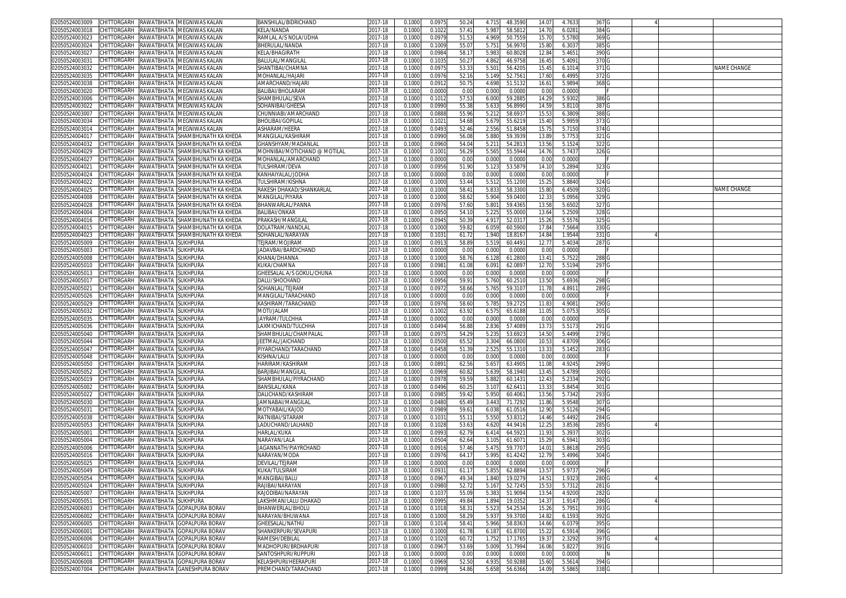| 02050524003009                                 |                                 |                     | CHITTORGARH RAWATBHATA MEGNIWAS KALAN       | BANSHILAL/BIDRICHAND         | 2017-18     | 0.1000 | 0.097  | 50.2  | 4.715 | 48.3590 | 14.07 | 4.7633 | 367 G            |  |                    |
|------------------------------------------------|---------------------------------|---------------------|---------------------------------------------|------------------------------|-------------|--------|--------|-------|-------|---------|-------|--------|------------------|--|--------------------|
| 02050524003018                                 | CHITTORGARH                     |                     | RAWATBHATA MEGNIWAS KALAN                   | KELA/NANDA                   | 2017-18     | 0.1000 | 0.102  | 57.41 | 5.987 | 58.581  | 14.70 | 6.0281 | 384 G            |  |                    |
| 02050524003023                                 | CHITTORGARH                     | RAWATBHATA          | MEGNIWAS KALAN                              | RAMLAL A/S NOLA/UDHA         | 2017-18     | 0.1000 | 0.097  | 51.53 | 4.969 | 50.755  | 15.7  | 5.5780 | 369 G            |  |                    |
| 02050524003024                                 | CHITTORGARH                     |                     | RAWATBHATA MEGNIWAS KALAN                   | BHERULAL/NANDA               | 2017-18     | 0.1000 | 0.1009 | 55.0  | 5.751 | 56.997  | 15.80 | 6.3037 | 385 G            |  |                    |
| 02050524003027                                 | CHITTORGARH                     | RAWATBHATA          | MEGNIWAS KALAN                              | KELA/BHAGIRATH               | 2017-18     | 0.100  | 0.098  | 58.1  | 5.98  | 60.802  | 12.84 | 5.4651 | 390 <sub>G</sub> |  |                    |
| 02050524003031                                 | CHITTORGARH                     |                     | RAWATBHATA MEGNIWAS KALAN                   | BALULAL/MANGILAI             | 2017-18     |        | 0.103  |       | 4.86  |         | 16.45 |        | 370 G            |  |                    |
|                                                |                                 |                     |                                             |                              |             | 0.100  |        | 50.2  |       | 46.975  |       | 5.4091 |                  |  | <b>VAME CHANGE</b> |
| 02050524003032                                 | CHITTORGARH                     | RAWATBHATA          | MEGNIWAS KALAN                              | SHANTIBAI/CHAMNA             | 2017-18     | 0.100  | 0.097  | 53.3  | 5.50  | 56.420  | 15.45 | 6.101  | 371 G            |  |                    |
| 02050524003035                                 | CHITTORGARH                     | RAWATBHATA          | MEGNIWAS KALAN                              | MOHANLAL/HAJARI              | 2017-18     | 0.100  | 0.097  | 52.1  | 5.149 | 52.756  | 17.60 | 6.4995 | 372 G            |  |                    |
| 02050524003038                                 | <b>CHITTORGARH</b>              | RAWATBHATA          | MEGNIWAS KALAN                              | AMARCHAND/HAJAR              | 2017-18     | 0.100  | 0.091  | 50.7! | 4.69  | 51.513  | 16.61 | 5.9894 | 368 <sub>G</sub> |  |                    |
| 02050524003020                                 | CHITTORGARH                     |                     | RAWATBHATA MEGNIWAS KALAN                   | BALIBAI/BHOLARAM             | 2017-18     | 0.1000 | 0.000  | 0.00  | 0.001 | 0.000   | 0.00  | 0.0000 |                  |  |                    |
| 02050524003006                                 | CHITTORGARH                     | RAWATBHATA          | MEGNIWAS KALAN                              | SHAMBHULAL/SEVA              | 2017-18     | 0.100  | 0.101  | 57.5  | 6.00  | 59.288  | 14.29 | 5.9302 | 386 G            |  |                    |
| 02050524003022                                 | <b>CHITTORGARH</b>              | RAWATBHATA          | MEGNIWAS KALAN                              | SOHANIBAI/GHEESA             | 2017-18     | 0.100  | 0.099  | 55.38 | 5.63  | 56.899  | 14.59 | 5.8110 | 387 G            |  |                    |
| 0205052400300                                  | CHITTORGARH                     | RAWATBHATA          | <b>MEGNIWAS KALAN</b>                       | CHUNNIABI/AMARCHAND          | 2017-18     | 0.100  | 0.088  | 55.96 | 5.21  | 58.693  | 15.5  | 6.3809 | 388              |  |                    |
| 02050524003034                                 | CHITTORGARH                     | RAWATBHATA          | MEGNIWAS KALAN                              | BHOLIBAI/GOPILAL             | 2017-18     | 0.1000 | 0.102  | 54.68 | 5.67  | 55.621  | 15.40 | 5.9959 | 373              |  |                    |
| 02050524003014                                 | CHITTORGARH                     | RAWATBHATA          | VIEGNIWAS KALAN                             | ASHARAM/HEERA                | 2017-18     | 0.100  | 0.049  | 52.46 | 2.556 | 51.845  | 15.7  | 5.7150 | 374 C            |  |                    |
| 02050524004017                                 | CHITTORGARH                     | RAWATBHATA          | SHAMBHUNATH KA KHEDA                        | MANGILAL/KASHIRAM            | 2017-18     | 0.1000 | 0.099  | 56.08 | 5.880 | 59.393  | 13.89 | 5.7753 | 321 G            |  |                    |
| 02050524004032                                 | <b>CHITTORGARH</b>              | RAWATBHATA          | SHAMBHUNATH KA KHEDA                        | GHANSHYAM/MADANLAI           | 2017-18     | 0.100  | 0.096  | 54.0  | 5.21  | 54.281  | 13.56 | 5.1524 | 322              |  |                    |
| 02050524004029                                 | CHITTORGARH                     |                     | RAWATBHATA SHAMBHUNATH KA KHEDA             | MOHNIBAI/MOTICHAND @ MOTILAL | 2017-18     | 0.1000 | 0.100  | 56.2  | 5.565 | 55.5944 | 14.76 | 5.7437 | 326 G            |  |                    |
| 02050524004027                                 | CHITTORGARH                     |                     | RAWATBHATA SHAMBHUNATH KA KHEDA             | MOHANLAL/AMARCHAND           | 2017-18     | 0.1000 | 0.000  | 0.00  | 0.000 | 0.0000  | 0.00  | 0.0000 |                  |  |                    |
| 02050524004021                                 | CHITTORGARH                     | RAWATBHATA          | SHAMBHUNATH KA KHEDA                        | TULSHIRAM/DEVA               | 2017-18     | 0.1000 | 0.095  | 51.90 | 5.12  | 53.587  | 14.1  | 5.2894 | 323 G            |  |                    |
| 02050524004024                                 | CHITTORGARH                     |                     | RAWATBHATA SHAMBHUNATH KA KHEDA             | KANHAIYALAL/JODHA            | 2017-18     | 0.100  | 0.000  | 0.00  | 0.00  | 0.000   | 0.00  | 0.0000 |                  |  |                    |
|                                                |                                 |                     |                                             |                              |             |        |        |       |       |         |       |        |                  |  |                    |
| 02050524004022                                 | CHITTORGARH                     | RAWATBHATA          | SHAMBHUNATH KA KHEDA                        | TULSHIRAM/KISHNA             | 2017-18     | 0.1000 | 0.100  | 53.44 | 5.512 | 55.120  | 15.25 | 5.8840 | 324 G            |  |                    |
| 02050524004025                                 | CHITTORGARH                     |                     | RAWATBHATA SHAMBHUNATH KA KHEDA             | RAKESH DHAKAD/SHANKARLAL     | 2017-18     | 0.1000 | 0.100  | 58.4  | 5.83  | 58.330  | 15.80 | 6.4509 | 320 G            |  | NAME CHANGE        |
| 02050524004008                                 | CHITTORGARH                     | RAWATBHATA          | SHAMBHUNATH KA KHEDA                        | MANGILAL/PIYARA              | 2017-18     | 0.1000 | 0.100  | 58.6  | 5.904 | 59.040  | 12.33 | 5.0956 | 329 G            |  |                    |
| 02050524004028                                 | CHITTORGARH                     |                     | RAWATBHATA SHAMBHUNATH KA KHEDA             | BHANWARLAL/PANNA             | 2017-18     | 0.1000 | 0.097  | 57.60 | 5.80  | 59.436  | 13.58 | 5.6502 | 327 G            |  |                    |
| 02050524004004                                 | CHITTORGARH                     | RAWATBHATA          | SHAMBHUNATH KA KHEDA                        | <b>BALIBAI/ONKAR</b>         | 2017-18     | 0.1000 | 0.095  | 54.1  | 5.22! | 55.000  | 13.64 | 5.2509 | 328 <sub>C</sub> |  |                    |
| 02050524004016                                 | CHITTORGARH                     |                     | RAWATBHATA SHAMBHUNATH KA KHEDA             | PRAKASH/MANGILAL             | 2017-18     | 0.100  | 0.094  | 50.3  | 4.917 | 52.031  | 15.26 | 5.5576 | 325 G            |  |                    |
| 02050524004015                                 | CHITTORGARH                     |                     | RAWATBHATA SHAMBHUNATH KA KHEDA             | DOLATRAM/NANDLAI             | 2017-18     | 0.1000 | 0.100  | 59.8  | 6.05  | 60.590  | 17.84 | 7.5664 | 330 G            |  |                    |
| 02050524004023                                 |                                 |                     | CHITTORGARH RAWATBHATA SHAMBHUNATH KA KHEDA | SOHANLAL/NARAYAN             | 2017-18     | 0.1000 | 0.103  | 61.72 | 1.940 | 18.816  | 14.84 | 1.9544 | 331 G            |  |                    |
| 02050524005009                                 | CHITTORGARH                     | RAWATBHATA SUKHPURA |                                             | TEJRAM/MOJIRAM               | 2017-18     | 0.1000 | 0.091  | 58.8  | 5.519 | 60.449  | 12.77 | 5.4034 | 287 G            |  |                    |
| 02050524005003                                 | CHITTORGARH                     | RAWATBHATA SUKHPURA |                                             | JADAVBAI/BARDICHAND          | 2017-18     | 0.100  | 0.000  | 0.00  | 0.000 | 0.000   | 0.00  | 0.0000 |                  |  |                    |
| 02050524005008                                 | CHITTORGARH                     | RAWATBHATA          | <b>SUKHPURA</b>                             | KHANA/DHANNA                 | 2017-18     | 0.100  | 0.100  | 58.7  | 6.12  | 61.280  | 13.41 | 5.752  | 288 <sub>C</sub> |  |                    |
| 02050524005010                                 | CHITTORGARH                     | RAWATBHATA SUKHPURA |                                             | KUKA/CHAMNA                  | $2017 - 18$ | 0.100  | 0.098  | 61.0  | 6.09  | 62.089  | 12.7  | 5.5194 | 297 G            |  |                    |
| 02050524005013                                 | CHITTORGARH                     | RAWATBHATA SUKHPURA |                                             | GHEESALAL A/S GOKUL/CHUNA    | 2017-18     | 0.100  | 0.000  | 0.00  | 0.00  | 0.000   | 0.00  | 0.0000 |                  |  |                    |
| 02050524005017                                 | CHITTORGARH                     | RAWATBHATA SUKHPURA |                                             | DALU/SHOCHAND                | 2017-18     | 0.100  | 0.095  | 59.9  | 5.760 | 60.2510 | 13.50 | 5.6936 | 298 <sub>C</sub> |  |                    |
| 0205052400502                                  | CHITTORGARH                     | RAWATBHATA          | <b>SUKHPURA</b>                             | SOHANLAL/TEJRAM              | 2017-18     | 0.100  | 0.097  | 58.66 | 5.76  | 59.310  | 11.78 | 4.891  | 289 <sub>G</sub> |  |                    |
| 02050524005026                                 | CHITTORGARH                     | RAWATBHATA          | <b>SUKHPURA</b>                             | MANGILAL/TARACHAND           | 2017-18     | 0.1000 | 0.000  | 0.00  | 0.001 | 0.0000  | 0.00  | 0.0000 |                  |  |                    |
| 02050524005029                                 | <b>CHITTORGARH</b>              | RAWATBHATA          | <b>SUKHPURA</b>                             | KASHIRAM/TARACHAND           | 2017-18     | 0.100  | 0.097  | 58.6  | 5.78  | 59.272  | 11.8  | 4.9081 | 290              |  |                    |
|                                                |                                 |                     |                                             |                              |             |        |        |       |       |         |       |        |                  |  |                    |
| 02050524005032                                 | CHITTORGARH                     | RAWATBHATA          | <b>SUKHPURA</b>                             | MOTI/JALAM                   | 2017-18     | 0.100  | 0.1002 | 63.9  | 6.57  | 65.618  | 11.05 | 5.075  | 305              |  |                    |
| 02050524005035                                 | CHITTORGARH                     | RAWATBHATA SUKHPURA |                                             | JAYRAM/TULCHHA               | 2017-18     | 0.100  | 0.000  | 0.00  | 0.00  | 0.000   | 0.0   | 0.0000 |                  |  |                    |
| 02050524005036                                 | CHITTORGARH                     | RAWATBHATA          | <b>SUKHPURA</b>                             | .AXMICHAND/TULCHHA           | 2017-18     | 0.1000 | 0.049  | 56.88 | 2.836 | 57.408  | 13.73 | 5.5173 | 291 <sub>C</sub> |  |                    |
| 02050524005040                                 | CHITTORGARH                     | RAWATBHATA          | <b>SUKHPURA</b>                             | SHAMBHULAL/CHAMPALAI         | 2017-18     | 0.100  | 0.097  | 54.2  | 5.23  | 53.692  | 14.50 | 5.4499 | 279 C            |  |                    |
| 02050524005044                                 | CHITTORGARH                     | RAWATBHATA          | <b>SUKHPURA</b>                             | JEETMAL/JAICHAND             | 2017-18     | 0.1000 | 0.050  | 65.5  | 3.304 | 66.080  | 10.5  | 4.8709 | 306 G            |  |                    |
| 02050524005047                                 | CHITTORGARH                     | RAWATBHATA SUKHPURA |                                             | PIYARCHAND/TARACHAND         | 2017-18     | 0.1000 | 0.045  | 51.39 | 2.52  | 55.1310 | 13.3  | 5.1452 | 283 G            |  |                    |
| 02050524005048                                 | CHITTORGARH                     | RAWATBHATA          | <b>SUKHPURA</b>                             | KISHNA/LALU                  | 2017-18     | 0.1000 | 0.000  | 0.00  | 0.001 | 0.000   | 0.00  | 0.0000 |                  |  |                    |
| 02050524005050                                 | CHITTORGARH                     | RAWATBHATA          | <b>SUKHPURA</b>                             | HARIRAM/KASHIRAM             | 2017-18     | 0.1000 | 0.089  | 62.56 | 5.657 | 63.490  | 11.08 | 4.9245 | 299 G            |  |                    |
| 02050524005052                                 | CHITTORGARH                     | RAWATBHATA          | <b>SUKHPURA</b>                             | BARJIBAI/MANGILAI            | 2017-18     | 0.1000 | 0.096  | 60.8  | 5.63  | 58.1940 | 13.45 | 5.4789 | 300 <sub>G</sub> |  |                    |
| 02050524005019                                 | CHITTORGARH                     | RAWATBHATA SUKHPURA |                                             | SHAMBHULAL/PIYRACHAND        | 2017-18     | 0.1000 | 0.0978 | 59.5  | 5.88  | 60.143  | 12.43 | 5.2334 | 292 G            |  |                    |
| 02050524005002                                 | CHITTORGARH                     | RAWATBHATA          | <b>SUKHPURA</b>                             | BANSILAL/KANA                | 2017-18     | 0.1000 | 0.049  | 60.2  | 3.10  | 62.641  | 13.33 | 5.8454 | 301 G            |  |                    |
| 02050524005022                                 | CHITTORGARH                     | RAWATBHATA SUKHPURA |                                             | DALICHAND/KASHIRAM           | 2017-18     | 0.1000 | 0.098  | 59.42 | 5.950 | 60.406  | 13.56 | 5.7342 | 293 G            |  |                    |
| 02050524005030                                 | CHITTORGARH                     | RAWATBHATA SUKHPURA |                                             | JAMNABAI/MANGILAI            | 2017-18     | 0.1000 | 0.048  | 65.49 | 3.44  | 71.729  | 11.86 | 5.9548 | 307 G            |  |                    |
| 02050524005031                                 | CHITTORGARH                     | RAWATBHATA SUKHPURA |                                             | MOTYABAIL/KAJOD              | 2017-18     | 0.100  | 0.098  | 59.6  | 6.03  | 61.0516 | 12.90 | 5.5126 | 294 G            |  |                    |
| 02050524005038                                 | CHITTORGARH                     | RAWATBHATA SUKHPURA |                                             | RATNIBAI/SITARAM             | 2017-18     | 0.100  | 0.103  | 55.1  | 5.55  | 53.831  | 14.46 | 5.4492 | 284 G            |  |                    |
| 02050524005053                                 | CHITTORGARH                     | RAWATBHATA SUKHPURA |                                             | LADUCHAND/LALHAND            | 2017-18     | 0.1000 | 0.1025 | 53.63 | 4.620 | 44.9416 | 12.25 | 3.8536 | 285 G            |  |                    |
| 02050524005001                                 | CHITTORGARH                     | RAWATBHATA SUKHPURA |                                             | HARLAL/KUKA                  | 2017-18     | 0.100  | 0.099  | 62.7  | 6.41  | 64.592  | 11.93 | 5.393  | 302 G            |  |                    |
| 02050524005004                                 | CHITTORGARH                     | RAWATBHATA SUKHPURA |                                             | NARAYAN/LALA                 | 2017-18     | 0.100  | 0.050  | 62.64 | 3.105 | 61.607  | 15.29 | 6.5941 | 303 G            |  |                    |
|                                                |                                 |                     |                                             |                              |             |        |        |       |       |         |       |        |                  |  |                    |
| 02050524005006                                 | <b>CHITTORGARH</b>              | RAWATBHATA          | <b>SUKHPURA</b>                             | JAGANNATH/PIAYRCHAND         | 2017-18     | 0.100  | 0.091  | 57.4  | 5.47  | 59.770  | 14.0  | 5.861  | 295 C            |  |                    |
| 02050524005016                                 | CHITTORGARH                     | RAWATBHATA SUKHPURA |                                             | NARAYAN/MODA                 | 2017-18     | 0.100  | 0.097  | 64.1  | 5.995 | 61.4242 | 12.79 | 5.4996 | 304 G            |  |                    |
| 02050524005025                                 | CHITTORGARH RAWATBHATA SUKHPURA |                     |                                             | DEVILAL/TEJRAM               | 2017-18     | 0.1000 | 0.000  | 0.00  | 0.001 | 0.000   | 0.00  | 0.0000 |                  |  |                    |
| 02050524005049 CHILLORGARH RAWATBHATA SUKHPURA |                                 |                     |                                             | KUKA/TULSIRAM                | 2017-18     | 0.1000 | 0.093  | 61.17 | 5.855 | 62.889  | 13.57 | 5.9737 | 296 C            |  |                    |
| 02050524005054                                 | CHITTORGARH RAWATBHATA SUKHPURA |                     |                                             | MANGIBAI/BALU                | 2017-18     | 0.1000 | 0.0967 | 49.34 | 1.840 | 19.0279 | 14.51 | 1.9323 | 280 <sub>G</sub> |  |                    |
| 02050524005024                                 | CHITTORGARH                     | RAWATBHATA SUKHPURA |                                             | RAJIBAI/NARAYAN              | 2017-18     | 0.1000 | 0.0980 | 52.72 | 5.167 | 52.7245 | 15.53 | 5.7312 | 281 G            |  |                    |
| 02050524005007                                 | CHITTORGARH                     | RAWATBHATA SUKHPURA |                                             | KAJODIBAI/NARAYAN            | 2017-18     | 0.1000 | 0.103  | 55.09 | 5.38  | 51.909  | 13.54 | 4.9200 | 282 <sub>C</sub> |  |                    |
| 02050524005051                                 | CHITTORGARH RAWATBHATA SUKHPURA |                     |                                             | LAKSHMAN/LALU DHAKAD         | 2017-18     | 0.1000 | 0.099  | 49.84 | 1.894 | 19.035  | 14.37 | 1.9147 | 286 G            |  |                    |
| 02050524006003                                 | CHITTORGARH                     |                     | RAWATBHATA GOPALPURA BORAV                  | BHANWERLAL/BHOLU             | 2017-18     | 0.1000 | 0.101  | 58.3  | 5.52  | 54.253  | 15.26 | 5.7951 | 393 G            |  |                    |
| 02050524006002                                 | CHITTORGARH                     |                     | RAWATBHATA GOPALPURA BORAV                  | NARAYAN/BHUWANA              | 2017-18     | 0.1000 | 0.1000 | 58.29 | 5.937 | 59.3700 | 14.82 | 6.1593 | 392 G            |  |                    |
| 02050524006005                                 |                                 |                     | CHITTORGARH RAWATBHATA GOPALPURA BORAV      | GHEESALAL/NATHU              | 2017-18     | 0.1000 | 0.1014 | 58.41 | 5.966 | 58.836  | 14.66 | 6.0379 | 395 G            |  |                    |
| 02050524006001                                 |                                 |                     | CHITTORGARH RAWATBHATA GOPALPURA BORAV      | SHANKERPURI/SEVAPURI         | 2017-18     | 0.1000 | 0.1000 | 61.78 | 6.187 | 61.8700 | 15.22 | 6.5914 | 396 G            |  |                    |
| 02050524006006                                 |                                 |                     | CHITTORGARH RAWATBHATA GOPALPURA BORAV      | RAMESH/DEBILAL               | 2017-18     | 0.1000 | 0.1020 | 60.72 | 1.752 | 17.1765 | 19.37 | 2.3292 | 397 G            |  |                    |
| 02050524006010                                 |                                 |                     | CHITTORGARH RAWATBHATA GOPALPURA BORAV      | MADHOPURI/BRDHAPURI          | 2017-18     | 0.1000 | 0.096  | 53.69 | 5.009 | 51.7994 | 16.06 | 5.8227 | 391 G            |  |                    |
| 02050524006011                                 |                                 |                     | CHITTORGARH RAWATBHATA GOPALPURA BORAV      | SANTOSHPURI/RUPPURI          | 2017-18     | 0.1000 | 0.0000 | 0.00  | 0.000 | 0.0000  | 0.00  | 0.0000 | ΙN               |  |                    |
| 02050524006008                                 | CHITTORGARH                     |                     | RAWATBHATA GOPALPURA BORAV                  | KELASHPURI/HEERAPURI         | 2017-18     | 0.1000 | 0.0969 | 52.50 | 4.935 | 50.9288 | 15.60 | 5.5614 | 394 G            |  |                    |
| 02050524007004                                 |                                 |                     | CHITTORGARH RAWATBHATA GANESHPURA BORAV     | PREMCHAND/TARACHAND          | 2017-18     | 0.1000 | 0.0999 | 54.86 | 5.658 | 56.6366 | 14.09 | 5.5865 | 338 G            |  |                    |
|                                                |                                 |                     |                                             |                              |             |        |        |       |       |         |       |        |                  |  |                    |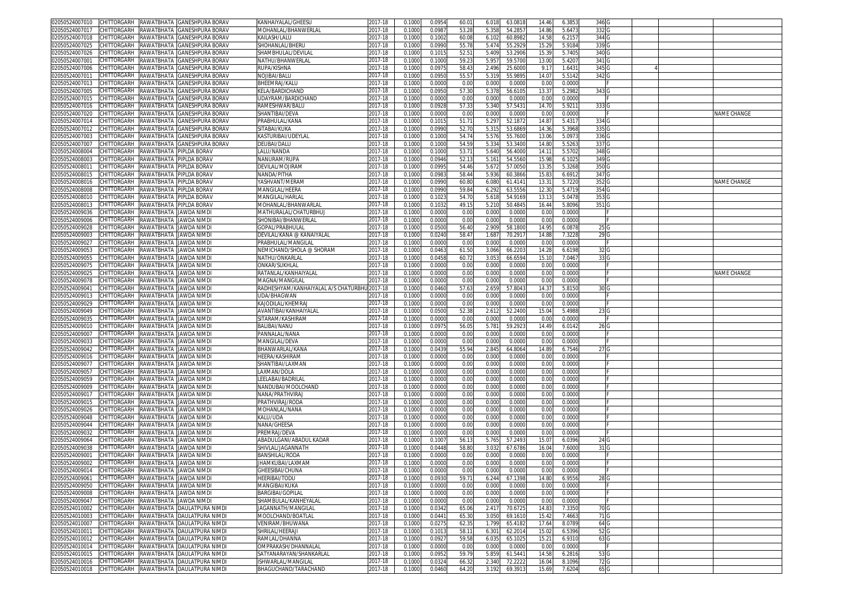| 02050524007010                                   |                                    |                                     | CHITTORGARH RAWATBHATA GANESHPURA BORAV                                               | KANHAIYALAL/GHEESU                         | 2017-18            | 0.1000           | 0.095           | 60.0           | 6.018          | 63.0818           | 14.46          | 6.3853           | 346 G            |  |                    |
|--------------------------------------------------|------------------------------------|-------------------------------------|---------------------------------------------------------------------------------------|--------------------------------------------|--------------------|------------------|-----------------|----------------|----------------|-------------------|----------------|------------------|------------------|--|--------------------|
| 02050524007017                                   | CHITTORGARH                        | RAWATBHATA                          | GANESHPURA BORAV                                                                      | MOHANLAL/BHANWERLAL                        | 2017-18            | 0.1000           | 0.098           | 53.28          | 5.35           | 54.285            | 14.86          | 5.6473           | 332 G            |  |                    |
| 02050524007018                                   | CHITTORGARH                        | RAWATBHATA                          | <b>GANESHPURA BORAV</b>                                                               | KAILASH/LALU                               | 2017-18            | 0.1000           | 0.1002          | 60.0           | 6.102          | 60.898            | 14.58          | 6.2157           | 344 G            |  |                    |
| 02050524007025                                   | CHITTORGARH                        | RAWATBHATA                          | <b>GANESHPURA BORAV</b>                                                               | SHOHANLAL/BHERU                            | 2017-18            | 0.1000           | 0.099           | 55.7           | 5.474          | 55.292            | 15.29          | 5.9184           | 339 <sub>G</sub> |  |                    |
| 02050524007026                                   | CHITTORGARH                        | RAWATBHATA                          | GANESHPURA BORAV                                                                      | SHAMBHULAL/DEVILAL                         | 2017-18            |                  | 0.101           |                | 5.409          | 53.290            |                | 5.7405           | 340 <sub>G</sub> |  |                    |
|                                                  |                                    |                                     |                                                                                       |                                            |                    | 0.100            |                 | 52.5           |                |                   | 15.39          |                  |                  |  |                    |
| 02050524007001                                   | CHITTORGARH                        | RAWATBHATA                          | <b>GANESHPURA BORAV</b>                                                               | NATHU/BHANWERLAL                           | 2017-18            | 0.100            | 0.100           | 59.2           | 5.95           | 59.570            | 13.00          | 5.4207           | 341 G            |  |                    |
| 02050524007006                                   | CHITTORGARH                        | RAWATBHATA                          | GANESHPURA BORAV                                                                      | RUPA/KISHNA                                | 2017-18            | 0.100            | 0.097           | 58.4           | 2.496          | 25.600            | 9.1            | 1.643            | 345 G            |  |                    |
| 02050524007011                                   | CHITTORGARH                        | RAWATBHATA                          | <b>GANESHPURA BORAV</b>                                                               | NOJIBAI/BALU                               | 2017-18            | 0.100            | 0.095           | 55.5           | 5.319          | 55.989            | 14.07          | 5.5142           | 342 G            |  |                    |
| 02050524007013                                   | CHITTORGARH                        | RAWATBHATA                          | <b>GANESHPURA BORA\</b>                                                               | BHEEMRAJ/KALL                              | 2017-18            | 0.100            | 0.000           | 0.00           | 0.00           | 0.000             | 0.0            | 0.0000           |                  |  |                    |
| 02050524007005                                   | CHITTORGARH                        |                                     | RAWATBHATA GANESHPURA BORAV                                                           | KELA/BARDICHAND                            | 2017-18            | 0.1000           | 0.095           | 57.30          | 5.37           | 56.610            | 13.37          | 5.2982           | 343 G            |  |                    |
| 02050524007015                                   | CHITTORGARH                        | RAWATBHATA                          | GANESHPURA BORAV                                                                      | UDAYRAM/BARDICHAND                         | 2017-18            | 0.100            | 0.000           | 0.00           | 0.001          | 0.000             | 0.00           | 0.0000           |                  |  |                    |
| 02050524007016                                   | <b>CHITTORGARH</b>                 | RAWATBHATA                          | GANESHPURA BORAV                                                                      | RAMESHWAR/BALL                             | 2017-18            | 0.100            | 0.092           | 57.3           | 5.340          | 57.543            | 14.7           | 5.921            | 333              |  |                    |
| 02050524007020                                   | CHITTORGARH                        | RAWATBHATA                          | <b>GANESHPURA BORA\</b>                                                               | SHANTIBAI/DEVA                             | 2017-18            | 0.100            | 0.000           | 0.00           | 0.00           | 0.000             | 0.0            | 0.0000           |                  |  | <b>VAME CHANGE</b> |
| 02050524007014                                   | CHITTORGARH                        | RAWATBHATA                          | <b>GANESHPURA BORA\</b>                                                               | PRABHULAL/KANA                             | 2017-18            | 0.100            | 0.101           | 51.7           | 5.29           | 52.187            | 14.87          | 5.431            | 334 0            |  |                    |
| 02050524007012                                   | CHITTORGARH                        | RAWATBHATA                          | <b>GANESHPURA BORA\</b>                                                               | SITABAI/KUKA                               | 2017-18            | 0.100            | 0.099           | 52.7           | 5.31           | 53.686            | 14.3           | 5.3968           | 335              |  |                    |
| 02050524007003                                   | CHITTORGARH                        | RAWATBHATA                          | <b>GANESHPURA BORAV</b>                                                               | KASTURIBAI/UDEYLAL                         | 2017-18            | 0.1000           | 0.100           | 54.7           | 5.576          | 55.7600           | 13.06          | 5.097            | 336 G            |  |                    |
| 0205052400700                                    | <b>CHITTORGARH</b>                 | RAWATBHATA                          | <b>GANESHPURA BORAV</b>                                                               | DEUBAI/DALU                                | 2017-18            | 0.100            | 0.100           | 54.5           | 5.33           | 53.340            | 14.8           | 5.526            | 337              |  |                    |
|                                                  |                                    |                                     |                                                                                       |                                            |                    |                  |                 |                |                |                   |                |                  |                  |  |                    |
| 02050524008004                                   | CHITTORGARH                        | RAWATBHATA PIPLDA BORAV             |                                                                                       | LALU/NANDA                                 | 2017-18            | 0.1000           | 0.100           | 53.7           | 5.640          | 56.4000           | 14.11          | 5.5702           | 348 G            |  |                    |
| 02050524008003                                   | CHITTORGARH                        | RAWATBHATA                          | PIPLDA BORAV                                                                          | NANURAM/RUPA                               | 2017-18            | 0.100            | 0.094           | 52.1           | 5.16           | 54.5560           | 15.98          | 6.1025           | 349 G            |  |                    |
| 02050524008011                                   | CHITTORGARH                        | RAWATBHATA                          | PIPLDA BORAV                                                                          | DEVILAL/MOJIRAM                            | 2017-18            | 0.1000           | 0.099           | 54.46          | 5.67           | 57.005            | 13.3           | 5.3268           | 350 G            |  |                    |
| 02050524008015                                   | CHITTORGARH                        | RAWATBHATA PIPLDA BORAV             |                                                                                       | NANDA/PITHA                                | 2017-18            | 0.100            | 0.098           | 58.44          | 5.936          | 60.386            | 15.83          | 6.6912           | 347 G            |  |                    |
| 02050524008016                                   | CHITTORGARH                        | RAWATBHATA                          | PIPLDA BORAV                                                                          | YASHVANT/MERAN                             | 2017-18            | 0.1000           | 0.099           | 60.80          | 6.080          | 61.414            | 13.31          | 5.7220           | 352 G            |  | NAME CHANGE        |
| 02050524008008                                   | CHITTORGARH                        | RAWATBHATA                          | PIPLDA BORAV                                                                          | MANGILAL/HEERA                             | 2017-18            | 0.1000           | 0.099           | 59.8           | 6.292          | 63.555            | 12.30          | 5.4719           | 354 G            |  |                    |
| 02050524008010                                   | CHITTORGARH                        | RAWATBHATA                          | PIPLDA BORAV                                                                          | MANGILAL/HARLAL                            | 2017-18            | 0.1000           | 0.102           | 54.7           | 5.618          | 54.916            | 13.13          | 5.0478           | 353 G            |  |                    |
| 02050524008013                                   | CHITTORGARH                        | RAWATBHATA PIPLDA BORAV             |                                                                                       | MOHANLAL/BHANWARLAL                        | 2017-18            | 0.1000           | 0.103           | 49.1           | 5.210          | 50.4845           | 16.44          | 5.8096           | 351 G            |  |                    |
| 02050524009036                                   | CHITTORGARH                        | RAWATBHATA                          | JAWDA NIMD                                                                            | MATHURALAL/CHATURBHU.                      | 2017-18            | 0.100            | 0.000           | 0.00           | 0.000          | 0.000             | 0.00           | 0.0000           |                  |  |                    |
| 02050524009006                                   | CHITTORGARH                        | RAWATBHATA JAWDA NIMDI              |                                                                                       | SHONIBAI/BHANWERLAL                        | 2017-18            | 0.1000           | 0.000           | 0.00           | 0.000          | 0.0000            | 0.00           | 0.0000           |                  |  |                    |
| 02050524009028                                   | CHITTORGARH                        | RAWATBHATA JAWDA NIMD               |                                                                                       | GOPAL/PRABHULAL                            | 2017-18            | 0.100            | 0.050           | 56.40          | 2.90           | 58.180            | 14.95          | 6.087            | 25 G             |  |                    |
| 02050524009003                                   | CHITTORGARH RAWATBHATA JAWDA NIMD  |                                     |                                                                                       | DEVILAL/KANA @ KANAIYALAL                  | 2017-18            | 0.1000           | 0.024           | 58.4           | 1.68           | 70.291            | 14.88          | 7.3228           | 29 G             |  |                    |
| 02050524009027                                   | CHITTORGARH                        | RAWATBHATA JAWDA NIMD               |                                                                                       | PRABHULAL/MANGILAL                         | 2017-18            | 0.100            | 0.000           | 0.00           | 0.000          | 0.000             | 0.00           | 0.0000           |                  |  |                    |
| 02050524009053                                   | CHITTORGARH                        | RAWATBHATA JAWDA NIMD               |                                                                                       | NEMICHAND/SHOLA @ SHORAM                   | 2017-18            | 0.1000           | 0.046           |                |                |                   | 14.28          |                  |                  |  |                    |
|                                                  |                                    |                                     |                                                                                       |                                            |                    |                  |                 | 61.50          | 3.066          | 66.220            |                | 6.6198           | 32 G             |  |                    |
| 02050524009055                                   | CHITTORGARH                        | RAWATBHATA<br>RAWATBHATA JAWDA NIMD | JAWDA NIMD                                                                            | NATHU/ONKARLAL                             | 2017-18            | 0.100            | 0.045           | 60.7           | 3.05           | 66.659            | 15.1           | 7.046            | 33 G             |  |                    |
| 02050524009075                                   | <b>CHITTORGARH</b>                 |                                     |                                                                                       | ONKAR/SUKHLAL                              | 2017-18            | 0.100            | 0.000           | 0.00           | 0.001          | 0.000             | 0.00           | 0.0000           |                  |  |                    |
| 02050524009025                                   | CHITTORGARH                        | RAWATBHATA JAWDA NIMD               |                                                                                       | RATANLAL/KANHAIYALAI                       | 2017-18            | 0.100            | 0.000           | 0.00           | 0.001          | 0.000             | 0.00           | 0.0000           |                  |  | <b>VAME CHANGE</b> |
| 02050524009078                                   | CHITTORGARH                        | RAWATBHATA JAWDA NIMD               |                                                                                       | MAGNA/MANGILAL                             | 2017-18            | 0.1000           | 0.000           | 0.00           | 0.000          | 0.000             | 0.00           | 0.0000           |                  |  |                    |
| 0205052400904                                    | CHITTORGARH                        | RAWATBHATA                          | JAWDA NIMD                                                                            | RADHESHYAM/KANHAIYALAL A/S CHATURBH        | 2017-18            | 0.100            | 0.046           | 57.6           | 2.65           | 57.804            | 14.3           | 5.815            | 30 G             |  |                    |
| 02050524009013                                   | CHITTORGARH                        | RAWATBHATA JAWDA NIMDI              |                                                                                       | UDA/BHAGWAN                                | 2017-18            | 0.1000           | 0.000           | 0.00           | 0.001          | 0.000             | 0.00           | 0.0000           |                  |  |                    |
| 02050524009029                                   | <b>CHITTORGARH</b>                 | RAWATBHATA                          | JAWDA NIMD                                                                            | KAJODILAL/KHEMRA                           | 2017-18            | 0.100            | 0.000           | 0.0            | 0.00           | 0.000             | 0.0            | 0.0000           |                  |  |                    |
| 02050524009049                                   | CHITTORGARH                        | RAWATBHATA JAWDA NIMD               |                                                                                       | AVANTIBAI/KANHAIYALAL                      | 2017-18            | 0.100            | 0.050           | 52.3           | 2.61           | 52.240            | 15.04          | 5.4988           | 23 G             |  |                    |
| 02050524009035                                   | CHITTORGARH                        | RAWATBHATA JAWDA NIMD               |                                                                                       | SITARAM/KASHIRAM                           | 2017-18            | 0.100            | 0.000           | 0.00           | 0.00           | 0.000             | 0.0            | 0.0000           |                  |  |                    |
| 02050524009010                                   | CHITTORGARH                        | RAWATBHATA                          | JAWDA NIMDI                                                                           | BALIBAI/NANU                               | 2017-18            | 0.1000           | 0.097           | 56.0           | 5.78           | 59.292            | 14.49          | 6.0142           | 26 G             |  |                    |
| 0205052400900                                    | CHITTORGARH                        | RAWATBHATA                          | JAWDA NIMD                                                                            | PANNALAL/NANA                              | 2017-18            | 0.100            | 0.000           | 0.00           | 0.00           | 0.000             | 0.0            | 0.0000           |                  |  |                    |
| 02050524009033                                   | CHITTORGARH                        | RAWATBHATA                          | JAWDA NIMD                                                                            | MANGILAL/DEVA                              | 2017-18            | 0.1000           | 0.000           | 0.00           | 0.000          | 0.000             | 0.00           | 0.0000           |                  |  |                    |
| 02050524009042                                   | CHITTORGARH                        | RAWATBHATA JAWDA NIMD               |                                                                                       | BHANWARLAL/KANA                            | 2017-18            | 0.100            | 0.043           | 55.9           | 2.84           | 64.806            | 14.89          | 6.7546           | 27 <sub>6</sub>  |  |                    |
| 02050524009016                                   | CHITTORGARH                        | RAWATBHATA JAWDA NIMD               |                                                                                       | HEERA/KASHIRAM                             | 2017-18            | 0.1000           | 0.000           | 0.00           | 0.001          | 0.0000            | 0.00           | 0.0000           |                  |  |                    |
| 02050524009077                                   | CHITTORGARH                        | RAWATBHATA JAWDA NIMD               |                                                                                       | SHANTIBAI/LAXMAN                           | 2017-18            | 0.100            | 0.000           | 0.00           | 0.001          | 0.000             | 0.00           | 0.0000           |                  |  |                    |
| 02050524009057                                   | CHITTORGARH                        | RAWATBHATA                          | JAWDA NIMD                                                                            | LAXMAN/DOLA                                | 2017-18            | 0.1000           | 0.000           | 0.00           | 0.000          | 0.0000            | 0.00           | 0.0000           |                  |  |                    |
| 02050524009059                                   | CHITTORGARH                        | RAWATBHATA JAWDA NIMDI              |                                                                                       | LEELABAI/BADRILAL                          | 2017-18            | 0.1000           | 0.000           | 0.00           | 0.001          | 0.0000            | 0.00           | 0.0000           |                  |  |                    |
| 02050524009009                                   | CHITTORGARH                        | RAWATBHATA                          | JAWDA NIMD                                                                            | NANDUBAI/MOOLCHAND                         | 2017-18            | 0.100            | 0.000           | 0.00           | 0.000          | 0.0000            | 0.00           | 0.0000           |                  |  |                    |
| 02050524009017                                   | CHITTORGARH                        | RAWATBHATA JAWDA NIMDI              |                                                                                       | NANA/PRATHVIRAJ                            | 2017-18            | 0.1000           | 0.000           | 0.00           | 0.000          | 0.0000            | 0.00           | 0.0000           |                  |  |                    |
|                                                  |                                    |                                     |                                                                                       |                                            |                    |                  |                 |                |                |                   |                |                  |                  |  |                    |
| 02050524009015                                   | CHITTORGARH                        | RAWATBHATA JAWDA NIMD               |                                                                                       | PRATHVIRAJ/RODA                            | 2017-18            | 0.100            | 0.000           | 0.00           | 0.000          | 0.000             | 0.00           | 0.0000           |                  |  |                    |
| 02050524009026                                   | CHITTORGARH                        | RAWATBHATA JAWDA NIMDI              |                                                                                       | MOHANLAL/NANA                              | 2017-18            | 0.100            | 0.000           | 0.00           | 0.00           | 0.0000            | 0.00           | 0.0000           |                  |  |                    |
| 02050524009048                                   | CHITTORGARH                        | RAWATBHATA JAWDA NIMDI              |                                                                                       | KALU/UDA                                   | 2017-18            | 0.100            | 0.000           | 0.00           | 0.001          | 0.000             | 0.00           | 0.0000           |                  |  |                    |
| 02050524009044                                   | CHITTORGARH                        | RAWATBHATA JAWDA NIMD               |                                                                                       | NANA/GHEESA                                | 2017-18            | 0.1000           | 0.000           | 0.00           | 0.000          | 0.0000            | 0.00           | 0.0000           |                  |  |                    |
| 02050524009032                                   | CHITTORGARH                        | RAWATBHATA JAWDA NIMD               |                                                                                       | PREMRAJ/DEVA                               | 2017-18            | 0.100            | 0.000           | 0.00           | 0.001          | 0.000             | 0.00           | 0.0000           |                  |  |                    |
| 02050524009064                                   | CHITTORGARH                        | RAWATBHATA JAWDA NIMD               |                                                                                       | ABADULGANI/ABADUL KADAR                    | 2017-18            | 0.100            | 0.100           | 56.1           | 5.765          | 57.249            | 15.07          | 6.0396           | 24 G             |  |                    |
| 02050524009038                                   | CHITTORGARH                        | RAWATBHATA                          | JAWDA NIMD                                                                            | SHIVLAL/JAGANNATH                          | 2017-18            | 0.100            | 0.044           | 58.8           | 3.03           | 67.678            | 16.0           | 7.6000           | 31 G             |  |                    |
| 02050524009001                                   |                                    |                                     | RAWATBHATA JAWDA NIMD                                                                 | BANSHILAL/RODA                             | 2017-18            | 0.100            | 0.000           | 0.00           | 0.001          | 0.000             | 0.00           | 0.0000           |                  |  |                    |
| 02050524009002                                   | CHITTORGARH                        |                                     |                                                                                       |                                            |                    | 0.1000           | 0.000           | 0.00           | 0.001          | 0.000             | 0.00           | 0.0000           |                  |  |                    |
|                                                  | CHITTORGARH RAWATBHATA JAWDA NIMD  |                                     |                                                                                       | JHAMKUBAI/LAXMAM                           | 2017-18            |                  |                 |                |                |                   |                |                  |                  |  |                    |
| 02050524009014 CHILIORGARH RAWATBHATA JAWDA NIMD |                                    |                                     |                                                                                       | GHEESIBAI/CHUNA                            | 2017-18            | 0.1000           | 0.0000          | 0.00           | 0.000          | 0.0000            | 0.00           | 0.0000           |                  |  |                    |
| 02050524009061                                   | CHITTORGARH RAWATBHATA JAWDA NIMDI |                                     |                                                                                       | HEERIBAI/TODU                              | 2017-18            | 0.1000           | 0.093           | 59.71          | 6.244          | 67.1398           | 14.80          | 6.9556           | 28 G             |  |                    |
| 02050524009050                                   | CHITTORGARH                        | RAWATBHATA JAWDA NIMDI              |                                                                                       |                                            |                    |                  | 0.0000          | 0.00           | 0.000          | 0.0000            | 0.00           | 0.0000           |                  |  |                    |
|                                                  |                                    |                                     |                                                                                       | MANGIBAI/KUKA                              | 2017-18            | 0.1000           |                 |                |                |                   |                |                  |                  |  |                    |
| 02050524009008                                   | CHITTORGARH                        | RAWATBHATA JAWDA NIMDI              |                                                                                       | <b>BARGIBAI/GOPILAL</b>                    | 2017-18            | 0.1000           | 0.000           | 0.00           | 0.000          | 0.0000            | 0.00           | 0.0000           |                  |  |                    |
| 02050524009047                                   | CHITTORGARH RAWATBHATA JAWDA NIMDI |                                     |                                                                                       | SHAMBULAL/KANHEYALAL                       | 2017-18            | 0.1000           | 0.0000          | 0.00           | 0.000          | 0.0000            | 0.00           | 0.0000           |                  |  |                    |
| 02050524010002                                   |                                    |                                     | CHITTORGARH RAWATBHATA DAULATPURA NIMDI                                               | JAGANNATH/MANGILAL                         | 2017-18            | 0.1000           | 0.0342          | 65.06          | 2.417          | 70.6725           | 14.83          | 7.3350           | 70 <sub>G</sub>  |  |                    |
| 02050524010003                                   |                                    |                                     | CHITTORGARH RAWATBHATA DAULATPURA NIMDI                                               | MOOLCHAND/BOATLAL                          | 2017-18            | 0.1000           | 0.044           | 65.30          | 3.050          | 69.1610           | 15.42          | 7.4663           | 71 G             |  |                    |
| 02050524010007                                   |                                    |                                     | CHITTORGARH RAWATBHATA DAULATPURA NIMDI                                               | VENIRAM/BHUWANA                            | 2017-18            | 0.1000           | 0.0275          | 62.35          | 1.799          | 65.4182           | 17.64          | 8.0789           | 64 G             |  |                    |
| 02050524010011                                   |                                    |                                     | CHITTORGARH RAWATBHATA DAULATPURA NIMDI                                               | SHRILAL/HEERAJI                            | 2017-18            | 0.1000           | 0.101           | 58.11          | 6.301          | 62.201            | 15.02          | 6.5396           | 52G              |  |                    |
| 02050524010012                                   |                                    |                                     | CHITTORGARH RAWATBHATA DAULATPURA NIMDI                                               | RAMLAL/DHANNA                              | 2017-18            | 0.1000           | 0.0927          | 59.58          | 6.035          | 65.1025           | 15.21          | 6.9310           | 63 G             |  |                    |
| 02050524010014                                   |                                    |                                     | CHITTORGARH RAWATBHATA DAULATPURA NIMDI                                               | OMPRAKASH/DHANNALAL                        | 2017-18            | 0.1000           | 0.0000          | 0.00           | 0.000          | 0.0000            | 0.00           | 0.0000           |                  |  |                    |
| 02050524010015                                   |                                    |                                     | CHITTORGARH RAWATBHATA DAULATPURA NIMDI                                               | SATYANARAYAN/SHANKARLAL                    | 2017-18            | 0.1000           | 0.095           | 59.79          | 5.859          | 61.544            | 14.58          | 6.2816           | 53 G             |  |                    |
| 02050524010016                                   | CHITTORGARH                        |                                     | RAWATBHATA DAULATPURA NIMDI<br>02050524010018 CHITTORGARH RAWATBHATA DAULATPURA NIMDI | ISHWARLAL/MANGILAL<br>BHAGUCHAND/TARACHAND | 2017-18<br>2017-18 | 0.1000<br>0.1000 | 0.032<br>0.0460 | 66.32<br>64.20 | 2.340<br>3.192 | 72.222<br>69.3913 | 16.04<br>15.69 | 8.1096<br>7.6204 | 72 G<br>65 G     |  |                    |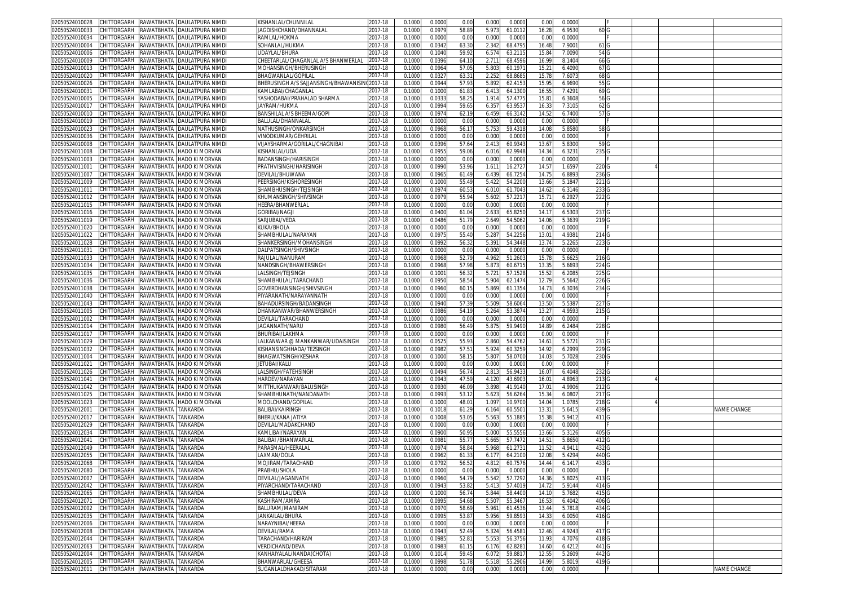| 02050524010028<br>CHITTORGARH                  | RAWATBHATA                      | DAULATPURA NIMDI      | KISHANLAL/CHUNNILAL                   | 2017-18     | 0.1000 | 0.0000 | 0.00           | 0.000 | 0.0000  | 0.00           | 0.0000 |       |  |             |
|------------------------------------------------|---------------------------------|-----------------------|---------------------------------------|-------------|--------|--------|----------------|-------|---------|----------------|--------|-------|--|-------------|
| CHITTORGARH<br>02050524010033                  | RAWATBHATA                      | DAULATPURA NIMDI      | IAGDISHCHAND/DHANNALAL                | 2017-18     | 0.1000 | 0.0979 | 58.89          | 5.973 | 61.011  | 16.28          | 6.9530 | 60 C  |  |             |
| 02050524010034<br>CHITTORGARH                  | RAWATBHATA                      | DAULATPURA NIMD       | RAMLAL/HOKMA                          | 2017-18     | 0.1000 | 0.0000 | 0.00           | 0.000 | 0.000   | 0.00           | 0.0000 |       |  |             |
|                                                |                                 |                       | SOHANLAL/HUKMA                        | 2017-18     |        | 0.0342 | 63.3           | 2.342 | 68.479  |                |        |       |  |             |
| 02050524010004<br>CHITTORGARH                  | аматвната                       | DAULATPURA NIMDI      |                                       |             | 0.1000 |        |                |       |         | 16.48          | 7.900  | 61 0  |  |             |
| 02050524010006<br>CHITTORGARH                  | RAWATBHATA                      | DAULATPURA NIMD       | UDAYLAL/BHURA                         | 2017-18     | 0.1000 | 0.1040 | 59.9           | 6.574 | 63.211  | 15.84          | 7.0090 | 54 G  |  |             |
| 02050524010009<br>CHITTORGARH                  | RAWATBHATA                      | DAULATPURA NIMDI      | CHEETARLAL/CHAGANLAL A/S BHANWERLAL   | 2017-18     | 0.1000 | 0.0396 | 64.1           | 2.71' | 68.4596 | 16.99          | 8.1404 | 66 G  |  |             |
| CHITTORGARH<br>02050524010013                  | RAWATBHATA                      | DAULATPURA NIMD       | MOHANSINGH/BHERUSINGH                 | 2017-18     | 0.1000 | 0.0964 | 57.0           | 5.80  | 60.197  | $15.2^{\circ}$ | 6.4090 | 67 C  |  |             |
| CHITTORGARH<br>02050524010020                  | RAWATBHATA                      | DAULATPURA NIMDI      | BHAGWANLAL/GOPILAL                    | 2017-18     | 0.1000 | 0.032  | $63.3^{\circ}$ | 2.252 | 68.868  | 15.78          | 7.607  | 68 C  |  |             |
| CHITTORGARH<br>02050524010026                  | RAWATBHATA                      | DAULATPURA NIMD       | BHERUSINGH A/S SAJJANSINGH/BHAWANISIN | 2017-18     | 0.1000 | 0.0944 | 57.93          | 5.892 | 62.415  | 15.95          | 6.969  | 55 C  |  |             |
| 02050524010031<br>CHITTORGARH                  | RAWATBHATA                      | DAULATPURA NIMDI      | (AMLABAI/CHAGANLAL                    | 2017-18     | 0.1000 | 0.1000 | 61.83          | 6.41  | 64.130  | 16.5           | 7.4291 | 69 0  |  |             |
| CHITTORGARH<br>02050524010005                  | RAWATBHATA                      | DAULATPURA NIMD       | YASHODABAI/PRAHALAD SHARMA            | 2017-18     | 0.1000 | 0.033  | 58.2           | 1.914 | 57.477  | $15.8^{\circ}$ | 6.3608 | 56 C  |  |             |
| CHITTORGARH                                    |                                 | DAULATPURA NIMDI      | JAYRAM/HUKMA                          | 2017-18     |        |        |                |       |         |                |        |       |  |             |
| 02050524010017                                 | RAWATBHATA                      |                       |                                       |             | 0.1000 | 0.0994 | 59.6           | 6.357 | 63.953  | 16.33          | 7.3105 | 62 C  |  |             |
| CHITTORGARH<br>02050524010010                  | RAWATBHATA                      | DAULATPURA NIMD       | BANSHILAL A/S BHEEMA/GOPI             | 2017-18     | 0.100  | 0.097  | 62.1           | 6.459 | 66.314  | 14.5           | 6.7400 | 57 C  |  |             |
| 02050524010019<br>CHITTORGARH                  | RAWATBHATA                      | DAULATPURA NIMD       | BALULAL/DHANNALAL                     | 2017-18     | 0.1000 | 0.0000 | 0.00           | 0.000 | 0.000   | 0.00           | 0.0000 |       |  |             |
| 02050524010023<br>CHITTORGARH                  | RAWATBHATA                      | DAULATPURA NIMD       | NATHUSINGH/ONKARSINGH                 | 2017-18     | 0.100  | 0.0968 | 56.1           | 5.75  | 59.431  | 14.0           | 5.858  | 58    |  |             |
| 02050524010036<br>CHITTORGARH                  | RAWATBHATA                      | DAULATPURA NIMD       | /INODKUMAR/GEHRILAL                   | 2017-18     | 0.1000 | 0.0000 | 0.00           | 0.000 | 0.000   | 0.00           | 0.0000 |       |  |             |
| 02050524010008<br>CHITTORGARH                  | RAWATBHATA                      | DAULATPURA NIMD       | VIJAYSHARMA/GORILAL/CHAGNIBAI         | 2017-18     | 0.100  | 0.0396 | 57.64          | 2.41  | 60.934  | 13.6           | 5.830  | 590   |  |             |
| 02050524011008<br>CHITTORGARH                  | RAWATBHATA                      | <b>HADO KI MORVAN</b> | (ISHANLAL/UDA                         | 2017-18     | 0.100  | 0.095  | 59.0           | 6.016 | 62.994  | 14.3           | 6.323  | 235   |  |             |
| 02050524011003<br>CHITTORGARH                  | RAWATBHATA                      | HADO KI MORVAN        | BADANSINGH/HARISINGH                  | 2017-18     | 0.1000 | 0.000  | 0.0            | 0.000 | 0.000   | 0.0            | 0.0000 |       |  |             |
|                                                |                                 |                       |                                       |             |        |        |                |       |         |                |        |       |  |             |
| CHITTORGARH<br>02050524011001                  | RAWATBHATA                      | HADO KI MORVAN        | PRATHVISINGH/HARISINGH                | 2017-18     | 0.1000 | 0.0990 | 53.96          | 1.61' | 16.272  | 14.5           | 1.6597 | 220   |  |             |
| 02050524011007<br>CHITTORGARH                  | RAWATBHATA                      | <b>HADO KI MORVAN</b> | DEVILAL/BHUWANA                       | 2017-18     | 0.100  | 0.096  | 61.4           | 6.43  | 66.725  | 14.7           | 6.8893 | 236   |  |             |
| 02050524011009<br>CHITTORGARH                  | RAWATBHATA                      | HADO KI MORVAN        | PEERSINGH/KISHORESINGH                | 2017-18     | 0.1000 | 0.1000 | 55.49          | 5.422 | 54.220  | 13.66          | 5.184  | 221   |  |             |
| 02050524011011<br>CHITTORGARH                  | RAWATBHATA                      | HADO KI MORVAN        | SHAMBHUSINGH/TEJSINGH                 | 2017-18     | 0.1000 | 0.097  | 60.5           | 6.01  | 61.704  | 14.6           | 6.3146 | 233   |  |             |
| CHITTORGARH<br>02050524011012                  | RAWATBHATA                      | HADO KI MORVAN        | KHUMANSINGH/SHIVSINGH                 | 2017-18     | 0.1000 | 0.0979 | 55.94          | 5.602 | 57.221  | 15.71          | 6.292  | 222   |  |             |
| 02050524011015<br>CHITTORGARH                  | RAWATBHATA                      | <b>HADO KI MORVAN</b> | HEERA/BHANWERLAL                      | 2017-18     | 0.1000 | 0.0000 | 0.00           | 0.000 | 0.000   | 0.00           | 0.0000 |       |  |             |
| CHITTORGARH                                    |                                 |                       |                                       | 2017-18     |        |        |                |       |         |                |        |       |  |             |
| 02050524011016                                 | RAWATBHATA                      | HADO KI MORVAN        | GORIBAI/NAGJI                         |             | 0.1000 | 0.0400 | 61.04          | 2.633 | 65.8250 | 14.1           | 6.530  | 237   |  |             |
| 02050524011019<br>CHITTORGARH                  | аматвната?                      | HADO KI MORVAN        | SARJUBAI/VEDA                         | 2017-18     | 0.1000 | 0.0486 | 51.7           | 2.649 | 54.506  | 14.06          | 5.3639 | 219   |  |             |
| 02050524011020<br>CHITTORGARH                  | RAWATBHATA                      | <b>HADO KI MORVAN</b> | (UKA/BHOLA                            | 2017-18     | 0.1000 | 0.0000 | 0.00           | 0.000 | 0.000   | 0.00           | 0.0000 |       |  |             |
| 02050524011022<br>CHITTORGARH                  | RAWATBHATA                      | HADO KI MORVAN        | SHAMBHULAL/NARAYAN                    | 2017-18     | 0.1000 | 0.097  | 55.40          | 5.28  | 54.225  | 13.0           | 4.9381 | 214   |  |             |
| 02050524011028<br>CHITTORGARH                  | RAWATBHATA                      | HADO KI MORVAN        | SHANKERSINGH/MOHANSINGH               | 2017-18     | 0.1000 | 0.0992 | 56.3           | 5.39  | 54.3448 | 13.74          | 5.226  | 223   |  |             |
| 02050524011031<br>CHITTORGARH                  | RAWATBHATA                      | HADO KI MORVAN        | )ALPATSINGH/SHIVSINGH                 | 2017-18     | 0.1000 | 0.0000 | 0.00           | 0.000 | 0.0000  | 0.00           | 0.0000 |       |  |             |
| CHITTORGARH<br>02050524011033                  | RAWATBHATA                      | HADO KI MORVAN        | RAJULAL/NANURAM                       | 2017-18     | 0.1000 | 0.0968 | 52.79          | 4.962 | 51.260  | 15.78          | 5.662  | 216 0 |  |             |
| 02050524011034                                 |                                 |                       |                                       |             |        |        |                |       |         |                |        |       |  |             |
| CHITTORGARH                                    | RAWATBHATA                      | HADO KI MORVAN        | NANDSINGH/BHAWERSINGH                 | 2017-18     | 0.1000 | 0.0968 | 57.98          | 5.87  | 60.671  | 13.3           | 5.6693 | 224(  |  |             |
| CHITTORGARH<br>02050524011035                  | RAWATBHATA                      | <b>HADO KI MORVAN</b> | LALSINGH/TEJSINGH                     | 2017-18     | 0.1000 | 0.100  | 56.3           | 5.721 | 57.152  | 15.5           | 6.208  | 225   |  |             |
| CHITTORGARH<br>02050524011036                  | RAWATBHATA                      | HADO KI MORVAN        | SHAMBHULAL/TARACHAND                  | 2017-18     | 0.1000 | 0.0950 | 58.54          | 5.904 | 62.1474 | 12.79          | 5.5642 | 2260  |  |             |
| 02050524011038<br>CHITTORGARH                  | RAWATBHATA                      | HADO KI MORVAN        | GOVERDHANSINGH/SHIVSINGH              | 2017-18     | 0.1000 | 0.0960 | 60.1           | 5.869 | 61.135  | 14.7           | 6.303  | 234 G |  |             |
| 02050524011040<br>CHITTORGARH                  | RAWATBHATA                      | <b>HADO KI MORVAN</b> | PIYARANATH/NARAYANNATH                | 2017-18     | 0.1000 | 0.0000 | 0.00           | 0.000 | 0.000   | 0.00           | 0.000  |       |  |             |
| 02050524011043<br>CHITTORGARH                  | <b>AWATBHATA</b>                | HADO KI MORVAN        | 3AHADURSINGH/BADANSINGH               | 2017-18     | 0.100  | 0.0940 | 57.3           | 5.509 | 58.606  | 13.5           | 5.538  | 227   |  |             |
| 02050524011005<br>CHITTORGARH                  | RAWATBHATA                      | HADO KI MORVAN        | )HANKANWAR/BHANWERSINGH               | 2017-18     | 0.1000 | 0.0986 | 54.19          | 5.264 | 53.387  | 13.2           | 4.9593 | 215   |  |             |
|                                                |                                 |                       |                                       |             |        |        |                |       |         |                |        |       |  |             |
| 02050524011002<br>CHITTORGARH                  | RAWATBHATA                      | <b>HADO KI MORVAN</b> | DEVILAL/TARACHAND                     | 2017-18     | 0.1000 | 0.000  | 0.00           | 0.000 | 0.000   | 0.00           | 0.0000 |       |  |             |
| 02050524011014<br>CHITTORGARH                  | RAWATBHATA                      | <b>HADO KI MORVAN</b> | IAGANNATH/NARU                        | 2017-18     | 0.1000 | 0.0980 | 56.49          | 5.87  | 59.949  | 14.8           | 6.248  | 228   |  |             |
| 02050524011017<br>CHITTORGARH                  | RAWATBHATA                      | HADO KI MORVAN        | BHURIBAI/LAKHMA                       | 2017-18     | 0.100  | 0.000  | 0.0            | 0.000 | 0.000   | 0.0            | 0.000  |       |  |             |
| CHITTORGARH<br>02050524011029                  | RAWATBHATA                      | HADO KI MORVAN        | ALKANWAR @ MANKANWAR/UDAISINGH        | 2017-18     | 0.1000 | 0.052  | 55.9           | 2.860 | 54.476  | 14.6           | 5.572  | 231   |  |             |
| CHITTORGARH<br>02050524011032                  | RAWATBHATA                      | <b>HADO KI MORVAN</b> | (ISHANSINGHHADA/TEZSINGH              | 2017-18     | 0.100  | 0.098  | 57.5           | 5.92  | 60.325  | 14.9           | 6.299  | 229   |  |             |
| 02050524011004<br>CHITTORGARH                  | RAWATBHATA                      | HADO KI MORVAN        | BHAGWATSINGH/KESHAR                   | 2017-18     | 0.1000 | 0.1000 | 58.1           | 5.80  | 58.070  | 14.03          | 5.7028 | 230   |  |             |
| CHITTORGARH<br>02050524011021                  | RAWATBHATA                      | HADO KI MORVAN        | ETUBAI/KALU                           | 2017-18     | 0.1000 | 0.0000 | 0.0            | 0.000 | 0.000   | 0.0            | 0.0000 |       |  |             |
| CHITTORGARH                                    | RAWATBHATA                      | HADO KI MORVAN        |                                       |             |        | 0.0494 |                |       | 56.943  |                | 6.4048 | 232   |  |             |
| 02050524011026                                 |                                 |                       | .ALSINGH/FATEHSINGH                   | 2017-18     | 0.1000 |        | 56.7           | 2.81  |         | 16.0           |        |       |  |             |
| 02050524011041<br>CHITTORGARH                  | ANATBHATA                       | HADO KI MORVAN        | HARDEV/NARAYAN                        | 2017-18     | 0.1000 | 0.094  | 47.5           | 4.120 | 43.690  | $16.0^{\circ}$ | 4.8963 | 213   |  |             |
| CHITTORGARH<br>02050524011042                  | RAWATBHATA                      | HADO KI MORVAN        | MITTHUKANWAR/BALUSINGH                | 2017-18     | 0.1000 | 0.0930 | 46.0           | 3.898 | 41.914  | 17.0           | 4.9906 | 212   |  |             |
| 02050524011025<br>CHITTORGARH                  | аматвната?                      | HADO KI MORVAN        | SHAMBHUNATH/NANDANATH                 | 2017-18     | 0.1000 | 0.0993 | 53.1           | 5.623 | 56.626  | 15.34          | 6.080  | 217   |  |             |
| 02050524011023<br>CHITTORGARH                  | RAWATBHATA                      | HADO KI MORVAN        | MOOLCHAND/GOPILAI                     | 2017-18     | 0.1000 | 0.1000 | 48.0           | 1.097 | 10.970  | 14.04          | 1.0785 | 218   |  |             |
| 02050524012001<br>CHITTORGARH                  | RAWATBHATA                      | <b>TANKARDA</b>       | BALIBAI/KAIRINGH                      | 2017-18     | 0.1000 | 0.1018 | 61.29          | 6.164 | 60.550  | 13.3'          | 5.641  | 439   |  | NAME CHANGE |
| 02050524012017<br>CHITTORGARH                  | RAWATBHATA                      | TANKARD/              | BHERU/KANA JATIYA                     | 2017-18     | 0.1000 | 0.1008 | 53.0           | 5.56  | 55.188  | 15.38          | 5.941  | 411   |  |             |
| 02050524012029<br>CHITTORGARH                  | RAWATBHATA                      | TANKARDA              | DEVILAL/MADAKCHAND                    | 2017-18     | 0.1000 | 0.0000 | 0.00           | 0.000 | 0.0000  | 0.00           | 0.0000 |       |  |             |
| CHITTORGARH                                    |                                 |                       |                                       |             |        |        |                |       |         |                |        |       |  |             |
| 02050524012034                                 | RAWATBHATA                      | TANKARDA              | KAMLIBAI/NARAYAN                      | 2017-18     | 0.1000 | 0.0900 | 50.9           | 5.000 | 55.5556 | 13.66          | 5.3126 | 405   |  |             |
| 02050524012041<br>CHITTORGARH                  | RAWATBHATA                      | TANKARDA              | BALIBAI /BHANWARLAL                   | 2017-18     | 0.1000 | 0.098  | 55.7           | 5.66  | 57.747  | 14.51          | 5.865  | 412   |  |             |
| CHITTORGARH<br>02050524012049                  | RAWATBHATA                      | <b>TANKARDA</b>       | PARASMAL/HEERALAI                     | 2017-18     | 0.1000 | 0.097  | 58.84          | 5.968 | 61.273  | 11.5           | 4.941  | 432   |  |             |
| <b>CHITTORGARH</b><br>02050524012055           | RAWATBHATA                      | <b>TANKARDA</b>       | AXMAN/DOLA                            | 2017-18     | 0.1000 | 0.096  | 61.33          | 6.177 | 64.210  | 12.08          | 5.4294 | 440   |  |             |
| 02050524012068<br>CHITTORGARH                  | RAWATBHATA                      | <b>TANKARDA</b>       | MOJIRAM/TARACHAND                     | 2017-18     | 0.1000 | 0.079  | 56.52          | 4.812 | 60.757  | 14.44          | 6.141  | 433   |  |             |
| 02050524012080 CHITTORGARH RAWATBHATA TANKARDA |                                 |                       | PRABHU/SHOLA                          | 2017-18     | 0.1000 | 0.0000 | 0.00           | 0.000 | 0.0000  | 0.00           | 0.0000 |       |  |             |
|                                                | RAWATBHATA TANKARDA             |                       |                                       | $2017 - 18$ |        |        |                |       |         |                |        |       |  |             |
| 02050524012007<br>CHITTORGARH                  |                                 |                       | DEVILAL/JAGANNATH                     |             | 0.1000 | 0.0960 | 54.79          | 5.542 | 57.7292 | 14.36          | 5.802  | 413   |  |             |
| 02050524012042<br>CHITTORGARH                  | RAWATBHATA TANKARDA             |                       | PIYARCHAND/TARACHAND                  | 2017-18     | 0.1000 | 0.0943 | 53.82          | 5.413 | 57.401  | 14.72          | 5.9144 | 414 C |  |             |
| 02050524012065<br>CHITTORGARH                  | RAWATBHATA                      | TANKARDA              | SHAMBHULAL/DEVA                       | 2017-18     | 0.1000 | 0.1000 | 56.74          | 5.844 | 58.440  | 14.10          | 5.768  | 415   |  |             |
| 02050524012071<br>CHITTORGARH                  | RAWATBHATA                      | TANKARDA              | KASHIRAM/AMRA                         | 2017-18     | 0.1000 | 0.0995 | 54.68          | 5.507 | 55.346  | 16.5           | 6.4042 | 406   |  |             |
| 02050524012002<br>CHITTORGARH                  | RAWATBHATA                      | <b>TANKARDA</b>       | BALURAM/MANIRAM                       | 2017-18     | 0.1000 | 0.097  | 58.69          | 5.961 | 61.453  | 13.44          | 5.781  | 434 0 |  |             |
| 02050524012035                                 | RAWATBHATA                      | TANKARDA              | JANKAILAL/BHURA                       | 2017-18     | 0.1000 | 0.0995 | 53.87          | 5.956 | 59.8593 | 14.33          | 6.0050 | 416   |  |             |
|                                                | RAWATBHATA TANKARDA             |                       | NARAYNIBAI/HEERA                      | 2017-18     | 0.1000 | 0.0000 | 0.00           | 0.000 | 0.000   | 0.00           | 0.0000 |       |  |             |
| CHITTORGARH                                    |                                 |                       |                                       |             | 0.1000 | 0.0943 | 52.49          | 5.324 |         |                |        | 417   |  |             |
| CHITTORGARH<br>02050524012006                  |                                 |                       |                                       |             |        |        |                |       | 56.458  | 12.46          | 4.9243 |       |  |             |
| 02050524012008<br>CHITTORGARH                  | RAWATBHATA                      | TANKARDA              | DEVILAL/RAMA                          | 2017-18     |        |        |                |       |         |                |        |       |  |             |
| 02050524012044<br>CHITTORGARH                  | RAWATBHATA                      | TANKARDA              | TARACHAND/HARIRAM                     | 2017-18     | 0.1000 | 0.0985 | 52.8           | 5.553 | 56.3756 | 11.93          | 4.7076 | 418   |  |             |
| 02050524012063<br>CHITTORGARH                  | RAWATBHATA TANKARDA             |                       | VERDICHAND/DEVA                       | 2017-18     | 0.1000 | 0.0983 | 61.1           | 6.176 | 62.828  | 14.60          | 6.421  | 441   |  |             |
| 02050524012004<br>CHITTORGARH                  | RAWATBHATA TANKARDA             |                       | KANHAIYALAL/NANDA(CHOTA)              | 2017-18     | 0.1000 | 0.1014 | 59.4           | 6.072 | 59.881  | 12.55          | 5.2609 | 442   |  |             |
| 02050524012005                                 | CHITTORGARH RAWATBHATA TANKARDA |                       | BHANWARLAL/GHEESA                     | 2017-18     | 0.1000 | 0.0998 | 51.78          | 5.518 | 55.2906 | 14.99          | 5.8019 | 419 G |  |             |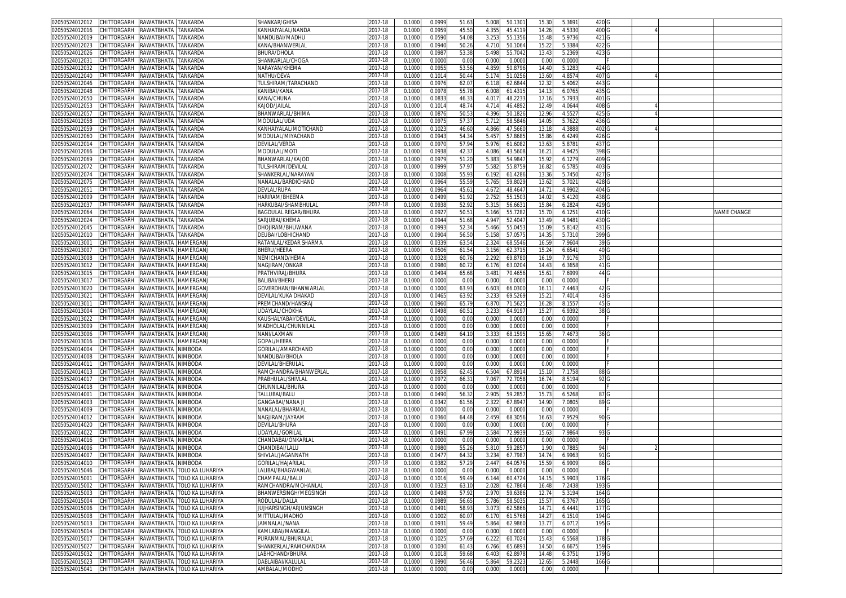| 02050524012012                                         | CHITTORGARH RAWATBHATA TANKARDA |                      |                                                         | SHANKAR/GHISA               | 2017-18     | 0.1000 | 0.0999 | 51.63 | 5.008 | 50.130  | 15.30 | 5.3691 | 420 G            |  |             |
|--------------------------------------------------------|---------------------------------|----------------------|---------------------------------------------------------|-----------------------------|-------------|--------|--------|-------|-------|---------|-------|--------|------------------|--|-------------|
| 02050524012016                                         | CHITTORGARH                     | RAWATBHATA TANKARDA  |                                                         | KANHAIYALAL/NANDA           | 2017-18     | 0.1000 | 0.095  | 45.50 | 4.35  | 45.4119 | 14.26 | 4.5330 | 400 C            |  |             |
| 02050524012019                                         | CHITTORGARH                     | RAWATBHATA           | TANKARDA                                                | NANDUBAI/MADHL              | 2017-18     | 0.1000 | 0.059  | 54.0  | 3.25  | 55.135  | 15.48 | 5.9736 | 421 G            |  |             |
| 02050524012023                                         | CHITTORGARH                     | RAWATBHATA TANKARDA  |                                                         | KANA/BHANWERLAL             | 2017-18     | 0.1000 | 0.094  | 50.26 | 4.710 | 50.1064 | 15.22 | 5.3384 | 422 G            |  |             |
| 02050524012026                                         | CHITTORGARH                     |                      |                                                         | <b>BHURA/DHOLA</b>          |             |        |        |       |       |         |       |        |                  |  |             |
|                                                        |                                 | RAWATBHATA           | TANKARDA                                                |                             | 2017-18     | 0.100  | 0.098  | 53.38 | 5.49  | 55.704  | 13.43 | 5.2369 | 423 G            |  |             |
| 02050524012031                                         | CHITTORGARH                     | RAWATBHATA TANKARDA  |                                                         | SHANKARLAL/CHOGA            | 2017-18     | 0.100  | 0.000  | 0.00  | 0.00  | 0.000   | 0.00  | 0.0000 |                  |  |             |
| 02050524012032                                         | CHITTORGARH                     | RAWATBHATA           | TANKARDA                                                | NARAYAN/KHEMA               | $2017 - 18$ | 0.100  | 0.095  | 53.5  | 4.85  | 50.879  | 14.40 | 5.1283 | 424 G            |  |             |
| 02050524012040                                         | CHITTORGARH                     | RAWATBHATA           | TANKARDA                                                | NATHU/DEVA                  | 2017-18     | 0.100  | 0.101  | 50.4  | 5.174 | 51.025  | 13.60 | 4.8574 | 407 G            |  |             |
| 02050524012046                                         | <b>CHITTORGARH</b>              | RAWATBHATA           | TANKARD/                                                | TULSHIRAM/TARACHAND         | 2017-18     | 0.100  | 0.097  | 62.0  | 6.11  | 62.684  | 12.3  | 5.406  | 4430             |  |             |
| 02050524012048                                         | CHITTORGARH                     | RAWATBHATA TANKARDA  |                                                         | KANIBAI/KANA                | 2017-18     | 0.1000 | 0.097  | 55.7  | 6.00  | 61.431  | 14.13 | 6.0765 | 435 G            |  |             |
| 02050524012050                                         | CHITTORGARH                     | RAWATBHATA           | TANKARDA                                                | KANA/CHUNA                  | 2017-18     | 0.100  | 0.083  | 46.3  | 4.01  | 48.223  | 17.1  | 5.793  | 401 G            |  |             |
| 02050524012053                                         | <b>CHITTORGARH</b>              | RAWATBHATA           | TANKARDA                                                | Kajod/jailai                | 2017-18     | 0.100  | 0.101  | 48.7  | 4.714 | 46.489  | 12.49 | 4.0644 | 408 <sub>C</sub> |  |             |
| 02050524012057                                         | CHITTORGARH                     | RAWATBHATA           | <b>ANKARDA</b>                                          | BHANWARLAL/BHIMA            | 2017-18     | 0.100  | 0.087  | 50.5  | 4.39  | 50.182  | 12.96 | 4.552  | 425              |  |             |
| 02050524012058                                         | CHITTORGARH                     | RAWATBHATA           | TANKARDA                                                | <b>MODULAL/UDA</b>          | 2017-18     | 0.100  | 0.097  | 57.3  | 5.71  | 58.5846 | 14.0  | 5.7622 | 4360             |  |             |
| 02050524012059                                         | <b>CHITTORGARH</b>              | RAWATBHATA           | TANKARDA                                                | KANHAIYALAL/MOTICHAND       | 2017-18     | 0.100  | 0.102  | 46.6  | 4.866 | 47.566  | 13.1  | 4.3888 | 402              |  |             |
|                                                        | CHITTORGARH                     |                      |                                                         |                             |             |        |        |       |       |         |       |        |                  |  |             |
| 02050524012060                                         |                                 | RAWATBHATA           | TANKARDA                                                | MODULAL/MIYACHAND           | 2017-18     | 0.1000 | 0.094  | 54.3  | 5.45  | 57.868  | 15.86 | 6.4249 | 426 C            |  |             |
| 02050524012014                                         | <b>CHITTORGARH</b>              | RAWATBHATA           | <b>ANKARDA</b>                                          | devilal/Verda               | 2017-18     | 0.100  | 0.097  | 57.9  | 5.976 | 61.608  | 13.6  | 5.8781 | 437              |  |             |
| 02050524012066                                         | CHITTORGARH                     | RAWATBHATA           | TANKARDA                                                | MODULAL/MOTI                | 2017-18     | 0.1000 | 0.093  | 42.3  | 4.086 | 43.5608 | 16.21 | 4.9425 | 398 <sub>G</sub> |  |             |
| 02050524012069                                         | CHITTORGARH                     | RAWATBHATA           | <b>TANKARDA</b>                                         | BHANWARLAL/KAJOD            | 2017-18     | 0.1000 | 0.097  | 51.20 | 5.38  | 54.984  | 15.92 | 6.1279 | 409 G            |  |             |
| 02050524012072                                         | CHITTORGARH                     | RAWATBHATA           | TANKARD/                                                | TULSHIRAM/DEVILAI           | 2017-18     | 0.1000 | 0.099  | 57.9  | 5.58  | 55.875  | 16.82 | 6.5785 | 403 G            |  |             |
| 02050524012074                                         | CHITTORGARH                     | RAWATBHATA           | <b>TANKARDA</b>                                         | SHANKERLAL/NARAYAN          | 2017-18     | 0.100  | 0.1008 | 55.93 | 6.19  | 61.4286 | 13.36 | 5.7450 | 427 G            |  |             |
| 02050524012075                                         | CHITTORGARH                     | RAWATBHATA           | TANKARDA                                                | NANALAL/BARDICHAND          | 2017-18     | 0.1000 | 0.096  | 55.59 | 5.765 | 59.802  | 13.6  | 5.7021 | 428 G            |  |             |
| 02050524012051                                         | CHITTORGARH                     | RAWATBHATA           | TANKARDA                                                | DEVLAL/RUPA                 | 2017-18     | 0.1000 | 0.096  | 45.6  | 4.67  | 48.464  | 14.7  | 4.9902 | 404 G            |  |             |
| 02050524012009                                         | CHITTORGARH                     | RAWATBHATA           | TANKARDA                                                | HARIRAM/BHEEMA              | 2017-18     | 0.100  | 0.049  | 51.92 | 2.75  | 55.150  | 14.02 | 5.4120 | 438 G            |  |             |
| 02050524012037                                         | CHITTORGARH                     | RAWATBHATA TANKARDA  |                                                         | HARKUBAI/SHAMBHULAI         | 2017-18     | 0.1000 | 0.093  | 52.92 | 5.31  | 56.663  | 15.84 | 6.2824 | 429 G            |  |             |
| 02050524012064                                         | CHITTORGARH                     | RAWATBHATA           | TANKARDA                                                | <b>BAGDULAL REGAR/BHURA</b> | 2017-18     | 0.100  | 0.092  | 50.5  | 5.166 | 55.728  | 15.7  | 6.1251 | 410 <sub>G</sub> |  | NAME CHANGE |
|                                                        |                                 | RAWATBHATA TANKARDA  |                                                         |                             |             |        |        |       |       |         |       |        |                  |  |             |
| 02050524012024                                         | CHITTORGARH                     |                      |                                                         | SARJUBAI/KHEMA              | 2017-18     | 0.1000 | 0.094  | 51.68 | 4.947 | 52.404  | 13.49 | 4.9481 | 430 <sub>G</sub> |  |             |
| 02050524012045                                         | CHITTORGARH                     | RAWATBHATA           | TANKARDA                                                | DHOJIRAM/BHUWANA            | 2017-18     | 0.100  | 0.099  | 52.3  | 5.466 | 55.045  | 15.09 | 5.8142 | 431 G            |  |             |
| 02050524012010                                         | CHITTORGARH RAWATBHATA TANKARDA |                      |                                                         | DEUBAI/LOBHICHAND           | 2017-18     | 0.100  | 0.090  | 56.50 | 5.15  | 57.057  | 14.3  | 5.7310 | 399 <sub>G</sub> |  |             |
| 02050524013001                                         | CHITTORGARH                     | RAWATBHATA           | HAMERGAN.                                               | RATANLAL/KEDAR SHARMA       | 2017-18     | 0.100  | 0.033  | 63.5  | 2.32  | 68.5546 | 16.59 | 7.9604 | 39 G             |  |             |
| 02050524013007                                         | CHITTORGARH                     | RAWATBHATA           | HAMERGAN.                                               | BHERU/HEERA                 | 2017-18     | 0.1000 | 0.050  | 61.54 | 3.156 | 62.371  | 15.24 | 6.654  | 40 G             |  |             |
| 02050524013008                                         | CHITTORGARH                     | RAWATBHATA           | HAMERGAN.                                               | NEMICHAND/HEMA              | 2017-18     | 0.100  | 0.032  | 60.7  | 2.29  | 69.878  | 16.1  | 7.9176 | 37 G             |  |             |
| 02050524013012                                         | CHITTORGARH                     | RAWATBHATA HAMERGAN. |                                                         | NAGJIRAM/ONKAR              | $2017 - 18$ | 0.100  | 0.098  | 60.7  | 6.176 | 63.020  | 14.43 | 6.3658 | 41 G             |  |             |
| 02050524013015                                         | CHITTORGARH                     | RAWATBHATA           | HAMERGAN.                                               | PRATHVIRAJ/BHURA            | 2017-18     | 0.100  | 0.049  | 65.6  | 3.48  | 70.465  | 15.6  | 7.6999 | 44 G             |  |             |
| 02050524013017                                         | CHITTORGARH                     | RAWATBHATA HAMERGAN. |                                                         | <b>BALIBAI/BHERU</b>        | 2017-18     | 0.100  | 0.000  | 0.00  | 0.000 | 0.000   | 0.00  | 0.0000 |                  |  |             |
| 02050524013020                                         | <b>CHITTORGARH</b>              | RAWATBHATA           | HAMERGAN.                                               | GOVERDHAN/BHANWARLAI        | 2017-18     | 0.100  | 0.100  | 63.9  | 6.60  | 66.030  | 16.1  | 7.4463 | 42 G             |  |             |
|                                                        | CHITTORGARH                     |                      |                                                         |                             |             |        |        |       |       |         |       |        |                  |  |             |
| 02050524013021                                         |                                 | RAWATBHATA           | HAMERGAN.                                               | DEVILAL/KUKA DHAKAD         | 2017-18     | 0.1000 | 0.046! | 63.9  | 3.23  | 69.526  | 15.21 | 7.4014 | 43 G             |  |             |
| 0205052401301                                          | CHITTORGARH                     | RAWATBHATA           | HAMERGAN.                                               | PREMCHAND/HANSRAJ           | 2017-18     | 0.100  | 0.096  | 65.7  | 6.87  | 71.562  | 16.2  | 8.155  | 45 C             |  |             |
| 02050524013004                                         | CHITTORGARH                     | RAWATBHATA           | HAMERGAN.                                               | UDAYLAL/CHOKHA              | 2017-18     | 0.100  | 0.049  | 60.5  | 3.23  | 64.919  | 15.27 | 6.9392 | 38 C             |  |             |
| 02050524013022                                         | CHITTORGARH                     | RAWATBHATA           | HAMERGAN.                                               | KAUSHALYABAI/DEVILAI        | 2017-18     | 0.100  | 0.000  | 0.00  | 0.00  | 0.000   | 0.00  | 0.0000 |                  |  |             |
| 02050524013009                                         | CHITTORGARH                     | RAWATBHATA           | -IAMERGAN.                                              | MADHOLAL/CHUNNILAI          | 2017-18     | 0.100  | 0.000  | 0.00  | 0.001 | 0.0000  | 0.00  | 0.0000 |                  |  |             |
| 02050524013006                                         | <b>CHITTORGARH</b>              | RAWATBHATA           | <b>HAMERGAN.</b>                                        | NANI/LAXMAN                 | 2017-18     | 0.100  | 0.048  | 64.1  | 3.33  | 68.1595 | 15.65 | 7.4673 | 36 <sub>G</sub>  |  |             |
| 02050524013016                                         | CHITTORGARH                     | RAWATBHATA           | HAMERGAN.                                               | GOPAL/HEERA                 | 2017-18     | 0.1000 | 0.000  | 0.00  | 0.000 | 0.000   | 0.00  | 0.0000 |                  |  |             |
| 02050524014004                                         | CHITTORGARH                     | RAWATBHATA           | NIMBODA                                                 | GORILAL/AMARCHAND           | 2017-18     | 0.1000 | 0.000  | 0.00  | 0.00  | 0.000   | 0.00  | 0.0000 |                  |  |             |
| 02050524014008                                         | CHITTORGARH                     | RAWATBHATA           | <b>NIMBODA</b>                                          | NANDUBAI/BHOLA              | 2017-18     | 0.1000 | 0.000  | 0.00  | 0.001 | 0.0000  | 0.00  | 0.0000 |                  |  |             |
| 02050524014011                                         | CHITTORGARH                     | RAWATBHATA           | NIMBODA                                                 | DEVILAL/BHERULAL            | 2017-18     | 0.1000 | 0.000  | 0.00  | 0.001 | 0.000   | 0.0   | 0.0000 |                  |  |             |
| 02050524014013                                         | CHITTORGARH                     | RAWATBHATA           | NIMBODA                                                 | RAMCHANDRA/BHANWERLAL       | 2017-18     | 0.1000 | 0.095  | 62.45 | 6.504 | 67.891  | 15.1  | 7.1758 | 88 G             |  |             |
| 02050524014017                                         | CHITTORGARH                     | RAWATBHATA           | NIMBODA                                                 | PRABHULAL/SHIVLAI           | 2017-18     | 0.1000 | 0.097  | 66.3  | 7.06  | 72.705  | 16.74 | 8.5194 | 92 G             |  |             |
| 02050524014018                                         | CHITTORGARH                     | <b>RAWATBHATA</b>    | <b>NIMBODA</b>                                          | CHUNNILAL/BHURA             | 2017-18     | 0.1000 | 0.000  | 0.00  | 0.000 | 0.000   | 0.00  | 0.0000 |                  |  |             |
|                                                        |                                 |                      |                                                         |                             |             |        |        |       |       |         |       |        |                  |  |             |
| 02050524014001                                         | CHITTORGARH                     | RAWATBHATA           | NIMBODA                                                 | TALLUBAI/BALU               | 2017-18     | 0.1000 | 0.049  | 56.3  | 2.905 | 59.285  | 15.73 | 6.5268 | 87 G             |  |             |
| 02050524014003                                         | CHITTORGARH                     | RAWATBHATA           | <b>NIMBODA</b>                                          | <b>GANGABAI/NANA JI</b>     | 2017-18     | 0.100  | 0.034  | 61.56 | 2.32  | 67.894  | 14.90 | 7.080  | 89 G             |  |             |
| 02050524014009                                         | CHITTORGARH                     | RAWATBHATA           | VIMBODA                                                 | NANALAL/BHARMAI             | 2017-18     | 0.100  | 0.000  | 0.00  | 0.00  | 0.0000  | 0.00  | 0.0000 |                  |  |             |
| 02050524014012                                         | CHITTORGARH                     | RAWATBHATA           | <b>NIMBODA</b>                                          | NAGJIRAM/JAYRAM             | 2017-18     | 0.100  | 0.036  | 64.48 | 2.45  | 68.305  | 16.63 | 7.9529 | 90 G             |  |             |
| 02050524014020                                         | CHITTORGARH                     | RAWATBHATA           | <b>NIMBODA</b>                                          | DEVILAL/BHURA               | 2017-18     | 0.1000 | 0.000  | 0.00  | 0.000 | 0.0000  | 0.00  | 0.0000 |                  |  |             |
| 02050524014022                                         | CHITTORGARH                     | RAWATBHATA           | <b>NIMBODA</b>                                          | UDAYLAL/GORILAL             | 2017-18     | 0.100  | 0.049  | 67.9  | 3.58  | 72.993  | 15.63 | 7.9864 | 93 G             |  |             |
| 02050524014016                                         | <b>CHITTORGARH</b>              | RAWATBHATA           | <b>NIMBODA</b>                                          | CHANDABAI/ONKARLAL          | $2017 - 18$ | 0.1000 | 0.000  | 0.00  | 0.00  | 0.000   | 0.00  | 0.0000 |                  |  |             |
| 02050524014006                                         | CHITTORGARH                     | <b>RAWATBHATA</b>    | <b>IIMBODA</b>                                          | CHANDIBAI/LALU              | 2017-18     | 0.100  | 0.098  | 55.2  | 5.81  | 59.285  | 1.9   | 0.788  | 94               |  |             |
| 02050524014007                                         | CHITTORGARH                     | RAWATBHATA           | <b>NIMBODA</b>                                          | SHIVLAL/JAGANNATH           | 2017-18     | 0.100  | 0.047  | 64.3  | 3.23  | 67.798  | 14.74 | 6.9963 | 91 G             |  |             |
| 02050524014010                                         | CHITTORGARH RAWATBHATA NIMBODA  |                      |                                                         | GORILAL/HAJARILAI           | 2017-18     | 0.1000 | 0.038  | 57.2  | 2.44  | 64.057  | 15.59 | 6.9909 | 86 G             |  |             |
|                                                        |                                 |                      | 02050524015046 CHITTORGARH RAWATBHATA TIOLO KA LUHARIYA | LALIBAI/BHAGWANLAL          | 2017-18     | 0.1000 | 0.0000 | 0.00  | 0.000 | 0.0000  | 0.00  | 0.0000 |                  |  |             |
| 02050524015001                                         |                                 |                      | CHITTORGARH RAWATBHATA TOLO KA LUHARIYA                 | CHAMPALAL/BALU              | 2017-18     | 0.1000 | 0.1016 | 59.49 | 6.144 | 60.4724 | 14.15 | 5.9903 | 176 <sub>G</sub> |  |             |
| 02050524015002                                         | CHITTORGARH                     |                      |                                                         | RAMCHANDRA/MOHANLAL         |             |        |        |       |       |         |       |        | 193 G            |  |             |
|                                                        |                                 |                      | RAWATBHATA TOLO KA LUHARIYA                             |                             | 2017-18     | 0.1000 | 0.032  | 63.10 | 2.028 | 62.7864 | 16.48 | 7.2438 |                  |  |             |
| 02050524015003                                         | CHITTORGARH                     |                      | RAWATBHATA TOLO KA LUHARIYA                             | BHANWERSINGH/MEGSINGH       | 2017-18     | 0.1000 | 0.049  | 57.92 | 2.970 | 59.6386 | 12.74 | 5.3194 | 164 G            |  |             |
| 02050524015004                                         |                                 |                      | CHITTORGARH RAWATBHATA TOLO KA LUHARIYA                 | RODULAL/DALLA               | 2017-18     | 0.1000 | 0.098  | 56.65 | 5.786 | 58.503  | 15.57 | 6.3767 | 165 G            |  |             |
| 02050524015006                                         | CHITTORGARH                     |                      | RAWATBHATA TOLO KA LUHARIYA                             | JUJHARSINGH/ARJUNSINGH      | 2017-18     | 0.1000 | 0.049  | 58.93 | 3.07  | 62.5866 | 14.71 | 6.4441 | 177 G            |  |             |
| 02050524015008                                         |                                 |                      | CHITTORGARH RAWATBHATA TOLO KA LUHARIYA                 | MITTULAL/MADHO              | 2017-18     | 0.1000 | 0.1002 | 60.07 | 6.170 | 61.5768 | 14.27 | 6.1510 | 194 G            |  |             |
| 02050524015013                                         |                                 |                      | CHITTORGARH RAWATBHATA TOLO KA LUHARIYA                 | JAMNALAL/NANA               | 2017-18     | 0.1000 | 0.093  | 59.49 | 5.864 | 62.9860 | 13.77 | 6.0712 | 195G             |  |             |
| 02050524015014                                         |                                 |                      | CHITTORGARH RAWATBHATA TOLO KA LUHARIYA                 | KAMLABAI/MANGILAL           | 2017-18     | 0.1000 | 0.000  | 0.00  | 0.000 | 0.0000  | 0.00  | 0.0000 |                  |  |             |
| 02050524015017                                         |                                 |                      | CHITTORGARH RAWATBHATA TOLO KA LUHARIYA                 | PURANMAL/BHURALAL           | 2017-18     | 0.1000 | 0.1025 | 57.69 | 6.222 | 60.7024 | 15.43 | 6.5568 | 178 <sub>G</sub> |  |             |
| 02050524015027                                         |                                 |                      | CHITTORGARH RAWATBHATA TOLO KA LUHARIYA                 | SHANKERLAL/RAMCHANDRA       | 2017-18     | 0.1000 | 0.1030 | 61.43 | 6.766 | 65.6893 | 14.50 | 6.6675 | 159 <sub>G</sub> |  |             |
| 02050524015032                                         |                                 |                      | CHITTORGARH RAWATBHATA TOLO KA LUHARIYA                 | LABHCHAND/BHURA             | 2017-18     | 0.1000 | 0.101  | 59.68 | 6.403 | 62.8978 | 14.48 | 6.3751 | 179 G            |  |             |
| 02050524015023                                         | CHITTORGARH                     |                      | RAWATBHATA TOLO KA LUHARIYA                             | DABLAIBAI/KALULAL           | 2017-18     | 0.1000 | 0.099  | 56.46 | 5.864 | 59.232  | 12.65 | 5.2448 | 166 <sub>G</sub> |  |             |
| 02050524015041 CHITTORGARH RAWATBHATA TOLO KA LUHARIYA |                                 |                      |                                                         | AMBALAL/MODHO               | 2017-18     | 0.1000 | 0.0000 | 0.00  | 0.000 | 0.0000  | 0.00  | 0.0000 |                  |  |             |
|                                                        |                                 |                      |                                                         |                             |             |        |        |       |       |         |       |        |                  |  |             |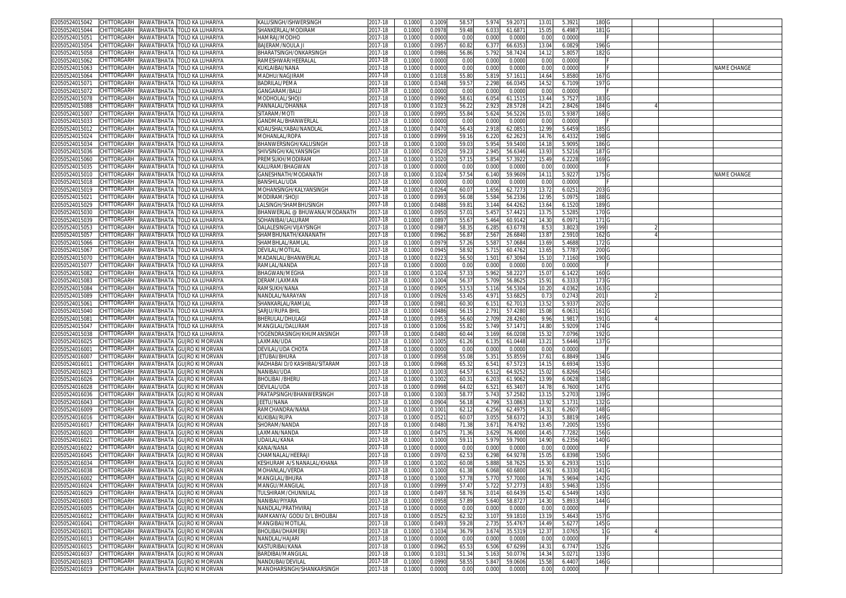| 02050524015042                   | CHITTORGARH        | RAWATBHATA<br>TOLO KA LUHARIYA                                                   | KALUSINGH/ISHWERSINGH                         | 2017-18            | 0.1000           | 0.1009           | 58.5         | 5.974<br>59.207                     | 13.01          | 5.392            | 180 <sub>G</sub> |  |             |
|----------------------------------|--------------------|----------------------------------------------------------------------------------|-----------------------------------------------|--------------------|------------------|------------------|--------------|-------------------------------------|----------------|------------------|------------------|--|-------------|
| 02050524015044                   | CHITTORGARH        | RAWATBHATA<br>TOLO KA LUHARIYA                                                   | SHANKERLAL/MODIRAM                            | 2017-18            | 0.100            | 0.097            | 59.48        | 6.03<br>61.687                      | 15.0           | 6.498            | 181              |  |             |
| 02050524015051                   | CHITTORGARH        | ATAHBTANAS<br>TOLO KA LUHARIYA                                                   | HAMRAJ/MODHO                                  | 017-18             | 0.100            | 0.000            | 0.00         | 0.000<br>0.000                      | 0.00           | 0.000            |                  |  |             |
| 02050524015054                   | CHITTORGARH        | <b>AWATBHATA</b><br>TOLO KA LUHARIYA                                             | BAJERAM/NOULA J                               | 2017-18            | 0.100            | 0.095            | 60.8         | 6.377<br>66.635                     | 13.04          | 6.082            | 196 <sub>G</sub> |  |             |
| 2050524015058                    | CHITTORGARH        | ATAHATANAS<br>TOLO KA LUHARIYA                                                   | <b>BHARATSINGH/ONKARSINGH</b>                 | 2017-18            | 0.100            | 0.098            | 56.86        | 58.742<br>5.792                     | 14.1           | 5.805            | 182 G            |  |             |
| 02050524015062                   | <b>CHITTORGARH</b> | RAWATBHATA<br>TOLO KA LUHARIYA                                                   | RAMESHWAR/HEERALA                             | 2017-18            | 0.100            | 0.000            | 0.00         | 0.000<br>0.000                      | 0.0            | 0.000            |                  |  |             |
|                                  |                    |                                                                                  |                                               |                    |                  |                  |              |                                     |                |                  |                  |  |             |
| )2050524015063                   | CHITTORGARH        | RAWATBHATA<br>TOLO KA LUHARIYA                                                   | (UKLAIBAI/NANA                                | 2017-18            | 0.100            | 0.000            | 0.00         | 0.0000<br>0.000                     | 0.00           | 0.000            |                  |  | NAME CHANGE |
| 02050524015064                   | CHITTORGARH        | AWATBHATA<br>TOLO KA LUHARIYA                                                    | <b>MADHU/NAGJIRAN</b>                         | 2017-18            | 0.100            | 0.101            | 55.80        | 5.819<br>57.161                     | 14.6           | 5.858            | 167              |  |             |
| )2050524015071                   | <b>CHITTORGARH</b> | AWATBHATA<br>TOLO KA LUHARIYA                                                    | BADRILAL/PEMA                                 | 017-18             | 0.100            | 0.034            | 59.5         | 2.298<br>66.034                     | 14.52          | 6.7109           | 197              |  |             |
| 2050524015072                    | CHITTORGARH        | ATAHBTANAS<br>TOLO KA LUHARIYA                                                   | GANGARAM/BALU                                 | 017-18             | 0.100            | 0.000            | 0.00         | 0.000<br>0.000                      | 0.0            | 0.000            |                  |  |             |
| )2050524015078                   | CHITTORGARH        | ATAHBTANAS<br>TOLO KA LUHARIYA                                                   | MODHOLAL/SHOJI                                | 2017-18            | 0.100            | 0.099            | 58.6         | 6.054<br>61.1515                    | 13.44          | 5.752            | 183              |  |             |
| 02050524015088                   | <b>CHITTORGARH</b> | <b>AWATBHATA</b><br>TOLO KA LUHARIYA                                             | PANNALAL/DHANNA                               | 017-18             | 0.100            | 0.102            | 56.2         | 2.92<br>28.5728                     | 14.2           | 2.842            | 184 G            |  |             |
| )2050524015007                   | CHITTORGARH        | ATAHATANAS<br>TOLO KA LUHARIYA                                                   | SITARAM/MOTI                                  | 2017-18            | 0.100            | 0.099            | 55.84        | 5.624<br>56.522                     | 15.0           | 5.938            | 168 <sub>G</sub> |  |             |
| 2050524015033                    | CHITTORGARH        | ATAHATANAS<br>TOLO KA LUHARIYA                                                   | GANDMAL/BHANWERLAL                            | 2017-18            | 0.100            | 0.000            | 0.00         | 0.000<br>0.000                      | 0.00           | 0.000            |                  |  |             |
| 02050524015012                   | CHITTORGARH        | ATAHATANAS<br>TOLO KA LUHARIYA                                                   | KOAUSHALYABAI/NANDLAL                         | 2017-18            | 0.1000           | 0.047            | 56.4         | 2.918<br>62.085                     | 12.9           | 5.645            | 185 G            |  |             |
| 2050524015024                    |                    |                                                                                  |                                               |                    |                  | 0.0999           | 59.1         |                                     |                |                  | 198 <sub>G</sub> |  |             |
|                                  | CHITTORGARH        | ATAHATANAS<br>TOLO KA LUHARIYA                                                   | VIOHANLAL/ROPA                                | 2017-18            | 0.100            |                  |              | 6.220<br>62.262                     | 14.7           | 6.4332           |                  |  |             |
| 02050524015034                   | CHITTORGARH        | ATAHATANAS<br>TOLO KA LUHARIYA                                                   | BHANWERSINGH/KALUSINGH                        | 2017-18            | 0.100            | 0.100            | 59.0         | 5.954<br>59.540                     | 14.1           | 5.909            | 186 <sub>G</sub> |  |             |
| 2050524015036                    | CHITTORGARH        | ATAHATANAS<br>TOLO KA LUHARIYA                                                   | SHIVSINGH/KALYANSINGH                         | 2017-18            | 0.100            | 0.052            | 59.2         | 2.945<br>56.6346                    | 13.93          | 5.5216           | 187 G            |  |             |
| 02050524015060                   | CHITTORGARH        | <b>AWATBHATA</b><br>TOLO KA LUHARIYA                                             | PREMSUKH/MODIRAM                              | 2017-18            | 0.100            | 0.102            | 57.1         | 5.854<br>57.392                     | 15.49          | 6.2228           | 169 <sub>G</sub> |  |             |
| 2050524015035                    | CHITTORGARH        | ATAHBTAWAS<br>TOLO KA LUHARIYA                                                   | <b>KALURAM/BHAGWAN</b>                        | 2017-18            | 0.100            | 0.000            | 0.00         | 0.000<br>0.000                      | 0.00           | 0.000            |                  |  |             |
| 02050524015010                   | CHITTORGARH        | ATAHATANAS<br>TOLO KA LUHARIYA                                                   | GANESHNATH/MODANATH                           | 2017-18            | 0.100            | 0.102            | 57.54        | 6.140<br>59.960                     | 14.1           | 5.922            | 175 G            |  | NAME CHANGE |
| 2050524015018                    | CHITTORGARH        | ATAHBTAWAS<br>TOLO KA LUHARIYA                                                   | <b>BANSHILAL/UDA</b>                          | 2017-18            | 0.100            | 0.000            | 0.00         | 0.000<br>0.000                      | 0.00           | 0.000            |                  |  |             |
| 02050524015019                   | CHITTORGARH        | AWATBHATA<br>TOLO KA LUHARIYA                                                    | MOHANSINGH/KALYANSINGH                        | 2017-18            | 0.100            | 0.026            | 60.0         | 1.656<br>62.727                     | 13.7           | 6.025            | 203 G            |  |             |
| 02050524015021                   | CHITTORGARH        | ATAHATANAS<br>TOLO KA LUHARIYA                                                   | <b>MODIRAM/SHOJI</b>                          | 2017-18            | 0.100            | 0.099            | 56.08        | 5.584<br>56.2336                    | 12.9           | 5.097            | 188 <sub>G</sub> |  |             |
| 02050524015029                   | CHITTORGARH        | RAWATBHATA<br>TOLO KA LUHARIYA                                                   | .ALSINGH/SHAMBHUSINGH                         | 2017-18            | 0.100            | 0.048            | 59.8         | 3.144<br>64.426                     | 13.6           | 6.152            | 189 <sub>G</sub> |  |             |
| 2050524015030                    | CHITTORGARH        | ATAHATANAS<br>TOLO KA LUHARIYA                                                   | BHANWERLAL @ BHUWANA/MODANATH                 | 2017-18            | 0.100            | 0.095            | 57.0         | 57.442                              | 13.75          |                  |                  |  |             |
|                                  |                    |                                                                                  |                                               |                    |                  |                  |              | 5.45                                |                | 5.528            | 170 <sub>G</sub> |  |             |
| 02050524015039                   | CHITTORGARH        | <b>AWATBHATA</b><br>TOLO KA LUHARIYA                                             | SOHANIBAI/LALURAM                             | 2017-18            | 0.100            | 0.089            | 55.6         | 60.914<br>5.464                     | 14.3           | 6.097            | 171 <sub>G</sub> |  |             |
| 02050524015053                   | <b>CHITTORGARH</b> | ATAHBTANAS<br><b>FOLO KA LUHARIYA</b>                                            | )ALALESINGH/VIJAYSINGH                        | 017-18             | 0.100            | 0.098            | 58.3         | 6.285<br>63.6778                    | 8.5            | 3.802            | 199              |  |             |
| 02050524015057                   | CHITTORGARH        | RAWATBHATA<br>TOLO KA LUHARIYA                                                   | SHAMBHUNATH/KANANATH                          | 2017-18            | 0.100            | 0.096            | 56.8         | 2.56<br>26.684                      | 13.8           | 2.591            | 162              |  |             |
| 2050524015066                    | CHITTORGARH        | ATAHBTAWAS<br>TOLO KA LUHARIYA                                                   | SHAMBHLAL/RAMLAL                              | 2017-18            | 0.100            | 0.097            | 57.26        | 5.58<br>57.068                      | 13.6           | 5.4688           | 172 G            |  |             |
| 2050524015067                    | <b>CHITTORGARH</b> | AWATBHATA<br>TOLO KA LUHARIYA                                                    | DEVILAL/MOTILAI                               | 2017-18            | 0.100            | 0.094            | 58.9         | 60.476<br>5.71                      | 13.6           | 5.778            | 200              |  |             |
| 02050524015070                   | CHITTORGARH        | ATAHBTANAS<br>TOLO KA LUHARIYA                                                   | MADANLAL/BHANWERLAL                           | 2017-18            | 0.100            | 0.022            | 56.50        | 1.501<br>67.309                     | 15.1           | 7.1160           | 190 <sub>G</sub> |  |             |
| 02050524015077                   | CHITTORGARH        | RAWATBHATA<br>TOLO KA LUHARIYA                                                   | RAMLAL/NANDA                                  | 017-18             | 0.100            | 0.000            | 0.00         | 0.000<br>0.000                      | 0.00           | 0.000            |                  |  |             |
| )2050524015082                   | <b>CHITTORGARH</b> | <b>AWATBHATA</b><br><b>FOLO KA LUHARIYA</b>                                      | BHAGWAN/MEGHA                                 | 2017-18            | 0.100            | 0.102            | 57.3         | 5.962<br>58.222                     | 15.0           | 6.142            | 160 <sub>G</sub> |  |             |
| 02050524015083                   | <b>HITTORGARH</b>  | AWATBHATA<br>TOLO KA LUHARIYA                                                    | DERAM/LAXMAN                                  | 017-18             | 0.100            | 0.100            | 56.3         | 56.862<br>5.709                     | 15.9           | 6.333            | 173              |  |             |
|                                  |                    |                                                                                  |                                               |                    |                  |                  |              |                                     |                |                  |                  |  |             |
| 02050524015084                   | CHITTORGARH        | ATAHATANAS<br>TOLO KA LUHARIYA                                                   | RAMSUKH/NANA                                  | 2017-18            | 0.100            | 0.090            | 53.53        | 5.116<br>56.530                     | 10.20          | 4.0362           | 163 <sub>G</sub> |  |             |
| 2050524015089                    | CHITTORGARH        | RAWATBHATA<br>TOLO KA LUHARIYA                                                   | NANDLAL/NARAYAN                               | 2017-18            | 0.100            | 0.0926           | 53.4         | 53.682<br>4.971                     | 0.7            | 0.274            | 201              |  |             |
| 02050524015061                   | CHITTORGARH        | ATAHATANAS<br>TOLO KA LUHARIYA                                                   | SHANKARLAL/RAMLAI                             | 2017-18            | 0.100            | 0.098            | 60.3         | 6.151<br>62.701                     | 13.52          | 5.933            | 202 G            |  |             |
| 2050524015040                    | CHITTORGARH        | ATAHATANAS<br>TOLO KA LUHARIYA                                                   | SARJU/RUPA BHII                               | 2017-18            | 0.100            | 0.0486           | 56.1         | 2.791<br>57.428                     | 15.0           | 6.063            | 161 G            |  |             |
| )2050524015081                   | CHITTORGARH        | ATAHATANAS<br>TOLO KA LUHARIYA                                                   | BHERULAL/DHULAGI                              | 2017-18            | 0.100            | 0.095            | 56.60        | 2.709<br>28.426                     | 9.96           | 1.981            | 191 G            |  |             |
| 2050524015047                    | CHITTORGARH        | ATAHATANAS<br>TOLO KA LUHARIYA                                                   | VIANGILAL/DALURAM                             | 2017-18            | 0.100            | 0.1006           | 55.82        | 5.749<br>57.147                     | 14.8           | 5.9209           | 174 G            |  |             |
| )2050524015038                   | CHITTORGARH        | ATAHBTANAS<br>TOLO KA LUHARIYA                                                   | YOGENDRASINGH/KHUMANSINGH                     | 2017-18            | 0.100            | 0.048            | 60.44        | 3.169<br>66.020                     | 15.3           | 7.079            | 192 <sub>G</sub> |  |             |
| 2050524016025                    | CHITTORGARH        | RAWATBHATA GUJRO KI MORVAN                                                       | AXMAN/UDA                                     | 2017-18            | 0.100            | 0.100            | 61.26        | 6.135<br>61.0448                    | $13.2^{\circ}$ | 5.6446           | 137 G            |  |             |
| 02050524016001                   | CHITTORGARH        | RAWATBHATA<br><b>GUJRO KI MORVAN</b>                                             | DEVILAL/UDA CHOTA                             | 2017-18            | 0.100            | 0.000            | 0.00         | 0.000<br>0.000                      | 0.00           | 0.000            |                  |  |             |
| 2050524016007                    | CHITTORGARH        | ATAHBTAWAS<br><b>GUJRO KI MORVAN</b>                                             | <b>ETUBAI/BHURA</b>                           | 2017-18            | 0.100            | 0.095            | 55.08        | 5.35'<br>55.855                     | 17.6           | 6.884            | 134              |  |             |
| 1205052401601                    | CHITTORGARH        | AWATBHATA!<br><b>GUJRO KI MORVAN</b>                                             | RADHABAI D/0 KASHIBAI/SITARAM                 | 2017-18            | 0.100            | 0.096            | 65.3         | 6.541<br>67.572                     | 14.1           | 6.693            | 153 <sub>G</sub> |  |             |
|                                  |                    |                                                                                  |                                               |                    | 0.1000           |                  |              |                                     |                |                  |                  |  |             |
| 02050524016023                   | CHITTORGARH        | RAWATBHATA GUJRO KI MORVAN                                                       | VANIBAI/UDA                                   | 2017-18            |                  | 0.100            | 64.5         | 6.512<br>64.925                     | 15.02          | 6.8266           | 154 G            |  |             |
| 02050524016026                   | CHITTORGARH        | ATAHATAWAS<br><b>GUJRO KI MORVAN</b>                                             | BHOLIBAI /BHERL                               | 2017-18            | 0.100            | 0.100            | 60.3         | 6.203<br>61.906                     | 13.9           | 6.0628           | 138 G            |  |             |
| 2050524016028                    | CHITTORGARH        | ATAHATANAS<br><b>GUJRO KI MORVAN</b>                                             | DEVILAL/UDA                                   | 2017-18            | 0.100            | 0.099            | 64.02        | $6.52^{\circ}$<br>65.340            | 14.7           | 6.760            | 147 G            |  |             |
| 02050524016036                   | <b>CHITTORGARH</b> | AWATBHATA<br>GUJRO KI MORVAN                                                     | PRATAPSINGH/BHANWERSINGH                      | 2017-18            | 0.100            | 0.100            | 58.7         | 5.743<br>57.258                     | 13.1           | 5.270            | 139 <sub>G</sub> |  |             |
| 02050524016043                   | <b>CHITTORGARH</b> | ATAHBTANAS<br><b>GUJRO KI MORVAN</b>                                             | EETU/NANA                                     | 017-18             | 0.100            | 0.090            | 56.1         | 4.799<br>53.086                     | 13.9           | 5.173'           | 132 G            |  |             |
| 02050524016009                   | CHITTORGARH        | <b>AWATBHATA</b><br><b>GUJRO KI MORVAN</b>                                       | RAMCHANDRA/NANA                               | 2017-18            | 0.100            | 0.100            | 62.1         | 62.497<br>6.256                     | 14.3           | 6.260            | 148 <sub>G</sub> |  |             |
| 02050524016016                   | CHITTORGARH        | ATAHATANAS<br><b>GUJRO KI MORVAN</b>                                             | (UKIBAI/RUPA                                  | 017-18             | 0.100            | 0.052            | 60.07        | 3.055<br>58.6372                    | 14.3           | 5.881            | 149 G            |  |             |
| 0205052401601                    | CHITTORGARH        | AWATBHATA<br><b>GUJRO KI MORVAN</b>                                              | SHORAM/NANDA                                  | 2017-18            | 0.100            | 0.048            | 71.38        | 3.671<br>76.479                     | 13.4           | 7.200            | 155              |  |             |
| 02050524016020                   | CHITTORGARH        | ATAHATANAS<br><b>GUJRO KI MORVAN</b>                                             | LAXMAN/NANDA                                  | 2017-18            | 0.100            | 0.047            | 71.36        | 3.629<br>76.4000                    | 14.45          | 7.7282           | 156 <sub>G</sub> |  |             |
| 02050524016021                   | <b>CHITTORGARH</b> | RAWATBHATA<br><b>GUJRO KI MORVAN</b>                                             | JDAILAL/KANA                                  | 017-18             | 0.100            | 0.100            | 59.1         | 59.7900<br>5.979                    | 14.9           | 6.2356           | 140 <sub>G</sub> |  |             |
| )2050524016022                   | :HITTORGARH        | AWATBHATA!<br><b>GUJRO KI MORVAN</b>                                             | (ANA/NANA                                     | 2017-18            | 0.100            | 0.000            | 0.00         | 0.000<br>0.0000                     | 0.00           | 0.000            |                  |  |             |
| 2050524016045                    | :HITTORGARH        | ATAHATANAS<br>GUJRO KI MORVAN                                                    | CHAMNALAL/HEERAJ                              | 017-18             | 0.100            | 0.097            | 62.5         | 64.927<br>6.298                     | 15.0           | 6.8398           | 150              |  |             |
| 02050524016034                   | CHITTORGARH        | RAWATBHATA GUJRO KI MORVAN                                                       | KESHURAM A/S NANALAL/KHANA                    | 2017-18            | 0.100            | 0.100            | 60.08        | 5.888<br>58.7625                    | 15.3           | 6.293            | 151              |  |             |
|                                  |                    |                                                                                  |                                               |                    |                  |                  |              |                                     |                |                  |                  |  |             |
| 02050524016038                   |                    | CHITTORGARH RAWATBHATA GUJRO KI MORVAN                                           | MOHANLAL/VERDA                                | 017-18             | 0.1000           | 0.1000           | 61.38        | 6.068 60.6800                       | 14.91          | 0.3331           | 141 <sub>G</sub> |  |             |
| 02050524016002                   |                    | CHITTORGARH RAWATBHATA GUJRO KI MORVAN                                           | MANGILAL/BHURA                                | 2017-18            | 0.1000           | 0.1000           | 57.78        | 5.770<br>57.7000                    | 14.78          | 5.9694           | 142 G            |  |             |
| 02050524016024                   |                    | CHITTORGARH RAWATBHATA GUJRO KI MORVAN                                           | MANGU/MANGILAL                                | 2017-18            | 0.1000           | 0.0999           | 57.47        | 5.722<br>57.2773                    | 14.83          | 5.9463           | 135 G            |  |             |
| 02050524016029                   | CHITTORGARH        | RAWATBHATA GUJRO KI MORVAN                                                       | TULSHIRAM/CHUNNILAL                           | 2017-18            | 0.1000           | 0.0497           | 58.76        | 3.014<br>60.6439                    | 15.42          | 6.5449           | 143 G            |  |             |
| 02050524016003                   | CHITTORGARH        | RAWATBHATA GUJRO KI MORVAN                                                       | NANIBAI/PIYARA                                | 2017-18            | 0.1000           | 0.0958           | 57.89        | 5.640<br>58.8727                    | 14.30          | 5.8933           | 144 G            |  |             |
| 02050524016005                   | CHITTORGARH        | RAWATBHATA GUJRO KI MORVAN                                                       | NANDLAL/PRATHVIRAJ                            | 2017-18            | 0.1000           | 0.0000           | 0.00         | 0.000<br>0.0000                     | 0.00           | 0.0000           |                  |  |             |
| 02050524016012                   | CHITTORGARH        | RAWATBHATA GUJRO KI MORVAN                                                       | RAMKANYA/ GODU D/L BHOLIBAI                   | 2017-18            | 0.1000           | 0.0525           | 62.32        | 59.1810<br>3.107                    | 13.19          | 5.4643           | 157 G            |  |             |
| 02050524016041                   | CHITTORGARH        | RAWATBHATA GUJRO KI MORVAN                                                       | MANGIBAI/MOTILAL                              | 2017-18            | 0.1000           | 0.0493           | 59.28        | 2.735<br>55.4767                    | 14.49          | 5.6277           | 145 G            |  |             |
| 02050524016031                   | CHITTORGARH        | RAWATBHATA GUJRO KI MORVAN                                                       | BHOLIBAI/DHAMERJI                             | 2017-18            | 0.1000           | 0.1034           | 36.79        | 3.674<br>35.5319                    | 12.37          | 3.0765           | 1 G              |  |             |
|                                  |                    |                                                                                  | NANDLAL/HAJARI                                | 2017-18            | 0.1000           | 0.0000           | 0.00         | 0.000<br>0.0000                     | 0.00           | 0.0000           |                  |  |             |
|                                  |                    |                                                                                  |                                               |                    |                  |                  |              |                                     |                |                  |                  |  |             |
| 02050524016013                   | CHITTORGARH        | RAWATBHATA GUJRO KI MORVAN                                                       |                                               |                    |                  |                  |              |                                     |                |                  |                  |  |             |
| 02050524016015                   | CHITTORGARH        | RAWATBHATA GUJRO KI MORVAN                                                       | KASTURIBAI/KANA                               | 2017-18            | 0.1000           | 0.0962           | 65.53        | 6.506<br>67.6299                    | 14.31          | 6.7747           | 152 G            |  |             |
| 02050524016037                   | CHITTORGARH        | RAWATBHATA GUJRO KI MORVAN                                                       | BARDIBAI/MANGILAL                             | 2017-18            | 0.1000           | 0.103            | 51.34        | 5.163<br>50.0776                    | 14.34          | 5.0271           | 133 G            |  |             |
| 02050524016033<br>02050524016019 |                    | CHITTORGARH RAWATBHATA GUJRO KI MORVAN<br>CHITTORGARH RAWATBHATA GUJRO KI MORVAN | NANDUBAI/DEVILAL<br>MANOHARSINGH/SHANKARSINGH | 2017-18<br>2017-18 | 0.1000<br>0.1000 | 0.0990<br>0.0000 | 58.5<br>0.00 | 5.847<br>59.0606<br>0.000<br>0.0000 | 15.58<br>0.00  | 6.4407<br>0.0000 | 146 G            |  |             |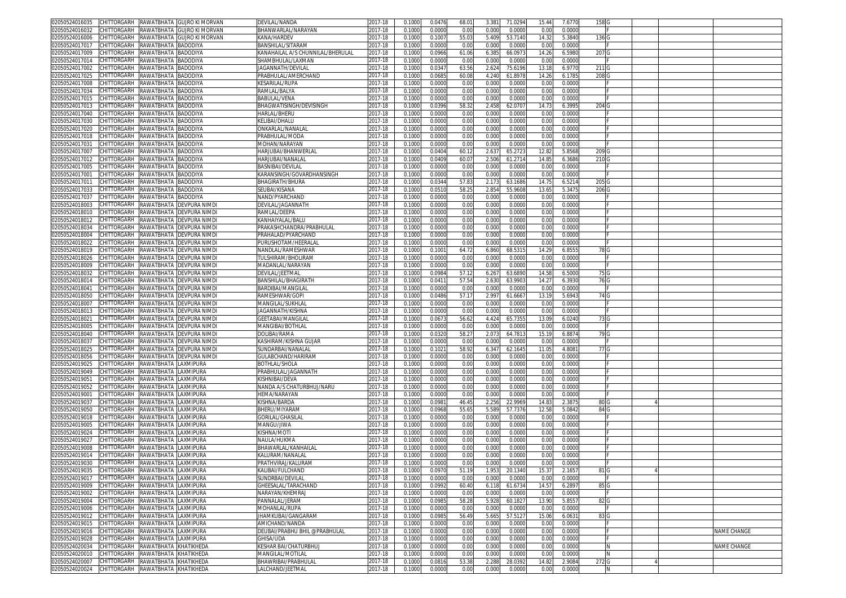| 02050524016035                                  |                                   |                      | CHITTORGARH RAWATBHATA GUJRO KI MORVAN | DEVILAL/NANDA                     | 2017-18 | 0.1000 | 0.0476 | 68.0  | 3.38'<br>71.0294 | 15.44             | 7.677  | 158 <sub>G</sub> |   |                    |
|-------------------------------------------------|-----------------------------------|----------------------|----------------------------------------|-----------------------------------|---------|--------|--------|-------|------------------|-------------------|--------|------------------|---|--------------------|
| 02050524016032                                  | CHITTORGARH                       |                      | RAWATBHATA GUJRO KI MORVAN             | BHANWARLAL/NARAYAN                | 2017-18 | 0.1000 | 0.0000 | 0.00  | 0.000<br>0.0000  | 0.00              | 0.000  |                  |   |                    |
| 02050524016006                                  | CHITTORGARH                       | RAWATBHATA           | <b>GUJRO KI MORVAN</b>                 | KANA/HARDEV                       | 2017-18 | 0.1000 | 0.100  | 55.0  | 5.409<br>53.7140 | 14.3              | 5.384  | 136 <sub>G</sub> |   |                    |
| 02050524017017                                  | CHITTORGARH                       | RAWATBHATA BADODIYA  |                                        | BANSHILAL/SITARAM                 | 2017-18 | 0.100  | 0.0000 | 0.00  | 0.000<br>0.000   | 0.00              | 0.0000 |                  |   |                    |
|                                                 |                                   | RAWATBHATA           |                                        |                                   |         |        |        |       |                  |                   |        |                  |   |                    |
| 02050524017009                                  | CHITTORGARH                       |                      | BADODIYA                               | KANAHAILAL A/S CHUNNILAL/BHERULAL | 2017-18 | 0.100  | 0.0966 | 61.06 | 6.38<br>66.097   | 14.2              | 6.598  | 207              |   |                    |
| 02050524017014                                  | CHITTORGARH                       | RAWATBHATA BADODIYA  |                                        | SHAMBHULAL/LAXMAN                 | 2017-18 | 0.100  | 0.000  | 0.00  | 0.000<br>0.0000  | 0.00              | 0.000  |                  |   |                    |
| 02050524017002                                  | CHITTORGARH                       | RAWATBHATA           | BADODIYA                               | <b>JAGANNATH/DEVILAL</b>          | 2017-18 | 0.100  | 0.034  | 63.56 | 2.624<br>75.6196 | 13.1              | 6.977  | 211              |   |                    |
| 02050524017025                                  | CHITTORGARH                       | RAWATBHATA           | <b>BADODIYA</b>                        | PRABHULAL/AMERCHAND               | 2017-18 | 0.1000 | 0.068  | 60.08 | 61.8978<br>4.240 | 14.26             | 6.178  | 208 G            |   |                    |
| )2050524017008                                  | <b>CHITTORGARH</b>                | RAWATBHATA           | BADODIYA                               | KESARILAL/RUPA                    | 2017-18 | 0.100  | 0.000  | 0.00  | 0.000<br>0.000   | 0.0               | 0.000  |                  |   |                    |
| 02050524017034                                  | CHITTORGARH                       | RAWATBHATA           | BADODIYA                               | RAMLAL/BALYA                      | 2017-18 | 0.100  | 0.000  | 0.00  | 0.000<br>0.0000  | 0.00              | 0.000  |                  |   |                    |
| 02050524017015                                  | CHITTORGARH                       | RAWATBHATA           | <b>BADODIYA</b>                        | BABULAL/VENA                      | 2017-18 | 0.100  | 0.0000 | 0.00  | 0.000<br>0.000   | 0.0               | 0.000  |                  |   |                    |
| 02050524017013                                  | CHITTORGARH                       | RAWATBHATA BADODIYA  |                                        | BHAGWATISINGH/DEVISINGH           | 2017-18 | 0.1000 | 0.0396 | 58.32 | 2.458<br>62.070  | 14.73             | 6.3995 | 204 G            |   |                    |
| 02050524017040                                  | CHITTORGARH                       | RAWATBHATA BADODIYA  |                                        | HARLAL/BHERU                      | 2017-18 | 0.100  | 0.0000 | 0.00  | 0.000<br>0.000   | 0.00              | 0.000  |                  |   |                    |
|                                                 | CHITTORGARH                       |                      |                                        |                                   |         |        |        |       | 0.000            |                   |        |                  |   |                    |
| 02050524017030                                  |                                   | RAWATBHATA           | BADODIYA                               | KELIBAI/DHALU                     | 2017-18 | 0.1000 | 0.0000 | 0.00  | 0.0000           | 0.00              | 0.000  |                  |   |                    |
| 02050524017020                                  | CHITTORGARH                       | RAWATBHATA BADODIYA  |                                        | ONKARLAL/NANALAI                  | 2017-18 | 0.1000 | 0.0000 | 0.00  | 0.000<br>0.0000  | 0.00              | 0.000  |                  |   |                    |
| 02050524017018                                  | CHITTORGARH                       | RAWATBHATA BADODIYA  |                                        | PRABHULAL/MODA                    | 2017-18 | 0.1000 | 0.0000 | 0.00  | 0.000<br>0.0000  | 0.00              | 0.000  |                  |   |                    |
| 02050524017031                                  | CHITTORGARH                       | RAWATBHATA BADODIYA  |                                        | MOHAN/NARAYAN                     | 2017-18 | 0.100  | 0.000  | 0.00  | 0.000<br>0.000   | 0.0               | 0.000  |                  |   |                    |
| 02050524017007                                  | CHITTORGARH                       | RAWATBHATA           | BADODIYA                               | HARJUBAI/BHANWERLAI               | 2017-18 | 0.100  | 0.0404 | 60.1  | 2.63<br>65.272   | 12.82             | 5.8568 | 209 <sub>G</sub> |   |                    |
| 02050524017012                                  | CHITTORGARH                       | RAWATBHATA BADODIYA  |                                        | HARJUBAI/NANALAI                  | 2017-18 | 0.1000 | 0.0409 | 60.07 | 2.506<br>61.2714 | 14.8              | 6.3686 | 210 <sub>G</sub> |   |                    |
| 02050524017005                                  | CHITTORGARH                       | RAWATBHATA BADODIYA  |                                        | BASNIBAI/DEVILAL                  | 2017-18 | 0.100  | 0.000  | 0.00  | 0.000<br>0.000   | 0.00              | 0.0000 |                  |   |                    |
| 02050524017001                                  | CHITTORGARH                       | RAWATBHATA BADODIYA  |                                        | KARANSINGH/GOVARDHANSINGH         | 2017-18 | 0.100  | 0.0000 | 0.00  | 0.000<br>0.0000  | 0.00              | 0.000  |                  |   |                    |
| 02050524017011                                  | CHITTORGARH                       | RAWATBHATA           | BADODIYA                               | BHAGIRATH/BHURA                   | 2017-18 | 0.100  | 0.0344 | 57.8  | 2.173<br>63.1686 | 14.7              | 6.521  | 205 G            |   |                    |
|                                                 | CHITTORGARH                       |                      |                                        | SEUBAI/KISANA                     |         |        |        |       |                  |                   |        |                  |   |                    |
| 02050524017033                                  |                                   | RAWATBHATA BADODIYA  |                                        |                                   | 2017-18 | 0.1000 | 0.051  | 58.2  | 2.854<br>55.9608 | 13.6              | 5.3475 | 206 G            |   |                    |
| 02050524017037                                  | CHITTORGARH                       | RAWATBHATA BADODIYA  |                                        | NAND/PYARCHAND                    | 2017-18 | 0.100  | 0.000  | 0.00  | 0.000<br>0.000   | 0.00              | 0.000  |                  |   |                    |
| 02050524018003                                  | CHITTORGARH                       |                      | RAWATBHATA DEVPURA NIMD                | DEVILAL/JAGANNATH                 | 2017-18 | 0.100  | 0.000  | 0.00  | 0.000<br>0.0000  | 0.00              | 0.000  |                  |   |                    |
| 02050524018010                                  | CHITTORGARH                       | RAWATBHATA           | DEVPURA NIMD                           | RAMLAL/DEEPA                      | 2017-18 | 0.100  | 0.000  | 0.00  | 0.000<br>0.000   | 0.0               | 0.000  |                  |   |                    |
| 02050524018012                                  | CHITTORGARH                       | RAWATBHATA           | DEVPURA NIMD                           | KANHAIYALAL/BALU                  | 017-18  | 0.100  | 0.000  | 0.00  | 0.000<br>0.0000  | 0.00              | 0.000  |                  |   |                    |
| 02050524018034                                  | CHITTORGARH                       | RAWATBHATA           | DEVPURA NIMD                           | PRAKASHCHANDRA/PRABHULAL          | 2017-18 | 0.100  | 0.000  | 0.00  | 0.000<br>0.000   | 0.0               | 0.000  |                  |   |                    |
| 02050524018004                                  | CHITTORGARH                       |                      | RAWATBHATA DEVPURA NIMD                | PRAHALAD/PYARCHAND                | 2017-18 | 0.1000 | 0.0000 | 0.00  | 0.000<br>0.0000  | 0.00              | 0.000  |                  |   |                    |
| 02050524018022                                  | CHITTORGARH                       | RAWATBHATA           | DEVPURA NIMD                           | PURUSHOTAM/HEERALA                | 2017-18 | 0.100  | 0.000  | 0.00  | 0.000<br>0.000   | 0.0               | 0.000  |                  |   |                    |
|                                                 | CHITTORGARH                       |                      |                                        |                                   |         |        |        |       |                  |                   |        |                  |   |                    |
| 02050524018019                                  |                                   | RAWATBHATA           | DEVPURA NIMD                           | NANDLAL/RAMESHWAR                 | 2017-18 | 0.1000 | 0.100  | 64.7  | 6.860<br>68.5315 | 14.2 <sup>0</sup> | 6.855  | 78 G             |   |                    |
| 02050524018026                                  | <b>CHITTORGARH</b>                | RAWATBHATA           | DEVPURA NIMD                           | TULSHIRAM/BHOLIRAM                | 2017-18 | 0.100  | 0.000  | 0.00  | 0.000<br>0.000   | 0.0               | 0.000  |                  |   |                    |
| 02050524018009                                  | CHITTORGARH                       | RAWATBHATA           | DEVPURA NIMD                           | MADANLAL/NARAYAN                  | 2017-18 | 0.1000 | 0.000  | 0.00  | 0.000<br>0.0000  | 0.00              | 0.000  |                  |   |                    |
| 02050524018032                                  | CHITTORGARH                       | ATAHATANAS           | DEVPURA NIMD                           | DEVILAL/JEETMAL                   | 2017-18 | 0.100  | 0.0984 | 57.1  | 6.267<br>63.689  | 14.5              | 6.5000 | 75 G             |   |                    |
| 02050524018014                                  | CHITTORGARH                       | RAWATBHATA           | DEVPURA NIMDI                          | BANSHILAL/BHAGIRATH               | 2017-18 | 0.1000 | 0.041  | 57.54 | 2.630<br>63.990  | 14.2              | 6.3930 | 76 G             |   |                    |
| 02050524018041                                  | CHITTORGARH                       | RAWATBHATA           | DEVPURA NIMD                           | BARDIBAI/MANGILAI                 | 2017-18 | 0.100  | 0.000  | 0.00  | 0.000<br>0.000   | 0.0               | 0.000  |                  |   |                    |
| 02050524018050                                  | CHITTORGARH                       | RAWATBHATA           | DEVPURA NIMD                           | RAMESHWAR/GOPI                    | 2017-18 | 0.1000 | 0.0486 | 57.1  | 2.997<br>61.666  | 13.1              | 5.694  | 74 G             |   |                    |
| 02050524018007                                  | CHITTORGARH                       | RAWATBHATA           | <b>DEVPURA NIMDI</b>                   | MANGILAL/SUKHLAI                  | 2017-18 | 0.1000 | 0.0000 | 0.00  | 0.000<br>0.0000  | 0.00              | 0.000  |                  |   |                    |
| 02050524018013                                  | CHITTORGARH                       | RAWATBHATA           | DEVPURA NIMD                           | JAGANNATH/KISHNA                  | 2017-18 | 0.1000 | 0.0000 | 0.00  | 0.000<br>0.0000  | 0.00              | 0.000  |                  |   |                    |
|                                                 |                                   |                      |                                        |                                   |         |        |        |       |                  |                   |        |                  |   |                    |
| 02050524018021                                  | CHITTORGARH                       | RAWATBHATA           | DEVPURA NIMDI                          | GEETABAI/MANGILAL                 | 2017-18 | 0.100  | 0.067  | 56.62 | 4.424<br>65.735  | 13.0              | 6.024  | 73 G             |   |                    |
| 02050524018005                                  | CHITTORGARH                       | RAWATBHATA           | DEVPURA NIMD                           | MANGIBAI/BOTHLAL                  | 2017-18 | 0.1000 | 0.000  | 0.00  | 0.000<br>0.0000  | 0.00              | 0.000  |                  |   |                    |
| 02050524018040                                  | CHITTORGARH                       | RAWATBHATA           | DEVPURA NIMDI                          | DOLIBAI/RAMA                      | 2017-18 | 0.1000 | 0.032  | 58.2  | 2.073<br>64.781  | 15.1              | 6.887  | 79 G             |   |                    |
| 02050524018037                                  | CHITTORGARH                       | RAWATBHATA           | DEVPURA NIMDI                          | KASHIRAM/KISHNA GUJAR             | 2017-18 | 0.100  | 0.000  | 0.00  | 0.000<br>0.000   | 0.00              | 0.000  |                  |   |                    |
| 02050524018025                                  | CHITTORGARH                       | RAWATBHATA           | DEVPURA NIMDI                          | SUNDARBAI/NANALAI                 | 2017-18 | 0.1000 | 0.102  | 58.92 | 62.1645<br>6.34  | 11.0              | 4.808  | 77 G             |   |                    |
| 02050524018056                                  | CHITTORGARH                       | RAWATBHATA           | DEVPURA NIMD                           | GULABCHAND/HARIRAM                | 2017-18 | 0.100  | 0.000  | 0.00  | 0.000<br>0.000   | 0.00              | 0.000  |                  |   |                    |
| 02050524019025                                  | CHITTORGARH                       | RAWATBHATA           | LAXMIPURA                              | <b>BOTHLAL/SHOLA</b>              | 2017-18 | 0.1000 | 0.0000 | 0.00  | 0.000<br>0.0000  | 0.00              | 0.000  |                  |   |                    |
| 02050524019049                                  | CHITTORGARH                       | RAWATBHATA           | LAXMIPURA                              | PRABHULAL/JAGANNATH               | 2017-18 | 0.100  | 0.000  | 0.00  | 0.000<br>0.000   | 0.00              | 0.0000 |                  |   |                    |
| 02050524019051                                  | CHITTORGARH                       | RAWATBHATA           | LAXMIPURA                              | KISHNIBAI/DEVA                    | 2017-18 | 0.1000 | 0.0000 | 0.00  | 0.000<br>0.0000  | 0.00              | 0.000  |                  |   |                    |
|                                                 |                                   |                      |                                        |                                   |         |        |        |       |                  |                   |        |                  |   |                    |
| 02050524019052                                  | CHITTORGARH                       | RAWATBHATA           | LAXMIPURA                              | NANDA A/S CHATURBHUJ/NARU         | 2017-18 | 0.100  | 0.0000 | 0.00  | 0.000<br>0.000   | 0.0               | 0.000  |                  |   |                    |
| 02050524019001                                  | CHITTORGARH                       | RAWATBHATA           | LAXMIPURA                              | <b>IEMA/NARAYAN</b>               | 017-18  | 0.100  | 0.000  | 0.00  | 0.000<br>0.000   | 0.00              | 0.000  |                  |   |                    |
| 02050524019037                                  | CHITTORGARH                       | RAWATBHATA           | LAXMIPURA                              | KISHNA/BARDA                      | 2017-18 | 0.100  | 0.098  | 46.4  | 2.256<br>22.996  | 14.8              | 2.387  | 80 G             |   |                    |
| 02050524019050                                  | CHITTORGARH                       | RAWATBHATA LAXMIPURA |                                        | BHERU/MIYARAM                     | 2017-18 | 0.1000 | 0.096  | 55.6  | 5.589<br>57.737  | 12.58             | 5.0842 | 84 G             |   |                    |
| 02050524019018                                  | CHITTORGARH                       | RAWATBHATA           | LAXMIPURA                              | GORILAL/GHASILAL                  | 2017-18 | 0.100  | 0.000  | 0.00  | 0.000<br>0.000   | 0.0               | 0.000  |                  |   |                    |
| 02050524019005                                  | <b>CHITTORGARH</b>                | RAWATBHATA           | <b>AXMIPURA</b>                        | MANGU/JIWA                        | 2017-18 | 0.1000 | 0.0000 | 0.00  | 0.0000<br>0.000  | 0.00              | 0.0000 |                  |   |                    |
| 02050524019024                                  | CHITTORGARH                       | RAWATBHATA           | <b>AXMIPURA</b>                        | KISHNA/MOTI                       | 2017-18 | 0.100  | 0.000  | 0.00  | 0.000<br>0.000   | 0.0               | 0.000  |                  |   |                    |
| 02050524019027                                  | CHITTORGARH                       | RAWATBHATA           | LAXMIPURA                              | VAULA/HUKMA                       | 2017-18 | 0.100  | 0.000  | 0.00  | 0.000<br>0.0000  | 0.00              | 0.000  |                  |   |                    |
| 02050524019008                                  | CHITTORGARH                       | RAWATBHATA           | LAXMIPURA                              | BHAWARLAL/KANHAILAL               | 2017-18 | 0.100  | 0.0000 | 0.00  | 0.000<br>0.000   | 0.0               | 0.000  |                  |   |                    |
| 02050524019014                                  | CHITTORGARH                       | RAWATBHATA           | LAXMIPURA                              | KALURAM/NANALAI                   | 2017-18 | 0.1000 | 0.0000 | 0.00  | 0.000<br>0.0000  | 0.00              | 0.000  |                  |   |                    |
| 02050524019030                                  |                                   |                      |                                        |                                   |         |        |        |       |                  | 0.0               |        |                  |   |                    |
|                                                 | CHITTORGARH                       | RAWATBHATA LAXMIPURA |                                        | PRATHVIRAJ/KALURAM                | 2017-18 | 0.100  | 0.000  | 0.00  | 0.000<br>0.000   |                   | 0.000  |                  |   |                    |
| 02050524019035 CHILLORGARH RAWATBHATA LAXMIPURA |                                   |                      |                                        | KALIBAI/FULCHAND                  | 2017-18 | 0.1000 | 0.0970 | 51.19 | 1.953<br>20.1340 | 15.37             | 2.1657 | 81 G             |   |                    |
| 02050524019017 CHITTORGARH RAWATBHATA LAXMIPURA |                                   |                      |                                        | SUNDRBAI/DEVILAL                  | 2017-18 | 0.1000 | 0.0000 | 0.00  | 0.000<br>0.0000  | 0.00              | 0.0000 |                  |   |                    |
| 02050524019009                                  | CHITTORGARH RAWATBHATA LAXMIPURA  |                      |                                        | GHEESALAL/TARACHAND               | 2017-18 | 0.1000 | 0.0992 | 60.40 | 6.118<br>61.6734 | 14.57             | 6.2897 | 85 G             |   |                    |
| 02050524019002                                  | CHITTORGARH RAWATBHATA LAXMIPURA  |                      |                                        | NARAYAN/KHEMRAJ                   | 2017-18 | 0.1000 | 0.0000 | 0.00  | 0.000<br>0.0000  | 0.00              | 0.0000 |                  |   |                    |
| 02050524019004                                  | CHITTORGARH RAWATBHATA LAXMIPURA  |                      |                                        | PANNALAL/JERAM                    | 2017-18 | 0.1000 | 0.0985 | 58.28 | 5.928<br>60.1827 | 13.90             | 5.8557 | 82 G             |   |                    |
| 02050524019006                                  | CHITTORGARH RAWATBHATA LAXMIPURA  |                      |                                        | MOHANLAL/RUPA                     | 2017-18 | 0.1000 | 0.0000 | 0.00  | 0.000<br>0.0000  | 0.00              | 0.0000 |                  |   |                    |
| 02050524019012                                  | CHITTORGARH RAWATBHATA LAXMIPURA  |                      |                                        | JHAMKUBAI/GANGARAM                | 2017-18 | 0.1000 | 0.098  | 56.49 | 5.665<br>57.5127 | 15.06             | 6.063  | 83 G             |   |                    |
| 02050524019015                                  | CHITTORGARH RAWATBHATA LAXMIPURA  |                      |                                        | AMICHAND/NANDA                    | 2017-18 | 0.1000 | 0.0000 | 0.00  | 0.000<br>0.0000  | 0.00              | 0.0000 |                  |   |                    |
|                                                 |                                   |                      |                                        |                                   |         |        |        |       |                  |                   |        |                  |   |                    |
| 02050524019016                                  | CHITTORGARH RAWATBHATA LAXMIPURA  |                      |                                        | DEUBAI/PRABHU BHIL @PRABHULAL     | 2017-18 | 0.1000 | 0.0000 | 0.00  | 0.000<br>0.0000  | 0.00              | 0.0000 |                  |   | <b>NAME CHANGE</b> |
| 02050524019028                                  | CHITTORGARH RAWATBHATA LAXMIPURA  |                      |                                        | GHISA/UDA                         | 2017-18 | 0.1000 | 0.0000 | 0.00  | 0.000<br>0.0000  | 0.00              | 0.0000 |                  |   |                    |
| 02050524020034                                  | CHITTORGARH RAWATBHATA KHATIKHEDA |                      |                                        | KESHAR BAI/CHATURBHUJ             | 2017-18 | 0.1000 | 0.0000 | 0.00  | 0.000<br>0.0000  | 0.00              | 0.0000 |                  | N | NAME CHANGE        |
| 02050524020010                                  | CHITTORGARH RAWATBHATA KHATIKHEDA |                      |                                        | MANGILAL/MOTILAL                  | 2017-18 | 0.1000 | 0.0000 | 0.00  | 0.000<br>0.0000  | 0.00              | 0.0000 |                  | N |                    |
| 02050524020007                                  | CHITTORGARH RAWATBHATA KHATIKHEDA |                      |                                        | BHAWRIBAI/PRABHULAL               | 2017-18 | 0.1000 | 0.0816 | 53.38 | 2.288<br>28.0392 | 14.82             | 2.9084 | 272 G            |   |                    |
| 02050524020024                                  | CHITTORGARH RAWATBHATA KHATIKHEDA |                      |                                        | LALCHAND/JEETMAL                  | 2017-18 | 0.1000 | 0.0000 | 0.00  | 0.000<br>0.0000  | 0.00              | 0.0000 |                  |   |                    |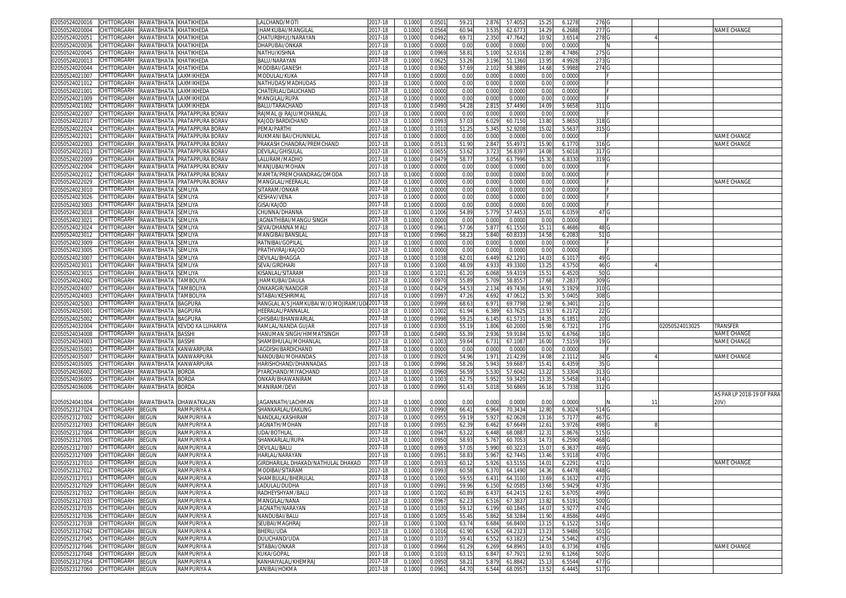| 02050524020016                                     | CHITTORGARH       | RAWATBHATA KHATIKHEDA |                              | LALCHAND/MOTI                        | 2017-18            | 0.100            | 0.050            | $59.2^{\circ}$ | 2.876         | 57.405            | 15.25          | 6.127            | 276 0                     |    |                |                           |
|----------------------------------------------------|-------------------|-----------------------|------------------------------|--------------------------------------|--------------------|------------------|------------------|----------------|---------------|-------------------|----------------|------------------|---------------------------|----|----------------|---------------------------|
| 02050524020004                                     | CHITTORGARH       | RAWATBHATA KHATIKHEDA |                              | IHAMKUBAI/MANGILAL                   | 2017-18            | 0.1000           | 0.0564           | 60.94          | 3.53          | 62.677            | 14.29          | 6.2688           | 277(                      |    |                | NAME CHANGE               |
| 0205052402005                                      | CHITTORGARH       | RAWATBHATA KHATIKHEDA |                              | CHATURBHUJ/NARAYAN                   | 2017-18            | 0.1000           | 0.049            | 69.7           | 2.350         | 47.764            | 10.92          | 3.651            | 278                       |    |                |                           |
| 02050524020036                                     | CHITTORGARH       | RAWATBHATA KHATIKHEDA |                              | DHAPUBAI/ONKAR                       | 2017-18            | 0.100            | 0.0000           | 0.0            | 0.000         | 0.000             | 0.00           | 0.000            |                           |    |                |                           |
|                                                    |                   |                       |                              |                                      |                    |                  |                  |                |               |                   |                |                  |                           |    |                |                           |
| 02050524020045                                     | CHITTORGARH       | RAWATBHATA KHATIKHEDA |                              | NATHU/KISHNA                         | 2017-18            | 0.100            | 0.096            | 58.8           | 5.100         | 52.631            | 12.8           | 4.7486           | 275                       |    |                |                           |
| 02050524020013                                     | CHITTORGARH       | RAWATBHATA KHATIKHEDA |                              | BALU/NARAYAN                         | 2017-18            | 0.100            | 0.062            | 53.2           | 3.196         | 51.136            | 13.9           | 4.992            | 273                       |    |                |                           |
| 02050524020044                                     | CHITTORGARH       | RAWATBHATA            | KHATIKHEDA                   | MODIBAI/GANESH                       | 2017-18            | 0.100            | 0.036            | 57.6           | 2.10          | 58.388            | 14.68          | 5.998            | 274                       |    |                |                           |
| 02050524021007                                     | CHITTORGARH       | RAWATBHATA            | <b>LAXMIKHEDA</b>            | MODULAL/KUKA                         | 2017-18            | 0.1000           | 0.000            | 0.01           | 0.000         | 0.000             | 0.00           | 0.000            |                           |    |                |                           |
| 02050524021012                                     | CHITTORGARH       | RAWATBHATA LAXMIKHEDA |                              | NATHUDAS/MADHUDAS                    | 2017-18            | 0.100            | 0.000            | 0.00           | 0.001         | 0.000             | 0.00           | 0.000            |                           |    |                |                           |
| 02050524021001                                     | CHITTORGARH       | RAWATBHATA LAXMIKHEDA |                              | CHATERLAL/DALICHAND                  | 017-18             | 0.1000           | 0.000            | 0.01           | 0.000         | 0.000             | 0.00           | 0.000            |                           |    |                |                           |
| 02050524021009                                     | CHITTORGARH       | RAWATBHATA            | LAXMIKHEDA                   | MANGILAL/RUPA                        | 2017-18            | 0.100            | 0.000            | 0.01           | 0.000         | 0.000             | 0.00           | 0.000            |                           |    |                |                           |
| 02050524021002                                     | CHITTORGARH       | RAWATBHATA            | LAXMIKHEDA                   | BALU/TARACHAND                       | 2017-18            | 0.1000           | 0.0490           | 54.2           | 2.81          | 57.449            | 14.09          | 5.665            | 3111                      |    |                |                           |
|                                                    |                   |                       |                              |                                      |                    |                  |                  |                |               |                   |                |                  |                           |    |                |                           |
| 02050524022007                                     | CHITTORGARH       | RAWATBHATA            | PRATAPPURA BORAV             | RAJMAL @ RAJU/MOHANLAL               | 2017-18            | 0.100            | 0.000            | 0.0            | 0.001         | 0.000             | 0.00           | 0.000            |                           |    |                |                           |
| 0205052402201                                      | CHITTORGARH       | RAWATBHATA            | PRATAPPURA BORAV             | KAJOD/BARDICHAND                     | 2017-18            | 0.100            | 0.099            | 57.0           | 6.02          | 60.715            | 13.8           | 5.865            | 318                       |    |                |                           |
| 02050524022024                                     | CHITTORGARH       | RAWATBHATA            | PRATAPPURA BORA\             | PEMA/PARTHI                          | 2017-18            | 0.100            | 0.101            | 51.2           | 5.345         | 52.920            | 15.0           | 5.563            | 315                       |    |                |                           |
| 02050524022021                                     | CHITTORGARH       | RAWATBHATA            | PRATAPPURA BORAV             | RUKMANI BAI/CHUNNILAL                | 2017-18            | 0.1000           | 0.000            | 0.0            | 0.000         | 0.000             | 0.00           | 0.000            |                           |    |                | NAME CHANGE               |
| 02050524022003                                     | CHITTORGARH       | RAWATBHATA            | PRATAPPURA BORAY             | PRAKASH CHANDRA/PREMCHAND            | 017-18             | 0.100            | 0.051            | 51.9           | 2.84          | 55.497            | 15.9           | 6.177            | 316                       |    |                | NAME CHANGE               |
| 02050524022013                                     | CHITTORGARH       |                       | RAWATBHATA PRATAPPURA BORAV  | DEVILAL/GHISULAL                     | 2017-18            | 0.1000           | 0.065            | 53.6           | 3.72          | 56.839            | 14.08          | 5.6018           | 317                       |    |                |                           |
| 02050524022009                                     | CHITTORGARH       |                       | RAWATBHATA PRATAPPURA BORAV  | LALURAM/MADHO                        | 2017-18            | 0.1000           | 0.047            | 58.7           | 3.056         | 63.799            | 15.30          | 6.833            | 319 <sub>C</sub>          |    |                |                           |
|                                                    |                   |                       |                              |                                      |                    |                  |                  |                |               |                   |                |                  |                           |    |                |                           |
| 02050524022004                                     | CHITTORGARH       |                       | RAWATBHATA PRATAPPURA BORAV  | MANJUBAI/MOHAN                       | 2017-18            | 0.100            | 0.000            | 0.0            | 0.000         | 0.000             | 0.00           | 0.000            |                           |    |                |                           |
| 02050524022012                                     | CHITTORGARH       | RAWATBHATA            | PRATAPPURA BORA\             | MAMTA/PREMCHANDRAG/DMODA             | 017-18             | 0.100            | 0.000            | 0.01           | 0.000         | 0.000             | 0.00           | 0.0000           |                           |    |                |                           |
| 02050524022029                                     | CHITTORGARH       |                       | RAWATBHATA PRATAPPURA BORAV  | MANGILAL/HEERALAL                    | 2017-18            | 0.1000           | 0.0000           | 0.0            | 0.000         | 0.000             | 0.00           | 0.0000           |                           |    |                | NAME CHANGE               |
| 02050524023010                                     | CHITTORGARH       | RAWATBHATA SEMLIYA    |                              | SITARAM/ONKAR                        | 2017-18            | 0.1000           | 0.000            | 0.01           | 0.000         | 0.000             | 0.00           | 0.0000           |                           |    |                |                           |
| 02050524023026                                     | CHITTORGARH       | RAWATBHATA            | SEMLIYA                      | KESHAV/VENA                          | 2017-18            | 0.100            | 0.000            | 0.0            | 0.000         | 0.000             | 0.00           | 0.000            |                           |    |                |                           |
| 02050524023003                                     | CHITTORGARH       | RAWATBHATA            | <b>SEMLIYA</b>               | <b>GISA/KAJOD</b>                    | 2017-18            | 0.1000           | 0.000            | 0.01           | 0.000         | 0.000             | 0.00           | 0.000            |                           |    |                |                           |
| 02050524023018                                     | CHITTORGARH       | RAWATBHATA            | SEMLIYA                      | CHUNNA/DHANNA                        | 2017-18            | 0.100            | 0.100(           | 54.8           | 5.779         | 57.445            |                | 6.035            | 47 G                      |    |                |                           |
|                                                    |                   |                       |                              |                                      |                    |                  |                  |                |               |                   | 15.0           |                  |                           |    |                |                           |
| 02050524023021                                     | CHITTORGARH       | RAWATBHATA SEMLIYA    |                              | IAGNATHIBAI/MANGU SINGH              | 2017-18            | 0.1000           | 0.0000           | 0.0            | 0.000         | 0.000             | 0.00           | 0.000            |                           |    |                |                           |
| 02050524023024                                     | CHITTORGARH       | RAWATBHATA            | SEMLIYA                      | SEVA/DHANNA MALI                     | 2017-18            | 0.100            | 0.096            | 57.0           | 5.87          | 61.155            | 15.11          | 6.4686           | 48 G                      |    |                |                           |
| 02050524023012                                     | CHITTORGARH       | RAWATBHATA            | SEMLIYA                      | VIANGIBAI/BANSILAI                   | 2017-18            | 0.100            | 0.096            | 58.2           | 5.840         | 60.833            | 14.58          | 6.208            | 51 0                      |    |                |                           |
| 02050524023009                                     | CHITTORGARH       | RAWATBHATA            | SEMLIYA                      | RATNIBAI/GOPILAL                     | 2017-18            | 0.1000           | 0.000            | 0.0            | 0.000         | 0.000             | 0.00           | 0.000            |                           |    |                |                           |
| 02050524023005                                     | CHITTORGARH       | RAWATBHATA            | SEMLIYA                      | PRATHVIRAJ/KAJOD                     | 017-18             | 0.100            | 0.000            | 0.01           | 0.000         | 0.000             | 0.00           | 0.0000           |                           |    |                |                           |
| 02050524023007                                     | CHITTORGARH       | RAWATBHATA            | SEMLIYA                      |                                      | 2017-18            | 0.100            | 0.103            | 62.0           | 6.449         |                   | 14.0           |                  | 49 0                      |    |                |                           |
|                                                    |                   |                       |                              | DEVILAL/BHAGGA                       |                    |                  |                  |                |               | 62.129            |                | 6.101            |                           |    |                |                           |
| 02050524023011                                     | CHITTORGARH       | RAWATBHATA            | SEMLIYA                      | SEVA/GIRDHARI                        | 017-18             | 0.1000           | 0.100            | 48.0           | 4.93          | 49.330            | 13.2           | 4.575            | 46 <sub>C</sub>           |    |                |                           |
| 02050524023015                                     | CHITTORGARH       | RAWATBHATA            | SEMLIYA                      | KISANLAL/SITARAM                     | 2017-18            | 0.100            | 0.102            | 61.2           | 6.068         | 59.431            | 15.5           | 6.452            | 50                        |    |                |                           |
| 02050524024002                                     | CHITTORGARH       | RAWATBHATA TAMBOLIYA  |                              | <b>HAMKUBAI/DAULA</b>                | 2017-18            | 0.1000           | 0.097            | 55.8           | 5.709         | 58.855            | 17.68          | 7.283            | 309                       |    |                |                           |
| 02050524024007                                     | CHITTORGARH       | RAWATBHATA TAMBOLIYA  |                              | ONKARGIR/NANDGIF                     | 2017-18            | 0.100            | 0.042            | 54.5           | 2.13          | 49.743            | 14.9           | 5.192            | 310 <sub>1</sub>          |    |                |                           |
|                                                    |                   |                       |                              |                                      |                    |                  |                  |                |               |                   |                |                  |                           |    |                |                           |
|                                                    |                   |                       |                              |                                      |                    |                  |                  |                |               |                   |                |                  |                           |    |                |                           |
| 02050524024003                                     | CHITTORGARH       | RAWATBHATA            | <b>TAMBOLIYA</b>             | SITABAI/KESHRIMAI                    | 2017-18            | 0.100            | 0.099            | 47.2           | 4.692         | 47.061            | 15.3           | 5.040            | 308                       |    |                |                           |
| 02050524025003                                     | CHITTORGARH       | RAWATBHATA            | <b>BAGPURA</b>               | RANGLAL A/S JHAMKUBAI W/O MOJIRAM/UI | 2017-18            | 0.100            | 0.099            | 68.6           | 6.97          | 69.779            | 12.98          | 6.3401           | 21 <sub>0</sub>           |    |                |                           |
| 02050524025001                                     | CHITTORGARH       | RAWATBHATA BAGPURA    |                              | HEERALAL/PANNALAL                    | 2017-18            | 0.1000           | 0.100            | 61.9           | 6.389         | 63.762            | 13.9           | 6.217            | 22(                       |    |                |                           |
| 02050524025002                                     | CHITTORGARH       | RAWATBHATA            | <b>BAGPURA</b>               | GHISIBAI/BHANWARLAI                  | 017-18             | 0.100            | 0.099            | 59.2           | 6.14          | 61.573            | 14.3           | 6.185            | 20 <sub>0</sub>           |    |                |                           |
| 02050524032004                                     | CHITTORGARH       |                       | RAWATBHATA KEVDO KA LUHARIYA | RAMLAL/NANDA GUJAR                   | 2017-18            | 0.100            | 0.030            | 55.1           | 1.806         | 60.200            | 15.98          | 6.7321           | 17 <sub>0</sub>           |    | 02050524013025 | TRANSFER                  |
| 02050524034008                                     | CHITTORGARH       | RAWATBHATA            | <b>BASSHI</b>                | HANUMAN SINGH/HIMMATSINGH            | 2017-18            | 0.100            | 0.049            | 55.3           | 2.936         | 59.918            | 15.92          | 6.6766           | 18 <sub>0</sub>           |    |                | NAME CHANGE               |
|                                                    | CHITTORGARH       |                       |                              |                                      | 2017-18            |                  |                  |                |               |                   |                |                  |                           |    |                | NAME CHANGE               |
| 02050524034003                                     |                   | RAWATBHATA BASSHI     |                              | SHAMBHULAL/MOHANLAL                  |                    | 0.100            | 0.100            | 59.6           | 6.73          | 67.108            | 16.00          | 7.5159           | 19 G                      |    |                |                           |
| 02050524035001                                     | CHITTORGARH       | RAWATBHATA KANWARPURA |                              | IAGDISH/BARDICHAND                   | 2017-18            | 0.100            | 0.000            | 0.0            | 0.000         | 0.000             | 0.00           | 0.0000           |                           |    |                |                           |
| 02050524035007                                     | CHITTORGARH       | RAWATBHATA KANWARPURA |                              | NANDUBAI/MOHANDAS                    | 2017-18            | 0.1000           | 0.0920           | 54.9           | 1.97          | 21.423            | 14.08          | 2.111            | 34 G                      |    |                | NAME CHANGE               |
| 02050524035005                                     | CHITTORGARH       | RAWATBHATA KANWARPURA |                              | HARISHCHAND/DHANNADAS                | 2017-18            | 0.1000           | 0.0996           | 58.2           | 5.943         | 59.668            | 15.4           | 6.435            | 35 G                      |    |                |                           |
| 02050524036002                                     | CHITTORGARH       | RAWATBHATA            | <b>BORDA</b>                 | PYARCHAND/MIYACHAND                  | 2017-18            | 0.100            | 0.096            | 56.5           | 5.530         | 57.604            | 13.2           | 5.330            | 313 <sub>C</sub>          |    |                |                           |
| 02050524036005                                     | CHITTORGARH       | RAWATBHATA            | <b>BORDA</b>                 | ONKAR/BHAWANIRAM                     | 2017-18            | 0.100            | 0.100            | 62.7           | 5.952         | 59.342            | 13.3           | 5.5458           | 3140                      |    |                |                           |
|                                                    | CHITTORGARH       |                       |                              |                                      | 2017-18            |                  |                  |                |               |                   |                |                  |                           |    |                |                           |
| 02050524036006                                     |                   | RAWATBHATA            | <b>BORDA</b>                 | MANIRAM/DEVI                         |                    | 0.1000           | 0.099            | 51.4           | 5.01          | 50.686            | 16.16          | 5.733            | 3121                      |    |                |                           |
|                                                    |                   |                       |                              |                                      |                    |                  |                  |                |               |                   |                |                  |                           |    |                | AS PAR LP 2018-19 OF PARA |
| 02050524041004                                     | CHITTORGARH       |                       | RAWATBHATA DHAWATKALAN       | IAGANNATH/LACHMAN                    | 2017-18            | 0.1000           | 0.0000           | 0.00           | 0.000         | 0.000             | 0.00           | 0.000            |                           | 11 |                | 2(IV)                     |
| 02050523127024                                     | CHITTORGARH       | <b>BEGUN</b>          | RAMPURIYA A                  | SHANKARLAL/EAKLING                   | 2017-18            | 0.1000           | 0.099            | 66.4           | 6.964         | 70.343            | 12.80          | 6.302            | 5141                      |    |                |                           |
| 02050523127002                                     | CHITTORGARH       | BEGUN                 | RAMPURIYA A                  | NANDLAL/KASHIRAM                     | 2017-18            | 0.100            | 0.095            | 59.1           | 5.92          | 62.062            | 13.16          | 5.717            | 467                       |    |                |                           |
| 02050523127003                                     | CHITTORGARH       | BEGUN                 | RAMPURIYA A                  | <b>JAGNATH/MOHAN</b>                 | 2017-18            | 0.1000           | 0.095            | 62.3           | 6.462         | 67.664            | 12.61          | 5.9726           | 498                       |    |                |                           |
|                                                    | CHITTORGARH       | BEGUN                 | RAMPURIYA A                  | <b>UDA/BOTHLAL</b>                   | 2017-18            | 0.100            | 0.094            | 63.2           | 6.448         | 68.088            |                | 5.867            |                           |    |                |                           |
| 02050523127004                                     |                   |                       |                              |                                      |                    |                  |                  |                |               |                   | 12.3           |                  | 515                       |    |                |                           |
| 02050523127005                                     | CHITTORGARH       | BEGUN                 | RAMPURIYA A                  | SHANKARLAL/RUPA                      | 017-18             | 0.1000           | 0.095            | 58.9           | 5.76          | 60.705            | 14.73          | 6.259            | 468                       |    |                |                           |
| 02050523127007                                     | CHITTORGARH       | <b>EGUN</b>           | RAMPURIYA A                  | DEVILAL/BALL                         | 017-18             | 0.100            | 0.099            | 57.0           | 5.99          | 60.322            | 15.0           | 6.363            | 469                       |    |                |                           |
| 02050523127009                                     | CHITTORGARH       | <b>BEGUN</b>          | RAMPURIYA A                  | HARLAL/NARAYAN                       | 2017-18            | 0.100            | 0.095            | 58.8           | 5.96          | 62.744            | 13.46          | 5.911            | 470                       |    |                |                           |
| 02050523127010                                     | CHITTORGARH       | <b>BEGUN</b>          | RAMPURIYA A                  | GIRDHARILAL DHAKAD/NATHULAL DHAKAD   | 2017-18            | 0.100            | 0.093            | 60.1           | 5.926         | 63.515            | 14.0           | 6.229            | 471                       |    |                | NAMF CHANGF               |
| 02050523127012 CHILLORGARH BEGUN                   |                   |                       | RAMPURIYA A                  | VIODIBAI/SI LARAM                    | 2017-18            | 0.1000           | 0.0993           | 60.58          | 6.370         | 64.1490           | 14.36          | 6.4478           | 4481                      |    |                |                           |
| 02050523127013                                     | CHITTORGARH BEGUN |                       | RAMPURIYA A                  | SHAMBULAL/BHERULAL                   | 2017-18            | 0.1000           | 0.1000           | 59.5           | 6.431         | 64.3100           | 13.69          | 6.1632           | 472                       |    |                |                           |
| 02050523127029                                     | CHITTORGARH       | BEGUN                 |                              | LADULAL/DUDHA                        |                    | 0.1000           | 0.099            | 59.96          | 6.150         |                   |                |                  | 473                       |    |                |                           |
|                                                    |                   |                       | RAMPURIYA A                  |                                      | 2017-18            |                  |                  |                |               | 62.058            | 13.68          | 5.9429           |                           |    |                |                           |
| 02050523127032                                     | CHITTORGARH       | <b>BEGUN</b>          | RAMPURIYA A                  | RADHEYSHYAM/BALU                     | 2017-18            | 0.1000           | 0.1002           | 60.8           | 6.43          | 64.241            | 12.61          | 5.6705           | 499                       |    |                |                           |
| 02050523127033                                     | CHITTORGARH       | BEGUN                 | RAMPURIYA A                  | MANGILAL/NANA                        | 2017-18            | 0.1000           | 0.0967           | 62.2           | 6.516         | 67.383            | 13.82          | 6.5191           | 500                       |    |                |                           |
| 02050523127035                                     | CHITTORGARH       | BEGUN                 | RAMPURIYA A                  | IAGNATH/NARAYAN                      | 2017-18            | 0.1000           | 0.1030           | 59.1           | 6.199         | 60.184            | 14.0           | 5.9277           | 4740                      |    |                |                           |
| 02050523127036                                     | CHITTORGARH       | <b>BEGUN</b>          | RAMPURIYA A                  | NANDUBAI/BALU                        | 2017-18            | 0.1000           | 0.1005           | 55.4           | 5.862         | 58.328            | 11.90          | 4.8586           | 449 G                     |    |                |                           |
| 02050523127038                                     | CHITTORGARH       | <b>BEGUN</b>          | RAMPURIYA A                  | SEUBAI/MAGHRAJ                       | 2017-18            | 0.1000           | 0.1000           | 63.7           | 6.684         | 66.840            | 13.15          | 6.1522           | 516 G                     |    |                |                           |
| 02050523127042                                     | CHITTORGARH       | <b>BEGUN</b>          | RAMPURIYA A                  | BHERU/UDA                            | 2017-18            | 0.1000           | 0.1016           | 61.90          | 6.526         | 64.232            | 13.23          | 5.9486           | 501 G                     |    |                |                           |
|                                                    |                   |                       |                              |                                      |                    |                  |                  |                |               |                   |                |                  |                           |    |                |                           |
| 02050523127045                                     | CHITTORGARH BEGUN |                       | RAMPURIYA A                  | DULICHAND/UDA                        | 2017-18            | 0.1000           | 0.1037           | 59.4           | 6.552         | 63.182            | 12.54          | 5.5462           | 475 G                     |    |                |                           |
| 02050523127046                                     | CHITTORGARH BEGUN |                       | RAMPURIYA A                  | SITABAI/ONKAR                        | 2017-18            | 0.1000           | 0.0966           | 61.29          | 6.269         | 64.896            | 14.03          | 6.3736           | 476 G                     |    |                | NAME CHANGE               |
| 02050523127048                                     | CHITTORGARH BEGUN |                       | RAMPURIYA A                  | KUKA/GOPAL                           | 2017-18            | 0.1000           | 0.1010           | 63.1           | 6.847         | 67.7921           | 12.91          | 6.1266           | 502 G                     |    |                |                           |
| 02050523127054<br>02050523127060 CHITTORGARH BEGUN | CHITTORGARH       | <b>BEGUN</b>          | RAMPURIYA A<br>RAMPURIYA A   | KANHAIYALAL/KHEMRAJ<br>JANIBAI/HOKMA | 2017-18<br>2017-18 | 0.1000<br>0.1000 | 0.0950<br>0.0961 | 58.2<br>64.70  | 5.87<br>6.544 | 61.884<br>68.0957 | 15.13<br>13.52 | 6.5544<br>6.4445 | 477 G<br>517 <sub>G</sub> |    |                |                           |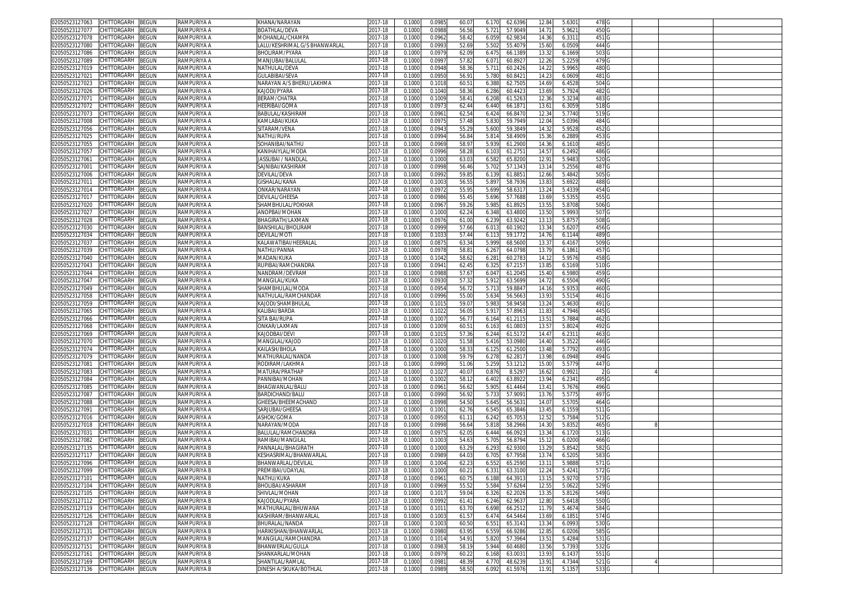| CHITTORGARH<br>BEGUN<br>02050523127063        | RAMPURIYA A | KHANA/NARAYAN                 | 2017-18     | 0.1000 | 0.098  | 60.0  | 62.6396<br>6.170 | 12.84             | 5.630  | 478 G            |  |  |
|-----------------------------------------------|-------------|-------------------------------|-------------|--------|--------|-------|------------------|-------------------|--------|------------------|--|--|
| 02050523127077<br>CHITTORGARH<br>BEGUN        | RAMPURIYA A | BOATHLAL/DEVA                 | 2017-18     | 0.1000 | 0.0988 | 56.56 | 5.721<br>57.9049 | 14.71             | 5.9621 | 450              |  |  |
| CHITTORGARH                                   |             |                               |             |        |        | 58.42 |                  |                   |        |                  |  |  |
| 02050523127078<br>3EGUN                       | RAMPURIYA A | MOHANLAL/CHAMPA               | 2017-18     | 0.1000 | 0.096  |       | 6.059<br>62.983  | 14.36             | 6.3311 | 451 G            |  |  |
| CHITTORGARH<br>BEGUN<br>02050523127080        | RAMPURIYA A | LALU/KESHRIMAL G/S BHANWARLAI | 2017-18     | 0.1000 | 0.099  | 52.69 | 5.502<br>55.407  | 15.60             | 6.0509 | 444 G            |  |  |
| 02050523127086<br>CHITTORGARH<br>BEGUN        | RAMPURIYA A | BHOLIRAM/PYARA                | 2017-18     | 0.100  | 0.097  | 62.09 | 6.475<br>66.138  | 13.3              | 6.1669 | 503              |  |  |
| 02050523127089<br>CHITTORGARH<br>BEGUN        | RAMPURIYA A | MANJUBAI/BALULAL              | 017-18      | 0.100  | 0.099  | 57.8  | 6.07<br>60.892   | 12.26             | 5.2259 | 479 G            |  |  |
| CHITTORGARH<br>02050523127019<br>3EGUN        | RAMPURIYA A | NATHULAL/DEVA                 | 2017-18     | 0.100  | 0.094  | 58.36 | 5.711<br>60.242  | 14.2              | 5.9965 | 480              |  |  |
| 02050523127021<br>CHITTORGARH<br>3EGUN        | RAMPURIYA A | GULABIBAI/SEVA                | 2017-18     | 0.100  | 0.095  | 56.9  | 5.780<br>60.842  | 14.23             | 6.0609 | 481 G            |  |  |
|                                               |             |                               |             |        |        |       |                  |                   |        |                  |  |  |
| 02050523127023<br>CHITTORGARH<br>BEGUN        | RAMPURIYA A | NARAYAN A/S BHERU/LAKHMA      | 017-18      | 0.100  | 0.101  | 60.5  | 6.38<br>62.750   | 14.69             | 6.452  | 504 G            |  |  |
| 02050523127026<br>CHITTORGARH<br>BEGUN        | RAMPURIYA A | KAJODI/PYARA                  | 017-18      | 0.1000 | 0.1040 | 58.36 | 60.442<br>6.286  | 13.69             | 5.7924 | 482 G            |  |  |
| 02050523127071<br>CHITTORGARH<br>3EGUN        | RAMPURIYA A | BERAM/CHATRA                  | 2017-18     | 0.100  | 0.1009 | 58.4  | 6.208<br>61.526  | 12.3              | 5.3234 | 483              |  |  |
| 02050523127072<br>CHITTORGARH<br>BEGUN        | RAMPURIYA A | <b>IEERIBAI/GOMA</b>          | 017-18      | 0.100  | 0.097  | 62.44 | 6.440<br>66.187  | 13.6              | 6.3059 | 518 <sub>G</sub> |  |  |
| CHITTORGARH<br>02050523127073<br>BEGUN        | RAMPURIYA A | BABULAL/KASHIRAN              | 2017-18     | 0.100  | 0.096  | 62.5  | 6.42<br>66.847   | 12.3              | 5.7740 | 5190             |  |  |
| CHITTORGARH<br>BEGUN<br>02050523127008        | RAMPURIYA A | KAMLABAI/KUKA                 | 2017-18     | 0.1000 | 0.097  | 57.48 | 59.794<br>5.83   | 12.04             | 5.0396 | 484              |  |  |
| 02050523127056<br>CHITTORGARH<br>3EGUN        | RAMPURIYA A | SITARAM/VENA                  | 017-18      | 0.100  | 0.094  | 55.2  | 59.384<br>5.600  | 14.3              | 5.9528 | 452              |  |  |
|                                               |             |                               |             |        |        |       |                  |                   |        |                  |  |  |
| CHITTORGARH<br>02050523127025<br>BEGUN        | RAMPURIYA A | NATHU/RUPA                    | 2017-18     | 0.1000 | 0.0994 | 56.84 | 5.814<br>58.490  | 15.36             | 6.2889 | 453              |  |  |
| 02050523127055<br>CHITTORGARH<br>3EGUN        | RAMPURIYA A | <b>SOHANIBAI/NATHU</b>        | 017-18      | 0.100  | 0.096  | 58.9  | 5.93<br>61.290   | 14.3              | 6.1610 | 485              |  |  |
| CHITTORGARH<br>02050523127057<br>BEGUN        | RAMPURIYA A | KANIHAIYLAL/MODA              | 2017-18     | 0.1000 | 0.0996 | 58.28 | 6.103<br>61.275  | 14.57             | 6.2492 | 486 G            |  |  |
| CHITTORGARH<br>BEGUN<br>02050523127061        | RAMPURIYA A | JASSUBAI / NANDLAI            | 2017-18     | 0.1000 | 0.1000 | 63.0  | 6.582<br>65.820  | 12.91             | 5.9483 | 520 <sub>G</sub> |  |  |
| CHITTORGARH<br>BEGUN<br>02050523127001        | RAMPURIYA A | SAJNIBAI/KASHIRAM             | 2017-18     | 0.1000 | 0.0998 | 56.46 | 5.702<br>57.134  | 13.1              | 5.2556 | 487 G            |  |  |
| CHITTORGARH<br>BEGUN<br>02050523127006        | RAMPURIYA A | DEVILAL/DEVA                  | 2017-18     | 0.1000 | 0.0992 | 59.8  | 6.139<br>61.885  | 12.66             | 5.4842 | 505 <sub>G</sub> |  |  |
| 02050523127011<br>CHITTORGARH<br>3EGUN        | RAMPURIYA A | GISHALAL/KANA                 | 2017-18     | 0.1000 | 0.100  | 56.5  | 5.897<br>58.793  | 13.83             | 5.6922 | 488 G            |  |  |
| CHITTORGARH<br>BEGUN<br>02050523127014        | RAMPURIYA A | ONKAR/NARAYAN                 | 2017-18     | 0.1000 | 0.097  | 55.9  | 5.699<br>58.631  | 13.24             | 5.4339 | 454 G            |  |  |
|                                               | RAMPURIYA A |                               |             | 0.1000 | 0.0986 | 55.4  | 5.696<br>57.768  | 13.69             | 5.5355 | 455 G            |  |  |
| 02050523127017<br>CHITTORGARH<br>BEGUN        |             | DEVILAL/GHEESA                | 2017-18     |        |        |       |                  |                   |        |                  |  |  |
| 02050523127020<br>CHITTORGARH<br>BEGUN        | RAMPURIYA A | SHAMBHULAL/POKHAR             | 2017-18     | 0.1000 | 0.0967 | 59.26 | 5.98<br>61.892   | 13.5              | 5.8708 | 506 <sub>G</sub> |  |  |
| CHITTORGARH<br>3EGUN<br>02050523127027        | RAMPURIYA A | ANOPBAI/MOHAN                 | 2017-18     | 0.100  | 0.1000 | 62.24 | 6.348<br>63.480  | 13.5              | 5.9993 | 5070             |  |  |
| CHITTORGARH<br>BEGUN<br>02050523127028        | RAMPURIYA A | BHAGIRATH/LAXMAN              | 2017-18     | 0.1000 | 0.0976 | 61.00 | 6.239<br>63.924  | 13.1              | 5.8757 | 508 <sub>G</sub> |  |  |
| CHITTORGARH<br>BEGUN<br>02050523127030        | RAMPURIYA A | BANSHILAL/BHOLIRAN            | 2017-18     | 0.100  | 0.0999 | 57.66 | 6.01<br>60.190   | 13.3              | 5.620  | 456 G            |  |  |
| 02050523127034<br>CHITTORGARH<br>BEGUN        | RAMPURIYA A | DEVILAL/MOTI                  | 2017-18     | 0.1000 | 0.103  | 57.44 | 6.11<br>59.177   | 14.76             | 6.1144 | 489 G            |  |  |
| CHITTORGARH<br>3EGUN<br>02050523127037        | RAMPURIYA A | KALAWATIBAI/HEERALAI          | 2017-18     | 0.1000 | 0.087  | 63.34 | 5.999<br>68.560  | 13.37             | 6.4167 | 509 <sub>G</sub> |  |  |
| CHITTORGARH                                   |             |                               | 2017-18     |        |        |       |                  |                   |        |                  |  |  |
| 02050523127039<br>BEGUN                       | RAMPURIYA A | NATHU/PANNA                   |             | 0.1000 | 0.097  | 58.8  | 6.267<br>64.079  | 13.79             | 6.1861 | 457 G            |  |  |
| 02050523127040<br>CHITTORGARH<br>3EGUN        | RAMPURIYA A | MADAN/KUKA                    | 017-18      | 0.100  | 0.104  | 58.6  | 6.28<br>60.278   | 14.1              | 5.957  | 458              |  |  |
| 02050523127043<br>CHITTORGARH<br>BEGUN        | RAMPURIYA A | RUPIBAI/RAMCHANDRA            | 017-18      | 0.100  | 0.094  | 62.4  | 6.32<br>67.215   | 13.8              | 6.5169 | 510 <sub>C</sub> |  |  |
| 02050523127044<br>CHITTORGARH<br>BEGUN        | RAMPURIYA A | NANDRAM/DEVRAM                | 2017-18     | 0.1000 | 0.098  | 57.6  | 6.04<br>61.204   | 15.40             | 6.5980 | 459 <sub>G</sub> |  |  |
| 02050523127047<br>CHITTORGARH<br>BEGUN        | RAMPURIYA A | MANGILAL/KUKA                 | 2017-18     | 0.1000 | 0.093  | 57.32 | 5.912<br>63.569  | 14.7              | 6.5504 | 490 <sub>G</sub> |  |  |
| 02050523127049<br>CHITTORGARH<br>3EGUN        | RAMPURIYA A | SHAMBHULAL/MODA               | 2017-18     | 0.100  | 0.095  | 56.7  | 5.71<br>59.884   | 14.1              | 5.935  | 460              |  |  |
| CHITTORGARH<br>02050523127058<br>BEGUN        | RAMPURIYA A | NATHULAL/RAMCHANDAR           | 2017-18     | 0.1000 | 0.0996 | 55.00 | 5.634<br>56.566  | 13.9              | 5.5154 | 4610             |  |  |
| 02050523127059<br>CHITTORGARH<br>3EGUN        | RAMPURIYA A | KAJODI/SHAMBHULAI             | 017-18      | 0.100  | 0.101  | 59.0  | 58.945<br>5.98   | 13.2              | 5.4630 | 491              |  |  |
|                                               |             |                               |             |        |        |       |                  |                   |        |                  |  |  |
| CHITTORGARH<br>BEGUN<br>02050523127065        | RAMPURIYA A | KALIBAI/BARDA                 | 2017-18     | 0.1000 | 0.102  | 56.0  | 5.91<br>57.896   | 11.83             | 4.7946 | 445              |  |  |
| CHITTORGARH<br>BEGUN<br>02050523127066        | RAMPURIYA A | SITA BAI/RUPA                 | 2017-18     | 0.100  | 0.1007 | 56.7  | 61.211<br>6.164  | 13.51             | 5.7884 | 462              |  |  |
| CHITTORGARH<br>02050523127068<br>3EGUN        | RAMPURIYA A | ONKAR/LAXMAN                  | 2017-18     | 0.1000 | 0.1009 | 60.5  | 6.163<br>61.080  | 13.57             | 5.8024 | 492              |  |  |
| 02050523127069<br>CHITTORGARH<br>BEGUN        | RAMPURIYA A | KAJODBAI/DEVI                 | 017-18      | 0.100  | 0.101  | 57.36 | 6.244<br>61.517  | 14.4              | 6.231  | 463              |  |  |
| CHITTORGARH<br>BEGUN<br>02050523127070        | RAMPURIYA A | MANGILAL/KAJOD                | 2017-18     | 0.1000 | 0.102  | 51.58 | 5.416<br>53.098  | 14.40             | 5.3522 | 446 G            |  |  |
| CHITTORGARH<br>BEGUN<br>02050523127074        | RAMPURIYA A | KAILASH/BHOLA                 | 2017-18     | 0.1000 | 0.1000 | 58.3  | 6.125<br>61.250  | 13.48             | 5.7792 | 493 G            |  |  |
| CHITTORGARH<br>BEGUN<br>02050523127079        | RAMPURIYA A | MATHURALAL/NAND/              | 2017-18     | 0.1000 | 0.1008 | 59.79 | 6.278<br>62.281  | 13.98             | 6.0948 | 494 G            |  |  |
|                                               |             |                               |             |        |        |       |                  |                   |        |                  |  |  |
| BEGUN<br>02050523127081<br>CHITTORGARH        | RAMPURIYA A | RODIRAM/LAKHMA                | 2017-18     | 0.1000 | 0.0990 | 51.06 | 5.259<br>53.1212 | 15.0              | 5.5779 | 447 G            |  |  |
| BEGUN<br>02050523127083<br>CHITTORGARH        | RAMPURIYA A | MATURA/PRATHAP                | 2017-18     | 0.1000 | 0.102  | 40.0  | 0.876<br>8.529   | 16.62             | 0.9921 | 2 G              |  |  |
| 02050523127084<br>CHITTORGARH<br>BEGUN        | RAMPURIYA A | PANNIBAI/MOHAN                | 2017-18     | 0.100  | 0.1002 | 58.1  | 6.402<br>63.892  | 13.94             | 6.2341 | 495 G            |  |  |
| CHITTORGARH<br>3EGUN<br>02050523127085        | RAMPURIYA A | BHAGWANLAL/BALL               | 2017-18     | 0.1000 | 0.096  | 56.62 | 5.905<br>61.4464 | 13.41             | 5.7676 | 496 G            |  |  |
| CHITTORGARH<br>BEGUN<br>02050523127087        | RAMPURIYA A | BARDICHAND/BALU               | 017-18      | 0.1000 | 0.0990 | 56.92 | 5.733<br>57.909  | 13.76             | 5.5775 | 497 G            |  |  |
| 02050523127088<br>CHITTORGARH<br>BEGUN        | RAMPURIYA A | GHEESA/BHEEMACHAND            | 2017-18     | 0.100  | 0.099  | 54.50 | 5.645<br>56.563  | 14.0              | 5.570  | 464 G            |  |  |
| 02050523127091<br>CHITTORGARH<br>BEGUN        | RAMPURIYA A | SARJUBAI/GHEESA               | 2017-18     | 0.100  | 0.100  | 62.76 | 6.54<br>65.384   | 13.45             | 6.1559 | 511 G            |  |  |
| CHITTORGARH<br>3EGUN<br>02050523127016        | RAMPURIYA A | ASHOK/GOMA                    | 2017-18     | 0.100  | 0.095  | 61.1  | 6.242<br>65.705  | 12.5              | 5.7584 | 512 G            |  |  |
|                                               |             |                               |             |        |        |       |                  |                   |        |                  |  |  |
| CHITTORGARH<br>02050523127018<br>BEGUN        | RAMPURIYA A | NARAYAN/MODA                  | 2017-18     | 0.1000 | 0.0998 | 56.64 | 5.818<br>58.2966 | 14.3              | 5.8352 | 465 G            |  |  |
| CHITTORGARH<br>02050523127031<br>BEGUN        | RAMPURIYA A | BALULAL/RAMCHANDRA            | 2017-18     | 0.100  | 0.097  | 62.0  | 6.444<br>66.092  | 13.3              | 6.1720 | 513 <sub>G</sub> |  |  |
| 02050523127082<br>CHITTORGARH<br>BEGUN        | RAMPURIYA A | RAMIBAI/MANGILAL              | 017-18      | 0.1000 | 0.100  | 54.6  | 5.70<br>56.879   | 15.1              | 6.0200 | 466 G            |  |  |
| 02050523127135<br>CHITTORGARH<br>3EGUN        | RAMPURIYA B | PANNALAL/BHAGIRATI            | 2017-18     | 0.100  | 0.100  | 63.2  | 6.29<br>62.930   | 13.2              | 5.854  | 582              |  |  |
| 02050523127117<br>CHITTORGARH<br>BEGUN        | RAMPURIYA B | (ESHASRIMAL/BHANWARLAI        | 017-18      | 0.100  | 0.0989 | 64.0  | 67.795<br>6.705  | 13.7 <sub>•</sub> | 6.520  | 583 G            |  |  |
| 02050523127096<br>CHITTORGARH<br>BEGUN        | RAMPURIYA B | BHANWARLAL/DEVILA             | 2017-18     | 0.1000 | 0.1004 | 62.2  | 6.55<br>65.259   | 13.1              | 5.988  | 571 G            |  |  |
| 02050523127099 CHILLORGARH BEGUN              | RAMPURIYA B | PREMIBAI/UDAYLAL              | 2017-18     | 0.1000 | 0.1000 | 60.2  | 6.331<br>63.3100 | 12.24             | 5.4241 | 572IG            |  |  |
| 02050523127101<br>CHITTORGARH<br><b>BEGUN</b> | RAMPURIYA B | NATHU/KUKA                    | 2017-18     | 0.1000 | 0.0961 | 60.75 | 6.188<br>64.3913 | 13.15             | 5.9270 | 573 G            |  |  |
| 02050523127104                                |             |                               |             |        |        |       |                  |                   |        |                  |  |  |
| CHITTORGARH<br>BEGUN                          | RAMPURIYA B | BHOLIBAI/ASHARAM              | 2017-18     | 0.1000 | 0.0969 | 55.52 | 5.584<br>57.6264 | 12.55             | 5.0622 | 529 G            |  |  |
| BEGUN<br>02050523127105<br>CHITTORGARH        | RAMPURIYA B | SHIVLAL/MOHAN                 | 2017-18     | 0.1000 | 0.101  | 59.04 | 6.326<br>62.2026 | 13.3              | 5.8126 | 549 G            |  |  |
| 02050523127112<br>CHITTORGARH<br>BEGUN        | RAMPURIYA B | KAJODLAL/PYARA                | 2017-18     | 0.1000 | 0.0992 | 61.4  | 6.246<br>62.963  | 12.80             | 5.6418 | 550 <sub>G</sub> |  |  |
| 02050523127119<br>CHITTORGARH<br>BEGUN        | RAMPURIYA B | MATHURALAL/BHUWANA            | $2017 - 18$ | 0.1000 | 0.101  | 63.70 | 6.698<br>66.2512 | 11.79             | 5.4674 | 584 G            |  |  |
| 02050523127126<br>CHITTORGARH<br>BEGUN        | RAMPURIYA B | KASHIRAM/BHANWARLAL           | 2017-18     | 0.1000 | 0.1003 | 61.5  | 6.474<br>64.5464 | 13.69             | 6.1851 | 574 G            |  |  |
| 02050523127128<br>CHITTORGARH<br>BEGUN        | RAMPURIYA B | BHURALAL/NANDA                | 2017-18     | 0.1000 | 0.1003 | 60.50 | 6.551<br>65.3141 | 13.34             | 6.0993 | 530 <sub>G</sub> |  |  |
| 02050523127131<br>CHITTORGARH<br>BEGUN        | RAMPURIYA B | HARIKISHAN/BHANWARLAL         | 2017-18     | 0.1000 | 0.0980 | 63.9  | 6.559<br>66.9286 | 12.85             | 6.0206 | 585 <sub>G</sub> |  |  |
| 02050523127137<br>CHITTORGARH<br><b>BEGUN</b> | RAMPURIYA B | MANGILAL/RAMCHANDRA           | 2017-18     | 0.1000 | 0.1014 | 54.9  | 5.820<br>57.3964 | 13.51             | 5.4284 | 531 G            |  |  |
|                                               |             |                               |             |        |        |       |                  |                   |        |                  |  |  |
| CHITTORGARH<br>BEGUN<br>02050523127151        | RAMPURIYA B | BHANWERLAL/GULLA              | 2017-18     | 0.1000 | 0.0983 | 58.19 | 5.944<br>60.4680 | 13.56             | 5.7393 | 532 G            |  |  |
| 02050523127161<br>CHITTORGARH<br>BEGUN        | RAMPURIYA B | SHANKARLAL/MOHAN              | 2017-18     | 0.1000 | 0.0979 | 60.22 | 6.168<br>63.003  | 13.93             | 6.1437 | 551 G            |  |  |
| CHITTORGARH<br>02050523127169<br>BEGUN        | RAMPURIYA B | SHANTILAL/RAMLAL              | 2017-18     | 0.1000 | 0.098  | 48.39 | 4.770<br>48.623  | 13.91             | 4.7344 | 521 G            |  |  |
| 02050523127136 CHITTORGARH BEGUN              | RAMPURIYA B | DINESH A/SKUKA/BOTHLAL        | 2017-18     | 0.1000 | 0.0989 | 58.50 | 6.092<br>61.5976 | 11.91             | 5.1357 | 533 G            |  |  |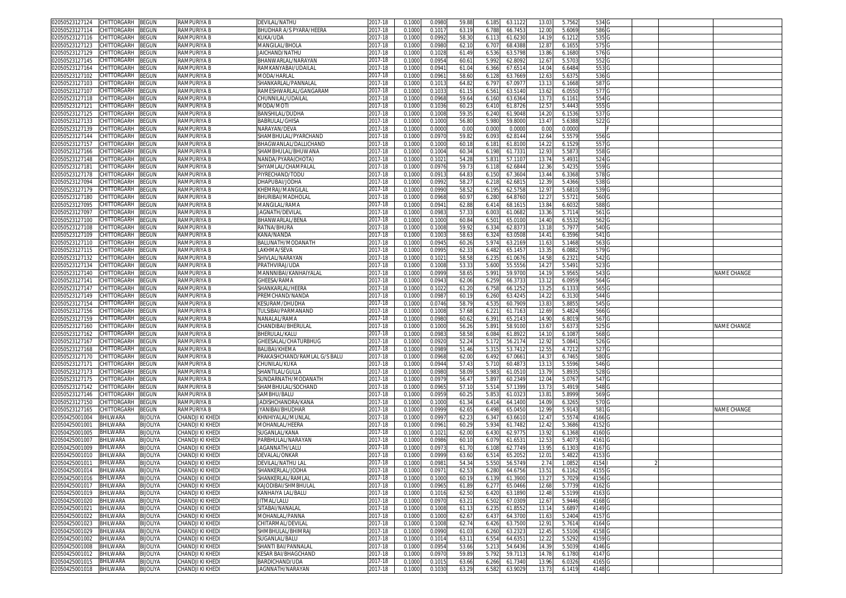| 02050523127124          | CHITTORGARH       | BEGUN           | RAMPURIYA B        | DEVILAL/NATHU                    | 2017-18     | 0.100  | 0.0980 | 59.88 | 6.185 | 63.112  | 13.03  | 5.7562 | 534               |  |             |
|-------------------------|-------------------|-----------------|--------------------|----------------------------------|-------------|--------|--------|-------|-------|---------|--------|--------|-------------------|--|-------------|
| 2050523127114           | CHITTORGARH       | <b>BEGUN</b>    | RAMPURIYA B        | BHUDHAR A/S PYARA/HEERA          | 2017-18     | 0.1000 | 0.101  | 63.1  | 6.788 | 66.745  | 12.00  | 5.6069 | 586'              |  |             |
| )2050523127116          | CHITTORGARH       | <b>EGUN</b>     | RAMPURIYA B        | KUKA/UDA                         | 2017-18     | 0.1000 | 0.099  | 58.3  | 6.11  | 61.623  | 14.19  | 6.1212 | 535 G             |  |             |
| 2050523127123           | CHITTORGARH       | <b>BEGUN</b>    | RAMPURIYA B        | <b>MANGILAL/BHOLA</b>            | 2017-18     | 0.1000 | 0.098  | 62.1  | 6.707 | 68.438  | 12.87  | 6.1655 | 575 G             |  |             |
|                         | CHITTORGARH       |                 |                    |                                  | 2017-18     |        |        |       |       |         |        |        |                   |  |             |
| 02050523127129          |                   | <b>BEGUN</b>    | RAMPURIYA B        | JAICHAND/NATHU                   |             | 0.100  | 0.102  | 61.49 | 6.536 | 63.579  | 13.86  | 6.1680 | 576 G             |  |             |
| 2050523127145           | CHITTORGARH       | <b>BEGUN</b>    | RAMPURIYA B        | BHANWARLAL/NARAYAN               | 2017-18     | 0.100  | 0.095  | 60.6  | 5.992 | 62.809  | 12.6   | 5.5703 | 552               |  |             |
| 02050523127164          | CHITTORGARH       | <b>EGUN</b>     | <b>RAMPURIYA B</b> | RAMKANYABAI/UDAILAL              | $2017 - 18$ | 0.100  | 0.094  | 61.0  | 6.366 | 67.651  | 14.0   | 6.6484 | 553               |  |             |
| 2050523127102           | CHITTORGARH       | <b>EGUN</b>     | RAMPURIYA B        | MODA/HARLAL                      | 2017-18     | 0.1000 | 0.096  | 58.6  | 6.128 | 63.766  | 12.63  | 5.6375 | 536 G             |  |             |
| 02050523127103          | CHITTORGARH       | <b>EGUN</b>     | <b>RAMPURIYA B</b> | SHANKARLAL/PANNALAI              | 2017-18     | 0.100  | 0.101  | 64.8  | 6.79  | 67.097  | 13.1   | 6.1668 | 587               |  |             |
| 2050523127107           | CHITTORGARH       | <b>BEGUN</b>    | RAMPURIYA B        | RAMESHWARLAL/GANGARAM            | 2017-18     | 0.1000 | 0.103  | 61.1! | 6.56  | 63.514  | 13.62  | 6.0550 | 577               |  |             |
| 02050523127118          | CHITTORGARH       | <b>EGUN</b>     | RAMPURIYA B        | CHUNNILAL/UDAILAL                | 2017-18     | 0.100  | 0.096  | 59.6  | 6.160 | 63.636  | 13.7   | 6.1161 | 554               |  |             |
| 02050523127121          | CHITTORGARH       | <b>BEGUN</b>    | RAMPURIYA B        | MODA/MOT                         | 2017-18     | 0.1000 | 0.103  | 60.2  | 6.41  | 61.872  | 12.5   | 5.4443 | 555               |  |             |
| 02050523127125          | CHITTORGARH       | <b>BEGUN</b>    | <b>RAMPURIYA B</b> | BANSHILAL/DUDHA                  | 2017-18     | 0.100  | 0.100  | 59.3  | 6.240 | 61.904  | 14.20  | 6.1536 | 537               |  |             |
| 02050523127133          | CHITTORGARH       | <b>BEGUN</b>    | RAMPURIYA B        | BABRULAL/GHISA                   | 2017-18     | 0.100  | 0.100  | 56.8  | 5.980 | 59.800  | 13.4   | 5.6388 | 522               |  |             |
|                         |                   |                 | <b>RAMPURIYA B</b> |                                  |             |        |        |       |       |         |        |        |                   |  |             |
| 02050523127139          | CHITTORGARH       | <b>BEGUN</b>    |                    | <b>VARAYAN/DEVA</b>              | 2017-18     | 0.100  | 0.000  | 0.0   | 0.000 | 0.000   | 0.00   | 0.0000 |                   |  |             |
| 02050523127144          | CHITTORGARH       | <b>BEGUN</b>    | RAMPURIYA B        | SHAMBHULAL/PYARCHAND             | 2017-18     | 0.1000 | 0.097  | 59.8  | 6.093 | 62.814  | 12.64  | 5.5579 | 556 C             |  |             |
| 2050523127157           | <b>HITTORGARH</b> | <b>EGUN</b>     | RAMPURIYA B        | BHAGWANLAL/DALLICHAND            | 2017-18     | 0.100  | 0.100  | 60.1  | 6.18  | 61.810  | 14.2   | 6.1529 | 557               |  |             |
| 02050523127166          | CHITTORGARH       | BEGUN           | RAMPURIYA B        | SHAMBHULAL/BHUWANA               | 2017-18     | 0.1000 | 0.100  | 60.3  | 6.198 | 61.733  | 12.93  | 5.5873 | 558 <sub>G</sub>  |  |             |
| 02050523127148          | CHITTORGARH       | BEGUN           | RAMPURIYA B        | NANDA/PYARA(CHOTA)               | 2017-18     | 0.1000 | 0.102  | 54.2  | 5.83  | 57.110  | 13.74  | 5.4931 | 524 G             |  |             |
| 02050523127181          | CHITTORGARH       | BEGUN           | RAMPURIYA B        | SHYAMLAL/CHAMPALAI               | 2017-18     | 0.100  | 0.097  | 59.7  | 6.11  | 62.684  | 12.36  | 5.4235 | 559 G             |  |             |
| 2050523127178           | CHITTORGARH       | BEGUN           | RAMPURIYA B        | PIYRECHAND/TODU                  | 2017-18     | 0.100  | 0.091  | 64.8  | 6.150 | 67.360  | 13.44  | 6.3368 | 578 G             |  |             |
| )2050523127094          | CHITTORGARH       | <b>EGUN</b>     | RAMPURIYA B        | DHAPUBAI/JODHA                   | 2017-18     | 0.1000 | 0.099  | 58.2  | 6.21  | 62.681  | 12.39  | 5.4366 | 538 G             |  |             |
| 02050523127179          | CHITTORGARH       | BEGUN           | RAMPURIYA B        | KHEMRAJ/MANGILA                  | 2017-18     | 0.1000 | 0.0990 | 58.5  | 6.195 | 62.575  | 12.97  | 5.6810 | 539 G             |  |             |
| )2050523127180          | CHITTORGARH       | BEGUN           | RAMPURIYA B        | BHURIBAI/MADHOLAI                | 2017-18     | 0.1000 | 0.096  | 60.9  | 6.280 | 64.876  | 12.2   | 5.5721 | 560 <sub>G</sub>  |  |             |
|                         | CHITTORGARH       |                 |                    |                                  | 2017-18     |        |        |       |       |         |        |        |                   |  |             |
| 2050523127095           |                   | <b>BEGUN</b>    | RAMPURIYA B        | MANGILAL/RAMA                    |             | 0.1000 | 0.094  | 62.8  | 6.41  | 68.161  | 13.84  | 6.6032 | 588               |  |             |
| 02050523127097          | CHITTORGARH       | <b>EGUN</b>     | RAMPURIYA B        | JAGNATH/DEVILAI                  | 2017-18     | 0.100  | 0.098  | 57.3  | 6.00  | 61.068  | 13.36  | 5.7114 | 561               |  |             |
| 2050523127100           | CHITTORGARH       | <b>BEGUN</b>    | RAMPURIYA B        | BHANWARLAL/BENA                  | 2017-18     | 0.1000 | 0.100  | 60.8  | 6.501 | 65.010  | 14.40  | 6.5532 | 562 G             |  |             |
| )2050523127108          | CHITTORGARH       | <b>BEGUN</b>    | <b>RAMPURIYA B</b> | RATNA/BHURA                      | 2017-18     | 0.100  | 0.100  | 59.9  | 6.33  | 62.837  | 13.1   | 5.7977 | 540 G             |  |             |
| 2050523127109           | CHITTORGARH       | <b>BEGUN</b>    | RAMPURIYA B        | KANA/NANDA                       | 2017-18     | 0.100  | 0.100  | 58.6  | 6.32  | 63.050  | 14.41  | 6.3596 | 541               |  |             |
| 02050523127110          | CHITTORGARH       | <b>BEGUN</b>    | RAMPURIYA B        | BALUNATH/MODANATH                | 2017-18     | 0.1000 | 0.094  | 60.2  | 5.97  | 63.216  | 11.63  | 5.1468 | 563               |  |             |
| 02050523127115          | CHITTORGARH       | <b>BEGUN</b>    | RAMPURIYA B        | LAKHMA/SEVA                      | 2017-18     | 0.1000 | 0.099  | 62.3  | 6.482 | 65.145  | 13.3   | 6.0882 | 579 G             |  |             |
| 02050523127132          | CHITTORGARH       | <b>EGUN</b>     | RAMPURIYA B        | SHIVLAL/NARAYAN                  | 2017-18     | 0.100  | 0.102  | 58.5  | 6.23  | 61.067  | 14.58  | 6.232  | 542               |  |             |
| 2050523127134           | CHITTORGARH       | <b>EGUN</b>     | <b>RAMPURIYA B</b> | PRATHVIRAJ/UDA                   | 2017-18     | 0.1000 | 0.100  | 53.3  | 5.600 | 55.555  | 14.2   | 5.5491 | 523               |  |             |
| 02050523127140          | CHITTORGARH       | <b>EGUN</b>     | RAMPURIYA B        | MANNNIBAI/KANHAIYALAI            | 2017-18     | 0.1000 | 0.099  | 58.6  | 5.99  | 59.970  | 14.1   | 5.9565 | 543               |  | NAME CHANGE |
| 02050523127141          | CHITTORGARH       | <b>BEGUN</b>    | RAMPURIYA B        | GHEESA/RAMA                      | 2017-18     | 0.1000 | 0.094  | 62.0  | 6.259 | 66.373  | 13.12  | 6.0959 | 564               |  |             |
|                         |                   |                 |                    | SHANKARLAL/HEERA                 |             |        |        |       |       |         |        |        |                   |  |             |
| )2050523127147          | CHITTORGARH       | <b>EGUN</b>     | RAMPURIYA B        |                                  | 2017-18     | 0.100  | 0.102  | 61.2  | 6.75  | 66.125  | 13.2   | 6.133  | 565               |  |             |
| 02050523127149          | CHITTORGARH       | <b>BEGUN</b>    | RAMPURIYA B        | PREMCHAND/NANDA                  | 2017-18     | 0.100  | 0.098  | 60.1  | 6.260 | 63.424  | 14.22  | 6.3130 | 544               |  |             |
| 02050523127154          | <b>HITTORGARH</b> | <b>EGUN</b>     | <b>RAMPURIYA B</b> | <b>KESURAM/DHUDHA</b>            | 2017-18     | 0.100  | 0.074  | 58.7  | 4.53  | 60.790  | 13.8   | 5.8855 | 545               |  |             |
| 02050523127156          | CHITTORGARH       | <b>BEGUN</b>    | RAMPURIYA B        | <b><i>FULSIBAI/PARMANAND</i></b> | 2017-18     | 0.100  | 0.100  | 57.6  | 6.22  | 61.716  | 12.69  | 5.4824 | 566               |  |             |
| 2050523127159           | CHITTORGARH       | BEGUN           | RAMPURIYA B        | NANALAL/RAMA                     | 2017-18     | 0.100  | 0.098  | 60.6  | 6.391 | 65.214  | 14.90  | 6.8019 | 567               |  |             |
| )2050523127160          | CHITTORGARH       | ፧EGUN           | RAMPURIYA B        | CHANDIBAI/BHERULAL               | 2017-18     | 0.100  | 0.100  | 56.2  | 5.891 | 58.910  | 13.67  | 5.6373 | 525               |  | NAME CHANGE |
| 02050523127162          | <b>HITTORGARH</b> | <b>BEGUN</b>    | <b>RAMPURIYA B</b> | BHERULAL/KALU                    | 2017-18     | 0.100  | 0.098  | 58.5  | 6.084 | 61.892  | 14.1   | 6.1087 | 568               |  |             |
| )2050523127167          | CHITTORGARH       | <b>BEGUN</b>    | RAMPURIYA B        | GHEESALAL/CHATURBHUG             | 2017-18     | 0.100  | 0.092  | 52.2  | 5.172 | 56.217  | 12.92  | 5.0841 | 526 G             |  |             |
| 2050523127168           | CHITTORGARH       | BEGUN           | RAMPURIYA B        | BALIBAI/KHEMA                    | 2017-18     | 0.100  | 0.098  | 51.4  | 5.31  | 53.741  | 12.55  | 4.7212 | 527 G             |  |             |
| 02050523127170          | CHITTORGARH       | <b>BEGUN</b>    | RAMPURIYA B        | PRAKASHCHAND/RAMLAL G/S BALU     | 2017-18     | 0.1000 | 0.096  | 62.0  | 6.492 | 67.066  | 14.3   | 6.7465 | 580 <sub>G</sub>  |  |             |
|                         | CHITTORGARH       | <b>BEGUN</b>    | RAMPURIYA B        |                                  | 2017-18     | 0.1000 | 0.094  | 57.4  | 5.710 | 60.487  | 13.13  | 5.5596 | 546 G             |  |             |
| 2050523127171           |                   |                 |                    | CHUNILAL/KUKA                    |             |        |        |       |       |         |        |        |                   |  |             |
| )2050523127173          | CHITTORGARH       | <b>BEGUN</b>    | RAMPURIYA B        | SHANTILAL/GULLA                  | 2017-18     | 0.100  | 0.098  | 58.0  | 5.983 | 61.051  | 13.79  | 5.8935 | 528 G             |  |             |
| 2050523127175           | CHITTORGARH       | <b>BEGUN</b>    | RAMPURIYA B        | SUNDARNATH/MODANATH              | 2017-18     | 0.1000 | 0.097  | 56.4  | 5.897 | 60.234  | 12.04  | 5.0767 | 547               |  |             |
| 02050523127142          | CHITTORGARI       | <b>EGUN</b>     | RAMPURIYA B        | SHAMBHULAL/SOCHAND               | 2017-18     | 0.1000 | 0.096  | 57.1  | 5.51  | 57.139  | 13.73  | 5.4919 | 548 G             |  |             |
| 2050523127146           | CHITTORGARH       | <b>BEGUN</b>    | RAMPURIYA B        | SAMBHU/BALU                      | 2017-18     | 0.1000 | 0.095  | 60.2  | 5.853 | 61.032  | 13.81  | 5.8999 | 569 G             |  |             |
| 02050523127150          | CHITTORGARH       | BEGUN           | RAMPURIYA B        | JADISHCHANDRA/KANA               | 2017-18     | 0.100  | 0.100  | 61.3  | 6.41  | 64.140  | 14.09  | 6.3265 | 570 G             |  |             |
| 2050523127165           | CHITTORGARH       | BEGUN           | RAMPURIYA B        | IYANIBAI/BHUDHAR                 | 2017-18     | 0.100  | 0.099  | 62.6  | 6.498 | 65.045  | 12.99  | 5.9143 | 581               |  | NAME CHANGE |
| 02050425001004          | BHILWARA          | Bijoliya        | CHANDJI KI KHED    | KHNHIYALAL/MUNLA                 | 2017-18     | 0.1000 | 0.099  | 62.2  | 6.34  | 63.661  | 12.47  | 5.5574 | 4166              |  |             |
| 02050425001001          | BHILWARA          | BIJOLIYA        | CHANDJI KI KHEDI   | MOHANLAL/HEERA                   | 2017-18     | 0.1000 | 0.096  | 60.29 | 5.934 | 61.748  | 12.42  | 5.3686 | 4152              |  |             |
| 02050425001005          | <b>BHILWARA</b>   | BIJOLIYA        | CHANDJI KI KHEDI   | SUGANLAL/KANA                    | 2017-18     | 0.100  | 0.102  | 62.0  | 6.43  | 62.977  | 13.92  | 6.1368 | 4160              |  |             |
| 02050425001007          | BHILWARA          | BIJOLIYA        | CHANDJI KI KHEDI   | PARBHULAL/NARAYAN                | 2017-18     | 0.1000 | 0.098  | 60.1  | 6.07  | 61.653  | 12.5   | 5.4073 | 4161              |  |             |
| 02050425001009          | <b>BHILWARA</b>   | BIJOLIYA        | CHANDJI KI KHEDI   | IAGANNATH/LALL                   | 2017-18     | 0.100  | 0.097  | 61.7  | 6.10  | 62.774  | 13.9   | 6.130  | 4167              |  |             |
| 02050425001010          | BHILWARA          | BIJOLIYA        | CHANDJI KI KHEDI   | DEVALAL/ONKAR                    | 2017-18     | 0.100  | 0.099  | 63.6  | 6.51  | 65.205  | 12.0   | 5.4822 | 4153              |  |             |
| 02050425001011          |                   |                 | CHANDJI KI KHEDI   |                                  |             |        |        | 54.3  |       | 56.574  |        |        |                   |  |             |
|                         | <b>BHILWARA</b>   | BIJOLIYA        |                    | DEVILAL/NATHU LAL                | 2017-18     | 0.100  | 0.098  |       | 5.55  |         | 2.74   | 1.0852 | 4154              |  |             |
| 02050425001014 BHILWARA |                   | <b>BIJOLIYA</b> | CHANDJI KI KHEDI   | SHANKERLAL/JODHA                 | 2017-18     | 0.1000 | 0.097  | 62.5  | 6.280 | 64.6756 | 13.511 | 6.1162 | 4155              |  |             |
| 02050425001016          | BHILWARA          | BIJOLIYA        | CHANDJI KI KHEDI   | SHANKERLAL/RAMLAL                | 2017-18     | 0.1000 | 0.1000 | 60.1  | 6.139 | 61.3900 | 13.27  | 5.7029 | 4156 G            |  |             |
| 02050425001017          | BHILWARA          | BIJOLIYA        | CHANDJI KI KHEDI   | KAJODIBAI/SHMBHULAL              | 2017-18     | 0.1000 | 0.0965 | 61.89 | 6.277 | 65.0466 | 12.68  | 5.7739 | 4162 G            |  |             |
| 02050425001019          | BHILWARA          | BIJOLIYA        | CHANDJI KI KHEDI   | KANHAIYA LAL/BALU                | 2017-18     | 0.1000 | 0.1016 | 62.5  | 6.420 | 63.189  | 12.48  | 5.5199 | 4163              |  |             |
| 02050425001020          | <b>BHILWARA</b>   | BIJOLIYA        | CHANDJI KI KHEDI   | JITMAL/LALU                      | 2017-18     | 0.1000 | 0.0970 | 63.2  | 6.502 | 67.030  | 12.67  | 5.9446 | 4168              |  |             |
| 02050425001021          | BHILWARA          | BIJOLIYA        | CHANDJI KI KHEDI   | SITABAI/NANALAL                  | 2017-18     | 0.1000 | 0.1008 | 61.1  | 6.235 | 61.855  | 13.14  | 5.6897 | 4149              |  |             |
| 02050425001022          | <b>BHILWARA</b>   | BIJOLIYA        | CHANDJI KI KHEDI   | MOHANLAL/PANNA                   | 2017-18     | 0.1000 | 0.1000 | 62.67 | 6.437 | 64.3700 | 11.63  | 5.2404 | 4157 G            |  |             |
| 02050425001023          | BHILWARA          | <b>BIJOLIYA</b> | CHANDJI KI KHEDI   | CHITARMAL/DEVILAL                | 2017-18     | 0.1000 | 0.1008 | 62.7  | 6.426 | 63.7500 | 12.91  | 5.7614 | 4164              |  |             |
| 02050425001029          | <b>BHILWARA</b>   | <b>BIJOLIYA</b> | CHANDJI KI KHEDI   | SHMBHULAL/BHIMRAJ                | 2017-18     | 0.1000 | 0.0990 | 61.0  | 6.260 | 63.232  | 12.45  | 5.5106 | 4158 <sub>G</sub> |  |             |
| 02050425001002          | <b>BHILWARA</b>   | BIJOLIYA        | CHANDJI KI KHEDI   | SUGANLAL/BALU                    | 2017-18     | 0.1000 | 0.101  | 63.1  | 6.554 | 64.635  | 12.22  | 5.5292 | 4159 G            |  |             |
| 02050425001008          | BHILWARA          | BIJOLIYA        | CHANDJI KI KHEDI   | SHANTI BAI/PANNALAL              | 2017-18     | 0.1000 | 0.095  | 53.66 |       | 54.6436 | 14.39  | 5.5039 | 4146 G            |  |             |
|                         |                   |                 |                    |                                  |             |        |        |       | 5.213 |         |        |        |                   |  |             |
| 2050425001012           | <b>BHILWARA</b>   | <b>BIJOLIYA</b> | CHANDJI KI KHEDI   | KESAR BAI/BHAGCHAND              | 2017-18     | 0.1000 | 0.0970 | 59.8  | 5.792 | 59.7113 | 14.78  | 6.1780 | 4147 G            |  |             |
| 02050425001015          | <b>BHILWARA</b>   | BIJOLIYA        | CHANDJI KI KHEDI   | BARDICHAND/UDA                   | 2017-18     | 0.1000 | 0.101  | 63.66 | 6.266 | 61.7340 | 13.96  | 6.0326 | 4165              |  |             |
| 02050425001018 BHILWARA |                   | <b>BIJOLIYA</b> | CHANDJI KI KHEDI   | JAGNNATH/NARAYAN                 | 2017-18     | 0.1000 | 0.1030 | 63.29 | 6.582 | 63.9029 | 13.73  | 6.1419 | 4148 G            |  |             |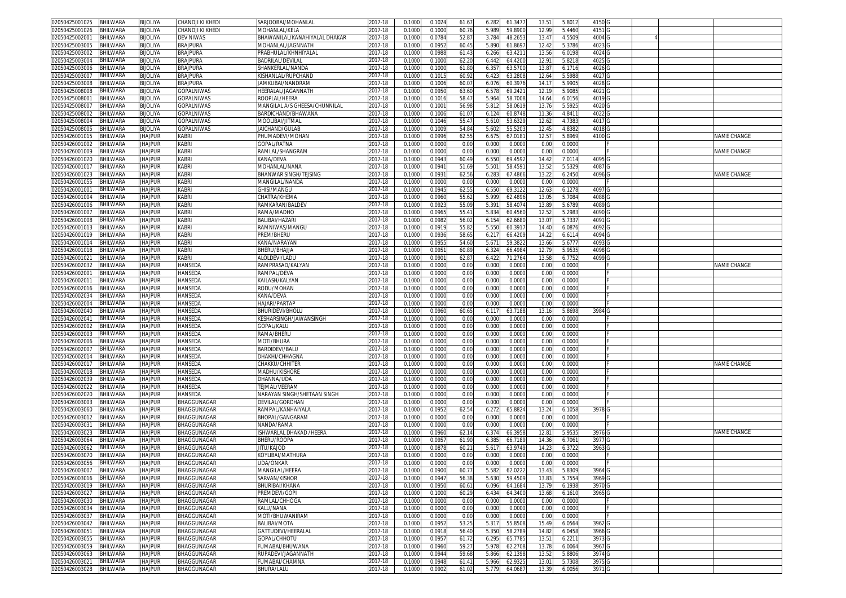| 02050425001025 | <b>BHILWARA</b>  | <b>BIJOLIYA</b> | CHANDJI KI KHEDI   | SARJOOBAI/MOHANLAL            | 2017-18     | 0.1000 | 0.102  | 61.67 | 6.28  | 61.347  | 13.51  | 5.801  | 4150 G            |  |             |
|----------------|------------------|-----------------|--------------------|-------------------------------|-------------|--------|--------|-------|-------|---------|--------|--------|-------------------|--|-------------|
| 02050425001026 | BHILWARA         | <b>BIJOLIYA</b> | CHANDJI KI KHEDI   | MOHANLAL/KELA                 | 2017-18     | 0.1000 | 0.1000 | 60.76 | 5.98  | 59.8900 | 12.99  | 5.4460 | 4151 G            |  |             |
| 02050425002001 | BHILWARA         | <b>BIJOLIYA</b> | <b>DEV NIWAS</b>   | BHAWANILAL/KANAHIYALAL DHAKAR | 2017-18     | 0.1000 | 0.078  | 52.8  | 3.784 | 48.265  | 13.47  | 4.5509 | 4004 <sub>C</sub> |  |             |
| 02050425003005 | BHILWARA         | <b>BIJOLIYA</b> | <b>BRAJPURA</b>    | MOHANLAL/JAGNNATH             | 2017-18     | 0.1000 | 0.095  | 60.45 | 5.890 | 61.869  | 12.42  | 5.3786 | 4023              |  |             |
|                |                  |                 |                    |                               |             |        |        |       |       |         |        |        |                   |  |             |
| 02050425003002 | BHILWARA         | <b>BIJOLIYA</b> | <b>BRAJPURA</b>    | PRABHULAL/KHNHIYALAI          | 2017-18     | 0.100  | 0.098  | 61.4  | 6.266 | 63.421  | 13.56  | 6.0198 | 4024 G            |  |             |
| 02050425003004 | BHILWARA         | <b>BIJOLIYA</b> | <b>BRAJPURA</b>    | <b>BADRILAL/DEVILAL</b>       | 2017-18     | 0.100  | 0.100  | 62.20 | 6.44  | 64.420  | 12.91  | 5.8218 | 4025 <sub>C</sub> |  |             |
| 02050425003006 | BHILWARA         | <b>BIJOLIYA</b> | <b>BRAJPURA</b>    | SHANKERLAL/NANDA              | $2017 - 18$ | 0.100  | 0.100  | 61.8  | 6.35  | 63.570  | 13.87  | 6.1716 | 4026 C            |  |             |
| 02050425003007 | BHILWARA         | <b>BIJOLIYA</b> | <b>BRAJPURA</b>    | KISHANLAL/RUPCHAND            | 2017-18     | 0.100  | 0.101  | 60.9  | 6.423 | 63.280  | 12.64  | 5.5988 | 4027 0            |  |             |
| 02050425003008 | BHILWARA         | <b>BIJOLIYA</b> | <b>BRAJPURA</b>    | JAMKUBAI/NANDRAN              | 2017-18     | 0.100  | 0.100  | 60.0  | 6.07  | 60.397  | 14.1   | 5.990  | 4028              |  |             |
| 02050425008008 | BHILWARA         | <b>BIJOLIYA</b> | GOPALNIWAS         | HEERALAL/JAGANNATH            | 2017-18     | 0.1000 | 0.095  | 63.60 | 6.57  | 69.242  | 12.19  | 5.908  | 4021              |  |             |
| 0205042500800  | BHILWARA         | <b>BIJOLIYA</b> | GOPALNIWAS         | ROOPLAL/HEERA                 | 2017-18     | 0.100  | 0.101  | 58.4  | 5.964 | 58.700  | 14.64  | 6.0156 | 4019 <sub>C</sub> |  |             |
| 02050425008007 | BHILWARA         | <b>BIJOLIYA</b> | <b>GOPALNIWAS</b>  | MANGILAL A/S GHEESA/CHUNNILAL | 2017-18     | 0.100  | 0.100  | 56.98 | 5.81  | 58.061  | 13.7   | 5.592  | 4020              |  |             |
| 02050425008002 | BHILWARA         | <b>BIJOLIYA</b> | GOPALNIWAS         | BARDICHAND/BHAWANA            | 2017-18     | 0.100  | 0.100( | 61.0  | 6.12  | 60.874  | 11.36  | 4.841  | 4022              |  |             |
| 02050425008004 | BHILWARA         | <b>BIJOLIYA</b> | GOPALNIWAS         | MOOLIBAI/JITMAI               | 2017-18     | 0.1000 | 0.104  | 55.4  | 5.61  | 53.632  | 12.62  | 4.7383 | 4017              |  |             |
| 02050425008005 | BHILWARA         | <b>BIJOLIYA</b> | GOPALNIWAS         | JAICHAND/GULAB                | 2017-18     | 0.100  | 0.100  | 54.8  | 5.60  | 55.520  | 12.4   | 4.8382 | 4018              |  |             |
|                |                  |                 |                    |                               |             |        |        | 62.55 |       |         |        |        | 4100              |  | NAME CHANGE |
| 02050426001015 | BHILWARA         | <b>JHAJPUR</b>  | KABRI              | PHUMADEVI/MOHAN               | 2017-18     | 0.1000 | 0.099  |       | 6.67  | 67.018  | 12.5   | 5.8969 |                   |  |             |
| 02050426001002 | BHILWARA         | <b>JHAJPUR</b>  | <b>KABRI</b>       | <b>GOPAL/RATNA</b>            | 2017-18     | 0.100  | 0.000  | 0.00  | 0.00  | 0.000   | 0.0    | 0.0000 |                   |  |             |
| 02050426001009 | BHILWARA         | <b>JHAJPUR</b>  | <b>KABRI</b>       | RAMLAL/SHANGRAM               | 2017-18     | 0.1000 | 0.000  | 0.00  | 0.000 | 0.0000  | 0.00   | 0.0000 |                   |  | NAME CHANGE |
| 02050426001020 | <b>BHILWARA</b>  | <b>JHAJPUR</b>  | <b>KABR</b>        | KANA/DEVA                     | 2017-18     | 0.1000 | 0.094  | 60.49 | 6.550 | 69.4592 | 14.4   | 7.0114 | 4095 <sub>G</sub> |  |             |
| 02050426001017 | <b>BHILWARA</b>  | <b>JHAJPUR</b>  | <b>KABRI</b>       | MOHANLAL/NANA                 | 2017-18     | 0.1000 | 0.094  | 51.69 | 5.50  | 58.459  | 13.5   | 5.5329 | 4087 <sub>G</sub> |  |             |
| 02050426001023 | <b>BHILWARA</b>  | <b>JHAJPUR</b>  | <b>KABRI</b>       | BHANWAR SINGH/TEJSING         | 2017-18     | 0.1000 | 0.093  | 62.56 | 6.28  | 67.4866 | 13.22  | 6.2450 | 4096 G            |  | NAME CHANGE |
| 02050426001055 | BHILWARA         | <b>JHAJPUR</b>  | <b>KABR</b>        | MANGILAL/NANDA                | 2017-18     | 0.1000 | 0.000  | 0.00  | 0.000 | 0.000   | 0.00   | 0.0000 |                   |  |             |
| 02050426001001 | <b>BHILWARA</b>  | <b>JHAJPUR</b>  | <b>KABR</b>        | <b>GHISI/MANGU</b>            | 2017-18     | 0.1000 | 0.094  | 62.5! | 6.550 | 69.3122 | 12.63  | 6.1278 | 4097 G            |  |             |
| 02050426001004 | <b>BHILWARA</b>  | <b>JHAJPUR</b>  | <b>KABRI</b>       | CHATRA/KHEMA                  | 2017-18     | 0.1000 | 0.096  | 55.6  | 5.999 | 62.489  | 13.05  | 5.7084 | 4088              |  |             |
| 02050426001006 | BHILWARA         | <b>JHAJPUR</b>  | KABRI              | RAMKARAN/BALDEV               | 2017-18     | 0.1000 | 0.092  | 55.09 | 5.39  | 58.407  | 13.89  | 5.6789 | 4089              |  |             |
| 02050426001007 | BHILWARA         | <b>JHAJPUR</b>  | <b>KABRI</b>       | RAMA/MADHO                    | 2017-18     | 0.1000 | 0.096  | 55.4  | 5.83  | 60.456  | 12.52  | 5.2983 | 4090              |  |             |
| 02050426001008 | BHILWARA         | <b>JHAJPUR</b>  | <b>KABRI</b>       | <b>BALIBAI/HAZARI</b>         | 2017-18     | 0.1000 | 0.098  | 56.02 | 6.154 | 62.668  | 13.07  | 5.7337 | 4091 <sub>G</sub> |  |             |
|                |                  |                 |                    |                               |             |        |        |       |       |         |        |        |                   |  |             |
| 02050426001013 | BHILWARA         | <b>JHAJPUR</b>  | <b>KABRI</b>       | RAMNIWAS/MANGU                | 2017-18     | 0.1000 | 0.091  | 55.8  | 5.55  | 60.391  | 14.40  | 6.087  | 4092              |  |             |
| 02050426001019 | BHILWARA         | <b>JHAJPUR</b>  | <b>KABRI</b>       | PREM/BHERU                    | 2017-18     | 0.1000 | 0.093  | 58.65 | 6.21  | 66.420  | 14.22  | 6.6114 | 4094 0            |  |             |
| 02050426001014 | BHILWARA         | <b>JHAJPUR</b>  | <b>KABRI</b>       | KANA/NARAYAN                  | 2017-18     | 0.1000 | 0.095  | 54.60 | 5.67  | 59.382  | 13.66  | 5.6777 | 4093              |  |             |
| 02050426001018 | BHILWARA         | <b>JHAJPUR</b>  | KABRI              | BHERU/BHAJJA                  | 2017-18     | 0.1000 | 0.095  | 60.8  | 6.32  | 66.498  | 12.79  | 5.953  | 4098              |  |             |
| 02050426001021 | BHILWARA         | <b>JHAJPUR</b>  | <b>KABRI</b>       | ALOLDEVI/LADU                 | 2017-18     | 0.100  | 0.090  | 62.8  | 6.42  | 71.276  | 13.5   | 6.775  | 4099 0            |  |             |
| 02050426002032 | BHILWARA         | <b>JHAJPUR</b>  | HANSEDA            | RAMPRASAD/KALYAN              | $2017 - 18$ | 0.100  | 0.000  | 0.00  | 0.001 | 0.000   | 0.00   | 0.0000 |                   |  | NAME CHANGE |
| 02050426002001 | BHILWARA         | <b>JHAJPUR</b>  | HANSEDA            | RAMPAL/DEVA                   | 2017-18     | 0.100  | 0.000  | 0.00  | 0.00  | 0.000   | 0.00   | 0.0000 |                   |  |             |
| 02050426002011 | BHILWARA         | <b>JHAJPUR</b>  | HANSEDA            | KAILASH/KALYAN                | 2017-18     | 0.1000 | 0.000  | 0.00  | 0.000 | 0.000   | 0.00   | 0.0000 |                   |  |             |
| 02050426002016 | BHILWARA         | <b>JHAJPUR</b>  | HANSEDA            | RODU/MOHAN                    | 2017-18     | 0.100  | 0.000  | 0.00  | 0.00  | 0.000   | 0.00   | 0.000  |                   |  |             |
| 02050426002034 | BHILWARA         | <b>JHAJPUR</b>  | HANSEDA            | KANA/DEVA                     | 2017-18     | 0.1000 | 0.000  | 0.00  | 0.001 | 0.0000  | 0.00   | 0.0000 |                   |  |             |
| 02050426002004 | BHILWARA         | <b>JHAJPUR</b>  | HANSEDA            | HAJARI/PARTAF                 | 2017-18     | 0.100  | 0.000  | 0.00  | 0.00  | 0.000   | 0.0    | 0.0000 |                   |  |             |
| 02050426002040 | BHILWARA         | <b>JHAJPUR</b>  | HANSEDA            | BHURIDEVI/BHOLU               | 2017-18     | 0.100  | 0.096  | 60.6  | 6.11  | 63.7188 | 13.16  | 5.8698 | 3984              |  |             |
|                |                  | <b>JHAJPUR</b>  |                    |                               |             |        |        |       |       |         |        |        |                   |  |             |
| 02050426002041 | BHILWARA         |                 | HANSEDA            | KESHARSINGH/JAWANSINGH        | 2017-18     | 0.100  | 0.000  | 0.00  | 0.00  | 0.000   | 0.00   | 0.0000 |                   |  |             |
| 02050426002002 | BHILWARA         | <b>JHAJPUR</b>  | HANSEDA            | GOPAL/KALU                    | 2017-18     | 0.1000 | 0.000  | 0.00  | 0.00  | 0.0000  | 0.00   | 0.0000 |                   |  |             |
| 02050426002003 | BHILWARA         | <b>JHAJPUR</b>  | <b>HANSEDA</b>     | RAMA/BHERU                    | 2017-18     | 0.100  | 0.000  | 0.00  | 0.00  | 0.000   | 0.00   | 0.0000 |                   |  |             |
| 02050426002006 | BHILWARA         | <b>JHAJPUR</b>  | HANSEDA            | MOTI/BHURA                    | 2017-18     | 0.1000 | 0.000  | 0.00  | 0.000 | 0.000   | 0.00   | 0.0000 |                   |  |             |
| 02050426002007 | <b>BHILWARA</b>  | <b>JHAJPUR</b>  | HANSEDA            | <b>BARDIDEVI/BALU</b>         | 2017-18     | 0.100  | 0.000  | 0.00  | 0.001 | 0.0000  | 0.00   | 0.0000 |                   |  |             |
| 02050426002014 | BHILWARA         | <b>JHAJPUR</b>  | HANSEDA            | DHAKHI/CHHAGNA                | 2017-18     | 0.1000 | 0.000  | 0.00  | 0.001 | 0.0000  | 0.00   | 0.0000 |                   |  |             |
| 02050426002017 | BHILWARA         | <b>JHAJPUR</b>  | HANSEDA            | CHAKKU/CHHITER                | 2017-18     | 0.100  | 0.000  | 0.00  | 0.001 | 0.000   | 0.00   | 0.0000 |                   |  | NAME CHANGE |
| 02050426002018 | BHILWARA         | <b>JHAJPUR</b>  | HANSEDA            | MADHU/KISHORE                 | 2017-18     | 0.1000 | 0.000  | 0.00  | 0.000 | 0.0000  | 0.00   | 0.0000 |                   |  |             |
| 02050426002039 | BHILWARA         | <b>JHAJPUR</b>  | HANSEDA            | DHANNA/UDA                    | 2017-18     | 0.1000 | 0.000  | 0.00  | 0.001 | 0.0000  | 0.00   | 0.0000 |                   |  |             |
| 02050426002022 | BHILWARA         | <b>JHAJPUR</b>  | HANSEDA            | TEJMAL/VEERAM                 | 2017-18     | 0.100  | 0.000  | 0.00  | 0.000 | 0.000   | 0.00   | 0.0000 |                   |  |             |
| 02050426002020 | BHILWARA         | <b>JHAJPUR</b>  | HANSEDA            | NARAYAN SINGH/SHETAAN SINGH   | 2017-18     | 0.1000 | 0.000  | 0.00  | 0.000 | 0.0000  | 0.00   | 0.0000 |                   |  |             |
| 02050426003003 | BHILWARA         | <b>JHAJPUR</b>  | BHAGGUNAGAR        | DEVILAL/GORDHAN               | 2017-18     | 0.100  | 0.000  | 0.00  | 0.000 | 0.000   | 0.00   | 0.0000 |                   |  |             |
| 02050426003060 | BHILWARA         | <b>JHAJPUR</b>  | BHAGGUNAGAR        | RAMPAL/KANHAIYALA             | 2017-18     | 0.100  | 0.095  | 62.5  | 6.27  | 65.882  | 13.24  | 6.1058 | 39780             |  |             |
| 02050426003012 | BHILWARA         |                 | BHAGGUNAGAR        | BHOPAL/GANGARAM               | 2017-18     | 0.100  | 0.000  | 0.00  |       |         | 0.00   | 0.0000 |                   |  |             |
|                |                  | <b>JHAJPUR</b>  |                    |                               |             |        |        |       | 0.000 | 0.000   |        |        |                   |  |             |
| 02050426003031 | BHILWARA         | <b>JHAJPUR</b>  | BHAGGUNAGAR        | NANDA/RAMA                    | 2017-18     | 0.1000 | 0.000  | 0.00  | 0.000 | 0.0000  | 0.00   | 0.0000 |                   |  |             |
| 02050426003023 | BHILWARA         | <b>JHAJPUR</b>  | BHAGGUNAGAR        | ISHWARLAL DHAKAD / HEERA      | 2017-18     | 0.100  | 0.096  | 62.1  | 6.37  | 66.395  | 12.81  | 5.953  | 3976 G            |  | NAME CHANGE |
| 02050426003064 | BHILWARA         | <b>JHAJPUR</b>  | BHAGGUNAGAR        | BHERU/ROOPA                   | 2017-18     | 0.100  | 0.095  | 61.90 | 6.38  | 66.718  | 14.36  | 6.7061 | 3977 <sub>C</sub> |  |             |
| 02050426003062 | BHILWARA         | <b>JHAJPUR</b>  | BHAGGUNAGAR        | JITU/KAJOD                    | 2017-18     | 0.100  | 0.087  | 60.2  | 5.61  | 63.974  | 14.2   | 6.372  | 3963              |  |             |
| 02050426003070 | BHILWARA         | <b>JHAJPUR</b>  | BHAGGUNAGAR        | KOYLIBAI/MATHURA              | 2017-18     | 0.100  | 0.000  | 0.00  | 0.001 | 0.000   | 0.00   | 0.0000 |                   |  |             |
| 02050426003056 | <b>BHILWARA</b>  | <b>JHAJPUR</b>  | BHAGGUNAGAR        | <b>UDA/ONKAR</b>              | 2017-18     | 0.100  | 0.000  | 0.00  | 0.001 | 0.000   | 0.00   | 0.0000 |                   |  |             |
| 02050426003007 | <b>IBHILWARA</b> | <b>JHAJPUR</b>  | BHAGGUNAGAR        | MANGILAL/HEERA                | 2017-18     | 0.1000 | 0.0900 | 60.77 | 5.582 | 62.022  | 13.431 | 5.8309 | 3964 G            |  |             |
| 02050426003016 | BHILWARA         | <b>JHAJPUR</b>  | BHAGGUNAGAR        | SARVAN/KISHOR                 | 2017-18     | 0.1000 | 0.0947 | 56.38 | 5.630 | 59.4509 | 13.83  | 5.7554 | 3969              |  |             |
| 02050426003019 | BHILWARA         | <b>JHAJPUR</b>  | BHAGGUNAGAR        | BHURIBAI/KHANA                | 2017-18     | 0.1000 | 0.0950 | 60.61 | 6.096 | 64.1684 | 13.79  | 6.1938 | 3970 <sub>G</sub> |  |             |
| 02050426003027 | BHILWARA         | <b>JHAJPUR</b>  | <b>BHAGGUNAGAR</b> | PREMDEVI/GOPI                 | 2017-18     | 0.100  | 0.100  | 60.29 | 6.43  | 64.3400 | 13.68  | 6.1610 | 3965              |  |             |
| 02050426003030 | BHILWARA         | <b>JHAJPUR</b>  | BHAGGUNAGAR        | RAMLAL/CHHOGA                 | 2017-18     | 0.1000 | 0.0000 | 0.00  | 0.000 | 0.0000  | 0.00   | 0.0000 |                   |  |             |
| 02050426003034 | BHILWARA         | <b>JHAJPUR</b>  | BHAGGUNAGAR        | <b>KALU/NANA</b>              | 2017-18     | 0.1000 | 0.0000 | 0.00  | 0.000 | 0.0000  | 0.00   | 0.0000 |                   |  |             |
| 02050426003037 | BHILWARA         | <b>JHAJPUR</b>  | BHAGGUNAGAR        | MOTI/BHUWANIRAM               | 2017-18     | 0.1000 | 0.0000 | 0.00  | 0.000 | 0.0000  | 0.00   | 0.0000 |                   |  |             |
| 02050426003042 | BHILWARA         | <b>JHAJPUR</b>  | BHAGGUNAGAR        |                               | 2017-18     |        |        |       |       |         | 15.49  | 6.0564 |                   |  |             |
|                |                  |                 | <b>BHAGGUNAGAR</b> | BALIBAI/MOTA                  |             | 0.1000 | 0.095  | 53.25 | 5.317 | 55.8508 |        |        | 3962 G            |  |             |
| 02050426003051 | <b>BHILWARA</b>  | <b>JHAJPUR</b>  |                    | GATTUDEVI/HEERALAL            | 2017-18     | 0.1000 | 0.091  | 56.40 | 5.350 | 58.2789 | 14.82  | 6.0458 | 3966 G            |  |             |
| 02050426003055 | BHILWARA         | <b>JHAJPUR</b>  | BHAGGUNAGAR        | GOPAL/CHHOTU                  | 2017-18     | 0.1000 | 0.095  | 61.72 | 6.295 | 65.7785 | 13.51  | 6.2211 | 3973 G            |  |             |
| 02050426003059 | BHILWARA         | <b>JHAJPUR</b>  | BHAGGUNAGAR        | FUMABAI/BHUWANA               | 2017-18     | 0.1000 | 0.0960 | 59.27 | 5.978 | 62.270  | 13.78  | 6.0064 | 3967 G            |  |             |
| 02050426003063 | BHILWARA         | <b>JHAJPUR</b>  | BHAGGUNAGAR        | RUPADEVI/JAGANNATH            | 2017-18     | 0.1000 | 0.0944 | 59.68 | 5.866 | 62.1398 | 13.52  | 5.8806 | 3974 G            |  |             |
| 02050426003021 | BHILWARA         | <b>JHAJPUR</b>  | BHAGGUNAGAR        | FUMABAI/CHAMNA                | 2017-18     | 0.1000 | 0.094  | 61.41 | 5.966 | 62.932  | 13.01  | 5.7308 | 3975 G            |  |             |
| 02050426003028 | BHILWARA         | <b>JHAJPUR</b>  | BHAGGUNAGAR        | BHURA/LALU                    | 2017-18     | 0.1000 | 0.0902 | 61.02 | 5.779 | 64.0687 | 13.39  | 6.0056 | 3971 G            |  |             |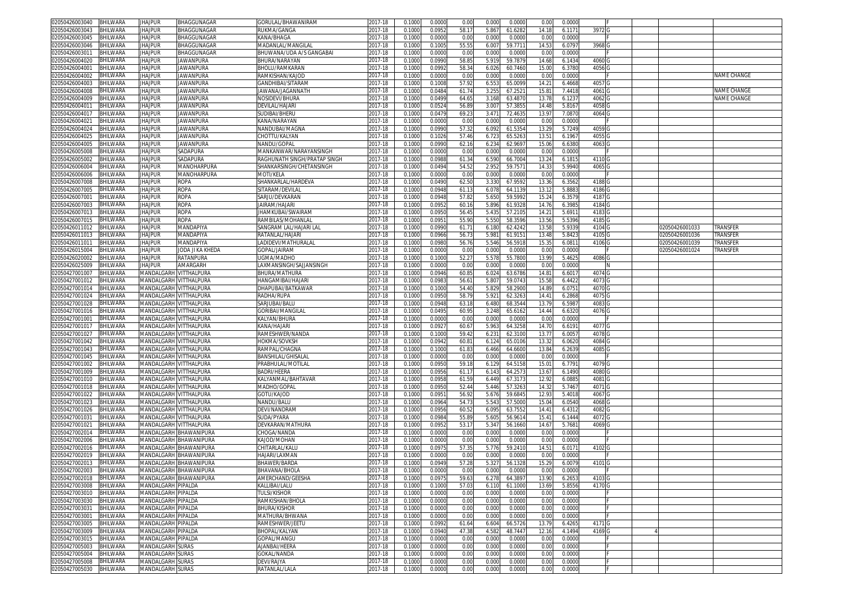| 02050426003040 | <b>BHILWARA</b> | <b>JHAJPUR</b>                | BHAGGUNAGAR                   | GORULAL/BHAWANIRAM           | 2017-18     | 0.1000 | 0.0000 | 0.00  | 0.000            | 0.0000<br>0.00    | 0.0000 |        |  |                |                    |
|----------------|-----------------|-------------------------------|-------------------------------|------------------------------|-------------|--------|--------|-------|------------------|-------------------|--------|--------|--|----------------|--------------------|
| 02050426003043 | BHILWARA        | <b>JHAJPUR</b>                | BHAGGUNAGAR                   | <b>RUKMA/GANGA</b>           | 2017-18     | 0.1000 | 0.0952 | 58.1  | 61.6282<br>5.867 | 14.18             | 6.117  | 3972 G |  |                |                    |
| 02050426003045 | BHILWARA        | <b>JHAJPUR</b>                | BHAGGUNAGAR                   | KANA/BHAGA                   | 2017-18     | 0.1000 | 0.000  | 0.00  | 0.000            | 0.0000<br>0.00    | 0.000  |        |  |                |                    |
| 02050426003046 | BHILWARA        | <b>JHAJPUR</b>                | BHAGGUNAGAR                   | <b>MADANLAL/MANGILAL</b>     | 2017-18     | 0.1000 | 0.100  | 55.59 | 59.771<br>6.007  | 14.5              | 6.0797 | 3968   |  |                |                    |
| )2050426003011 | BHILWARA        | <b>JHAJPUR</b>                | BHAGGUNAGAR                   | BHUWANA/UDA A/S GANGABAI     | 2017-18     | 0.100  | 0.000  | 0.00  | 0.000            | 0.000<br>0.00     | 0.000  |        |  |                |                    |
|                |                 |                               |                               | BHURA/NARAYAN                |             |        |        | 58.8  | 5.919<br>59.787  | 14.6              |        |        |  |                |                    |
| 2050426004020  | <b>BHILWARA</b> | <b>JHAJPUR</b>                | <b>JAWANPURA</b>              |                              | 2017-18     | 0.100  | 0.0990 |       |                  |                   | 6.143  | 4060   |  |                |                    |
| 02050426004001 | 3HILWARA        | <b>JHAJPUR</b>                | <b>JAWANPURA</b>              | BHOLU/RAMKARAN               | 2017-18     | 0.100  | 0.099  | 58.3  | 6.026<br>60.7460 | 15.0              | 6.378  | 4056   |  |                |                    |
| 02050426004002 | BHILWARA        | <b>JHAJPUR</b>                | <b>JAWANPURA</b>              | RAMKISHAN/KAJOD              | 2017-18     | 0.100  | 0.000  | 0.00  | 0.000            | 0.0000<br>0.00    | 0.000  |        |  |                | <b>NAME CHANGE</b> |
| 02050426004003 | BHILWARA        | <b>JHAJPUR</b>                | <b>JAWANPURA</b>              | <b>GANDHIBAI/SITARAM</b>     | 2017-18     | 0.100  | 0.100  | 57.92 | 6.553<br>65.009  | 14.2              | 6.4668 | 4057   |  |                |                    |
| 2050426004008  | BHILWARA        | <b>JHAJPUR</b>                | <b>JAWANPURA</b>              | IAWANA/JAGANNATH             | 2017-18     | 0.100  | 0.048  | 61.74 | 3.25<br>67.252   | 15.8              | 7.4418 | 4061   |  |                | <b>NAME CHANGE</b> |
| 02050426004009 | <b>BHILWARA</b> | <b>JHAJPUR</b>                | <b>JAWANPURA</b>              | NOSIDEVI/BHURA               | 2017-18     | 0.100  | 0.049  | 64.6  | 63.487<br>3.168  | 13.7              | 6.123  | 4062   |  |                | NAME CHANGE        |
| 02050426004011 | BHILWARA        | <b>JHAJPUR</b>                | <b>JAWANPURA</b>              | DEVILAL/HAJARI               | 2017-18     | 0.100  | 0.052  | 56.8  | 3.007<br>57.385  | 14.48             | 5.816  | 4058   |  |                |                    |
| 0205042600401  | BHILWARA        | <b>JHAJPUR</b>                | <b>JAWANPURA</b>              | SUDIBAI/BHERU                | $2017 - 18$ | 0.100  | 0.047  | 69.2  | 3.47'<br>72.463  | 13.9              | 7.087  | 4064   |  |                |                    |
| 205042600402   | BHILWARA        | <b>JHAJPUR</b>                | <b>JAWANPURA</b>              | KANA/NARAYAN                 | 017-18      | 0.100  | 0.000  | 0.00  | 0.000            | 0.0000<br>0.00    | 0.000  |        |  |                |                    |
| 02050426004024 | BHILWARA        | <b>JHAJPUR</b>                | <b>JAWANPURA</b>              | NANDUBAI/MAGNA               | 2017-18     | 0.100  | 0.099  | 57.32 | 6.092<br>61.535  | 13.2              | 5.7249 | 4059   |  |                |                    |
| 02050426004025 | BHILWARA        | <b>JHAJPUR</b>                | <b>JAWANPURA</b>              | CHOTTU/KALYAN                | 017-18      | 0.100  | 0.102  | 57.46 | 6.723<br>65.526  | $13.5^{\circ}$    | 6.196  | 4055   |  |                |                    |
|                |                 | <b>JHAJPUR</b>                | <b>JAWANPURA</b>              |                              |             |        |        |       |                  | 15.0              |        |        |  |                |                    |
| 02050426004005 | <b>BHILWARA</b> |                               |                               | NANDU/GOPAL                  | 2017-18     | 0.100  | 0.099  | 62.1  | 6.234<br>62.969  |                   | 6.638  | 4063   |  |                |                    |
| 02050426005008 | BHILWARA        | jhajpur                       | SADAPURA                      | VIANKANWAR/NARAYANSINGH      | 2017-18     | 0.100  | 0.000  | 0.00  | 0.000            | 0.0000<br>0.00    | 0.000  |        |  |                |                    |
| 02050426005002 | 3HILWARA        | <b>JHAJPUR</b>                | SADAPURA                      | RAGHUNATH SINGH/PRATAP SINGH | 2017-18     | 0.100  | 0.098  | 61.3  | 6.590<br>66.700  | 13.2              | 6.181  | 4110   |  |                |                    |
| 02050426006004 | BHILWARA        | <b>JHAJPUR</b>                | MANOHARPURA                   | SHANKARSINGH/CHETANSINGH     | 2017-18     | 0.100  | 0.049  | 54.52 | 2.952<br>59.757  | 14.33             | 5.994  | 4065   |  |                |                    |
| 02050426006006 | <b>BHILWARA</b> | <b>JHAJPUR</b>                | MANOHARPURA                   | MOTI/KELA                    | 2017-18     | 0.100  | 0.000  | 0.00  | 0.000            | 0.000<br>0.00     | 0.000  |        |  |                |                    |
| 02050426007008 | <b>BHILWARA</b> | <b>JHAJPUR</b>                | <b>ROPA</b>                   | SHANKARLAL/HARDEVA           | 2017-18     | 0.100  | 0.049  | 62.50 | 67.9592<br>3.330 | 13.36             | 6.3562 | 4188   |  |                |                    |
| 02050426007005 | <b>HILWARA</b>  | <b>JHAJPUR</b>                | ROPA                          | SITARAM/DEVILA               | 017-18      | 0.100  | 0.094  | 61.1  | 64.113<br>6.078  | 13.1              | 5.888  | 4186   |  |                |                    |
| 02050426007001 | BHILWARA        | <b>JHAJPUR</b>                | <b>ROPA</b>                   | SARJU/DEVKARAN               | 2017-18     | 0.100  | 0.0948 | 57.82 | 59.5992<br>5.650 | 15.24             | 6.357  | 4187   |  |                |                    |
| 2050426007003  | BHILWARA        | <b>JHAJPUR</b>                | <b>ROPA</b>                   | JAIRAM/HAJARI                | 2017-18     | 0.100  | 0.0952 | 60.1  | 5.896<br>61.9328 | 14.76             | 6.398  | 4184   |  |                |                    |
| 02050426007013 | BHILWARA        | <b>JHAJPUR</b>                | <b>ROPA</b>                   | <b>HAMKUBAI/SWAIRAM</b>      | 2017-18     | 0.100  | 0.0950 | 56.4  | 5.43<br>57.2105  | 14.2              | 5.691  | 4183   |  |                |                    |
| 2050426007015  | BHILWARA        | <b>JHAJPUR</b>                | <b>ROPA</b>                   | RAMBILAS/MOHANLAI            | 2017-18     | 0.100  | 0.095  | 55.90 | 5.550<br>58.3596 | 13.56             | 5.539  | 4185 G |  |                |                    |
| )2050426011012 | BHILWARA        | <b>JHAJPUR</b>                | MANDAPIYA                     | SANGRAM LAL/HAJARI LAI       | 2017-18     | 0.100  | 0.099  | 61.7  | 62.4242<br>6.180 | 13.58             | 5.933  | 4104 G |  | 02050426001033 | TRANSFER           |
| 2050426011013  | BHILWARA        | <b>JHAJPUR</b>                | MANDAPIYA                     | RATANLAL/HAJARI              | 2017-18     | 0.100  | 0.0966 | 56.7  | 5.981<br>61.915  | 13.48             | 5.842  | 4105 G |  | 02050426001036 | TRANSFER           |
| 02050426011011 | BHILWARA        | <b>JHAJPUR</b>                | MANDAPIYA                     | LADIDEVI/MATHURALAI          | 2017-18     | 0.100  | 0.098  | 56.76 | 5.546<br>56.5918 | 15.3              | 6.081  | 4106 G |  | 02050426001039 | TRANSFER           |
| 02050426015004 | BHILWARA        | <b>JHAJPUR</b>                | JODA JI KA KHEDA              | <b>GOPAL/JAIRAM</b>          | 2017-18     | 0.1000 | 0.000  | 0.00  | 0.000            | 0.0000<br>0.00    | 0.000  |        |  | 02050426001024 | TRANSFER           |
|                |                 |                               |                               | <b>JGMA/MADHO</b>            |             |        |        |       |                  |                   |        |        |  |                |                    |
| 02050426020002 | BHILWARA        | <b>JHAJPUR</b>                | RATANPURA                     |                              | 2017-18     | 0.100  | 0.100  | 52.27 | 5.578<br>55.780  | 13.9              | 5.462  | 4086   |  |                |                    |
| 2050426025009  | BHILWARA        | <b>JHAJPUR</b>                | AMARGARH                      | AXMANSINGH/SAJJANSINGH       | 2017-18     | 0.100  | 0.000  | 0.00  | 0.000            | 0.0000<br>0.00    | 0.000  |        |  |                |                    |
| 02050427001007 | BHILWARA        | MANDALGARH VITTHALPURA        |                               | BHURA/MATHURA                | 2017-18     | 0.100  | 0.0946 | 60.8  | 63.6786<br>6.024 | 14.8              | 6.601  | 4074 G |  |                |                    |
| 02050427001012 | BHILWARA        | VIANDALGARH VITTHALPURA       |                               | HANGAMIBAI/HAJARI            | 2017-18     | 0.1000 | 0.098  | 56.6  | 5.807<br>59.074  | 15.58             | 6.442  | 4073   |  |                |                    |
| 02050427001014 | BHILWARA        | MANDALGARH VITTHALPURA        |                               | DHAPUBAI/BATKAWAR            | 2017-18     | 0.100  | 0.100  | 54.40 | 5.829<br>58.290  | 14.8              | 6.075  | 4070   |  |                |                    |
| 2050427001024  | BHILWARA        | MANDALGARH VITTHALPURA        |                               | RADHA/RUPA                   | 2017-18     | 0.100  | 0.095  | 58.7  | 62.326<br>5.92   | 14.4'             | 6.2868 | 4075   |  |                |                    |
| 02050427001028 | <b>BHILWARA</b> | MANDALGARH VITTHALPURA        |                               | SARJUBAI/BALL                | 2017-18     | 0.100  | 0.094  | 63.1  | 68.3544<br>6.480 | 13.7              | 6.598  | 4083   |  |                |                    |
| 2050427001016  | BHILWARA        | VIANDALGARH VITTHALPURA       |                               | <b>GORIBAI/MANGILAL</b>      | 017-18      | 0.100  | 0.049  | 60.9  | 3.248<br>65.6162 | 14.44             | 6.632  | 4076 G |  |                |                    |
| 02050427001001 | BHILWARA        | MANDALGARH VITTHALPURA        |                               | KALYAN/BHURA                 | 2017-18     | 0.100  | 0.000  | 0.00  | 0.000<br>0.000   | 0.0               | 0.000  |        |  |                |                    |
| 2050427001017  | BHILWARA        | MANDALGARH VITTHALPURA        |                               | KANA/HAJARI                  | 017-18      | 0.100  | 0.092  | 60.6  | 5.963<br>64.3258 | 14.7              | 6.619  | 4077   |  |                |                    |
| 02050427001027 | <b>BHILWARA</b> | MANDALGARH VITTHALPURA        |                               | RAMESHWER/NANDA              | 2017-18     | 0.100  | 0.100  | 59.4  | 6.23<br>62.310   | 13.7              | 6.005  | 4078   |  |                |                    |
| 02050427001042 | BHILWARA        | MANDALGARH VITTHALPURA        |                               | HOKMA/SOVKSH                 | 2017-18     | 0.100  | 0.094  | 60.8  | 65.0106<br>6.124 | 13.32             | 6.062  | 4084   |  |                |                    |
| 2050427001043  | <b>BHILWARA</b> | MANDALGARH VITTHALPURA        |                               | RAMPAL/CHAGNA                | 017-18      | 0.100  | 0.100  | 61.8  | 64.660<br>6.466  | 13.8              | 6.263  | 4085   |  |                |                    |
| 02050427001045 | <b>BHILWARA</b> | VIANDALGARH VITTHALPURA       |                               | BANSHILAL/GHISALAI           | 2017-18     | 0.100  | 0.000  | 0.00  | 0.000            | 0.0000<br>0.00    | 0.0000 |        |  |                |                    |
| 02050427001002 | <b>BHILWARA</b> | <b>MANDALGARH VITTHALPURA</b> |                               | PRABHULAL/MOTILAL            | 017-18      | 0.100  | 0.095  | 59.1  | 64.5158<br>6.129 | 15.0              | 6.7791 | 4079   |  |                |                    |
| 02050427001009 | <b>BHILWARA</b> | MANDALGARH VITTHALPURA        |                               | BADRI/HEERA                  | 2017-18     | 0.100  | 0.0956 | 61.1  | 6.143<br>64.257  | 13.6              | 6.1490 | 4080   |  |                |                    |
| 2050427001010  | <b>BHILWARA</b> | MANDALGARH VITTHALPURA        |                               | KALYANMAL/BAHTAVAR           | 017-18      | 0.100  | 0.095  | 61.59 | 6.449<br>67.3173 | 12.92             | 6.088  | 4081   |  |                |                    |
| 02050427001018 | BHILWARA        | MANDALGARH VITTHALPURA        |                               | MADHO/GOPAI                  | 2017-18     | 0.100  | 0.095  | 52.44 | 5.446<br>57.326  | 14.32             | 5.746  | 4071 G |  |                |                    |
| 2050427001022  | BHILWARA        | MANDALGARH VITTHALPURA        |                               | <b>GOTU/KAJOD</b>            | 2017-18     | 0.100  | 0.095  | 56.92 | 59.684<br>5.676  | 12.9              | 5.4018 | 4067   |  |                |                    |
| 02050427001023 | BHILWARA        | MANDALGARH VITTHALPURA        |                               | NANDU/BALU                   | 2017-18     | 0.100  | 0.0964 | 54.73 | 5.543<br>57.500  | 15.04             | 6.054  | 4068   |  |                |                    |
| 2050427001026  | BHILWARA        | MANDALGARH VITTHALPURA        |                               | DEVI/NANDRAN                 | 2017-18     | 0.1000 | 0.0956 | 60.5  | 6.095<br>63.7552 | 14.4              | 6.4312 | 4082 G |  |                |                    |
|                | BHILWARA        | MANDALGARH VITTHALPURA        |                               | SUDA/PYARA                   |             | 0.100  | 0.0984 | 55.8  | 56.961           |                   | 6.1444 | 4072 G |  |                |                    |
| )2050427001031 |                 |                               |                               |                              | 2017-18     |        |        |       | 5.605            | 15.4'             |        |        |  |                |                    |
| 2050427001021  | BHILWARA        | MANDALGARH VITTHALPURA        |                               | )EVKARAN/MATHURA             | 2017-18     | 0.100  | 0.095  | 53.17 | 5.347<br>56.1660 | 14.6              | 5.768  | 4069   |  |                |                    |
| 02050427002014 | BHILWARA        |                               | MANDALGARH BHAWANIPURA        | CHOGA/NANDA                  | 2017-18     | 0.100  | 0.000  | 0.00  | 0.000            | 0.000<br>0.00     | 0.000  |        |  |                |                    |
| 2050427002006  | BHILWARA        |                               | <b>MANDALGARH BHAWANIPURA</b> | <b>AJOD/MOHAN</b>            | 017-18      | 0.100  | 0.000  | 0.00  | 0.000            | 0.0000<br>0.00    | 0.000  |        |  |                |                    |
| 02050427002016 | <b>BHILWARA</b> |                               | <b>MANDALGARH BHAWANIPURA</b> | CHITARLAL/KALU               | 2017-18     | 0.100  | 0.097  | 57.3  | 5.776<br>59.2410 | $14.5^{\circ}$    | 6.017  | 4102   |  |                |                    |
| 02050427002019 | BHILWARA        |                               | <b>MANDALGARH BHAWANIPURA</b> | <b>HAJARI/LAXMAN</b>         | 2017-18     | 0.100  | 0.000  | 0.00  | 0.000            | 0.0000<br>0.00    | 0.0000 |        |  |                |                    |
| 02050427002013 | <b>BHILWARA</b> |                               | MANDALGARH BHAWANIPURA        | 3HAWER/BARDA                 | 2017-18     | 0.100  | 0.094  | 57.28 | 5.327<br>56.1328 | 15.2              | 6.007  | 4101 G |  |                |                    |
| 02050427002003 | BHILWARA        |                               | MANDALGARH BHAWANIPURA        | BHAVANA/BHOLA                | 2017-18     | 0.1000 | 0.0000 | 0.00  | 0.000            | 0.0000<br>0.00    | 0.000  |        |  |                |                    |
| 02050427002018 | BHILWARA        |                               | MANDALGARH BHAWANIPURA        | AMERCHAND/GEESHA             | 2017-18     | 0.1000 | 0.0975 | 59.63 | 6.278<br>64.3897 | 13.90             | 6.265  | 4103   |  |                |                    |
| 02050427003008 | <b>BHILWARA</b> | MANDALGARH PIPALDA            |                               | KALLIBAI/LALU                | 2017-18     | 0.1000 | 0.1000 | 57.03 | 6.110<br>61.1000 | 13.69             | 5.8556 | 4170 G |  |                |                    |
| 02050427003010 | BHILWARA        | MANDALGARH PIPALDA            |                               | TULSI/KISHOR                 | 2017-18     | 0.1000 | 0.000  | 0.00  | 0.000            | 0.0000<br>0.00    | 0.0000 |        |  |                |                    |
| 02050427003030 | BHILWARA        | MANDALGARH PIPALDA            |                               | RAMKISHAN/BHOLA              | 2017-18     | 0.1000 | 0.000  | 0.00  | 0.000            | 0.0000<br>0.00    | 0.0000 |        |  |                |                    |
| 02050427003031 | BHILWARA        | MANDALGARH PIPALDA            |                               | BHURA/KISHOR                 | 2017-18     | 0.100  | 0.000  | 0.00  | 0.000            | 0.0000<br>0.00    | 0.000  |        |  |                |                    |
| 02050427003001 | BHILWARA        | MANDALGARH PIPALDA            |                               | MATHURA/BHWANA               | 2017-18     | 0.1000 | 0.0000 | 0.00  | 0.000            | 0.0000<br>0.00    | 0.0000 |        |  |                |                    |
| 02050427003005 | BHILWARA        | MANDALGARH PIPALDA            |                               | RAMESHWER/JEETU              | 2017-18     | 0.100  | 0.0992 | 61.64 | 6.604<br>66.5726 | 13.7 <sup>0</sup> | 6.4265 | 4171 G |  |                |                    |
| 02050427003009 | BHILWARA        | MANDALGARH PIPALDA            |                               | BHOPAL/KALYAN                | 2017-18     | 0.100  | 0.0940 | 47.38 | 4.582<br>48.7447 | 12.16             | 4.1494 | 4169   |  |                |                    |
| 02050427003015 | BHILWARA        | MANDALGARH PIPALDA            |                               | GOPAL/MANGU                  | 2017-18     | 0.1000 | 0.0000 | 0.00  | 0.000            | 0.0000<br>0.00    | 0.0000 |        |  |                |                    |
| 02050427005003 | BHILWARA        | MANDALGARH SURAS              |                               | AJANBAI/HEERA                | 2017-18     | 0.1000 | 0.0000 | 0.00  | 0.000            | 0.0000<br>0.00    | 0.0000 |        |  |                |                    |
| 02050427005004 | BHILWARA        | MANDALGARH SURAS              |                               | GOKAL/NANDA                  | 2017-18     | 0.1000 | 0.0000 | 0.00  | 0.000            | 0.0000<br>0.00    | 0.0000 |        |  |                |                    |
| 02050427005008 | BHILWARA        | MANDALGARH SURAS              |                               | DEVI/RAJYA                   | 2017-18     | 0.1000 | 0.0000 | 0.00  | 0.000            | 0.0000<br>0.00    | 0.0000 |        |  |                |                    |
| 02050427005030 | BHILWARA        | MANDALGARH SURAS              |                               | RATANLAL/LALA                | 2017-18     | 0.1000 | 0.0000 | 0.00  | 0.000            | 0.0000<br>0.00    | 0.0000 |        |  |                |                    |
|                |                 |                               |                               |                              |             |        |        |       |                  |                   |        |        |  |                |                    |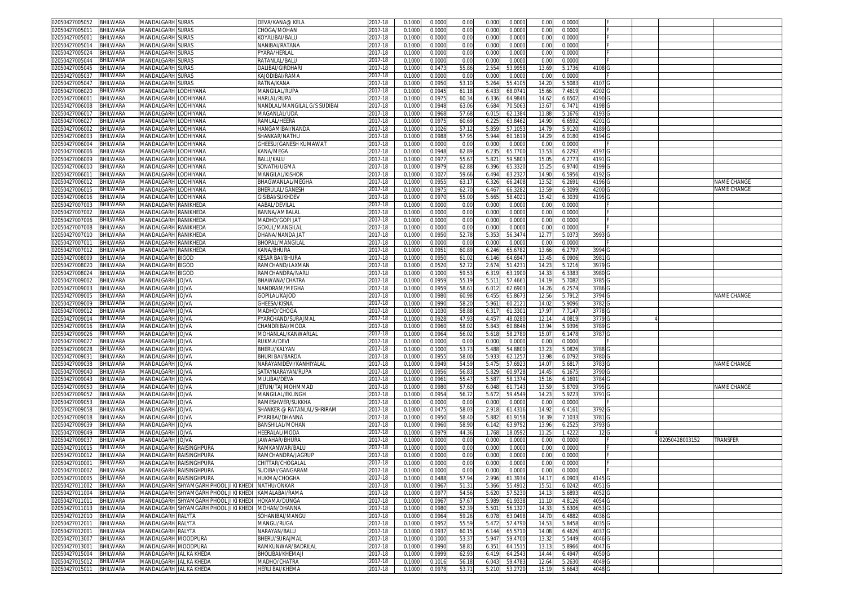| 02050427005052                   | <b>BHILWARA</b>      | MANDALGARH SURAS                                   | DEVA∕KANA@ KELA                 | 2017-18            | 0.1000           | 0.0000           | 0.00           | 0.000          | 0.0000             | 0.00              | 0.0000           |                   |  |                |                    |
|----------------------------------|----------------------|----------------------------------------------------|---------------------------------|--------------------|------------------|------------------|----------------|----------------|--------------------|-------------------|------------------|-------------------|--|----------------|--------------------|
| 02050427005011                   | BHILWARA             | <b>MANDALGARH SURAS</b>                            | CHOGA/MOHAN                     | 2017-18            | 0.100            | 0.0000           | 0.00           | 0.000          | 0.0000             | 0.00              | 0.000            |                   |  |                |                    |
| 0205042700500                    | BHILWARA             | MANDALGARH SURAS                                   | (OYALIBAI/BALU                  | 2017-18            | 0.100            | 0.0000           | 0.00           | 0.000          | 0.0000             | 0.00              | 0.000            |                   |  |                |                    |
| 2050427005014                    | BHILWARA             | MANDALGARH SURAS                                   | VANIBAI/RATANA                  | 2017-18            | 0.100            | 0.0000           | 0.00           | 0.000          | 0.0000             | 0.00              | 0.000            |                   |  |                |                    |
| )2050427005024                   | BHILWARA             | MANDALGARH SURAS                                   | PYARA/HERLAL                    | 2017-18            | 0.100            | 0.000            | 0.00           | 0.000          | 0.0000             | 0.00              | 0.000            |                   |  |                |                    |
|                                  |                      |                                                    |                                 |                    |                  |                  |                | 0.000          |                    |                   |                  |                   |  |                |                    |
| 2050427005044                    | BHILWARA             | MANDALGARH<br><b>SURAS</b>                         | RATANLAL/BALU                   | 017-18             | 0.100            | 0.000            | 0.00           |                | 0.000              | 0.00              | 0.000            |                   |  |                |                    |
| 02050427005045                   | 3HILWARA             | MANDALGARH<br><b>SURAS</b>                         | )ALIBAI/GIRDHAR                 | 2017-18            | 0.100            | 0.047            | 55.86          | 2.554          | 53.9958            | $13.6^{\circ}$    | 5.173            | 4108              |  |                |                    |
| 02050427005037                   | BHILWARA             | <b>MANDALGARH SURAS</b>                            | KAJODIBAI/RAMA                  | 2017-18            | 0.100            | 0.000            | 0.00           | 0.000          | 0.000              | 0.00              | 0.000            |                   |  |                |                    |
| 02050427005047                   | BHILWARA             | MANDALGARH SURAS                                   | RATNA/KANA                      | 2017-18            | 0.100            | 0.095            | 53.1           | 5.264          | 55.410             | 14.2              | 5.508            | 4107              |  |                |                    |
| 2050427006020                    | BHILWARA             | <b>MANDALGARH LODHIYANA</b>                        | <b>MANGILAL/RUPA</b>            | 2017-18            | 0.100            | 0.094            | 61.1           | 6.433          | 68.0741            | 15.6              | 7.461            | 4202              |  |                |                    |
| 1205042700600                    | <b>BHILWARA</b>      | VIANDALGARH<br>LODHIYANA                           | HARLAL/RUPA                     | 2017-18            | 0.100            | 0.097            | 60.3           | 6.336          | 64.9846            | 14.6              | 6.650            | 4190              |  |                |                    |
| 02050427006008                   | BHILWARA             | <b>MANDALGARH LODHIYANA</b>                        | NANDLAL/MANGILAL G/S SUDIBAI    | 2017-18            | 0.100            | 0.0948           | 63.0           | 6.684          | 70.506             | 13.6              | 6.747            | 4198              |  |                |                    |
| 0205042700601                    | BHILWARA             | MANDALGARH<br>ODHIYANA.                            | MAGANLAL/UDA                    | $2017 - 18$        | 0.100            | 0.096            | 57.6           | 6.01           | 62.138             | 11.8              | 5.167            | 4193              |  |                |                    |
| 205042700602                     | BHILWARA             | <b>MANDALGARH LODHIYANA</b>                        | RAMLAL/HEERA                    | 017-18             | 0.100            | 0.097            | 60.69          | 6.22           | 63.8462            | 14.9              | 6.6592           | 4201              |  |                |                    |
| 02050427006002                   | <b>BHILWARA</b>      | MANDALGARH<br>LODHIYANA                            | HANGAMIBAI/NANDA                | 2017-18            | 0.100            | 0.102            | 57.1           | 5.859          | 57.105             | 14.7              | 5.912            | 4189              |  |                |                    |
| 02050427006003                   | BHILWARA             | MANDALGARH<br>LODHIYANA                            | SHANKAR/NATHL                   | 017-18             | 0.100            | 0.098            | 57.9           | 5.944          | 60.161             |                   | 6.018            | 4194              |  |                |                    |
|                                  |                      |                                                    |                                 |                    |                  |                  |                |                |                    | 14.2 <sup>0</sup> |                  |                   |  |                |                    |
| 02050427006004                   | <b>BHILWARA</b>      | MANDALGARH<br>ODHIYANA.                            | SHEESU/GANESH KUMAWAT           | 2017-18            | 0.100            | 0.000            | 0.00           | 0.000          | 0.000              | 0.0               | 0.000            |                   |  |                |                    |
| 02050427006006                   | BHILWARA             | MANDALGARH LODHIYANA                               | KANA/MEGA                       | 017-18             | 0.100            | 0.094            | 62.8           | 6.235          | 65.770             | 13.5              | 6.2292           | 4197              |  |                |                    |
| 02050427006009                   | 3HILWARA             | MANDALGARH<br>LODHIYANA                            | <b>BALU/KALU</b>                | 2017-18            | 0.100            | 0.097            | 55.6           | 5.82           | 59.580             | 15.0              | 6.277            | 4191              |  |                |                    |
| 02050427006010                   | BHILWARA             | MANDALGARH LODHIYANA                               | SONATH/UGMA                     | 2017-18            | 0.100            | 0.097            | 62.88          | 6.396          | 65.332             | 15.2              | 6.974            | 4199              |  |                |                    |
| 1205042700601                    | <b>BHILWARA</b>      | MANDALGARH LODHIYANA                               | MANGILAL/KISHOR                 | 017-18             | 0.100            | 0.102            | 59.66          | 6.494          | 63.232             | 14.9              | 6.595            | 4192              |  |                |                    |
| 02050427006012                   | <b>BHILWARA</b>      | MANDALGARH LODHIYANA                               | BHAGWANLAL/MEGHA                | 2017-18            | 0.100            | 0.095            | 63.1           | 6.326          | 66.2408            | 13.5              | 6.269            | 4196              |  |                | NAME CHANGE        |
| 2050427006015                    | <b>HILWARA</b>       | <b>MANDALGARH</b><br>LODHIYANA                     | 3HERULAL/GANESH                 | 017-18             | 0.100            | 0.097            | 62.7           | 6.467          | 66.328             | $13.5^{\circ}$    | 6.309            | 4200              |  |                | <b>VAME CHANGE</b> |
| 02050427006016                   | BHILWARA             | MANDALGARH LODHIYANA                               | <b>GISIBAI/SUKHDEV</b>          | 2017-18            | 0.100            | 0.097            | 55.00          | 5.665          | 58.402             | 15.42             | 6.3039           | 4195              |  |                |                    |
| 2050427007003                    | BHILWARA             | MANDALGARH RANIKHEDA                               | AABAL/DEVILAL                   | 2017-18            | 0.100            | 0.0000           | 0.00           | 0.000          | 0.0000             | 0.00              | 0.000            |                   |  |                |                    |
| 02050427007002                   | BHILWARA             | MANDALGARH RANIKHEDA                               | BANNA/AMBALAI                   | 2017-18            | 0.100            | 0.000            | 0.00           | 0.000          | 0.0000             | 0.00              | 0.000            |                   |  |                |                    |
|                                  |                      |                                                    |                                 |                    |                  |                  | 0.00           |                | 0.0000             |                   |                  |                   |  |                |                    |
| 2050427007006                    | BHILWARA             | MANDALGARH RANIKHEDA                               | MADHO/GOPI JAT                  | 2017-18            | 0.100            | 0.0000           |                | 0.000          |                    | 0.00              | 0.000            |                   |  |                |                    |
| )2050427007008                   | BHILWARA             | MANDALGARH RANIKHEDA                               | GOKUL/MANGILAI                  | 2017-18            | 0.100            | 0.000            | 0.00           | 0.000          | 0.0000             | 0.00              | 0.000            |                   |  |                |                    |
| 2050427007010                    | BHILWARA             | MANDALGARH RANIKHEDA                               | DHANA/NANDA JAT                 | 017-18             | 0.100            | 0.0950           | 52.78          | 5.353          | 56.3474            | 12.7              | 5.037            | 3993 G            |  |                |                    |
| 02050427007011                   | BHILWARA             | MANDALGARH RANIKHEDA                               | BHOPAL/MANGILAL                 | 2017-18            | 0.100            | 0.000            | 0.00           | 0.000          | 0.0000             | 0.00              | 0.000            |                   |  |                |                    |
| 2050427007012                    | BHILWARA             | VIANDALGARH RANIKHEDA                              | <b><i>CANA/BHURA</i></b>        | 2017-18            | 0.100            | 0.095            | 60.89          | 6.246          | 65.6782            | 13.66             | 6.279            | 3994              |  |                |                    |
| 02050427008009                   | BHILWARA             | MANDALGARH BIGOD                                   | KESAR BAI/BHURA                 | 2017-18            | 0.100            | 0.095            | 61.0           | 6.146          | 64.694             | 13.4              | 6.090            | 3981              |  |                |                    |
| 2050427008020                    | BHILWARA             | <b>MANDALGARH BIGOD</b>                            | RAMCHAND/LAXMAN                 | 2017-18            | 0.100            | 0.052            | 52.72          | 2.674          | 51.423             | 14.2              | 5.121            | 3979              |  |                |                    |
| 02050427008024                   | <b>BHILWARA</b>      | MANDALGARH BIGOD                                   | RAMCHANDRA/NARL                 | 2017-18            | 0.100            | 0.100            | 59.5           | 6.319          | 63.1900            | 14.3              | 6.338            | 3980              |  |                |                    |
| 02050427009002                   | BHILWARA             | MANDALGARH JOJVA                                   | <b>BHAWANA/CHATRA</b>           | 2017-18            | 0.1000           | 0.095            | 55.1           | 5.511          | 57.466             | 14.1              | 5.7082           | 3785              |  |                |                    |
| 02050427009003                   | BHILWARA             | MANDALGARH JOJVA                                   | NANDRAM/MEGHA                   | 2017-18            | 0.100            | 0.095            | 58.6           | 6.01           | 62.690             | 14.26             | 6.257            | 3786              |  |                |                    |
| 2050427009005                    | BHILWARA             | MANDALGARH JOJVA                                   | GOPILAL/KAJOD                   | 2017-18            | 0.100            | 0.098            |                |                | 65.867             | 12.56             | 5.791            | 3794              |  |                | NAME CHANGE        |
|                                  |                      |                                                    |                                 |                    |                  |                  | 60.98          | 6.45           |                    |                   |                  |                   |  |                |                    |
| 02050427009009                   | <b>BHILWARA</b>      | MANDALGARH<br><b>JOJVA</b>                         | <b>GHEESA/KISNA</b>             | 2017-18            | 0.100            | 0.099            | 58.2           | 5.961          | 60.212             | 14.0              | 5.909            | 3782              |  |                |                    |
| 2050427009012                    | BHILWARA             | MANDALGARH JOJVA                                   | <b>MADHO/CHOGA</b>              | 017-18             | 0.100            | 0.103            | 58.88          | 6.317          | 61.330             | 17.9              | 7.714            | 3778 <sub>G</sub> |  |                |                    |
| 02050427009014                   | BHILWARA             | MANDALGARH<br><b>JOJVA</b>                         | PYARCHAND/SURAJMAI              | 2017-18            | 0.100            | 0.092            | 47.9           | 4.45           | 48.028             | 12.1              | 4.081            | 3779 G            |  |                |                    |
| 2050427009016                    | BHILWARA             | MANDALGARH JOJVA                                   | CHANDRIBAI/MODA                 | 017-18             | 0.100            | 0.096            | 58.02          | 5.843          | 60.8646            | 13.94             | 5.939            | 3789              |  |                |                    |
| 02050427009026                   | 3HILWARA             | MANDALGARH<br><b>JOJVA</b>                         | VIOHANLAL/KANWARLAI             | 2017-18            | 0.100            | 0.096            | 56.0           | 5.61           | 58.278             | 15.0              | 6.1478           | 3787              |  |                |                    |
| 02050427009027                   | BHILWARA             | MANDALGARH JOJVA                                   | RUKMA/DEVI                      | 2017-18            | 0.100            | 0.000            | 0.00           | 0.000          | 0.0000             | 0.00              | 0.0000           |                   |  |                |                    |
| 2050427009028                    | <b>BHILWARA</b>      | MANDALGARH<br><b>AVLOL</b>                         | BHERU/KALYAN                    | 017-18             | 0.100            | 0.100            | 53.7           | 5.488          | 54.880             | 13.2              | 5.082            | 3788              |  |                |                    |
| 1205042700903                    | <b>BHILWARA</b>      | MANDALGARH JOJVA                                   | <b>BHURI BAI/BARDA</b>          | 2017-18            | 0.100            | 0.095            | 58.00          | 5.933          | 62.125             | 13.98             | 6.0792           | 3780              |  |                |                    |
| 02050427009038                   | <b>BHILWARA</b>      | MANDALGARH JOJVA                                   | VARAYANIDEVI/KANHIYALAL         | 017-18             | 0.100            | 0.094            | 54.5           | 5.475          | 57.692             | 14.0              | 5.681            | 3783              |  |                | <b>JAME CHANGE</b> |
| 02050427009040                   | <b>BHILWARA</b>      | MANDALGARH JOJVA                                   | SATAYNARAYAN/RUPA               | 2017-18            | 0.100            | 0.095            | 56.8           | 5.829          | 60.9728            | 14.45             | 6.167!           | 3790              |  |                |                    |
| 2050427009043                    | <b>BHILWARA</b>      | MANDALGARH JOJVA                                   | MULIBAI/DEVA                    | 017-18             | 0.100            | 0.096            | 55.4           | 5.58           | 58.137             | 15.1              | 6.169            | 3784              |  |                |                    |
|                                  | <b>BHILWARA</b>      |                                                    |                                 | 2017-18            |                  |                  |                |                | 61.7143            |                   | 5.8709           | 3795 G            |  |                | NAME CHANGE        |
| 02050427009050                   |                      | MANDALGARH JOJVA                                   | JETUN/TAJ MOHMMAD               |                    | 0.100            | 0.098            | 57.60          | 6.048          |                    | 13.5 <sup>0</sup> |                  |                   |  |                |                    |
| 02050427009052                   | <b>BHILWARA</b>      | MANDALGARH JOJVA                                   | MANGILAL/EKLINGH                | 017-18             | 0.100            | 0.095            | 56.72          | 5.672          | 59.4549            | 14.23             | 5.922            | 3791              |  |                |                    |
| 02050427009053                   | BHILWARA             | MANDALGARH JOJVA                                   | RAMESHWER/SUKKHA                | 2017-18            | 0.100            | 0.000            | 0.00           | 0.000          | 0.0000             | 0.00              | 0.000            |                   |  |                |                    |
| 2050427009058                    | BHILWARA             | MANDALGARH JOJVA                                   | SHANKER @ RATANLAL/SHRIRAM      | 2017-18            | 0.100            | 0.0475           | 58.03          | 2.918          | 61.4316            | 14.92             | 6.416            | 3792 G            |  |                |                    |
| )2050427009018                   | BHILWARA             | MANDALGARH JOJVA                                   | PYARIBAI/DHANNA                 | 2017-18            | 0.100            | 0.095            | 58.40          | 5.882          | 61.9158            | 16.3              | 7.103            | 3781 G            |  |                |                    |
| 2050427009039                    | BHILWARA             | MANDALGARH JOJVA                                   | BANSHILAL/MOHAN                 | 2017-18            | 0.100            | 0.0960           | 58.90          | 6.142          | 63.9792            | 13.96             | 6.252!           | 3793              |  |                |                    |
| 02050427009049                   | BHILWARA             | MANDALGARH JOJVA                                   | HEERALAL/MODA                   | 2017-18            | 0.100            | 0.097            | 44.36          | 1.768          | 18.059             | 11.2              | 1.4222           | 12 <sub>6</sub>   |  |                |                    |
| 2050427009037                    | BHILWARA             | MANDALGARH JOJVA                                   | IAWAHAR/BHURA                   | 2017-18            | 0.100            | 0.000            | 0.00           | 0.000          | 0.0000             | 0.00              | 0.000            |                   |  | 02050428003152 | TRANSFER           |
| 02050427010015                   | <b>BHILWARA</b>      | <b>MANDALGARH RAISINGHPURA</b>                     | RAMKANWAR/BALL                  | 2017-18            | 0.100            | 0.000            | 0.00           | 0.000          | 0.0000             | 0.0               | 0.000            |                   |  |                |                    |
| 02050427010012                   | BHILWARA             | <b>MANDALGARH RAISINGHPURA</b>                     | RAMCHANDRA/JAGRUF               | 2017-18            | 0.100            | 0.000            | 0.00           | 0.000          | 0.0000             | 0.00              | 0.0000           |                   |  |                |                    |
| 02050427010001                   | <b>BHILWARA</b>      | MANDALGARH RAISINGHPURA                            | CHITTAR/CHOGALAL                | 2017-18            | 0.100            | 0.000            | 0.00           | 0.000          | 0.000              | 0.00              | 0.000            |                   |  |                |                    |
|                                  | BHILWARA             | MANDALGARH RAISINGHPURA                            |                                 |                    |                  |                  |                |                |                    |                   |                  |                   |  |                |                    |
| 02050427010002                   | BHILWARA             | MANDALGARH RAISINGHPURA                            | Sudibai/Gangaram                | 2017-18<br>2017-18 | 0.1000           | 0.0000           | 0.00           | 0.000          | 0.0000             | 0.00              | 0.000            |                   |  |                |                    |
| 02050427010005                   |                      |                                                    | HUKMA/CHOGHA                    |                    | 0.1000           | 0.0488           | 57.94          | 2.996          | 61.3934            | 14.17             | 6.090            | 4145              |  |                |                    |
| 02050427011002                   | BHILWARA             | MANDALGARH SHYAMGARH PHOOL JI KI KHEDI             | NATHU/ONKAR                     | 2017-18            | 0.1000           | 0.0967           | 51.3'          | 5.366          | 55.4912            | 15.51             | 6.0242           | 4051 G            |  |                |                    |
| 02050427011004                   | BHILWARA             | MANDALGARH SHYAMGARH PHOOL JI KI KHEDI             | KAMALABAI/RAMA                  | 2017-18            | 0.1000           | 0.097            | 54.56          | 5.620          | 57.523             | 14.1              | 5.689            | 4052              |  |                |                    |
| 02050427011011                   | <b>BHILWARA</b>      | MANDALGARH SHYAMGARH PHOOL JI KI KHEDI             | HOKAMA/DUNGA                    | 2017-18            | 0.1000           | 0.0967           | 57.6           | 5.989          | 61.9338            | 11.1(             | 4.8126           | 4054              |  |                |                    |
| 02050427011013                   | BHILWARA             | MANDALGARH SHYAMGARH PHOOL JI KI KHEDI             | MOHAN/DHANNA                    | 2017-18            | 0.100            | 0.098            | 52.39          | 5.501          | 56.132             | 14.33             | 5.6306           | 4053              |  |                |                    |
| 02050427012010                   | BHILWARA             | MANDALGARH RALYTA                                  | SOHANIBAI/MANGU                 | 2017-18            | 0.1000           | 0.0964           | 59.26          | 6.078          | 63.0498            | 14.7              | 6.488            | 4036 G            |  |                |                    |
| 02050427012011                   | BHILWARA             | MANDALGARH RALYTA                                  | MANGU/RUGA                      | 2017-18            | 0.100            | 0.095            | 55.59          | 5.472          | 57.4790            | 14.5              | 5.8458           | 4035              |  |                |                    |
| 02050427012001                   | BHILWARA             | MANDALGARH RALYTA                                  | NARAYAN/BALU                    | 2017-18            | 0.100            | 0.093            | 60.1           | 6.144          | 65.5710            | 14.08             | 6.4626           | 4037              |  |                |                    |
| 02050427013007                   | BHILWARA             | MANDALGARH MOODPURA                                | BHERU/SURAJMAL                  | 2017-18            | 0.1000           | 0.1000           | 53.37          | 5.947          | 59.4700            | 13.32             | 5.5449           | 4046              |  |                |                    |
| 02050427013001                   | BHILWARA             | MANDALGARH MOODPURA                                | RAMKUNWAR/BADRILAL              | 2017-18            | 0.1000           | 0.0990           | 58.8           | 6.351          | 64.1515            | 13.13             | 5.8966           | 4047              |  |                |                    |
| 02050427015004                   | BHILWARA             | MANDALGARH JAL KA KHEDA                            | BHOLIBAI/KHEMAJI                | 2017-18            | 0.100            | 0.0999           | 62.93          | 6.419          | 64.254             | 14.44             | 6.494            | 4050              |  |                |                    |
|                                  |                      |                                                    |                                 |                    |                  |                  |                |                |                    |                   |                  | 4049 G            |  |                |                    |
|                                  |                      |                                                    |                                 |                    |                  |                  |                |                |                    |                   |                  |                   |  |                |                    |
| 02050427015012<br>02050427015011 | BHILWARA<br>BHILWARA | MANDALGARH JAL KA KHEDA<br>MANDALGARH JAL KA KHEDA | MADHO/CHATRA<br>HERLI BAI/KHEMA | 2017-18<br>2017-18 | 0.1000<br>0.1000 | 0.1016<br>0.0978 | 56.18<br>53.71 | 6.043<br>5.210 | 59.4783<br>53.2720 | 12.64<br>15.19    | 5.2630<br>5.6643 | 4048 G            |  |                |                    |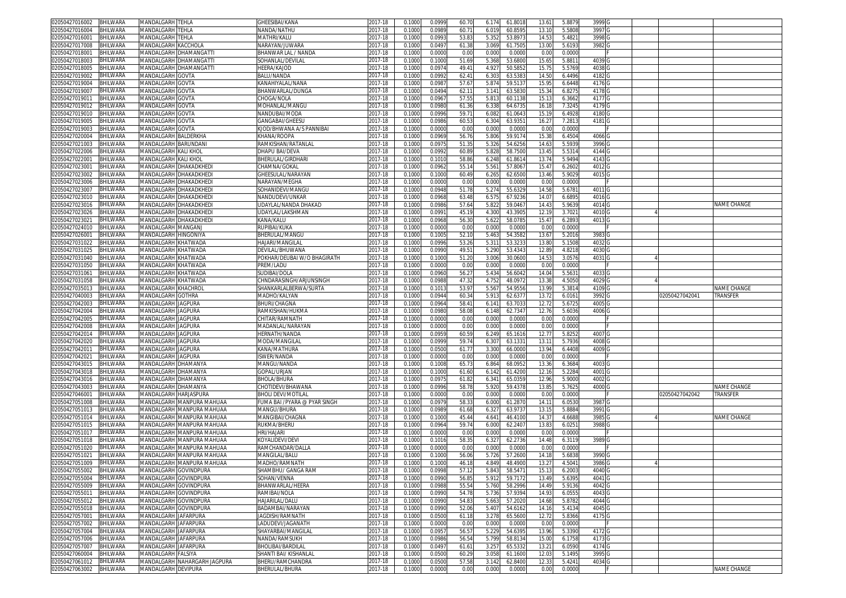| 02050427016002<br>BHILWARA                | <b>MANDALGARH TEHLA</b>      |                               | <b>GHEESIBAI/KANA</b>                                                                                                                                                                     | 2017-18     | 0.1000 | 0.0999 | 60.70 | 6.174 | 61.801  | 13.61             | 5.887  | 3999              |                |                    |
|-------------------------------------------|------------------------------|-------------------------------|-------------------------------------------------------------------------------------------------------------------------------------------------------------------------------------------|-------------|--------|--------|-------|-------|---------|-------------------|--------|-------------------|----------------|--------------------|
| 02050427016004<br>BHILWARA                | MANDALGARH <b>I</b> TEHLA    |                               | NANDA/NATHU                                                                                                                                                                               | 2017-18     | 0.1000 | 0.0989 | 60.71 | 6.019 | 60.859  | 13.10             | 5.580  | 3997              |                |                    |
| BHILWARA<br>02050427016001                | VIANDALGARH                  | TEHLA                         | MATHRI/KALU                                                                                                                                                                               | 2017-18     | 0.1000 | 0.099  | 53.83 | 5.352 | 53.897  | 14.5              | 5.482  | 3998              |                |                    |
| 02050427017008<br><b>BHILWARA</b>         | <b>MANDALGARH KACCHOLA</b>   |                               | NARAYAN/JUWARA                                                                                                                                                                            | 2017-18     | 0.1000 | 0.0497 | 61.38 | 3.069 | 61.750  | 13.00             | 5.619  | 3982              |                |                    |
|                                           |                              |                               |                                                                                                                                                                                           |             |        |        |       |       |         |                   |        |                   |                |                    |
| 02050427018001<br><b>BHILWARA</b>         |                              | MANDALGARH DHAMANGATTI        | BHANWAR LAL / NANDA                                                                                                                                                                       | 2017-18     | 0.1000 | 0.0000 | 0.00  | 0.000 | 0.000   | 0.00              | 0.000  |                   |                |                    |
| 02050427018003<br>BHILWARA                |                              | <b>MANDALGARH DHAMANGATTI</b> | SOHANLAL/DEVILAL                                                                                                                                                                          | 2017-18     | 0.1000 | 0.1000 | 51.69 | 5.368 | 53.680  | 15.6              | 5.881  | 4039              |                |                    |
| BHILWARA<br>02050427018005                | MANDALGARH                   | DHAMANGATTI                   | HEERA/KAJOD                                                                                                                                                                               | 2017-18     | 0.100  | 0.097  | 49.4  | 4.92  | 50.585  | 15.7              | 5.576  | 4038              |                |                    |
| BHILWARA<br>02050427019002                | <b>MANDALGARH</b>            | GOVTA                         | <b>BALU/NANDA</b>                                                                                                                                                                         | 2017-18     | 0.1000 | 0.099  | 62.4  | 6.303 | 63.538  | 14.50             | 6.4496 | 4182              |                |                    |
| 02050427019004<br><b>BHILWARA</b>         | MANDALGARH                   | <b>GOVTA</b>                  | (ANAHIYALAL/NANA                                                                                                                                                                          | 2017-18     | 0.100  | 0.098  | 57.67 | 5.87  | 59.513  | 15.9              | 6.644  | 4176              |                |                    |
| 02050427019007<br>BHILWARA                | MANDALGARH                   | <b>GOVTA</b>                  | BHANWARLAL/DUNGA                                                                                                                                                                          | 2017-18     | 0.1000 | 0.049  | 62.1  | 3.141 | 63.583  | 15.3              | 6.827  | 4178              |                |                    |
| 02050427019011<br><b>BHILWARA</b>         | MANDALGARH                   | GOVTA                         | CHOGA/NOLA                                                                                                                                                                                | 2017-18     | 0.100  | 0.096  | 57.5  | 5.81  | 60.113  | 15.1              | 6.366  | 4177              |                |                    |
| 02050427019012<br>BHILWARA                | <b>MANDALGARH</b>            | GOVTA                         | <b>MOHANLAL/MANGU</b>                                                                                                                                                                     | 2017-18     | 0.1000 | 0.0980 | 61.36 | 6.338 | 64.673  | 16.1              | 7.3245 | 4179              |                |                    |
| BHILWARA<br>02050427019010                | <b>MANDALGARH</b>            | GOVTA                         | NANDUBAI/MODA                                                                                                                                                                             | 2017-18     | 0.100  | 0.099  | 59.7  | 6.08  | 61.064  | 15.1              | 6.492  | 4180              |                |                    |
| BHILWARA<br>02050427019005                | MANDALGARH                   | <b>GOVTA</b>                  | GANGABAI/GHEESL                                                                                                                                                                           | 2017-18     | 0.1000 | 0.0986 | 60.5  | 6.304 | 63.935  | 16.2              | 7.281  | 4181              |                |                    |
| BHILWARA<br>02050427019003                | MANDALGARH                   | <b>GOVTA</b>                  | <b>(JOD/BHWANA A/S PANNIBAI</b>                                                                                                                                                           | 2017-18     | 0.1000 | 0.0000 | 0.0   | 0.000 | 0.000   | 0.00              | 0.000  |                   |                |                    |
| 3HILWARA<br>02050427020004                | MANDALGARH BALDERKHA         |                               | KHANA/ROOPA                                                                                                                                                                               | 2017-18     | 0.1000 | 0.0969 | 56.7  | 5.806 | 59.917  | 15.38             | 6.4504 | 4066              |                |                    |
| 02050427021003                            |                              |                               |                                                                                                                                                                                           | 2017-18     | 0.100  | 0.097  | 51.3  | 5.32  | 54.625  | 14.6              | 5.593  | 3996              |                |                    |
| 3HILWARA                                  | <b>MANDALGARH BARUNDAN</b>   |                               | RAMKISHAN/RATANLAI                                                                                                                                                                        |             |        |        |       |       |         |                   |        |                   |                |                    |
| BHILWARA<br>02050427022006                | MANDALGARH KALI KHOL         |                               | DHAPU BAI/DEVA                                                                                                                                                                            | 2017-18     | 0.1000 | 0.0992 | 60.89 | 5.828 | 58.7500 | 13.45             | 5.531  | 4144              |                |                    |
| BHILWARA<br>02050427022001                | MANDALGARH KALI KHOL         |                               | <b>BHERULAL/GIRDHARI</b>                                                                                                                                                                  | 2017-18     | 0.1000 | 0.1010 | 58.8  | 6.248 | 61.861  | 13.74             | 5.949  | 4143              |                |                    |
| BHILWARA<br>02050427023001                |                              | MANDALGARH DHAKADKHEDI        | CHAMNA/GOKAL                                                                                                                                                                              | 2017-18     | 0.1000 | 0.096  | 55.1  | 5.56  | 57.806  | 15.47             | 6.260  | 4012              |                |                    |
| 02050427023002<br>BHILWARA                |                              | MANDALGARH DHAKADKHED         | GHEESULAL/NARAYAN                                                                                                                                                                         | 2017-18     | 0.1000 | 0.1000 | 60.4  | 6.265 | 62.650  | 13.46             | 5.902  | 4015              |                |                    |
| BHILWARA<br>02050427023006                |                              | MANDALGARH DHAKADKHED         | NARAYAN/MEGHA                                                                                                                                                                             | 2017-18     | 0.1000 | 0.0000 | 0.00  | 0.000 | 0.000   | 0.00              | 0.0000 |                   |                |                    |
| 02050427023007<br>BHILWARA                |                              | VIANDALGARH DHAKADKHED        | SOHANIDEVI/MANGU                                                                                                                                                                          | 2017-18     | 0.1000 | 0.0948 | 51.78 | 5.274 | 55.632  | 14.58             | 5.6781 | 4011              |                |                    |
| BHILWARA<br>02050427023010                |                              | MANDALGARH DHAKADKHED         | NANDUDEVI/UNKAR                                                                                                                                                                           | 2017-18     | 0.1000 | 0.0968 | 63.48 | 6.575 | 67.923  | 14.0              | 6.689  | 4016              |                |                    |
| 02050427023016<br>BHILWARA                |                              | VIANDALGARH DHAKADKHED        | JDAYLAL/NANDA DHAKAD                                                                                                                                                                      | 2017-18     | 0.1000 | 0.0986 | 57.64 | 5.822 | 59.046  | 14.43             | 5.963  | 4014              |                | NAME CHANGE        |
| 3HILWARA<br>02050427023026                |                              | VIANDALGARH DHAKADKHED        | JDAYLAL/LAKSHMAN                                                                                                                                                                          | 2017-18     | 0.1000 | 0.099  | 45.1  | 4.300 | 43.390  | 12.1 <sup>0</sup> | 3.702  | 4010              |                |                    |
| 02050427023021<br><b>BHILWARA</b>         |                              | <b>MANDALGARH DHAKADKHEDI</b> | KANA/KALU                                                                                                                                                                                 | 2017-18     | 0.1000 | 0.0968 | 56.30 | 5.622 | 58.078  | 15.47             | 6.2893 | 4013              |                |                    |
| 02050427024010<br><b>BHILWARA</b>         | MANDALGARH MANGANJ           |                               | RUPIBAI/KUKA                                                                                                                                                                              | 2017-18     | 0.1000 | 0.0000 | 0.00  | 0.000 | 0.000   | 0.00              | 0.000  |                   |                |                    |
| 02050427026001<br>BHILWARA                | <b>MANDALGARH HINGONIYA</b>  |                               | <b>BHERULAL/MANGU</b>                                                                                                                                                                     | 2017-18     | 0.1000 | 0.100  | 52.1  | 5.463 | 54.358  | 13.6              | 5.2016 | 3983              |                |                    |
| 02050427031022<br>BHILWARA                | <b>MANDALGARH KHATWADA</b>   |                               | HAJARI/MANGILAL                                                                                                                                                                           | 2017-18     | 0.1000 | 0.0996 | 53.26 | 5.31' | 53.323  | 13.8              | 5.150  | 4032              |                |                    |
| BHILWARA<br>02050427031025                | <b>MANDALGARH KHATWADA</b>   |                               | DEVILAL/BHUWANA                                                                                                                                                                           | 2017-18     | 0.1000 | 0.0990 | 49.5  | 5.290 | 53.434  | 12.8              | 4.821  | 403C              |                |                    |
| 02050427031040<br><b>BHILWARA</b>         | MANDALGARH KHATWADA          |                               | POKHAR/DEUBAI W/O BHAGIRATH                                                                                                                                                               | 2017-18     | 0.100  | 0.100  | 51.20 | 3.006 | 30.060  | 14.5              | 3.057  | 4031              |                |                    |
| 02050427031050<br>BHILWARA                | MANDALGARH KHATWADA          |                               | PREM/LADU                                                                                                                                                                                 | 2017-18     | 0.1000 |        | 0.00  | 0.000 | 0.000   | 0.00              | 0.0000 |                   |                |                    |
|                                           | <b>MANDALGARH</b>            |                               |                                                                                                                                                                                           |             |        | 0.0000 |       |       |         |                   |        |                   |                |                    |
| 02050427031061<br>BHILWARA                |                              | KHATWADA                      | SUDIBAI/DOLA                                                                                                                                                                              | 2017-18     | 0.100  | 0.0960 | 56.2  | 5.434 | 56.604  | 14.0              | 5.563  | 4033              |                |                    |
| 02050427031058<br>BHILWARA                | <b>MANDALGARH KHATWADA</b>   |                               | CHNDARASINGH/ARJUNSINGH                                                                                                                                                                   | 2017-18     | 0.1000 | 0.0988 | 47.32 | 4.752 | 48.097  | 13.38             | 4.505  | 4029              |                |                    |
| 02050427035013<br>BHILWARA                | MANDALGARH KHACHROI          |                               | SHANKARLALBERWA/SURTA                                                                                                                                                                     | 2017-18     | 0.100  | 0.101  | 53.9  | 5.56  | 54.955  | 13.9              | 5.381  | 4109              |                | NAME CHANGE        |
| BHILWARA<br>02050427040003                | MANDALGARH GOTHRA            |                               | MADHO/KALYAN                                                                                                                                                                              | 2017-18     | 0.1000 | 0.0944 | 60.3  | 5.91  | 62.637  | 13.7              | 6.016  | 3992              | 02050427042041 | TRANSFER           |
| BHILWARA<br>02050427042003                | MANDALGARH JAGPURA           |                               | BHURI/CHAGNA                                                                                                                                                                              | 2017-18     | 0.1000 | 0.0964 | 58.4  | 6.14  | 63.703  | 12.72             | 5.6725 | 4005              |                |                    |
| 3HILWARA<br>02050427042004                | MANDALGARH JAGPURA           |                               | RAMKISHAN/HUKMA                                                                                                                                                                           | 2017-18     | 0.1000 | 0.0980 | 58.08 | 6.148 | 62.734  | 12.76             | 5.6036 | 4006              |                |                    |
| 02050427042005<br>3HILWARA                | <b>MANDALGARH JAGPURA</b>    |                               | CHITAR/RAMNATH                                                                                                                                                                            | 2017-18     | 0.100  | 0.000  | 0.0   | 0.000 | 0.000   | 0.0               | 0.000  |                   |                |                    |
| BHILWARA<br>02050427042008                | MANDALGARH JAGPURA           |                               | MADANLAL/NARAYAN                                                                                                                                                                          | 2017-18     | 0.1000 | 0.0000 | 0.00  | 0.000 | 0.000   | 0.00              | 0.0000 |                   |                |                    |
| <b>BHILWARA</b><br>02050427042014         | MANDALGARH JAGPURA           |                               | HERNATH/NANDA                                                                                                                                                                             | 2017-18     | 0.1000 | 0.0959 | 60.5  | 6.249 | 65.161  | 12.7              | 5.825  | 4007              |                |                    |
| BHILWARA<br>02050427042020                | MANDALGARH JAGPURA           |                               | MODA/MANGILAL                                                                                                                                                                             | 2017-18     | 0.1000 | 0.0999 | 59.74 | 6.30  | 63.133  | 13.1'             | 5.793  | 4008              |                |                    |
| BHILWARA<br>02050427042011                | MANDALGARH JAGPURA           |                               | KANA/MATHURA                                                                                                                                                                              | 2017-18     | 0.1000 | 0.0500 | 61.7  | 3.300 | 66.000  | 13.94             | 6.440  | 4009              |                |                    |
| BHILWARA<br>02050427042021                | MANDALGARH JAGPURA           |                               | ISWER/NANDA                                                                                                                                                                               | 2017-18     | 0.1000 | 0.0000 | 0.00  | 0.000 | 0.000   | 0.00              | 0.000  |                   |                |                    |
| 02050427043015<br>BHILWARA                | <b>MANDALGARH DHAMANYA</b>   |                               | <b>MANGU/NANDA</b>                                                                                                                                                                        | 2017-18     | 0.1000 | 0.1008 | 65.7  | 6.864 | 68.095  | 13.36             | 6.368  | 4003              |                |                    |
| BHILWARA<br>02050427043018                | MANDALGARH DHAMANYA          |                               | GOPAL/URJAN                                                                                                                                                                               | 2017-18     | 0.1000 | 0.1000 | 61.60 | 6.142 | 61.420  | 12.16             | 5.228  | 4001              |                |                    |
| 02050427043016<br>BHILWARA                | MANDALGARH                   | DHAMANYA                      | <b>BHOLA/BHURA</b>                                                                                                                                                                        | 2017-18     | 0.1000 | 0.097  | 61.82 | 6.341 | 65.035  | 12.96             | 5.900  | 4002              |                |                    |
| 02050427043003<br>3HILWARA                | MANDALGARH                   | <b>DHAMANYA</b>               | CHOTIDEVI/BHAWANA                                                                                                                                                                         | 2017-18     | 0.1000 | 0.0996 | 58.7  | 5.920 | 59.437  | 13.8              | 5.762  | 4000              |                | NAME CHANGE        |
| 02050427046001<br>BHILWARA                | <b>MANDALGARH HARJASPURA</b> |                               | <b>BHOLI DEVI/MOTILAL</b>                                                                                                                                                                 | 2017-18     | 0.1000 | 0.0000 | 0.00  | 0.000 | 0.000   | 0.00              | 0.000  |                   | 02050427042042 | TRANSFER           |
|                                           |                              |                               |                                                                                                                                                                                           |             |        |        |       |       |         |                   |        |                   |                |                    |
| 02050427051008<br><b>BHILWARA</b>         |                              | MANDALGARH MANPURA MAHUAA     | FUMA BAI /PYARA @ PYAR SINGH<br><b>MANGU/BHURA</b>                                                                                                                                        | 2017-18     | 0.1000 | 0.097  | 58.33 | 6.000 | 61.287  | 14.11             | 6.053  | 3987              |                |                    |
| 02050427051013<br>BHILWARA                |                              | MANDALGARH MANPURA MAHUAA     |                                                                                                                                                                                           | 2017-18     | 0.1000 | 0.098  | 61.68 | 6.32  | 63.973  | 13.15             | 5.888  | 3991              |                |                    |
| 02050427051014<br>BHILWARA                |                              | MANDALGARH MANPURA MAHUAA     | MANGIBAI/CHAGNA                                                                                                                                                                           | 2017-18     | 0.1000 | 0.1000 | 45.44 | 4.641 | 46.410  | 14.3              | 4.668  | 3985              |                | NAME CHANGE        |
| <b>BHILWARA</b><br>02050427051015         |                              | MANDALGARH MANPURA MAHUAA     | RUKMA/BHERU                                                                                                                                                                               | 2017-18     | 0.1000 | 0.0964 | 59.74 | 6.000 | 62.240  | 13.83             | 6.025  | 3988              |                |                    |
| BHILWARA<br>02050427051017                | MANDALGARH                   | MANPURA MAHUAA                | hri/hajari                                                                                                                                                                                | $2017 - 18$ | 0.100  | 0.000  | 0.00  | 0.000 | 0.000   | 0.00              | 0.000  |                   |                |                    |
| 02050427051018<br><b>BHILWARA</b>         |                              | MANDALGARH MANPURA MAHUAA     | <oyalidevi devi<="" td=""><td>2017-18</td><td>0.1000</td><td>0.1016</td><td>58.3</td><td>6.327</td><td>62.273</td><td>14.48</td><td>6.311</td><td>3989</td><td></td><td></td></oyalidevi> | 2017-18     | 0.1000 | 0.1016 | 58.3  | 6.327 | 62.273  | 14.48             | 6.311  | 3989              |                |                    |
| 02050427051020<br>BHILWARA                | <b>MANDALGARH</b>            | MANPURA MAHUAA                | RAMCHANDAR/DALLA                                                                                                                                                                          | 2017-18     | 0.100  | 0.000  | 0.0   | 0.000 | 0.000   | 0.0               | 0.000  |                   |                |                    |
| 02050427051021<br><b>BHILWARA</b>         |                              | MANDALGARH MANPURA MAHUAA     | <b>MANGILAL/BALU</b>                                                                                                                                                                      | 2017-18     | 0.1000 | 0.1000 | 56.06 | 5.726 | 57.2600 | 14.18             | 5.683  | 3990              |                |                    |
| 02050427051009<br><b>BHILWARA</b>         |                              | MANDALGARH MANPURA MAHUAA     | MADHO/RAMNATH                                                                                                                                                                             | 2017-18     | 0.1000 | 0.1000 | 46.1  | 4.849 | 48.490  | 13.2              | 4.504  | 3986              |                |                    |
| 02050427055002 BHILWARA                   | MANDALGARH  GOVINDPURA       |                               | SHAMBHU/ GANGA RAM                                                                                                                                                                        | 2017-18     | 0.1000 | 0.0998 | 57.12 | 5.843 | 58.547  | 15.13             | 6.2003 | 4040              |                |                    |
| 02050427055004<br>BHILWARA                | MANDALGARH GOVINDPURA        |                               | SOHAN/VENNA                                                                                                                                                                               | 2017-18     | 0.1000 | 0.0990 | 56.8  | 5.912 | 59.7172 | 13.49             | 5.6395 | 4041              |                |                    |
| BHILWARA<br>02050427055009                | MANDALGARH GOVINDPURA        |                               | BHANWARLAL/HEERA                                                                                                                                                                          | 2017-18     | 0.1000 | 0.0988 | 55.54 | 5.760 | 58.2996 | 14.49             | 5.9136 | 4042              |                |                    |
| BHILWARA<br>02050427055011                | MANDALGARH GOVINDPURA        |                               | RAMIBAI/NOLA                                                                                                                                                                              | 2017-18     | 0.1000 | 0.0990 | 54.78 | 5.736 | 57.939  | 14.9              | 6.055  | 4043              |                |                    |
| 02050427055012<br>BHILWARA                | MANDALGARH GOVINDPURA        |                               | HAJARILAL/DALU                                                                                                                                                                            | 2017-18     | 0.1000 | 0.0990 | 54.83 | 5.663 | 57.2020 | 14.68             | 5.8782 | 4044              |                |                    |
| BHILWARA<br>02050427055018                | MANDALGARH GOVINDPURA        |                               | BADAMBAI/NARAYAN                                                                                                                                                                          | 2017-18     | 0.1000 | 0.0990 | 52.06 | 5.40  | 54.6162 | 14.16             | 5.4134 | 4045              |                |                    |
| BHILWARA<br>02050427057001                | MANDALGARH JAFARPURA         |                               | JAGDISH/RAMNATH                                                                                                                                                                           | 2017-18     | 0.1000 | 0.0500 | 61.18 | 3.278 | 65.5600 | 12.72             | 5.8366 | 4175 G            |                |                    |
| BHILWARA<br>02050427057002                | MANDALGARH JAFARPURA         |                               | LADUDEVI/JAGANATH                                                                                                                                                                         | 2017-18     | 0.1000 | 0.0000 | 0.00  | 0.000 | 0.0000  | 0.00              | 0.0000 |                   |                |                    |
| 02050427057004<br><b>BHILWARA</b>         | MANDALGARH JAFARPURA         |                               | SHAYARBAI/MANGILAL                                                                                                                                                                        | 2017-18     | 0.1000 | 0.095  | 56.5  | 5.229 | 54.639  | 13.96             | 5.3390 | 4172 <sub>C</sub> |                |                    |
| 02050427057006<br>BHILWARA                | MANDALGARH JAFARPURA         |                               | NANDA/RAMSUKH                                                                                                                                                                             | 2017-18     | 0.1000 | 0.0986 | 56.54 | 5.799 | 58.813  | 15.00             | 6.1758 | 4173              |                |                    |
| 02050427057007<br>BHILWARA                | MANDALGARH JAFARPURA         |                               | BHOLIBAI/BARDILAL                                                                                                                                                                         | 2017-18     | 0.1000 | 0.0497 | 61.61 | 3.257 | 65.533  | 13.21             | 6.0590 | 4174              |                |                    |
| 02050427060004<br><b>BHILWARA</b>         | MANDALGARH FALSIYA           |                               | SHANTI BAI/ KISHANLAL                                                                                                                                                                     | 2017-18     | 0.1000 | 0.0500 | 60.29 | 3.058 | 61.1600 | 12.03             | 5.1495 | 3995              |                |                    |
| <b>BHILWARA</b>                           |                              |                               |                                                                                                                                                                                           | 2017-18     |        |        |       |       |         |                   |        |                   |                |                    |
| 02050427061012<br>02050427063002 BHILWARA | MANDALGARH DEVIPURA          | MANDALGARH NAHARGARH JAGPURA  | BHERU/RAMCHANDRA                                                                                                                                                                          |             | 0.1000 | 0.0500 | 57.58 | 3.142 | 62.8400 | 12.33             | 5.4241 | 4034              |                |                    |
|                                           |                              |                               | BHERULAL/BHURA                                                                                                                                                                            | 2017-18     | 0.1000 | 0.0000 | 0.00  | 0.000 | 0.0000  | 0.00              | 0.0000 |                   |                | <b>NAME CHANGE</b> |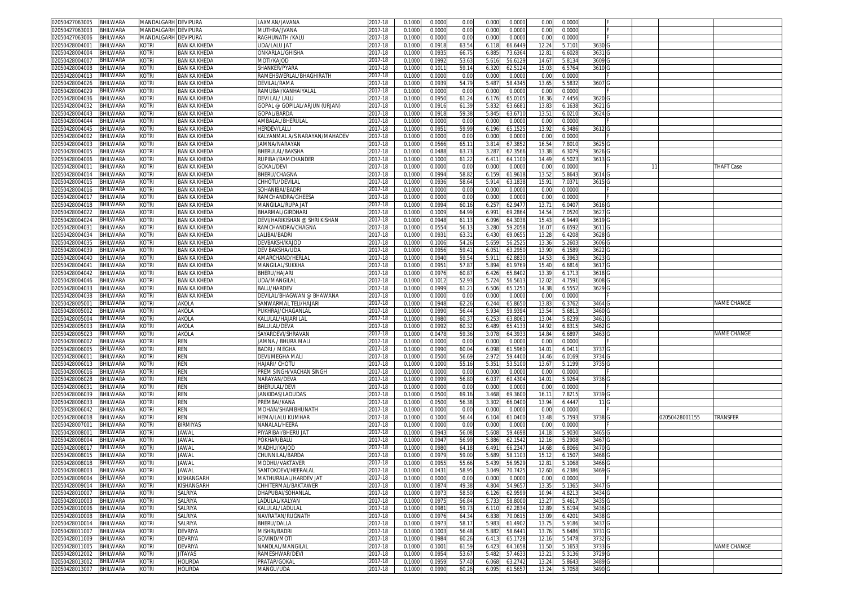| 02050427063005<br>BHILWARA                                   | MANDALGARH DEVIPURA   |                           | LAXMAN/JAVANA                 | 2017-18            | 0.1000           | 0.0000           | 0.00           | 0.000          | 0.0000             | 0.00              | 0.0000           |                   |    |                |                    |
|--------------------------------------------------------------|-----------------------|---------------------------|-------------------------------|--------------------|------------------|------------------|----------------|----------------|--------------------|-------------------|------------------|-------------------|----|----------------|--------------------|
| BHILWARA<br>02050427063003                                   | MANDALGARH DEVIPURA   |                           | MUTHRA/JVANA                  | 2017-18            | 0.1000           | 0.0000           | 0.00           | 0.000          | 0.0000             | 0.00              | 0.0000           |                   |    |                |                    |
| 02050427063006<br>BHILWARA                                   | MANDALGARH DEVIPURA   |                           | RAGHUNATH /KALU               | 2017-18            | 0.1000           | 0.0000           | 0.00           | 0.000          | 0.0000             | 0.00              | 0.0000           |                   |    |                |                    |
| BHILWARA<br>02050428004001                                   | kotri                 | BAN KA KHEDA              | UDA/LALU JAT                  | 2017-18            | 0.1000           | 0.0918           | 63.5           | 6.118          | 66.6449            | 12.24             | 5.710            | 3630 G            |    |                |                    |
|                                                              |                       |                           |                               |                    |                  |                  |                |                |                    |                   |                  |                   |    |                |                    |
| BHILWARA<br>02050428004004                                   | kotri                 | <b>BAN KA KHEDA</b>       | ONKARLAL/GHISHA               | 2017-18            | 0.1000           | 0.093            | 66.7           | 6.885          | 73.636             | 12.8              | 6.6028           | 3631 G            |    |                |                    |
| 02050428004007<br>BHILWARA                                   | kotri                 | BAN KA KHEDA              | MOTI/KAJOD                    | 2017-18            | 0.100            | 0.0992           | 53.6           | 5.616          | 56.612             | 14.67             | 5.8134           | 3609 G            |    |                |                    |
| 02050428004008<br>3HILWARA                                   | kotri                 | <b>BAN KA KHEDA</b>       | SHANKER/PYARA                 | 2017-18            | 0.100            | 0.101            | 59.1           | 6.320          | 62.512             | 15.0              | 6.5764           | 3610              |    |                |                    |
| 02050428004013<br>BHILWARA                                   | kotri                 | <b>BAN KA KHEDA</b>       | RAMEHSWERLAL/BHAGHIRATH       | 2017-18            | 0.1000           | 0.0000           | 0.00           | 0.000          | 0.0000             | 0.00              | 0.0000           |                   |    |                |                    |
| 02050428004026<br><b>BHILWARA</b>                            | kotri                 | <b>BAN KA KHEDA</b>       | DEVILAL/RAMA                  | 2017-18            | 0.100            | 0.0939           | 54.79          | 5.487          | 58.434             | 13.65             | 5.583            | 3607 <sub>C</sub> |    |                |                    |
| 02050428004029<br>BHILWARA                                   | kotri                 | BAN KA KHEDA              | RAMUBAI/KANHAIYALAL           | 017-18             | 0.100            | 0.0000           | 0.00           | 0.000          | 0.000              | 0.0               | 0.0000           |                   |    |                |                    |
| 02050428004036<br>BHILWARA                                   | kotri                 | <b>BAN KA KHEDA</b>       | DEVI LAL/ LALU                | 2017-18            | 0.1000           | 0.095            | 61.24          | 6.176          | 65.010             | 16.3              | 7.4456           | 36200             |    |                |                    |
| 02050428004032<br>BHILWARA                                   | kotri                 | BAN KA KHEDA              | GOPAL @ GOPILAL/ARJUN (URJAN) | 2017-18            | 0.1000           | 0.0916           | 61.39          | 5.832          | 63.668             | 13.83             | 6.1638           | 3621 G            |    |                |                    |
|                                                              |                       |                           |                               |                    |                  |                  |                |                |                    |                   |                  |                   |    |                |                    |
| BHILWARA<br>02050428004043                                   | <b>KOTRI</b>          | <b>BAN KA KHEDA</b>       | GOPAL/BARDA                   | $2017 - 18$        | 0.100            | 0.091            | 59.3           | 5.84           | 63.671             | 13.5              | 6.021            | 3624 G            |    |                |                    |
| 02050428004044<br>BHILWARA                                   | kotri                 | <b>BAN KA KHEDA</b>       | AMBALAL/BHERULAL              | 2017-18            | 0.1000           | 0.000            | 0.00           | 0.000          | 0.000              | 0.00              | 0.0000           |                   |    |                |                    |
| 02050428004045<br><b>BHILWARA</b>                            | kotri                 | <b>BAN KA KHEDA</b>       | HERDEV/LALU                   | 2017-18            | 0.100            | 0.095            | 59.9           | 6.196          | 65.152             | 13.9              | 6.3486           | 3612              |    |                |                    |
| 02050428004002<br><b>BHILWARA</b>                            | kotri                 | BAN KA KHEDA              | KALYANMAL A/S NARAYAN/MAHADEV | 017-18             | 0.100            | 0.000            | 0.00           | 0.000          | 0.000              | 0.00              | 0.0000           |                   |    |                |                    |
| 02050428004003<br><b>BHILWARA</b>                            | kotri                 | <b>BAN KA KHEDA</b>       | <b>JAMNA/NARAYAN</b>          | 2017-18            | 0.100            | 0.0566           | 65.1           | 3.81           | 67.385             | 16.54             | 7.801            | 3625 G            |    |                |                    |
| 02050428004005<br><b>BHILWARA</b>                            | kotri                 | <b>BAN KA KHEDA</b>       | BHERULAL/BAKSHA               | 017-18             | 0.100            | 0.0488           | 63.7           | 3.28           | 67.356             | 13.3              | 6.3079           | 3626              |    |                |                    |
| BHILWARA<br>02050428004006                                   | kotri                 | BAN KA KHEDA              | RUPIBAI/RAMCHANDER            | 2017-18            | 0.100            | 0.1000           | 61.2           | 6.41'          | 64.110             | $14.4^{\circ}$    | 6.502            | 3613              |    |                |                    |
| BHILWARA<br>02050428004011                                   | kotri                 | <b>BAN KA KHEDA</b>       | GOKAL/DEVI                    | 2017-18            | 0.1000           | 0.0000           | 0.00           | 0.000          | 0.000              | 0.00              | 0.0000           |                   | 11 |                | <b>THAFT Case</b>  |
|                                                              |                       |                           |                               |                    |                  |                  |                |                |                    |                   |                  |                   |    |                |                    |
| 02050428004014<br><b>BHILWARA</b>                            | kotri                 | BAN KA KHEDA              | <b>BHERU/CHAGNA</b>           | 017-18             | 0.100            | 0.0994           | 58.8           | 6.15           | 61.961             | 13.5              | 5.8643           | 3614              |    |                |                    |
| 02050428004015<br><b>BHILWARA</b>                            | kotri                 | BAN KA KHEDA              | CHHOTU/DEVILAL                | 2017-18            | 0.1000           | 0.093            | 58.6           | 5.91           | 63.1838            | 15.9              | 7.0371           | 3615              |    |                |                    |
| 02050428004016<br><b>BHILWARA</b>                            | kotri                 | BAN KA KHEDA              | GOHANIBAI/BADRI               | 2017-18            | 0.100            | 0.0000           | 0.00           | 0.000          | 0.000              | 0.0               | 0.0000           |                   |    |                |                    |
| BHILWARA<br>02050428004017                                   | kotri                 | <b>BAN KA KHEDA</b>       | RAMCHANDRA/GHEESA             | 2017-18            | 0.1000           | 0.0000           | 0.00           | 0.000          | 0.0000             | 0.00              | 0.0000           |                   |    |                |                    |
| 02050428004018<br><b>BHILWARA</b>                            | kotri                 | <b>BAN KA KHEDA</b>       | MANGILAL/RUPA JAT             | 2017-18            | 0.1000           | 0.0994           | 60.16          | 6.257          | 62.947             | 13.7              | 6.0407           | 3616 G            |    |                |                    |
| BHILWARA<br>02050428004022                                   | kotri                 | BAN KA KHEDA              | BHARMAL/GIRDHARI              | 2017-18            | 0.1000           | 0.1009           | 64.99          | 6.991          | 69.286             | 14.54             | 7.0520           | 3627 G            |    |                |                    |
| BHILWARA<br>02050428004024                                   | kotri                 | <b>BAN KA KHEDA</b>       | DEVI/HARIKISHAN @ SHRI KISHAN | 2017-18            | 0.1000           | 0.0948           | 61.1           | 6.096          | 64.3038            | 15.43             | 6.9449           | 3619 G            |    |                |                    |
| 02050428004031<br>BHILWARA                                   | kotri                 | <b>BAN KA KHEDA</b>       | RAMCHANDRA/CHAGNA             | 2017-18            | 0.1000           | 0.055            | 56.1           | 3.280          | 59.205             | 16.07             | 6.6592           | 3611 <sub>G</sub> |    |                |                    |
| BHILWARA                                                     | kotri                 | BAN KA KHEDA              | LALIBAI/BADRI                 |                    |                  | 0.093            |                | 6.430          | 69.065             | 13.2              |                  | 3628              |    |                |                    |
| 02050428004034                                               |                       |                           |                               | 2017-18            | 0.100            |                  | 63.3           |                |                    |                   | 6.4208           |                   |    |                |                    |
| 02050428004035<br>3HILWARA                                   | kotri                 | BAN KA KHEDA              | DEVBAKSH/KAJOD                | 2017-18            | 0.1000           | 0.1006           | 54.26          | 5.659          | 56.252             | 13.3 <sub>1</sub> | 5.2603           | 3606 <sub>G</sub> |    |                |                    |
| 02050428004039<br>BHILWARA                                   | kotri                 | BAN KA KHEDA              | DEV BAKSHA/UDA                | 2017-18            | 0.1000           | 0.0956           | 59.4           | $6.05^{\circ}$ | 63.295             | 13.9              | 6.1589           | 3622              |    |                |                    |
| 02050428004040<br><b>BHILWARA</b>                            | kotri                 | <b>BAN KA KHEDA</b>       | AMARCHAND/HERLAI              | 017-18             | 0.1000           | 0.094            | 59.54          | 5.91'          | 62.883             | 14.5              | 6.396            | 3623              |    |                |                    |
| 02050428004041<br><b>BHILWARA</b>                            | kotri                 | BAN KA KHEDA              | MANGILAL/SUKKHA               | 2017-18            | 0.1000           | 0.095            | 57.87          | 5.894          | 61.976             | 15.40             | 6.6816           | 3617              |    |                |                    |
| 02050428004042<br>BHILWARA                                   | kotri                 | <b>BAN KA KHEDA</b>       | BHFRU/HAJARI                  | 2017-18            | 0.1000           | 0.097            | 60.8           | 6.426          | 65.840             | 13.3'             | 6.171            | 3618              |    |                |                    |
| 02050428004046<br>BHILWARA                                   | kotri                 | <b>BAN KA KHEDA</b>       | UDA/MANGILAI                  | 017-18             | 0.1000           | 0.101            | 52.93          | 5.724          | 56.561             | 12.02             | 4.7591           | 3608              |    |                |                    |
| 02050428004033<br>BHILWARA                                   | kotri                 | <b>BAN KA KHEDA</b>       | <b>BALU/HARDEV</b>            | 2017-18            | 0.100            | 0.0999           | 61.2           | 6.506          | 65.125             | 14.3              | 6.5552           | 3629 G            |    |                |                    |
| 02050428004038<br>BHILWARA                                   | kotri                 | <b>BAN KA KHEDA</b>       | DEVILAL/BHAGWAN @ BHAWANA     | 2017-18            | 0.100            | 0.000            | 0.00           | 0.000          | 0.000              | 0.0               | 0.0000           |                   |    |                |                    |
|                                                              | kotri                 | AKOLA                     |                               |                    |                  |                  |                |                | 65.865             |                   | 6.3762           |                   |    |                |                    |
|                                                              |                       |                           |                               |                    |                  |                  |                |                |                    |                   |                  |                   |    |                |                    |
| 02050428005001<br><b>BHILWARA</b>                            |                       |                           | SANWARMAL TELI/HAJARI         | 2017-18            | 0.1000           | 0.0948           | 62.26          | 6.244          |                    | 13.8              |                  | 3464 <sub>C</sub> |    |                | NAME CHANGE        |
| 02050428005002<br>BHILWARA                                   | kotri                 | AKOLA                     | PUKHRAJ/CHAGANLAI             | 017-18             | 0.1000           | 0.0990           | 56.44          | 5.934          | 59.939             | 13.54             | 5.681            | 3460              |    |                |                    |
| 02050428005004<br>BHILWARA                                   | kotri                 | AKOLA                     | KALULAL/HAJARI LAI            | 017-18             | 0.100            | 0.098            | 60.3           | 6.25           | 63.806             | 13.0              | 5.823            | 3461              |    |                |                    |
| 02050428005003<br><b>BHILWARA</b>                            | kotri                 | AKOLA                     | BALULAL/DEVA                  | 017-18             | 0.100            | 0.099            | 60.3           | 6.489          | 65.413             | 14.92             | 6.831            | 3462              |    |                |                    |
| 02050428005023<br><b>BHILWARA</b>                            | kotri                 | <b>AKOLA</b>              | SAYARDEVI/SHRAVAN             | 2017-18            | 0.100            | 0.047            | 59.36          | 3.07           | 64.393             | 14.8              | 6.6897           | 3463              |    |                | <b>VAME CHANGE</b> |
|                                                              |                       |                           |                               |                    |                  |                  |                |                |                    |                   |                  |                   |    |                |                    |
| BHILWARA<br>02050428006002                                   | kotri                 | REN                       | JAMNA / BHURA MALI            | 017-18             | 0.1000           | 0.000            | 0.00           | 0.000          | 0.000              | 0.00              | 0.0000           |                   |    |                |                    |
| 02050428006005<br><b>BHILWARA</b>                            | Kotri                 | REN                       | BADRI / MEGHA                 | 017-18             | 0.100            | 0.0990           | 60.0           | 6.098          | 61.596             | 14.0              | 6.0411           | 3737              |    |                |                    |
| BHILWARA<br>02050428006011                                   | kotri                 | ren                       | DEVI/MEGHA MALI               | 2017-18            | 0.1000           | 0.050            | 56.69          | 2.97           | 59.4400            | 14.46             | 6.0169           | 3734              |    |                |                    |
| 02050428006013<br>BHILWARA                                   | kotri                 | <b>REN</b>                | <b>HAJARI/ CHOTU</b>          | 017-18             | 0.100            | 0.100            | 55.1           | 5.35           | 53.510             | 13.6              | 5.1199           | 3735              |    |                |                    |
| <b>BHILWARA</b><br>02050428006016                            | kotri                 | ren                       | PREM SINGH/VACHAN SINGH       | 2017-18            | 0.1000           | 0.0000           | 0.00           | 0.000          | 0.000              | 0.00              | 0.0000           |                   |    |                |                    |
| <b>BHILWARA</b><br>02050428006028                            | kotri                 | <b>REN</b>                | NARAYAN/DEVA                  | 2017-18            | 0.1000           | 0.0999           | 56.80          | 6.03           | 60.430             | 14.01             | 5.9264           | 3736 G            |    |                |                    |
| BHILWARA<br>02050428006031                                   | kotri                 | <b>REN</b>                | BHERULAL/DEVI                 | 2017-18            | 0.1000           | 0.0000           | 0.00           | 0.000          | 0.0000             | 0.00              | 0.0000           |                   |    |                |                    |
| BHILWARA<br>02050428006039                                   | kotri                 | <b>REN</b>                | ANKIDAS/LADUDAS               | 2017-18            | 0.1000           | 0.0500           | 69.1           | 3.468          | 69.360             | 16.1              | 7.8215           | 3739 G            |    |                |                    |
| BHILWARA<br>02050428006033                                   | kotri                 | REN                       | PREMBAI/KANA                  | 2017-18            | 0.1000           | 0.050            | 56.38          | 3.302          | 66.040             | 13.94             | 6.444            | 11 G              |    |                |                    |
| BHILWARA<br>02050428006042                                   | kotri                 | REN                       | <b>MOHAN/SHAMBHUNATH</b>      | 2017-18            | 0.1000           | 0.0000           | 0.00           | 0.000          | 0.0000             | 0.00              | 0.0000           |                   |    |                |                    |
|                                                              |                       |                           |                               |                    |                  |                  |                |                |                    |                   |                  |                   |    |                |                    |
| 02050428006018<br>BHILWARA                                   | kotri                 | ren                       | HEMA/LALU KUMHAR              | 2017-18            | 0.1000           | 0.1000           | 56.44          | 6.104          | 61.0400            | 13.48             | 5.7593           | 3738 G            |    | 02050428001155 | TRANSFER           |
| 02050428007001<br>BHILWARA                                   | kotri                 | BIRMIYAS                  | NANALAL/HEERA                 | 2017-18            | 0.1000           | 0.0000           | 0.00           | 0.000          | 0.0000             | 0.0               | 0.0000           |                   |    |                |                    |
| 02050428008001<br>BHILWARA                                   | kotri                 | <b>JAWAL</b>              | PIYARIBAI/BHERU JAT           | 2017-18            | 0.100            | 0.094            | 56.08          | 5.608          | 59.469             | 14.1              | 5.9030           | 3465 G            |    |                |                    |
| 02050428008004<br>BHILWARA                                   | kotri                 | <b>JAWAL</b>              | POKHAR/BALU                   | 017-18             | 0.1000           | 0.0947           | 56.9           | 5.886          | 62.1542            | 12.1              | 5.2908           | 3467              |    |                |                    |
| <b>BHILWARA</b><br>02050428008017                            | kotri                 | <b>JAWAL</b>              | MADHU/KAJOD                   | 2017-18            | 0.100            | 0.098            | 64.1           | 6.49           | 66.234             | 14.6              | 6.8066           | 3470              |    |                |                    |
| <b>BHILWARA</b><br>02050428008015                            | Kotri                 | Jawal                     | CHUNNILAL/BARDA               | 2017-18            | 0.1000           | 0.097            | 59.00          | 5.689          | 58.110             | 15.1              | 6.1507           | 3468              |    |                |                    |
| 02050428008018<br><b>BHILWARA</b>                            | kotri                 | <b>JAWAL</b>              | MODHU/VAKTAVER                | 2017-18            | 0.1000           | 0.095            | 55.66          | 5.439          | 56.952             | 12.81             | 5.1068           | 3466 G            |    |                |                    |
| 02050428008003 BHILWARA                                      | KOTRI                 | JAWAL                     | SANTOKDEVI/HEERALAL           | 2017-18            | 0.1000           | 0.043            | 58.95          | 3.049          | 70.742             | 12.60             | 6.2386           | 3469 G            |    |                |                    |
|                                                              |                       |                           |                               |                    |                  |                  |                |                |                    |                   |                  |                   |    |                |                    |
| 02050428009004<br>BHILWARA                                   | <b>KOTRI</b>          | KISHANGARH                | MATHURALAL/HARDEV JAT         | 2017-18            | 0.1000           | 0.0000           | 0.00           | 0.000          | 0.0000             | 0.00              | 0.0000           |                   |    |                |                    |
| 02050428009014<br><b>BHILWARA</b>                            | kotri                 | KISHANGARH                | CHHITERMAL/BAKTAWER           | 2017-18            | 0.1000           | 0.0874           | 49.38          | 4.804          | 54.965             | 13.35             | 5.1365           | 3447 G            |    |                |                    |
| BHILWARA<br>02050428010007                                   | <b>KOTRI</b>          | SALRIYA                   | DHAPUBAI/SOHANLAL             | 2017-18            | 0.1000           | 0.0973           | 58.50          | 6.126          | 62.9599            | 10.94             | 4.821            | 3434 G            |    |                |                    |
| 02050428010003<br><b>BHILWARA</b>                            | kotri                 | SALRIYA                   | LADULAL/KALYAN                | 2017-18            | 0.1000           | 0.0975           | 56.84          | 5.733          | 58.800             | 13.27             | 5.4617           | 3435 G            |    |                |                    |
| 02050428010006<br>BHILWARA                                   | kotri                 | SALRIYA                   | KALULAL/LADULAL               | 2017-18            | 0.1000           | 0.098            | 59.73          | 6.110          | 62.283             | 12.89             | 5.6194           | 3436 G            |    |                |                    |
| BHILWARA<br>02050428010008                                   | <b>KOTRI</b>          | SALRIYA                   | NAVRATAN/RUGNATH              | 2017-18            | 0.1000           | 0.0976           | 64.34          | 6.838          | 70.0615            | 13.09             | 6.420            | 3438 G            |    |                |                    |
| <b>BHILWARA</b><br>02050428010014                            | <b>KOTRI</b>          | SALRIYA                   | BHERU/DALLA                   | 2017-18            | 0.1000           | 0.097            | 58.1           | 5.983          | 61.4902            | 13.75             | 5.9186           | 3437 G            |    |                |                    |
| 02050428011007<br>BHILWARA                                   | kotri                 | DEVRIYA                   | MISHRI/BADRI                  | 2017-18            | 0.1000           | 0.1003           | 56.48          | 5.882          | 58.644             | 13.76             | 5.6486           | 3731 G            |    |                |                    |
|                                                              |                       |                           |                               |                    |                  |                  |                |                |                    |                   |                  |                   |    |                |                    |
| <b>BHILWARA</b><br>02050428011009                            | Kotri                 | DEVRIYA                   | GOVIND/MOTI                   | 2017-18            | 0.1000           | 0.0984           | 60.26          | 6.413          | 65.1728            | 12.16             | 5.5478           | 3732 G            |    |                |                    |
| BHILWARA<br>02050428011005                                   | KOTRI                 | DEVRIYA                   | NANDLAL/MANGILAL              | 2017-18            | 0.1000           | 0.100            | 61.59          | 6.423          | 64.1658            | 11.50             | 5.1653           | 3733 G            |    |                | NAME CHANGE        |
| 02050428012002<br><b>BHILWARA</b>                            | <b>KOTRI</b>          | <b>JITAYAS</b>            | RAMESHWAR/DEVI                | 2017-18            | 0.1000           | 0.0954           | 53.6           | 5.482          | 57.463             | 13.21             | 5.3136           | 3729 G            |    |                |                    |
| <b>BHILWARA</b><br>02050428013002<br>02050428013007 BHILWARA | <b>KOTRI</b><br>KOTRI | <b>HOLIRDA</b><br>HOLIRDA | PRATAP/GOKAL<br>MANGU/UDA     | 2017-18<br>2017-18 | 0.1000<br>0.1000 | 0.0959<br>0.0990 | 57.40<br>60.26 | 6.068<br>6.095 | 63.2742<br>61.5657 | 13.24<br>13.24    | 5.8643<br>5.7058 | 3489 G<br>3490 G  |    |                |                    |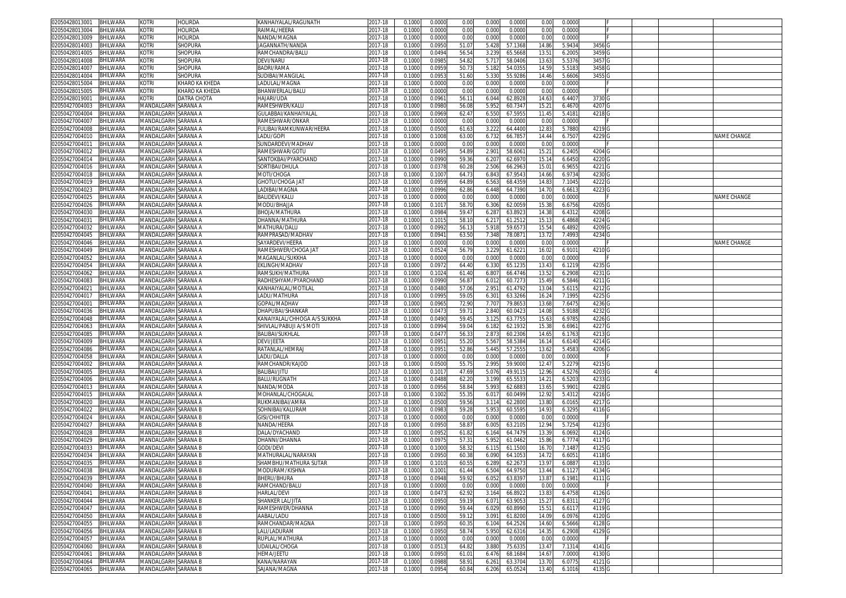| 02050428013001<br>BHILWARA        | kotri                      | <b>HOLIRDA</b> | KANHAIYALAL/RAGUNATH           | 2017-18     | 0.1000 | 0.000  | 0.00  | 0.000 | 0.0000  | 0.00           | 0.000  |        |  |                    |
|-----------------------------------|----------------------------|----------------|--------------------------------|-------------|--------|--------|-------|-------|---------|----------------|--------|--------|--|--------------------|
| 02050428013004<br>BHILWARA        | Kotri                      | HOLIRDA        | RAIMAL/HEERA                   | 2017-18     | 0.100( | 0.000  | 0.00  | 0.000 | 0.0000  | 0.00           | 0.000  |        |  |                    |
| <b>BHILWARA</b><br>02050428013009 | kotri                      | <b>HOLIRDA</b> | NANDA/MAGNA                    | 2017-18     | 0.1000 | 0.000  | 0.00  | 0.000 | 0.0000  | 0.00           | 0.000  |        |  |                    |
| 02050428014003<br><b>BHILWARA</b> | kotri                      | Shopura        | IAGANNATH/NANDA                | 2017-18     | 0.1000 | 0.095  | 51.07 | 5.428 | 57.1368 | 14.86          | 5.9434 | 3456   |  |                    |
| 02050428014005<br><b>BHILWARA</b> | kotri                      | <b>SHOPURA</b> | RAMCHANDRA/BALU                | 2017-18     | 0.100  | 0.049  | 56.54 | 3.239 | 65.5668 | $13.5^{\circ}$ | 6.200  | 3459   |  |                    |
|                                   |                            |                |                                |             |        |        |       |       |         |                |        |        |  |                    |
| 02050428014008<br>BHILWARA        | kotri                      | <b>SHOPURA</b> | DEVI/NARU                      | 2017-18     | 0.100  | 0.098  | 54.82 | 5.71  | 58.040  | 13.63          | 5.537  | 3457   |  |                    |
| <b>BHILWARA</b><br>02050428014007 | kotri                      | <b>SHOPURA</b> | <b>BADRI/RAMA</b>              | $2017 - 18$ | 0.100  | 0.095  | 50.7  | 5.18  | 54.035  | 14.5           | 5.518  | 3458   |  |                    |
| BHILWARA<br>02050428014004        | kotri                      | Shopura        | SUDIBAI/MANGILAI               | 2017-18     | 0.100  | 0.095  | 51.60 | 5.33  | 55.928  | 14.46          | 5.6606 | 3455   |  |                    |
| 02050428015004<br>BHILWARA        | kotri                      | KHARO KA KHEDA | LADULAL/MAGNA                  | 2017-18     | 0.100  | 0.000  | 0.00  | 0.000 | 0.000   | 0.0            | 0.000  |        |  |                    |
| 02050428015005<br><b>BHILWARA</b> | kotri                      | KHARO KA KHEDA | BHANWERLAL/BALU                | 017-18      | 0.100  | 0.000  | 0.00  | 0.000 | 0.0000  | 0.00           | 0.0000 |        |  |                    |
| 02050428019001<br><b>BHILWARA</b> | kotri                      | DATRA CHOTA    | HAJARI/UDA                     | 2017-18     | 0.100  | 0.096  | 56.1  | 6.044 | 62.892  | 14.6           | 6.4407 | 3730   |  |                    |
| 02050427004003<br>BHILWARA        | MANDALGARH SARANA A        |                | RAMESHWER/KALU                 | 017-18      | 0.100  | 0.098  | 56.08 | 5.95  | 60.734  | 15.2           | 6.467  | 4207   |  |                    |
| BHILWARA<br>02050427004004        | MANDALGARH SARANA A        |                | GULABBAI/KANHAIYALAI           | 2017-18     | 0.100  | 0.096  | 62.4  | 6.55  | 67.595  | 11.4           | 5.418  | 4218   |  |                    |
| BHILWARA<br>02050427004007        | MANDALGARH SARANA A        |                | RAMESHWAR/ONKAR                | 2017-18     | 0.100  | 0.000  | 0.00  | 0.000 | 0.0000  | 0.00           | 0.000  |        |  |                    |
| <b>BHILWARA</b><br>02050427004008 | MANDALGARH SARANA A        |                | ULIBAI/RAMKUNWAR/HEERA         | 017-18      | 0.100  | 0.050  | 61.6  | 3.222 | 64.4400 | 12.8           | 5.7880 | 4219   |  |                    |
| 02050427004010<br>BHILWARA        | MANDALGARH SARANA A        |                | LADU/GOPI                      | 2017-18     | 0.100  | 0.100  | 63.00 | 6.732 | 66.785  | 14.44          | 6.7507 | 4229   |  | NAME CHANGE        |
| 02050427004011<br>BHILWARA        | <b>MANDALGARH SARANA A</b> |                | SUNDARDEVI/MADHAV              | 017-18      | 0.100  | 0.000  | 0.00  | 0.000 | 0.000   | 0.0            | 0.000  |        |  |                    |
| 02050427004012<br>BHILWARA        | MANDALGARH SARANA A        |                | RAMESHWAR/GOTU                 | 2017-18     | 0.100  | 0.049  | 54.89 | 2.901 | 58.606  | $15.2^{\circ}$ | 6.2405 | 4204 G |  |                    |
| BHILWARA<br>02050427004014        | MANDALGARH SARANA A        |                | SANTOKBAI/PYARCHAND            | 2017-18     | 0.100  | 0.099  | 59.36 | 6.207 | 62.697  | 15.1           | 6.6450 | 4220 G |  |                    |
| BHILWARA<br>02050427004016        | MANDALGARH SARANA A        |                | SORTIBAI/DHULA                 | 2017-18     | 0.100  | 0.037  | 60.2  | 2.506 | 66.296  | 15.0           | 6.965  | 4221   |  |                    |
| 02050427004018<br><b>BHILWARA</b> | MANDALGARH SARANA A        |                |                                | 2017-18     |        |        | 64.7  | 6.843 | 67.9543 | 14.66          | 6.973  | 4230   |  |                    |
|                                   |                            |                | MOTI/CHOGA                     |             | 0.100  | 0.100  |       |       |         |                |        |        |  |                    |
| 02050427004019<br>BHILWARA        | MANDALGARH SARANA A        |                | <b>GHOTU/CHOGA JAT</b>         | 2017-18     | 0.100  | 0.095  | 64.89 | 6.563 | 68.4359 | 14.83          | 7.1045 | 4222   |  |                    |
| 02050427004023<br>BHILWARA        | MANDALGARH SARANA A        |                | LADIBAI/MAGNA                  | 2017-18     | 0.100  | 0.099  | 62.86 | 6.448 | 64.739  | 14.7(          | 6.661  | 4223   |  |                    |
| 02050427004025<br>BHILWARA        | MANDALGARH SARANA A        |                | BALIDEVI/KALU                  | 2017-18     | 0.100  | 0.000  | 0.00  | 0.000 | 0.0000  | 0.00           | 0.000  |        |  | NAME CHANGE        |
| 02050427004026<br>BHILWARA        | MANDALGARH SARANA A        |                | <b>MODU/BHAJJA</b>             | 2017-18     | 0.100  | 0.101  | 58.7  | 6.306 | 62.005  | 15.3           | 6.6756 | 4205   |  |                    |
| 02050427004030<br>BHILWARA        | MANDALGARH SARANA A        |                | BHOJA/MATHURA                  | 2017-18     | 0.100  | 0.098  | 59.4  | 6.28  | 63.892  | 14.3           | 6.4312 | 4208   |  |                    |
| 02050427004031<br>BHILWARA        | VIANDALGARH SARANA A       |                | DHANNA/MATHURA                 | 2017-18     | 0.100  | 0.101  | 58.1  | 6.21  | 61.251  | 15.1           | 6.4868 | 4224   |  |                    |
| 02050427004032<br><b>BHILWARA</b> | MANDALGARH SARANA A        |                | MATHURA/DALU                   | 2017-18     | 0.100  | 0.099  | 56.1  | 5.91  | 59.657  | 15.5           | 6.4892 | 4209   |  |                    |
| 02050427004045<br><b>BHILWARA</b> | MANDALGARH SARANA A        |                | RAMPRASAD/MADHAV               | 2017-18     | 0.100  | 0.094  | 63.50 | 7.348 | 78.087  | 13.7           | 7.4993 | 4234   |  |                    |
| 02050427004046<br>BHILWARA        | MANDALGARH SARANA A        |                | SAYARDEVI/HEERA                | 2017-18     | 0.100  | 0.000  | 0.00  | 0.000 | 0.000   | 0.00           | 0.000  |        |  | <b>NAME CHANGE</b> |
| BHILWARA<br>02050427004049        | MANDALGARH SARANA A        |                | RAMESHWER/CHOGA JAT            | 2017-18     | 0.100  | 0.052  | 56.79 | 3.229 | 61.622  | 16.02          | 6.9101 | 4210   |  |                    |
| 02050427004052<br><b>BHILWARA</b> | MANDALGARH SARANA A        |                | MAGANLAL/SUKKHA                | 017-18      | 0.100  | 0.000  | 0.00  | 0.000 | 0.000   | 0.0            | 0.000  |        |  |                    |
| 02050427004054<br><b>BHILWARA</b> | MANDALGARH SARANA A        |                | EKLINGH/MADHAV                 | 017-18      | 0.100  | 0.097  | 64.40 | 6.33  | 65.123  | 13.4           | 6.121  | 4235   |  |                    |
| 02050427004062<br><b>BHILWARA</b> | MANDALGARH SARANA A        |                | RAMSUKH/MATHURA                | 2017-18     | 0.100  | 0.102  | 61.4  | 6.80  | 66.4746 | 13.5           | 6.2908 | 4231   |  |                    |
| 02050427004083<br>BHILWARA        | MANDALGARH SARANA A        |                | RADHESHYAM/PYARCHAND           | 2017-18     | 0.100  | 0.099  | 56.8  | 6.012 | 60.727  | 15.49          | 6.5846 | 4211   |  |                    |
| 02050427004021<br><b>BHILWARA</b> | MANDALGARH SARANA A        |                | KANHAIYALAL/MOTILAI            | 2017-18     | 0.100  | 0.048  | 57.06 | 2.95  | 61.479  | 13.0           | 5.611  | 4212   |  |                    |
| BHILWARA<br>02050427004017        | MANDALGARH SARANA A        |                | LADU/MATHURA                   | 2017-18     | 0.100  | 0.099  | 59.0  | 6.301 | 63.3266 | 16.2           | 7.1995 | 4225   |  |                    |
| <b>BHILWARA</b><br>02050427004001 | <b>MANDALGARH SARANA A</b> |                | GOPAL/MADHAV                   | 017-18      | 0.100  | 0.096  | 72.90 | 7.70  | 79.865  | 13.6           | 7.647  | 4236   |  |                    |
| 02050427004036<br>BHILWARA        | MANDALGARH SARANA A        |                | DHAPUBAI/SHANKAR               | 2017-18     | 0.100  | 0.047  | 59.7  | 2.840 | 60.042  | 14.08          | 5.9188 | 4232   |  |                    |
| 02050427004048<br><b>BHILWARA</b> | MANDALGARH SARANA A        |                | KANAIYALAL/CHHOGA A/S SUKKHA   | 017-18      | 0.100  | 0.049  | 59.4  | 3.125 | 63.775  | 15.6           | 6.978  | 4226   |  |                    |
| 02050427004063<br><b>BHILWARA</b> | MANDALGARH SARANA A        |                | SHIVLAL/PABUJI A/S MOTI        | 2017-18     | 0.100  | 0.099  | 59.04 | 6.182 | 62.193  | 15.38          | 6.696  | 4227   |  |                    |
| <b>BHILWARA</b><br>02050427004085 | MANDALGARH SARANA A        |                | <b>BALIBAI/SUKHLAL</b>         | 017-18      | 0.100  | 0.047  | 56.3  | 2.87  | 60.230  | 14.6           | 6.1763 | 4213   |  |                    |
|                                   |                            |                |                                |             |        |        |       |       |         |                |        |        |  |                    |
| BHILWARA<br>02050427004009        | MANDALGARH SARANA A        |                | DEVI/JEETA                     | 2017-18     | 0.100  | 0.095  | 55.20 | 5.567 | 58.538  | 16.1           | 6.614  | 4214   |  |                    |
| 02050427004086<br>BHILWARA        | MANDALGARH SARANA A        |                | RATANLAL/HEMRAJ                | 2017-18     | 0.100  | 0.095  | 52.86 | 5.445 | 57.255  | 13.62          | 5.458  | 4206 G |  |                    |
| 02050427004058<br>BHILWARA        | MANDALGARH SARANA A        |                | LADU/DALLA                     | 2017-18     | 0.100  | 0.000  | 0.00  | 0.000 | 0.0000  | 0.00           | 0.000  |        |  |                    |
| 02050427004002<br>BHILWARA        | MANDALGARH SARANA A        |                | RAMCHANDR/KAJOD                | 2017-18     | 0.100  | 0.050  | 55.7  | 2.995 | 59.900  | 12.4           | 5.2279 | 4215   |  |                    |
| 02050427004005<br>BHILWARA        | MANDALGARH SARANA A        |                | BALIBAI/JITU                   | 2017-18     | 0.100  | 0.101  | 47.69 | 5.076 | 49.9115 | 12.96          | 4.5276 | 4203   |  |                    |
| BHILWARA<br>02050427004006        | MANDALGARH SARANA A        |                | BALU/RUGNATH                   | 017-18      | 0.100  | 0.048  | 62.20 | 3.199 | 65.553  | $14.2^{\circ}$ | 6.5203 | 4233   |  |                    |
| 02050427004013<br>BHILWARA        | MANDALGARH SARANA A        |                | NANDA/MODA                     | 2017-18     | 0.100  | 0.095  | 58.8  | 5.993 | 62.688  | 13.6           | 5.990  | 4228   |  |                    |
| 02050427004015<br><b>BHILWARA</b> | MANDALGARH SARANA A        |                | <b>MOHANLAL/CHOGALAL</b>       | 2017-18     | 0.1000 | 0.100  | 55.3  | 6.01  | 60.049  | 12.92          | 5.4312 | 4216   |  |                    |
| 02050427004020<br><b>BHILWARA</b> | MANDALGARH SARANA A        |                | RUKMANIBAI/AMRA                | 2017-18     | 0.100  | 0.050  | 59.56 | 3.114 | 62.280  | 13.80          | 6.0165 | 4217   |  |                    |
| 02050427004022<br>BHILWARA        | MANDALGARH SARANA B        |                | SOHNIBAI/KALURAM               | 2017-18     | 0.100  | 0.098  | 59.28 | 5.95  | 60.559  | 14.9           | 6.329  | 4116   |  |                    |
| 02050427004024<br>BHILWARA        | MANDALGARH SARANA B        |                | <b>GISI/CHHITER</b>            | 2017-18     | 0.100  | 0.000  | 0.00  | 0.000 | 0.000   | 0.00           | 0.000  |        |  |                    |
| BHILWARA<br>02050427004027        | MANDALGARH SARANA B        |                | NANDA/HEERA                    | 2017-18     | 0.1000 | 0.095  | 58.87 | 6.005 | 63.2105 | 12.94          | 5.7254 | 4123   |  |                    |
| BHILWARA<br>02050427004028        | MANDALGARH SARANA B        |                | DALA/DYACHAND                  | 2017-18     | 0.100  | 0.095  | 61.82 | 6.16  | 64.747  | 13.3           | 6.0692 | 4124   |  |                    |
| 02050427004029<br>BHILWARA        | MANDALGARH SARANA B        |                | DHANNI/DHANNA                  | 017-18      | 0.100  | 0.097  | 57.3  | 5.95  | 61.0462 | 15.86          | 6.7774 | 4117   |  |                    |
| 02050427004033<br>BHILWARA        | MANDALGARH SARANA B        |                | <b>GODI/DEVI</b>               | 017-18      | 0.100  | 0.100  | 58.3  | 6.11  | 61.150  | 16.7           | 7.148  | 4125   |  |                    |
| 02050427004034<br><b>BHILWARA</b> | MANDALGARH SARANA B        |                | <b>MATHURALAL/NARAYAN</b>      | 017-18      | 0.100  | 0.095  | 60.3  | 6.090 | 64.105  | 14.7           | 6.605  | 4118   |  |                    |
| 02050427004035<br><b>BHILWARA</b> | MANDALGARH SARANA B        |                | SHAMBHU/MATHURA SUTAR          | 2017-18     | 0.100  | 0.101  | 60.5  | 6.28  | 62.267  | 13.9           | 6.088  | 4133   |  |                    |
| 02050427004038 BHILWARA           | MANDALGARH  SARANA B       |                | MODURAM/KISHNA                 | 2017-18     | 0.1000 | 0.1001 | 61.44 | 6.504 | 64.9750 | 13.44          | 6.1127 | 4134 G |  |                    |
| 02050427004039<br>BHILWARA        | MANDALGARH SARANA B        |                | BHERU/BHURA                    | 2017-18     | 0.1000 | 0.0948 | 59.92 | 6.052 | 63.8397 | 13.87          | 6.1981 | 4111 G |  |                    |
| 02050427004040<br>BHILWARA        | MANDALGARH SARANA B        |                | RAMCHAND/BALU                  | 2017-18     | 0.1000 | 0.000  | 0.00  | 0.000 | 0.0000  | 0.00           | 0.0000 |        |  |                    |
| BHILWARA<br>02050427004041        | MANDALGARH SARANA B        |                | HARLAL/DEVI                    | 2017-18     | 0.100  | 0.047  | 62.92 | 3.164 | 66.892  | 13.83          | 6.4758 | 4126   |  |                    |
| 02050427004044<br><b>BHILWARA</b> | MANDALGARH SARANA B        |                | <b>SHANKER LAL/JITA</b>        | 2017-18     | 0.1000 | 0.095  | 59.1  | 6.07  | 63.905  | 15.2           | 6.8311 | 4127 G |  |                    |
| BHILWARA<br>02050427004047        | MANDALGARH SARANA B        |                | RAMESHWER/DHANNA               | 2017-18     | 0.1000 | 0.099  | 59.44 | 6.029 | 60.8990 | $15.5^{\circ}$ | 6.611  | 4119 G |  |                    |
| BHILWARA                          | MANDALGARH SARANA B        |                |                                |             |        |        |       |       |         |                | 6.0976 |        |  |                    |
| 02050427004050                    |                            |                | AABAL/LADU<br>RAMCHANDAR/MAGNA | 2017-18     | 0.1000 | 0.0500 | 59.12 | 3.091 | 61.8200 | 14.09          |        | 4120 G |  |                    |
| BHILWARA<br>02050427004055        | MANDALGARH SARANA B        |                |                                | 2017-18     | 0.1000 | 0.095  | 60.3  | 6.104 | 64.2526 | 14.60          | 6.5666 | 4128 G |  |                    |
| 02050427004056<br><b>BHILWARA</b> | MANDALGARH SARANA B        |                | <b>ALI/LADURAM</b>             | 2017-18     | 0.1000 | 0.095  | 58.74 | 5.950 | 62.6316 | 14.35          | 6.2908 | 4129 G |  |                    |
| BHILWARA<br>02050427004057        | MANDALGARH SARANA B        |                | RUPLAL/MATHURA                 | 2017-18     | 0.1000 | 0.0000 | 0.00  | 0.000 | 0.0000  | 0.00           | 0.0000 |        |  |                    |
| <b>BHILWARA</b><br>02050427004060 | MANDALGARH SARANA B        |                | UDAILAL/CHOGA                  | 2017-18     | 0.1000 | 0.051  | 64.82 | 3.880 | 75.6335 | 13.47          | 7.1314 | 4141 G |  |                    |
| 02050427004061<br><b>BHILWARA</b> | MANDALGARH SARANA B        |                | HEMA/JEETU                     | 2017-18     | 0.100  | 0.095  | 61.0  | 6.476 | 68.1684 | 14.67          | 7.0000 | 4130 G |  |                    |
| <b>BHILWARA</b><br>02050427004064 | MANDALGARH SARANA B        |                | KANA/NARAYAN                   | 2017-18     | 0.100  | 0.098  | 58.9  | 6.261 | 63.3704 | 13.70          | 6.077  | 4121   |  |                    |
| 02050427004065 BHILWARA           | MANDALGARH SARANA B        |                | SAJANA/MAGNA                   | 2017-18     | 0.1000 | 0.0954 | 60.84 | 6.206 | 65.0524 | 13.40          | 6.1016 | 4135 G |  |                    |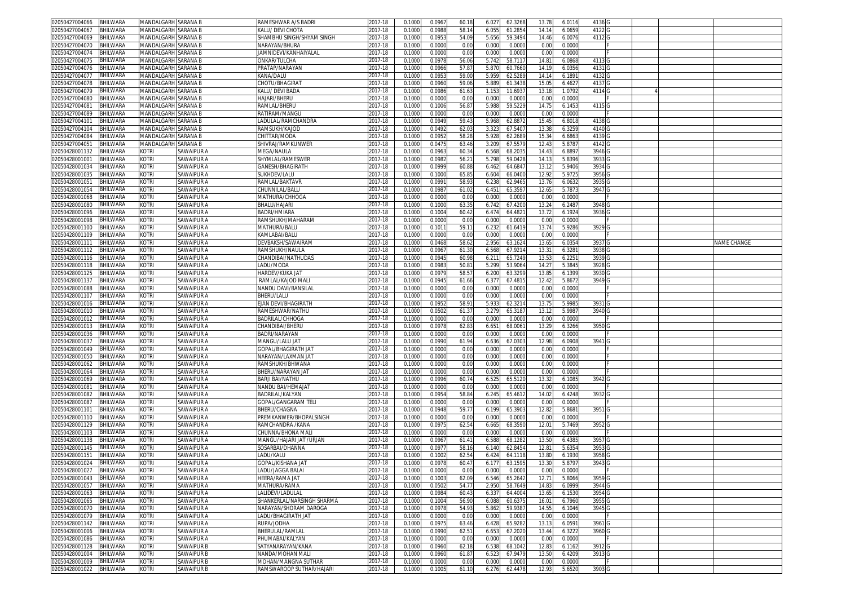| 02050427004066                            | <b>BHILWARA</b> | <b>MANDALGARH SARANA B</b>  |                   | RAMESHWAR A/S BADRI                             | 2017-18     | 0.1000 | 0.0967 | 60.18          | 6.027<br>62.3268           | 13.78 | 6.011  | 4136   |  |             |
|-------------------------------------------|-----------------|-----------------------------|-------------------|-------------------------------------------------|-------------|--------|--------|----------------|----------------------------|-------|--------|--------|--|-------------|
| 2050427004067                             | BHILWARA        | VIANDALGARH SARANA B        |                   | (ALU/ DEVI CHOTA                                | 2017-18     | 0.100( | 0.098  | 58.14          | 6.055<br>61.2854           | 14.14 | 6.065  | 4122   |  |             |
| 02050427004069                            | <b>BHILWARA</b> | <b>MANDAI GARH SARANA B</b> |                   | SHAMBHU SINGH/SHYAM SINGH                       | 2017-18     | 0.100  | 0.095  | 54.09          | 59.3494<br>5.656           | 14.46 | 6.007  | 4112   |  |             |
| 02050427004070                            |                 |                             |                   |                                                 |             |        | 0.000  |                |                            |       |        |        |  |             |
|                                           | BHILWARA        | <b>MANDALGARH SARANA B</b>  |                   | VARAYAN/BHURA                                   | 2017-18     | 0.1000 |        | 0.00           | 0.000<br>0.0000            | 0.00  | 0.000  |        |  |             |
| 02050427004074                            | BHILWARA        | MANDALGARH SARANA B         |                   | JAMNIDEVI/KANHAIYALAL                           | 2017-18     | 0.100  | 0.000  | 0.00           | 0.000<br>0.000             | 0.00  | 0.000  |        |  |             |
| 2050427004075                             | BHILWARA        | <b>MANDALGARH SARANA B</b>  |                   | <b>ONKAR/TULCHA</b>                             | 2017-18     | 0.100  | 0.097  | 56.0           | 5.742<br>58.7117           | 14.8  | 6.0868 | 4113   |  |             |
| 02050427004076                            | <b>BHILWARA</b> | MANDALGARH SARANA B         |                   | PRATAP/NARAYAN                                  | $2017 - 18$ | 0.100  | 0.0966 | 57.8           | 5.870<br>60.7660           | 14.1  | 6.0356 | 4131   |  |             |
| 02050427004077                            | BHILWARA        | <b>MANDALGARH SARANA B</b>  |                   | KANA/DALU                                       | 2017-18     | 0.100  | 0.095  | 59.00          | 5.959<br>62.528            | 14.1  | 6.189  | 4132   |  |             |
| 02050427004078                            | BHILWARA        | MANDALGARH SARANA B         |                   | CHOTU/BHAGIRAT                                  | 2017-18     | 0.100  | 0.096  | 59.06          | 61.3438<br>5.889           | 15.0  | 6.462  | 4137   |  |             |
|                                           |                 |                             |                   | (ALU/DEVLBADA                                   |             |        |        |                |                            |       |        |        |  |             |
| 02050427004079                            | BHILWARA        | <b>MANDALGARH SARANA B</b>  |                   |                                                 | 017-18      | 0.100  | 0.098  | 61.63          | 11.693<br>1.153            | 13.1  | 1.0792 | 4114   |  |             |
| 02050427004080                            | BHILWARA        | MANDALGARH SARANA B         |                   | HAJARI/BHERU                                    | 2017-18     | 0.100  | 0.000  | 0.00           | 0.000<br>0.000             | 0.00  | 0.000  |        |  |             |
| 1205042700408                             | BHILWARA        | <b>MANDALGARH SARANA B</b>  |                   | RAMLAL/BHERL                                    | 017-18      | 0.100  | 0.100  | 56.8           | 5.988<br>59.522            | 14.7  | 6.145  | 4115   |  |             |
| 02050427004089                            | BHILWARA        | MANDALGARH SARANA B         |                   | RATIRAM/MANGU                                   | 2017-18     | 0.100  | 0.000  | 0.00           | 0.000<br>0.000             | 0.0   | 0.0000 |        |  |             |
| 02050427004101                            | BHILWARA        | MANDALGARH SARANA B         |                   | ADULAL/RAMCHANDRA                               | 2017-18     | 0.100  | 0.094  | 59.4           | 5.968<br>62.887            | 15.45 | 6.8018 | 4138   |  |             |
| 02050427004104                            | <b>BHILWARA</b> | <b>MANDALGARH SARANA B</b>  |                   | RAMSUKH/KAJOD                                   | 017-18      | 0.100  | 0.049  | 62.0           | 67.540<br>3.32             | 13.3  | 6.325  | 4140   |  |             |
|                                           |                 |                             |                   | CHITTAR/MODA                                    |             |        |        | 58.28          |                            |       |        | 4139   |  |             |
| 02050427004084                            | BHILWARA        | MANDALGARH SARANA B         |                   |                                                 | 2017-18     | 0.100  | 0.095  |                | 5.928<br>62.268            | 15.34 | 6.686  |        |  |             |
| 02050427004051                            | <b>BHILWARA</b> | MANDALGARH SARANA B         |                   | SHIVRAJ/RAMKUNWER                               | 017-18      | 0.100  | 0.047  | 63.46          | 67.557<br>3.209            | 12.4  | 5.878  | 4142   |  |             |
| 02050428001132                            | BHILWARA        | kotri                       | SAWAIPUR A        | MEGA/NAULA                                      | 2017-18     | 0.100  | 0.0963 | 60.34          | 6.568<br>68.2035           | 14.43 | 6.889  | 3946 G |  |             |
| 02050428001001                            | BHILWARA        | kotri                       | SAWAIPUR A        | SHYMLAL/RAMESWER                                | 2017-18     | 0.100  | 0.0982 | 56.2           | 59.0428<br>5.798           | 14.1  | 5.839  | 3933   |  |             |
| )2050428001034                            | BHILWARA        | kotri                       | SAWAIPUR A        | GANESH/BHAGIRATH                                | 2017-18     | 0.100  | 0.0999 | 60.88          | 64.684<br>6.462            | 13.1  | 5.940  | 3934 G |  |             |
| 2050428001035                             | BHILWARA        | kotri                       | SAWAIPUR A        | SUKHDEV/LALU                                    | 2017-18     | 0.100  | 0.1000 | 65.8           | 66.0400<br>6.604           | 12.92 | 5.972  | 3956 G |  |             |
|                                           |                 |                             |                   |                                                 |             |        |        |                |                            |       |        |        |  |             |
| 02050428001051                            | BHILWARA        | kotri                       | SAWAIPUR A        | RAMLAL/BAKTAVF                                  | 2017-18     | 0.100  | 0.099  | 58.9           | 6.238<br>62.9465           | 13.76 | 6.0632 | 3935 G |  |             |
| i2050428001054                            | BHILWARA        | kotri                       | SAWAIPUR A        | CHUNNILAL/BALU                                  | 2017-18     | 0.100  | 0.0987 | 61.02          | 65.359<br>6.451            | 12.65 | 5.787  | 3947 G |  |             |
| )2050428001068                            | BHILWARA        | kotri                       | SAWAIPUR A        | MATHURA/CHHOGA                                  | 2017-18     | 0.100  | 0.000  | 0.00           | 0.000<br>0.000             | 0.00  | 0.000  |        |  |             |
| 2050428001080                             | BHILWARA        | KOTRI                       | SAWAIPUR A        | <b>BHALU/HAJARI</b>                             | 2017-18     | 0.100( | 0.100  | 63.3           | 6.742<br>67.4200           | 13.24 | 6.248  | 3948   |  |             |
| 02050428001096                            | BHILWARA        | kotri                       | SAWAIPUR A        | BADRI/HMIARA                                    | 2017-18     | 0.100  | 0.100  | 60.42          | 6.474<br>64.482            | 13.7  | 6.1924 | 3936   |  |             |
| 2050428001098                             | BHILWARA        | kotri                       | SAWAIPUR A        | RAMSHUKH/MAHARAM                                | 2017-18     | 0.1000 | 0.000  | 0.00           | 0.000<br>0.0000            | 0.00  | 0.000  |        |  |             |
|                                           |                 | KOTRI                       |                   |                                                 |             |        |        | 59.1           |                            |       |        |        |  |             |
| 02050428001100                            | BHILWARA        |                             | SAWAIPUR A        | MATHURA/BALU                                    | 2017-18     | 0.100  | 0.101  |                | 6.232<br>61.641            | 13.74 | 5.928  | 3929 G |  |             |
| 2050428001109                             | BHILWARA        | KOTRI                       | SAWAIPUR A        | KAMLABAI/BALU                                   | 2017-18     | 0.100  | 0.000  | 0.00           | 0.000<br>0.000             | 0.00  | 0.000  |        |  |             |
| 02050428001111                            | BHILWARA        | kotri                       | SAWAIPUR A        | DEVBAKSH/SAWAIRAM                               | 2017-18     | 0.100  | 0.0468 | 58.62          | 2.956<br>63.162            | 13.6  | 6.035  | 3937 G |  | NAME CHANGE |
| 02050428001112                            | BHILWARA        | (otri                       | SAWAIPUR A        | RAMSHUKH/NAULA                                  | 2017-18     | 0.100  | 0.096  | 61.30          | 6.568<br>67.921            | 13.3  | 6.328  | 3938   |  |             |
| 02050428001116                            | BHILWARA        | kotri                       | SAWAIPUR A        | CHANDIBAI/NATHUDAS                              | 2017-18     | 0.100  | 0.094  | 60.9           | 6.21<br>65.724             | 13.5  | 6.225  | 3939   |  |             |
| 02050428001118                            | BHILWARA        | kotri                       | SAWAIPUR A        | ADU/MODA                                        | 2017-18     | 0.100  | 0.098  | 50.8           | 5.299<br>53.906            | 14.2  | 5.384  | 3928   |  |             |
|                                           |                 |                             |                   |                                                 |             |        |        |                |                            |       |        |        |  |             |
| 02050428001125                            | BHILWARA        | kotri                       | SAWAIPUR A        | HARDEV/KUKA JAT                                 | 2017-18     | 0.100  | 0.097  | 58.5           | 6.200<br>63.3299           | 13.8  | 6.1399 | 3930   |  |             |
| 02050428001137                            | BHILWARA        | (otri                       | SAWAIPUR A        | RAMLAL/KAJOD MALI                               | 017-18      | 0.100  | 0.094  | 61.66          | 6.377<br>67.481            | 12.42 | 5.8672 | 3949 G |  |             |
| 02050428001088                            | BHILWARA        | kotri                       | SAWAIPUR A        | NANDU DAVI/BANSILAI                             | 2017-18     | 0.100  | 0.000  | 0.00           | 0.000<br>0.000             | 0.0   | 0.000  |        |  |             |
| 02050428001107                            | BHILWARA        | kotri                       | SAWAIPUR A        | BHERU/LALU                                      | 2017-18     | 0.100  | 0.000  | 0.00           | 0.000<br>0.0000            | 0.00  | 0.0000 |        |  |             |
| 02050428001016                            | BHILWARA        | <b>COTRI</b>                | SAWAIPUR A        | <b>EJAN DEVI/BHAGIRATH</b>                      | 2017-18     | 0.100  | 0.095  | 58.9           | 5.933<br>62.321            | 13.7  | 5.998  | 3931   |  |             |
| 02050428001010                            | BHILWARA        | kotri                       | SAWAIPUR A        | RAMESHWAR/NATHU                                 | 2017-18     | 0.100  | 0.050  | 61.37          | 3.279<br>65.318            | 13.1  | 5.998  | 3940   |  |             |
|                                           |                 |                             |                   |                                                 |             |        |        |                |                            |       |        |        |  |             |
| 2050428001012                             | <b>BHILWARA</b> | kotri                       | SAWAIPUR A        | <b>BADRILAL/CHHOGA</b>                          | 017-18      | 0.100  | 0.000  | 0.00           | 0.000<br>0.000             | 0.0   | 0.0000 |        |  |             |
| 02050428001013                            | <b>BHILWARA</b> | kotri                       | SAWAIPUR A        | CHANDIBAI/BHERU                                 | 2017-18     | 0.100  | 0.097  | 62.83          | 6.651<br>68.006            | 13.2  | 6.3266 | 3950   |  |             |
| 02050428001036                            | BHILWARA        | kotri                       | SAWAIPUR A        | BADRI/NARAYAN                                   | 2017-18     | 0.100  | 0.000  | 0.00           | 0.000<br>0.000             | 0.00  | 0.000  |        |  |             |
| 02050428001037                            | BHILWARA        | kotri                       | SAWAIPUR A        | MANGU/LALU JAT                                  | 2017-18     | 0.100  | 0.0990 | 61.94          | 67.030<br>6.636            | 12.98 | 6.0908 | 3941 G |  |             |
| 2050428001049                             | BHILWARA        | kotri                       | SAWAIPUR A        | GOPAL/BHAGIRATH JAT                             | 2017-18     | 0.100  | 0.0000 | 0.00           | 0.000<br>0.0000            | 0.00  | 0.0000 |        |  |             |
| )2050428001050                            | BHILWARA        | kotri                       | SAWAIPUR A        | NARAYAN/LAXMAN JA`                              | 2017-18     | 0.100  | 0.000  | 0.00           | 0.000<br>0.0000            | 0.00  | 0.000  |        |  |             |
|                                           |                 |                             |                   |                                                 |             |        |        | 0.00           | 0.000<br>0.0000            |       |        |        |  |             |
| 2050428001062                             | BHILWARA        | kotri                       | SAWAIPUR A        | RAMSHUKH/BHWANA                                 | 2017-18     | 0.100  | 0.0000 |                |                            | 0.00  | 0.000  |        |  |             |
| 02050428001064                            | BHILWARA        | kotri                       | SAWAIPUR A        | BHERU/NARAYAN JA1                               | 2017-18     | 0.100  | 0.000  | 0.00           | 0.000<br>0.0000            | 0.00  | 0.000  |        |  |             |
| 2050428001069                             | BHILWARA        | kotri                       | SAWAIPUR A        | <b>BARJI BAI/NATHU</b>                          | 2017-18     | 0.100  | 0.0996 | 60.74          | 6.525<br>65.5120           | 13.32 | 6.108  | 3942   |  |             |
| 02050428001081                            | BHILWARA        | kotri                       | SAWAIPUR A        | NANDU BAI/HEMAJA <sup>-</sup>                   | 2017-18     | 0.100  | 0.000  | 0.00           | 0.000<br>0.0000            | 0.00  | 0.000  |        |  |             |
| 2050428001082                             | BHILWARA        | KOTRI                       | SAWAIPUR A        | BADRILAL/KALYAN                                 | 2017-18     | 0.1000 | 0.0954 | 58.84          | 6.245<br>65.4612           | 14.02 | 6.4248 | 3932   |  |             |
| 02050428001087                            | BHILWARA        | KOTRI                       | SAWAIPUR A        | <b>GOPAL/GANGARAM TELI</b>                      | 2017-18     | 0.100  | 0.000  | 0.00           | 0.000<br>0.000             | 0.00  | 0.000  |        |  |             |
| 2050428001101                             | BHILWARA        | kotri                       | SAWAIPUR A        | <b>BHERU/CHAGNA</b>                             |             |        | 0.0948 |                | 6.199                      |       | 5.868  |        |  |             |
|                                           |                 |                             |                   |                                                 | 2017-18     | 0.100  |        | 59.7           | 65.390                     | 12.82 |        | 3951   |  |             |
| 02050428001110                            | BHILWARA        | kotri                       | SAWAIPUR A        | PREMKANWER/BHOPALSINGH                          | 2017-18     | 0.100  | 0.000  | 0.00           | 0.000<br>0.000             | 0.00  | 0.0000 |        |  |             |
| 02050428001129                            | <b>BHILWARA</b> | kotri                       | SAWAIPUR A        | RAMCHANDRA /KANA                                | 2017-18     | 0.1000 | 0.097  | 62.54          | 68.359<br>6.665            | 12.0  | 5.7469 | 3952 G |  |             |
| 02050428001103                            | BHILWARA        | kotri                       | SAWAIPUR A        | CHUNNA/BHONA MALI                               | 2017-18     | 0.100  | 0.000  | 0.00           | 0.000<br>0.000             | 0.00  | 0.000  |        |  |             |
| 2050428001138                             | BHILWARA        | kotri                       | SAWAIPUR A        | MANGU/HAJARI JAT /URJAN                         | 017-18      | 0.100  | 0.096  | 61.4           | 6.588<br>68.128            | 13.5  | 6.438  | 3957   |  |             |
| 02050428001145                            | <b>BHILWARA</b> | kotri                       | SAWAIPUR A        | SOSARBAI/DHANNA                                 | 2017-18     | 0.100  | 0.097  | 58.1           | 6.140<br>62.845            | 12.8  | 5.635  | 3953   |  |             |
| 02050428001151                            | BHILWARA        | <b>COTRI</b>                | SAWAIPUR A        | ADU/KALU                                        | 2017-18     | 0.100  | 0.100  | 62.54          | 6.424<br>64.1118           | 13.8  | 6.193  | 3958   |  |             |
|                                           |                 |                             |                   |                                                 |             |        |        |                |                            |       |        |        |  |             |
| 02050428001024                            | BHILWARA        | kotri                       | SAWAIPUR A        | GOPAL/KISHANA JAT                               | 2017-18     | 0.100  | 0.097  | 60.4           | 6.177<br>63.159            | 13.3  | 5.879  | 3943   |  |             |
| 02050428001027                            | BHILWARA        | KOTRI                       | SAWAIPUR A        | .ADU/JAGGA BALAI                                | 2017-18     | 0.1000 | 0.0000 | 0.00           | 0.000<br>0.0000            | 0.00  | 0.0000 |        |  |             |
| 02050428001043                            | BHILWARA        | kotri                       | SAWAIPUR A        | HEERA/RAMA JAT                                  | 2017-18     | 0.1000 | 0.1003 | 62.09          | 6.546<br>65.2642           | 12.71 | 5.8066 | 3959   |  |             |
| 02050428001057                            | BHILWARA        | KOTRI                       | SAWAIPUR A        | MATHURA/RAMA                                    | 2017-18     | 0.1000 | 0.0502 | 54.7           | 2.950<br>58.7649           | 14.83 | 6.0999 | 3944 G |  |             |
| 02050428001063                            | BHILWARA        | kotri                       | SAWAIPUR A        | LALIDEVI/LADULAL                                | 2017-18     | 0.100  | 0.0984 | 60.4           | 64.4004<br>6.33            | 13.6  | 6.153  | 3954   |  |             |
| 02050428001065                            | BHILWARA        | kotri                       | <b>SAWAIPUR A</b> | SHANKERLAL/NARSINGH SHARMA                      | 2017-18     | 0.1000 | 0.1004 | 56.90          | 6.088<br>60.6375           | 16.01 | 6.7960 | 3955   |  |             |
|                                           |                 |                             |                   |                                                 |             |        |        |                |                            |       |        |        |  |             |
| 02050428001070                            | BHILWARA        | KOTRI                       | SAWAIPUR A        | NARAYAN/SHORAM DAROGA                           | 2017-18     | 0.1000 | 0.097  | 54.9           | 59.938<br>5.862            | 14.55 | 6.1046 | 3945   |  |             |
| 02050428001079                            | <b>BHILWARA</b> | KOTRI                       | SAWAIPUR A        | LADU/BHAGIRATH JAT                              | 2017-18     | 0.1000 | 0.0000 | 0.00           | 0.000<br>0.0000            | 0.00  | 0.0000 |        |  |             |
| 02050428001142                            | BHILWARA        | kotri                       | SAWAIPUR A        | RUPA/JODHA                                      | 2017-18     | 0.1000 | 0.0975 | 63.46          | 65.9282<br>6.428           | 13.13 | 6.0591 | 3961 G |  |             |
| 02050428001006                            | BHILWARA        | kotri                       | SAWAIPUR A        | BHERULAL/RAMLAL                                 | 2017-18     | 0.1000 | 0.0990 | $62.5^{\circ}$ | 6.653<br>67.2020           | 13.44 | 6.3222 | 3960 G |  |             |
| 02050428001086                            | <b>BHILWARA</b> | kotri                       | SAWAIPUR A        | PHUMABAI/KALYAN                                 | 2017-18     | 0.1000 | 0.0000 | 0.00           | 0.000<br>0.0000            | 0.00  | 0.0000 |        |  |             |
|                                           |                 |                             | <b>SAWAIPUR B</b> | SATYANARAYAN/KANA                               | 2017-18     | 0.1000 | 0.0960 | 62.18          | 6.538<br>68.1042           | 12.83 | 6.1162 | 3912 G |  |             |
|                                           |                 |                             |                   |                                                 |             |        |        |                |                            |       |        |        |  |             |
| 02050428001128                            | BHILWARA        | <b>KOTRI</b>                |                   |                                                 |             |        |        |                |                            |       |        |        |  |             |
| 02050428001004                            | <b>BHILWARA</b> | kotri                       | <b>SAWAIPUR B</b> | NANDA/MOHAN MALI                                | 2017-18     | 0.1000 | 0.0960 | 61.8           | 6.523<br>67.9479           | 13.50 | 6.4209 | 3913 G |  |             |
| 02050428001009<br>02050428001022 BHILWARA | BHILWARA        | KOTRI                       | <b>SAWAIPUR B</b> | MOHAN/MANGNA SUTHAR<br>RAMSWAROOP SUTHAR/HAJARI | 2017-18     | 0.1000 | 0.000  | 0.00           | 0.000<br>0.0000<br>62.4478 | 0.00  | 0.0000 |        |  |             |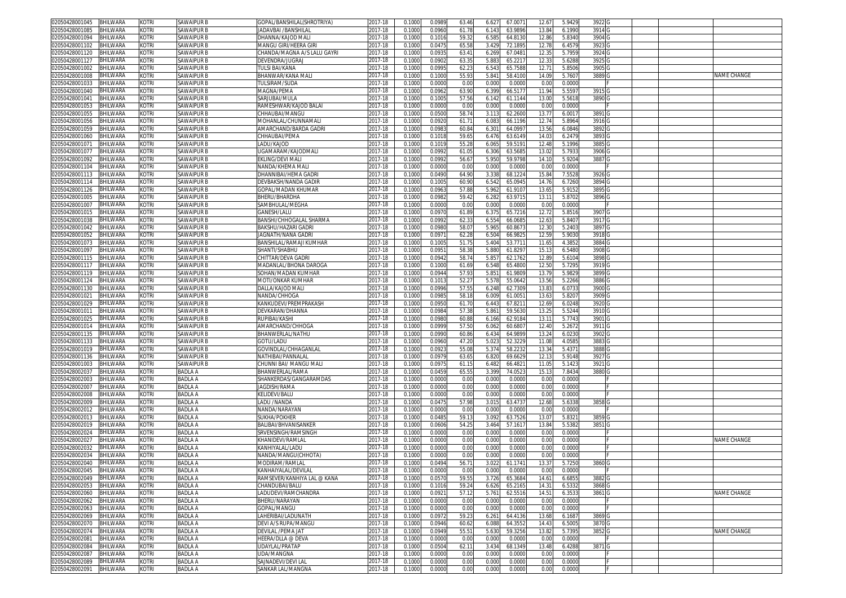| 02050428001045          | <b>BHILWARA</b> | kotri        | <b>SAWAIPUR B</b> | GOPAL/BANSHILAL(SHROTRIYA)   | 2017-18     | 0.1000 | 0.0989 | 63.46          | 6.627<br>67.0071 | 12.67             | 5.9429 | 3922 G            |  |             |
|-------------------------|-----------------|--------------|-------------------|------------------------------|-------------|--------|--------|----------------|------------------|-------------------|--------|-------------------|--|-------------|
| 2050428001085           | BHILWARA        | KOTRI        | SAWAIPUR B        | <b>ADAVBAI /BANSHILAL</b>    | 2017-18     | 0.1000 | 0.0960 | 61.78          | 6.143<br>63.9896 | 13.84             | 6.1990 | 3914 G            |  |             |
| 02050428001094          | BHILWARA        | kotri        | <b>SAWAIPUR B</b> | DHANNA/KAJOD MALI            |             | 0.1000 | 0.101  | 59.3           | 6.585<br>64.8130 | 12.86             | 5.834  | 3904 G            |  |             |
|                         |                 |              |                   |                              | 2017-18     |        |        |                |                  |                   |        |                   |  |             |
| 2050428001102           | BHILWARA        | KOTRI        | <b>SAWAIPUR B</b> | <b>MANGU GIRI/HEERA GIRI</b> | 2017-18     | 0.1000 | 0.0475 | 65.58          | 72.1895<br>3.429 | 12.78             | 6.457  | 3923 G            |  |             |
| )2050428001120          | BHILWARA        | kotri        | <b>SAWAIPUR B</b> | CHANDA/MAGNA A/S LALU GAYRI  | 2017-18     | 0.100  | 0.093  | 63.4           | 6.269<br>67.048  | 12.3              | 5.795  | 3924 G            |  |             |
| /2050428001127          | BHILWARA        | kotri        | <b>SAWAIPUR B</b> | DEVENDRA/JUGRAJ              | 017-18      | 0.100  | 0.0902 | 63.35          | 5.883<br>65.221  | 12.33             | 5.6288 | 3925 G            |  |             |
| 02050428001002          | BHILWARA        | KOTRI        | <b>SAWAIPUR B</b> | <b><i>FULSI BAI/KANA</i></b> | 2017-18     | 0.100  | 0.099  | 62.2           | 6.54<br>65.758   | 12.7              | 5.850  | 3905              |  |             |
| 02050428001008          | BHILWARA        | kotri        | <b>SAWAIPUR B</b> | <b>BHANWAR/KANA MALI</b>     | 2017-18     | 0.100  | 0.100  | 55.93          | 5.841<br>58.410  | 14.0              | 5.760  | 3889              |  | NAME CHANGE |
| 02050428001033          | BHILWARA        | KOTRI        | <b>SAWAIPUR B</b> | TULSIRAM/SUDA                | 2017-18     | 0.100  | 0.000  | 0.00           | 0.000<br>0.000   | 0.00              | 0.000  |                   |  |             |
|                         |                 |              |                   |                              |             |        |        |                |                  |                   |        |                   |  |             |
| 2050428001040           | BHILWARA        | KOTRI        | <b>SAWAIPUR B</b> | MAGNA/PEMA                   | 2017-18     | 0.100  | 0.096  | 63.90          | 66.517<br>6.399  | 11.94             | 5.559  | 3915              |  |             |
| 02050428001041          | BHILWARA        | kotri        | <b>SAWAIPUR B</b> | SARJUBAI/MULA                | 2017-18     | 0.100  | 0.100  | 57.56          | 6.142<br>61.1144 | 13.0              | 5.5618 | 3890              |  |             |
| 02050428001053          | BHILWARA        | kotri        | SAWAIPUR B        | RAMESHWAR/KAJOD BALAI        | 2017-18     | 0.100  | 0.000  | 0.00           | 0.000<br>0.0000  | 0.00              | 0.000  |                   |  |             |
| 02050428001055          | BHILWARA        | kotri        | <b>SAWAIPUR B</b> | CHHAUBAI/MANGL               | $2017 - 18$ | 0.100  | 0.050  | 58.7           | 3.11<br>62.260   | 13.7              | 6.001  | 3891              |  |             |
| 2050428001056           | BHILWARA        | kotri        | <b>SAWAIPUR B</b> | <b>MOHANLAL/CHUNNAMAL</b>    | 017-18      | 0.100  | 0.092  | 61.7           | 6.083<br>66.1196 | 12.7              | 5.8964 | 3916              |  |             |
| 02050428001059          | BHILWARA        | kotri        | SAWAIPUR B        | AMARCHAND/BARDA GADR         | 2017-18     | 0.100  | 0.098  | 60.84          | 64.099<br>6.301  | 13.56             | 6.084  | 3892              |  |             |
| 02050428001060          | BHILWARA        | kotri        | <b>SAWAIPUR B</b> | CHHAUBAI/PEMA                | 017-18      | 0.100  | 0.101  | 59.6           | 6.476<br>63.6149 | 14.03             | 6.2479 | 3893              |  |             |
|                         |                 |              |                   | LADU/KAJOD                   |             |        |        |                |                  |                   |        |                   |  |             |
| 02050428001071          | BHILWARA        | kotri        | SAWAIPUR B        |                              | 2017-18     | 0.100  | 0.101  | 55.2           | 59.519<br>6.06   | 12.4              | 5.199  | 3885              |  |             |
| 02050428001077          | BHILWARA        | kotri        | SAWAIPUR B        | JGAMARAM/KAJODMALI           | 2017-18     | 0.100  | 0.099  | 61.0           | 6.306<br>63.568  | 13.02             | 5.793  | 3906 G            |  |             |
| 02050428001092          | 3HILWARA        | KOTRI        | SAWAIPUR E        | EKLING/DEVI MAL              | 2017-18     | 0.100  | 0.099  | 56.6           | 5.950<br>59.9798 | 14.1              | 5.920  | 3887              |  |             |
| 02050428001104          | BHILWARA        | kotri        | <b>SAWAIPUR B</b> | NANDA/KHEMA MAL              | 2017-18     | 0.100  | 0.000  | 0.00           | 0.000<br>0.000   | 0.00              | 0.000  |                   |  |             |
| 02050428001113          | BHILWARA        | kotri        | SAWAIPUR B        | DHANNIBAI/HEMA GADRI         | 2017-18     | 0.100  | 0.049  | 64.9           | 68.122<br>3.338  | 15.8              | 7.5528 | 3926              |  |             |
| 02050428001114          | <b>BHILWARA</b> | kotri        | <b>SAWAIPUR B</b> | DEVBAKSH/NANDA GADIR         | 2017-18     | 0.100  | 0.100  | 60.90          | 6.542<br>65.0945 | 14.76             | 6.7260 | 3894              |  |             |
| 2050428001126           | <b>BHILWARA</b> | <b>COTRI</b> | SAWAIPUR E        | GOPAL/MADAN KHUMAR           | 017-18      | 0.100  | 0.096  | 57.88          | 5.962<br>61.910  | 13.6              | 5.915  | 3895              |  |             |
| 02050428001005          | BHILWARA        | kotri        | SAWAIPUR B        | BHERU/BHARDHA                | 2017-18     | 0.100  | 0.0982 | 59.42          | 6.282<br>63.9715 | 13.1              | 5.8702 | 3896 G            |  |             |
|                         |                 |              |                   |                              |             |        |        |                |                  |                   |        |                   |  |             |
| 2050428001007           | BHILWARA        | kotri        | SAWAIPUR B        | SAMBHULAL/MEGHA              | 2017-18     | 0.100  | 0.0000 | 0.00           | 0.000<br>0.0000  | 0.00              | 0.000  |                   |  |             |
| 02050428001015          | BHILWARA        | kotri        | <b>SAWAIPUR B</b> | GANESH/LALU                  | 2017-18     | 0.100  | 0.097  | 61.89          | 65.7216<br>6.375 | 12.7              | 5.851  | 3907 <sub>G</sub> |  |             |
| 2050428001038           | BHILWARA        | kotri        | <b>SAWAIPUR B</b> | BANSHI/CHHOGALAL SHARMA      | 2017-18     | 0.100  | 0.0992 | 62.3           | 6.554<br>66.0685 | 12.6              | 5.840  | 3917 G            |  |             |
| )2050428001042          | BHILWARA        | kotri        | <b>SAWAIPUR B</b> | BAKSHU/HAZARI GADRI          | 2017-18     | 0.100  | 0.098  | 58.07          | 5.965<br>60.867  | 12.30             | 5.240  | 3897 G            |  |             |
| 2050428001052           | BHILWARA        | kotri        | <b>SAWAIPUR B</b> | JAGNATH/NANA GADRI           | 2017-18     | 0.100  | 0.097  | 62.28          | 6.504<br>66.982  | 12.5 <sup>0</sup> | 5.903  | 3918 G            |  |             |
| 02050428001073          | BHILWARA        | kotri        | <b>SAWAIPUR B</b> | BANSHILAL/RAMAJI KUMHAR      | 2017-18     | 0.100  | 0.100  | 51.7           | 5.404<br>53.771  | 11.6              | 4.3852 | 3884              |  |             |
| 02050428001097          | BHILWARA        |              |                   | SHANTI/SHABHU                | 2017-18     | 0.100  |        | 58.38          |                  |                   | 6.548  | 3908              |  |             |
|                         |                 | kotri        | <b>SAWAIPUR B</b> |                              |             |        | 0.095  |                | 5.880<br>61.8297 | 15.1              |        |                   |  |             |
| 02050428001115          | BHILWARA        | kotri        | <b>SAWAIPUR B</b> | CHITTAR/DEVA GADRI           | 2017-18     | 0.100  | 0.094  | 58.74          | 5.85<br>62.176   | 12.8 <sup>°</sup> | 5.610  | 3898              |  |             |
| 2050428001117           | BHILWARA        | kotri        | <b>SAWAIPUR B</b> | MADANLAL/BHONA DAROGA        | 2017-18     | 0.100  | 0.100  | 61.69          | 65.480<br>6.548  | 12.5              | 5.729  | 3919              |  |             |
| 02050428001119          | BHILWARA        | kotri        | <b>SAWAIPUR B</b> | SOHAN/MADAN KUMHAR           | 2017-18     | 0.100  | 0.094  | 57.93          | 5.85<br>61.980   | 13.7              | 5.982  | 3899              |  |             |
| 02050428001124          | BHILWARA        | kotri        | <b>SAWAIPUR B</b> | <b>MOTI/ONKAR KUMHAR</b>     | 2017-18     | 0.1000 | 0.101  | 52.27          | 5.578<br>55.0642 | 13.56             | 5.2266 | 3886              |  |             |
| 02050428001130          | BHILWARA        | kotri        | <b>SAWAIPUR B</b> | DALLA/KAJOD MAL              | 2017-18     | 0.100  | 0.0996 | 57.5           | 6.248<br>62.730  | 13.83             | 6.073  | 3900              |  |             |
| 2050428001021           | BHILWARA        | kotri        | <b>SAWAIPUR B</b> | NANDA/CHHOGA                 | 2017-18     | 0.100  | 0.098  | 58.1           | 61.005<br>6.009  | 13.6              | 5.820  | 3909              |  |             |
| 02050428001029          | BHILWARA        | kotri        | SAWAIPUR B        | KANKUDEVI/PREMPRAKASH        | 2017-18     | 0.100  | 0.095  | 61.7           | 6.443<br>67.821  | 12.69             | 6.0248 | 3920              |  |             |
|                         |                 |              |                   |                              |             |        |        |                |                  |                   |        |                   |  |             |
| 02050428001011          | BHILWARA        | kotri        | <b>SAWAIPUR B</b> | DEVKARAN/DHANNA              | 017-18      | 0.100  | 0.098  | 57.38          | 5.861<br>59.563  | 13.2              | 5.5244 | 3910 <sub>G</sub> |  |             |
| 02050428001025          | BHILWARA        | kotri        | SAWAIPUR B        | RUPIBAI/KASHI                | 2017-18     | 0.100  | 0.098  | 60.88          | 62.918<br>6.166  | 13.1              | 5.774  | 3901              |  |             |
| 02050428001014          | BHILWARA        | kotri        | <b>SAWAIPUR B</b> | AMARCHAND/CHHOGA             | 017-18      | 0.100  | 0.099  | 57.50          | 6.062<br>60.680  | 12.40             | 5.2672 | 3911              |  |             |
| 02050428001135          | <b>BHILWARA</b> | kotri        | SAWAIPUR B        | 3HANWERLAL/NATHU             | 2017-18     | 0.100  | 0.099  | 60.86          | 6.43<br>64.989   | 13.2              | 6.023  | 3902              |  |             |
| 02050428001133          | BHILWARA        | kotri        | SAWAIPUR B        | GOTU/LADU                    | 2017-18     | 0.100  | 0.096  | 47.20          | 52.322<br>5.023  | 11.08             | 4.058  | 3883              |  |             |
| 2050428001019           | <b>BHILWARA</b> | kotri        | SAWAIPUR B        | GOVINDLAL/CHHAGANLAI         | 017-18      | 0.100  | 0.092  | 55.08          | 5.374<br>58.223  | 13.3              | 5.437  | 3888              |  |             |
| )2050428001136          | <b>BHILWARA</b> | kotri        | <b>SAWAIPUR B</b> | <b>VATHIBAI/PANNALAL</b>     | 2017-18     | 0.100  | 0.097  | 63.6           | 6.820<br>69.662  | 12.1              | 5.9148 | 3927              |  |             |
|                         |                 | <b>COTRI</b> |                   |                              | 2017-18     |        |        |                | 66.482           |                   |        |                   |  |             |
| 02050428001003          | <b>BHILWARA</b> |              | SAWAIPUR B        | CHUNNI BAI/ MANGU MALI       |             | 0.100  | 0.097  | 61.1           | 6.482            | 11.0              | 5.142  | 3921              |  |             |
| 02050428002037          | <b>BHILWARA</b> | kotri        | <b>BADLA A</b>    | BHANWERLAL/RAMA              | 2017-18     | 0.100  | 0.045  | 65.5           | 3.399<br>74.052  | 15.1              | 7.843  | 3880              |  |             |
| 2050428002003           | <b>BHILWARA</b> | KOTRI        | <b>BADLA A</b>    | SHANKERDAS/GANGARAMDAS       | 017-18      | 0.100  | 0.0000 | 0.00           | 0.000<br>0.0000  | 0.00              | 0.0000 |                   |  |             |
| 02050428002007          | BHILWARA        | kotri        | <b>BADLA A</b>    | JAGDISH/RAMA                 | 2017-18     | 0.100  | 0.000  | 0.00           | 0.000<br>0.0000  | 0.00              | 0.000  |                   |  |             |
| )2050428002008          | <b>BHILWARA</b> | kotri        | <b>BADLA A</b>    | KELIDEVI/BALU                | 2017-18     | 0.100  | 0.000  | 0.00           | 0.000<br>0.000   | 0.00              | 0.000  |                   |  |             |
| 02050428002009          | BHILWARA        | kotri        | <b>BADLA A</b>    | LADU /NANDA                  | 2017-18     | 0.100  | 0.047  | 57.98          | 3.015<br>63.4737 | 12.6              | 5.6338 | 3858 G            |  |             |
| 2050428002012           | BHILWARA        | kotri        | <b>BADLA A</b>    | NANDA/NARAYAN                | 2017-18     | 0.100  | 0.000  | 0.00           | 0.000<br>0.0000  | 0.00              | 0.000  |                   |  |             |
| )2050428002013          | BHILWARA        | kotri        | <b>BADLA A</b>    | SUKHA/POKHER                 | 2017-18     | 0.100  | 0.048  | 59.1           | 3.092<br>63.7526 | 13.0              | 5.832  | 3859 G            |  |             |
|                         | BHILWARA        | KOTRI        | <b>BADLA A</b>    |                              | 2017-18     | 0.100  | 0.0606 | 54.2           |                  | 13.84             | 5.5382 |                   |  |             |
| 2050428002019           |                 |              |                   | BALIBAI/BHVANISANKER         |             |        |        |                | 3.464<br>57.1617 |                   |        | 3851              |  |             |
| 02050428002024          | BHILWARA        | KOTRI        | <b>BADLA A</b>    | SRVENSINGH/RAMSINGH          | 2017-18     | 0.100  | 0.000  | 0.00           | 0.000<br>0.000   | 0.00              | 0.0000 |                   |  |             |
| 2050428002027           | BHILWARA        | KOTRI        | <b>BADLA A</b>    | (HANIDEVI/RAMLAI             | 2017-18     | 0.100  | 0.000  | 0.00           | 0.000<br>0.0000  | 0.00              | 0.000  |                   |  | NAME CHANGE |
| 02050428002032          | <b>BHILWARA</b> | KOTRI        | <b>BADLA A</b>    | KANHIYALAL/LADU              | 2017-18     | 0.100  | 0.000  | 0.00           | 0.000<br>0.0000  | 0.0               | 0.000  |                   |  |             |
| 02050428002034          | BHILWARA        | KOTRI        | <b>BADLA A</b>    | VANDA/MANGU(CHHOTA)          | 2017-18     | 0.100  | 0.000  | 0.00           | 0.000<br>0.0000  | 0.00              | 0.0000 |                   |  |             |
| 02050428002040          | <b>BHILWARA</b> | kotri        | <b>BADLA A</b>    | MODIRAM/RAMLAI               | 2017-18     | 0.100  | 0.0494 | 56.7           | 3.022<br>61.174  | 13.3              | 5.725  | 3860              |  |             |
| 02050428002045 BHILWARA |                 | KOTRI        | BADLA A           | (ANHAIYALAL/DEVILAL          | 2017-18     | 0.1000 | 0.0000 | 0.00           | 0.000<br>0.0000  | 0.00              | 0.000  |                   |  |             |
| 02050428002049          | BHILWARA        | kotri        | <b>BADLA A</b>    | RAMSEVER/KANHIYA LAL @ KANA  | 2017-18     | 0.1000 | 0.0570 | 59.55          | 3.726<br>65.3684 | 14.61             | 6.685  | 3882              |  |             |
|                         |                 |              | <b>BADLA A</b>    | CHANDUBAI/BALU               |             |        |        | 59.24          |                  |                   |        | 3868 <sub>G</sub> |  |             |
| 02050428002053          | <b>BHILWARA</b> | kotri        |                   |                              | 2017-18     | 0.1000 | 0.1016 |                | 6.626<br>65.2165 | 14.31             | 6.533  |                   |  |             |
| 02050428002060          | BHILWARA        | <b>KOTRI</b> | <b>BADLA A</b>    | LADUDEVI/RAMCHANDRA          | 2017-18     | 0.1000 | 0.092  | 57.12          | 5.761<br>62.5516 | 14.51             | 6.353  | 3861 G            |  | NAME CHANGE |
| 02050428002062          | <b>BHILWARA</b> | kotri        | <b>BADLA A</b>    | BHERU/NARAYAN                | 2017-18     | 0.1000 | 0.0000 | 0.00           | 0.000<br>0.0000  | 0.00              | 0.0000 |                   |  |             |
| 02050428002063          | BHILWARA        | kotri        | <b>BADLA A</b>    | GOPAL/MANGU                  | 2017-18     | 0.100  | 0.000  | 0.00           | 0.000<br>0.0000  | 0.00              | 0.000  |                   |  |             |
| 02050428002069          | BHILWARA        | kotri        | <b>BADLA A</b>    | LAHERIBAI/LADUNATH           | 2017-18     | 0.1000 | 0.097  | 59.23          | 6.261<br>64.4136 | 13.68             | 6.1687 | 3869 G            |  |             |
| 02050428002070          | BHILWARA        | kotri        | <b>BADLA A</b>    | DEVI A/S RUPA/MANGU          | 2017-18     | 0.1000 | 0.0946 | 60.62          | 6.088<br>64.3552 | 14.43             | 6.500  | 3870 G            |  |             |
| 02050428002074          | BHILWARA        | kotri        | <b>BADLA A</b>    | DEVILAL /PEMA JAT            | 2017-18     | 0.1000 | 0.0949 | $55.5^{\circ}$ | 5.630<br>59.3256 | 13.82             | 5.7395 | 3852              |  | NAME CHANGE |
| 02050428002081          | BHILWARA        | kotri        | <b>BADLA A</b>    | HEERA/DLLA @ DEVA            | 2017-18     | 0.1000 | 0.0000 | 0.00           | 0.000<br>0.0000  | 0.00              | 0.0000 |                   |  |             |
| 02050428002084          | BHILWARA        | KOTRI        | <b>BADLA A</b>    | UDAYLAL/PRATAP               |             |        |        | 62.1           |                  |                   |        | 3871 G            |  |             |
|                         |                 |              |                   |                              | 2017-18     | 0.1000 | 0.0504 |                | 3.434<br>68.1349 | 13.48             | 6.4288 |                   |  |             |
| 02050428002087          | BHILWARA        | kotri        | <b>BADLA A</b>    | UDA/MANGNA                   | 2017-18     | 0.1000 | 0.0000 | 0.00           | 0.000<br>0.0000  | 0.00              | 0.0000 |                   |  |             |
| 02050428002089          | BHILWARA        | KOTRI        | <b>BADLA A</b>    | SAJNADEVI/DEVI LAL           | 2017-18     | 0.1000 | 0.0000 | 0.00           | 0.000<br>0.0000  | 0.00              | 0.0000 |                   |  |             |
| 02050428002091          | BHILWARA        | <b>KOTRI</b> | <b>BADLA A</b>    | SANKAR LAL/MANGNA            | 2017-18     | 0.1000 | 0.0000 | 0.00           | 0.000<br>0.0000  | 0.00              | 0.0000 |                   |  |             |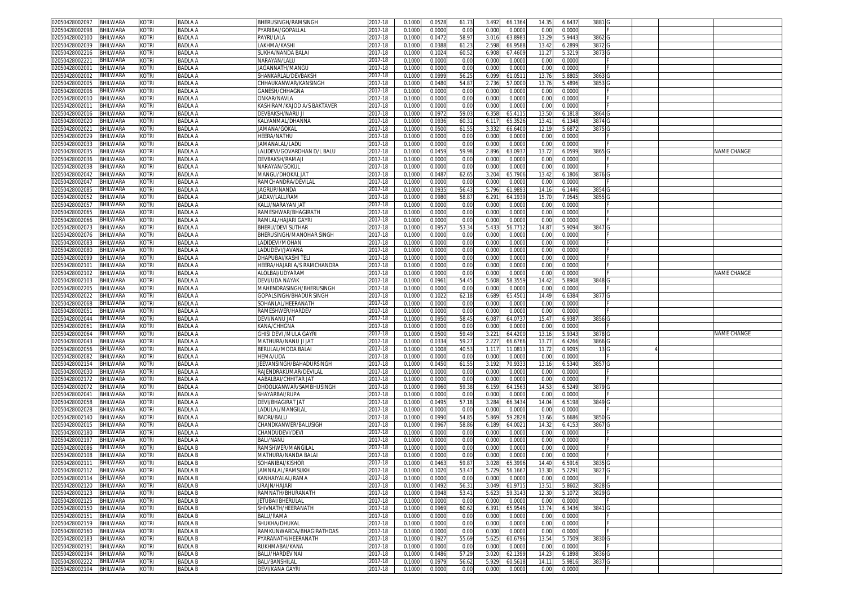| <b>BHILWARA</b><br>02050428002097 | kotri        | <b>BADLA A</b> | BHERUSINGH/RAMSINGH             | 2017-18     | 0.1000 | 0.0528 | 61.73 | 3.492 | 66.1364 | 14.35  | 6.6437 | 3881              |  |             |
|-----------------------------------|--------------|----------------|---------------------------------|-------------|--------|--------|-------|-------|---------|--------|--------|-------------------|--|-------------|
| BHILWARA<br>02050428002098        | kotri        | <b>BADLA A</b> | PYARIBAI/GOPALLAL               | 2017-18     | 0.1000 | 0.0000 | 0.00  | 0.000 | 0.0000  | 0.00   | 0.0000 |                   |  |             |
| BHILWARA<br>02050428002100        | kotri        | BADLA A        | PAYRI/LALA                      | 2017-18     | 0.1000 | 0.047  | 58.97 | 3.016 | 63.8983 | 13.29  | 5.9443 | 3862              |  |             |
| 02050428002039<br><b>BHILWARA</b> | kotri        | BADLA A        | AKHMA/KASH                      | 017-18      | 0.100  | 0.038  | 61.2  | 2.598 | 66.958  | 13.4   | 6.2899 | 3872              |  |             |
| <b>BHILWARA</b><br>02050428002216 | kotri        | BADLA A        | SUKHA/NANDA BALAI               | 2017-18     | 0.1000 | 0.102  | 60.5  | 6.908 | 67.460  | 11.27  | 5.3219 | 3873              |  |             |
| 02050428002221<br><b>BHILWARA</b> | Kotri        | <b>BADLA A</b> | NARAYAN/LALU                    | 2017-18     | 0.1000 | 0.0000 | 0.00  | 0.000 | 0.000   | 0.00   | 0.0000 |                   |  |             |
| BHILWARA<br>02050428002001        | kotri        | <b>BADLA A</b> | AGANNATH/MANGU                  | 2017-18     | 0.1000 | 0.0000 | 0.00  | 0.000 | 0.0000  | 0.00   | 0.0000 |                   |  |             |
| BHILWARA<br>02050428002002        | kotri        | <b>BADLA A</b> | SHANKARLAL/DEVBAKSI             | 2017-18     | 0.1000 | 0.0999 | 56.2  | 6.099 | 61.051  | 13.7   | 5.8805 | 3863              |  |             |
| BHILWARA<br>02050428002005        | kotri        | <b>BADLA A</b> | CHHAUKANWAR/KANSINGH            | 2017-18     | 0.1000 | 0.0480 | 54.8  | 2.736 | 57.000  | 13.76  | 5.4896 | 3853 G            |  |             |
| <b>BHILWARA</b><br>02050428002006 | kotri        | <b>BADLA A</b> |                                 |             | 0.1000 | 0.0000 | 0.00  | 0.000 | 0.000   | 0.00   | 0.0000 |                   |  |             |
|                                   |              |                | GANESH/CHHAGNA                  | 2017-18     |        |        |       |       |         |        |        |                   |  |             |
| 02050428002010<br><b>BHILWARA</b> | kotri        | <b>BADLA A</b> | ONKAR/NAVLA                     | 2017-18     | 0.1000 | 0.0000 | 0.00  | 0.000 | 0.0000  | 0.00   | 0.0000 |                   |  |             |
| 02050428002011<br>BHILWARA        | kotri        | <b>BADLA A</b> | KASHIRAM/KAJOD A/S BAKTAVER     | 2017-18     | 0.1000 | 0.0000 | 0.00  | 0.000 | 0.000   | 0.0    | 0.0000 |                   |  |             |
| 02050428002016<br>BHILWARA        | KOTRI        | <b>BADLA A</b> | DEVBAKSH/NARU JI                | 2017-18     | 0.100  | 0.097  | 59.0  | 6.358 | 65.411  | 13.50  | 6.181  | 3864 G            |  |             |
| 02050428002020<br>BHILWARA        | kotri        | <b>BADLA A</b> | KALYANMAL/DHANNA                | 2017-18     | 0.100  | 0.0936 | 60.3  | 6.11  | 65.352  | 13.41  | 6.1348 | 3874              |  |             |
| 02050428002021<br><b>BHILWARA</b> | kotri        | <b>BADLA A</b> | <b>JAMANA/GOKAI</b>             | 2017-18     | 0.1000 | 0.050  | 61.5  | 3.33  | 66.640  | 12.1   | 5.687  | 3875 G            |  |             |
| 02050428002029<br><b>BHILWARA</b> | kotri        | <b>BADLA A</b> | HEERA/NATHU                     | 2017-18     | 0.1000 | 0.0000 | 0.00  | 0.000 | 0.000   | 0.00   | 0.0000 |                   |  |             |
| 02050428002033<br><b>BHILWARA</b> | kotri        | <b>BADLA A</b> | JAMANALAL/LADU                  | 2017-18     | 0.100  | 0.000  | 0.00  | 0.000 | 0.000   | 0.0    | 0.0000 |                   |  |             |
| 02050428002035<br>BHILWARA        | kotri        | <b>BADLA A</b> | LALIDEVI/GOVARDHAN D/L BALU     | 2017-18     | 0.100  | 0.0459 | 59.98 | 2.896 | 63.093  | 13.7   | 6.0599 | 3865 <sub>G</sub> |  | NAME CHANGE |
| 02050428002036<br>BHILWARA        | kotri        | <b>BADLA A</b> | DEVBAKSH/RAMAJI                 | 2017-18     | 0.100  | 0.000  | 0.00  | 0.000 | 0.000   | 0.0    | 0.0000 |                   |  |             |
| 02050428002038<br>BHILWARA        | kotri        | BADLA A        | NARAYAN/GOKUL                   | 017-18      | 0.100  | 0.000  | 0.00  | 0.000 | 0.000   | 0.00   | 0.0000 |                   |  |             |
| 02050428002042<br><b>BHILWARA</b> | kotri        | <b>BADLA A</b> | MANGU/DHOKAL JAT                | 2017-18     | 0.100  | 0.048  | 62.6  | 3.204 | 65.790  | 13.42  | 6.1806 | 3876 G            |  |             |
| 02050428002047<br><b>BHILWARA</b> | kotri        | BADLA A        | RAMCHANDRA/DEVILAI              | 017-18      | 0.100  | 0.000  | 0.00  | 0.000 | 0.000   | 0.0    | 0.0000 |                   |  |             |
| 02050428002085<br>BHILWARA        | kotri        | BADLA A        | <b>JAGRUP/NANDA</b>             | 017-18      | 0.100  | 0.093  | 56.4  | 5.796 | 61.989  | 14.1   | 6.1446 | 3854              |  |             |
| 02050428002052<br>BHILWARA        | kotri        | BADLA A        | ADAV/LALURAM                    | 017-18      | 0.100  | 0.0980 | 58.8  | 6.29  | 64.193  | 15.7   | 7.0545 | 3855 <sub>G</sub> |  |             |
| BHILWARA<br>02050428002057        | kotri        | BADLA A        | KALU/NARAYAN JAT                | 017-18      | 0.100  | 0.000  | 0.00  | 0.00  | 0.000   | 0.0    | 0.0000 |                   |  |             |
| BHILWARA<br>02050428002065        | kotri        | BADLA A        | RAMESHWAR/BHAGIRATH             | 2017-18     | 0.1000 | 0.0000 | 0.00  | 0.000 | 0.000   | 0.00   | 0.0000 |                   |  |             |
| 02050428002066<br><b>BHILWARA</b> | kotri        | <b>BADLA A</b> | RAMLAL/HAJARI GAYR              | 2017-18     | 0.100  | 0.0000 | 0.00  | 0.000 | 0.000   | 0.0    | 0.0000 |                   |  |             |
| 02050428002073<br>BHILWARA        | kotri        | BADLA A        | BHERU/DEVI SUTHAR               | 2017-18     | 0.1000 | 0.095  | 53.34 | 5.433 | 56.7712 | 14.87  | 5.9094 | 3847 0            |  |             |
|                                   |              |                |                                 |             |        |        |       |       |         |        |        |                   |  |             |
| 02050428002076<br><b>BHILWARA</b> | kotri        | BADLA A        | <b>BHERUSINGH/MANOHAR SINGH</b> | 017-18      | 0.100  | 0.000  | 0.00  | 0.00  | 0.000   | 0.0    | 0.0000 |                   |  |             |
| 02050428002083<br>BHILWARA        | kotri        | <b>BADLA A</b> | LADIDEVI/MOHAN                  | 2017-18     | 0.1000 | 0.0000 | 0.00  | 0.000 | 0.0000  | 0.00   | 0.0000 |                   |  |             |
| BHILWARA<br>02050428002080        | kotri        | <b>BADLA A</b> | LADUDEVI/JAVANA                 | 2017-18     | 0.1000 | 0.0000 | 0.00  | 0.000 | 0.0000  | 0.00   | 0.0000 |                   |  |             |
| BHILWARA<br>02050428002099        | kotri        | <b>BADLA A</b> | DHAPUBAI/KASHI TEL              | 2017-18     | 0.1000 | 0.0000 | 0.00  | 0.000 | 0.0000  | 0.00   | 0.0000 |                   |  |             |
| <b>BHILWARA</b><br>02050428002101 | kotri        | <b>BADLA A</b> | HEERA/HAJARI A/S RAMCHANDRA     | 2017-18     | 0.100  | 0.0000 | 0.00  | 0.000 | 0.000   | 0.0    | 0.0000 |                   |  |             |
| 02050428002102<br><b>BHILWARA</b> | kotri        | <b>BADLA A</b> | ALOLBAI/UDYARAM                 | 2017-18     | 0.1000 | 0.0000 | 0.00  | 0.000 | 0.0000  | 0.00   | 0.0000 |                   |  | NAME CHANGE |
| BHILWARA<br>02050428002103        | kotri        | <b>BADLA A</b> | DEVI/UDA NAYAK                  | 2017-18     | 0.1000 | 0.096  | 54.49 | 5.608 | 58.355  | 14.42  | 5.8908 | 3848 G            |  |             |
| 02050428002205<br><b>BHILWARA</b> | kotri        | <b>BADLA A</b> | MAHENDRASINGH/BHERUSINGH        | 2017-18     | 0.1000 | 0.000  | 0.00  | 0.000 | 0.000   | 0.0    | 0.0000 |                   |  |             |
| 02050428002022<br>BHILWARA        | kotri        | <b>BADLA A</b> | GOPALSINGH/BHADUR SINGH         | 2017-18     | 0.1000 | 0.1022 | 62.18 | 6.689 | 65.450  | 14.49  | 6.6384 | 3877 <sub>C</sub> |  |             |
| 02050428002068<br>BHILWARA        | kotri        | <b>BADLA A</b> | SOHANLAL/HEERANATH              | 2017-18     | 0.100  | 0.000  | 0.00  | 0.000 | 0.000   | 0.0    | 0.0000 |                   |  |             |
| BHILWARA<br>02050428002051        | kotri        | BADLA A        | RAMESHWER/HARDEV                | 017-18      | 0.1000 | 0.0000 | 0.00  | 0.000 | 0.000   | 0.00   | 0.0000 |                   |  |             |
| 02050428002044<br><b>BHILWARA</b> | kotri        | <b>BADLA A</b> | DEVI/NANU JAT                   | 2017-18     | 0.100  | 0.095  | 58.4  | 6.08  | 64.073  | 15.47  | 6.938  | 3856 G            |  |             |
|                                   |              |                |                                 |             |        |        |       |       |         |        |        |                   |  |             |
|                                   |              |                |                                 |             |        |        |       |       |         |        |        |                   |  |             |
| 02050428002061<br>BHILWARA        | kotri        | <b>BADLA A</b> | KANA/CHHGNA                     | 2017-18     | 0.100  | 0.000  | 0.00  | 0.000 | 0.000   | 0.0    | 0.0000 |                   |  |             |
| 02050428002064<br>BHILWARA        | kotri        | <b>BADLA A</b> | GHISI DEVI /MULA GAYRI          | 2017-18     | 0.100  | 0.050  | 59.49 | 3.22' | 64.420  | 13.1   | 5.9343 | 3878 G            |  | NAME CHANGE |
| 02050428002043<br>BHILWARA        | kotri        | BADLA A        | MATHURA/NANU JI JAT             | 2017-18     | 0.1000 | 0.033  | 59.2  | 2.22  | 66.676  | 13.77  | 6.4266 | 3866 <sub>G</sub> |  |             |
| 02050428002056<br><b>BHILWARA</b> | kotri        | <b>BADLA A</b> | BERULAL/MODA BALAI              | 017-18      | 0.100  | 0.100  | 40.5  | 1.11  | 11.081  | 11.7   | 0.9095 | 13 <sub>g</sub>   |  |             |
| 02050428002082<br><b>BHILWARA</b> | kotri        | BADLA A        | HEMA/UDA                        | 017-18      | 0.100  | 0.000  | 0.00  | 0.000 | 0.000   | 0.00   | 0.0000 |                   |  |             |
| 02050428002154<br><b>BHILWARA</b> | <b>KOTRI</b> | <b>BADLA A</b> | EEVANSINGH/BAHADURSINGH         | 2017-18     | 0.1000 | 0.0450 | 61.5  | 3.192 | 70.933  | 13.1   | 6.5340 | 3857 G            |  |             |
| 02050428002030<br><b>BHILWARA</b> | kotri        | BADLA A        | RAJENDRAKUMAR/DEVILAL           | 017-18      | 0.1000 | 0.000  | 0.00  | 0.000 | 0.000   | 0.00   | 0.0000 |                   |  |             |
| 02050428002172<br><b>BHILWARA</b> | kotri        | <b>BADLA A</b> | AABALBAI/CHHITAR JAT            | 2017-18     | 0.100  | 0.000  | 0.00  | 0.000 | 0.000   | 0.0    | 0.0000 |                   |  |             |
| BHILWARA<br>02050428002072        | kotri        | BADLA A        | DHOOLKANWAR/SAMBHUSINGH         | 2017-18     | 0.1000 | 0.0960 | 59.38 | 6.159 | 64.156  | 14.5   | 6.5249 | 3879              |  |             |
| 02050428002041<br><b>BHILWARA</b> | kotri        | BADLA A        | HAYARBAI/RUPA                   | 017-18      | 0.100  | 0.000  | 0.00  | 0.00  | 0.000   | 0.0    | 0.0000 |                   |  |             |
| <b>BHILWARA</b><br>02050428002058 | kotri        | <b>BADLA A</b> | DEVI/BHAGIRAT JA <sup>-</sup>   | 2017-18     | 0.1000 | 0.049  | 57.1  | 3.284 | 66.343  | 14.04  | 6.5198 | 3849              |  |             |
| 02050428002028<br><b>BHILWARA</b> | kotri        | <b>BADLA A</b> | LADULAL/MANGILAI                | 2017-18     | 0.100  | 0.000  | 0.00  | 0.000 | 0.000   | 0.0    | 0.0000 |                   |  |             |
| <b>BHILWARA</b><br>02050428002140 | kotri        | BADLA A        | BADRI/BALU                      | 2017-18     | 0.1000 | 0.0990 | 54.8  | 5.869 | 59.282  | 13.66  | 5.6686 | 3850              |  |             |
| BHILWARA<br>02050428002015        | kotri        | <b>BADLA A</b> | <b>CHANDKANWER/BALUSIGH</b>     | 2017-18     | 0.100  | 0.0967 | 58.86 | 6.189 | 64.002  | 14.3   | 6.415  | 3867              |  |             |
| BHILWARA<br>02050428002180        | kotri        | <b>BADLA A</b> | CHANDUDEVI/DEVI                 | 2017-18     | 0.1000 | 0.000  | 0.00  | 0.000 | 0.0000  | 0.00   | 0.0000 |                   |  |             |
| BHILWARA<br>02050428002197        | kotri        | <b>BADLA A</b> | BALI/NANU                       | 2017-18     | 0.1000 | 0.0000 | 0.00  | 0.000 | 0.000   | 0.00   | 0.0000 |                   |  |             |
| 02050428002086<br>BHILWARA        | kotri        | <b>BADLA B</b> | RAMSHWER/MANGILAI               | 2017-18     | 0.1000 | 0.0000 | 0.00  | 0.000 | 0.0000  | 0.00   | 0.0000 |                   |  |             |
| 02050428002108<br><b>BHILWARA</b> | Kotri        | BADLA B        | MATHURA/NANDA BALAI             | $2017 - 18$ | 0.100  | 0.0000 | 0.00  | 0.000 | 0.000   | 0.0    | 0.0000 |                   |  |             |
|                                   |              |                |                                 |             |        | 0.0463 |       |       |         |        |        |                   |  |             |
| 02050428002111<br><b>BHILWARA</b> | <b>KOTRI</b> | BADLA B        | SOHANIBAI/KISHOR                | 2017-18     | 0.1000 |        | 59.8  | 3.028 | 65.3996 | 14.40  | 6.5916 | 3835 G            |  |             |
| 02050428002112 BHILWARA           | KUIKI        | BADLA B        | AMNALAL/RAMSUKH                 | 2017-18     | 0.1000 | U.IUZU | 33.41 | 5.129 | 56.1667 | 13.301 | 5.2291 | 3827 G            |  |             |
| 02050428002114 BHILWARA           | KOTRI        | <b>BADLA B</b> | KANHAIYALAL/RAMA                | 2017-18     | 0.1000 | 0.0000 | 0.00  | 0.000 | 0.0000  | 0.00   | 0.0000 |                   |  |             |
| 02050428002120 BHILWARA           | kotri        | <b>BADLA B</b> | URAJN/HAJARI                    | 2017-18     | 0.1000 | 0.0492 | 56.3' | 3.049 | 61.9715 | 13.51  | 5.8602 | 3828 G            |  |             |
| 02050428002123<br><b>BHILWARA</b> | KOTRI        | <b>BADLA B</b> | RAMNATH/BHURANATH               | 2017-18     | 0.1000 | 0.0948 | 53.41 | 5.623 | 59.314  | 12.30  | 5.1072 | 3829 G            |  |             |
| 02050428002125 BHILWARA           | kotri        | <b>BADLA B</b> | JETUBAI/BHERULAL                | 2017-18     | 0.1000 | 0.0000 | 0.00  | 0.000 | 0.0000  | 0.00   | 0.0000 |                   |  |             |
| 02050428002150<br><b>BHILWARA</b> | <b>KOTRI</b> | <b>BADLA B</b> | SHIVNATH/HEERANATH              | 2017-18     | 0.1000 | 0.0969 | 60.62 | 6.391 | 65.9546 | 13.74  | 6.3436 | 3841 G            |  |             |
| 02050428002151<br>BHILWARA        | <b>KOTRI</b> | <b>BADLA B</b> | BALU/RAMA                       | 2017-18     | 0.1000 | 0.0000 | 0.00  | 0.000 | 0.0000  | 0.00   | 0.0000 |                   |  |             |
| BHILWARA<br>02050428002159        | <b>KOTRI</b> | <b>BADLA B</b> | SHUKHA/DHUKAL                   | 2017-18     | 0.1000 | 0.0000 | 0.00  | 0.000 | 0.000   | 0.00   | 0.0000 |                   |  |             |
| 02050428002160<br><b>BHILWARA</b> | kotri        | <b>BADLA B</b> | RAMKUNWARDA/BHAGIRATHDAS        | 2017-18     | 0.1000 | 0.0000 | 0.00  | 0.000 | 0.0000  | 0.00   | 0.0000 |                   |  |             |
| 02050428002183<br><b>BHILWARA</b> | <b>KOTRI</b> | <b>BADLAB</b>  | PYARANATH/HEERANATH             | 2017-18     | 0.1000 | 0.0927 | 55.69 | 5.625 | 60.6796 | 13.54  | 5.7509 | 3830 G            |  |             |
| 02050428002191<br><b>BHILWARA</b> | kotri        | <b>BADLA B</b> | RUKHMABAI/KANA                  | 2017-18     | 0.1000 | 0.0000 | 0.00  | 0.000 | 0.0000  | 0.00   | 0.0000 |                   |  |             |
| 02050428002194<br>BHILWARA        | <b>KOTRI</b> | <b>BADLA B</b> | BALU/HARDEV NAI                 | 2017-18     | 0.1000 | 0.0486 | 57.29 | 3.020 | 62.1399 | 14.23  | 6.1898 | 3836 G            |  |             |
| 02050428002222<br><b>BHILWARA</b> | <b>KOTRI</b> | <b>BADLA B</b> | BALI/BANSHILAL                  | 2017-18     | 0.1000 | 0.0979 | 56.62 | 5.929 | 60.5618 | 14.11  | 5.9816 | 3837 G            |  |             |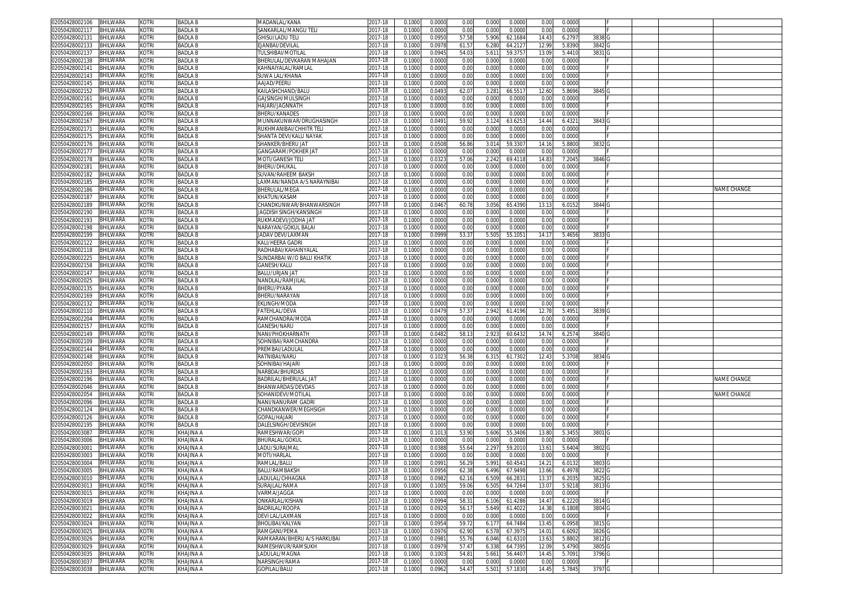| 02050428002106          | <b>BHILWARA</b> | kotri                       | <b>BADLAB</b>  | MADANLAL/KANA                          | 2017-18 | 0.1000 | 0.0000 | 0.00                  | 0.000          | 0.0000  | 0.00           | 0.000           |                  |  |                    |
|-------------------------|-----------------|-----------------------------|----------------|----------------------------------------|---------|--------|--------|-----------------------|----------------|---------|----------------|-----------------|------------------|--|--------------------|
| 02050428002117          | BHILWARA        | kotri                       | <b>BADLA B</b> | SANKARLAL/MANGU TELI                   | 2017-18 | 0.100  | 0.0000 | 0.00                  | 0.000          | 0.0000  | 0.00           | 0.000           |                  |  |                    |
| )2050428002131          | BHILWARA        | kotri                       | <b>BADLA B</b> | GHISU/LADU TELI                        | 2017-18 | 0.1000 | 0.095  | 57.58                 | 5.906          | 62.1684 | 14.4           | 6.2797          | 3838             |  |                    |
| 2050428002133           | <b>BHILWARA</b> | <b><otri< b=""></otri<></b> | <b>BADLA B</b> | <b>JANBAI/DEVILAL</b>                  | 017-18  | 0.100  | 0.097  | 61.5                  | 6.280          | 64.212  | 12.9           | 5.839           | 3842             |  |                    |
| )2050428002137          | BHILWARA        | kotri                       | <b>BADLA B</b> | <b><i><u>TULSHIBAI/MOTILAL</u></i></b> | 2017-18 | 0.100  | 0.094  | 54.03                 | 5.61'          | 59.375  | 13.0           | 5.441           | 3831             |  |                    |
| 02050428002138          | BHILWARA        | kotri                       | <b>BADLAB</b>  | BHERULAL/DEVKARAN MAHAJAN              | 2017-18 | 0.100  | 0.000  | 0.00                  | 0.000          | 0.0000  | 0.00           | 0.000           |                  |  |                    |
| 02050428002141          | BHILWARA        | kotri                       | <b>BADLAB</b>  | KAHNAIYALAL/RAMLAL                     | 2017-18 | 0.100  | 0.000  | 0.00                  | 0.000          | 0.0000  | 0.00           | 0.000           |                  |  |                    |
| 2050428002143           | BHILWARA        | KOTRI                       | <b>BADLAB</b>  | SUWA LAL/KHANA                         | 2017-18 | 0.100  | 0.0000 | 0.00                  | 0.000          | 0.0000  | 0.00           | 0.000           |                  |  |                    |
|                         |                 |                             |                |                                        |         |        |        |                       |                |         |                |                 |                  |  |                    |
| 02050428002145          | BHILWARA        | kotri                       | <b>BADLAB</b>  | AAJAD/PEERU                            | 2017-18 | 0.100  | 0.000  | 0.00                  | 0.000          | 0.0000  | 0.00           | 0.000           |                  |  |                    |
| 2050428002152           | BHILWARA        | kotri                       | <b>BADLA B</b> | KAILASHCHAND/BALU                      | 017-18  | 0.100  | 0.0493 | 62.07                 | 3.281          | 66.551  | 12.6           | 5.869           | 3845 G           |  |                    |
| 02050428002161          | BHILWARA        | kotri                       | <b>BADLAB</b>  | GAJSINGH/MULSINGH                      | 2017-18 | 0.100  | 0.000  | 0.00                  | 0.000          | 0.0000  | 0.00           | 0.0000          |                  |  |                    |
| 2050428002165           | BHILWARA        | kotri                       | <b>BADLA B</b> | HAJARI/JAGNNATH                        | 2017-18 | 0.100  | 0.000  | 0.00                  | 0.000          | 0.000   | 0.00           | 0.000           |                  |  |                    |
| 02050428002166          | BHILWARA        | KOTRI                       | <b>BADLA B</b> | BHERU/KANADES                          | 2017-18 | 0.100  | 0.000  | 0.00                  | 0.000          | 0.000   | 0.00           | 0.000           |                  |  |                    |
| 2050428002167           | BHILWARA        | KOTRI                       | <b>BADLA B</b> | VIUNNAKUNWAR/DRUGHASINGH               | 2017-18 | 0.100  | 0.049  | 59.92                 | 3.124          | 63.625  | 14.44          | 6.432           | 3843             |  |                    |
| 02050428002171          | BHILWARA        | KOTRI                       | <b>BADLA B</b> | RUKHMANIBAI/CHHITR TEL                 | 2017-18 | 0.100  | 0.000  | 0.00                  | 0.000          | 0.0000  | 0.0            | 0.000           |                  |  |                    |
| 02050428002175          | BHILWARA        | kotri                       | <b>BADLA B</b> | SHANTA DEVI/KALU NAYAK                 | 2017-18 | 0.100  | 0.000  | 0.00                  | 0.000          | 0.0000  | 0.00           | 0.000           |                  |  |                    |
| 02050428002176          | BHILWARA        | KOTRI                       | <b>BADLA B</b> | SHANKER/BHERU JA'                      | 2017-18 | 0.100  | 0.050  | 56.86                 | 3.014          | 59.330  | 14.1           | 5.880           | 3832             |  |                    |
| 2050428002177           | BHILWARA        | KOTRI                       | <b>BADLA B</b> | GANGARAM/POKHER JAT                    | 2017-18 | 0.100  | 0.000  | 0.00                  | 0.000          | 0.000   | 0.00           | 0.000           |                  |  |                    |
| 02050428002178          | BHILWARA        | kotri                       | <b>BADLAB</b>  | MOTI/GANESH TELI                       | 2017-18 | 0.100  | 0.032  | 57.06                 | 2.242          | 69.4118 | 14.8           | 7.204           | 3846 G           |  |                    |
| 2050428002181           | BHILWARA        | KOTRI                       | <b>BADLAB</b>  | BHERU/DHUKAL                           | 2017-18 | 0.100  | 0.000  | 0.00                  | 0.000          | 0.0000  | 0.00           | 0.000           |                  |  |                    |
|                         | BHILWARA        | kotri                       | <b>BADLAB</b>  | SUVAN/RAHEEM BAKSH                     | 017-18  | 0.100  | 0.000  | 0.00                  | 0.000          | 0.000   | 0.0            | 0.000           |                  |  |                    |
| 02050428002182          |                 |                             |                |                                        |         |        |        |                       |                |         |                |                 |                  |  |                    |
| 02050428002185          | BHILWARA        | kotri                       | <b>BADLAB</b>  | AXMAN/NANDA A/S NARAYNIBAI             | 2017-18 | 0.100  | 0.000  | 0.00                  | 0.000          | 0.0000  | 0.00           | 0.000           |                  |  |                    |
| 02050428002186          | BHILWARA        | kotri                       | <b>BADLAB</b>  | BHERULAL/MEGA                          | 2017-18 | 0.100  | 0.000  | 0.00                  | 0.000          | 0.0000  | 0.00           | 0.000           |                  |  | <b>VAME CHANGE</b> |
| 02050428002187          | BHILWARA        | kotri                       | <b>BADLAB</b>  | (HATUN/KASAM                           | 017-18  | 0.100  | 0.000  | 0.00                  | 0.000          | 0.000   | 0.00           | 0.000           |                  |  |                    |
| 02050428002189          | BHILWARA        | kotri                       | <b>BADLA B</b> | CHANDKUNWAR/BHANWARSINGH               | 2017-18 | 0.100  | 0.046  | 60.7                  | 3.056          | 65.439  | 13.1           | 6.015           | 3844             |  |                    |
| 02050428002190          | <b>BHILWARA</b> | kotri                       | <b>BADLA B</b> | IAGDISH SINGH/KANSINGH                 | 2017-18 | 0.100  | 0.000  | 0.00                  | 0.000          | 0.0000  | 0.00           | 0.000           |                  |  |                    |
| 02050428002193          | <b>BHILWARA</b> | <b>COTRI</b>                | <b>BADLA B</b> | rukmadevi/jodha ja1                    | 017-18  | 0.100  | 0.000  | 0.00                  | 0.000          | 0.0000  | 0.0            | 0.0000          |                  |  |                    |
| 02050428002198          | BHILWARA        | kotri                       | <b>BADLA B</b> | NARAYAN/GOKUL BALAI                    | 2017-18 | 0.100  | 0.000  | 0.00                  | 0.000          | 0.0000  | 0.00           | 0.000           |                  |  |                    |
| 2050428002199           | <b>BHILWARA</b> | kotri                       | <b>BADLA B</b> | JADAV DEVI/LAXMAN                      | 017-18  | 0.100  | 0.099  | 53.3                  | 5.505          | 55.105  | 14.1           | 5.465           | 3833             |  |                    |
| )2050428002122          | BHILWARA        | kotri                       | <b>BADLA B</b> | KALI/HEERA GADRI                       | 2017-18 | 0.100  | 0.000  | 0.00                  | 0.000          | 0.0000  | 0.00           | 0.0000          |                  |  |                    |
| 02050428002118          | BHILWARA        | KOTRI                       | <b>BADLA B</b> | RADHABAI/KAHAINYALAL                   | 2017-18 | 0.100  | 0.000  | 0.00                  | 0.000          | 0.0000  | 0.00           | 0.000           |                  |  |                    |
| 02050428002225          | BHILWARA        | kotri                       | <b>BADLAB</b>  | SUNDARBAI W/O BALU KHATIK              | 2017-18 | 0.100  | 0.000  | 0.00                  | 0.000          | 0.0000  | 0.00           | 0.000           |                  |  |                    |
| 2050428002158           | BHILWARA        | kotri                       | <b>BADLA B</b> | GANESH/KALU                            | 017-18  | 0.100  | 0.0000 | 0.00                  | 0.000          | 0.0000  | 0.00           | 0.0000          |                  |  |                    |
| 02050428002147          | BHILWARA        | kotri                       | <b>BADLAB</b>  | BALU/URJAN JAT                         | 2017-18 | 0.100  | 0.000  | 0.00                  | 0.000          | 0.0000  | 0.00           | 0.0000          |                  |  |                    |
|                         |                 |                             |                |                                        |         |        |        |                       |                |         |                |                 |                  |  |                    |
| 2050428002025           | BHILWARA        | KOTRI                       | <b>BADLA B</b> | <b>NANDLAL/RAMJILAI</b>                | 2017-18 | 0.100  | 0.000  | 0.00                  | 0.000          | 0.0000  | 0.00           | 0.000           |                  |  |                    |
| 02050428002135          | BHILWARA        | kotri                       | <b>BADLAB</b>  | BHERU/PYARA                            | 2017-18 | 0.100  | 0.000  | 0.00                  | 0.000          | 0.0000  | 0.00           | 0.000           |                  |  |                    |
| 2050428002169           | BHILWARA        | kotri                       | <b>BADLA B</b> | <b>BHERU/NARAYAN</b>                   | 2017-18 | 0.100  | 0.000  | 0.00                  | 0.000          | 0.0000  | 0.00           | 0.000           |                  |  |                    |
| 02050428002132          | BHILWARA        | kotri                       | <b>BADLAB</b>  | EKLINGH/MODA                           | 2017-18 | 0.100  | 0.000  | 0.00                  | 0.000          | 0.0000  | 0.00           | 0.000           |                  |  |                    |
| 02050428002110          | BHILWARA        | kotri                       | <b>BADLA B</b> | <b>ATEHLAL/DEVA</b>                    | 2017-18 | 0.1000 | 0.047  | 57.37                 | 2.942          | 61.4196 | 12.7           | 5.495           | 3839             |  |                    |
| 02050428002204          | BHILWARA        | kotri                       | <b>BADLA B</b> | RAMCHANDRA/MODA                        | 2017-18 | 0.100  | 0.000  | 0.00                  | 0.000          | 0.000   | 0.00           | 0.0000          |                  |  |                    |
| 2050428002157           | BHILWARA        | kotri                       | <b>BADLA B</b> | <b>GANESH/NARU</b>                     | 2017-18 | 0.100  | 0.000  | 0.00                  | 0.000          | 0.0000  | 0.00           | 0.000           |                  |  |                    |
| 02050428002149          | BHILWARA        | kotri                       | <b>BADLAB</b>  | NANI/PHOKHARNATH                       | 2017-18 | 0.100  | 0.048  | 58.1                  | 2.92           | 60.643  | 14.74          | 6.257           | 3840 G           |  |                    |
| 02050428002109          | BHILWARA        | (otri                       | <b>BADLAB</b>  | SOHNIBAI/RAMCHANDRA                    | 2017-18 | 0.100  | 0.000  | 0.00                  | 0.000          | 0.000   | 0.00           | 0.000           |                  |  |                    |
| 02050428002144          | BHILWARA        | kotri                       | <b>BADLAB</b>  | PREMBAI/LADULA                         | 2017-18 | 0.100  | 0.000  | 0.00                  | 0.000          | 0.000   | 0.0            | 0.000           |                  |  |                    |
| 2050428002148           | BHILWARA        | kotri                       | <b>BADLAB</b>  | RATNIBAI/NARU                          | 017-18  | 0.100  | 0.102  | 56.38                 | 6.315          | 61.7302 | 12.4           | 5.3708          | 3834             |  |                    |
| 02050428002050          | <b>BHILWARA</b> | kotri                       | <b>BADLAB</b>  | SOHNIBAI/HAJARI                        | 2017-18 | 0.100  | 0.000  | 0.00                  | 0.000          | 0.000   | 0.0            | 0.000           |                  |  |                    |
| 02050428002163          | BHILWARA        | (otri                       | <b>BADLA B</b> | <b>VARBDA/BHURDAS</b>                  | 017-18  | 0.100  | 0.000  | 0.00                  | 0.000          | 0.0000  | 0.00           | 0.000           |                  |  |                    |
|                         | BHILWARA        | kotri                       | <b>BADLA B</b> | BADRILAL/BHERULAL JAT                  | 2017-18 |        | 0.000  | 0.00                  | 0.000          | 0.0000  |                | 0.000           |                  |  | <b>VAME CHANGE</b> |
| 02050428002196          |                 |                             |                |                                        |         | 0.100  |        |                       |                |         | 0.0            |                 |                  |  |                    |
| 02050428002046          | BHILWARA        | kotri                       | <b>BADLA B</b> | BHANWARDAS/DEVDAS                      | 2017-18 | 0.100  | 0.000  | 0.00                  | 0.000          | 0.0000  | 0.00           | 0.000           |                  |  |                    |
| 02050428002054          | <b>BHILWARA</b> | <b><otri< b=""></otri<></b> | <b>BADLA B</b> | SOHANIDEVI/MOTILAL                     | 017-18  | 0.100  | 0.000  | 0.00                  | 0.000          | 0.0000  | 0.00           | 0.000           |                  |  | <b>JAME CHANGE</b> |
| 02050428002096          | BHILWARA        | kotri                       | <b>BADLA B</b> | NANI/NANURAM GADRI                     | 2017-18 | 0.100  | 0.000  | 0.00                  | 0.000          | 0.0000  | 0.00           | 0.000           |                  |  |                    |
| 2050428002124           | <b>BHILWARA</b> | KOTRI                       | <b>BADLA B</b> | CHANDKANWER/MEGHSIGH                   | 017-18  | 0.100  | 0.000  | 0.00                  | 0.000          | 0.0000  | 0.0            | 0.000           |                  |  |                    |
| 02050428002126          | <b>BHILWARA</b> | kotri                       | <b>BADLA B</b> | GOPAL/HAJARI                           | 2017-18 | 0.100  | 0.000  | 0.00                  | 0.000          | 0.0000  | 0.00           | 0.000           |                  |  |                    |
| 2050428002195           | BHILWARA        | KOTRI                       | <b>BADLA B</b> | DALELSINGH/DEVISINGH                   | 2017-18 | 0.100  | 0.0000 | 0.00                  | 0.000          | 0.0000  | 0.00           | 0.000           |                  |  |                    |
| 02050428003087          | BHILWARA        | kotri                       | KHAJINA A      | RAMESHWAR/GOPI                         | 2017-18 | 0.100  | 0.101  | 53.90                 | 5.606          | 55.3406 | 13.80          | 5.345           | 3801 G           |  |                    |
| 2050428003006           | BHILWARA        | kotri                       | KHAJINA A      | BHURALAL/GOKUL                         | 2017-18 | 0.100  | 0.000  | 0.00                  | 0.000          | 0.0000  | 0.00           | 0.000           |                  |  |                    |
| )2050428003001          | BHILWARA        | KOTRI                       | KHAJINA A      | LADU/SURAJMAL                          | 2017-18 | 0.100  | 0.038  | 55.64                 | 2.297          | 59.2010 | 13.6           | 5.640           | 3802             |  |                    |
| )2050428003003          | BHILWARA        | <b>COTRI</b>                | KHAJINA A      | VIOTI/HARLA                            | 2017-18 | 0.100  | 0.000  | 0.00                  | 0.000          | 0.000   | 0.00           | 0.000           |                  |  |                    |
| 02050428003004          | BHILWARA        | KOTRI                       | KHAJINA A      | RAMLAL/BALU                            | 2017-18 | 0.100  | 0.099  | 56.2                  | 5.991          | 60.454  | 14.2           | 6.013           | 3803 G           |  |                    |
| 02050428003005 BHILWARA |                 |                             | KHAJINA A      | BALU/RAMBAKSH                          | 2017-18 | 0.1000 | 0.0956 |                       |                | 67.9498 |                |                 |                  |  |                    |
| 02050428003010          | <b>BHILWARA</b> | KUIKI<br>kotri              | KHAJINA A      | LADULAL/CHHAGNA                        | 2017-18 | 0.1000 | 0.0982 | <b>62.38</b><br>62.16 | 0.490<br>6.509 | 66.283  | 13.00<br>13.37 | 0.4976<br>6.203 | 3822 G<br>3825 G |  |                    |
|                         |                 |                             |                |                                        |         |        |        |                       |                |         |                |                 |                  |  |                    |
| 02050428003013          | BHILWARA        | kotri                       | KHAJINA A      | SURAJLAL/RAMA                          | 2017-18 | 0.1000 | 0.1005 | 59.06                 | 6.505          | 64.7264 | 13.07          | 5.9218          | 3813 G           |  |                    |
| 02050428003015          | BHILWARA        | KOTRI                       | KHAJINA A      | VARMA/JAGGA                            | 2017-18 | 0.1000 | 0.000  | 0.00                  | 0.000          | 0.0000  | 0.00           | 0.0000          |                  |  |                    |
| 02050428003019          | <b>BHILWARA</b> | kotri                       | KHAJINA A      | ONKARLAL/KISHAN                        | 2017-18 | 0.1000 | 0.0994 | 58.3                  | 6.106          | 61.4286 | 14.47          | 6.2220          | 3814             |  |                    |
| 02050428003021          | BHILWARA        | kotri                       | KHAJINA A      | BADRILAL/ROOPA                         | 2017-18 | 0.1000 | 0.092  | 56.1                  | 5.649          | 61.4022 | 14.38          | 6.1808          | 3804 G           |  |                    |
| 02050428003022          | BHILWARA        | KOTRI                       | KHAJINA A      | DEVI LAL/LAXMAN                        | 2017-18 | 0.1000 | 0.0000 | 0.00                  | 0.000          | 0.0000  | 0.00           | 0.0000          |                  |  |                    |
| 02050428003024          | BHILWARA        | KOTRI                       | KHAJINA A      | BHOLIBAI/KALYAN                        | 2017-18 | 0.1000 | 0.0954 | 59.72                 | 6.177          | 64.7484 | 13.45          | 6.0958          | 3815 G           |  |                    |
| 02050428003025          | <b>BHILWARA</b> | kotri                       | KHAJINA A      | RAMGANI/PEMA                           | 2017-18 | 0.1000 | 0.097  | 62.90                 | 6.578          | 67.3975 | 14.01          | 6.6092          | 3826 G           |  |                    |
| 02050428003026          | BHILWARA        | kotri                       | KHAJINA A      | RAMKARAN/BHERU A/S HARKUBAI            | 2017-18 | 0.1000 | 0.098  | 55.76                 | 6.046          | 61.631  | 13.6           | 5.8802          | 3812 G           |  |                    |
| 02050428003029          | <b>BHILWARA</b> | kotri                       | KHAJINA A      | RAMESHWUR/RAMSUKH                      | 2017-18 | 0.1000 | 0.097  | 57.47                 | 6.338          | 64.7395 | 12.09          | 5.4790          | 3805 G           |  |                    |
| 02050428003035          | BHILWARA        | <b>KOTRI</b>                | KHAJINA A      | LADULAL/MAGNA                          | 2017-18 | 0.1000 | 0.100  | 54.8                  | 5.661          | 56.4407 | 14.45          | 5.709           | 3796 G           |  |                    |
| 02050428003037          | <b>BHILWARA</b> | KOTRI                       | KHAJINA A      | NARSINGH/RAMA                          | 2017-18 | 0.1000 | 0.0000 | 0.00                  | 0.000          | 0.0000  | 0.00           | 0.0000          |                  |  |                    |
| 02050428003038          | BHILWARA        | <b>KOTRI</b>                | KHAJINA A      | GOPILAL/BALU                           | 2017-18 | 0.1000 | 0.0962 | 54.47                 | 5.501          | 57.1830 | 14.45          | 5.7845          | 3797 G           |  |                    |
|                         |                 |                             |                |                                        |         |        |        |                       |                |         |                |                 |                  |  |                    |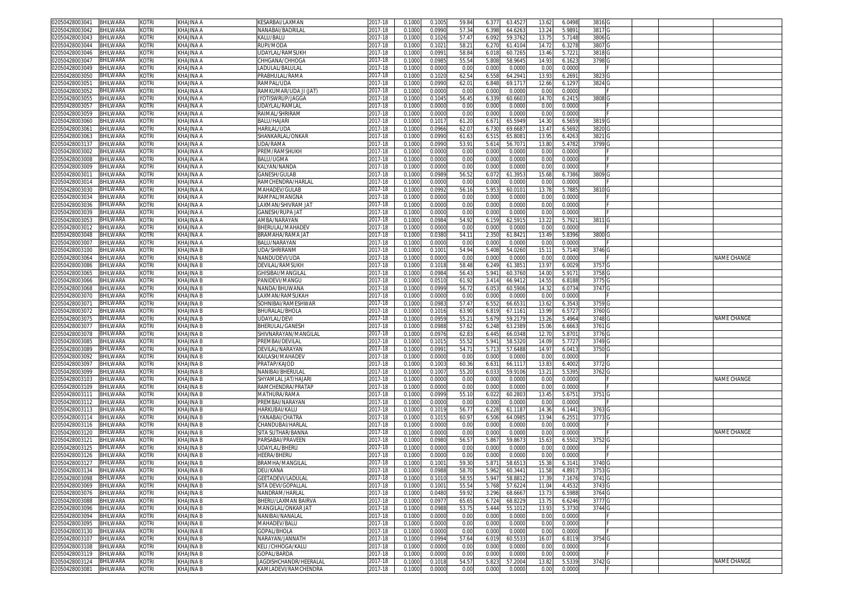| 02050428003041          | <b>BHILWARA</b> | kotri        | KHAJINA A        | KESARBAI/LAXMAN        | 2017-18 | 0.1000 | 0.1005 | 59.84 | 6.377 | 63.452  | 13.62 | 6.0498 | 3816 G |  |             |
|-------------------------|-----------------|--------------|------------------|------------------------|---------|--------|--------|-------|-------|---------|-------|--------|--------|--|-------------|
| 02050428003042          | BHILWARA        | kotri        | KHAJINA A        | NANABAI/BADRILAL       | 2017-18 | 0.1000 | 0.0990 | 57.3  | 6.398 | 64.626  | 13.24 | 5.9891 | 3817 G |  |             |
| 02050428003043          | BHILWARA        | kotri        | KHAJINA A        | KALU/BALU              | 2017-18 | 0.1000 | 0.1026 | 57.4  | 6.092 | 59.376  | 13.75 | 5.7148 | 3806   |  |             |
|                         |                 |              |                  |                        |         |        |        |       |       |         |       |        |        |  |             |
| 02050428003044          | BHILWARA        | kotri        | KHAJINA A        | RUPI/MODA              | 2017-18 | 0.100  | 0.102  | 58.2  | 6.270 | 61.410  | 14.72 | 6.3278 | 3807   |  |             |
| )2050428003046          | BHILWARA        | kotri        | KHAJINA A        | JDAYLAL/RAMSUKH        | 2017-18 | 0.100  | 0.099  | 58.8  | 6.01  | 60.726  | 13.46 | 5.7221 | 3818   |  |             |
| 2050428003047           | BHILWARA        | kotri        | KHAJINA A        | CHHGANA/CHHOGA         | 2017-18 | 0.100  | 0.098  | 55.5  | 5.808 | 58.9645 | 14.93 | 6.1623 | 3798   |  |             |
| 02050428003049          | 3HILWARA        | kotri        | KHAJINA A        | LADULAL/BALULAI        | 2017-18 | 0.1000 | 0.000  | 0.0   | 0.001 | 0.000   | 0.00  | 0.0000 |        |  |             |
| 02050428003050          | BHILWARA        | kotri        | KHAJINA A        | PRABHULAL/RAMA         | 2017-18 | 0.1000 | 0.1020 | 62.5  | 6.558 | 64.294  | 13.93 | 6.2691 | 3823   |  |             |
| 02050428003051          |                 | <b>KOTRI</b> |                  |                        |         | 0.100  |        | 62.0  |       |         |       |        |        |  |             |
|                         | BHILWARA        |              | KHAJINA A        | RAMPAL/UDA             | 2017-18 |        | 0.099  |       | 6.848 | 69.171  | 12.66 | 6.1297 | 3824   |  |             |
| 2050428003052           | BHILWARA        | kotri        | KHAJINA A        | RAMKUMAR/UDA JI (JAT)  | 2017-18 | 0.1000 | 0.000  | 0.0   | 0.001 | 0.000   | 0.00  | 0.0000 |        |  |             |
| 02050428003055          | <b>BHILWARA</b> | kotri        | KHAJINA A        | JYOTISWRUP/JAGGA       | 2017-18 | 0.1000 | 0.104  | 56.4  | 6.33  | 60.660  | 14.7( | 6.2415 | 3808   |  |             |
| 02050428003057          | BHILWARA        | kotri        | KHAJINA A        | JDAYLAL/RAMLAL         | 2017-18 | 0.1000 | 0.000  | 0.0   | 0.000 | 0.000   | 0.00  | 0.0000 |        |  |             |
| 02050428003059          | <b>BHILWARA</b> | KOTRI        | <b>KHAJINA A</b> | RAIMAL/SHRIRAM         | 2017-18 | 0.100  | 0.000  | 0.0   | 0.001 | 0.000   | 0.00  | 0.0000 |        |  |             |
| 2050428003060           | BHILWARA        | kotri        | KHAJINA A        | BALU/HAJARI            | 2017-18 | 0.1000 | 0.101  | 61.2  | 6.67  | 65.594  | 14.3  | 6.5659 | 3819   |  |             |
| 1205042800306           | <b>BHILWARA</b> | kotri        | KHAJINA A        | HARILAL/UDA            | 2017-18 | 0.100  | 0.096  | 62.0  | 6.73  | 69.668  | 13.4  | 6.5692 | 3820   |  |             |
|                         |                 |              |                  |                        |         |        |        |       |       |         |       |        |        |  |             |
| 02050428003063          | BHILWARA        | kotri        | KHAJINA A        | SHANKARLAL/ONKAR       | 2017-18 | 0.1000 | 0.099  | 61.6  | 6.51  | 65.808  | 13.95 | 6.4263 | 3821   |  |             |
| 02050428003137          | BHILWARA        | kotri        | KHAJINA A        | JDA/RAMA               | 2017-18 | 0.100  | 0.099  | 53.9  | 5.61  | 56.707  | 13.80 | 5.4782 | 3799   |  |             |
| 02050428003002          | BHILWARA        | kotri        | KHAJINA A        | PREM/RAMSHUKH          | 2017-18 | 0.100  | 0.000  | 0.0   | 0.001 | 0.000   | 0.00  | 0.0000 |        |  |             |
| 02050428003008          | 3HILWARA        | kotri        | KHAJINA A        | BALU/UGMA              | 2017-18 | 0.100  | 0.000  | 0.0   | 0.000 | 0.000   | 0.00  | 0.0000 |        |  |             |
| 02050428003009          | BHILWARA        | kotri        | KHAJINA A        | KALYAN/NANDA           | 2017-18 | 0.100  | 0.0000 | 0.0   | 0.000 | 0.000   | 0.00  | 0.0000 |        |  |             |
| 205042800301            | <b>BHILWARA</b> | KOTRI        | KHAJINA A        | GANESH/GULAB           | 2017-18 | 0.100  | 0.098  | 56.5  | 6.07  | 61.395  | 15.68 | 6.7386 | 3809   |  |             |
| 02050428003014          | <b>BHILWARA</b> | kotri        | KHAJINA A        | RAMCHENDRA/HARLAL      | 2017-18 | 0.100  | 0.000  | 0.0   | 0.000 | 0.000   | 0.00  | 0.0000 |        |  |             |
| 02050428003030          | <b>BHILWARA</b> | kotri        | KHAJINA A        | MAHADEV/GULAB          | 2017-18 | 0.100  | 0.099  | 56.1  | 5.95  | 60.010  | 13.78 | 5.7885 | 3810   |  |             |
|                         |                 |              |                  |                        |         |        |        |       |       |         |       |        |        |  |             |
| 02050428003034          | <b>BHILWARA</b> | kotri        | KHAJINA A        | RAMPAL/MANGNA          | 2017-18 | 0.1000 | 0.0000 | 0.0   | 0.000 | 0.0000  | 0.00  | 0.0000 |        |  |             |
| 2050428003036           | BHILWARA        | kotri        | KHAJINA A        | LAXMAN/SHIVRAM JA`     | 2017-18 | 0.100  | 0.000  | 0.0   | 0.000 | 0.000   | 0.00  | 0.0000 |        |  |             |
| )2050428003039          | 3HILWARA        | kotri        | KHAJINA A        | GANESH/RUPA JAT        | 2017-18 | 0.1000 | 0.000  | 0.0   | 0.000 | 0.000   | 0.00  | 0.0000 |        |  |             |
| 02050428003053          | BHILWARA        | kotri        | KHAJINA A        | AMBA/NARAYAN           | 2017-18 | 0.1000 | 0.098  | 54.9  | 6.159 | 62.591  | 13.22 | 5.7921 | 3811   |  |             |
| 02050428003012          | BHILWARA        | <b>KOTRI</b> | KHAJINA A        | BHERULAL/MAHADE'       | 2017-18 | 0.100  | 0.000  | 0.0   | 0.001 | 0.000   | 0.00  | 0.0000 |        |  |             |
| 2050428003048           | BHILWARA        | kotri        | KHAJINA A        | BRAMAHA/RAMA JA'       | 2017-18 | 0.100  | 0.038  | 54.1  | 2.350 | 61.842  | 13.49 | 5.8396 | 3800   |  |             |
| )2050428003007          | <b>BHILWARA</b> | kotri        | KHAJINA A        | BALU/NARAYAN           | 2017-18 | 0.100  | 0.000  | 0.0   | 0.000 | 0.000   | 0.00  | 0.0000 |        |  |             |
|                         |                 |              |                  |                        |         |        |        |       |       |         |       |        |        |  |             |
| 02050428003100          | BHILWARA        | KOTRI        | KHAJINA B        | JDA/SHRIRANM           | 2017-18 | 0.1000 | 0.100  | 54.94 | 5.408 | 54.026  | 15.1' | 5.7140 | 3746   |  |             |
| 02050428003064          | BHILWARA        | KOTRI        | <b>KHAJINA B</b> | NANDUDEVI/UDA          | 2017-18 | 0.100  | 0.000  | 0.0   | 0.000 | 0.000   | 0.00  | 0.0000 |        |  | NAME CHANGE |
| 2050428003086           | BHILWARA        | kotri        | KHAJINA B        | DEVILAL/RAMSUKH        | 2017-18 | 0.100  | 0.1018 | 58.4  | 6.249 | 61.385  | 13.97 | 6.0029 | 3757   |  |             |
| 02050428003065          | <b>BHILWARA</b> | kotri        | <b>KHAJINA B</b> | GHISIBAI/MANGILAI      | 2017-18 | 0.100  | 0.098  | 56.4  | 5.94  | 60.3760 | 14.00 | 5.9171 | 3758   |  |             |
| 02050428003066          | <b>BHILWARA</b> | kotri        | KHAJINA B        | PANIDEVI/MANGU         | 2017-18 | 0.100  | 0.051  | 61.9  | 3.414 | 66.941  | 14.55 | 6.8188 | 3775   |  |             |
| 02050428003068          | <b>BHILWARA</b> | kotri        | <b>KHAJINA B</b> | NANDA/BHUWANA          | 2017-18 | 0.100  | 0.099  | 56.7  | 6.05  | 60.590  | 14.32 | 6.0734 | 3747   |  |             |
| 02050428003070          | <b>BHILWARA</b> | kotri        | KHAJINA B        | AXMAN/RAMSUKAH         | 2017-18 | 0.1000 | 0.000  | 0.0   | 0.000 | 0.000   | 0.00  | 0.0000 |        |  |             |
|                         |                 | kotri        |                  | SOHNIBAI/RAMESHWAR     |         |        |        |       |       | 66.653  |       | 6.3543 |        |  |             |
| 0205042800307           | <b>BHILWARA</b> |              | KHAJINA B        |                        | 2017-18 | 0.100  | 0.098  | 57.4  | 6.55  |         | 13.62 |        | 3759   |  |             |
| 02050428003072          | BHILWARA        | kotri        | KHAJINA B        | BHURALAL/BHOLA         | 2017-18 | 0.1000 | 0.101  | 63.9  | 6.819 | 67.116  | 13.99 | 6.5727 | 3760   |  |             |
| 02050428003075          | <b>BHILWARA</b> | kotri        | KHAJINA B        | JDAYLAL/DEVI           | 2017-18 | 0.100  | 0.095  | 55.2  | 5.67  | 59.217  | 13.2  | 5.4964 | 3748   |  | NAME CHANGE |
| 2050428003077           | BHILWARA        | kotri        | KHAJINA B        | <b>BHERULAL/GANESH</b> | 2017-18 | 0.1000 | 0.098  | 57.6  | 6.248 | 63.238  | 15.06 | 6.6663 | 3761   |  |             |
| 02050428003078          | <b>BHILWARA</b> | kotri        | KHAJINA B        | SHIVNARAYAN/MANGILAL   | 2017-18 | 0.100  | 0.097  | 62.8  | 6.445 | 66.034  | 12.7  | 5.870  | 3776   |  |             |
| 02050428003085          | BHILWARA        | kotri        | KHAJINA B        | PREMBAI/DEVILAL        | 2017-18 | 0.100  | 0.101  | 55.5  | 5.941 | 58.532  | 14.09 | 5.7727 | 3749   |  |             |
| 02050428003089          | <b>BHILWARA</b> | kotri        | KHAJINA B        | DEVILAL/NARAYAN        | 2017-18 | 0.100  | 0.099  | 54.7  | 5.71  | 57.648  | 14.9  | 6.0413 | 3750   |  |             |
|                         | <b>BHILWARA</b> | kotri        | KHAJINA B        | KAILASH/MAHADE\        |         |        | 0.000  | 0.0   | 0.000 | 0.000   | 0.00  | 0.0000 |        |  |             |
| )2050428003092          |                 |              |                  |                        | 2017-18 | 0.100  |        |       |       |         |       |        |        |  |             |
| 0205042800309           | <b>BHILWARA</b> | KOTRI        | KHAJINA B        | PRATAP/KAJOD           | 2017-18 | 0.100  | 0.100  | 60.3  | 6.631 | 66.111  | 13.8  | 6.4002 | 3772   |  |             |
| 02050428003099          | <b>BHILWARA</b> | kotri        | KHAJINA B        | NANIBAI/BHERULAL       | 2017-18 | 0.100  | 0.100  | 55.2  | 6.033 | 59.910  | 13.21 | 5.5395 | 3762   |  |             |
| 2050428003103           | <b>BHILWARA</b> | kotri        | KHAJINA B        | SHYAMLAL JAT/HAJARI    | 2017-18 | 0.100  | 0.0000 | 0.0   | 0.000 | 0.000   | 0.00  | 0.0000 |        |  | NAME CHANGE |
| 02050428003109          | <b>BHILWARA</b> | kotri        | KHAJINA B        | RAMCHENDRA/PRATAP      | 2017-18 | 0.100  | 0.0000 | 0.0   | 0.000 | 0.0000  | 0.00  | 0.0000 |        |  |             |
| 2050428003111           | BHILWARA        | kotri        | KHAJINA B        | MATHURA/RAMA           | 2017-18 | 0.100  | 0.099  | 55.1  | 6.022 | 60.280  | 13.45 | 5.6751 | 3751   |  |             |
| )2050428003112          | BHILWARA        | kotri        | KHAJINA B        | PREMBAI/NARAYAN        | 2017-18 | 0.100  | 0.000  | 0.0   | 0.000 | 0.000   | 0.00  | 0.0000 |        |  |             |
| 2050428003113           | BHILWARA        | kotri        | KHAJINA B        | HARKUBAI/KALU          | 2017-18 | 0.100  | 0.101  | 56.7  | 6.228 | 61.118  | 14.36 | 6.1441 | 3763   |  |             |
| )2050428003114          | BHILWARA        | kotri        | KHAJINA B        | JYANABAI/CHATRA        | 2017-18 | 0.100  | 0.101  | 60.9  | 6.506 | 64.098  | 13.94 | 6.255  | 3773   |  |             |
|                         |                 |              |                  |                        |         |        |        |       |       |         |       |        |        |  |             |
| 2050428003116           | BHILWARA        | KOTRI        | KHAJINA B        | CHANDUBAI/HARLAI       | 2017-18 | 0.100  | 0.0000 | 0.0   | 0.000 | 0.000   | 0.00  | 0.0000 |        |  |             |
| 02050428003120          | BHILWARA        | <b>KOTRI</b> | <b>KHAJINA B</b> | SITA SUTHAR/BANNA      | 2017-18 | 0.100  | 0.000  | 0.0   | 0.000 | 0.000   | 0.00  | 0.0000 |        |  | NAME CHANGE |
| 2050428003121           | BHILWARA        | KOTRI        | KHAJINA B        | PARSABAI/PRAVEEN       | 2017-18 | 0.1000 | 0.098  | 56.5  | 5.86  | 59.867  | 15.63 | 6.5502 | 3752   |  |             |
| 02050428003125          | <b>BHILWARA</b> | kotri        | KHAJINA B        | JDAYLAL/BHERU          | 2017-18 | 0.100  | 0.000  | 0.0   | 0.001 | 0.000   | 0.00  | 0.0000 |        |  |             |
| 02050428003126          | <b>BHILWARA</b> | KOTRI        | <b>KHAJINA B</b> | <b>HEERA/BHERU</b>     | 2017-18 | 0.100  | 0.0000 | 0.0   | 0.000 | 0.000   | 0.00  | 0.0000 |        |  |             |
| 02050428003127          | <b>BHILWARA</b> | kotri        | KHAJINA B        | BRAMHA/MANGILAL        | 2017-18 | 0.1000 | 0.100  | 59.3  | 5.87  | 58.651  | 15.38 | 6.3141 | 3740 G |  |             |
| 02050428003134 BHILWARA |                 | KOTRI        | KHAJINA B        | DEU/KANA               | 2017-18 | 0.1000 | 0.0985 | 58.7  | 5.962 | 60.344  | 11.58 | 4.8917 | 3/53   |  |             |
|                         | BHILWARA        | kotri        |                  | GEETADEVI/LADULAL      | 2017-18 |        |        | 58.5  |       |         | 17.39 |        | 3741   |  |             |
| 02050428003098          |                 |              | KHAJINA B        |                        |         | 0.1000 | 0.1010 |       | 5.947 | 58.881  |       | 7.1676 |        |  |             |
| 02050428003069          | <b>BHILWARA</b> | kotri        | KHAJINA B        | SITA DEVI/GOPALLAL     | 2017-18 | 0.1000 | 0.100  | 55.54 | 5.768 | 57.622  | 11.04 | 4.4532 | 3743 G |  |             |
| 02050428003076          | <b>BHILWARA</b> | <b>KOTRI</b> | KHAJINA B        | NANDRAM/HARLAL         | 2017-18 | 0.1000 | 0.0480 | 59.92 | 3.296 | 68.666  | 13.73 | 6.5988 | 3764   |  |             |
| 02050428003088          | BHILWARA        | kotri        | KHAJINA B        | BHERU/LAXMAN BAIRVA    | 2017-18 | 0.1000 | 0.097  | 65.65 | 6.724 | 68.822  | 13.75 | 6.6246 | 3777   |  |             |
|                         |                 | kotri        | KHAJINA B        | MANGILAL/ONKAR JAT     | 2017-18 | 0.1000 | 0.098  | 53.7  | 5.444 | 55.101  | 13.93 | 5.3730 | 3744   |  |             |
| 02050428003096          | <b>BHILWARA</b> |              |                  |                        | 2017-18 | 0.1000 | 0.0000 | 0.00  | 0.000 | 0.0000  | 0.00  | 0.0000 |        |  |             |
| 02050428003094          | BHILWARA        | KOTRI        | KHAJINA B        | NANIBAI/NANALAL        |         |        |        |       |       |         |       |        |        |  |             |
|                         |                 |              |                  |                        |         |        |        |       |       |         |       |        |        |  |             |
| 02050428003095          | BHILWARA        | kotri        | KHAJINA B        | MAHADEV/BALU           | 2017-18 | 0.1000 | 0.000  | 0.00  | 0.000 | 0.000   | 0.00  | 0.0000 |        |  |             |
| 02050428003130          | BHILWARA        | kotri        | KHAJINA B        | GOPAL/BHOLA            | 2017-18 | 0.1000 | 0.0000 | 0.00  | 0.000 | 0.0000  | 0.00  | 0.0000 |        |  |             |
| 02050428003107          | BHILWARA        | kotri        | <b>KHAJINA B</b> | NARAYAN/JANNATH        | 2017-18 | 0.1000 | 0.099  | 57.6  | 6.019 | 60.553  | 16.0  | 6.8119 | 3754   |  |             |
| 02050428003108          | BHILWARA        | KOTRI        | <b>KHAJINA B</b> | KELI /CHHOGA/KALU      | 2017-18 | 0.1000 | 0.0000 | 0.00  | 0.000 | 0.0000  | 0.00  | 0.0000 |        |  |             |
| 02050428003119          | BHILWARA        | kotri        | KHAJINA B        | GOPAL/BARDA            | 2017-18 | 0.1000 | 0.0000 | 0.0   | 0.000 | 0.000   | 0.00  | 0.0000 |        |  |             |
| 02050428003124          | BHILWARA        | KOTRI        | KHAJINA B        | JAGDISHCHANDR/HEERALAL | 2017-18 | 0.1000 | 0.1018 | 54.57 | 5.823 | 57.2004 | 13.82 | 5.5339 | 3742 G |  | NAME CHANGE |